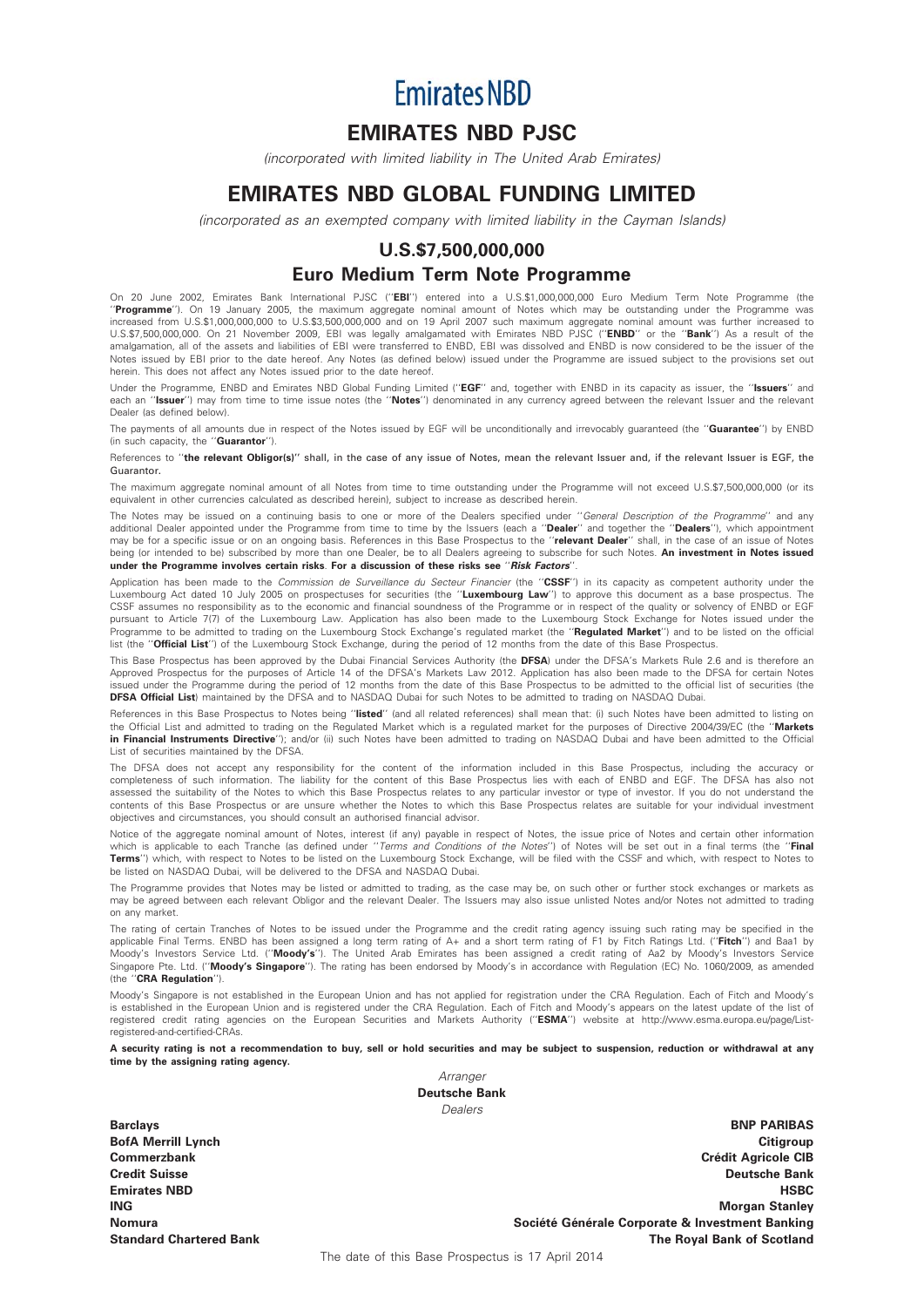**Emirates NBD** 

# EMIRATES NBD PJSC

(incorporated with limited liability in The United Arab Emirates)

# EMIRATES NBD GLOBAL FUNDING LIMITED

(incorporated as an exempted company with limited liability in the Cayman Islands)

# U.S.\$7,500,000,000 Euro Medium Term Note Programme

On 20 June 2002, Emirates Bank International PJSC ("EBI") entered into a U.S.\$1,000,000,000 Euro Medium Term Note Programme (the "Programme"). On 19 January 2005, the maximum aggregate nominal amount of Notes which may be outstanding under the Programme was increased from U.S.\$1,000,000,000 to U.S.\$3,500,000,000 and on 19 April 2007 such maximum aggregate nominal amount was further increased to U.S.\$7,500,000,000. On 21 November 2009, EBI was legally amalgamated with Emirates NBD PJSC ("ENBD" or the "Bank") As a result of the amalgamation, all of the assets and liabilities of EBI were transferred to ENBD, EBI was dissolved and ENBD is now considered to be the issuer of the Notes issued by EBI prior to the date hereof. Any Notes (as defined below) issued under the Programme are issued subject to the provisions set out herein. This does not affect any Notes issued prior to the date hereof.

Under the Programme, ENBD and Emirates NBD Global Funding Limited ("EGF" and, together with ENBD in its capacity as issuer, the "Issuers" and each an "Issuer") may from time to time issue notes (the "Notes") denominated in any currency agreed between the relevant Issuer and the relevant Dealer (as defined below).

The payments of all amounts due in respect of the Notes issued by EGF will be unconditionally and irrevocably quaranteed (the "Guarantee") by ENBD (in such capacity, the ''Guarantor'').

References to "the relevant Obligor(s)" shall, in the case of any issue of Notes, mean the relevant Issuer and, if the relevant Issuer is EGF, the Guarantor.

The maximum aggregate nominal amount of all Notes from time to time outstanding under the Programme will not exceed U.S.\$7,500,000,000 (or its equivalent in other currencies calculated as described herein), subject to increase as described herein.

The Notes may be issued on a continuing basis to one or more of the Dealers specified under ''*General Description of the Programme*'' and any<br>additional Dealer appointed under the Programme from time to time by the Issuer may be for a specific issue or on an ongoing basis. References in this Base Prospectus to the "relevant Dealer" shall, in the case of an issue of Notes being (or intended to be) subscribed by more than one Dealer, be to all Dealers agreeing to subscribe for such Notes. An investment in Notes issued under the Programme involves certain risks. For a discussion of these risks see "Risk Factors'

Application has been made to the Commission de Surveillance du Secteur Financier (the "CSSF") in its capacity as competent authority under the Luxembourg Act dated 10 July 2005 on prospectuses for securities (the "Luxembourg Law") to approve this document as a base prospectus. The CSSF assumes no responsibility as to the economic and financial soundness of the Programme or in respect of the quality or solvency of ENBD or EGF<br>pursuant to Article 7(7) of the Luxembourg Law. Application has also been m Programme to be admitted to trading on the Luxembourg Stock Exchange's regulated market (the "Regulated Market") and to be listed on the official list (the "Official List") of the Luxembourg Stock Exchange, during the period of 12 months from the date of this Base Prospectus.

This Base Prospectus has been approved by the Dubai Financial Services Authority (the **DFSA**) under the DFSA's Markets Rule 2.6 and is therefore an<br>Approved Prospectus for the purposes of Article 14 of the DFSA's Markets L issued under the Programme during the period of 12 months from the date of this Base Prospectus to be admitted to the official list of securities (the DFSA Official List) maintained by the DFSA and to NASDAQ Dubai for such Notes to be admitted to trading on NASDAQ Dubai.

References in this Base Prospectus to Notes being "listed" (and all related references) shall mean that: (i) such Notes have been admitted to listing on the Official List and admitted to trading on the Regulated Market which is a regulated market for the purposes of Directive 2004/39/EC (the "Markets in Financial Instruments Directive"); and/or (ii) such Notes have been admitted to trading on NASDAQ Dubai and have been admitted to the Official List of securities maintained by the DFSA.

The DFSA does not accept any responsibility for the content of the information included in this Base Prospectus, including the accuracy or completeness of such information. The liability for the content of this Base Prospectus lies with each of ENBD and EGF. The DFSA has also not assessed the suitability of the Notes to which this Base Prospectus relates to any particular investor or type of investor. If you do not understand the contents of this Base Prospectus or are unsure whether the Notes to which this Base Prospectus relates are suitable for your individual investment objectives and circumstances, you should consult an authorised financial advisor.

Notice of the aggregate nominal amount of Notes, interest (if any) payable in respect of Notes, the issue price of Notes and certain other information<br>which is applicable to each Tranche (as defined under "*Terms and Condi* Terms'') which, with respect to Notes to be listed on the Luxembourg Stock Exchange, will be filed with the CSSF and which, with respect to Notes to be listed on NASDAQ Dubai, will be delivered to the DFSA and NASDAQ Dubai.

The Programme provides that Notes may be listed or admitted to trading, as the case may be, on such other or further stock exchanges or markets as may be agreed between each relevant Obligor and the relevant Dealer. The Issuers may also issue unlisted Notes and/or Notes not admitted to trading on any market.

The rating of certain Tranches of Notes to be issued under the Programme and the credit rating agency issuing such rating may be specified in the applicable Final Terms. ENBD has been assigned a long term rating of A+ and a short term rating of F1 by Fitch Ratings Ltd. ("Fitch'') and Baa1 by Moody's Investors Service Ltd. ("Moody's"). The United Arab Emirates has been assigned a credit rating of Aa2 by Moody's Investors Service Singapore Pte. Ltd. ("Moody's Singapore"). The rating has been endorsed by Moody's in accordance with Regulation (EC) No. 1060/2009, as amended (the ''CRA Regulation'').

Moody's Singapore is not established in the European Union and has not applied for registration under the CRA Regulation. Each of Fitch and Moody's is established in the European Union and is registered under the CRA Regulation. Each of Fitch and Moody's appears on the latest update of the list of registered credit rating agencies on the European Securities and Markets Authority (''ESMA'') website at http://www.esma.europa.eu/page/Listregistered-and-certified-CRAs.

A security rating is not a recommendation to buy, sell or hold securities and may be subject to suspension, reduction or withdrawal at any time by the assigning rating agency.

Arranger Deutsche Bank Dealers

Barclays BNP PARIBAS

BofA Merrill Lynch Citigroup Commerzbank Commerzbank Created a Commerzbank Created a Created a Created a Created a Created a Created a Cre Credit Suisse Deutsche Bank Emirates NBD HSBC **ING** Morgan Stanley Nomura Nomura Société Générale Corporate & Investment Banking Standard Chartered Bank The Royal Bank of Scotland

The date of this Base Prospectus is 17 April 2014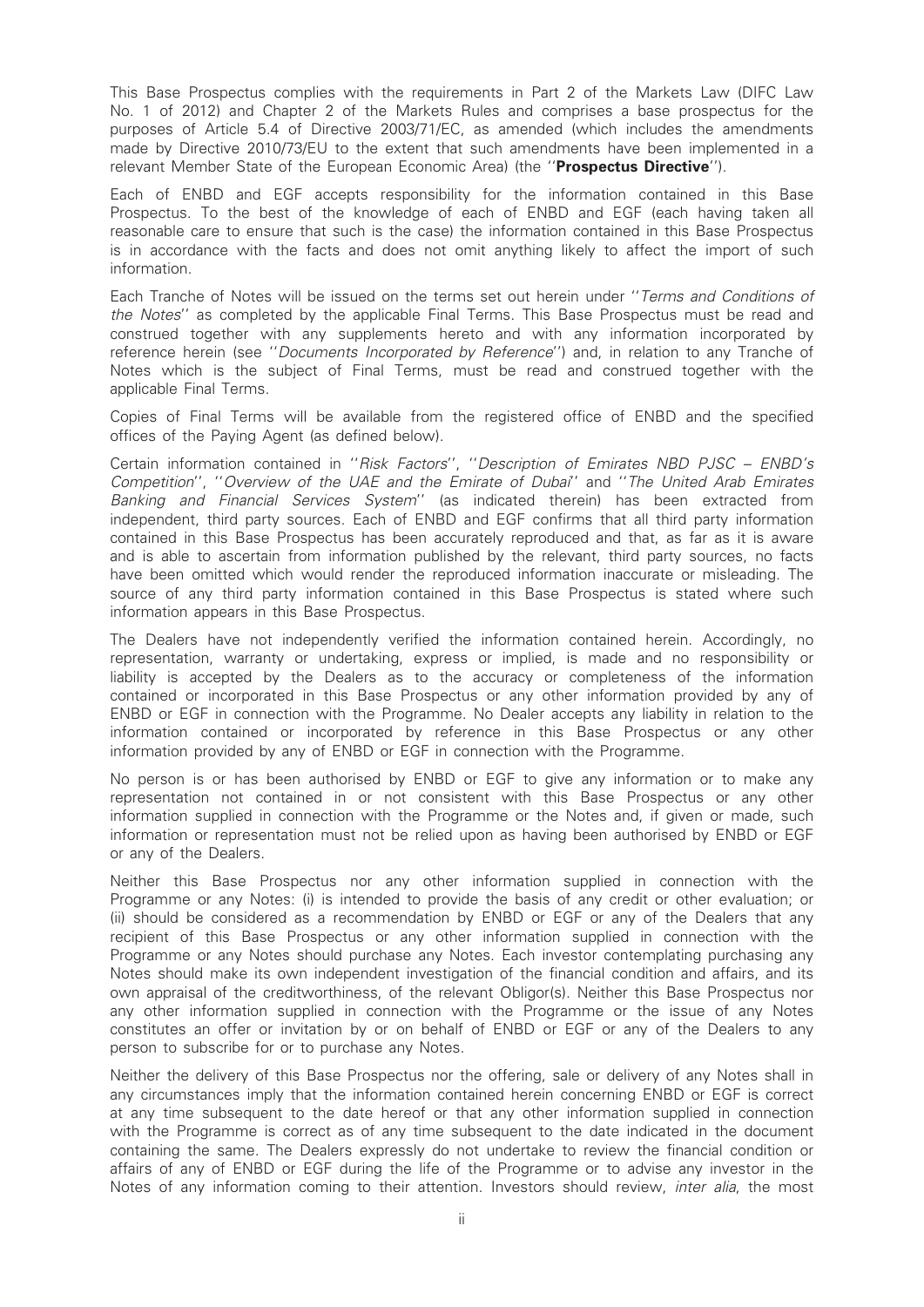This Base Prospectus complies with the requirements in Part 2 of the Markets Law (DIFC Law No. 1 of 2012) and Chapter 2 of the Markets Rules and comprises a base prospectus for the purposes of Article 5.4 of Directive 2003/71/EC, as amended (which includes the amendments made by Directive 2010/73/EU to the extent that such amendments have been implemented in a relevant Member State of the European Economic Area) (the "Prospectus Directive").

Each of ENBD and EGF accepts responsibility for the information contained in this Base Prospectus. To the best of the knowledge of each of ENBD and EGF (each having taken all reasonable care to ensure that such is the case) the information contained in this Base Prospectus is in accordance with the facts and does not omit anything likely to affect the import of such information.

Each Tranche of Notes will be issued on the terms set out herein under ''Terms and Conditions of the Notes'' as completed by the applicable Final Terms. This Base Prospectus must be read and construed together with any supplements hereto and with any information incorporated by reference herein (see ''Documents Incorporated by Reference'') and, in relation to any Tranche of Notes which is the subject of Final Terms, must be read and construed together with the applicable Final Terms.

Copies of Final Terms will be available from the registered office of ENBD and the specified offices of the Paying Agent (as defined below).

Certain information contained in ''Risk Factors'', ''Description of Emirates NBD PJSC – ENBD's Competition'', ''Overview of the UAE and the Emirate of Dubai'' and ''The United Arab Emirates Banking and Financial Services System'' (as indicated therein) has been extracted from independent, third party sources. Each of ENBD and EGF confirms that all third party information contained in this Base Prospectus has been accurately reproduced and that, as far as it is aware and is able to ascertain from information published by the relevant, third party sources, no facts have been omitted which would render the reproduced information inaccurate or misleading. The source of any third party information contained in this Base Prospectus is stated where such information appears in this Base Prospectus.

The Dealers have not independently verified the information contained herein. Accordingly, no representation, warranty or undertaking, express or implied, is made and no responsibility or liability is accepted by the Dealers as to the accuracy or completeness of the information contained or incorporated in this Base Prospectus or any other information provided by any of ENBD or EGF in connection with the Programme. No Dealer accepts any liability in relation to the information contained or incorporated by reference in this Base Prospectus or any other information provided by any of ENBD or EGF in connection with the Programme.

No person is or has been authorised by ENBD or EGF to give any information or to make any representation not contained in or not consistent with this Base Prospectus or any other information supplied in connection with the Programme or the Notes and, if given or made, such information or representation must not be relied upon as having been authorised by ENBD or EGF or any of the Dealers.

Neither this Base Prospectus nor any other information supplied in connection with the Programme or any Notes: (i) is intended to provide the basis of any credit or other evaluation; or (ii) should be considered as a recommendation by ENBD or EGF or any of the Dealers that any recipient of this Base Prospectus or any other information supplied in connection with the Programme or any Notes should purchase any Notes. Each investor contemplating purchasing any Notes should make its own independent investigation of the financial condition and affairs, and its own appraisal of the creditworthiness, of the relevant Obligor(s). Neither this Base Prospectus nor any other information supplied in connection with the Programme or the issue of any Notes constitutes an offer or invitation by or on behalf of ENBD or EGF or any of the Dealers to any person to subscribe for or to purchase any Notes.

Neither the delivery of this Base Prospectus nor the offering, sale or delivery of any Notes shall in any circumstances imply that the information contained herein concerning ENBD or EGF is correct at any time subsequent to the date hereof or that any other information supplied in connection with the Programme is correct as of any time subsequent to the date indicated in the document containing the same. The Dealers expressly do not undertake to review the financial condition or affairs of any of ENBD or EGF during the life of the Programme or to advise any investor in the Notes of any information coming to their attention. Investors should review, *inter alia*, the most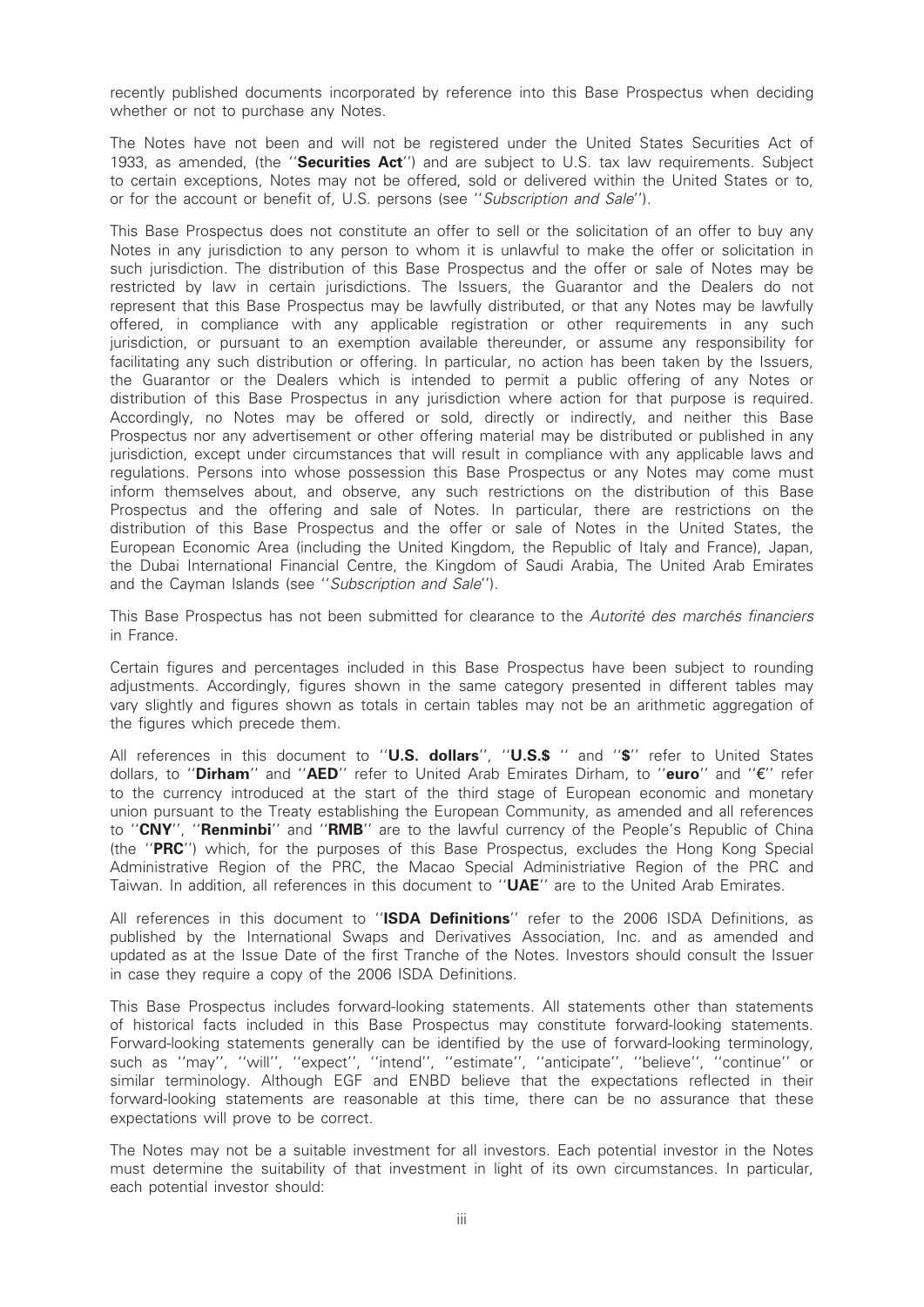recently published documents incorporated by reference into this Base Prospectus when deciding whether or not to purchase any Notes.

The Notes have not been and will not be registered under the United States Securities Act of 1933, as amended, (the "Securities  $Act'$ ) and are subject to U.S. tax law requirements. Subject to certain exceptions, Notes may not be offered, sold or delivered within the United States or to, or for the account or benefit of, U.S. persons (see ''Subscription and Sale'').

This Base Prospectus does not constitute an offer to sell or the solicitation of an offer to buy any Notes in any jurisdiction to any person to whom it is unlawful to make the offer or solicitation in such jurisdiction. The distribution of this Base Prospectus and the offer or sale of Notes may be restricted by law in certain jurisdictions. The Issuers, the Guarantor and the Dealers do not represent that this Base Prospectus may be lawfully distributed, or that any Notes may be lawfully offered, in compliance with any applicable registration or other requirements in any such jurisdiction, or pursuant to an exemption available thereunder, or assume any responsibility for facilitating any such distribution or offering. In particular, no action has been taken by the Issuers, the Guarantor or the Dealers which is intended to permit a public offering of any Notes or distribution of this Base Prospectus in any jurisdiction where action for that purpose is required. Accordingly, no Notes may be offered or sold, directly or indirectly, and neither this Base Prospectus nor any advertisement or other offering material may be distributed or published in any jurisdiction, except under circumstances that will result in compliance with any applicable laws and regulations. Persons into whose possession this Base Prospectus or any Notes may come must inform themselves about, and observe, any such restrictions on the distribution of this Base Prospectus and the offering and sale of Notes. In particular, there are restrictions on the distribution of this Base Prospectus and the offer or sale of Notes in the United States, the European Economic Area (including the United Kingdom, the Republic of Italy and France), Japan, the Dubai International Financial Centre, the Kingdom of Saudi Arabia, The United Arab Emirates and the Cayman Islands (see "Subscription and Sale").

This Base Prospectus has not been submitted for clearance to the Autorité des marchés financiers in France.

Certain figures and percentages included in this Base Prospectus have been subject to rounding adjustments. Accordingly, figures shown in the same category presented in different tables may vary slightly and figures shown as totals in certain tables may not be an arithmetic aggregation of the figures which precede them.

All references in this document to "U.S. dollars", "U.S.\$ " and "\$" refer to United States dollars, to "Dirham" and "AED" refer to United Arab Emirates Dirham, to "euro" and "€" refer to the currency introduced at the start of the third stage of European economic and monetary union pursuant to the Treaty establishing the European Community, as amended and all references to "CNY", "Renminbi" and "RMB" are to the lawful currency of the People's Republic of China (the ''PRC'') which, for the purposes of this Base Prospectus, excludes the Hong Kong Special Administrative Region of the PRC, the Macao Special Administriative Region of the PRC and Taiwan. In addition, all references in this document to "UAE" are to the United Arab Emirates.

All references in this document to "ISDA Definitions" refer to the 2006 ISDA Definitions, as published by the International Swaps and Derivatives Association, Inc. and as amended and updated as at the Issue Date of the first Tranche of the Notes. Investors should consult the Issuer in case they require a copy of the 2006 ISDA Definitions.

This Base Prospectus includes forward-looking statements. All statements other than statements of historical facts included in this Base Prospectus may constitute forward-looking statements. Forward-looking statements generally can be identified by the use of forward-looking terminology, such as ''may'', ''will'', ''expect'', ''intend'', ''estimate'', ''anticipate'', ''believe'', ''continue'' or similar terminology. Although EGF and ENBD believe that the expectations reflected in their forward-looking statements are reasonable at this time, there can be no assurance that these expectations will prove to be correct.

The Notes may not be a suitable investment for all investors. Each potential investor in the Notes must determine the suitability of that investment in light of its own circumstances. In particular, each potential investor should: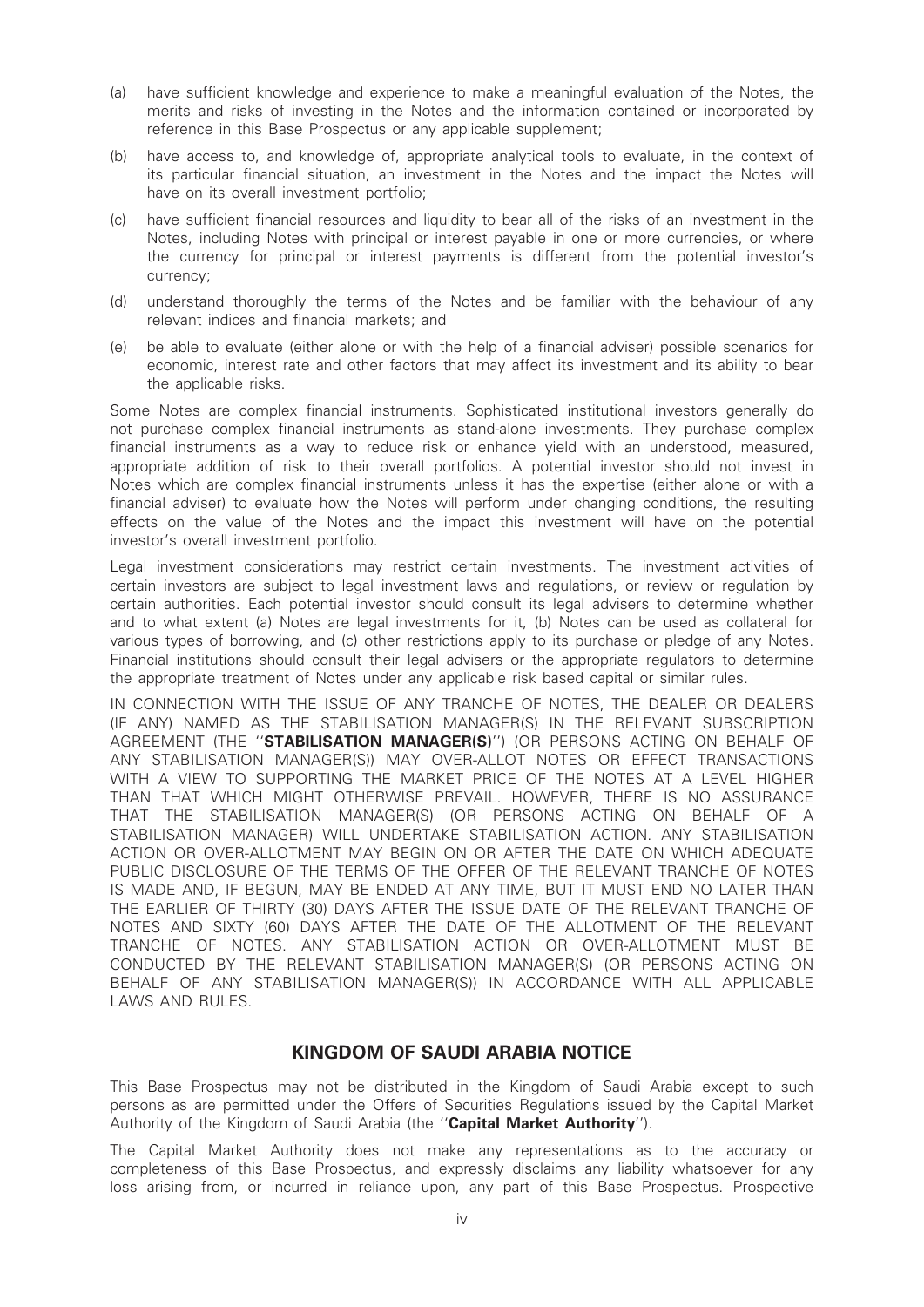- (a) have sufficient knowledge and experience to make a meaningful evaluation of the Notes, the merits and risks of investing in the Notes and the information contained or incorporated by reference in this Base Prospectus or any applicable supplement;
- (b) have access to, and knowledge of, appropriate analytical tools to evaluate, in the context of its particular financial situation, an investment in the Notes and the impact the Notes will have on its overall investment portfolio;
- (c) have sufficient financial resources and liquidity to bear all of the risks of an investment in the Notes, including Notes with principal or interest payable in one or more currencies, or where the currency for principal or interest payments is different from the potential investor's currency;
- (d) understand thoroughly the terms of the Notes and be familiar with the behaviour of any relevant indices and financial markets; and
- (e) be able to evaluate (either alone or with the help of a financial adviser) possible scenarios for economic, interest rate and other factors that may affect its investment and its ability to bear the applicable risks.

Some Notes are complex financial instruments. Sophisticated institutional investors generally do not purchase complex financial instruments as stand-alone investments. They purchase complex financial instruments as a way to reduce risk or enhance yield with an understood, measured, appropriate addition of risk to their overall portfolios. A potential investor should not invest in Notes which are complex financial instruments unless it has the expertise (either alone or with a financial adviser) to evaluate how the Notes will perform under changing conditions, the resulting effects on the value of the Notes and the impact this investment will have on the potential investor's overall investment portfolio.

Legal investment considerations may restrict certain investments. The investment activities of certain investors are subject to legal investment laws and regulations, or review or regulation by certain authorities. Each potential investor should consult its legal advisers to determine whether and to what extent (a) Notes are legal investments for it, (b) Notes can be used as collateral for various types of borrowing, and (c) other restrictions apply to its purchase or pledge of any Notes. Financial institutions should consult their legal advisers or the appropriate regulators to determine the appropriate treatment of Notes under any applicable risk based capital or similar rules.

IN CONNECTION WITH THE ISSUE OF ANY TRANCHE OF NOTES, THE DEALER OR DEALERS (IF ANY) NAMED AS THE STABILISATION MANAGER(S) IN THE RELEVANT SUBSCRIPTION AGREEMENT (THE ''STABILISATION MANAGER(S)'') (OR PERSONS ACTING ON BEHALF OF ANY STABILISATION MANAGER(S)) MAY OVER-ALLOT NOTES OR EFFECT TRANSACTIONS WITH A VIEW TO SUPPORTING THE MARKET PRICE OF THE NOTES AT A LEVEL HIGHER THAN THAT WHICH MIGHT OTHERWISE PREVAIL. HOWEVER, THERE IS NO ASSURANCE THAT THE STABILISATION MANAGER(S) (OR PERSONS ACTING ON BEHALF OF A STABILISATION MANAGER) WILL UNDERTAKE STABILISATION ACTION. ANY STABILISATION ACTION OR OVER-ALLOTMENT MAY BEGIN ON OR AFTER THE DATE ON WHICH ADEQUATE PUBLIC DISCLOSURE OF THE TERMS OF THE OFFER OF THE RELEVANT TRANCHE OF NOTES IS MADE AND, IF BEGUN, MAY BE ENDED AT ANY TIME, BUT IT MUST END NO LATER THAN THE EARLIER OF THIRTY (30) DAYS AFTER THE ISSUE DATE OF THE RELEVANT TRANCHE OF NOTES AND SIXTY (60) DAYS AFTER THE DATE OF THE ALLOTMENT OF THE RELEVANT TRANCHE OF NOTES. ANY STABILISATION ACTION OR OVER-ALLOTMENT MUST BE CONDUCTED BY THE RELEVANT STABILISATION MANAGER(S) (OR PERSONS ACTING ON BEHALF OF ANY STABILISATION MANAGER(S)) IN ACCORDANCE WITH ALL APPLICABLE LAWS AND RULES.

# KINGDOM OF SAUDI ARABIA NOTICE

This Base Prospectus may not be distributed in the Kingdom of Saudi Arabia except to such persons as are permitted under the Offers of Securities Regulations issued by the Capital Market Authority of the Kingdom of Saudi Arabia (the "Capital Market Authority").

The Capital Market Authority does not make any representations as to the accuracy or completeness of this Base Prospectus, and expressly disclaims any liability whatsoever for any loss arising from, or incurred in reliance upon, any part of this Base Prospectus. Prospective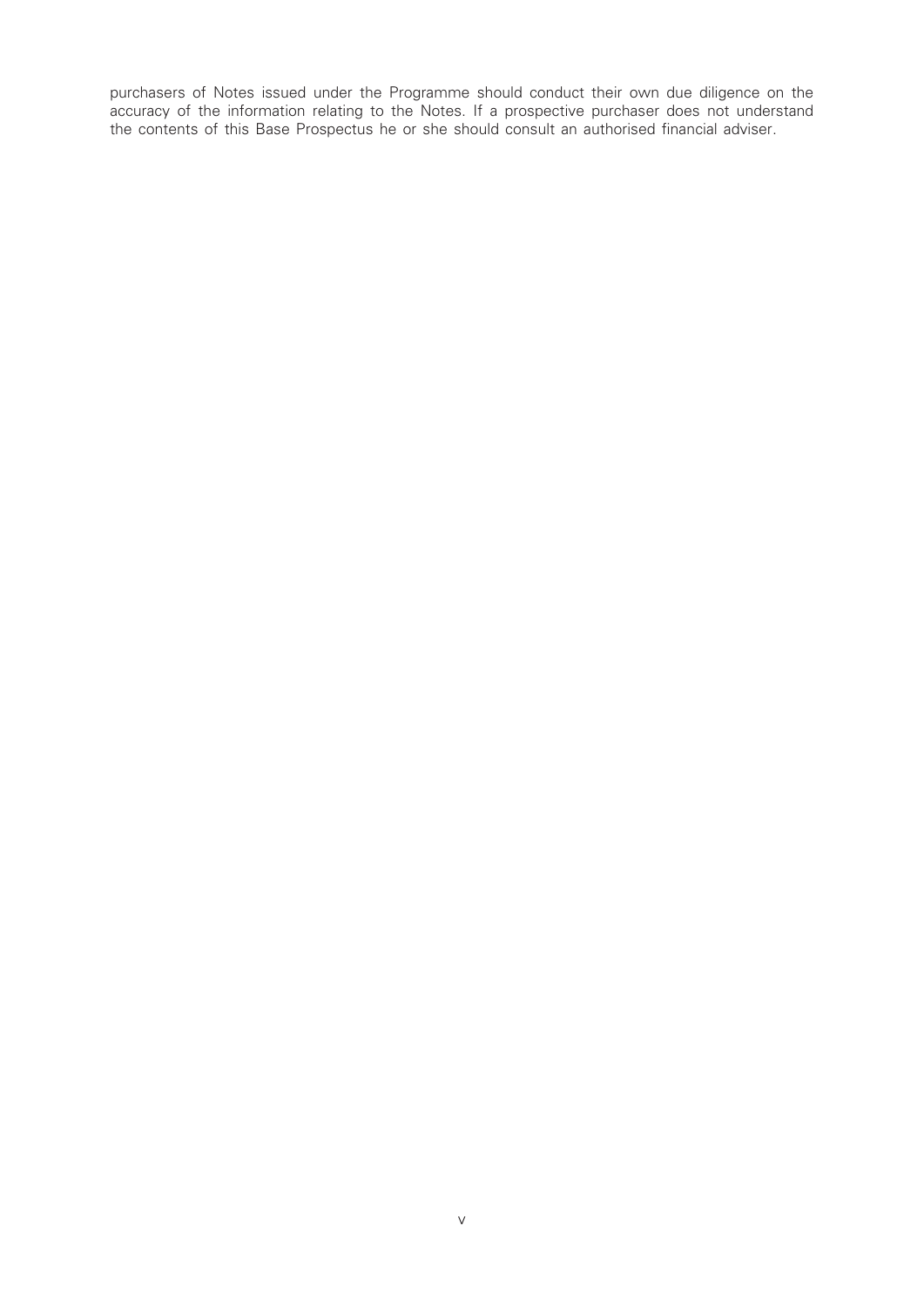purchasers of Notes issued under the Programme should conduct their own due diligence on the accuracy of the information relating to the Notes. If a prospective purchaser does not understand the contents of this Base Prospectus he or she should consult an authorised financial adviser.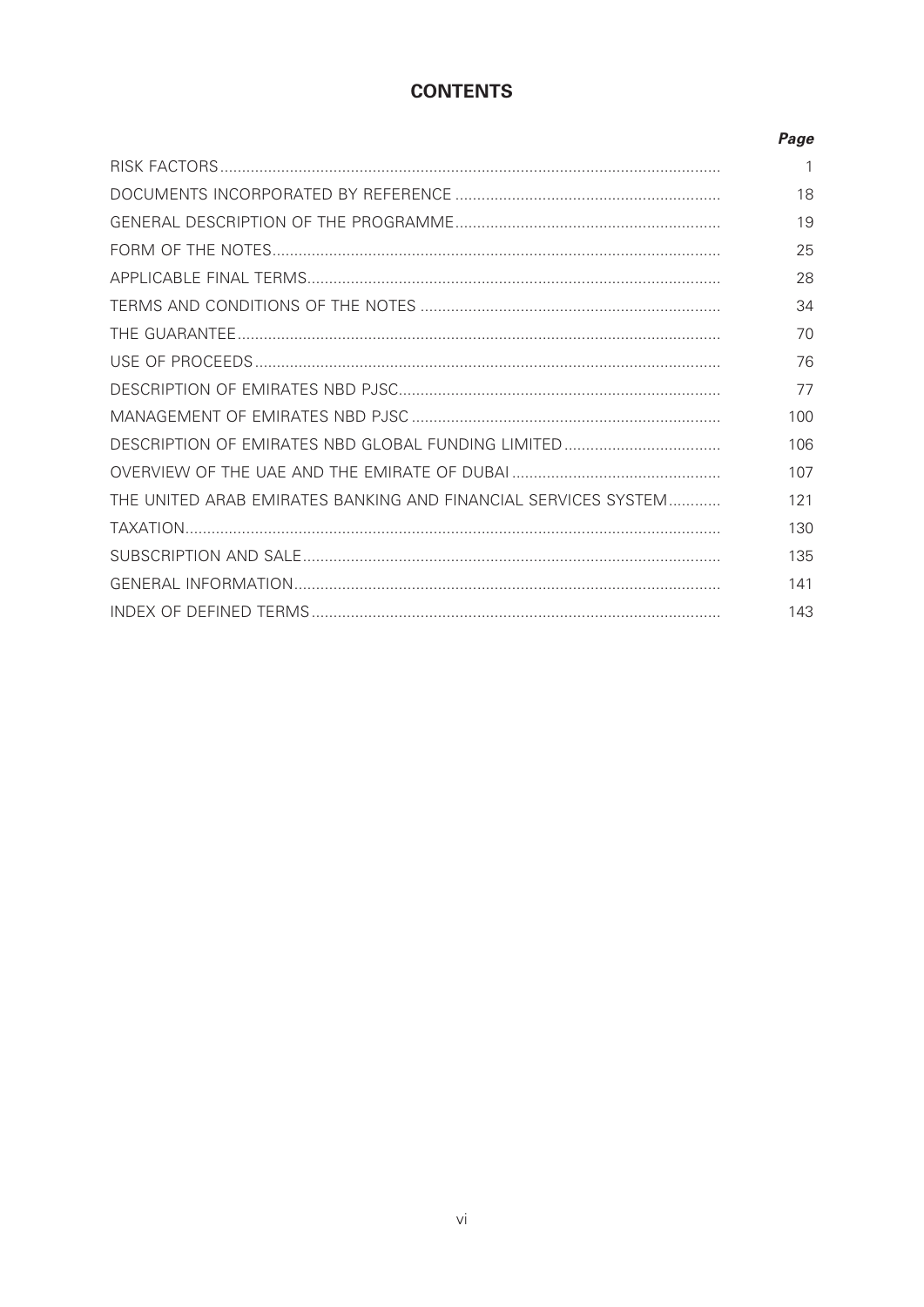# **CONTENTS**

|                                                                | Page |
|----------------------------------------------------------------|------|
|                                                                |      |
|                                                                | 18   |
|                                                                | 19   |
|                                                                | 25   |
|                                                                | 28   |
|                                                                | 34   |
|                                                                | 70   |
|                                                                | 76   |
|                                                                | 77   |
|                                                                | 100  |
|                                                                | 106  |
|                                                                | 107  |
| THE UNITED ARAB EMIRATES BANKING AND FINANCIAL SERVICES SYSTEM | 121  |
|                                                                | 130  |
|                                                                | 135  |
|                                                                | 141  |
|                                                                | 143  |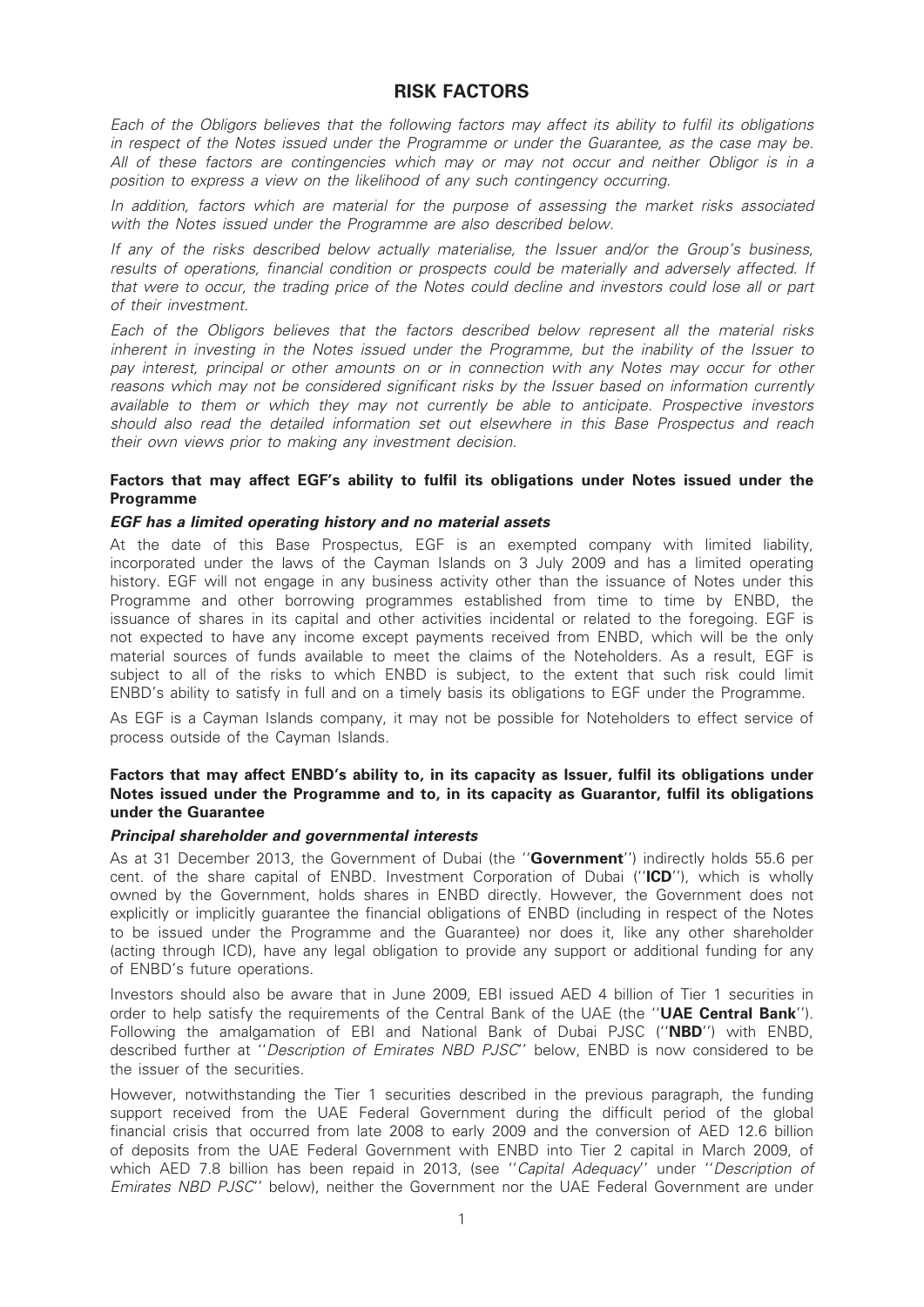# RISK FACTORS

Each of the Obligors believes that the following factors may affect its ability to fulfil its obligations in respect of the Notes issued under the Programme or under the Guarantee, as the case may be. All of these factors are contingencies which may or may not occur and neither Obligor is in a position to express a view on the likelihood of any such contingency occurring.

In addition, factors which are material for the purpose of assessing the market risks associated with the Notes issued under the Programme are also described below.

If any of the risks described below actually materialise, the Issuer and/or the Group's business, results of operations, financial condition or prospects could be materially and adversely affected. If that were to occur, the trading price of the Notes could decline and investors could lose all or part of their investment.

Each of the Obligors believes that the factors described below represent all the material risks inherent in investing in the Notes issued under the Programme, but the inability of the Issuer to pay interest, principal or other amounts on or in connection with any Notes may occur for other reasons which may not be considered significant risks by the Issuer based on information currently available to them or which they may not currently be able to anticipate. Prospective investors should also read the detailed information set out elsewhere in this Base Prospectus and reach their own views prior to making any investment decision.

### Factors that may affect EGF's ability to fulfil its obligations under Notes issued under the Programme

#### EGF has a limited operating history and no material assets

At the date of this Base Prospectus, EGF is an exempted company with limited liability, incorporated under the laws of the Cayman Islands on 3 July 2009 and has a limited operating history. EGF will not engage in any business activity other than the issuance of Notes under this Programme and other borrowing programmes established from time to time by ENBD, the issuance of shares in its capital and other activities incidental or related to the foregoing. EGF is not expected to have any income except payments received from ENBD, which will be the only material sources of funds available to meet the claims of the Noteholders. As a result, EGF is subject to all of the risks to which ENBD is subject, to the extent that such risk could limit ENBD's ability to satisfy in full and on a timely basis its obligations to EGF under the Programme.

As EGF is a Cayman Islands company, it may not be possible for Noteholders to effect service of process outside of the Cayman Islands.

#### Factors that may affect ENBD's ability to, in its capacity as Issuer, fulfil its obligations under Notes issued under the Programme and to, in its capacity as Guarantor, fulfil its obligations under the Guarantee

#### Principal shareholder and governmental interests

As at 31 December 2013, the Government of Dubai (the "**Government**") indirectly holds 55.6 per cent. of the share capital of ENBD. Investment Corporation of Dubai ("ICD"), which is wholly owned by the Government, holds shares in ENBD directly. However, the Government does not explicitly or implicitly guarantee the financial obligations of ENBD (including in respect of the Notes to be issued under the Programme and the Guarantee) nor does it, like any other shareholder (acting through ICD), have any legal obligation to provide any support or additional funding for any of ENBD's future operations.

Investors should also be aware that in June 2009, EBI issued AED 4 billion of Tier 1 securities in order to help satisfy the requirements of the Central Bank of the UAE (the "UAE Central Bank"). Following the amalgamation of EBI and National Bank of Dubai PJSC (''NBD'') with ENBD, described further at ''Description of Emirates NBD PJSC'' below, ENBD is now considered to be the issuer of the securities.

However, notwithstanding the Tier 1 securities described in the previous paragraph, the funding support received from the UAE Federal Government during the difficult period of the global financial crisis that occurred from late 2008 to early 2009 and the conversion of AED 12.6 billion of deposits from the UAE Federal Government with ENBD into Tier 2 capital in March 2009, of which AED 7.8 billion has been repaid in 2013, (see "Capital Adequacy" under "Description of Emirates NBD PJSC'' below), neither the Government nor the UAE Federal Government are under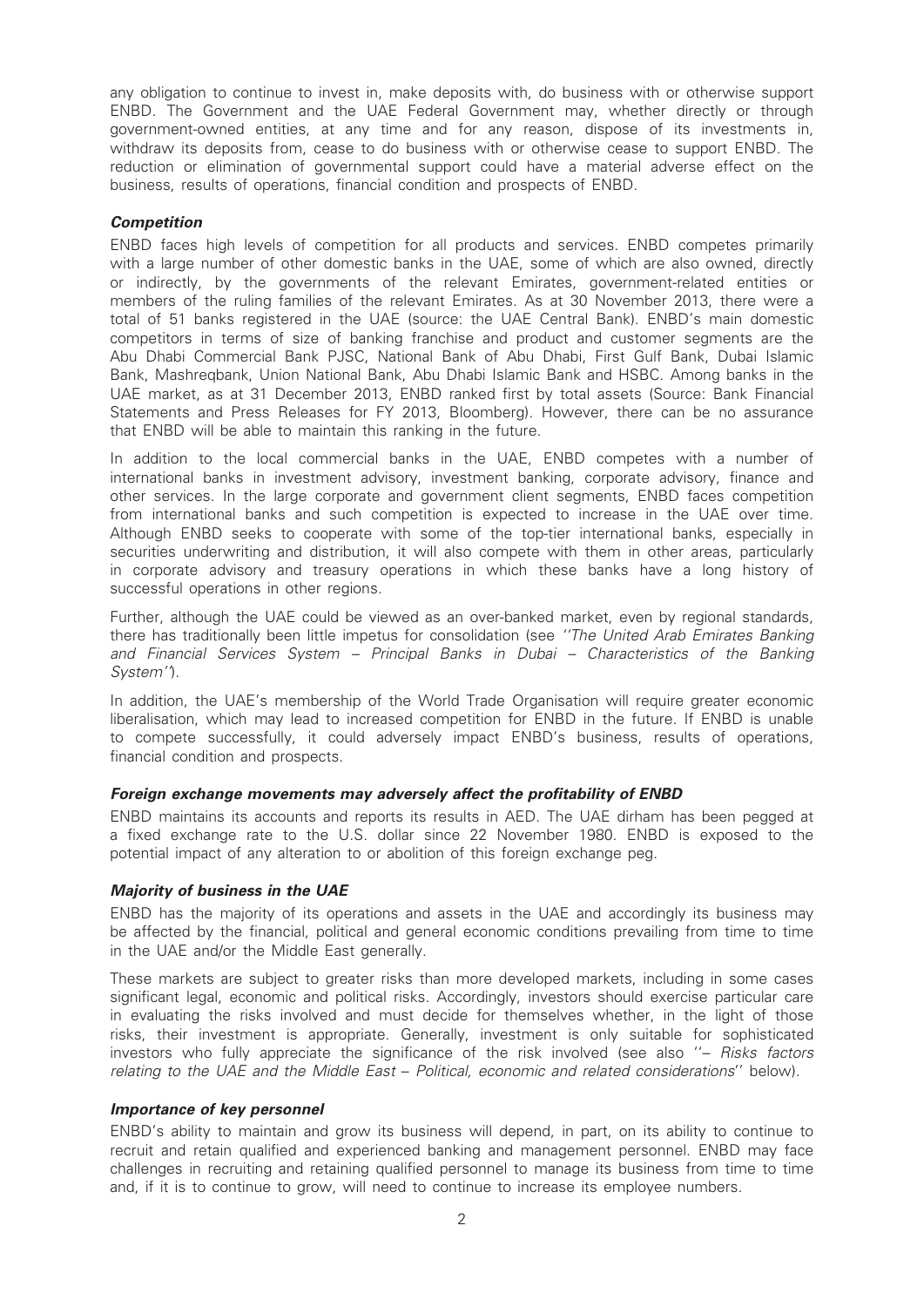any obligation to continue to invest in, make deposits with, do business with or otherwise support ENBD. The Government and the UAE Federal Government may, whether directly or through government-owned entities, at any time and for any reason, dispose of its investments in, withdraw its deposits from, cease to do business with or otherwise cease to support ENBD. The reduction or elimination of governmental support could have a material adverse effect on the business, results of operations, financial condition and prospects of ENBD.

#### **Competition**

ENBD faces high levels of competition for all products and services. ENBD competes primarily with a large number of other domestic banks in the UAE, some of which are also owned, directly or indirectly, by the governments of the relevant Emirates, government-related entities or members of the ruling families of the relevant Emirates. As at 30 November 2013, there were a total of 51 banks registered in the UAE (source: the UAE Central Bank). ENBD's main domestic competitors in terms of size of banking franchise and product and customer segments are the Abu Dhabi Commercial Bank PJSC, National Bank of Abu Dhabi, First Gulf Bank, Dubai Islamic Bank, Mashreqbank, Union National Bank, Abu Dhabi Islamic Bank and HSBC. Among banks in the UAE market, as at 31 December 2013, ENBD ranked first by total assets (Source: Bank Financial Statements and Press Releases for FY 2013, Bloomberg). However, there can be no assurance that ENBD will be able to maintain this ranking in the future.

In addition to the local commercial banks in the UAE, ENBD competes with a number of international banks in investment advisory, investment banking, corporate advisory, finance and other services. In the large corporate and government client segments, ENBD faces competition from international banks and such competition is expected to increase in the UAE over time. Although ENBD seeks to cooperate with some of the top-tier international banks, especially in securities underwriting and distribution, it will also compete with them in other areas, particularly in corporate advisory and treasury operations in which these banks have a long history of successful operations in other regions.

Further, although the UAE could be viewed as an over-banked market, even by regional standards, there has traditionally been little impetus for consolidation (see "The United Arab Emirates Banking and Financial Services System – Principal Banks in Dubai – Characteristics of the Banking System'').

In addition, the UAE's membership of the World Trade Organisation will require greater economic liberalisation, which may lead to increased competition for ENBD in the future. If ENBD is unable to compete successfully, it could adversely impact ENBD's business, results of operations, financial condition and prospects.

## Foreign exchange movements may adversely affect the profitability of ENBD

ENBD maintains its accounts and reports its results in AED. The UAE dirham has been pegged at a fixed exchange rate to the U.S. dollar since 22 November 1980. ENBD is exposed to the potential impact of any alteration to or abolition of this foreign exchange peg.

#### Majority of business in the UAE

ENBD has the majority of its operations and assets in the UAE and accordingly its business may be affected by the financial, political and general economic conditions prevailing from time to time in the UAE and/or the Middle East generally.

These markets are subject to greater risks than more developed markets, including in some cases significant legal, economic and political risks. Accordingly, investors should exercise particular care in evaluating the risks involved and must decide for themselves whether, in the light of those risks, their investment is appropriate. Generally, investment is only suitable for sophisticated investors who fully appreciate the significance of the risk involved (see also ''– Risks factors relating to the UAE and the Middle East – Political, economic and related considerations'' below).

#### Importance of key personnel

ENBD's ability to maintain and grow its business will depend, in part, on its ability to continue to recruit and retain qualified and experienced banking and management personnel. ENBD may face challenges in recruiting and retaining qualified personnel to manage its business from time to time and, if it is to continue to grow, will need to continue to increase its employee numbers.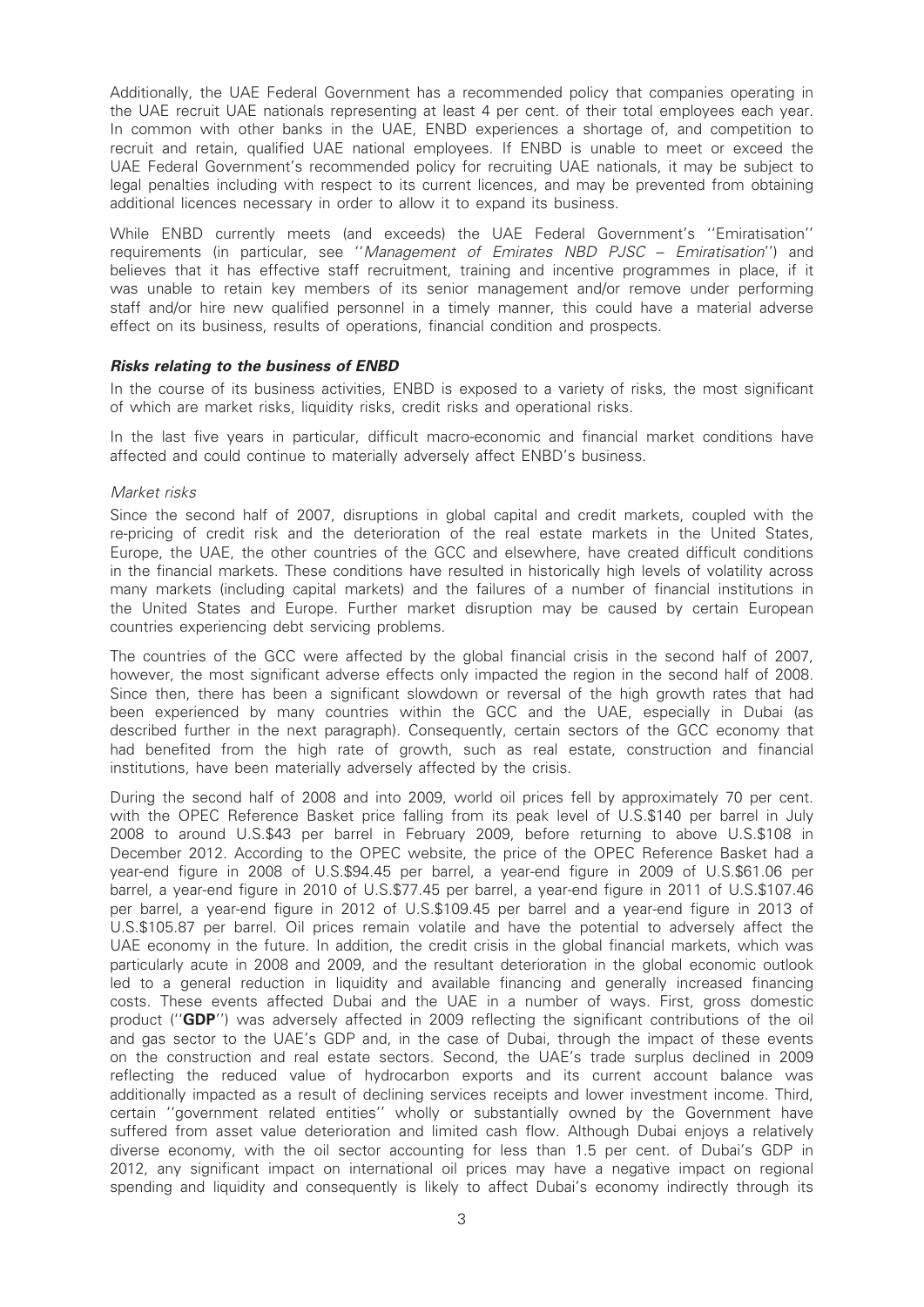Additionally, the UAE Federal Government has a recommended policy that companies operating in the UAE recruit UAE nationals representing at least 4 per cent. of their total employees each year. In common with other banks in the UAE, ENBD experiences a shortage of, and competition to recruit and retain, qualified UAE national employees. If ENBD is unable to meet or exceed the UAE Federal Government's recommended policy for recruiting UAE nationals, it may be subject to legal penalties including with respect to its current licences, and may be prevented from obtaining additional licences necessary in order to allow it to expand its business.

While ENBD currently meets (and exceeds) the UAE Federal Government's ''Emiratisation'' requirements (in particular, see ''Management of Emirates NBD PJSC – Emiratisation'') and believes that it has effective staff recruitment, training and incentive programmes in place, if it was unable to retain key members of its senior management and/or remove under performing staff and/or hire new qualified personnel in a timely manner, this could have a material adverse effect on its business, results of operations, financial condition and prospects.

#### Risks relating to the business of ENBD

In the course of its business activities, ENBD is exposed to a variety of risks, the most significant of which are market risks, liquidity risks, credit risks and operational risks.

In the last five years in particular, difficult macro-economic and financial market conditions have affected and could continue to materially adversely affect ENBD's business.

#### Market risks

Since the second half of 2007, disruptions in global capital and credit markets, coupled with the re-pricing of credit risk and the deterioration of the real estate markets in the United States, Europe, the UAE, the other countries of the GCC and elsewhere, have created difficult conditions in the financial markets. These conditions have resulted in historically high levels of volatility across many markets (including capital markets) and the failures of a number of financial institutions in the United States and Europe. Further market disruption may be caused by certain European countries experiencing debt servicing problems.

The countries of the GCC were affected by the global financial crisis in the second half of 2007, however, the most significant adverse effects only impacted the region in the second half of 2008. Since then, there has been a significant slowdown or reversal of the high growth rates that had been experienced by many countries within the GCC and the UAE, especially in Dubai (as described further in the next paragraph). Consequently, certain sectors of the GCC economy that had benefited from the high rate of growth, such as real estate, construction and financial institutions, have been materially adversely affected by the crisis.

During the second half of 2008 and into 2009, world oil prices fell by approximately 70 per cent. with the OPEC Reference Basket price falling from its peak level of U.S.\$140 per barrel in July 2008 to around U.S.\$43 per barrel in February 2009, before returning to above U.S.\$108 in December 2012. According to the OPEC website, the price of the OPEC Reference Basket had a year-end figure in 2008 of U.S.\$94.45 per barrel, a year-end figure in 2009 of U.S.\$61.06 per barrel, a year-end figure in 2010 of U.S.\$77.45 per barrel, a year-end figure in 2011 of U.S.\$107.46 per barrel, a year-end figure in 2012 of U.S.\$109.45 per barrel and a year-end figure in 2013 of U.S.\$105.87 per barrel. Oil prices remain volatile and have the potential to adversely affect the UAE economy in the future. In addition, the credit crisis in the global financial markets, which was particularly acute in 2008 and 2009, and the resultant deterioration in the global economic outlook led to a general reduction in liquidity and available financing and generally increased financing costs. These events affected Dubai and the UAE in a number of ways. First, gross domestic product (''GDP'') was adversely affected in 2009 reflecting the significant contributions of the oil and gas sector to the UAE's GDP and, in the case of Dubai, through the impact of these events on the construction and real estate sectors. Second, the UAE's trade surplus declined in 2009 reflecting the reduced value of hydrocarbon exports and its current account balance was additionally impacted as a result of declining services receipts and lower investment income. Third, certain ''government related entities'' wholly or substantially owned by the Government have suffered from asset value deterioration and limited cash flow. Although Dubai enjoys a relatively diverse economy, with the oil sector accounting for less than 1.5 per cent. of Dubai's GDP in 2012, any significant impact on international oil prices may have a negative impact on regional spending and liquidity and consequently is likely to affect Dubai's economy indirectly through its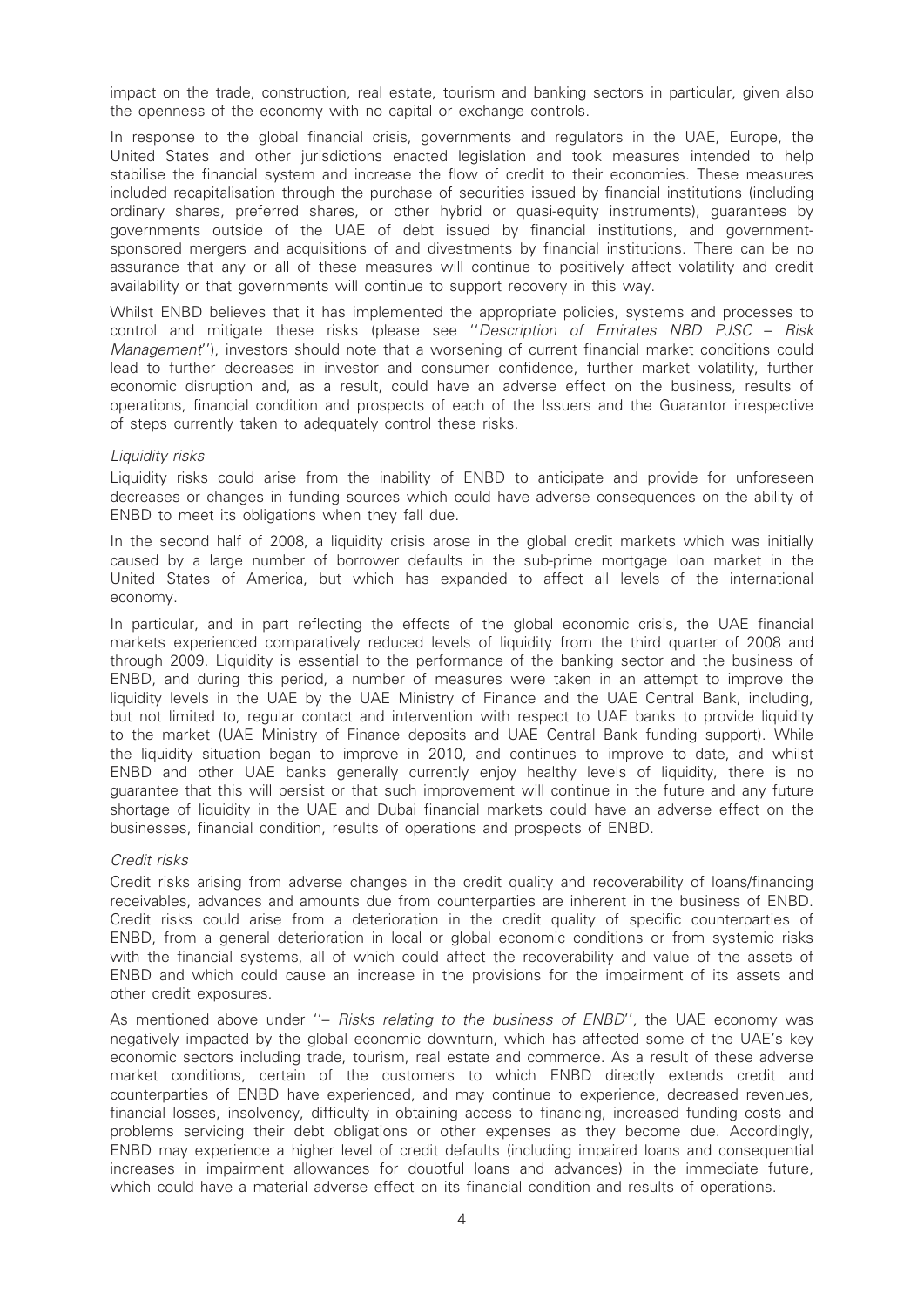impact on the trade, construction, real estate, tourism and banking sectors in particular, given also the openness of the economy with no capital or exchange controls.

In response to the global financial crisis, governments and regulators in the UAE, Europe, the United States and other jurisdictions enacted legislation and took measures intended to help stabilise the financial system and increase the flow of credit to their economies. These measures included recapitalisation through the purchase of securities issued by financial institutions (including ordinary shares, preferred shares, or other hybrid or quasi-equity instruments), guarantees by governments outside of the UAE of debt issued by financial institutions, and governmentsponsored mergers and acquisitions of and divestments by financial institutions. There can be no assurance that any or all of these measures will continue to positively affect volatility and credit availability or that governments will continue to support recovery in this way.

Whilst ENBD believes that it has implemented the appropriate policies, systems and processes to control and mitigate these risks (please see ''Description of Emirates NBD PJSC – Risk Management''), investors should note that a worsening of current financial market conditions could lead to further decreases in investor and consumer confidence, further market volatility, further economic disruption and, as a result, could have an adverse effect on the business, results of operations, financial condition and prospects of each of the Issuers and the Guarantor irrespective of steps currently taken to adequately control these risks.

#### Liquidity risks

Liquidity risks could arise from the inability of ENBD to anticipate and provide for unforeseen decreases or changes in funding sources which could have adverse consequences on the ability of ENBD to meet its obligations when they fall due.

In the second half of 2008, a liquidity crisis arose in the global credit markets which was initially caused by a large number of borrower defaults in the sub-prime mortgage loan market in the United States of America, but which has expanded to affect all levels of the international economy.

In particular, and in part reflecting the effects of the global economic crisis, the UAE financial markets experienced comparatively reduced levels of liquidity from the third quarter of 2008 and through 2009. Liquidity is essential to the performance of the banking sector and the business of ENBD, and during this period, a number of measures were taken in an attempt to improve the liquidity levels in the UAE by the UAE Ministry of Finance and the UAE Central Bank, including, but not limited to, regular contact and intervention with respect to UAE banks to provide liquidity to the market (UAE Ministry of Finance deposits and UAE Central Bank funding support). While the liquidity situation began to improve in 2010, and continues to improve to date, and whilst ENBD and other UAE banks generally currently enjoy healthy levels of liquidity, there is no guarantee that this will persist or that such improvement will continue in the future and any future shortage of liquidity in the UAE and Dubai financial markets could have an adverse effect on the businesses, financial condition, results of operations and prospects of ENBD.

#### Credit risks

Credit risks arising from adverse changes in the credit quality and recoverability of loans/financing receivables, advances and amounts due from counterparties are inherent in the business of ENBD. Credit risks could arise from a deterioration in the credit quality of specific counterparties of ENBD, from a general deterioration in local or global economic conditions or from systemic risks with the financial systems, all of which could affect the recoverability and value of the assets of ENBD and which could cause an increase in the provisions for the impairment of its assets and other credit exposures.

As mentioned above under "- Risks relating to the business of ENBD", the UAE economy was negatively impacted by the global economic downturn, which has affected some of the UAE's key economic sectors including trade, tourism, real estate and commerce. As a result of these adverse market conditions, certain of the customers to which ENBD directly extends credit and counterparties of ENBD have experienced, and may continue to experience, decreased revenues, financial losses, insolvency, difficulty in obtaining access to financing, increased funding costs and problems servicing their debt obligations or other expenses as they become due. Accordingly, ENBD may experience a higher level of credit defaults (including impaired loans and consequential increases in impairment allowances for doubtful loans and advances) in the immediate future, which could have a material adverse effect on its financial condition and results of operations.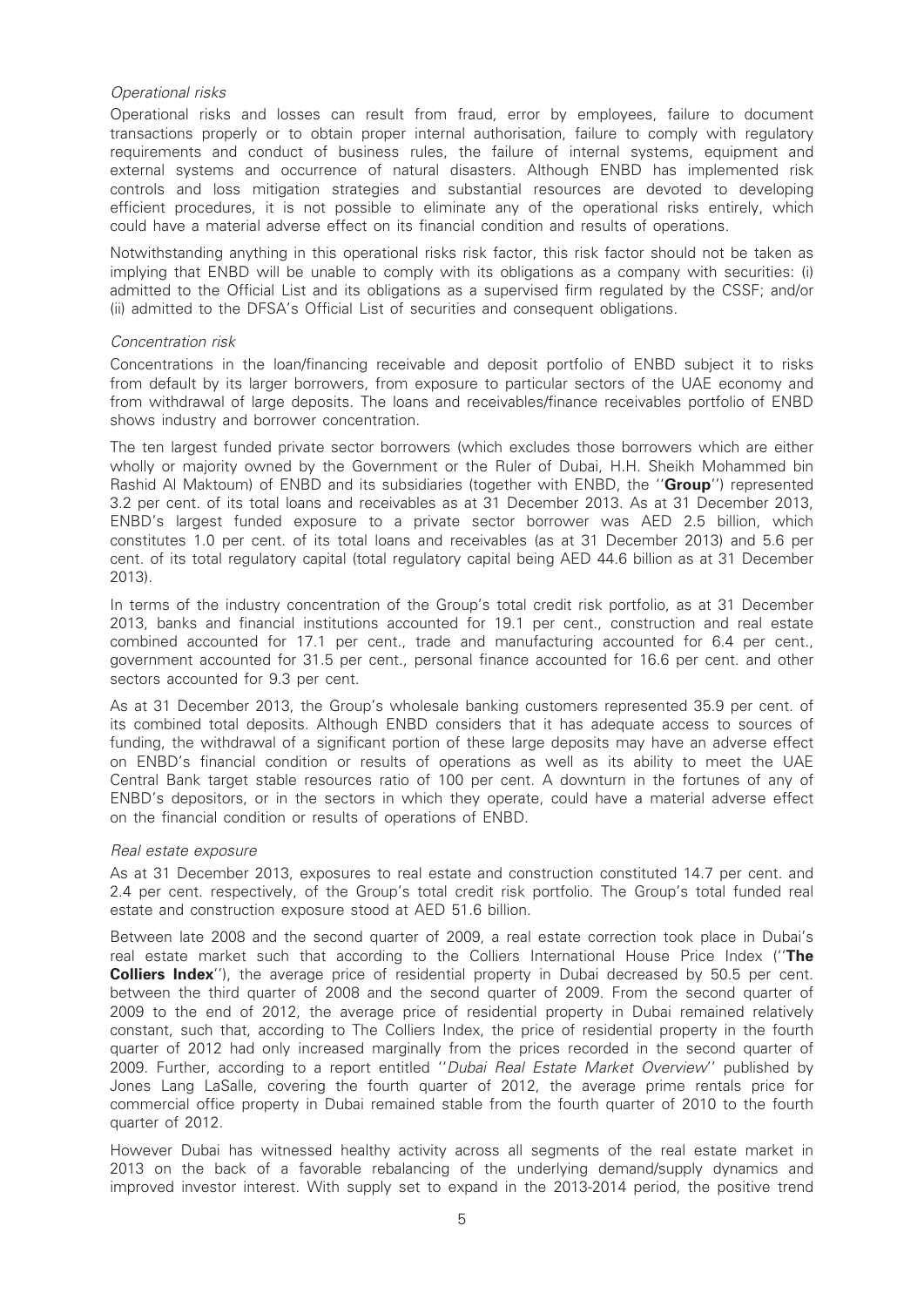#### Operational risks

Operational risks and losses can result from fraud, error by employees, failure to document transactions properly or to obtain proper internal authorisation, failure to comply with regulatory requirements and conduct of business rules, the failure of internal systems, equipment and external systems and occurrence of natural disasters. Although ENBD has implemented risk controls and loss mitigation strategies and substantial resources are devoted to developing efficient procedures, it is not possible to eliminate any of the operational risks entirely, which could have a material adverse effect on its financial condition and results of operations.

Notwithstanding anything in this operational risks risk factor, this risk factor should not be taken as implying that ENBD will be unable to comply with its obligations as a company with securities: (i) admitted to the Official List and its obligations as a supervised firm regulated by the CSSF; and/or (ii) admitted to the DFSA's Official List of securities and consequent obligations.

#### Concentration risk

Concentrations in the loan/financing receivable and deposit portfolio of ENBD subject it to risks from default by its larger borrowers, from exposure to particular sectors of the UAE economy and from withdrawal of large deposits. The loans and receivables/finance receivables portfolio of ENBD shows industry and borrower concentration.

The ten largest funded private sector borrowers (which excludes those borrowers which are either wholly or majority owned by the Government or the Ruler of Dubai, H.H. Sheikh Mohammed bin Rashid Al Maktoum) of ENBD and its subsidiaries (together with ENBD, the "Group") represented 3.2 per cent. of its total loans and receivables as at 31 December 2013. As at 31 December 2013, ENBD's largest funded exposure to a private sector borrower was AED 2.5 billion, which constitutes 1.0 per cent. of its total loans and receivables (as at 31 December 2013) and 5.6 per cent. of its total regulatory capital (total regulatory capital being AED 44.6 billion as at 31 December 2013).

In terms of the industry concentration of the Group's total credit risk portfolio, as at 31 December 2013, banks and financial institutions accounted for 19.1 per cent., construction and real estate combined accounted for 17.1 per cent., trade and manufacturing accounted for 6.4 per cent., government accounted for 31.5 per cent., personal finance accounted for 16.6 per cent. and other sectors accounted for 9.3 per cent.

As at 31 December 2013, the Group's wholesale banking customers represented 35.9 per cent. of its combined total deposits. Although ENBD considers that it has adequate access to sources of funding, the withdrawal of a significant portion of these large deposits may have an adverse effect on ENBD's financial condition or results of operations as well as its ability to meet the UAE Central Bank target stable resources ratio of 100 per cent. A downturn in the fortunes of any of ENBD's depositors, or in the sectors in which they operate, could have a material adverse effect on the financial condition or results of operations of ENBD.

#### Real estate exposure

As at 31 December 2013, exposures to real estate and construction constituted 14.7 per cent. and 2.4 per cent. respectively, of the Group's total credit risk portfolio. The Group's total funded real estate and construction exposure stood at AED 51.6 billion.

Between late 2008 and the second quarter of 2009, a real estate correction took place in Dubai's real estate market such that according to the Colliers International House Price Index ("The **Colliers Index''**), the average price of residential property in Dubai decreased by 50.5 per cent. between the third quarter of 2008 and the second quarter of 2009. From the second quarter of 2009 to the end of 2012, the average price of residential property in Dubai remained relatively constant, such that, according to The Colliers Index, the price of residential property in the fourth quarter of 2012 had only increased marginally from the prices recorded in the second quarter of 2009. Further, according to a report entitled ''Dubai Real Estate Market Overview'' published by Jones Lang LaSalle, covering the fourth quarter of 2012, the average prime rentals price for commercial office property in Dubai remained stable from the fourth quarter of 2010 to the fourth quarter of 2012.

However Dubai has witnessed healthy activity across all segments of the real estate market in 2013 on the back of a favorable rebalancing of the underlying demand/supply dynamics and improved investor interest. With supply set to expand in the 2013-2014 period, the positive trend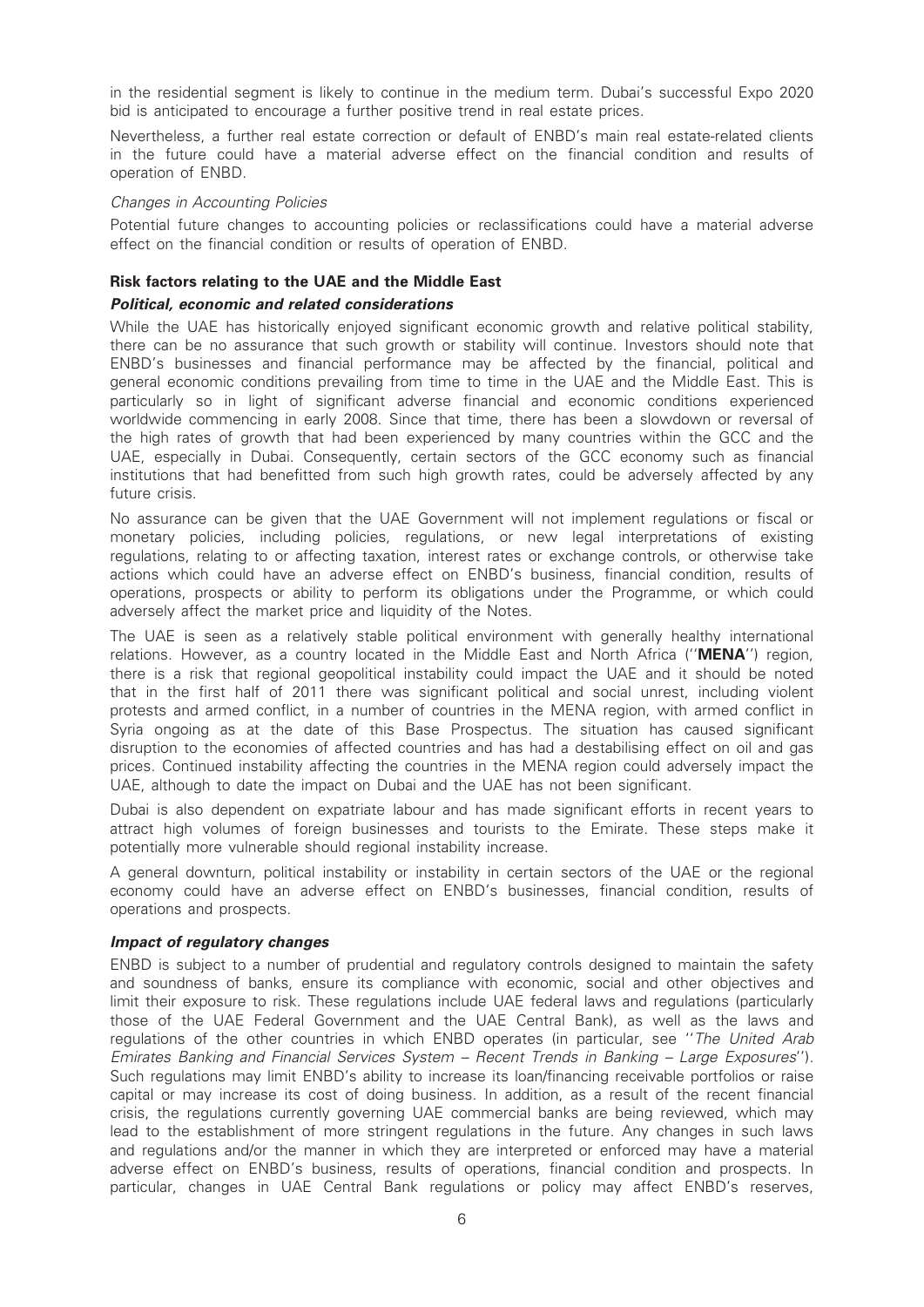in the residential segment is likely to continue in the medium term. Dubai's successful Expo 2020 bid is anticipated to encourage a further positive trend in real estate prices.

Nevertheless, a further real estate correction or default of ENBD's main real estate-related clients in the future could have a material adverse effect on the financial condition and results of operation of ENBD.

#### Changes in Accounting Policies

Potential future changes to accounting policies or reclassifications could have a material adverse effect on the financial condition or results of operation of ENBD.

### Risk factors relating to the UAE and the Middle East

#### Political, economic and related considerations

While the UAE has historically enjoyed significant economic growth and relative political stability, there can be no assurance that such growth or stability will continue. Investors should note that ENBD's businesses and financial performance may be affected by the financial, political and general economic conditions prevailing from time to time in the UAE and the Middle East. This is particularly so in light of significant adverse financial and economic conditions experienced worldwide commencing in early 2008. Since that time, there has been a slowdown or reversal of the high rates of growth that had been experienced by many countries within the GCC and the UAE, especially in Dubai. Consequently, certain sectors of the GCC economy such as financial institutions that had benefitted from such high growth rates, could be adversely affected by any future crisis.

No assurance can be given that the UAE Government will not implement regulations or fiscal or monetary policies, including policies, regulations, or new legal interpretations of existing regulations, relating to or affecting taxation, interest rates or exchange controls, or otherwise take actions which could have an adverse effect on ENBD's business, financial condition, results of operations, prospects or ability to perform its obligations under the Programme, or which could adversely affect the market price and liquidity of the Notes.

The UAE is seen as a relatively stable political environment with generally healthy international relations. However, as a country located in the Middle East and North Africa ("MENA") region, there is a risk that regional geopolitical instability could impact the UAE and it should be noted that in the first half of 2011 there was significant political and social unrest, including violent protests and armed conflict, in a number of countries in the MENA region, with armed conflict in Syria ongoing as at the date of this Base Prospectus. The situation has caused significant disruption to the economies of affected countries and has had a destabilising effect on oil and gas prices. Continued instability affecting the countries in the MENA region could adversely impact the UAE, although to date the impact on Dubai and the UAE has not been significant.

Dubai is also dependent on expatriate labour and has made significant efforts in recent years to attract high volumes of foreign businesses and tourists to the Emirate. These steps make it potentially more vulnerable should regional instability increase.

A general downturn, political instability or instability in certain sectors of the UAE or the regional economy could have an adverse effect on ENBD's businesses, financial condition, results of operations and prospects.

#### Impact of regulatory changes

ENBD is subject to a number of prudential and regulatory controls designed to maintain the safety and soundness of banks, ensure its compliance with economic, social and other objectives and limit their exposure to risk. These regulations include UAE federal laws and regulations (particularly those of the UAE Federal Government and the UAE Central Bank), as well as the laws and regulations of the other countries in which ENBD operates (in particular, see ''The United Arab Emirates Banking and Financial Services System – Recent Trends in Banking – Large Exposures''). Such regulations may limit ENBD's ability to increase its loan/financing receivable portfolios or raise capital or may increase its cost of doing business. In addition, as a result of the recent financial crisis, the regulations currently governing UAE commercial banks are being reviewed, which may lead to the establishment of more stringent regulations in the future. Any changes in such laws and regulations and/or the manner in which they are interpreted or enforced may have a material adverse effect on ENBD's business, results of operations, financial condition and prospects. In particular, changes in UAE Central Bank regulations or policy may affect ENBD's reserves,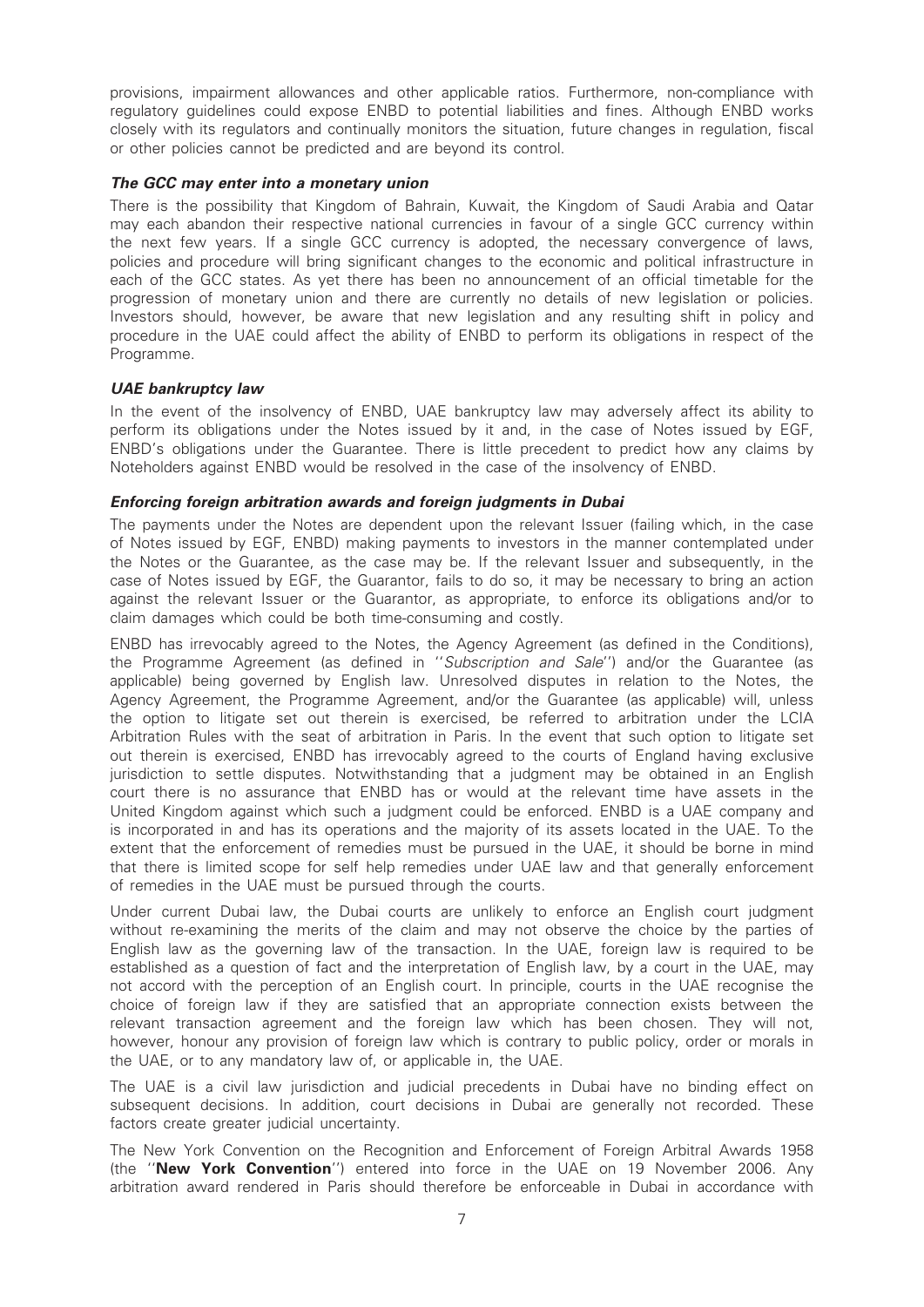provisions, impairment allowances and other applicable ratios. Furthermore, non-compliance with regulatory guidelines could expose ENBD to potential liabilities and fines. Although ENBD works closely with its regulators and continually monitors the situation, future changes in regulation, fiscal or other policies cannot be predicted and are beyond its control.

#### The GCC may enter into a monetary union

There is the possibility that Kingdom of Bahrain, Kuwait, the Kingdom of Saudi Arabia and Qatar may each abandon their respective national currencies in favour of a single GCC currency within the next few years. If a single GCC currency is adopted, the necessary convergence of laws, policies and procedure will bring significant changes to the economic and political infrastructure in each of the GCC states. As yet there has been no announcement of an official timetable for the progression of monetary union and there are currently no details of new legislation or policies. Investors should, however, be aware that new legislation and any resulting shift in policy and procedure in the UAE could affect the ability of ENBD to perform its obligations in respect of the Programme.

#### UAE bankruptcy law

In the event of the insolvency of ENBD, UAE bankruptcy law may adversely affect its ability to perform its obligations under the Notes issued by it and, in the case of Notes issued by EGF, ENBD's obligations under the Guarantee. There is little precedent to predict how any claims by Noteholders against ENBD would be resolved in the case of the insolvency of ENBD.

#### Enforcing foreign arbitration awards and foreign judgments in Dubai

The payments under the Notes are dependent upon the relevant Issuer (failing which, in the case of Notes issued by EGF, ENBD) making payments to investors in the manner contemplated under the Notes or the Guarantee, as the case may be. If the relevant Issuer and subsequently, in the case of Notes issued by EGF, the Guarantor, fails to do so, it may be necessary to bring an action against the relevant Issuer or the Guarantor, as appropriate, to enforce its obligations and/or to claim damages which could be both time-consuming and costly.

ENBD has irrevocably agreed to the Notes, the Agency Agreement (as defined in the Conditions), the Programme Agreement (as defined in ''Subscription and Sale'') and/or the Guarantee (as applicable) being governed by English law. Unresolved disputes in relation to the Notes, the Agency Agreement, the Programme Agreement, and/or the Guarantee (as applicable) will, unless the option to litigate set out therein is exercised, be referred to arbitration under the LCIA Arbitration Rules with the seat of arbitration in Paris. In the event that such option to litigate set out therein is exercised, ENBD has irrevocably agreed to the courts of England having exclusive jurisdiction to settle disputes. Notwithstanding that a judgment may be obtained in an English court there is no assurance that ENBD has or would at the relevant time have assets in the United Kingdom against which such a judgment could be enforced. ENBD is a UAE company and is incorporated in and has its operations and the majority of its assets located in the UAE. To the extent that the enforcement of remedies must be pursued in the UAE, it should be borne in mind that there is limited scope for self help remedies under UAE law and that generally enforcement of remedies in the UAE must be pursued through the courts.

Under current Dubai law, the Dubai courts are unlikely to enforce an English court judgment without re-examining the merits of the claim and may not observe the choice by the parties of English law as the governing law of the transaction. In the UAE, foreign law is required to be established as a question of fact and the interpretation of English law, by a court in the UAE, may not accord with the perception of an English court. In principle, courts in the UAE recognise the choice of foreign law if they are satisfied that an appropriate connection exists between the relevant transaction agreement and the foreign law which has been chosen. They will not, however, honour any provision of foreign law which is contrary to public policy, order or morals in the UAE, or to any mandatory law of, or applicable in, the UAE.

The UAE is a civil law jurisdiction and judicial precedents in Dubai have no binding effect on subsequent decisions. In addition, court decisions in Dubai are generally not recorded. These factors create greater judicial uncertainty.

The New York Convention on the Recognition and Enforcement of Foreign Arbitral Awards 1958 (the ''New York Convention'') entered into force in the UAE on 19 November 2006. Any arbitration award rendered in Paris should therefore be enforceable in Dubai in accordance with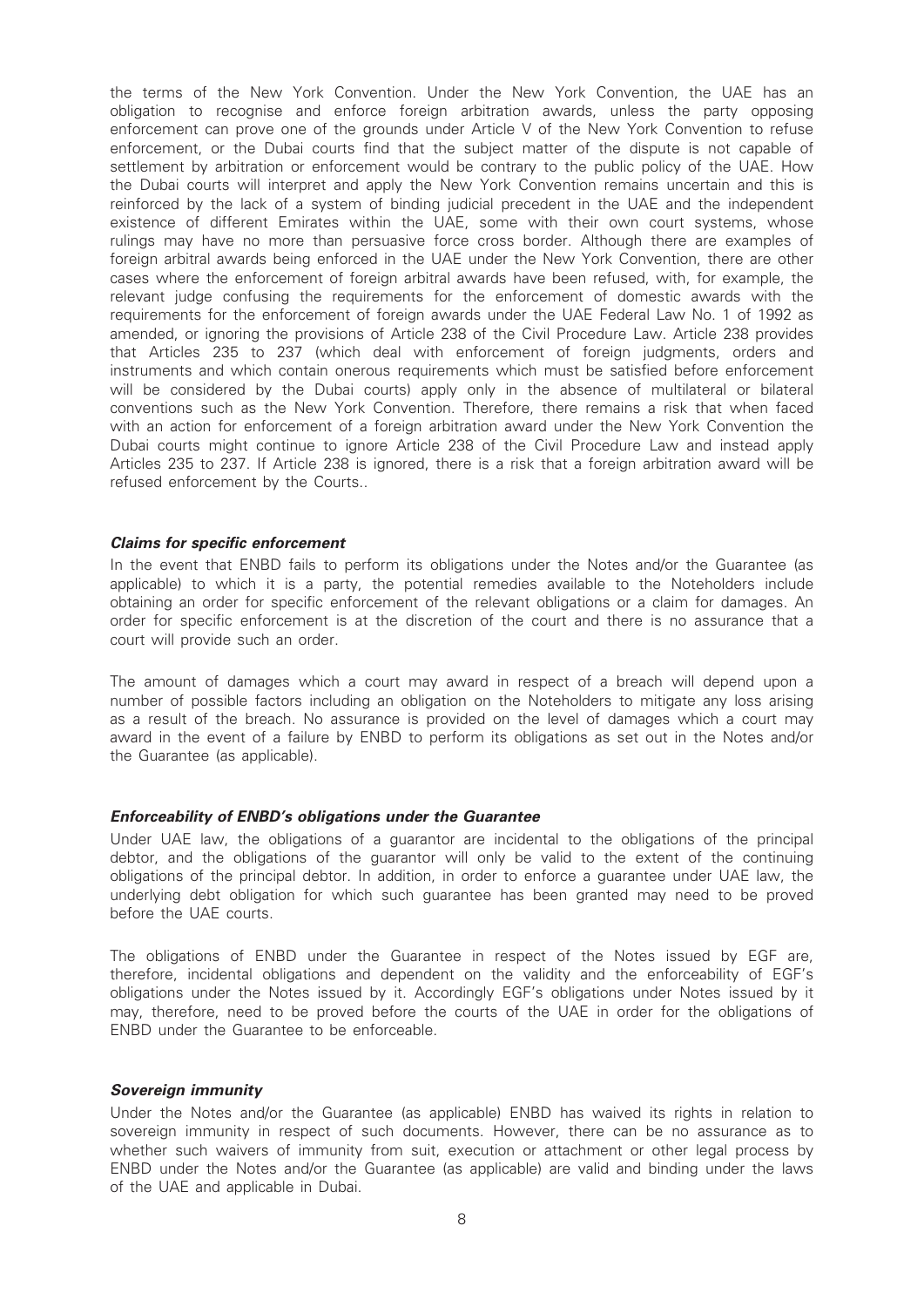the terms of the New York Convention. Under the New York Convention, the UAE has an obligation to recognise and enforce foreign arbitration awards, unless the party opposing enforcement can prove one of the grounds under Article V of the New York Convention to refuse enforcement, or the Dubai courts find that the subject matter of the dispute is not capable of settlement by arbitration or enforcement would be contrary to the public policy of the UAE. How the Dubai courts will interpret and apply the New York Convention remains uncertain and this is reinforced by the lack of a system of binding judicial precedent in the UAE and the independent existence of different Emirates within the UAE, some with their own court systems, whose rulings may have no more than persuasive force cross border. Although there are examples of foreign arbitral awards being enforced in the UAE under the New York Convention, there are other cases where the enforcement of foreign arbitral awards have been refused, with, for example, the relevant judge confusing the requirements for the enforcement of domestic awards with the requirements for the enforcement of foreign awards under the UAE Federal Law No. 1 of 1992 as amended, or ignoring the provisions of Article 238 of the Civil Procedure Law. Article 238 provides that Articles 235 to 237 (which deal with enforcement of foreign judgments, orders and instruments and which contain onerous requirements which must be satisfied before enforcement will be considered by the Dubai courts) apply only in the absence of multilateral or bilateral conventions such as the New York Convention. Therefore, there remains a risk that when faced with an action for enforcement of a foreign arbitration award under the New York Convention the Dubai courts might continue to ignore Article 238 of the Civil Procedure Law and instead apply Articles 235 to 237. If Article 238 is ignored, there is a risk that a foreign arbitration award will be refused enforcement by the Courts..

#### Claims for specific enforcement

In the event that ENBD fails to perform its obligations under the Notes and/or the Guarantee (as applicable) to which it is a party, the potential remedies available to the Noteholders include obtaining an order for specific enforcement of the relevant obligations or a claim for damages. An order for specific enforcement is at the discretion of the court and there is no assurance that a court will provide such an order.

The amount of damages which a court may award in respect of a breach will depend upon a number of possible factors including an obligation on the Noteholders to mitigate any loss arising as a result of the breach. No assurance is provided on the level of damages which a court may award in the event of a failure by ENBD to perform its obligations as set out in the Notes and/or the Guarantee (as applicable).

#### Enforceability of ENBD's obligations under the Guarantee

Under UAE law, the obligations of a guarantor are incidental to the obligations of the principal debtor, and the obligations of the guarantor will only be valid to the extent of the continuing obligations of the principal debtor. In addition, in order to enforce a guarantee under UAE law, the underlying debt obligation for which such guarantee has been granted may need to be proved before the UAE courts.

The obligations of ENBD under the Guarantee in respect of the Notes issued by EGF are, therefore, incidental obligations and dependent on the validity and the enforceability of EGF's obligations under the Notes issued by it. Accordingly EGF's obligations under Notes issued by it may, therefore, need to be proved before the courts of the UAE in order for the obligations of ENBD under the Guarantee to be enforceable.

#### Sovereign immunity

Under the Notes and/or the Guarantee (as applicable) ENBD has waived its rights in relation to sovereign immunity in respect of such documents. However, there can be no assurance as to whether such waivers of immunity from suit, execution or attachment or other legal process by ENBD under the Notes and/or the Guarantee (as applicable) are valid and binding under the laws of the UAE and applicable in Dubai.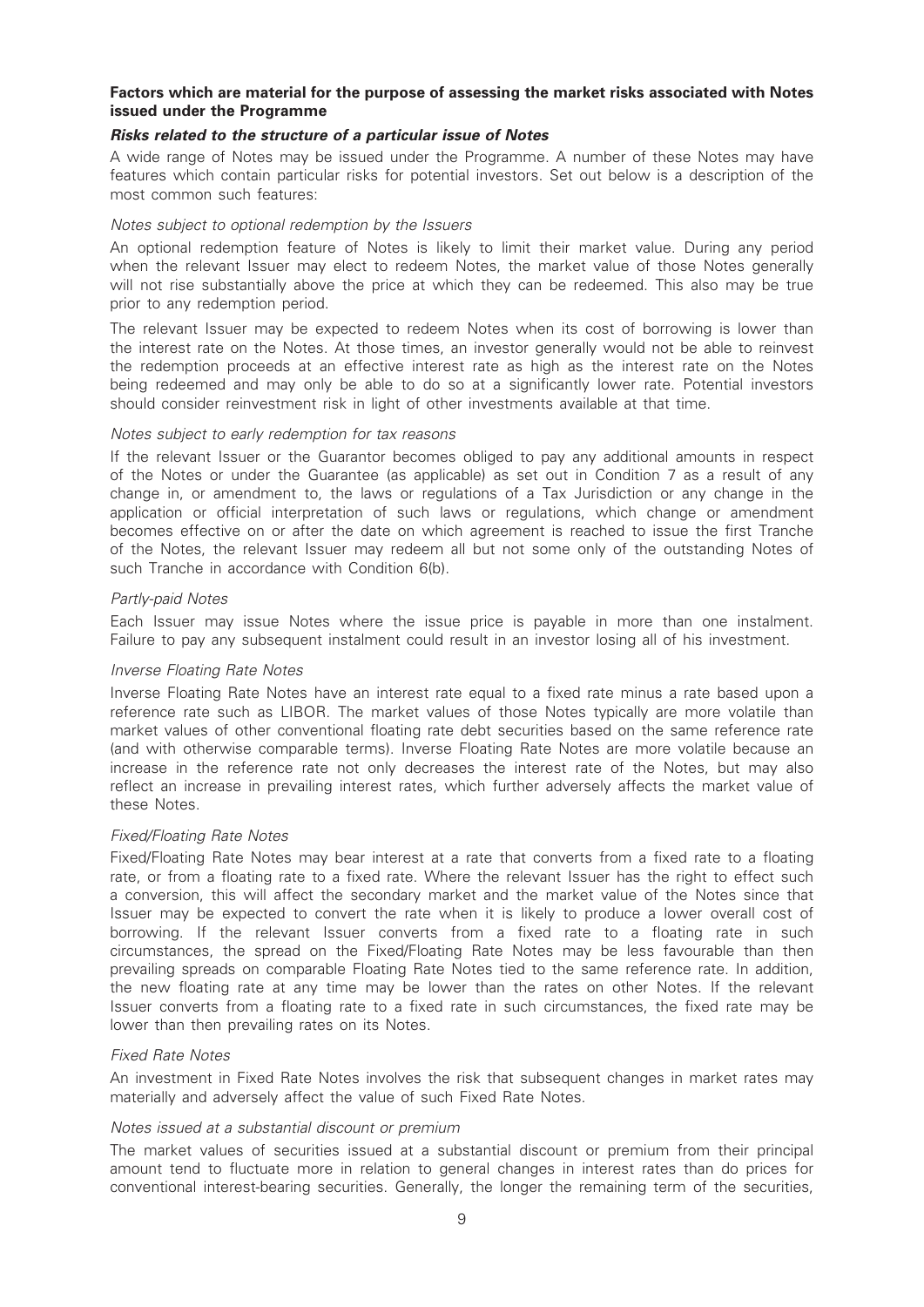#### Factors which are material for the purpose of assessing the market risks associated with Notes issued under the Programme

#### Risks related to the structure of a particular issue of Notes

A wide range of Notes may be issued under the Programme. A number of these Notes may have features which contain particular risks for potential investors. Set out below is a description of the most common such features:

#### Notes subject to optional redemption by the Issuers

An optional redemption feature of Notes is likely to limit their market value. During any period when the relevant Issuer may elect to redeem Notes, the market value of those Notes generally will not rise substantially above the price at which they can be redeemed. This also may be true prior to any redemption period.

The relevant Issuer may be expected to redeem Notes when its cost of borrowing is lower than the interest rate on the Notes. At those times, an investor generally would not be able to reinvest the redemption proceeds at an effective interest rate as high as the interest rate on the Notes being redeemed and may only be able to do so at a significantly lower rate. Potential investors should consider reinvestment risk in light of other investments available at that time.

#### Notes subject to early redemption for tax reasons

If the relevant Issuer or the Guarantor becomes obliged to pay any additional amounts in respect of the Notes or under the Guarantee (as applicable) as set out in Condition 7 as a result of any change in, or amendment to, the laws or regulations of a Tax Jurisdiction or any change in the application or official interpretation of such laws or regulations, which change or amendment becomes effective on or after the date on which agreement is reached to issue the first Tranche of the Notes, the relevant Issuer may redeem all but not some only of the outstanding Notes of such Tranche in accordance with Condition 6(b).

#### Partly-paid Notes

Each Issuer may issue Notes where the issue price is payable in more than one instalment. Failure to pay any subsequent instalment could result in an investor losing all of his investment.

#### Inverse Floating Rate Notes

Inverse Floating Rate Notes have an interest rate equal to a fixed rate minus a rate based upon a reference rate such as LIBOR. The market values of those Notes typically are more volatile than market values of other conventional floating rate debt securities based on the same reference rate (and with otherwise comparable terms). Inverse Floating Rate Notes are more volatile because an increase in the reference rate not only decreases the interest rate of the Notes, but may also reflect an increase in prevailing interest rates, which further adversely affects the market value of these Notes.

#### Fixed/Floating Rate Notes

Fixed/Floating Rate Notes may bear interest at a rate that converts from a fixed rate to a floating rate, or from a floating rate to a fixed rate. Where the relevant Issuer has the right to effect such a conversion, this will affect the secondary market and the market value of the Notes since that Issuer may be expected to convert the rate when it is likely to produce a lower overall cost of borrowing. If the relevant Issuer converts from a fixed rate to a floating rate in such circumstances, the spread on the Fixed/Floating Rate Notes may be less favourable than then prevailing spreads on comparable Floating Rate Notes tied to the same reference rate. In addition, the new floating rate at any time may be lower than the rates on other Notes. If the relevant Issuer converts from a floating rate to a fixed rate in such circumstances, the fixed rate may be lower than then prevailing rates on its Notes.

#### Fixed Rate Notes

An investment in Fixed Rate Notes involves the risk that subsequent changes in market rates may materially and adversely affect the value of such Fixed Rate Notes.

#### Notes issued at a substantial discount or premium

The market values of securities issued at a substantial discount or premium from their principal amount tend to fluctuate more in relation to general changes in interest rates than do prices for conventional interest-bearing securities. Generally, the longer the remaining term of the securities,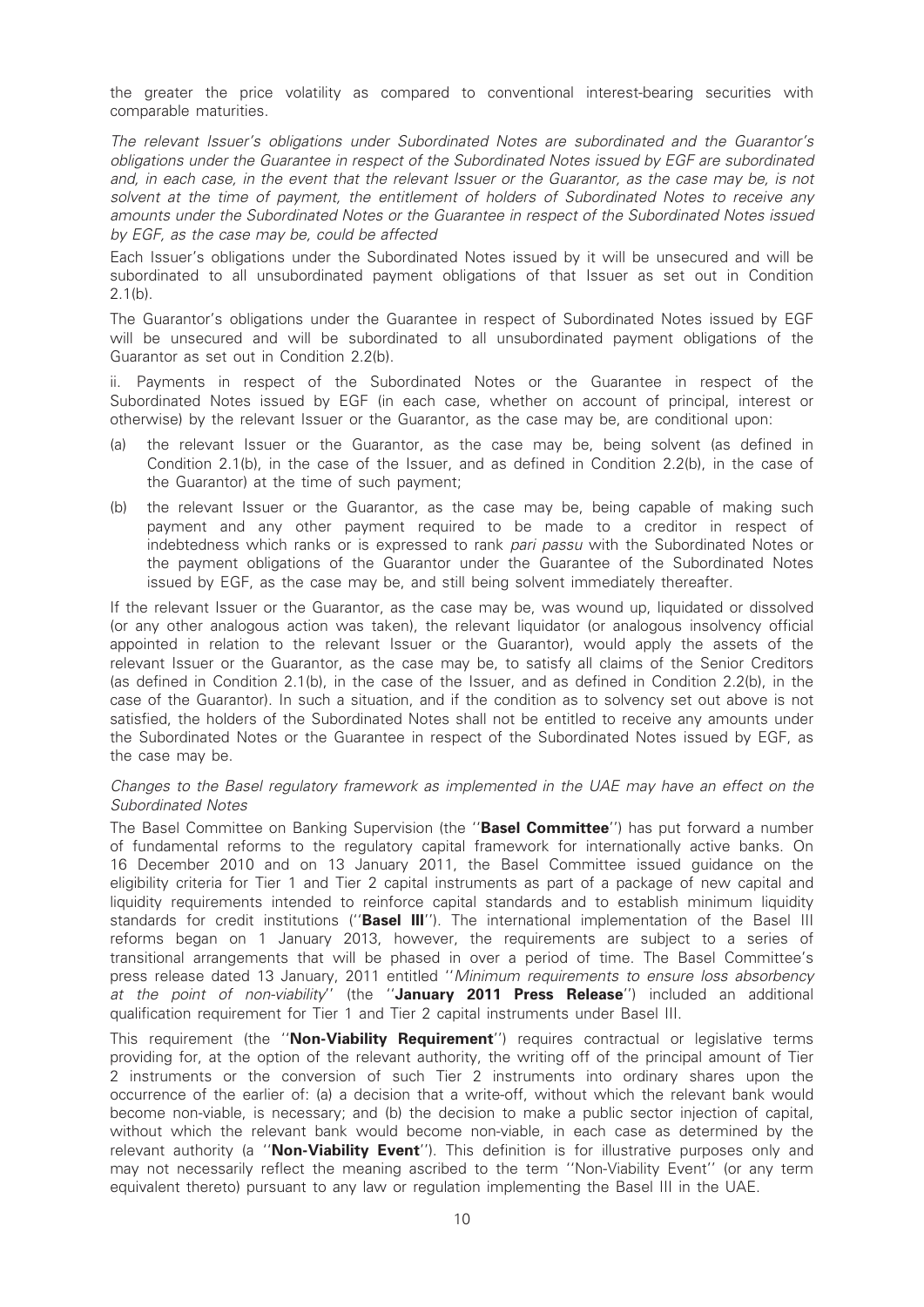the greater the price volatility as compared to conventional interest-bearing securities with comparable maturities.

The relevant Issuer's obligations under Subordinated Notes are subordinated and the Guarantor's obligations under the Guarantee in respect of the Subordinated Notes issued by EGF are subordinated and, in each case, in the event that the relevant Issuer or the Guarantor, as the case may be, is not solvent at the time of payment, the entitlement of holders of Subordinated Notes to receive any amounts under the Subordinated Notes or the Guarantee in respect of the Subordinated Notes issued by EGF, as the case may be, could be affected

Each Issuer's obligations under the Subordinated Notes issued by it will be unsecured and will be subordinated to all unsubordinated payment obligations of that Issuer as set out in Condition 2.1(b).

The Guarantor's obligations under the Guarantee in respect of Subordinated Notes issued by EGF will be unsecured and will be subordinated to all unsubordinated payment obligations of the Guarantor as set out in Condition 2.2(b).

ii. Payments in respect of the Subordinated Notes or the Guarantee in respect of the Subordinated Notes issued by EGF (in each case, whether on account of principal, interest or otherwise) by the relevant Issuer or the Guarantor, as the case may be, are conditional upon:

- (a) the relevant Issuer or the Guarantor, as the case may be, being solvent (as defined in Condition 2.1(b), in the case of the Issuer, and as defined in Condition 2.2(b), in the case of the Guarantor) at the time of such payment;
- (b) the relevant Issuer or the Guarantor, as the case may be, being capable of making such payment and any other payment required to be made to a creditor in respect of indebtedness which ranks or is expressed to rank pari passu with the Subordinated Notes or the payment obligations of the Guarantor under the Guarantee of the Subordinated Notes issued by EGF, as the case may be, and still being solvent immediately thereafter.

If the relevant Issuer or the Guarantor, as the case may be, was wound up, liquidated or dissolved (or any other analogous action was taken), the relevant liquidator (or analogous insolvency official appointed in relation to the relevant Issuer or the Guarantor), would apply the assets of the relevant Issuer or the Guarantor, as the case may be, to satisfy all claims of the Senior Creditors (as defined in Condition 2.1(b), in the case of the Issuer, and as defined in Condition 2.2(b), in the case of the Guarantor). In such a situation, and if the condition as to solvency set out above is not satisfied, the holders of the Subordinated Notes shall not be entitled to receive any amounts under the Subordinated Notes or the Guarantee in respect of the Subordinated Notes issued by EGF, as the case may be.

#### Changes to the Basel regulatory framework as implemented in the UAE may have an effect on the Subordinated Notes

The Basel Committee on Banking Supervision (the "Basel Committee") has put forward a number of fundamental reforms to the regulatory capital framework for internationally active banks. On 16 December 2010 and on 13 January 2011, the Basel Committee issued guidance on the eligibility criteria for Tier 1 and Tier 2 capital instruments as part of a package of new capital and liquidity requirements intended to reinforce capital standards and to establish minimum liquidity standards for credit institutions ("Basel III"). The international implementation of the Basel III reforms began on 1 January 2013, however, the requirements are subject to a series of transitional arrangements that will be phased in over a period of time. The Basel Committee's press release dated 13 January, 2011 entitled ''Minimum requirements to ensure loss absorbency at the point of non-viability'' (the "January 2011 Press Release") included an additional qualification requirement for Tier 1 and Tier 2 capital instruments under Basel III.

This requirement (the "Non-Viability Requirement") requires contractual or legislative terms providing for, at the option of the relevant authority, the writing off of the principal amount of Tier 2 instruments or the conversion of such Tier 2 instruments into ordinary shares upon the occurrence of the earlier of: (a) a decision that a write-off, without which the relevant bank would become non-viable, is necessary; and (b) the decision to make a public sector injection of capital, without which the relevant bank would become non-viable, in each case as determined by the relevant authority (a "Non-Viability Event"). This definition is for illustrative purposes only and may not necessarily reflect the meaning ascribed to the term ''Non-Viability Event'' (or any term equivalent thereto) pursuant to any law or regulation implementing the Basel III in the UAE.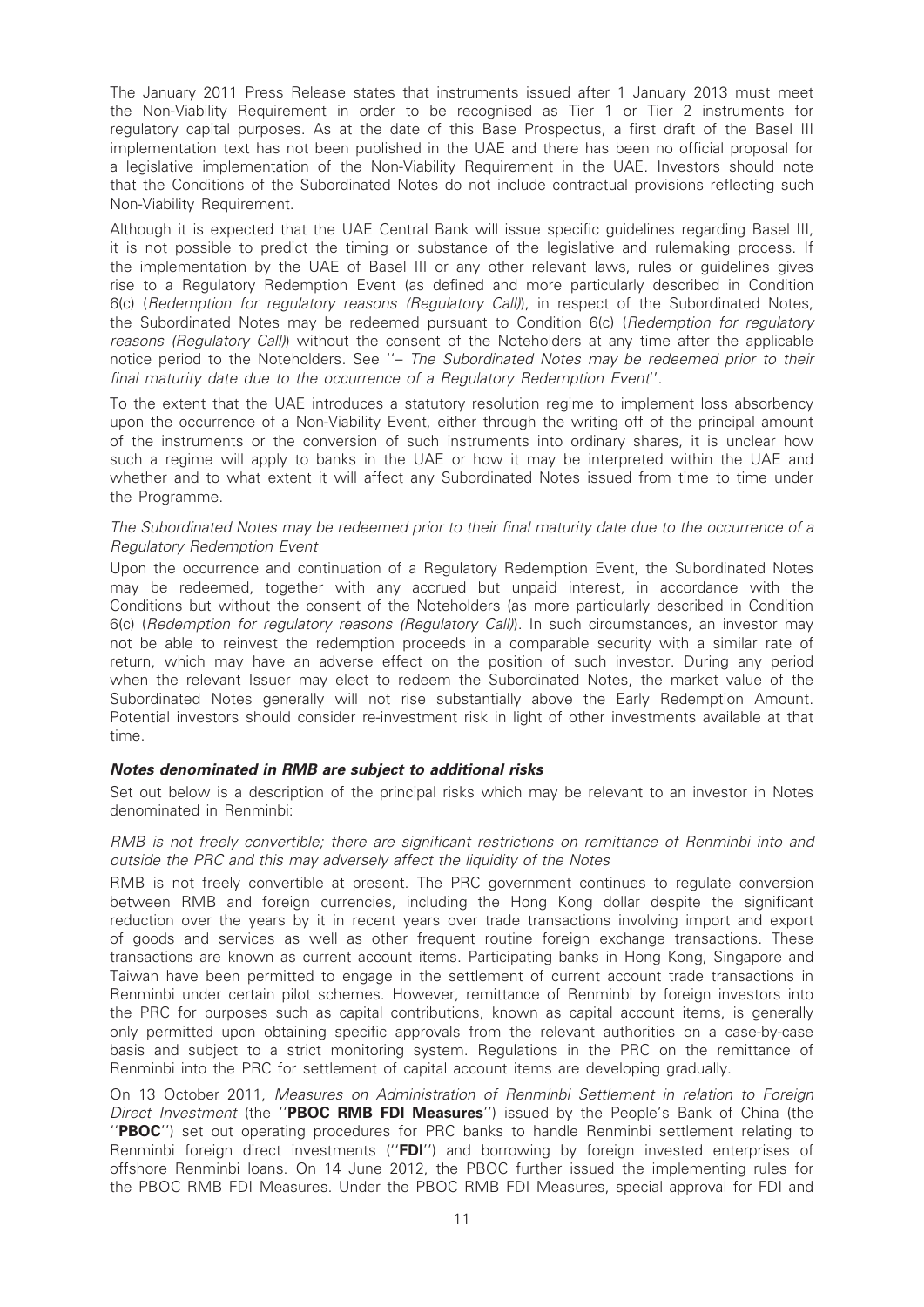The January 2011 Press Release states that instruments issued after 1 January 2013 must meet the Non-Viability Requirement in order to be recognised as Tier 1 or Tier 2 instruments for regulatory capital purposes. As at the date of this Base Prospectus, a first draft of the Basel III implementation text has not been published in the UAE and there has been no official proposal for a legislative implementation of the Non-Viability Requirement in the UAE. Investors should note that the Conditions of the Subordinated Notes do not include contractual provisions reflecting such Non-Viability Requirement.

Although it is expected that the UAE Central Bank will issue specific guidelines regarding Basel III, it is not possible to predict the timing or substance of the legislative and rulemaking process. If the implementation by the UAE of Basel III or any other relevant laws, rules or guidelines gives rise to a Regulatory Redemption Event (as defined and more particularly described in Condition 6(c) (Redemption for regulatory reasons (Regulatory Call)), in respect of the Subordinated Notes, the Subordinated Notes may be redeemed pursuant to Condition 6(c) (Redemption for regulatory reasons (Regulatory Call)) without the consent of the Noteholders at any time after the applicable notice period to the Noteholders. See ''– The Subordinated Notes may be redeemed prior to their final maturity date due to the occurrence of a Regulatory Redemption Event''.

To the extent that the UAE introduces a statutory resolution regime to implement loss absorbency upon the occurrence of a Non-Viability Event, either through the writing off of the principal amount of the instruments or the conversion of such instruments into ordinary shares, it is unclear how such a regime will apply to banks in the UAE or how it may be interpreted within the UAE and whether and to what extent it will affect any Subordinated Notes issued from time to time under the Programme.

#### The Subordinated Notes may be redeemed prior to their final maturity date due to the occurrence of a Regulatory Redemption Event

Upon the occurrence and continuation of a Regulatory Redemption Event, the Subordinated Notes may be redeemed, together with any accrued but unpaid interest, in accordance with the Conditions but without the consent of the Noteholders (as more particularly described in Condition 6(c) (Redemption for regulatory reasons (Regulatory Call)). In such circumstances, an investor may not be able to reinvest the redemption proceeds in a comparable security with a similar rate of return, which may have an adverse effect on the position of such investor. During any period when the relevant Issuer may elect to redeem the Subordinated Notes, the market value of the Subordinated Notes generally will not rise substantially above the Early Redemption Amount. Potential investors should consider re-investment risk in light of other investments available at that time.

## Notes denominated in RMB are subject to additional risks

Set out below is a description of the principal risks which may be relevant to an investor in Notes denominated in Renminbi:

#### RMB is not freely convertible; there are significant restrictions on remittance of Renminbi into and outside the PRC and this may adversely affect the liquidity of the Notes

RMB is not freely convertible at present. The PRC government continues to regulate conversion between RMB and foreign currencies, including the Hong Kong dollar despite the significant reduction over the years by it in recent years over trade transactions involving import and export of goods and services as well as other frequent routine foreign exchange transactions. These transactions are known as current account items. Participating banks in Hong Kong, Singapore and Taiwan have been permitted to engage in the settlement of current account trade transactions in Renminbi under certain pilot schemes. However, remittance of Renminbi by foreign investors into the PRC for purposes such as capital contributions, known as capital account items, is generally only permitted upon obtaining specific approvals from the relevant authorities on a case-by-case basis and subject to a strict monitoring system. Regulations in the PRC on the remittance of Renminbi into the PRC for settlement of capital account items are developing gradually.

On 13 October 2011, Measures on Administration of Renminbi Settlement in relation to Foreign Direct Investment (the "PBOC RMB FDI Measures") issued by the People's Bank of China (the ''PBOC'') set out operating procedures for PRC banks to handle Renminbi settlement relating to Renminbi foreign direct investments ("FDI") and borrowing by foreign invested enterprises of offshore Renminbi loans. On 14 June 2012, the PBOC further issued the implementing rules for the PBOC RMB FDI Measures. Under the PBOC RMB FDI Measures, special approval for FDI and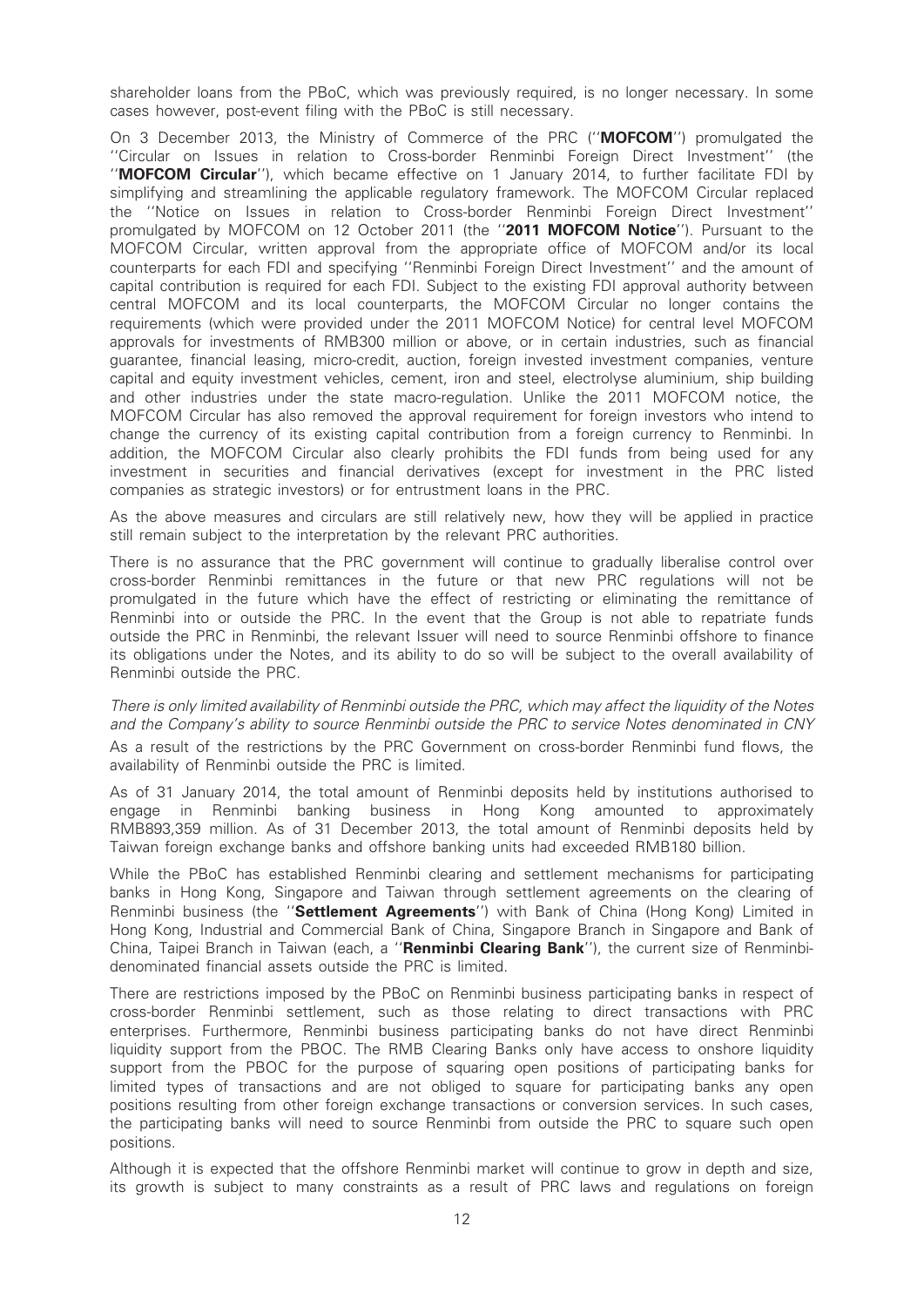shareholder loans from the PBoC, which was previously required, is no longer necessary. In some cases however, post-event filing with the PBoC is still necessary.

On 3 December 2013, the Ministry of Commerce of the PRC ("**MOFCOM**") promulgated the ''Circular on Issues in relation to Cross-border Renminbi Foreign Direct Investment'' (the ''MOFCOM Circular''), which became effective on 1 January 2014, to further facilitate FDI by simplifying and streamlining the applicable regulatory framework. The MOFCOM Circular replaced the ''Notice on Issues in relation to Cross-border Renminbi Foreign Direct Investment'' promulgated by MOFCOM on 12 October 2011 (the ''2011 MOFCOM Notice''). Pursuant to the MOFCOM Circular, written approval from the appropriate office of MOFCOM and/or its local counterparts for each FDI and specifying ''Renminbi Foreign Direct Investment'' and the amount of capital contribution is required for each FDI. Subject to the existing FDI approval authority between central MOFCOM and its local counterparts, the MOFCOM Circular no longer contains the requirements (which were provided under the 2011 MOFCOM Notice) for central level MOFCOM approvals for investments of RMB300 million or above, or in certain industries, such as financial guarantee, financial leasing, micro-credit, auction, foreign invested investment companies, venture capital and equity investment vehicles, cement, iron and steel, electrolyse aluminium, ship building and other industries under the state macro-regulation. Unlike the 2011 MOFCOM notice, the MOFCOM Circular has also removed the approval requirement for foreign investors who intend to change the currency of its existing capital contribution from a foreign currency to Renminbi. In addition, the MOFCOM Circular also clearly prohibits the FDI funds from being used for any investment in securities and financial derivatives (except for investment in the PRC listed companies as strategic investors) or for entrustment loans in the PRC.

As the above measures and circulars are still relatively new, how they will be applied in practice still remain subject to the interpretation by the relevant PRC authorities.

There is no assurance that the PRC government will continue to gradually liberalise control over cross-border Renminbi remittances in the future or that new PRC regulations will not be promulgated in the future which have the effect of restricting or eliminating the remittance of Renminbi into or outside the PRC. In the event that the Group is not able to repatriate funds outside the PRC in Renminbi, the relevant Issuer will need to source Renminbi offshore to finance its obligations under the Notes, and its ability to do so will be subject to the overall availability of Renminbi outside the PRC.

There is only limited availability of Renminbi outside the PRC, which may affect the liquidity of the Notes and the Company's ability to source Renminbi outside the PRC to service Notes denominated in CNY As a result of the restrictions by the PRC Government on cross-border Renminbi fund flows, the availability of Renminbi outside the PRC is limited.

As of 31 January 2014, the total amount of Renminbi deposits held by institutions authorised to engage in Renminbi banking business in Hong Kong amounted to approximately RMB893,359 million. As of 31 December 2013, the total amount of Renminbi deposits held by Taiwan foreign exchange banks and offshore banking units had exceeded RMB180 billion.

While the PBoC has established Renminbi clearing and settlement mechanisms for participating banks in Hong Kong, Singapore and Taiwan through settlement agreements on the clearing of Renminbi business (the "Settlement Agreements") with Bank of China (Hong Kong) Limited in Hong Kong, Industrial and Commercial Bank of China, Singapore Branch in Singapore and Bank of China, Taipei Branch in Taiwan (each, a "Renminbi Clearing Bank"), the current size of Renminbidenominated financial assets outside the PRC is limited.

There are restrictions imposed by the PBoC on Renminbi business participating banks in respect of cross-border Renminbi settlement, such as those relating to direct transactions with PRC enterprises. Furthermore, Renminbi business participating banks do not have direct Renminbi liquidity support from the PBOC. The RMB Clearing Banks only have access to onshore liquidity support from the PBOC for the purpose of squaring open positions of participating banks for limited types of transactions and are not obliged to square for participating banks any open positions resulting from other foreign exchange transactions or conversion services. In such cases, the participating banks will need to source Renminbi from outside the PRC to square such open positions.

Although it is expected that the offshore Renminbi market will continue to grow in depth and size, its growth is subject to many constraints as a result of PRC laws and regulations on foreign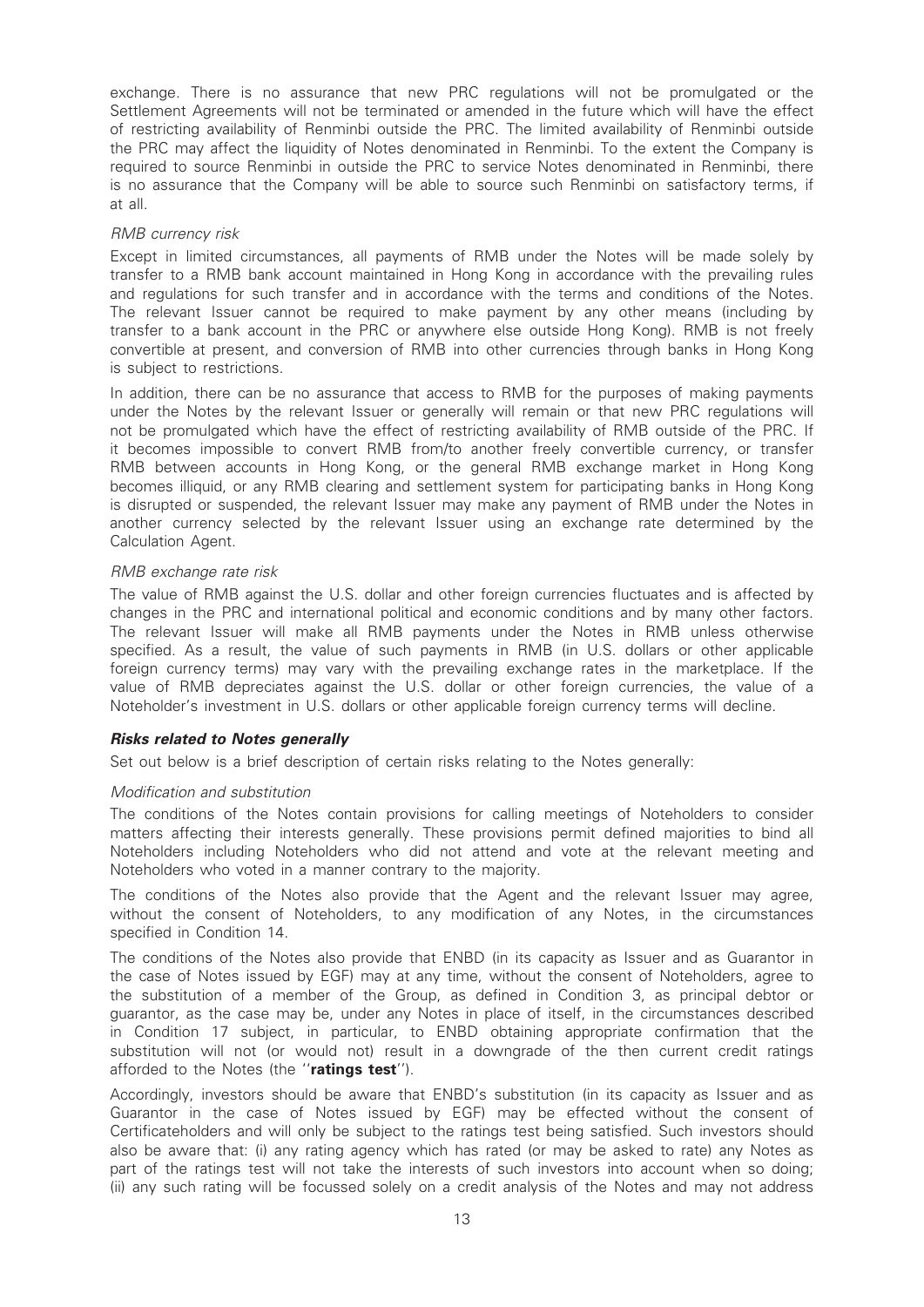exchange. There is no assurance that new PRC regulations will not be promulgated or the Settlement Agreements will not be terminated or amended in the future which will have the effect of restricting availability of Renminbi outside the PRC. The limited availability of Renminbi outside the PRC may affect the liquidity of Notes denominated in Renminbi. To the extent the Company is required to source Renminbi in outside the PRC to service Notes denominated in Renminbi, there is no assurance that the Company will be able to source such Renminbi on satisfactory terms, if at all.

#### RMB currency risk

Except in limited circumstances, all payments of RMB under the Notes will be made solely by transfer to a RMB bank account maintained in Hong Kong in accordance with the prevailing rules and regulations for such transfer and in accordance with the terms and conditions of the Notes. The relevant Issuer cannot be required to make payment by any other means (including by transfer to a bank account in the PRC or anywhere else outside Hong Kong). RMB is not freely convertible at present, and conversion of RMB into other currencies through banks in Hong Kong is subject to restrictions.

In addition, there can be no assurance that access to RMB for the purposes of making payments under the Notes by the relevant Issuer or generally will remain or that new PRC regulations will not be promulgated which have the effect of restricting availability of RMB outside of the PRC. If it becomes impossible to convert RMB from/to another freely convertible currency, or transfer RMB between accounts in Hong Kong, or the general RMB exchange market in Hong Kong becomes illiquid, or any RMB clearing and settlement system for participating banks in Hong Kong is disrupted or suspended, the relevant Issuer may make any payment of RMB under the Notes in another currency selected by the relevant Issuer using an exchange rate determined by the Calculation Agent.

#### RMB exchange rate risk

The value of RMB against the U.S. dollar and other foreign currencies fluctuates and is affected by changes in the PRC and international political and economic conditions and by many other factors. The relevant Issuer will make all RMB payments under the Notes in RMB unless otherwise specified. As a result, the value of such payments in RMB (in U.S. dollars or other applicable foreign currency terms) may vary with the prevailing exchange rates in the marketplace. If the value of RMB depreciates against the U.S. dollar or other foreign currencies, the value of a Noteholder's investment in U.S. dollars or other applicable foreign currency terms will decline.

#### Risks related to Notes generally

Set out below is a brief description of certain risks relating to the Notes generally:

#### Modification and substitution

The conditions of the Notes contain provisions for calling meetings of Noteholders to consider matters affecting their interests generally. These provisions permit defined majorities to bind all Noteholders including Noteholders who did not attend and vote at the relevant meeting and Noteholders who voted in a manner contrary to the majority.

The conditions of the Notes also provide that the Agent and the relevant Issuer may agree, without the consent of Noteholders, to any modification of any Notes, in the circumstances specified in Condition 14.

The conditions of the Notes also provide that ENBD (in its capacity as Issuer and as Guarantor in the case of Notes issued by EGF) may at any time, without the consent of Noteholders, agree to the substitution of a member of the Group, as defined in Condition 3, as principal debtor or guarantor, as the case may be, under any Notes in place of itself, in the circumstances described in Condition 17 subject, in particular, to ENBD obtaining appropriate confirmation that the substitution will not (or would not) result in a downgrade of the then current credit ratings afforded to the Notes (the "ratings test").

Accordingly, investors should be aware that ENBD's substitution (in its capacity as Issuer and as Guarantor in the case of Notes issued by EGF) may be effected without the consent of Certificateholders and will only be subject to the ratings test being satisfied. Such investors should also be aware that: (i) any rating agency which has rated (or may be asked to rate) any Notes as part of the ratings test will not take the interests of such investors into account when so doing; (ii) any such rating will be focussed solely on a credit analysis of the Notes and may not address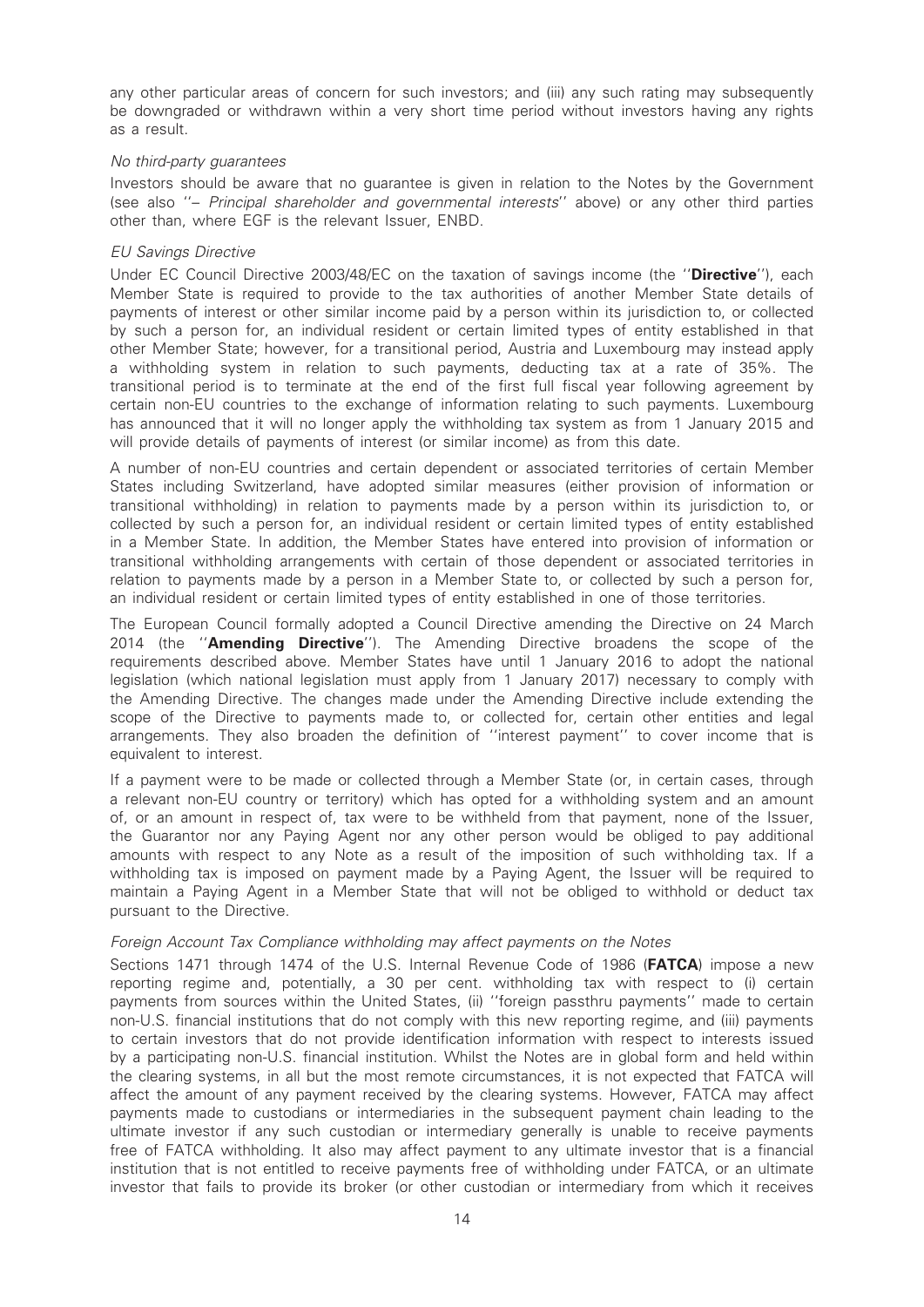any other particular areas of concern for such investors; and (iii) any such rating may subsequently be downgraded or withdrawn within a very short time period without investors having any rights as a result.

#### No third-party guarantees

Investors should be aware that no guarantee is given in relation to the Notes by the Government (see also ''– Principal shareholder and governmental interests'' above) or any other third parties other than, where EGF is the relevant Issuer, ENBD.

#### EU Savings Directive

Under EC Council Directive 2003/48/EC on the taxation of savings income (the "Directive"), each Member State is required to provide to the tax authorities of another Member State details of payments of interest or other similar income paid by a person within its jurisdiction to, or collected by such a person for, an individual resident or certain limited types of entity established in that other Member State; however, for a transitional period, Austria and Luxembourg may instead apply a withholding system in relation to such payments, deducting tax at a rate of 35%. The transitional period is to terminate at the end of the first full fiscal year following agreement by certain non-EU countries to the exchange of information relating to such payments. Luxembourg has announced that it will no longer apply the withholding tax system as from 1 January 2015 and will provide details of payments of interest (or similar income) as from this date.

A number of non-EU countries and certain dependent or associated territories of certain Member States including Switzerland, have adopted similar measures (either provision of information or transitional withholding) in relation to payments made by a person within its jurisdiction to, or collected by such a person for, an individual resident or certain limited types of entity established in a Member State. In addition, the Member States have entered into provision of information or transitional withholding arrangements with certain of those dependent or associated territories in relation to payments made by a person in a Member State to, or collected by such a person for, an individual resident or certain limited types of entity established in one of those territories.

The European Council formally adopted a Council Directive amending the Directive on 24 March 2014 (the "**Amending Directive**"). The Amending Directive broadens the scope of the requirements described above. Member States have until 1 January 2016 to adopt the national legislation (which national legislation must apply from 1 January 2017) necessary to comply with the Amending Directive. The changes made under the Amending Directive include extending the scope of the Directive to payments made to, or collected for, certain other entities and legal arrangements. They also broaden the definition of ''interest payment'' to cover income that is equivalent to interest.

If a payment were to be made or collected through a Member State (or, in certain cases, through a relevant non-EU country or territory) which has opted for a withholding system and an amount of, or an amount in respect of, tax were to be withheld from that payment, none of the Issuer, the Guarantor nor any Paying Agent nor any other person would be obliged to pay additional amounts with respect to any Note as a result of the imposition of such withholding tax. If a withholding tax is imposed on payment made by a Paying Agent, the Issuer will be required to maintain a Paying Agent in a Member State that will not be obliged to withhold or deduct tax pursuant to the Directive.

# Foreign Account Tax Compliance withholding may affect payments on the Notes

Sections 1471 through 1474 of the U.S. Internal Revenue Code of 1986 (FATCA) impose a new reporting regime and, potentially, a 30 per cent. withholding tax with respect to (i) certain payments from sources within the United States, (ii) ''foreign passthru payments'' made to certain non-U.S. financial institutions that do not comply with this new reporting regime, and (iii) payments to certain investors that do not provide identification information with respect to interests issued by a participating non-U.S. financial institution. Whilst the Notes are in global form and held within the clearing systems, in all but the most remote circumstances, it is not expected that FATCA will affect the amount of any payment received by the clearing systems. However, FATCA may affect payments made to custodians or intermediaries in the subsequent payment chain leading to the ultimate investor if any such custodian or intermediary generally is unable to receive payments free of FATCA withholding. It also may affect payment to any ultimate investor that is a financial institution that is not entitled to receive payments free of withholding under FATCA, or an ultimate investor that fails to provide its broker (or other custodian or intermediary from which it receives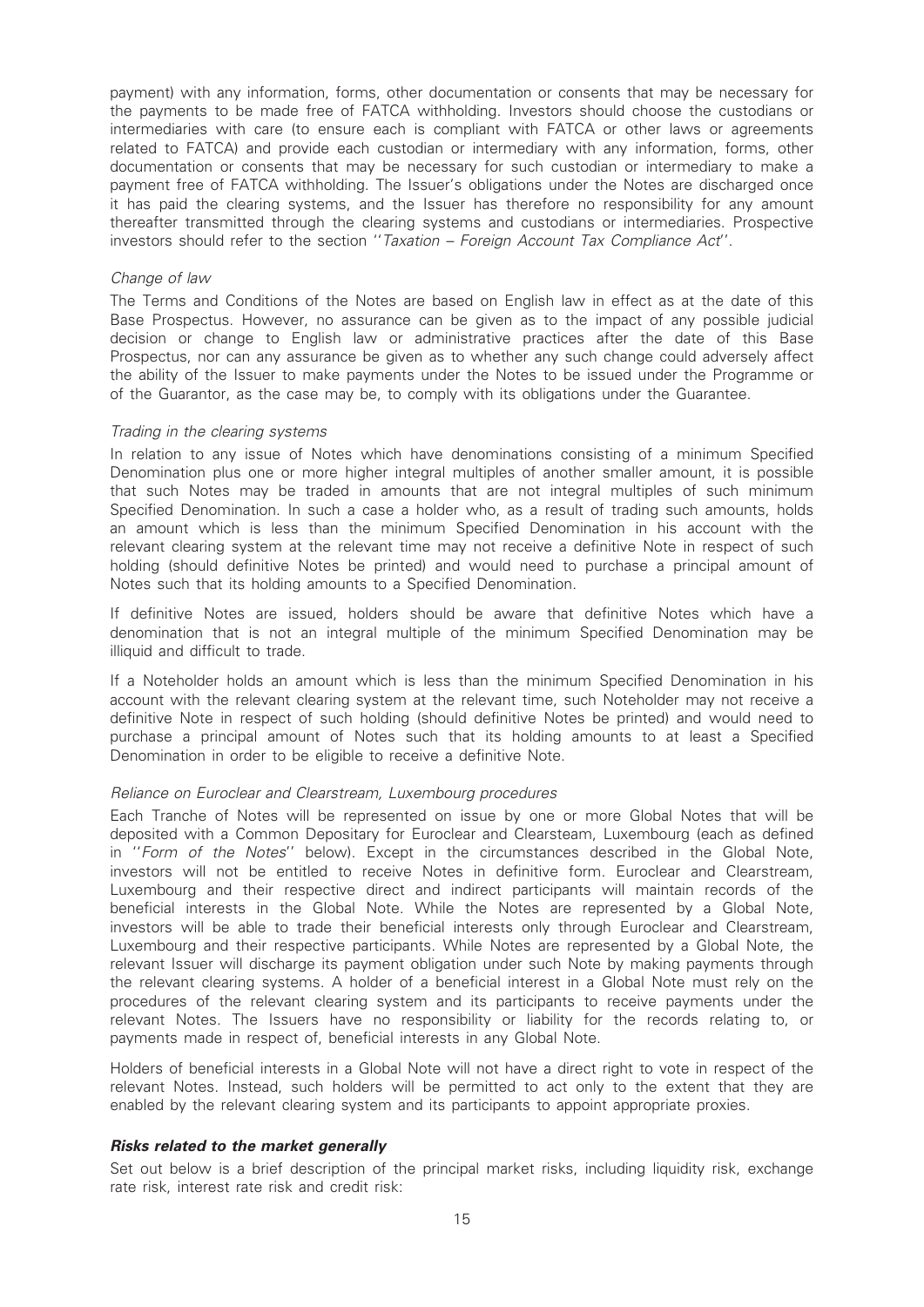payment) with any information, forms, other documentation or consents that may be necessary for the payments to be made free of FATCA withholding. Investors should choose the custodians or intermediaries with care (to ensure each is compliant with FATCA or other laws or agreements related to FATCA) and provide each custodian or intermediary with any information, forms, other documentation or consents that may be necessary for such custodian or intermediary to make a payment free of FATCA withholding. The Issuer's obligations under the Notes are discharged once it has paid the clearing systems, and the Issuer has therefore no responsibility for any amount thereafter transmitted through the clearing systems and custodians or intermediaries. Prospective investors should refer to the section ''Taxation – Foreign Account Tax Compliance Act''.

#### Change of law

The Terms and Conditions of the Notes are based on English law in effect as at the date of this Base Prospectus. However, no assurance can be given as to the impact of any possible judicial decision or change to English law or administrative practices after the date of this Base Prospectus, nor can any assurance be given as to whether any such change could adversely affect the ability of the Issuer to make payments under the Notes to be issued under the Programme or of the Guarantor, as the case may be, to comply with its obligations under the Guarantee.

#### Trading in the clearing systems

In relation to any issue of Notes which have denominations consisting of a minimum Specified Denomination plus one or more higher integral multiples of another smaller amount, it is possible that such Notes may be traded in amounts that are not integral multiples of such minimum Specified Denomination. In such a case a holder who, as a result of trading such amounts, holds an amount which is less than the minimum Specified Denomination in his account with the relevant clearing system at the relevant time may not receive a definitive Note in respect of such holding (should definitive Notes be printed) and would need to purchase a principal amount of Notes such that its holding amounts to a Specified Denomination.

If definitive Notes are issued, holders should be aware that definitive Notes which have a denomination that is not an integral multiple of the minimum Specified Denomination may be illiquid and difficult to trade.

If a Noteholder holds an amount which is less than the minimum Specified Denomination in his account with the relevant clearing system at the relevant time, such Noteholder may not receive a definitive Note in respect of such holding (should definitive Notes be printed) and would need to purchase a principal amount of Notes such that its holding amounts to at least a Specified Denomination in order to be eligible to receive a definitive Note.

#### Reliance on Euroclear and Clearstream, Luxembourg procedures

Each Tranche of Notes will be represented on issue by one or more Global Notes that will be deposited with a Common Depositary for Euroclear and Clearsteam, Luxembourg (each as defined in ''Form of the Notes'' below). Except in the circumstances described in the Global Note, investors will not be entitled to receive Notes in definitive form. Euroclear and Clearstream, Luxembourg and their respective direct and indirect participants will maintain records of the beneficial interests in the Global Note. While the Notes are represented by a Global Note, investors will be able to trade their beneficial interests only through Euroclear and Clearstream, Luxembourg and their respective participants. While Notes are represented by a Global Note, the relevant Issuer will discharge its payment obligation under such Note by making payments through the relevant clearing systems. A holder of a beneficial interest in a Global Note must rely on the procedures of the relevant clearing system and its participants to receive payments under the relevant Notes. The Issuers have no responsibility or liability for the records relating to, or payments made in respect of, beneficial interests in any Global Note.

Holders of beneficial interests in a Global Note will not have a direct right to vote in respect of the relevant Notes. Instead, such holders will be permitted to act only to the extent that they are enabled by the relevant clearing system and its participants to appoint appropriate proxies.

#### Risks related to the market generally

Set out below is a brief description of the principal market risks, including liquidity risk, exchange rate risk, interest rate risk and credit risk: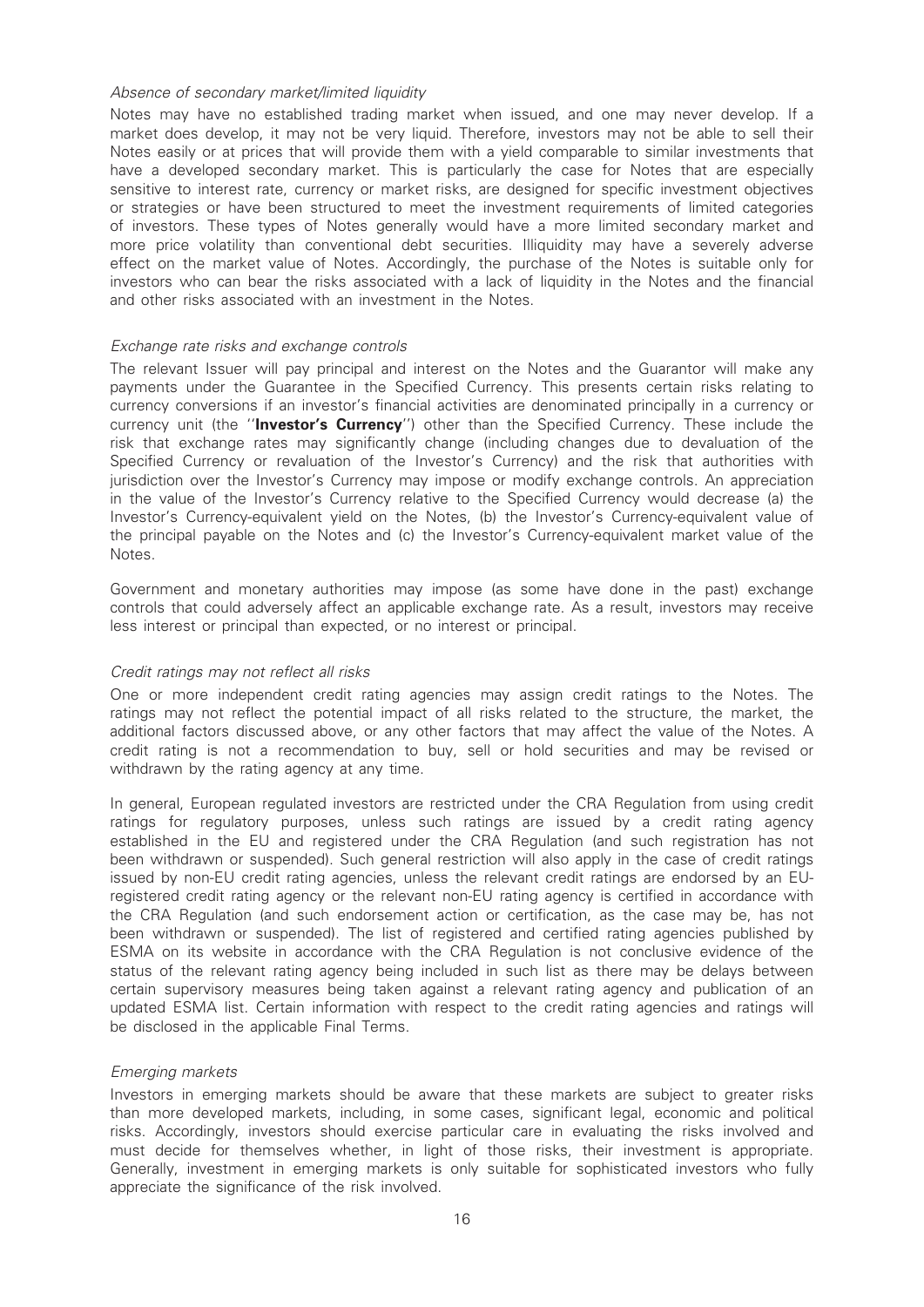#### Absence of secondary market/limited liquidity

Notes may have no established trading market when issued, and one may never develop. If a market does develop, it may not be very liquid. Therefore, investors may not be able to sell their Notes easily or at prices that will provide them with a yield comparable to similar investments that have a developed secondary market. This is particularly the case for Notes that are especially sensitive to interest rate, currency or market risks, are designed for specific investment objectives or strategies or have been structured to meet the investment requirements of limited categories of investors. These types of Notes generally would have a more limited secondary market and more price volatility than conventional debt securities. Illiquidity may have a severely adverse effect on the market value of Notes. Accordingly, the purchase of the Notes is suitable only for investors who can bear the risks associated with a lack of liquidity in the Notes and the financial and other risks associated with an investment in the Notes.

#### Exchange rate risks and exchange controls

The relevant Issuer will pay principal and interest on the Notes and the Guarantor will make any payments under the Guarantee in the Specified Currency. This presents certain risks relating to currency conversions if an investor's financial activities are denominated principally in a currency or currency unit (the "Investor's Currency") other than the Specified Currency. These include the risk that exchange rates may significantly change (including changes due to devaluation of the Specified Currency or revaluation of the Investor's Currency) and the risk that authorities with jurisdiction over the Investor's Currency may impose or modify exchange controls. An appreciation in the value of the Investor's Currency relative to the Specified Currency would decrease (a) the Investor's Currency-equivalent yield on the Notes, (b) the Investor's Currency-equivalent value of the principal payable on the Notes and (c) the Investor's Currency-equivalent market value of the Notes.

Government and monetary authorities may impose (as some have done in the past) exchange controls that could adversely affect an applicable exchange rate. As a result, investors may receive less interest or principal than expected, or no interest or principal.

## Credit ratings may not reflect all risks

One or more independent credit rating agencies may assign credit ratings to the Notes. The ratings may not reflect the potential impact of all risks related to the structure, the market, the additional factors discussed above, or any other factors that may affect the value of the Notes. A credit rating is not a recommendation to buy, sell or hold securities and may be revised or withdrawn by the rating agency at any time.

In general, European regulated investors are restricted under the CRA Regulation from using credit ratings for regulatory purposes, unless such ratings are issued by a credit rating agency established in the EU and registered under the CRA Regulation (and such registration has not been withdrawn or suspended). Such general restriction will also apply in the case of credit ratings issued by non-EU credit rating agencies, unless the relevant credit ratings are endorsed by an EUregistered credit rating agency or the relevant non-EU rating agency is certified in accordance with the CRA Regulation (and such endorsement action or certification, as the case may be, has not been withdrawn or suspended). The list of registered and certified rating agencies published by ESMA on its website in accordance with the CRA Regulation is not conclusive evidence of the status of the relevant rating agency being included in such list as there may be delays between certain supervisory measures being taken against a relevant rating agency and publication of an updated ESMA list. Certain information with respect to the credit rating agencies and ratings will be disclosed in the applicable Final Terms.

#### Emerging markets

Investors in emerging markets should be aware that these markets are subject to greater risks than more developed markets, including, in some cases, significant legal, economic and political risks. Accordingly, investors should exercise particular care in evaluating the risks involved and must decide for themselves whether, in light of those risks, their investment is appropriate. Generally, investment in emerging markets is only suitable for sophisticated investors who fully appreciate the significance of the risk involved.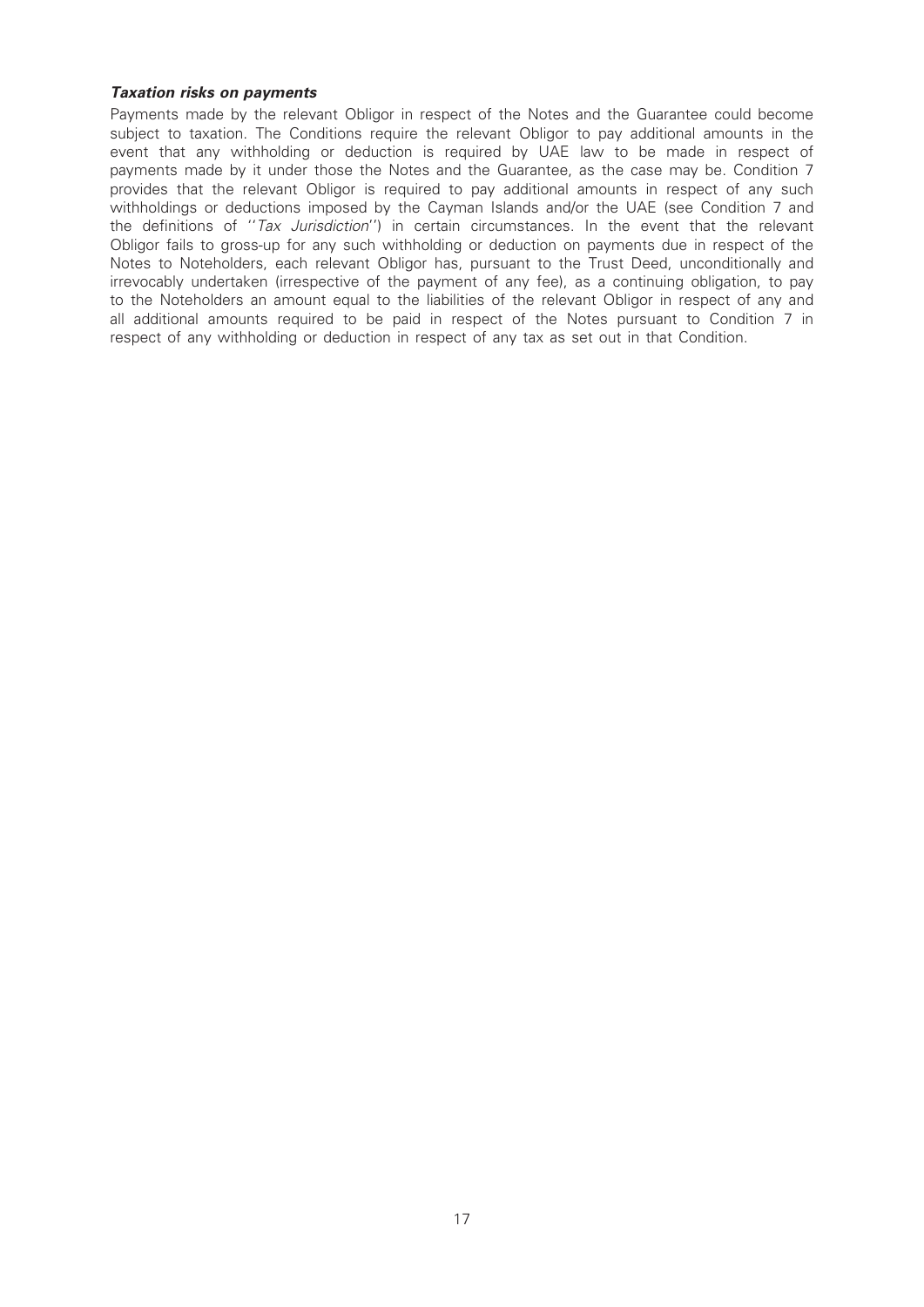### Taxation risks on payments

Payments made by the relevant Obligor in respect of the Notes and the Guarantee could become subject to taxation. The Conditions require the relevant Obligor to pay additional amounts in the event that any withholding or deduction is required by UAE law to be made in respect of payments made by it under those the Notes and the Guarantee, as the case may be. Condition 7 provides that the relevant Obligor is required to pay additional amounts in respect of any such withholdings or deductions imposed by the Cayman Islands and/or the UAE (see Condition 7 and the definitions of "Tax Jurisdiction") in certain circumstances. In the event that the relevant Obligor fails to gross-up for any such withholding or deduction on payments due in respect of the Notes to Noteholders, each relevant Obligor has, pursuant to the Trust Deed, unconditionally and irrevocably undertaken (irrespective of the payment of any fee), as a continuing obligation, to pay to the Noteholders an amount equal to the liabilities of the relevant Obligor in respect of any and all additional amounts required to be paid in respect of the Notes pursuant to Condition 7 in respect of any withholding or deduction in respect of any tax as set out in that Condition.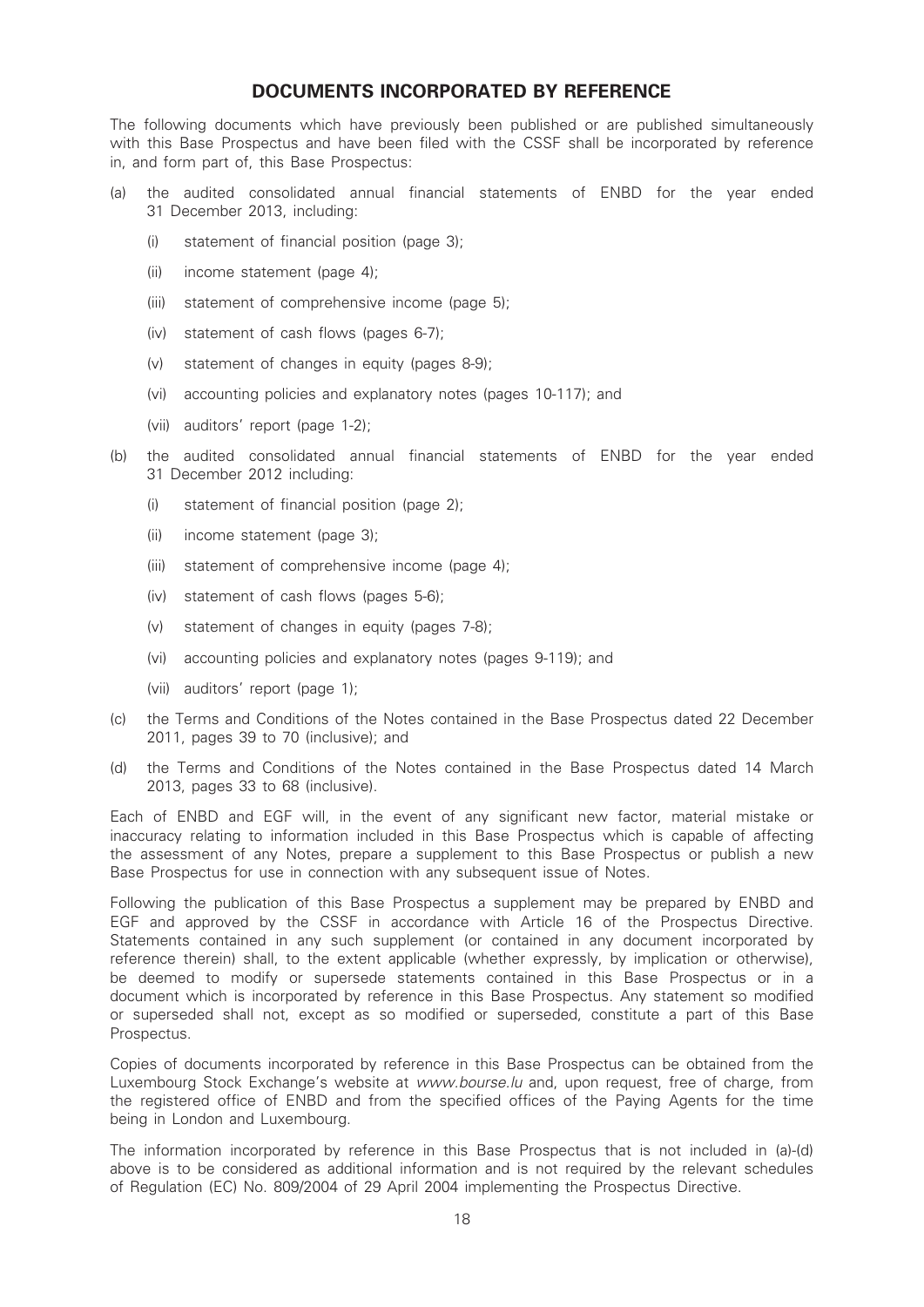# DOCUMENTS INCORPORATED BY REFERENCE

The following documents which have previously been published or are published simultaneously with this Base Prospectus and have been filed with the CSSF shall be incorporated by reference in, and form part of, this Base Prospectus:

- (a) the audited consolidated annual financial statements of ENBD for the year ended 31 December 2013, including:
	- (i) statement of financial position (page 3);
	- (ii) income statement (page 4);
	- (iii) statement of comprehensive income (page 5);
	- (iv) statement of cash flows (pages 6-7);
	- (v) statement of changes in equity (pages 8-9);
	- (vi) accounting policies and explanatory notes (pages 10-117); and
	- (vii) auditors' report (page 1-2);
- (b) the audited consolidated annual financial statements of ENBD for the year ended 31 December 2012 including:
	- (i) statement of financial position (page 2);
	- (ii) income statement (page 3);
	- (iii) statement of comprehensive income (page 4);
	- (iv) statement of cash flows (pages 5-6);
	- (v) statement of changes in equity (pages 7-8);
	- (vi) accounting policies and explanatory notes (pages 9-119); and
	- (vii) auditors' report (page 1);
- (c) the Terms and Conditions of the Notes contained in the Base Prospectus dated 22 December 2011, pages 39 to 70 (inclusive); and
- (d) the Terms and Conditions of the Notes contained in the Base Prospectus dated 14 March 2013, pages 33 to 68 (inclusive).

Each of ENBD and EGF will, in the event of any significant new factor, material mistake or inaccuracy relating to information included in this Base Prospectus which is capable of affecting the assessment of any Notes, prepare a supplement to this Base Prospectus or publish a new Base Prospectus for use in connection with any subsequent issue of Notes.

Following the publication of this Base Prospectus a supplement may be prepared by ENBD and EGF and approved by the CSSF in accordance with Article 16 of the Prospectus Directive. Statements contained in any such supplement (or contained in any document incorporated by reference therein) shall, to the extent applicable (whether expressly, by implication or otherwise), be deemed to modify or supersede statements contained in this Base Prospectus or in a document which is incorporated by reference in this Base Prospectus. Any statement so modified or superseded shall not, except as so modified or superseded, constitute a part of this Base Prospectus.

Copies of documents incorporated by reference in this Base Prospectus can be obtained from the Luxembourg Stock Exchange's website at www.bourse.lu and, upon request, free of charge, from the registered office of ENBD and from the specified offices of the Paying Agents for the time being in London and Luxembourg.

The information incorporated by reference in this Base Prospectus that is not included in (a)-(d) above is to be considered as additional information and is not required by the relevant schedules of Regulation (EC) No. 809/2004 of 29 April 2004 implementing the Prospectus Directive.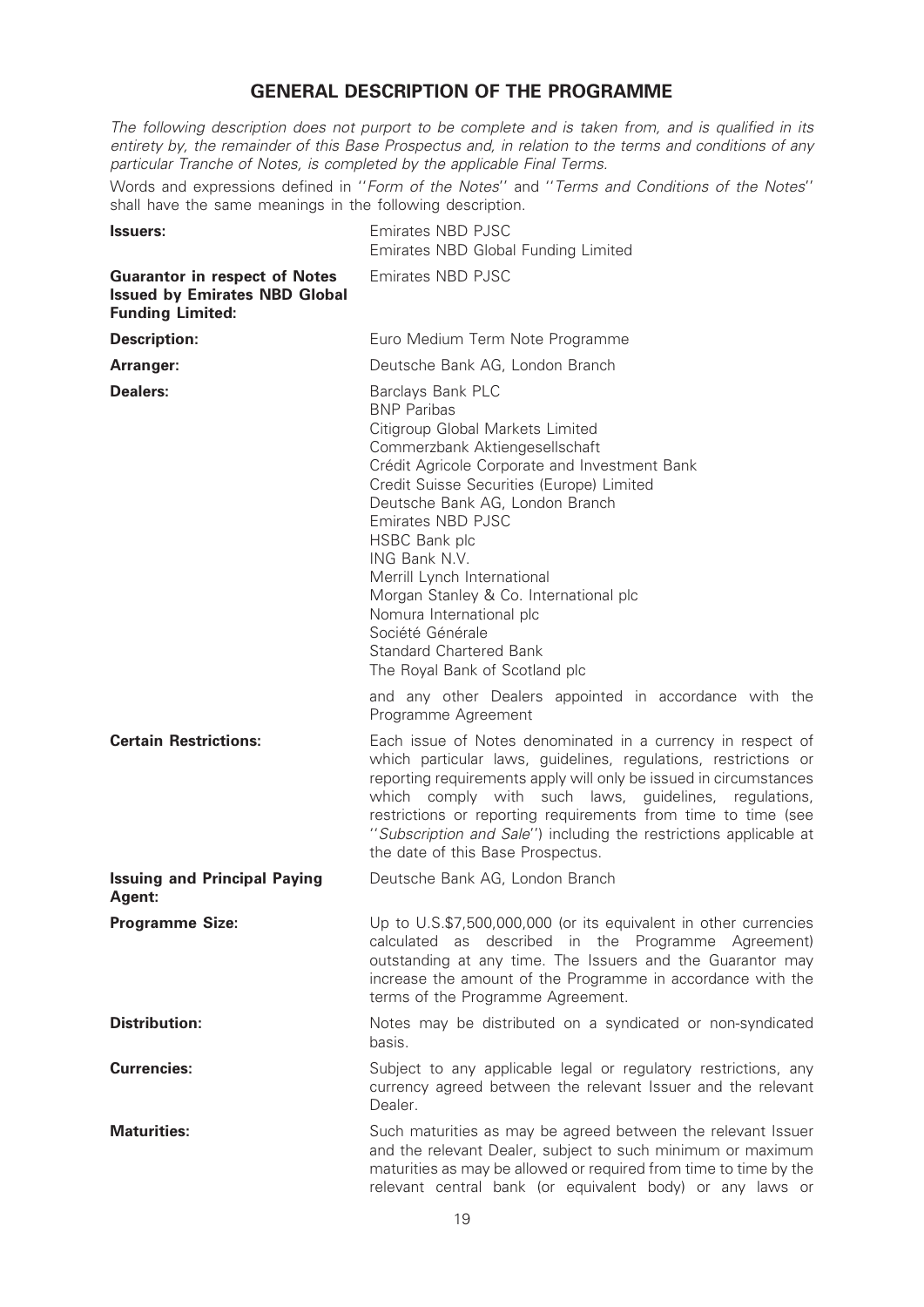# GENERAL DESCRIPTION OF THE PROGRAMME

The following description does not purport to be complete and is taken from, and is qualified in its entirety by, the remainder of this Base Prospectus and, in relation to the terms and conditions of any particular Tranche of Notes, is completed by the applicable Final Terms.

Words and expressions defined in ''Form of the Notes'' and ''Terms and Conditions of the Notes'' shall have the same meanings in the following description.

| <b>Issuers:</b>                                                                                         | Emirates NBD PJSC<br>Emirates NBD Global Funding Limited                                                                                                                                                                                                                                                                                                                                                                                                                                           |  |
|---------------------------------------------------------------------------------------------------------|----------------------------------------------------------------------------------------------------------------------------------------------------------------------------------------------------------------------------------------------------------------------------------------------------------------------------------------------------------------------------------------------------------------------------------------------------------------------------------------------------|--|
| <b>Guarantor in respect of Notes</b><br><b>Issued by Emirates NBD Global</b><br><b>Funding Limited:</b> | Emirates NBD PJSC                                                                                                                                                                                                                                                                                                                                                                                                                                                                                  |  |
| <b>Description:</b>                                                                                     | Euro Medium Term Note Programme                                                                                                                                                                                                                                                                                                                                                                                                                                                                    |  |
| Arranger:                                                                                               | Deutsche Bank AG, London Branch                                                                                                                                                                                                                                                                                                                                                                                                                                                                    |  |
| Dealers:                                                                                                | Barclays Bank PLC<br><b>BNP Paribas</b><br>Citigroup Global Markets Limited<br>Commerzbank Aktiengesellschaft<br>Crédit Agricole Corporate and Investment Bank<br>Credit Suisse Securities (Europe) Limited<br>Deutsche Bank AG, London Branch<br>Emirates NBD PJSC<br>HSBC Bank plc<br>ING Bank N.V.<br>Merrill Lynch International<br>Morgan Stanley & Co. International plc<br>Nomura International plc<br>Société Générale<br><b>Standard Chartered Bank</b><br>The Royal Bank of Scotland plc |  |
|                                                                                                         | and any other Dealers appointed in accordance with the<br>Programme Agreement                                                                                                                                                                                                                                                                                                                                                                                                                      |  |
| <b>Certain Restrictions:</b>                                                                            | Each issue of Notes denominated in a currency in respect of<br>which particular laws, guidelines, regulations, restrictions or<br>reporting requirements apply will only be issued in circumstances<br>which comply with such laws, guidelines, regulations,<br>restrictions or reporting requirements from time to time (see<br>"Subscription and Sale") including the restrictions applicable at<br>the date of this Base Prospectus.                                                            |  |
| <b>Issuing and Principal Paying</b><br>Agent:                                                           | Deutsche Bank AG, London Branch                                                                                                                                                                                                                                                                                                                                                                                                                                                                    |  |
| <b>Programme Size:</b>                                                                                  | Up to U.S.\$7,500,000,000 (or its equivalent in other currencies<br>calculated as described in the Programme Agreement)<br>outstanding at any time. The Issuers and the Guarantor may<br>increase the amount of the Programme in accordance with the<br>terms of the Programme Agreement.                                                                                                                                                                                                          |  |
| <b>Distribution:</b>                                                                                    | Notes may be distributed on a syndicated or non-syndicated<br>basis.                                                                                                                                                                                                                                                                                                                                                                                                                               |  |
| <b>Currencies:</b>                                                                                      | Subject to any applicable legal or regulatory restrictions, any<br>currency agreed between the relevant Issuer and the relevant<br>Dealer.                                                                                                                                                                                                                                                                                                                                                         |  |
| <b>Maturities:</b>                                                                                      | Such maturities as may be agreed between the relevant Issuer<br>and the relevant Dealer, subject to such minimum or maximum<br>maturities as may be allowed or required from time to time by the<br>relevant central bank (or equivalent body) or any laws or                                                                                                                                                                                                                                      |  |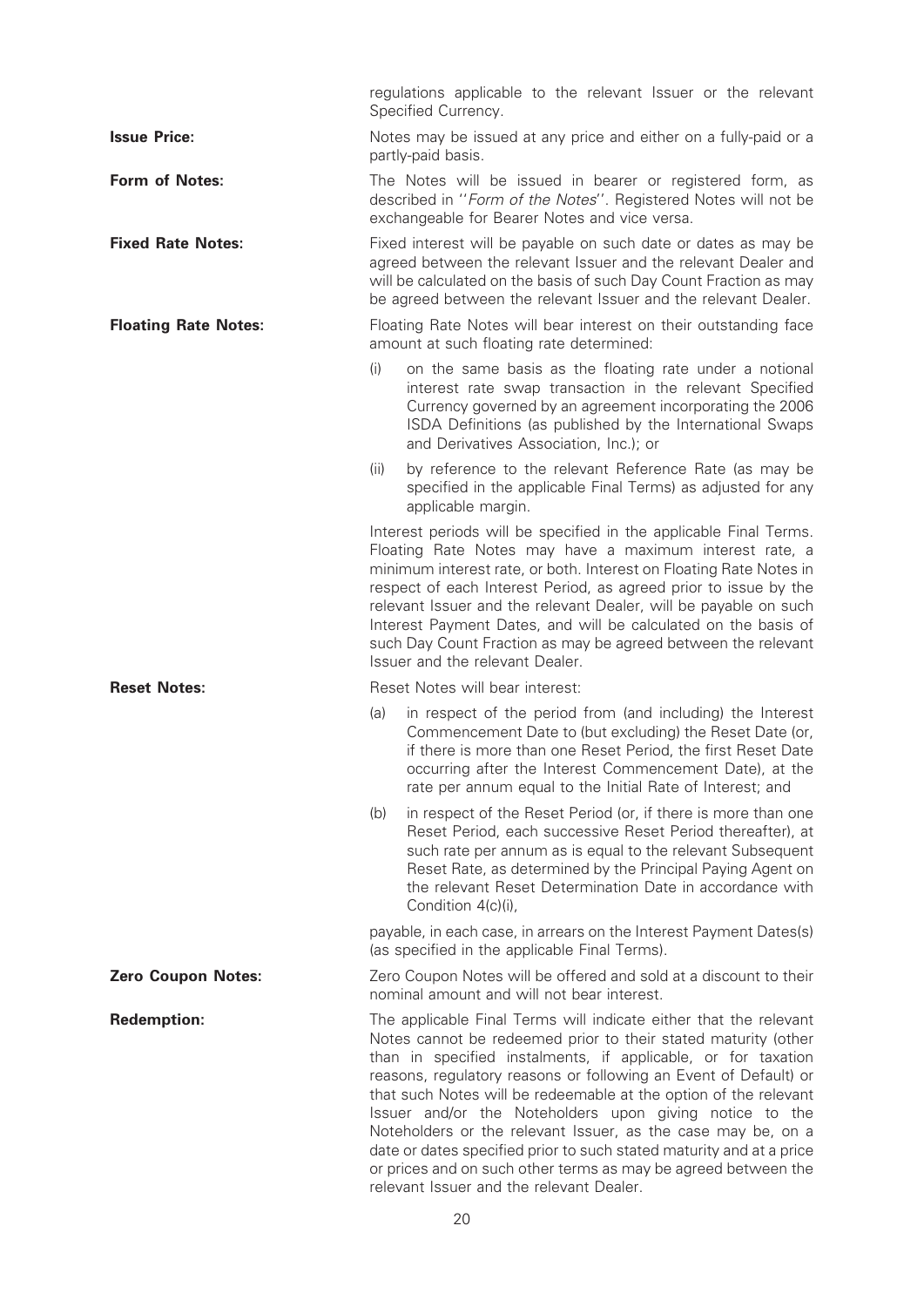|                             | regulations applicable to the relevant Issuer or the relevant<br>Specified Currency.                                                                                                                                                                                                                                                                                                                                                                                                                                                                                                                                                                          |  |
|-----------------------------|---------------------------------------------------------------------------------------------------------------------------------------------------------------------------------------------------------------------------------------------------------------------------------------------------------------------------------------------------------------------------------------------------------------------------------------------------------------------------------------------------------------------------------------------------------------------------------------------------------------------------------------------------------------|--|
| <b>Issue Price:</b>         | Notes may be issued at any price and either on a fully-paid or a<br>partly-paid basis.                                                                                                                                                                                                                                                                                                                                                                                                                                                                                                                                                                        |  |
| <b>Form of Notes:</b>       | The Notes will be issued in bearer or registered form, as<br>described in "Form of the Notes". Registered Notes will not be<br>exchangeable for Bearer Notes and vice versa.                                                                                                                                                                                                                                                                                                                                                                                                                                                                                  |  |
| <b>Fixed Rate Notes:</b>    | Fixed interest will be payable on such date or dates as may be<br>agreed between the relevant Issuer and the relevant Dealer and<br>will be calculated on the basis of such Day Count Fraction as may<br>be agreed between the relevant Issuer and the relevant Dealer.                                                                                                                                                                                                                                                                                                                                                                                       |  |
| <b>Floating Rate Notes:</b> | Floating Rate Notes will bear interest on their outstanding face<br>amount at such floating rate determined:                                                                                                                                                                                                                                                                                                                                                                                                                                                                                                                                                  |  |
|                             | (i)<br>on the same basis as the floating rate under a notional<br>interest rate swap transaction in the relevant Specified<br>Currency governed by an agreement incorporating the 2006<br>ISDA Definitions (as published by the International Swaps<br>and Derivatives Association, Inc.); or                                                                                                                                                                                                                                                                                                                                                                 |  |
|                             | (ii)<br>by reference to the relevant Reference Rate (as may be<br>specified in the applicable Final Terms) as adjusted for any<br>applicable margin.                                                                                                                                                                                                                                                                                                                                                                                                                                                                                                          |  |
|                             | Interest periods will be specified in the applicable Final Terms.<br>Floating Rate Notes may have a maximum interest rate, a<br>minimum interest rate, or both. Interest on Floating Rate Notes in<br>respect of each Interest Period, as agreed prior to issue by the<br>relevant Issuer and the relevant Dealer, will be payable on such<br>Interest Payment Dates, and will be calculated on the basis of<br>such Day Count Fraction as may be agreed between the relevant<br>Issuer and the relevant Dealer.                                                                                                                                              |  |
| <b>Reset Notes:</b>         | Reset Notes will bear interest:                                                                                                                                                                                                                                                                                                                                                                                                                                                                                                                                                                                                                               |  |
|                             | in respect of the period from (and including) the Interest<br>(a)<br>Commencement Date to (but excluding) the Reset Date (or,<br>if there is more than one Reset Period, the first Reset Date<br>occurring after the Interest Commencement Date), at the<br>rate per annum equal to the Initial Rate of Interest; and                                                                                                                                                                                                                                                                                                                                         |  |
|                             | (b)<br>in respect of the Reset Period (or, if there is more than one<br>Reset Period, each successive Reset Period thereafter), at<br>such rate per annum as is equal to the relevant Subsequent<br>Reset Rate, as determined by the Principal Paying Agent on<br>the relevant Reset Determination Date in accordance with<br>Condition 4(c)(i),                                                                                                                                                                                                                                                                                                              |  |
|                             | payable, in each case, in arrears on the Interest Payment Dates(s)<br>(as specified in the applicable Final Terms).                                                                                                                                                                                                                                                                                                                                                                                                                                                                                                                                           |  |
| <b>Zero Coupon Notes:</b>   | Zero Coupon Notes will be offered and sold at a discount to their<br>nominal amount and will not bear interest.                                                                                                                                                                                                                                                                                                                                                                                                                                                                                                                                               |  |
| <b>Redemption:</b>          | The applicable Final Terms will indicate either that the relevant<br>Notes cannot be redeemed prior to their stated maturity (other<br>than in specified instalments, if applicable, or for taxation<br>reasons, regulatory reasons or following an Event of Default) or<br>that such Notes will be redeemable at the option of the relevant<br>Issuer and/or the Noteholders upon giving notice to the<br>Noteholders or the relevant Issuer, as the case may be, on a<br>date or dates specified prior to such stated maturity and at a price<br>or prices and on such other terms as may be agreed between the<br>relevant Issuer and the relevant Dealer. |  |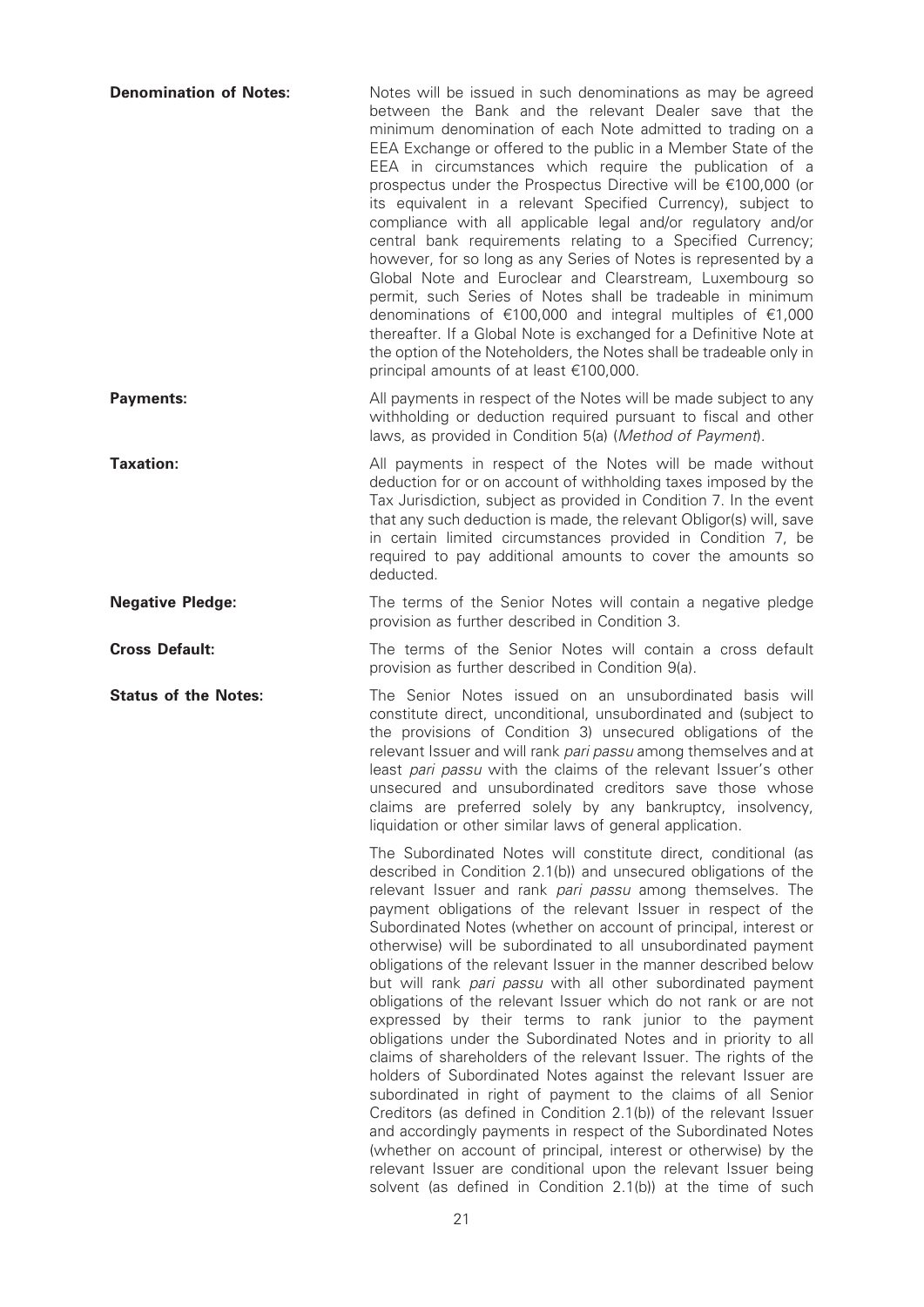| <b>Denomination of Notes:</b> | Notes will be issued in such denominations as may be agreed<br>between the Bank and the relevant Dealer save that the<br>minimum denomination of each Note admitted to trading on a<br>EEA Exchange or offered to the public in a Member State of the<br>EEA in circumstances which require the publication of a<br>prospectus under the Prospectus Directive will be €100,000 (or<br>its equivalent in a relevant Specified Currency), subject to<br>compliance with all applicable legal and/or regulatory and/or<br>central bank requirements relating to a Specified Currency;<br>however, for so long as any Series of Notes is represented by a<br>Global Note and Euroclear and Clearstream, Luxembourg so<br>permit, such Series of Notes shall be tradeable in minimum<br>denominations of $\epsilon$ 100,000 and integral multiples of $\epsilon$ 1,000<br>thereafter. If a Global Note is exchanged for a Definitive Note at<br>the option of the Noteholders, the Notes shall be tradeable only in<br>principal amounts of at least €100,000.                                                                                                                                                                                                                               |
|-------------------------------|-----------------------------------------------------------------------------------------------------------------------------------------------------------------------------------------------------------------------------------------------------------------------------------------------------------------------------------------------------------------------------------------------------------------------------------------------------------------------------------------------------------------------------------------------------------------------------------------------------------------------------------------------------------------------------------------------------------------------------------------------------------------------------------------------------------------------------------------------------------------------------------------------------------------------------------------------------------------------------------------------------------------------------------------------------------------------------------------------------------------------------------------------------------------------------------------------------------------------------------------------------------------------------------------|
| <b>Payments:</b>              | All payments in respect of the Notes will be made subject to any<br>withholding or deduction required pursuant to fiscal and other<br>laws, as provided in Condition 5(a) (Method of Payment).                                                                                                                                                                                                                                                                                                                                                                                                                                                                                                                                                                                                                                                                                                                                                                                                                                                                                                                                                                                                                                                                                          |
| <b>Taxation:</b>              | All payments in respect of the Notes will be made without<br>deduction for or on account of withholding taxes imposed by the<br>Tax Jurisdiction, subject as provided in Condition 7. In the event<br>that any such deduction is made, the relevant Obligor(s) will, save<br>in certain limited circumstances provided in Condition 7, be<br>required to pay additional amounts to cover the amounts so<br>deducted.                                                                                                                                                                                                                                                                                                                                                                                                                                                                                                                                                                                                                                                                                                                                                                                                                                                                    |
| <b>Negative Pledge:</b>       | The terms of the Senior Notes will contain a negative pledge<br>provision as further described in Condition 3.                                                                                                                                                                                                                                                                                                                                                                                                                                                                                                                                                                                                                                                                                                                                                                                                                                                                                                                                                                                                                                                                                                                                                                          |
| <b>Cross Default:</b>         | The terms of the Senior Notes will contain a cross default<br>provision as further described in Condition 9(a).                                                                                                                                                                                                                                                                                                                                                                                                                                                                                                                                                                                                                                                                                                                                                                                                                                                                                                                                                                                                                                                                                                                                                                         |
| <b>Status of the Notes:</b>   | The Senior Notes issued on an unsubordinated basis will<br>constitute direct, unconditional, unsubordinated and (subject to<br>the provisions of Condition 3) unsecured obligations of the<br>relevant Issuer and will rank pari passu among themselves and at<br>least pari passu with the claims of the relevant Issuer's other<br>unsecured and unsubordinated creditors save those whose<br>claims are preferred solely by any bankruptcy, insolvency,<br>liquidation or other similar laws of general application.                                                                                                                                                                                                                                                                                                                                                                                                                                                                                                                                                                                                                                                                                                                                                                 |
|                               | The Subordinated Notes will constitute direct, conditional (as<br>described in Condition 2.1(b)) and unsecured obligations of the<br>relevant Issuer and rank pari passu among themselves. The<br>payment obligations of the relevant Issuer in respect of the<br>Subordinated Notes (whether on account of principal, interest or<br>otherwise) will be subordinated to all unsubordinated payment<br>obligations of the relevant Issuer in the manner described below<br>but will rank pari passu with all other subordinated payment<br>obligations of the relevant Issuer which do not rank or are not<br>expressed by their terms to rank junior to the payment<br>obligations under the Subordinated Notes and in priority to all<br>claims of shareholders of the relevant Issuer. The rights of the<br>holders of Subordinated Notes against the relevant Issuer are<br>subordinated in right of payment to the claims of all Senior<br>Creditors (as defined in Condition 2.1(b)) of the relevant Issuer<br>and accordingly payments in respect of the Subordinated Notes<br>(whether on account of principal, interest or otherwise) by the<br>relevant Issuer are conditional upon the relevant Issuer being<br>solvent (as defined in Condition 2.1(b)) at the time of such |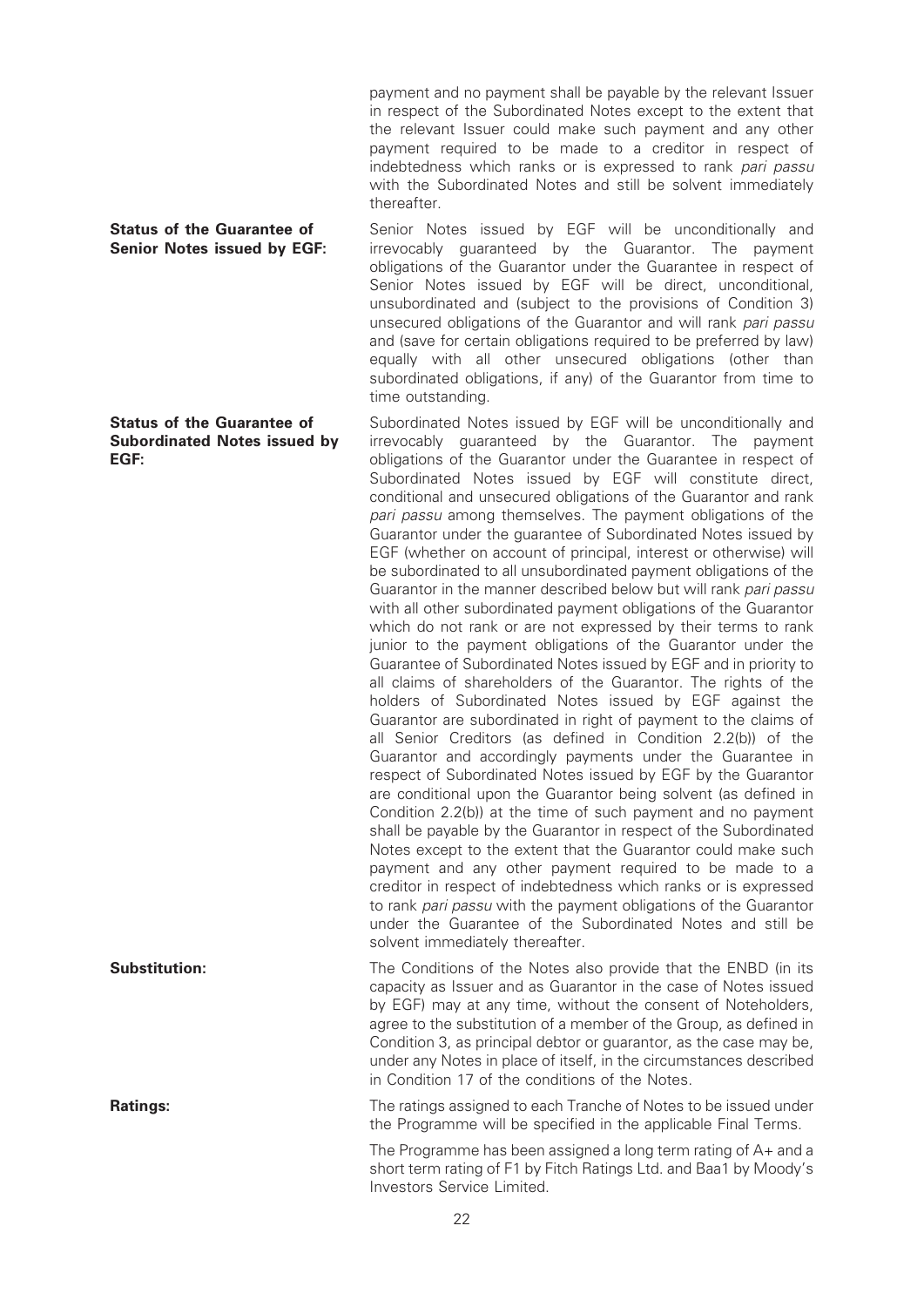payment and no payment shall be payable by the relevant Issuer in respect of the Subordinated Notes except to the extent that the relevant Issuer could make such payment and any other payment required to be made to a creditor in respect of indebtedness which ranks or is expressed to rank pari passu with the Subordinated Notes and still be solvent immediately thereafter.

#### Status of the Guarantee of Senior Notes issued by EGF:

Status of the Guarantee of Subordinated Notes issued by EGF:

Senior Notes issued by EGF will be unconditionally and irrevocably guaranteed by the Guarantor. The payment obligations of the Guarantor under the Guarantee in respect of Senior Notes issued by EGF will be direct, unconditional, unsubordinated and (subject to the provisions of Condition 3) unsecured obligations of the Guarantor and will rank pari passu and (save for certain obligations required to be preferred by law) equally with all other unsecured obligations (other than subordinated obligations, if any) of the Guarantor from time to time outstanding.

Subordinated Notes issued by EGF will be unconditionally and irrevocably guaranteed by the Guarantor. The payment obligations of the Guarantor under the Guarantee in respect of Subordinated Notes issued by EGF will constitute direct, conditional and unsecured obligations of the Guarantor and rank pari passu among themselves. The payment obligations of the Guarantor under the guarantee of Subordinated Notes issued by EGF (whether on account of principal, interest or otherwise) will be subordinated to all unsubordinated payment obligations of the Guarantor in the manner described below but will rank pari passu with all other subordinated payment obligations of the Guarantor which do not rank or are not expressed by their terms to rank junior to the payment obligations of the Guarantor under the Guarantee of Subordinated Notes issued by EGF and in priority to all claims of shareholders of the Guarantor. The rights of the holders of Subordinated Notes issued by EGF against the Guarantor are subordinated in right of payment to the claims of all Senior Creditors (as defined in Condition 2.2(b)) of the Guarantor and accordingly payments under the Guarantee in respect of Subordinated Notes issued by EGF by the Guarantor are conditional upon the Guarantor being solvent (as defined in Condition 2.2(b)) at the time of such payment and no payment shall be payable by the Guarantor in respect of the Subordinated Notes except to the extent that the Guarantor could make such payment and any other payment required to be made to a creditor in respect of indebtedness which ranks or is expressed to rank pari passu with the payment obligations of the Guarantor under the Guarantee of the Subordinated Notes and still be solvent immediately thereafter.

**Substitution:** The Conditions of the Notes also provide that the ENBD (in its capacity as Issuer and as Guarantor in the case of Notes issued by EGF) may at any time, without the consent of Noteholders, agree to the substitution of a member of the Group, as defined in Condition 3, as principal debtor or guarantor, as the case may be, under any Notes in place of itself, in the circumstances described in Condition 17 of the conditions of the Notes.

**Ratings:** The ratings assigned to each Tranche of Notes to be issued under the Programme will be specified in the applicable Final Terms.

> The Programme has been assigned a long term rating of A+ and a short term rating of F1 by Fitch Ratings Ltd. and Baa1 by Moody's Investors Service Limited.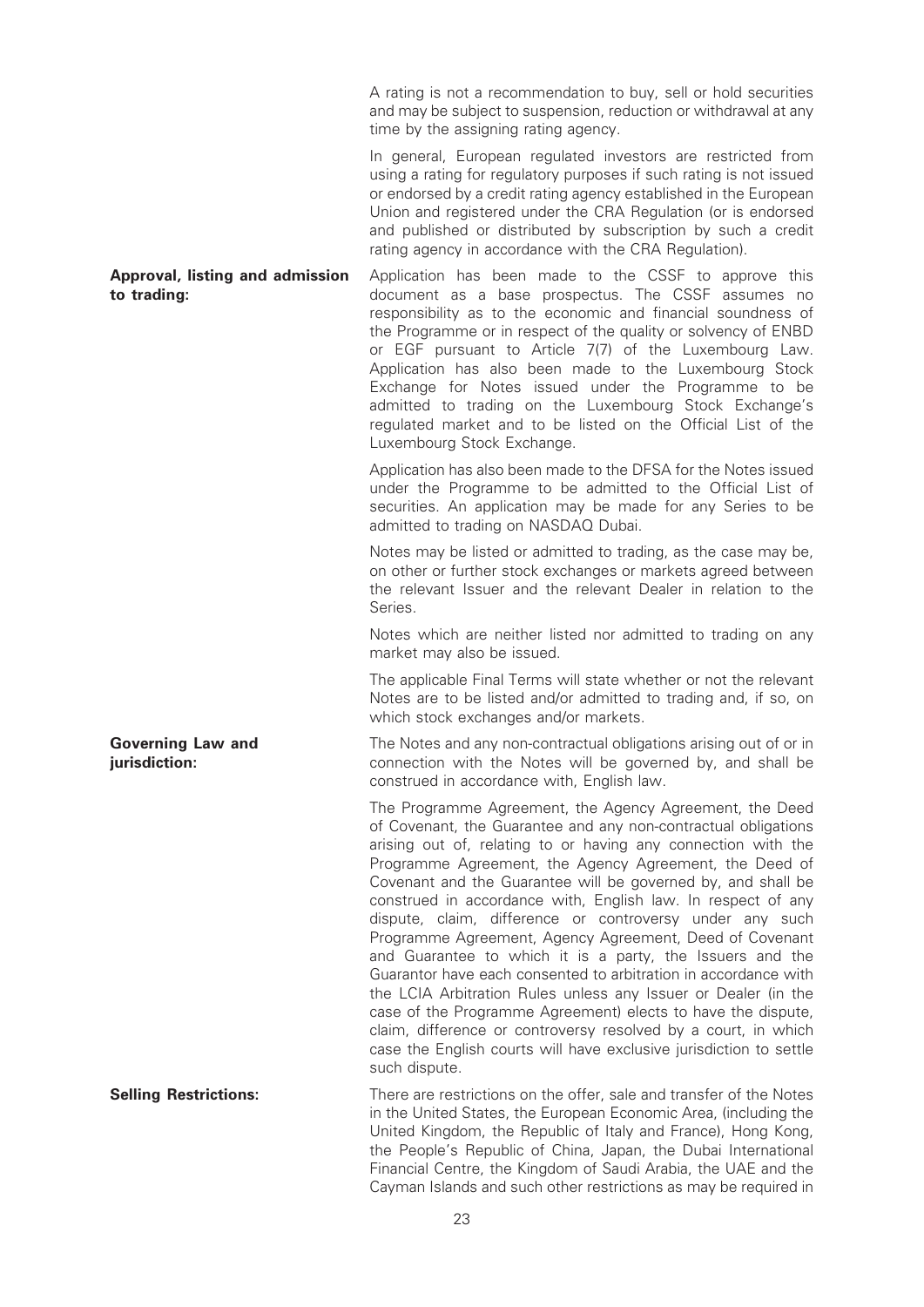A rating is not a recommendation to buy, sell or hold securities and may be subject to suspension, reduction or withdrawal at any time by the assigning rating agency.

In general, European regulated investors are restricted from using a rating for regulatory purposes if such rating is not issued or endorsed by a credit rating agency established in the European Union and registered under the CRA Regulation (or is endorsed and published or distributed by subscription by such a credit rating agency in accordance with the CRA Regulation).

Approval, listing and admission to trading: Application has been made to the CSSF to approve this document as a base prospectus. The CSSF assumes no responsibility as to the economic and financial soundness of the Programme or in respect of the quality or solvency of ENBD or EGF pursuant to Article 7(7) of the Luxembourg Law. Application has also been made to the Luxembourg Stock Exchange for Notes issued under the Programme to be admitted to trading on the Luxembourg Stock Exchange's regulated market and to be listed on the Official List of the Luxembourg Stock Exchange.

> Application has also been made to the DFSA for the Notes issued under the Programme to be admitted to the Official List of securities. An application may be made for any Series to be admitted to trading on NASDAQ Dubai.

> Notes may be listed or admitted to trading, as the case may be, on other or further stock exchanges or markets agreed between the relevant Issuer and the relevant Dealer in relation to the Series.

> Notes which are neither listed nor admitted to trading on any market may also be issued.

> The applicable Final Terms will state whether or not the relevant Notes are to be listed and/or admitted to trading and, if so, on which stock exchanges and/or markets.

> The Notes and any non-contractual obligations arising out of or in connection with the Notes will be governed by, and shall be construed in accordance with, English law.

> The Programme Agreement, the Agency Agreement, the Deed of Covenant, the Guarantee and any non-contractual obligations arising out of, relating to or having any connection with the Programme Agreement, the Agency Agreement, the Deed of Covenant and the Guarantee will be governed by, and shall be construed in accordance with, English law. In respect of any dispute, claim, difference or controversy under any such Programme Agreement, Agency Agreement, Deed of Covenant and Guarantee to which it is a party, the Issuers and the Guarantor have each consented to arbitration in accordance with the LCIA Arbitration Rules unless any Issuer or Dealer (in the case of the Programme Agreement) elects to have the dispute, claim, difference or controversy resolved by a court, in which case the English courts will have exclusive jurisdiction to settle such dispute.

Selling Restrictions: There are restrictions on the offer, sale and transfer of the Notes in the United States, the European Economic Area, (including the United Kingdom, the Republic of Italy and France), Hong Kong, the People's Republic of China, Japan, the Dubai International Financial Centre, the Kingdom of Saudi Arabia, the UAE and the Cayman Islands and such other restrictions as may be required in

Governing Law and jurisdiction: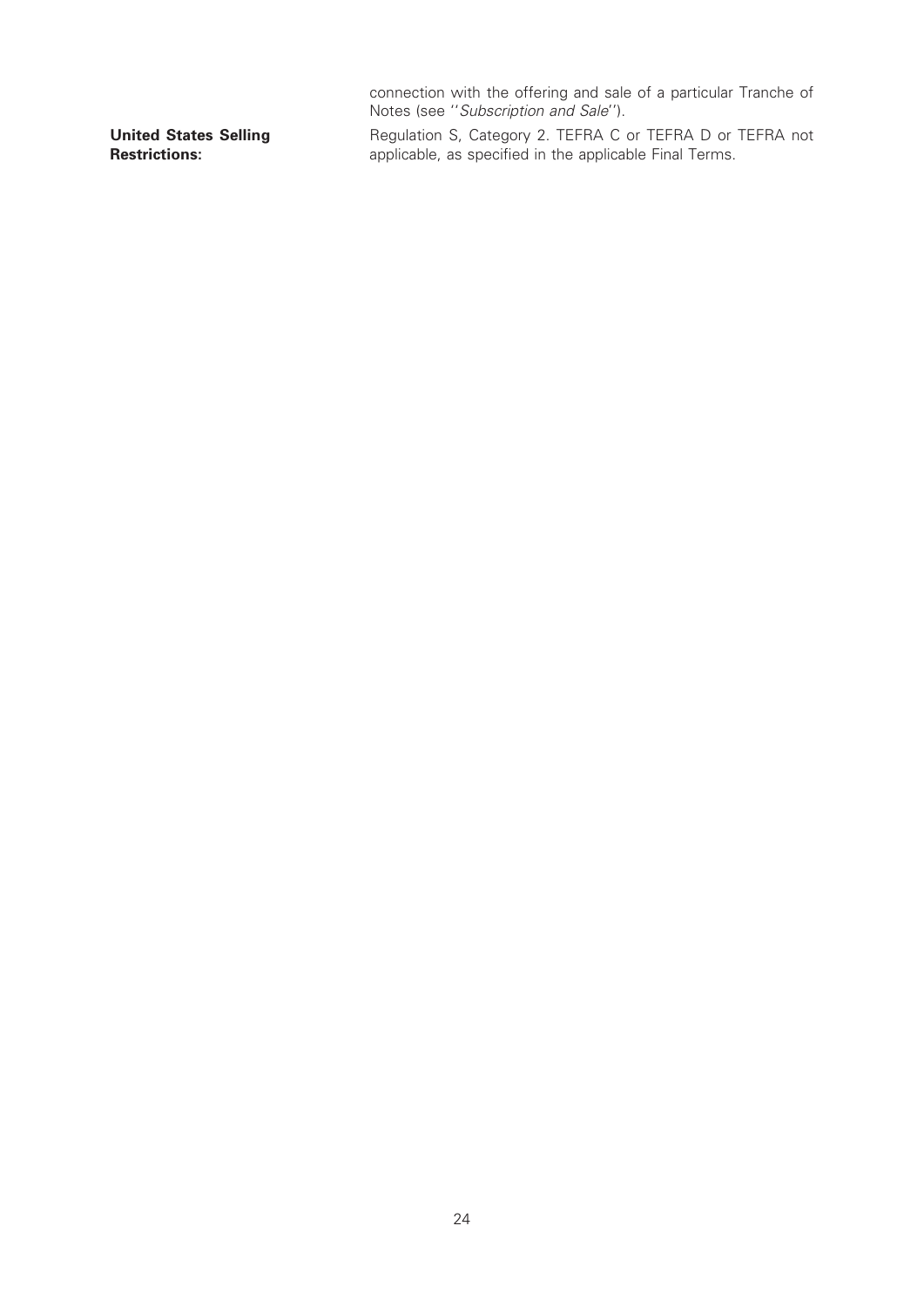connection with the offering and sale of a particular Tranche of Notes (see ''Subscription and Sale'').

United States Selling Restrictions:

Regulation S, Category 2. TEFRA C or TEFRA D or TEFRA not applicable, as specified in the applicable Final Terms.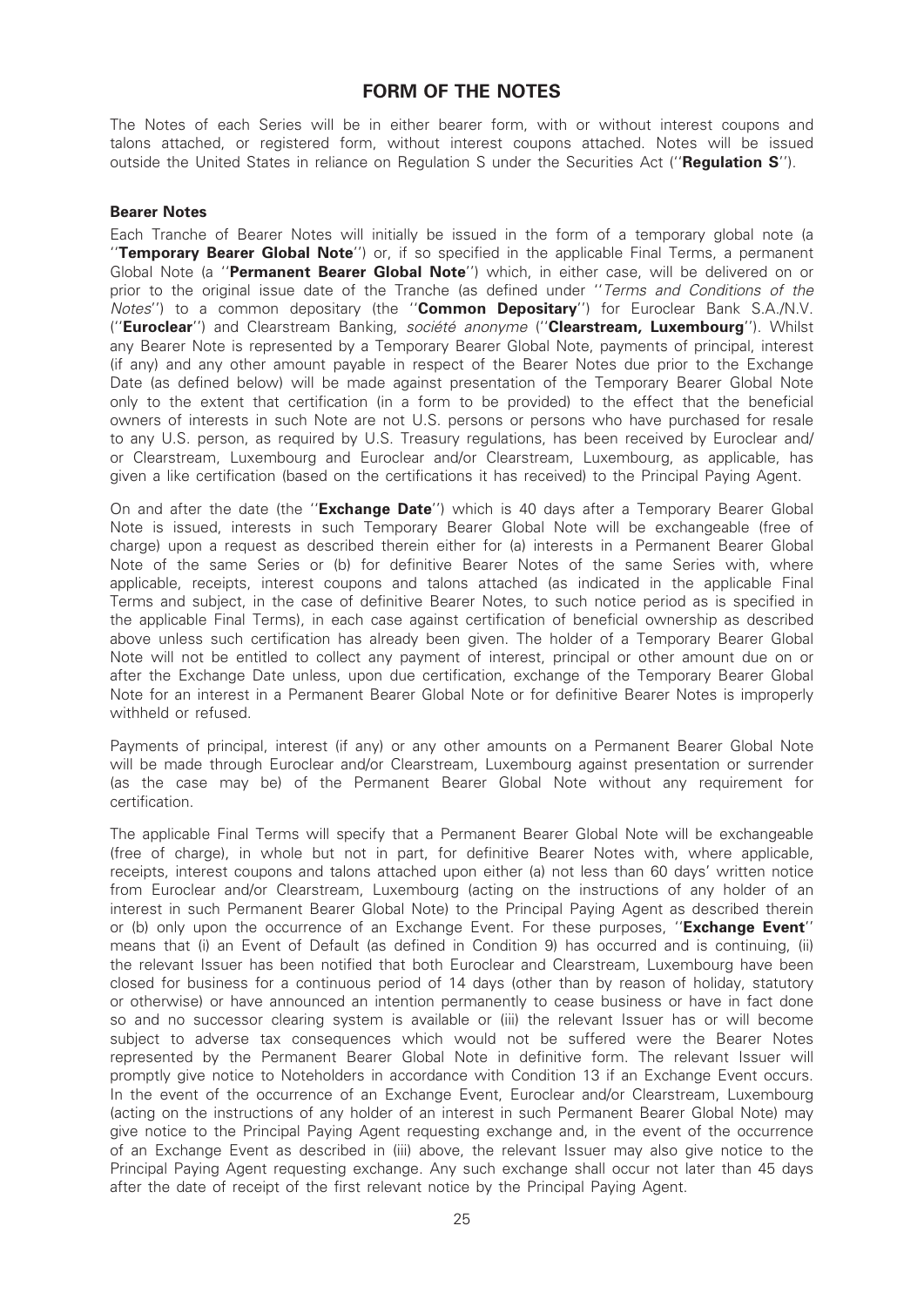# FORM OF THE NOTES

The Notes of each Series will be in either bearer form, with or without interest coupons and talons attached, or registered form, without interest coupons attached. Notes will be issued outside the United States in reliance on Regulation S under the Securities Act ("Regulation S").

#### Bearer Notes

Each Tranche of Bearer Notes will initially be issued in the form of a temporary global note (a "Temporary Bearer Global Note") or, if so specified in the applicable Final Terms, a permanent Global Note (a "Permanent Bearer Global Note") which, in either case, will be delivered on or prior to the original issue date of the Tranche (as defined under "Terms and Conditions of the Notes") to a common depositary (the "**Common Depositary**") for Euroclear Bank S.A./N.V. ("Euroclear") and Clearstream Banking, société anonyme ("Clearstream, Luxembourg"). Whilst any Bearer Note is represented by a Temporary Bearer Global Note, payments of principal, interest (if any) and any other amount payable in respect of the Bearer Notes due prior to the Exchange Date (as defined below) will be made against presentation of the Temporary Bearer Global Note only to the extent that certification (in a form to be provided) to the effect that the beneficial owners of interests in such Note are not U.S. persons or persons who have purchased for resale to any U.S. person, as required by U.S. Treasury regulations, has been received by Euroclear and/ or Clearstream, Luxembourg and Euroclear and/or Clearstream, Luxembourg, as applicable, has given a like certification (based on the certifications it has received) to the Principal Paying Agent.

On and after the date (the "**Exchange Date**") which is 40 days after a Temporary Bearer Global Note is issued, interests in such Temporary Bearer Global Note will be exchangeable (free of charge) upon a request as described therein either for (a) interests in a Permanent Bearer Global Note of the same Series or (b) for definitive Bearer Notes of the same Series with, where applicable, receipts, interest coupons and talons attached (as indicated in the applicable Final Terms and subject, in the case of definitive Bearer Notes, to such notice period as is specified in the applicable Final Terms), in each case against certification of beneficial ownership as described above unless such certification has already been given. The holder of a Temporary Bearer Global Note will not be entitled to collect any payment of interest, principal or other amount due on or after the Exchange Date unless, upon due certification, exchange of the Temporary Bearer Global Note for an interest in a Permanent Bearer Global Note or for definitive Bearer Notes is improperly withheld or refused.

Payments of principal, interest (if any) or any other amounts on a Permanent Bearer Global Note will be made through Euroclear and/or Clearstream, Luxembourg against presentation or surrender (as the case may be) of the Permanent Bearer Global Note without any requirement for certification.

The applicable Final Terms will specify that a Permanent Bearer Global Note will be exchangeable (free of charge), in whole but not in part, for definitive Bearer Notes with, where applicable, receipts, interest coupons and talons attached upon either (a) not less than 60 days' written notice from Euroclear and/or Clearstream, Luxembourg (acting on the instructions of any holder of an interest in such Permanent Bearer Global Note) to the Principal Paying Agent as described therein or (b) only upon the occurrence of an Exchange Event. For these purposes, "**Exchange Event**" means that (i) an Event of Default (as defined in Condition 9) has occurred and is continuing, (ii) the relevant Issuer has been notified that both Euroclear and Clearstream, Luxembourg have been closed for business for a continuous period of 14 days (other than by reason of holiday, statutory or otherwise) or have announced an intention permanently to cease business or have in fact done so and no successor clearing system is available or (iii) the relevant Issuer has or will become subject to adverse tax consequences which would not be suffered were the Bearer Notes represented by the Permanent Bearer Global Note in definitive form. The relevant Issuer will promptly give notice to Noteholders in accordance with Condition 13 if an Exchange Event occurs. In the event of the occurrence of an Exchange Event, Euroclear and/or Clearstream, Luxembourg (acting on the instructions of any holder of an interest in such Permanent Bearer Global Note) may give notice to the Principal Paying Agent requesting exchange and, in the event of the occurrence of an Exchange Event as described in (iii) above, the relevant Issuer may also give notice to the Principal Paying Agent requesting exchange. Any such exchange shall occur not later than 45 days after the date of receipt of the first relevant notice by the Principal Paying Agent.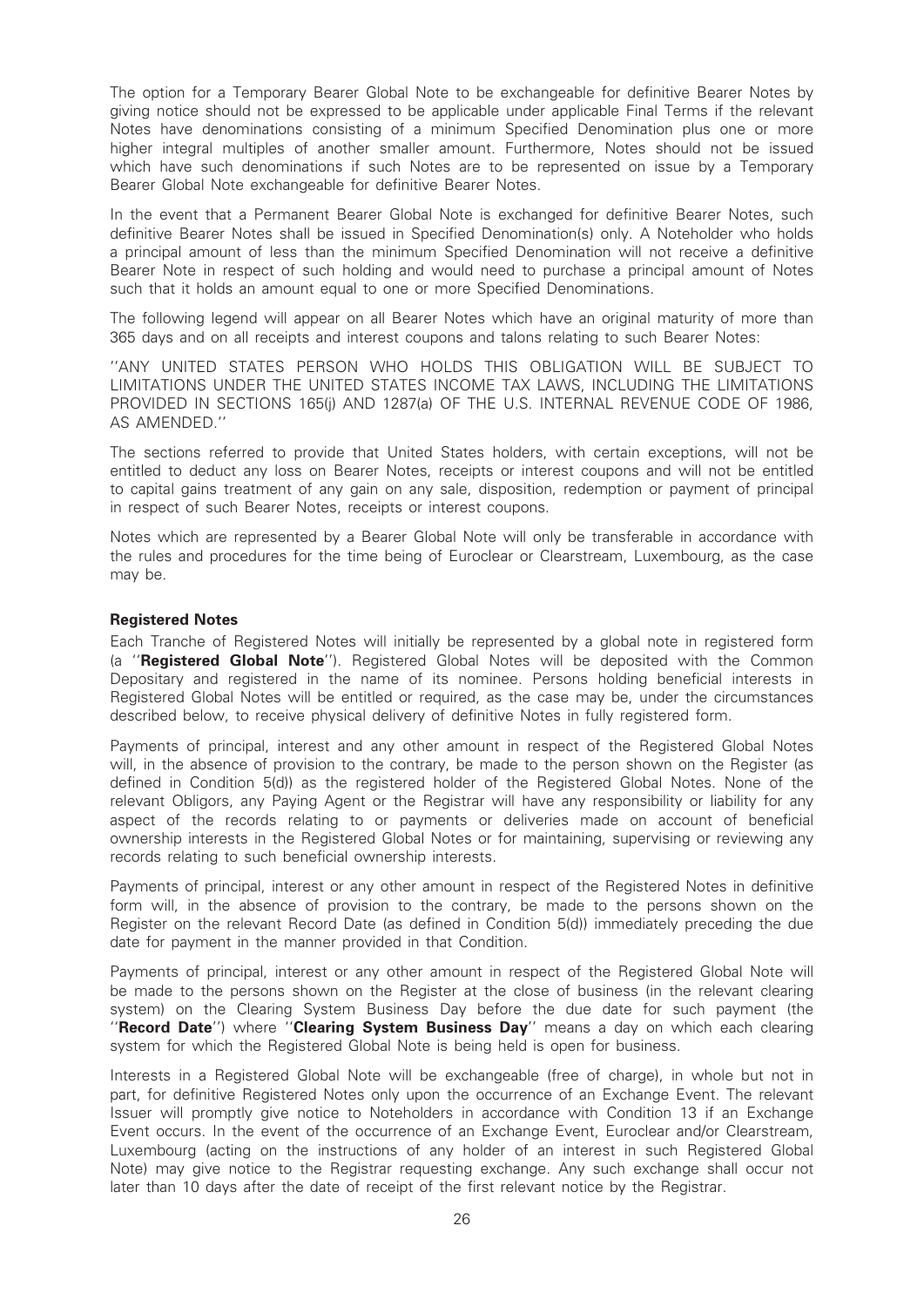The option for a Temporary Bearer Global Note to be exchangeable for definitive Bearer Notes by giving notice should not be expressed to be applicable under applicable Final Terms if the relevant Notes have denominations consisting of a minimum Specified Denomination plus one or more higher integral multiples of another smaller amount. Furthermore, Notes should not be issued which have such denominations if such Notes are to be represented on issue by a Temporary Bearer Global Note exchangeable for definitive Bearer Notes.

In the event that a Permanent Bearer Global Note is exchanged for definitive Bearer Notes, such definitive Bearer Notes shall be issued in Specified Denomination(s) only. A Noteholder who holds a principal amount of less than the minimum Specified Denomination will not receive a definitive Bearer Note in respect of such holding and would need to purchase a principal amount of Notes such that it holds an amount equal to one or more Specified Denominations.

The following legend will appear on all Bearer Notes which have an original maturity of more than 365 days and on all receipts and interest coupons and talons relating to such Bearer Notes:

''ANY UNITED STATES PERSON WHO HOLDS THIS OBLIGATION WILL BE SUBJECT TO LIMITATIONS UNDER THE UNITED STATES INCOME TAX LAWS, INCLUDING THE LIMITATIONS PROVIDED IN SECTIONS 165(j) AND 1287(a) OF THE U.S. INTERNAL REVENUE CODE OF 1986, AS AMENDED.''

The sections referred to provide that United States holders, with certain exceptions, will not be entitled to deduct any loss on Bearer Notes, receipts or interest coupons and will not be entitled to capital gains treatment of any gain on any sale, disposition, redemption or payment of principal in respect of such Bearer Notes, receipts or interest coupons.

Notes which are represented by a Bearer Global Note will only be transferable in accordance with the rules and procedures for the time being of Euroclear or Clearstream, Luxembourg, as the case may be.

#### Registered Notes

Each Tranche of Registered Notes will initially be represented by a global note in registered form (a ''Registered Global Note''). Registered Global Notes will be deposited with the Common Depositary and registered in the name of its nominee. Persons holding beneficial interests in Registered Global Notes will be entitled or required, as the case may be, under the circumstances described below, to receive physical delivery of definitive Notes in fully registered form.

Payments of principal, interest and any other amount in respect of the Registered Global Notes will, in the absence of provision to the contrary, be made to the person shown on the Register (as defined in Condition 5(d)) as the registered holder of the Registered Global Notes. None of the relevant Obligors, any Paying Agent or the Registrar will have any responsibility or liability for any aspect of the records relating to or payments or deliveries made on account of beneficial ownership interests in the Registered Global Notes or for maintaining, supervising or reviewing any records relating to such beneficial ownership interests.

Payments of principal, interest or any other amount in respect of the Registered Notes in definitive form will, in the absence of provision to the contrary, be made to the persons shown on the Register on the relevant Record Date (as defined in Condition 5(d)) immediately preceding the due date for payment in the manner provided in that Condition.

Payments of principal, interest or any other amount in respect of the Registered Global Note will be made to the persons shown on the Register at the close of business (in the relevant clearing system) on the Clearing System Business Day before the due date for such payment (the "Record Date") where "Clearing System Business Day" means a day on which each clearing system for which the Registered Global Note is being held is open for business.

Interests in a Registered Global Note will be exchangeable (free of charge), in whole but not in part, for definitive Registered Notes only upon the occurrence of an Exchange Event. The relevant Issuer will promptly give notice to Noteholders in accordance with Condition 13 if an Exchange Event occurs. In the event of the occurrence of an Exchange Event, Euroclear and/or Clearstream, Luxembourg (acting on the instructions of any holder of an interest in such Registered Global Note) may give notice to the Registrar requesting exchange. Any such exchange shall occur not later than 10 days after the date of receipt of the first relevant notice by the Registrar.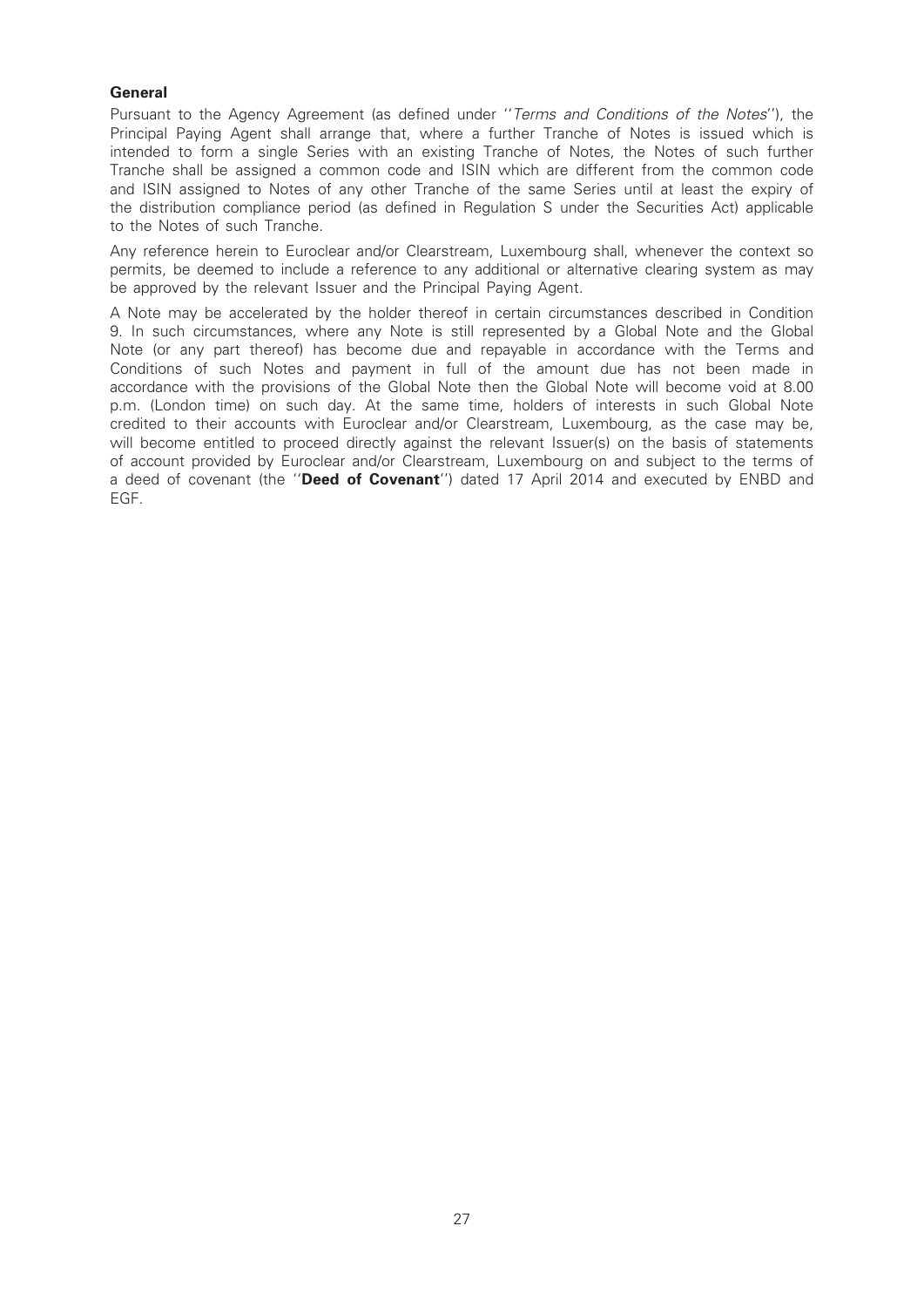# **General**

Pursuant to the Agency Agreement (as defined under ''Terms and Conditions of the Notes''), the Principal Paying Agent shall arrange that, where a further Tranche of Notes is issued which is intended to form a single Series with an existing Tranche of Notes, the Notes of such further Tranche shall be assigned a common code and ISIN which are different from the common code and ISIN assigned to Notes of any other Tranche of the same Series until at least the expiry of the distribution compliance period (as defined in Regulation S under the Securities Act) applicable to the Notes of such Tranche.

Any reference herein to Euroclear and/or Clearstream, Luxembourg shall, whenever the context so permits, be deemed to include a reference to any additional or alternative clearing system as may be approved by the relevant Issuer and the Principal Paying Agent.

A Note may be accelerated by the holder thereof in certain circumstances described in Condition 9. In such circumstances, where any Note is still represented by a Global Note and the Global Note (or any part thereof) has become due and repayable in accordance with the Terms and Conditions of such Notes and payment in full of the amount due has not been made in accordance with the provisions of the Global Note then the Global Note will become void at 8.00 p.m. (London time) on such day. At the same time, holders of interests in such Global Note credited to their accounts with Euroclear and/or Clearstream, Luxembourg, as the case may be, will become entitled to proceed directly against the relevant Issuer(s) on the basis of statements of account provided by Euroclear and/or Clearstream, Luxembourg on and subject to the terms of a deed of covenant (the "Deed of Covenant") dated 17 April 2014 and executed by ENBD and EGF.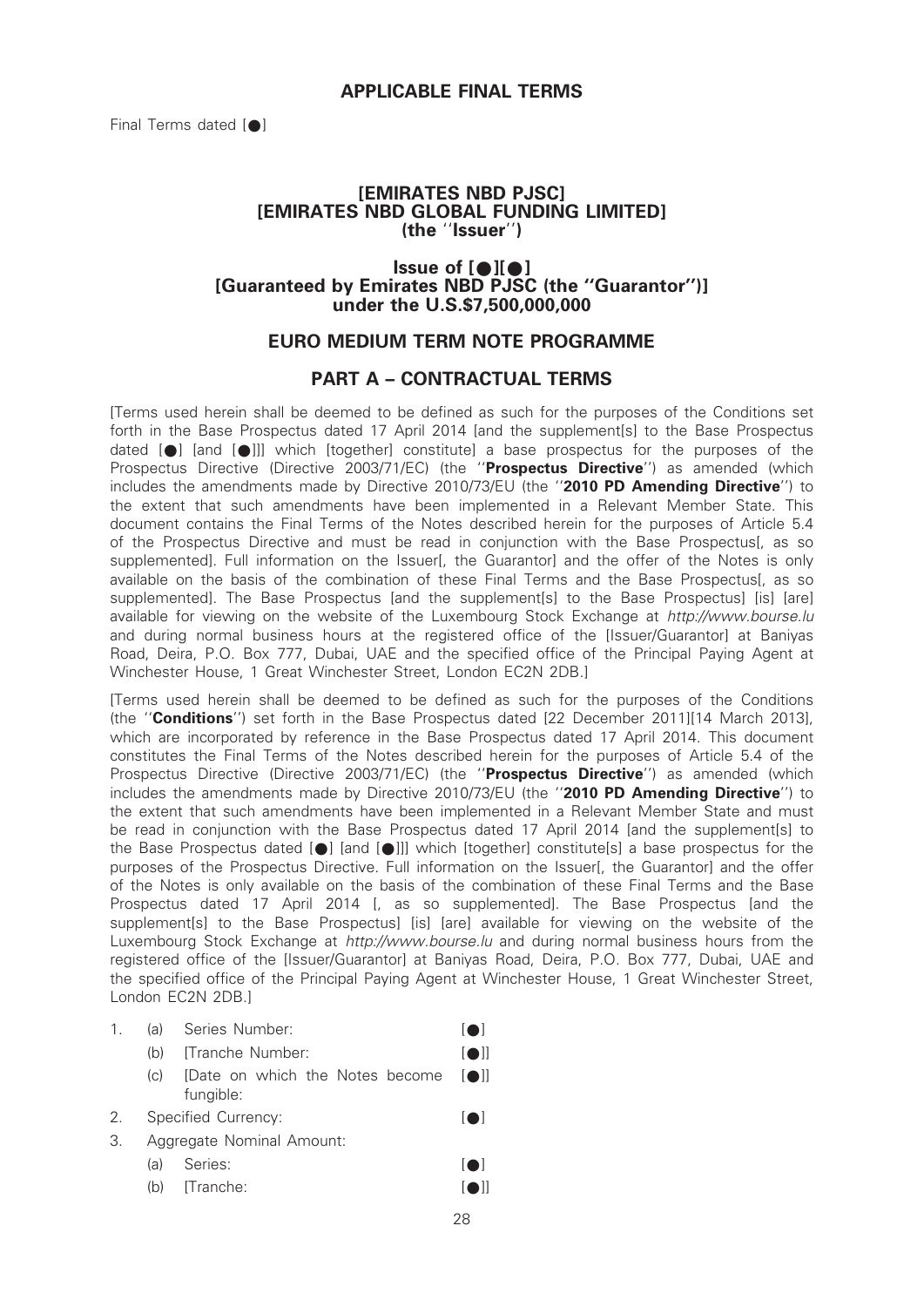# [EMIRATES NBD PJSC] [EMIRATES NBD GLOBAL FUNDING LIMITED] (the ''Issuer'')

# $Is sue of [•][•]$ [Guaranteed by Emirates NBD PJSC (the ''Guarantor'')] under the U.S.\$7,500,000,000

# EURO MEDIUM TERM NOTE PROGRAMME

# PART A – CONTRACTUAL TERMS

[Terms used herein shall be deemed to be defined as such for the purposes of the Conditions set forth in the Base Prospectus dated 17 April 2014 [and the supplement[s] to the Base Prospectus dated  $[\bullet]$  [and  $[\bullet]]$ ] which [together] constitute] a base prospectus for the purposes of the Prospectus Directive (Directive 2003/71/EC) (the "Prospectus Directive") as amended (which includes the amendments made by Directive 2010/73/EU (the ''2010 PD Amending Directive'') to the extent that such amendments have been implemented in a Relevant Member State. This document contains the Final Terms of the Notes described herein for the purposes of Article 5.4 of the Prospectus Directive and must be read in conjunction with the Base Prospectus[, as so supplemented]. Full information on the Issuer[, the Guarantor] and the offer of the Notes is only available on the basis of the combination of these Final Terms and the Base Prospectus[, as so supplemented]. The Base Prospectus [and the supplement[s] to the Base Prospectus] [is] [are] available for viewing on the website of the Luxembourg Stock Exchange at http://www.bourse.lu and during normal business hours at the registered office of the [Issuer/Guarantor] at Baniyas Road, Deira, P.O. Box 777, Dubai, UAE and the specified office of the Principal Paying Agent at Winchester House, 1 Great Winchester Street, London EC2N 2DB.]

[Terms used herein shall be deemed to be defined as such for the purposes of the Conditions (the ''Conditions'') set forth in the Base Prospectus dated [22 December 2011][14 March 2013], which are incorporated by reference in the Base Prospectus dated 17 April 2014. This document constitutes the Final Terms of the Notes described herein for the purposes of Article 5.4 of the Prospectus Directive (Directive 2003/71/EC) (the "Prospectus Directive") as amended (which includes the amendments made by Directive 2010/73/EU (the "2010 PD Amending Directive") to the extent that such amendments have been implemented in a Relevant Member State and must be read in conjunction with the Base Prospectus dated 17 April 2014 [and the supplement[s] to the Base Prospectus dated  $[\bullet]$  [and  $[\bullet]]$ ] which [together] constitute[s] a base prospectus for the purposes of the Prospectus Directive. Full information on the Issuer I, the Guarantorl and the offer of the Notes is only available on the basis of the combination of these Final Terms and the Base Prospectus dated 17 April 2014 [, as so supplemented]. The Base Prospectus [and the supplement[s] to the Base Prospectus] [is] [are] available for viewing on the website of the Luxembourg Stock Exchange at http://www.bourse.lu and during normal business hours from the registered office of the [Issuer/Guarantor] at Baniyas Road, Deira, P.O. Box 777, Dubai, UAE and the specified office of the Principal Paying Agent at Winchester House, 1 Great Winchester Street, London EC2N 2DB.]

# 1. (a) Series Number: [ $\bullet$ ]

- (b) [Tranche Number: [ $\bullet$ ]]
- $(c)$  [Date on which the Notes become  $[\bigcirc]$ ] fungible:
- 2. Specified Currency:  $\lceil \bullet \rceil$
- 3. Aggregate Nominal Amount:
	- (a) Series:  $[**•**]$
	- (b) [Tranche: [\*]]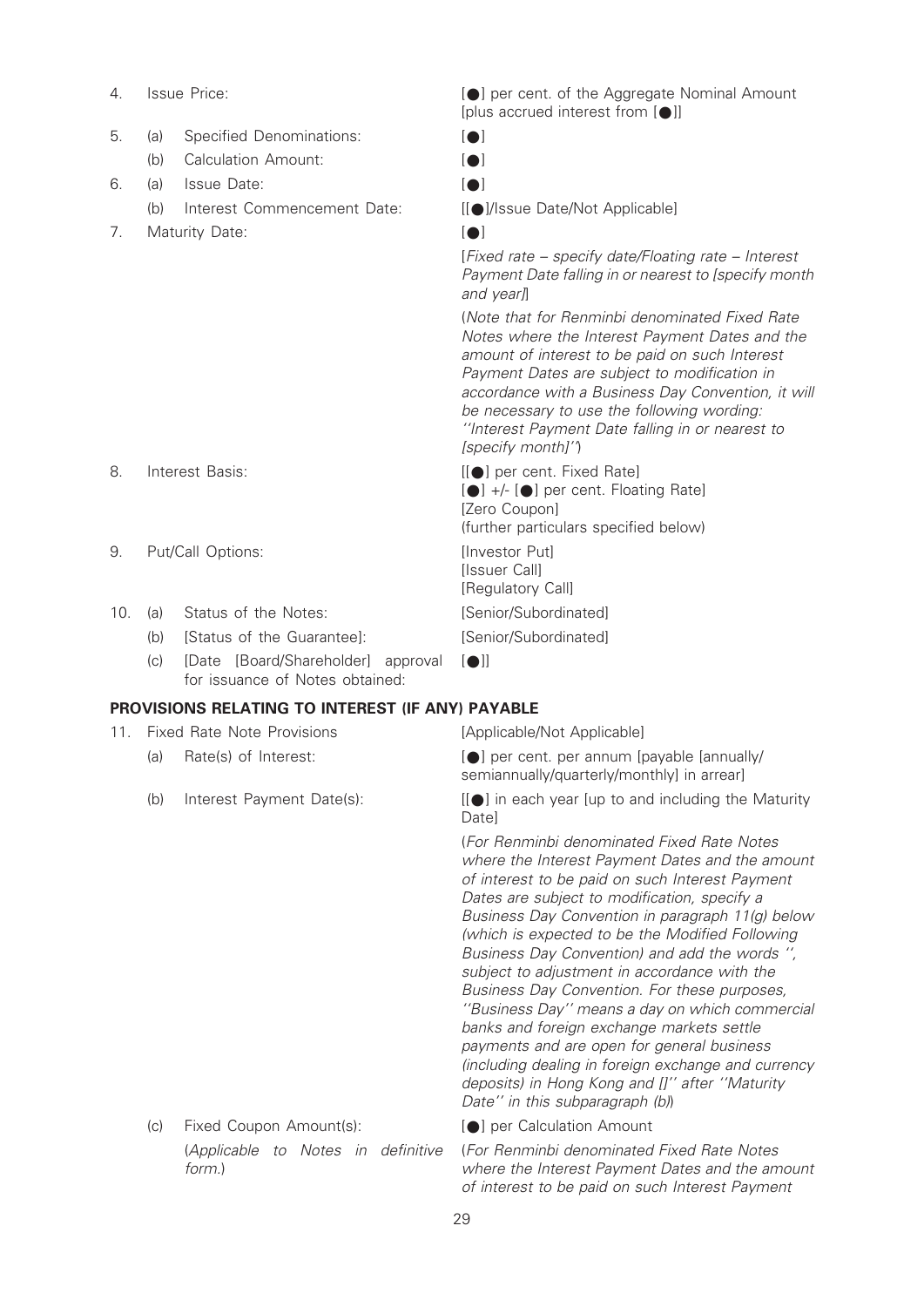- 
- 5. (a) Specified Denominations: [ $\bullet$ ]
	- (b) Calculation Amount: [ $\bigcirc$ ]
- 6. (a) Issue Date: [\*]
	- (b) Interest Commencement Date: [[\*]/Issue Date/Not Applicable]
- 7. Maturity Date: [ $\bullet$ ]

4. Issue Price:  $[•]$  per cent. of the Aggregate Nominal Amount [plus accrued interest from  $[•]$ ]

- 
- 
- 

[Fixed rate – specify date/Floating rate – Interest Payment Date falling in or nearest to [specify month and year]

(Note that for Renminbi denominated Fixed Rate Notes where the Interest Payment Dates and the amount of interest to be paid on such Interest Payment Dates are subject to modification in accordance with a Business Day Convention, it will be necessary to use the following wording: ''Interest Payment Date falling in or nearest to [specify month]'')

8. Interest Basis: [[ $\bullet$ ] per cent. Fixed Rate]  $[•]$  +/-  $[•]$  per cent. Floating Rate] [Zero Coupon] (further particulars specified below) 9. Put/Call Options: [Investor Put] **Ilssuer Call1** [Regulatory Call] 10. (a) Status of the Notes: [Senior/Subordinated] (b) [Status of the Guarantee]: [Senior/Subordinated]

 $|$ 

(c) [Date [Board/Shareholder] approval for issuance of Notes obtained:

# PROVISIONS RELATING TO INTEREST (IF ANY) PAYABLE

- 11. Fixed Rate Note Provisions [Applicable/Not Applicable]
	-
	-

(a) Rate(s) of Interest:  $[•]$  per cent. per annum [payable [annually/ semiannually/quarterly/monthly] in arrear]

(b) Interest Payment Date(s):  $[[\bullet]]$  in each year [up to and including the Maturity **Datel** 

> (For Renminbi denominated Fixed Rate Notes where the Interest Payment Dates and the amount of interest to be paid on such Interest Payment Dates are subject to modification, specify a Business Day Convention in paragraph 11(g) below (which is expected to be the Modified Following Business Day Convention) and add the words '', subject to adjustment in accordance with the Business Day Convention. For these purposes, ''Business Day'' means a day on which commercial banks and foreign exchange markets settle payments and are open for general business (including dealing in foreign exchange and currency deposits) in Hong Kong and []'' after ''Maturity Date" in this subparagraph (b)

(c) Fixed Coupon Amount(s): [\*] per Calculation Amount (Applicable to Notes in definitive form.)

(For Renminbi denominated Fixed Rate Notes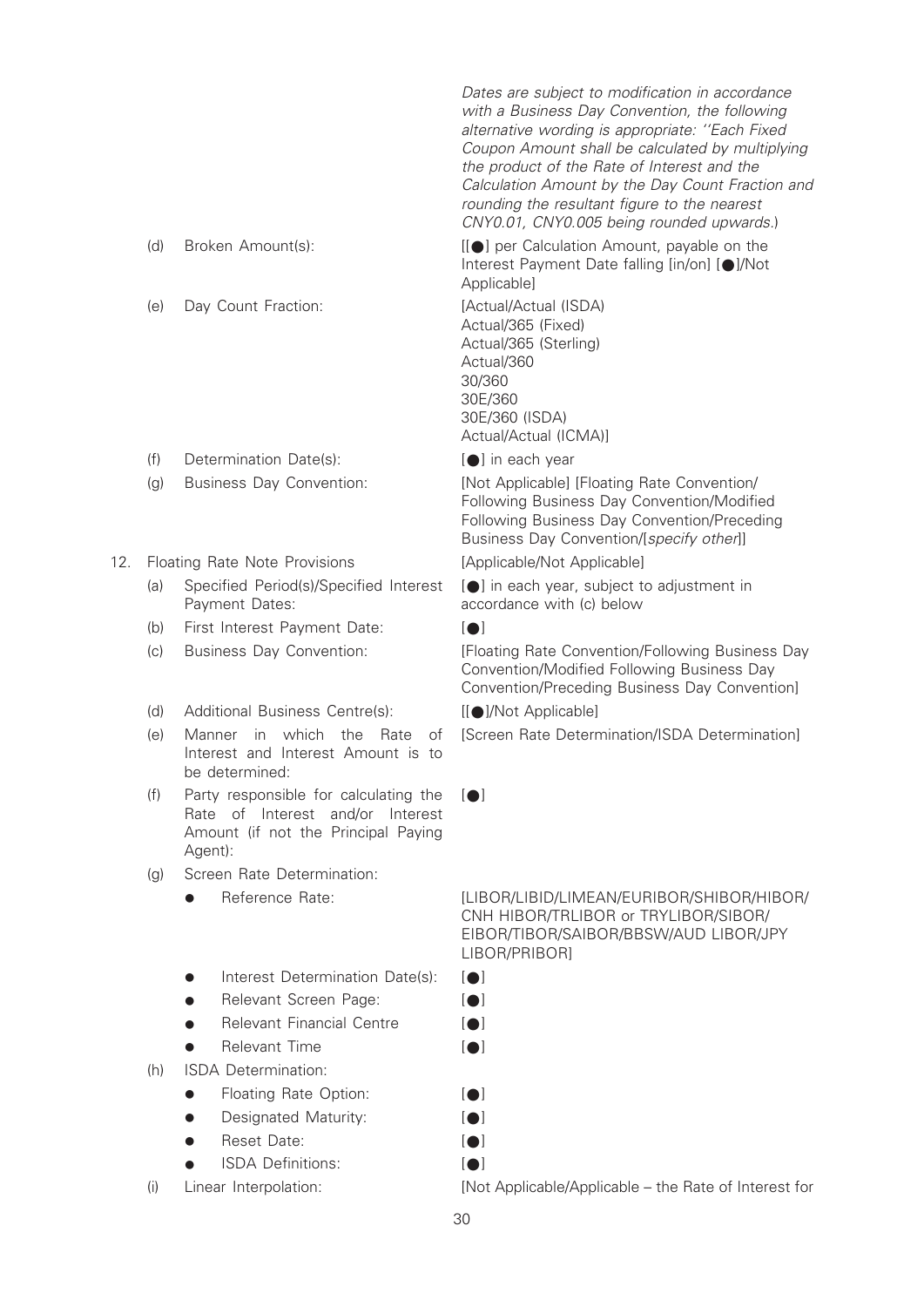|     |     |                                                                                                                                | Dates are subject to modification in accordance<br>with a Business Day Convention, the following<br>alternative wording is appropriate: "Each Fixed<br>Coupon Amount shall be calculated by multiplying<br>the product of the Rate of Interest and the<br>Calculation Amount by the Day Count Fraction and<br>rounding the resultant figure to the nearest<br>CNY0.01, CNY0.005 being rounded upwards.) |
|-----|-----|--------------------------------------------------------------------------------------------------------------------------------|---------------------------------------------------------------------------------------------------------------------------------------------------------------------------------------------------------------------------------------------------------------------------------------------------------------------------------------------------------------------------------------------------------|
|     | (d) | Broken Amount(s):                                                                                                              | [[●] per Calculation Amount, payable on the<br>Interest Payment Date falling [in/on] [●]/Not<br>Applicable]                                                                                                                                                                                                                                                                                             |
|     | (e) | Day Count Fraction:                                                                                                            | [Actual/Actual (ISDA)<br>Actual/365 (Fixed)<br>Actual/365 (Sterling)<br>Actual/360<br>30/360<br>30E/360<br>30E/360 (ISDA)<br>Actual/Actual (ICMA)]                                                                                                                                                                                                                                                      |
|     | (f) | Determination Date(s):                                                                                                         | [●] in each year                                                                                                                                                                                                                                                                                                                                                                                        |
|     | (g) | <b>Business Day Convention:</b>                                                                                                | [Not Applicable] [Floating Rate Convention/<br>Following Business Day Convention/Modified<br>Following Business Day Convention/Preceding<br>Business Day Convention/[specify other]]                                                                                                                                                                                                                    |
| 12. |     | Floating Rate Note Provisions                                                                                                  | [Applicable/Not Applicable]                                                                                                                                                                                                                                                                                                                                                                             |
|     | (a) | Specified Period(s)/Specified Interest<br>Payment Dates:                                                                       | [●] in each year, subject to adjustment in<br>accordance with (c) below                                                                                                                                                                                                                                                                                                                                 |
|     | (b) | First Interest Payment Date:                                                                                                   | $\blacksquare$                                                                                                                                                                                                                                                                                                                                                                                          |
|     | (c) | Business Day Convention:                                                                                                       | [Floating Rate Convention/Following Business Day<br>Convention/Modified Following Business Day<br>Convention/Preceding Business Day Convention]                                                                                                                                                                                                                                                         |
|     | (d) | Additional Business Centre(s):                                                                                                 | [[●]/Not Applicable]                                                                                                                                                                                                                                                                                                                                                                                    |
|     | (e) | which<br>the<br>Manner<br>in<br>Rate<br>of<br>Interest and Interest Amount is to<br>be determined:                             | [Screen Rate Determination/ISDA Determination]                                                                                                                                                                                                                                                                                                                                                          |
|     | (f) | Party responsible for calculating the<br>Rate of Interest and/or<br>Interest<br>Amount (if not the Principal Paying<br>Agent): | $\blacksquare$                                                                                                                                                                                                                                                                                                                                                                                          |
|     | (g) | Screen Rate Determination:                                                                                                     |                                                                                                                                                                                                                                                                                                                                                                                                         |
|     |     | Reference Rate:                                                                                                                | [LIBOR/LIBID/LIMEAN/EURIBOR/SHIBOR/HIBOR/<br>CNH HIBOR/TRLIBOR or TRYLIBOR/SIBOR/<br>EIBOR/TIBOR/SAIBOR/BBSW/AUD LIBOR/JPY<br>LIBOR/PRIBOR]                                                                                                                                                                                                                                                             |
|     |     | Interest Determination Date(s):                                                                                                | $\blacksquare$                                                                                                                                                                                                                                                                                                                                                                                          |
|     |     | Relevant Screen Page:                                                                                                          | $\blacksquare$                                                                                                                                                                                                                                                                                                                                                                                          |
|     |     | <b>Relevant Financial Centre</b>                                                                                               | $\blacksquare$                                                                                                                                                                                                                                                                                                                                                                                          |
|     |     | <b>Relevant Time</b>                                                                                                           | $\blacksquare$                                                                                                                                                                                                                                                                                                                                                                                          |
|     | (h) | <b>ISDA</b> Determination:                                                                                                     |                                                                                                                                                                                                                                                                                                                                                                                                         |
|     |     | Floating Rate Option:                                                                                                          | <b>101</b>                                                                                                                                                                                                                                                                                                                                                                                              |
|     |     | Designated Maturity:                                                                                                           | $\blacksquare$                                                                                                                                                                                                                                                                                                                                                                                          |
|     |     | Reset Date:                                                                                                                    | $\blacksquare$                                                                                                                                                                                                                                                                                                                                                                                          |

• ISDA Definitions: [ $\bullet$ ]

(i) Linear Interpolation: [Not Applicable/Applicable – the Rate of Interest for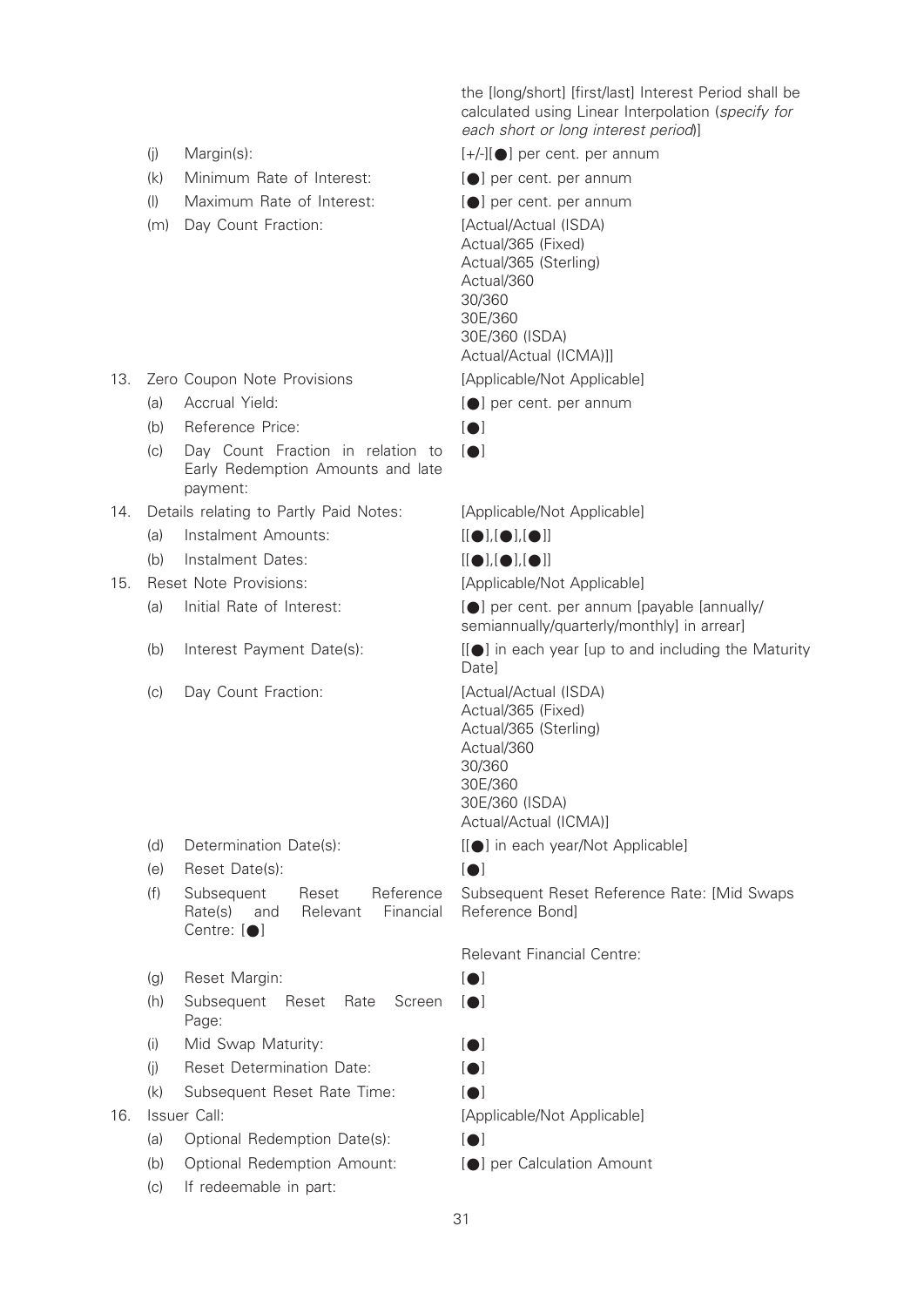the [long/short] [first/last] Interest Period shall be calculated using Linear Interpolation (specify for each short or long interest period)]

- (i) Margin(s):  $[+/][\bullet]$  per cent. per annum
- (k) Minimum Rate of Interest: [\*] per cent. per annum
- (l) Maximum Rate of Interest: [\*] per cent. per annum
- (m) Day Count Fraction: [Actual/Actual (ISDA)

- 13. Zero Coupon Note Provisions [Applicable/Not Applicable]
	- (a) Accrual Yield:  $\lceil \bullet \rceil$  per cent. per annum
	- (b) Reference Price:  $\lceil \bullet \rceil$
	- (c) Day Count Fraction in relation to Early Redemption Amounts and late payment:
- 14. Details relating to Partly Paid Notes: [Applicable/Not Applicable]
	- (a) Instalment Amounts:  $[[\bullet],[\bullet]]$
	- (b) Instalment Dates:  $[[\bullet],[\bullet]]$

#### 15. Reset Note Provisions: [Applicable/Not Applicable]

- 
- 
- (c) Day Count Fraction: [Actual/Actual (ISDA)

- (e) Reset Date(s):  $[•]$
- (f) Subsequent Reset Reference Rate(s) and Relevant Financial Centre:  $[ \bullet ]$
- (g) Reset Margin: [ $\bigcirc$ ]
- (h) Subsequent Reset Rate Screen Page:
- (i) Mid Swap Maturity:  $[•]$
- (i) Reset Determination Date:  $\lceil \bullet \rceil$
- (k) Subsequent Reset Rate Time:  $[ \bullet ]$

- (a) Optional Redemption Date(s):  $[ \bullet]$
- (b) Optional Redemption Amount: [\*] per Calculation Amount
- (c) If redeemable in part:
- 
- 
- 

Actual/365 (Fixed) Actual/365 (Sterling) Actual/360 30/360 30E/360 30E/360 (ISDA) Actual/Actual (ICMA)]]

- 
- 
- $\blacksquare$

(a) Initial Rate of Interest:  $[①]$  per cent. per annum [payable [annually/ semiannually/quarterly/monthly] in arrear]

(b) Interest Payment Date(s):  $[[\bullet]]$  in each year [up to and including the Maturity Date]

> Actual/365 (Fixed) Actual/365 (Sterling) Actual/360 30/360 30E/360 30E/360 (ISDA) Actual/Actual (ICMA)]

(d) Determination Date(s): [[ $\bullet$ ] in each year/Not Applicable]

Subsequent Reset Reference Rate: [Mid Swaps Reference Bond]

Relevant Financial Centre:

- 
- $|$
- 
- 
- 

16. Issuer Call: international contracts and the IApplicable/Not Applicable]

- 
-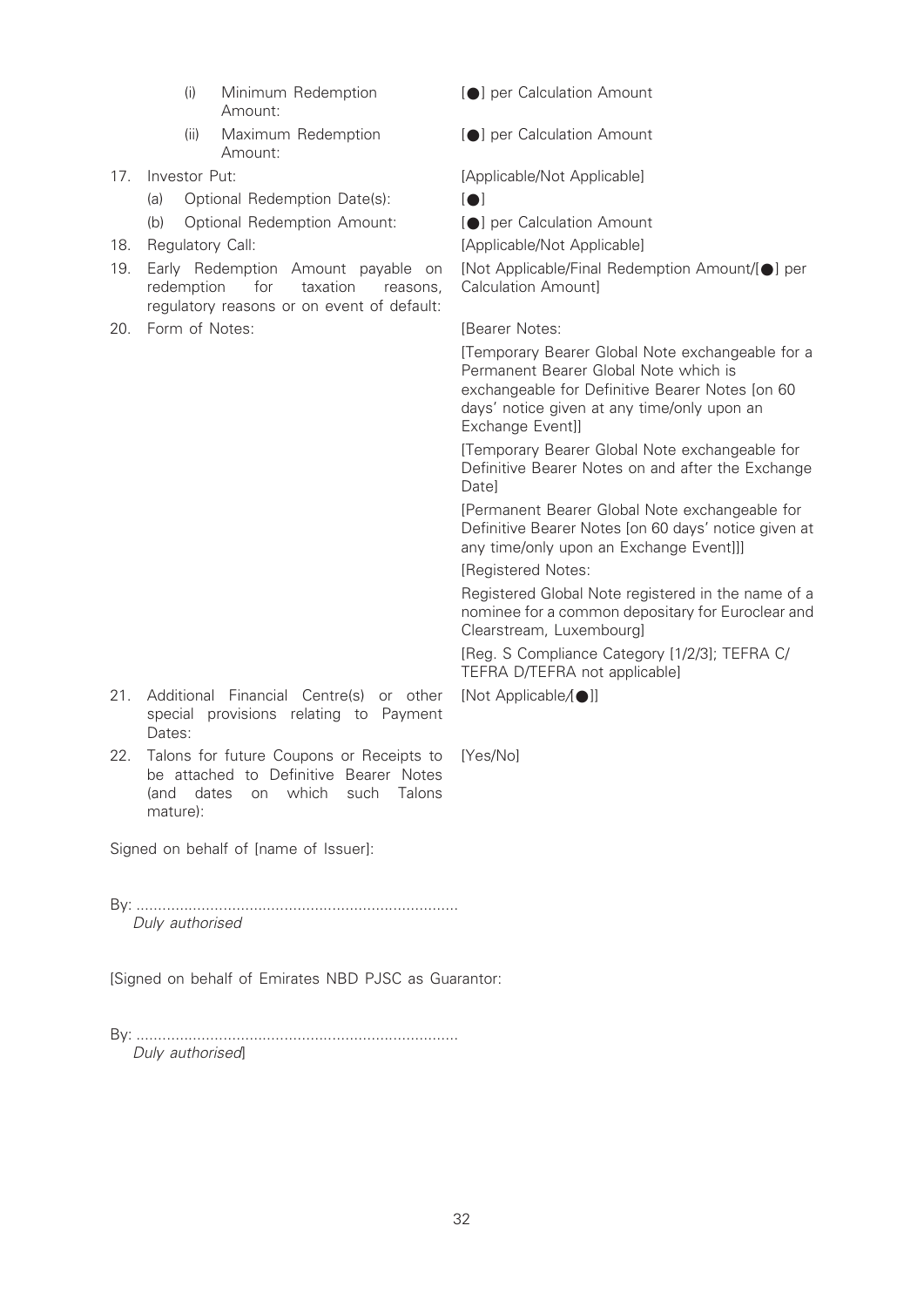- (i) Minimum Redemption Amount:
- (ii) Maximum Redemption Amount:
- - (a) Optional Redemption Date(s): [ $\bigcirc$ ]
	- (b) Optional Redemption Amount: [\*] per Calculation Amount
- 
- 19. Early Redemption Amount payable on redemption for taxation reasons, regulatory reasons or on event of default:
- 20. Form of Notes: **Example 20.** [Bearer Notes:

[ $\bigcirc$ ] per Calculation Amount

[ $\bigcirc$ ] per Calculation Amount

17. Investor Put:  $[Applicable/Not Applicable]$ 

- 
- 

18. Regulatory Call:  $[Applicable/Not Applicable]$ 

[Not Applicable/Final Redemption Amount/[\*] per Calculation Amount]

[Temporary Bearer Global Note exchangeable for a Permanent Bearer Global Note which is exchangeable for Definitive Bearer Notes [on 60 days' notice given at any time/only upon an Exchange Event]]

[Temporary Bearer Global Note exchangeable for Definitive Bearer Notes on and after the Exchange Date]

[Permanent Bearer Global Note exchangeable for Definitive Bearer Notes [on 60 days' notice given at any time/only upon an Exchange Event]]]

[Registered Notes:

Registered Global Note registered in the name of a nominee for a common depositary for Euroclear and Clearstream, Luxembourg]

[Reg. S Compliance Category [1/2/3]; TEFRA C/ TEFRA D/TEFRA not applicable]

[Not Applicable/[ $\bigcirc$ ]]

- 21. Additional Financial Centre(s) or other special provisions relating to Payment Dates:
- 22. Talons for future Coupons or Receipts to [Yes/No] be attached to Definitive Bearer Notes (and dates on which such Talons mature):

Signed on behalf of [name of Issuer]:

By: .......................................................................... Duly authorised

[Signed on behalf of Emirates NBD PJSC as Guarantor:

By: .......................................................................... Duly authorised]

32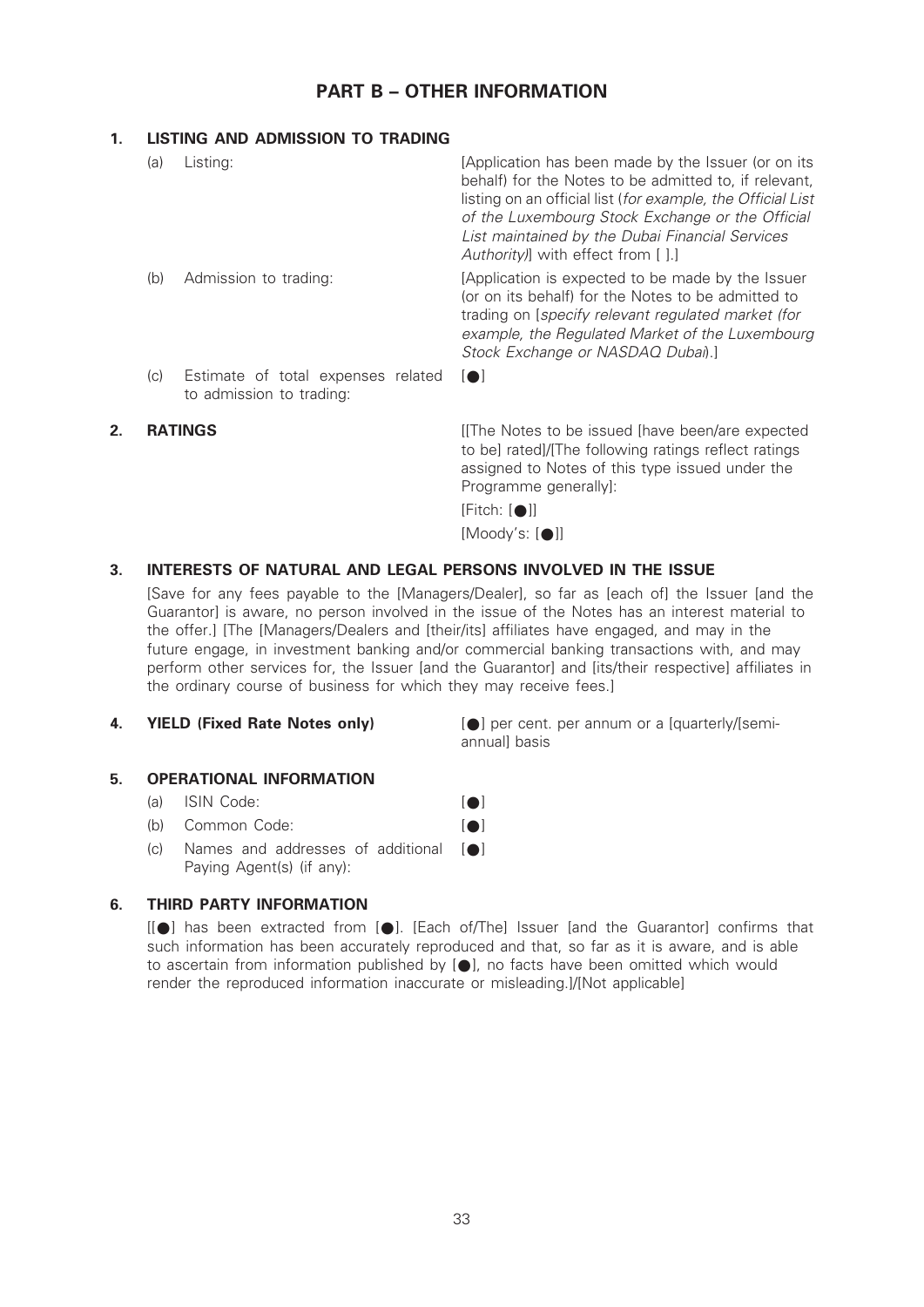# PART B – OTHER INFORMATION

# 1. LISTING AND ADMISSION TO TRADING  $(a)$  listing:

| (a) | Listing:                                                       | [Application has been made by the Issuer (or on its<br>behalf) for the Notes to be admitted to, if relevant,<br>listing on an official list (for example, the Official List<br>of the Luxembourg Stock Exchange or the Official<br>List maintained by the Dubai Financial Services<br>Authority) with effect from [].] |
|-----|----------------------------------------------------------------|------------------------------------------------------------------------------------------------------------------------------------------------------------------------------------------------------------------------------------------------------------------------------------------------------------------------|
| (b) | Admission to trading:                                          | [Application is expected to be made by the Issuer<br>(or on its behalf) for the Notes to be admitted to<br>trading on [specify relevant regulated market (for<br>example, the Regulated Market of the Luxembourg<br>Stock Exchange or NASDAQ Dubai).]                                                                  |
| (c) | Estimate of total expenses related<br>to admission to trading: | $\blacksquare$                                                                                                                                                                                                                                                                                                         |

**2. RATINGS EXECUTE: EXECUTE:** If the Notes to be issued [have been/are expected to be] rated]/[The following ratings reflect ratings assigned to Notes of this type issued under the Programme generally]:

#### $[Fitch: [①]$ ]

 $[Mody's: [\n\bullet]]$ 

# 3. INTERESTS OF NATURAL AND LEGAL PERSONS INVOLVED IN THE ISSUE

[Save for any fees payable to the [Managers/Dealer], so far as [each of] the Issuer [and the Guarantor] is aware, no person involved in the issue of the Notes has an interest material to the offer.] [The [Managers/Dealers and [their/its] affiliates have engaged, and may in the future engage, in investment banking and/or commercial banking transactions with, and may perform other services for, the Issuer [and the Guarantor] and [its/their respective] affiliates in the ordinary course of business for which they may receive fees.]

4. **YIELD (Fixed Rate Notes only) [Call per cent. per annum or a [quarterly/[semi**annual] basis

### 5. OPERATIONAL INFORMATION

#### (a) ISIN Code: [ $\bullet$ ]

- (b) Common Code: [ $\bullet$ ]
- $(c)$  Names and addresses of additional  $[•]$ Paying Agent(s) (if any):

# 6. THIRD PARTY INFORMATION

 $[[\bullet]$  has been extracted from  $[\bullet]$ . [Each of/The] Issuer [and the Guarantor] confirms that such information has been accurately reproduced and that, so far as it is aware, and is able to ascertain from information published by  $[\,\bullet\,]$ , no facts have been omitted which would render the reproduced information inaccurate or misleading.]/[Not applicable]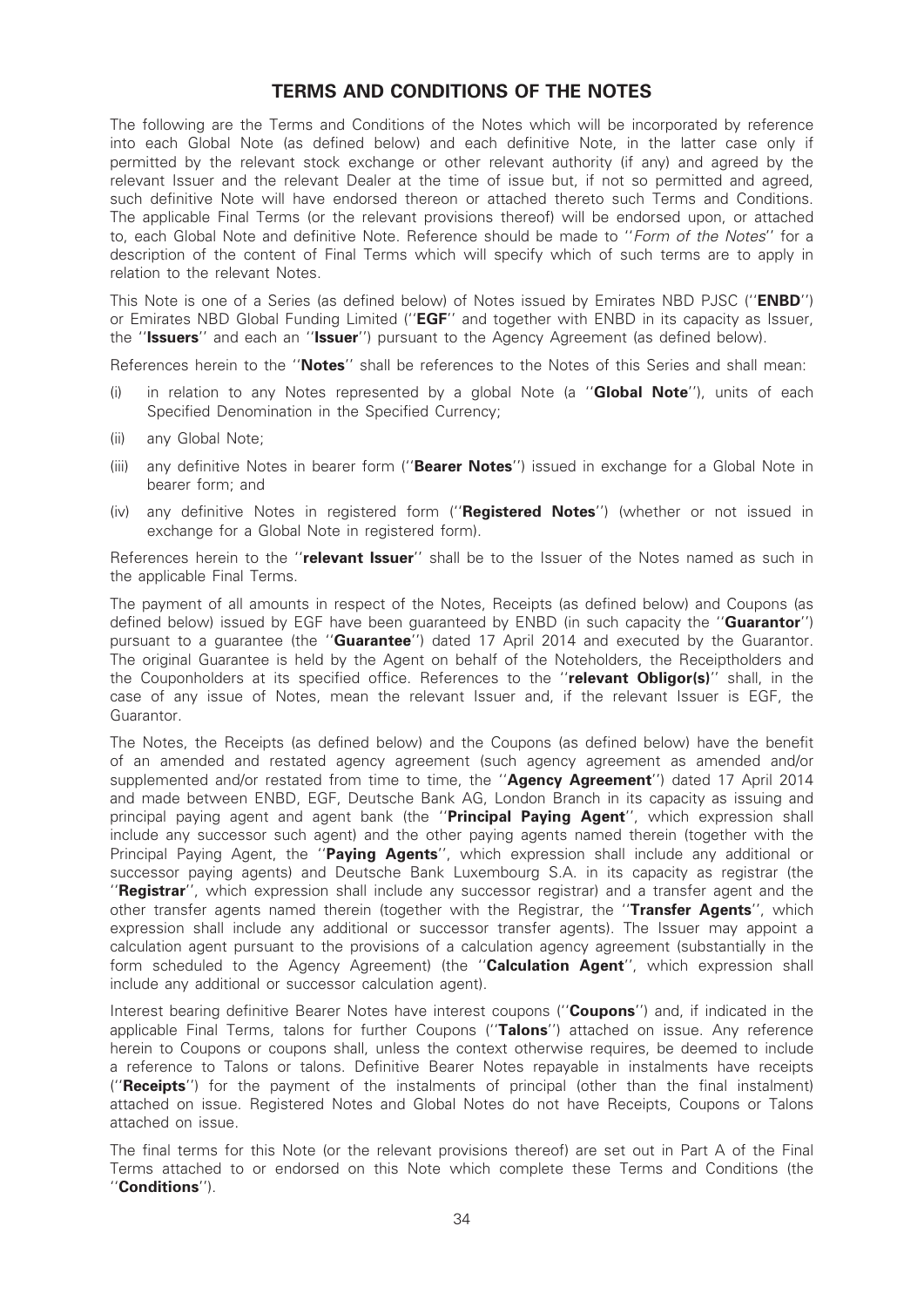# TERMS AND CONDITIONS OF THE NOTES

The following are the Terms and Conditions of the Notes which will be incorporated by reference into each Global Note (as defined below) and each definitive Note, in the latter case only if permitted by the relevant stock exchange or other relevant authority (if any) and agreed by the relevant Issuer and the relevant Dealer at the time of issue but, if not so permitted and agreed, such definitive Note will have endorsed thereon or attached thereto such Terms and Conditions. The applicable Final Terms (or the relevant provisions thereof) will be endorsed upon, or attached to, each Global Note and definitive Note. Reference should be made to ''Form of the Notes'' for a description of the content of Final Terms which will specify which of such terms are to apply in relation to the relevant Notes.

This Note is one of a Series (as defined below) of Notes issued by Emirates NBD PJSC ("**ENBD**") or Emirates NBD Global Funding Limited ("EGF" and together with ENBD in its capacity as Issuer, the "Issuers" and each an "Issuer") pursuant to the Agency Agreement (as defined below).

References herein to the "**Notes**" shall be references to the Notes of this Series and shall mean:

- (i) in relation to any Notes represented by a global Note (a "Global Note"), units of each Specified Denomination in the Specified Currency;
- (ii) any Global Note;
- (iii) any definitive Notes in bearer form ("Bearer Notes") issued in exchange for a Global Note in bearer form; and
- (iv) any definitive Notes in registered form (''Registered Notes'') (whether or not issued in exchange for a Global Note in registered form).

References herein to the "relevant Issuer" shall be to the Issuer of the Notes named as such in the applicable Final Terms.

The payment of all amounts in respect of the Notes, Receipts (as defined below) and Coupons (as defined below) issued by EGF have been quaranteed by ENBD (in such capacity the "**Guarantor**") pursuant to a guarantee (the "**Guarantee**") dated 17 April 2014 and executed by the Guarantor. The original Guarantee is held by the Agent on behalf of the Noteholders, the Receiptholders and the Couponholders at its specified office. References to the "relevant Obligor(s)" shall, in the case of any issue of Notes, mean the relevant Issuer and, if the relevant Issuer is EGF, the Guarantor.

The Notes, the Receipts (as defined below) and the Coupons (as defined below) have the benefit of an amended and restated agency agreement (such agency agreement as amended and/or supplemented and/or restated from time to time, the "Agency Agreement") dated 17 April 2014 and made between ENBD, EGF, Deutsche Bank AG, London Branch in its capacity as issuing and principal paying agent and agent bank (the "Principal Paying Agent", which expression shall include any successor such agent) and the other paying agents named therein (together with the Principal Paying Agent, the "Paying Agents", which expression shall include any additional or successor paying agents) and Deutsche Bank Luxembourg S.A. in its capacity as registrar (the "Registrar", which expression shall include any successor registrar) and a transfer agent and the other transfer agents named therein (together with the Registrar, the "Transfer Agents", which expression shall include any additional or successor transfer agents). The Issuer may appoint a calculation agent pursuant to the provisions of a calculation agency agreement (substantially in the form scheduled to the Agency Agreement) (the "Calculation Agent", which expression shall include any additional or successor calculation agent).

Interest bearing definitive Bearer Notes have interest coupons ("Coupons") and, if indicated in the applicable Final Terms, talons for further Coupons ("Talons") attached on issue. Any reference herein to Coupons or coupons shall, unless the context otherwise requires, be deemed to include a reference to Talons or talons. Definitive Bearer Notes repayable in instalments have receipts ("**Receipts**") for the payment of the instalments of principal (other than the final instalment) attached on issue. Registered Notes and Global Notes do not have Receipts, Coupons or Talons attached on issue.

The final terms for this Note (or the relevant provisions thereof) are set out in Part A of the Final Terms attached to or endorsed on this Note which complete these Terms and Conditions (the ''Conditions'').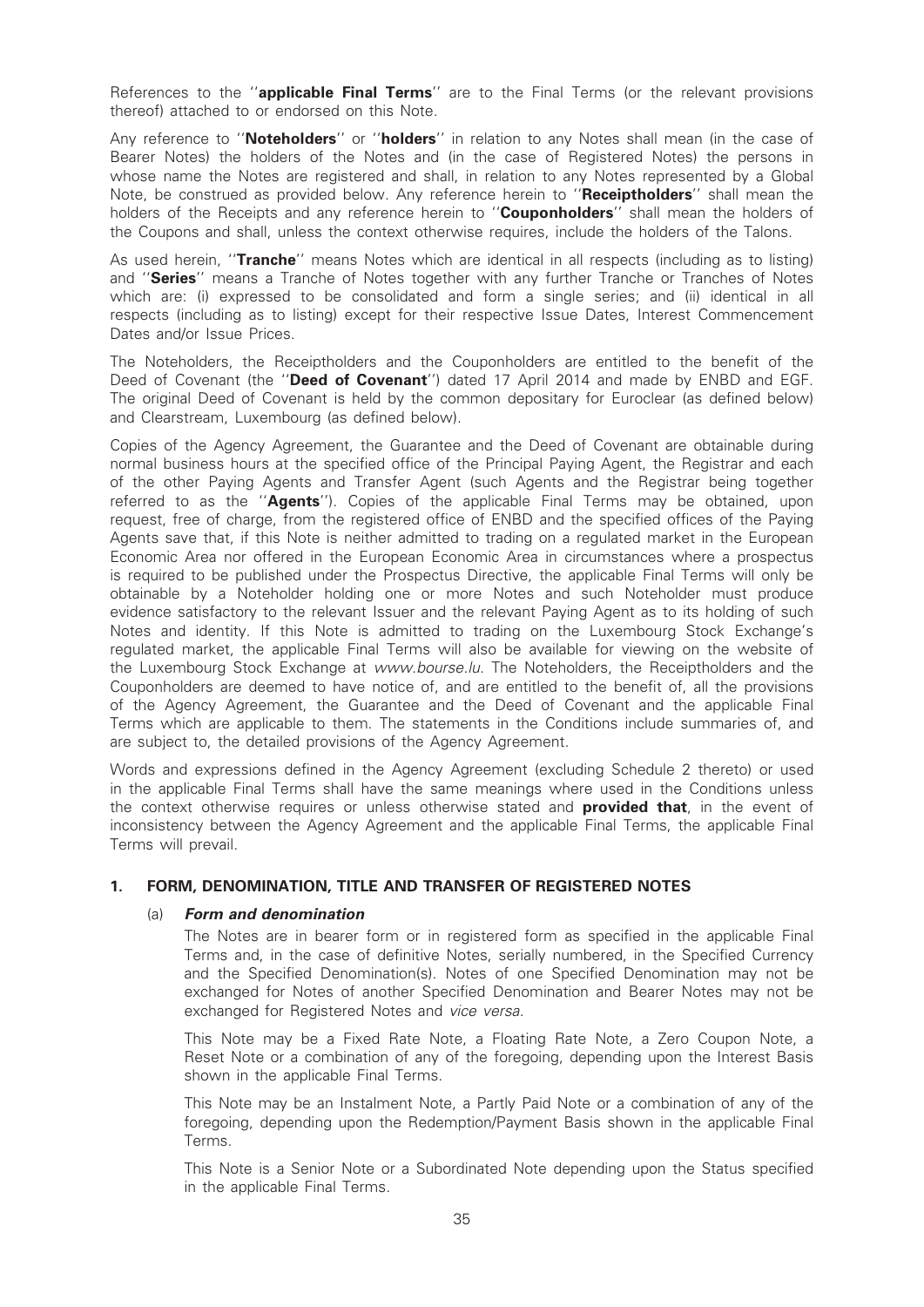References to the "**applicable Final Terms**" are to the Final Terms (or the relevant provisions thereof) attached to or endorsed on this Note.

Any reference to "Noteholders" or "holders" in relation to any Notes shall mean (in the case of Bearer Notes) the holders of the Notes and (in the case of Registered Notes) the persons in whose name the Notes are registered and shall, in relation to any Notes represented by a Global Note, be construed as provided below. Any reference herein to "Receiptholders" shall mean the holders of the Receipts and any reference herein to "Couponholders" shall mean the holders of the Coupons and shall, unless the context otherwise requires, include the holders of the Talons.

As used herein, "Tranche" means Notes which are identical in all respects (including as to listing) and "Series" means a Tranche of Notes together with any further Tranche or Tranches of Notes which are: (i) expressed to be consolidated and form a single series; and (ii) identical in all respects (including as to listing) except for their respective Issue Dates, Interest Commencement Dates and/or Issue Prices.

The Noteholders, the Receiptholders and the Couponholders are entitled to the benefit of the Deed of Covenant (the "Deed of Covenant") dated 17 April 2014 and made by ENBD and EGF. The original Deed of Covenant is held by the common depositary for Euroclear (as defined below) and Clearstream, Luxembourg (as defined below).

Copies of the Agency Agreement, the Guarantee and the Deed of Covenant are obtainable during normal business hours at the specified office of the Principal Paying Agent, the Registrar and each of the other Paying Agents and Transfer Agent (such Agents and the Registrar being together referred to as the "Agents"). Copies of the applicable Final Terms may be obtained, upon request, free of charge, from the registered office of ENBD and the specified offices of the Paying Agents save that, if this Note is neither admitted to trading on a regulated market in the European Economic Area nor offered in the European Economic Area in circumstances where a prospectus is required to be published under the Prospectus Directive, the applicable Final Terms will only be obtainable by a Noteholder holding one or more Notes and such Noteholder must produce evidence satisfactory to the relevant Issuer and the relevant Paying Agent as to its holding of such Notes and identity. If this Note is admitted to trading on the Luxembourg Stock Exchange's regulated market, the applicable Final Terms will also be available for viewing on the website of the Luxembourg Stock Exchange at www.bourse.lu. The Noteholders, the Receiptholders and the Couponholders are deemed to have notice of, and are entitled to the benefit of, all the provisions of the Agency Agreement, the Guarantee and the Deed of Covenant and the applicable Final Terms which are applicable to them. The statements in the Conditions include summaries of, and are subject to, the detailed provisions of the Agency Agreement.

Words and expressions defined in the Agency Agreement (excluding Schedule 2 thereto) or used in the applicable Final Terms shall have the same meanings where used in the Conditions unless the context otherwise requires or unless otherwise stated and **provided that**, in the event of inconsistency between the Agency Agreement and the applicable Final Terms, the applicable Final Terms will prevail.

### 1. FORM, DENOMINATION, TITLE AND TRANSFER OF REGISTERED NOTES

#### (a) Form and denomination

The Notes are in bearer form or in registered form as specified in the applicable Final Terms and, in the case of definitive Notes, serially numbered, in the Specified Currency and the Specified Denomination(s). Notes of one Specified Denomination may not be exchanged for Notes of another Specified Denomination and Bearer Notes may not be exchanged for Registered Notes and vice versa.

This Note may be a Fixed Rate Note, a Floating Rate Note, a Zero Coupon Note, a Reset Note or a combination of any of the foregoing, depending upon the Interest Basis shown in the applicable Final Terms.

This Note may be an Instalment Note, a Partly Paid Note or a combination of any of the foregoing, depending upon the Redemption/Payment Basis shown in the applicable Final Terms.

This Note is a Senior Note or a Subordinated Note depending upon the Status specified in the applicable Final Terms.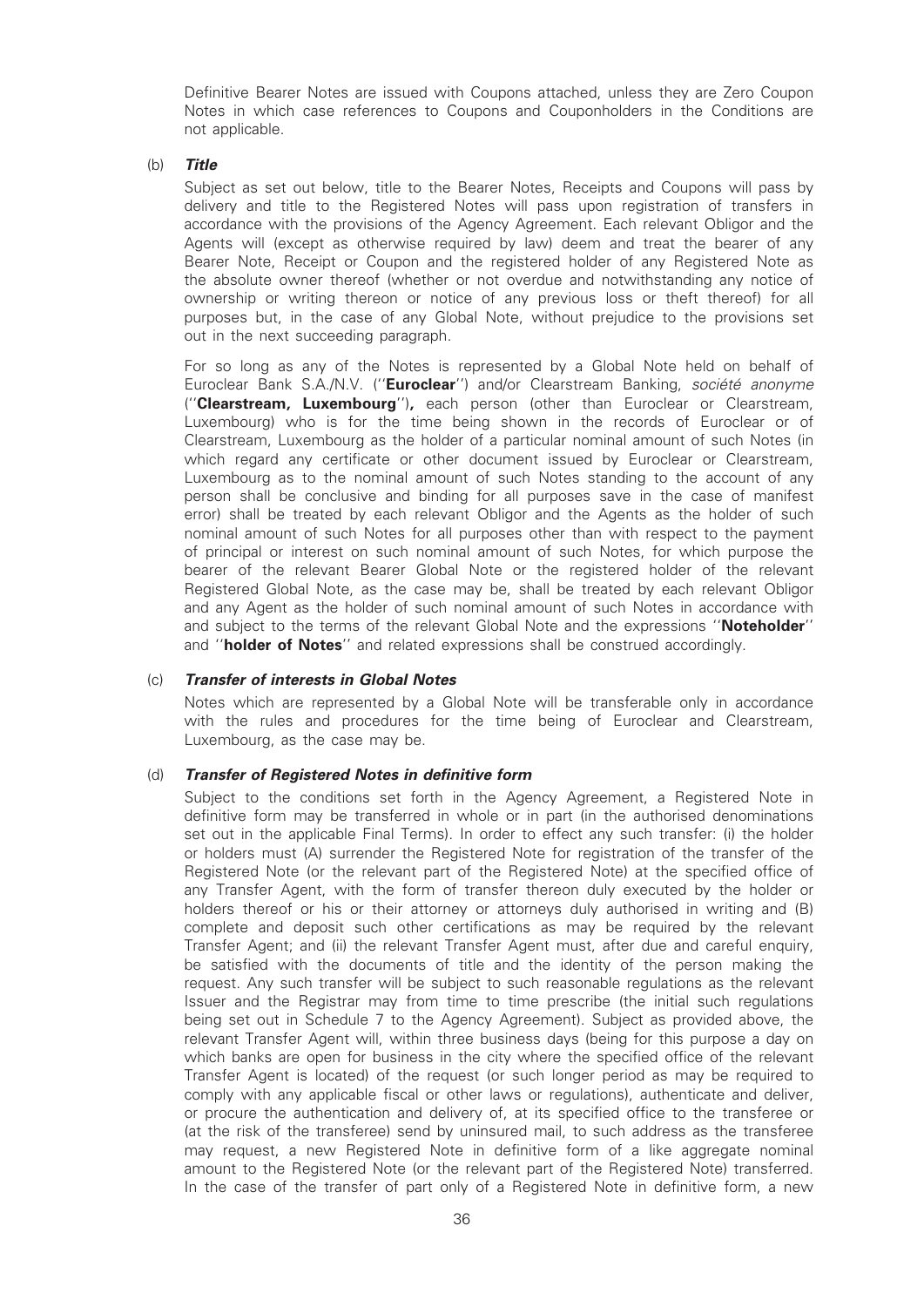Definitive Bearer Notes are issued with Coupons attached, unless they are Zero Coupon Notes in which case references to Coupons and Couponholders in the Conditions are not applicable.

#### (b) Title

Subject as set out below, title to the Bearer Notes, Receipts and Coupons will pass by delivery and title to the Registered Notes will pass upon registration of transfers in accordance with the provisions of the Agency Agreement. Each relevant Obligor and the Agents will (except as otherwise required by law) deem and treat the bearer of any Bearer Note, Receipt or Coupon and the registered holder of any Registered Note as the absolute owner thereof (whether or not overdue and notwithstanding any notice of ownership or writing thereon or notice of any previous loss or theft thereof) for all purposes but, in the case of any Global Note, without prejudice to the provisions set out in the next succeeding paragraph.

For so long as any of the Notes is represented by a Global Note held on behalf of Euroclear Bank S.A./N.V. ("Euroclear") and/or Clearstream Banking, société anonyme ("Clearstream, Luxembourg"), each person (other than Euroclear or Clearstream, Luxembourg) who is for the time being shown in the records of Euroclear or of Clearstream, Luxembourg as the holder of a particular nominal amount of such Notes (in which regard any certificate or other document issued by Euroclear or Clearstream, Luxembourg as to the nominal amount of such Notes standing to the account of any person shall be conclusive and binding for all purposes save in the case of manifest error) shall be treated by each relevant Obligor and the Agents as the holder of such nominal amount of such Notes for all purposes other than with respect to the payment of principal or interest on such nominal amount of such Notes, for which purpose the bearer of the relevant Bearer Global Note or the registered holder of the relevant Registered Global Note, as the case may be, shall be treated by each relevant Obligor and any Agent as the holder of such nominal amount of such Notes in accordance with and subject to the terms of the relevant Global Note and the expressions "Noteholder" and "**holder of Notes**" and related expressions shall be construed accordingly.

#### (c) Transfer of interests in Global Notes

Notes which are represented by a Global Note will be transferable only in accordance with the rules and procedures for the time being of Euroclear and Clearstream, Luxembourg, as the case may be.

### (d) Transfer of Registered Notes in definitive form

Subject to the conditions set forth in the Agency Agreement, a Registered Note in definitive form may be transferred in whole or in part (in the authorised denominations set out in the applicable Final Terms). In order to effect any such transfer: (i) the holder or holders must (A) surrender the Registered Note for registration of the transfer of the Registered Note (or the relevant part of the Registered Note) at the specified office of any Transfer Agent, with the form of transfer thereon duly executed by the holder or holders thereof or his or their attorney or attorneys duly authorised in writing and (B) complete and deposit such other certifications as may be required by the relevant Transfer Agent; and (ii) the relevant Transfer Agent must, after due and careful enquiry, be satisfied with the documents of title and the identity of the person making the request. Any such transfer will be subject to such reasonable regulations as the relevant Issuer and the Registrar may from time to time prescribe (the initial such regulations being set out in Schedule 7 to the Agency Agreement). Subject as provided above, the relevant Transfer Agent will, within three business days (being for this purpose a day on which banks are open for business in the city where the specified office of the relevant Transfer Agent is located) of the request (or such longer period as may be required to comply with any applicable fiscal or other laws or regulations), authenticate and deliver, or procure the authentication and delivery of, at its specified office to the transferee or (at the risk of the transferee) send by uninsured mail, to such address as the transferee may request, a new Registered Note in definitive form of a like aggregate nominal amount to the Registered Note (or the relevant part of the Registered Note) transferred. In the case of the transfer of part only of a Registered Note in definitive form, a new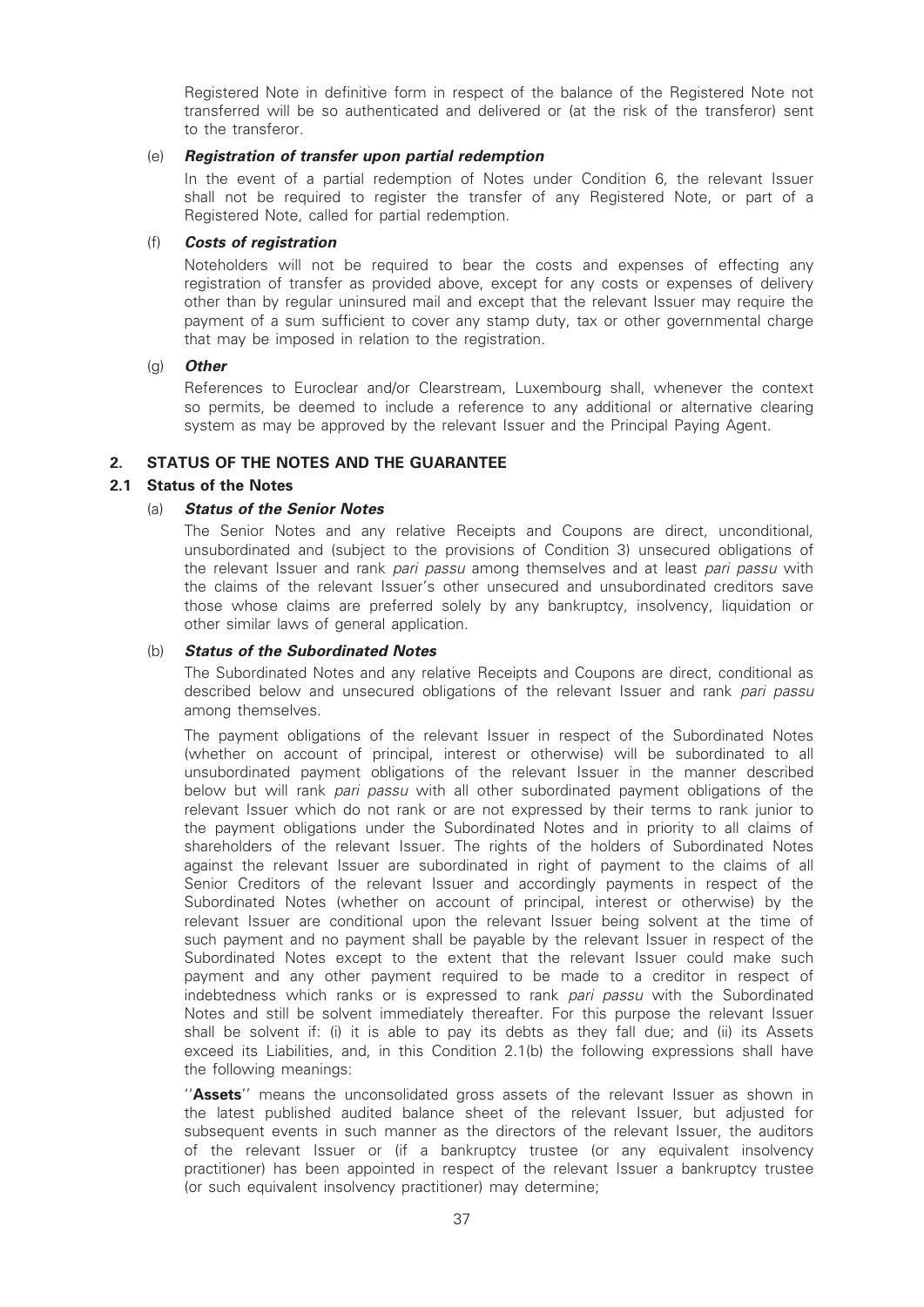Registered Note in definitive form in respect of the balance of the Registered Note not transferred will be so authenticated and delivered or (at the risk of the transferor) sent to the transferor.

#### (e) Registration of transfer upon partial redemption

In the event of a partial redemption of Notes under Condition 6, the relevant Issuer shall not be required to register the transfer of any Registered Note, or part of a Registered Note, called for partial redemption.

#### (f) Costs of registration

Noteholders will not be required to bear the costs and expenses of effecting any registration of transfer as provided above, except for any costs or expenses of delivery other than by regular uninsured mail and except that the relevant Issuer may require the payment of a sum sufficient to cover any stamp duty, tax or other governmental charge that may be imposed in relation to the registration.

#### (g) Other

References to Euroclear and/or Clearstream, Luxembourg shall, whenever the context so permits, be deemed to include a reference to any additional or alternative clearing system as may be approved by the relevant Issuer and the Principal Paying Agent.

### 2. STATUS OF THE NOTES AND THE GUARANTEE

### 2.1 Status of the Notes

### (a) Status of the Senior Notes

The Senior Notes and any relative Receipts and Coupons are direct, unconditional, unsubordinated and (subject to the provisions of Condition 3) unsecured obligations of the relevant Issuer and rank pari passu among themselves and at least pari passu with the claims of the relevant Issuer's other unsecured and unsubordinated creditors save those whose claims are preferred solely by any bankruptcy, insolvency, liquidation or other similar laws of general application.

#### (b) Status of the Subordinated Notes

The Subordinated Notes and any relative Receipts and Coupons are direct, conditional as described below and unsecured obligations of the relevant Issuer and rank pari passu among themselves.

The payment obligations of the relevant Issuer in respect of the Subordinated Notes (whether on account of principal, interest or otherwise) will be subordinated to all unsubordinated payment obligations of the relevant Issuer in the manner described below but will rank *pari passu* with all other subordinated payment obligations of the relevant Issuer which do not rank or are not expressed by their terms to rank junior to the payment obligations under the Subordinated Notes and in priority to all claims of shareholders of the relevant Issuer. The rights of the holders of Subordinated Notes against the relevant Issuer are subordinated in right of payment to the claims of all Senior Creditors of the relevant Issuer and accordingly payments in respect of the Subordinated Notes (whether on account of principal, interest or otherwise) by the relevant Issuer are conditional upon the relevant Issuer being solvent at the time of such payment and no payment shall be payable by the relevant Issuer in respect of the Subordinated Notes except to the extent that the relevant Issuer could make such payment and any other payment required to be made to a creditor in respect of indebtedness which ranks or is expressed to rank pari passu with the Subordinated Notes and still be solvent immediately thereafter. For this purpose the relevant Issuer shall be solvent if: (i) it is able to pay its debts as they fall due; and (ii) its Assets exceed its Liabilities, and, in this Condition 2.1(b) the following expressions shall have the following meanings:

"Assets" means the unconsolidated gross assets of the relevant Issuer as shown in the latest published audited balance sheet of the relevant Issuer, but adjusted for subsequent events in such manner as the directors of the relevant Issuer, the auditors of the relevant Issuer or (if a bankruptcy trustee (or any equivalent insolvency practitioner) has been appointed in respect of the relevant Issuer a bankruptcy trustee (or such equivalent insolvency practitioner) may determine;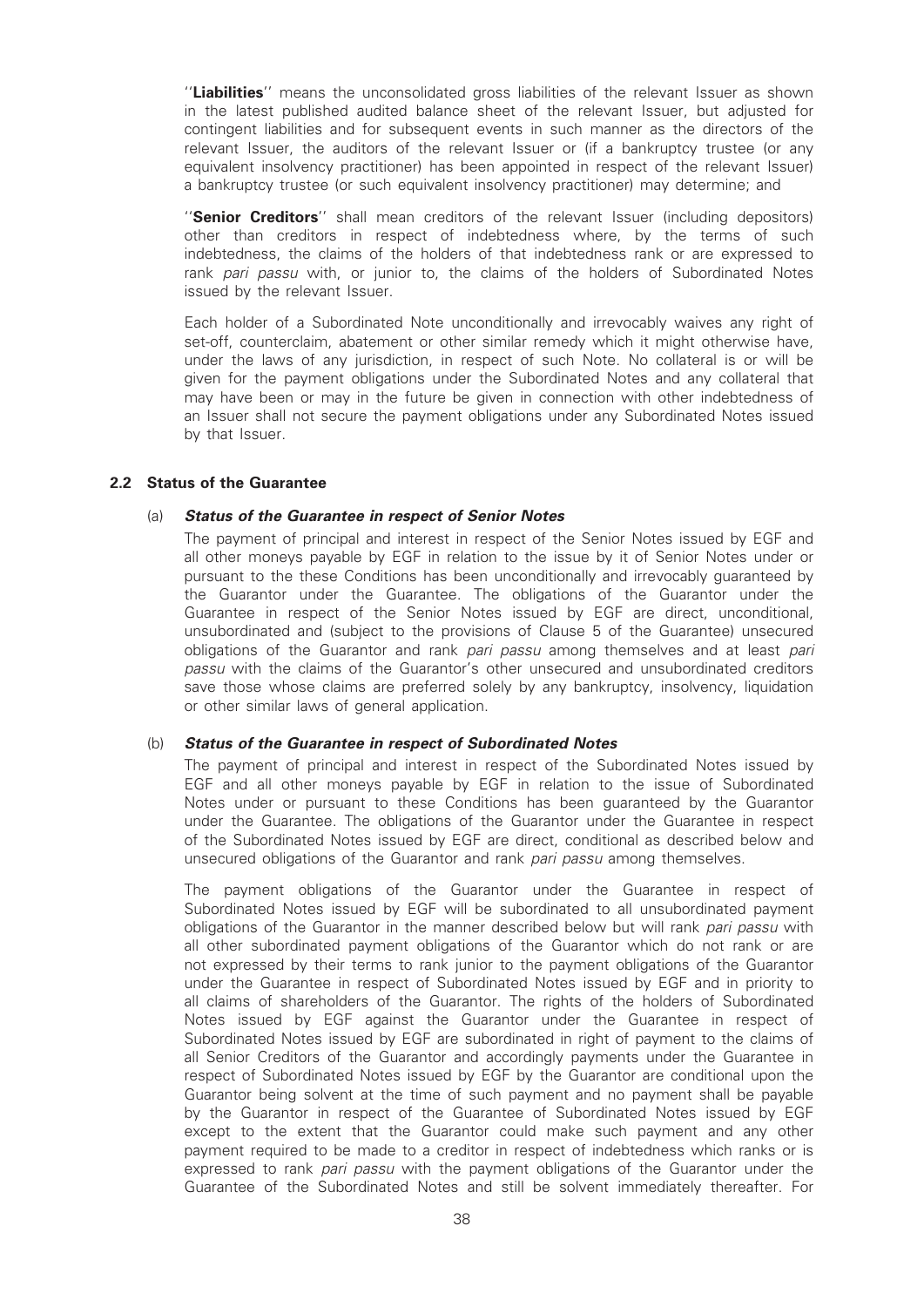"Liabilities" means the unconsolidated gross liabilities of the relevant Issuer as shown in the latest published audited balance sheet of the relevant Issuer, but adjusted for contingent liabilities and for subsequent events in such manner as the directors of the relevant Issuer, the auditors of the relevant Issuer or (if a bankruptcy trustee (or any equivalent insolvency practitioner) has been appointed in respect of the relevant Issuer) a bankruptcy trustee (or such equivalent insolvency practitioner) may determine; and

"Senior Creditors" shall mean creditors of the relevant Issuer (including depositors) other than creditors in respect of indebtedness where, by the terms of such indebtedness, the claims of the holders of that indebtedness rank or are expressed to rank pari passu with, or junior to, the claims of the holders of Subordinated Notes issued by the relevant Issuer.

Each holder of a Subordinated Note unconditionally and irrevocably waives any right of set-off, counterclaim, abatement or other similar remedy which it might otherwise have, under the laws of any jurisdiction, in respect of such Note. No collateral is or will be given for the payment obligations under the Subordinated Notes and any collateral that may have been or may in the future be given in connection with other indebtedness of an Issuer shall not secure the payment obligations under any Subordinated Notes issued by that Issuer.

#### 2.2 Status of the Guarantee

#### (a) Status of the Guarantee in respect of Senior Notes

The payment of principal and interest in respect of the Senior Notes issued by EGF and all other moneys payable by EGF in relation to the issue by it of Senior Notes under or pursuant to the these Conditions has been unconditionally and irrevocably guaranteed by the Guarantor under the Guarantee. The obligations of the Guarantor under the Guarantee in respect of the Senior Notes issued by EGF are direct, unconditional, unsubordinated and (subject to the provisions of Clause 5 of the Guarantee) unsecured obligations of the Guarantor and rank pari passu among themselves and at least pari passu with the claims of the Guarantor's other unsecured and unsubordinated creditors save those whose claims are preferred solely by any bankruptcy, insolvency, liquidation or other similar laws of general application.

#### (b) Status of the Guarantee in respect of Subordinated Notes

The payment of principal and interest in respect of the Subordinated Notes issued by EGF and all other moneys payable by EGF in relation to the issue of Subordinated Notes under or pursuant to these Conditions has been guaranteed by the Guarantor under the Guarantee. The obligations of the Guarantor under the Guarantee in respect of the Subordinated Notes issued by EGF are direct, conditional as described below and unsecured obligations of the Guarantor and rank pari passu among themselves.

The payment obligations of the Guarantor under the Guarantee in respect of Subordinated Notes issued by EGF will be subordinated to all unsubordinated payment obligations of the Guarantor in the manner described below but will rank pari passu with all other subordinated payment obligations of the Guarantor which do not rank or are not expressed by their terms to rank junior to the payment obligations of the Guarantor under the Guarantee in respect of Subordinated Notes issued by EGF and in priority to all claims of shareholders of the Guarantor. The rights of the holders of Subordinated Notes issued by EGF against the Guarantor under the Guarantee in respect of Subordinated Notes issued by EGF are subordinated in right of payment to the claims of all Senior Creditors of the Guarantor and accordingly payments under the Guarantee in respect of Subordinated Notes issued by EGF by the Guarantor are conditional upon the Guarantor being solvent at the time of such payment and no payment shall be payable by the Guarantor in respect of the Guarantee of Subordinated Notes issued by EGF except to the extent that the Guarantor could make such payment and any other payment required to be made to a creditor in respect of indebtedness which ranks or is expressed to rank pari passu with the payment obligations of the Guarantor under the Guarantee of the Subordinated Notes and still be solvent immediately thereafter. For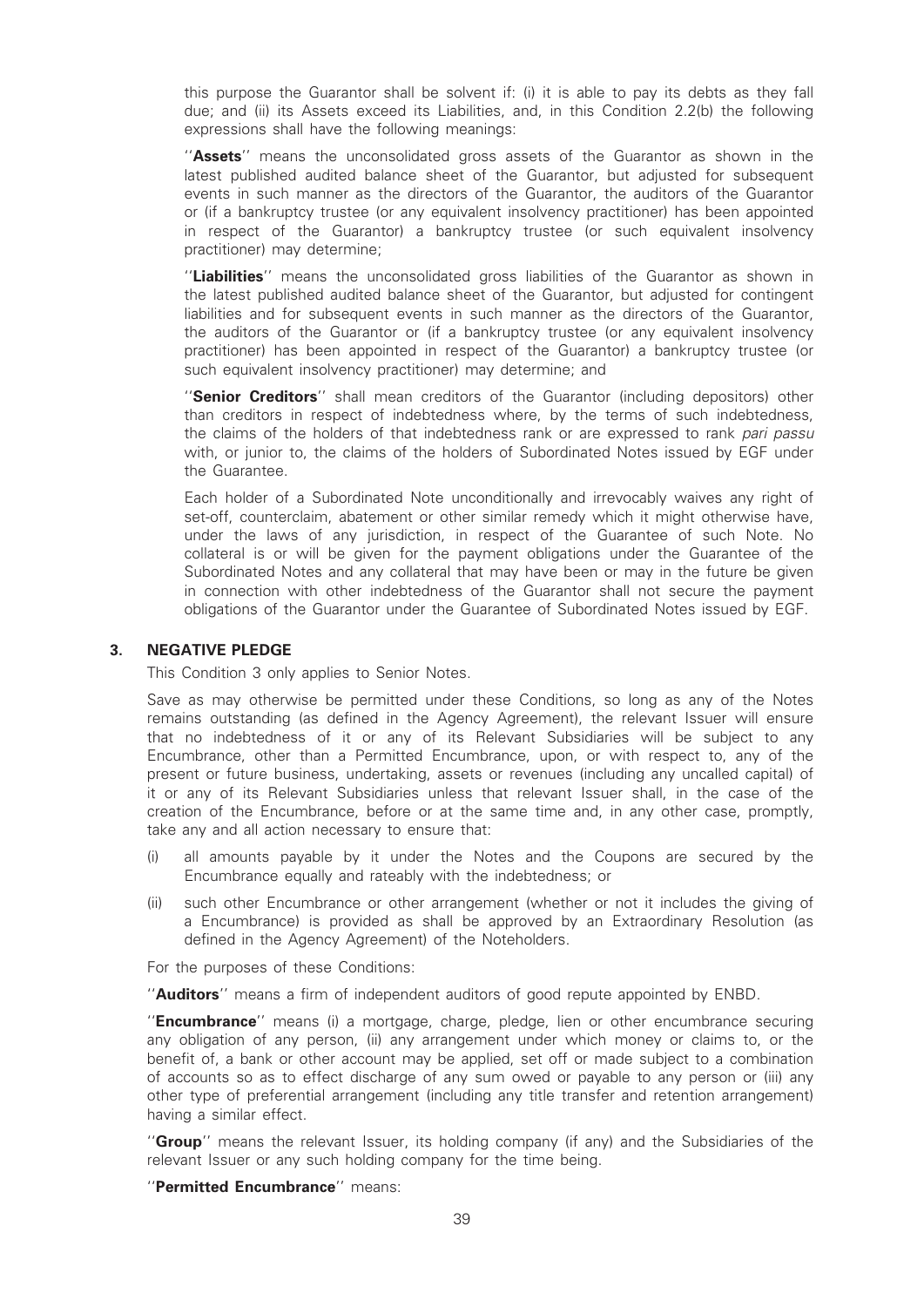this purpose the Guarantor shall be solvent if: (i) it is able to pay its debts as they fall due; and (ii) its Assets exceed its Liabilities, and, in this Condition 2.2(b) the following expressions shall have the following meanings:

"Assets" means the unconsolidated gross assets of the Guarantor as shown in the latest published audited balance sheet of the Guarantor, but adjusted for subsequent events in such manner as the directors of the Guarantor, the auditors of the Guarantor or (if a bankruptcy trustee (or any equivalent insolvency practitioner) has been appointed in respect of the Guarantor) a bankruptcy trustee (or such equivalent insolvency practitioner) may determine;

"Liabilities" means the unconsolidated gross liabilities of the Guarantor as shown in the latest published audited balance sheet of the Guarantor, but adjusted for contingent liabilities and for subsequent events in such manner as the directors of the Guarantor, the auditors of the Guarantor or (if a bankruptcy trustee (or any equivalent insolvency practitioner) has been appointed in respect of the Guarantor) a bankruptcy trustee (or such equivalent insolvency practitioner) may determine; and

"Senior Creditors" shall mean creditors of the Guarantor (including depositors) other than creditors in respect of indebtedness where, by the terms of such indebtedness, the claims of the holders of that indebtedness rank or are expressed to rank pari passu with, or junior to, the claims of the holders of Subordinated Notes issued by EGF under the Guarantee.

Each holder of a Subordinated Note unconditionally and irrevocably waives any right of set-off, counterclaim, abatement or other similar remedy which it might otherwise have, under the laws of any jurisdiction, in respect of the Guarantee of such Note. No collateral is or will be given for the payment obligations under the Guarantee of the Subordinated Notes and any collateral that may have been or may in the future be given in connection with other indebtedness of the Guarantor shall not secure the payment obligations of the Guarantor under the Guarantee of Subordinated Notes issued by EGF.

#### 3. NEGATIVE PLEDGE

This Condition 3 only applies to Senior Notes.

Save as may otherwise be permitted under these Conditions, so long as any of the Notes remains outstanding (as defined in the Agency Agreement), the relevant Issuer will ensure that no indebtedness of it or any of its Relevant Subsidiaries will be subject to any Encumbrance, other than a Permitted Encumbrance, upon, or with respect to, any of the present or future business, undertaking, assets or revenues (including any uncalled capital) of it or any of its Relevant Subsidiaries unless that relevant Issuer shall, in the case of the creation of the Encumbrance, before or at the same time and, in any other case, promptly, take any and all action necessary to ensure that:

- (i) all amounts payable by it under the Notes and the Coupons are secured by the Encumbrance equally and rateably with the indebtedness; or
- (ii) such other Encumbrance or other arrangement (whether or not it includes the giving of a Encumbrance) is provided as shall be approved by an Extraordinary Resolution (as defined in the Agency Agreement) of the Noteholders.

For the purposes of these Conditions:

''Auditors'' means a firm of independent auditors of good repute appointed by ENBD.

"Encumbrance" means (i) a mortgage, charge, pledge, lien or other encumbrance securing any obligation of any person, (ii) any arrangement under which money or claims to, or the benefit of, a bank or other account may be applied, set off or made subject to a combination of accounts so as to effect discharge of any sum owed or payable to any person or (iii) any other type of preferential arrangement (including any title transfer and retention arrangement) having a similar effect.

"Group" means the relevant Issuer, its holding company (if any) and the Subsidiaries of the relevant Issuer or any such holding company for the time being.

"Permitted Encumbrance" means: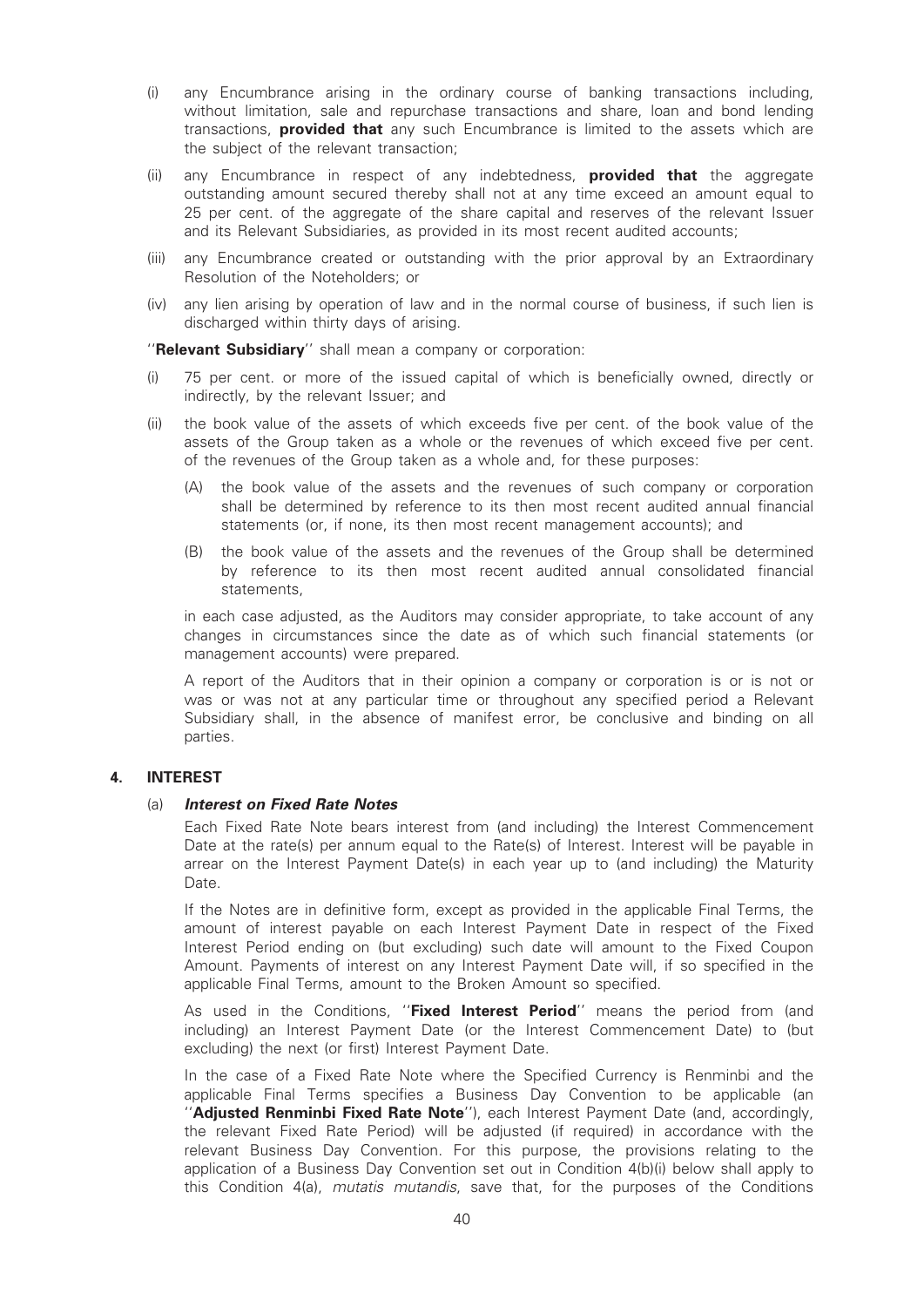- (i) any Encumbrance arising in the ordinary course of banking transactions including, without limitation, sale and repurchase transactions and share, loan and bond lending transactions, **provided that** any such Encumbrance is limited to the assets which are the subject of the relevant transaction;
- (ii) any Encumbrance in respect of any indebtedness, **provided that** the aggregate outstanding amount secured thereby shall not at any time exceed an amount equal to 25 per cent. of the aggregate of the share capital and reserves of the relevant Issuer and its Relevant Subsidiaries, as provided in its most recent audited accounts;
- (iii) any Encumbrance created or outstanding with the prior approval by an Extraordinary Resolution of the Noteholders; or
- (iv) any lien arising by operation of law and in the normal course of business, if such lien is discharged within thirty days of arising.

''Relevant Subsidiary'' shall mean a company or corporation:

- (i) 75 per cent. or more of the issued capital of which is beneficially owned, directly or indirectly, by the relevant Issuer; and
- (ii) the book value of the assets of which exceeds five per cent. of the book value of the assets of the Group taken as a whole or the revenues of which exceed five per cent. of the revenues of the Group taken as a whole and, for these purposes:
	- (A) the book value of the assets and the revenues of such company or corporation shall be determined by reference to its then most recent audited annual financial statements (or, if none, its then most recent management accounts); and
	- (B) the book value of the assets and the revenues of the Group shall be determined by reference to its then most recent audited annual consolidated financial statements,

in each case adjusted, as the Auditors may consider appropriate, to take account of any changes in circumstances since the date as of which such financial statements (or management accounts) were prepared.

A report of the Auditors that in their opinion a company or corporation is or is not or was or was not at any particular time or throughout any specified period a Relevant Subsidiary shall, in the absence of manifest error, be conclusive and binding on all parties.

#### 4. INTEREST

#### (a) Interest on Fixed Rate Notes

Each Fixed Rate Note bears interest from (and including) the Interest Commencement Date at the rate(s) per annum equal to the Rate(s) of Interest. Interest will be payable in arrear on the Interest Payment Date(s) in each year up to (and including) the Maturity Date.

If the Notes are in definitive form, except as provided in the applicable Final Terms, the amount of interest payable on each Interest Payment Date in respect of the Fixed Interest Period ending on (but excluding) such date will amount to the Fixed Coupon Amount. Payments of interest on any Interest Payment Date will, if so specified in the applicable Final Terms, amount to the Broken Amount so specified.

As used in the Conditions, "Fixed Interest Period" means the period from (and including) an Interest Payment Date (or the Interest Commencement Date) to (but excluding) the next (or first) Interest Payment Date.

In the case of a Fixed Rate Note where the Specified Currency is Renminbi and the applicable Final Terms specifies a Business Day Convention to be applicable (an ''Adjusted Renminbi Fixed Rate Note''), each Interest Payment Date (and, accordingly, the relevant Fixed Rate Period) will be adjusted (if required) in accordance with the relevant Business Day Convention. For this purpose, the provisions relating to the application of a Business Day Convention set out in Condition 4(b)(i) below shall apply to this Condition 4(a), mutatis mutandis, save that, for the purposes of the Conditions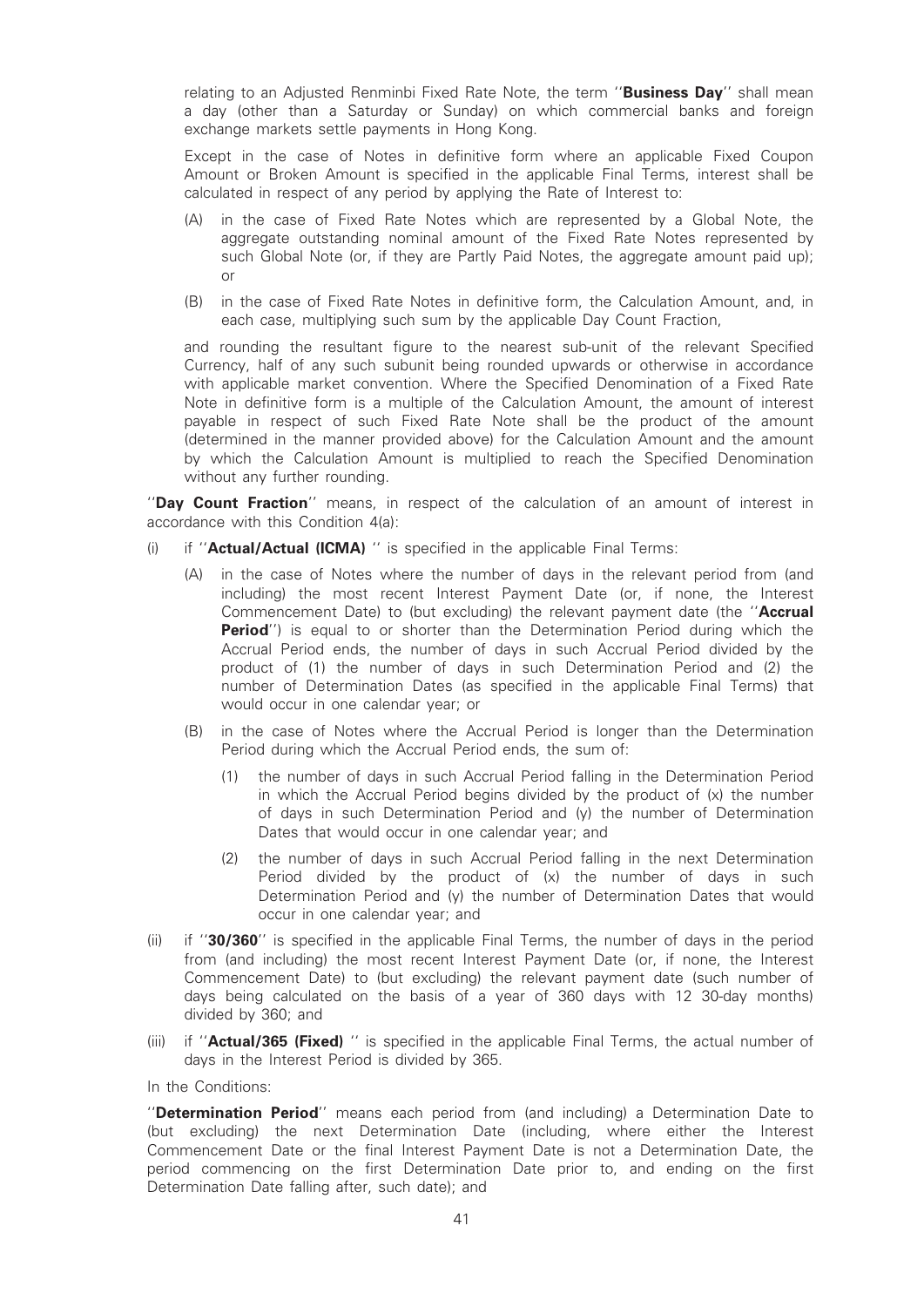relating to an Adjusted Renminbi Fixed Rate Note, the term "Business Day" shall mean a day (other than a Saturday or Sunday) on which commercial banks and foreign exchange markets settle payments in Hong Kong.

Except in the case of Notes in definitive form where an applicable Fixed Coupon Amount or Broken Amount is specified in the applicable Final Terms, interest shall be calculated in respect of any period by applying the Rate of Interest to:

- (A) in the case of Fixed Rate Notes which are represented by a Global Note, the aggregate outstanding nominal amount of the Fixed Rate Notes represented by such Global Note (or, if they are Partly Paid Notes, the aggregate amount paid up); or
- (B) in the case of Fixed Rate Notes in definitive form, the Calculation Amount, and, in each case, multiplying such sum by the applicable Day Count Fraction,

and rounding the resultant figure to the nearest sub-unit of the relevant Specified Currency, half of any such subunit being rounded upwards or otherwise in accordance with applicable market convention. Where the Specified Denomination of a Fixed Rate Note in definitive form is a multiple of the Calculation Amount, the amount of interest payable in respect of such Fixed Rate Note shall be the product of the amount (determined in the manner provided above) for the Calculation Amount and the amount by which the Calculation Amount is multiplied to reach the Specified Denomination without any further rounding.

"Day Count Fraction" means, in respect of the calculation of an amount of interest in accordance with this Condition 4(a):

- (i) if "**Actual/Actual (ICMA)** " is specified in the applicable Final Terms:
	- (A) in the case of Notes where the number of days in the relevant period from (and including) the most recent Interest Payment Date (or, if none, the Interest Commencement Date) to (but excluding) the relevant payment date (the "Accrual **Period''**) is equal to or shorter than the Determination Period during which the Accrual Period ends, the number of days in such Accrual Period divided by the product of (1) the number of days in such Determination Period and (2) the number of Determination Dates (as specified in the applicable Final Terms) that would occur in one calendar year; or
	- (B) in the case of Notes where the Accrual Period is longer than the Determination Period during which the Accrual Period ends, the sum of:
		- (1) the number of days in such Accrual Period falling in the Determination Period in which the Accrual Period begins divided by the product of (x) the number of days in such Determination Period and (y) the number of Determination Dates that would occur in one calendar year; and
		- (2) the number of days in such Accrual Period falling in the next Determination Period divided by the product of (x) the number of days in such Determination Period and (y) the number of Determination Dates that would occur in one calendar year; and
- (ii) if ''30/360'' is specified in the applicable Final Terms, the number of days in the period from (and including) the most recent Interest Payment Date (or, if none, the Interest Commencement Date) to (but excluding) the relevant payment date (such number of days being calculated on the basis of a year of 360 days with 12 30-day months) divided by 360; and
- (iii) if "**Actual/365 (Fixed)** " is specified in the applicable Final Terms, the actual number of days in the Interest Period is divided by 365.

In the Conditions:

''Determination Period'' means each period from (and including) a Determination Date to (but excluding) the next Determination Date (including, where either the Interest Commencement Date or the final Interest Payment Date is not a Determination Date, the period commencing on the first Determination Date prior to, and ending on the first Determination Date falling after, such date); and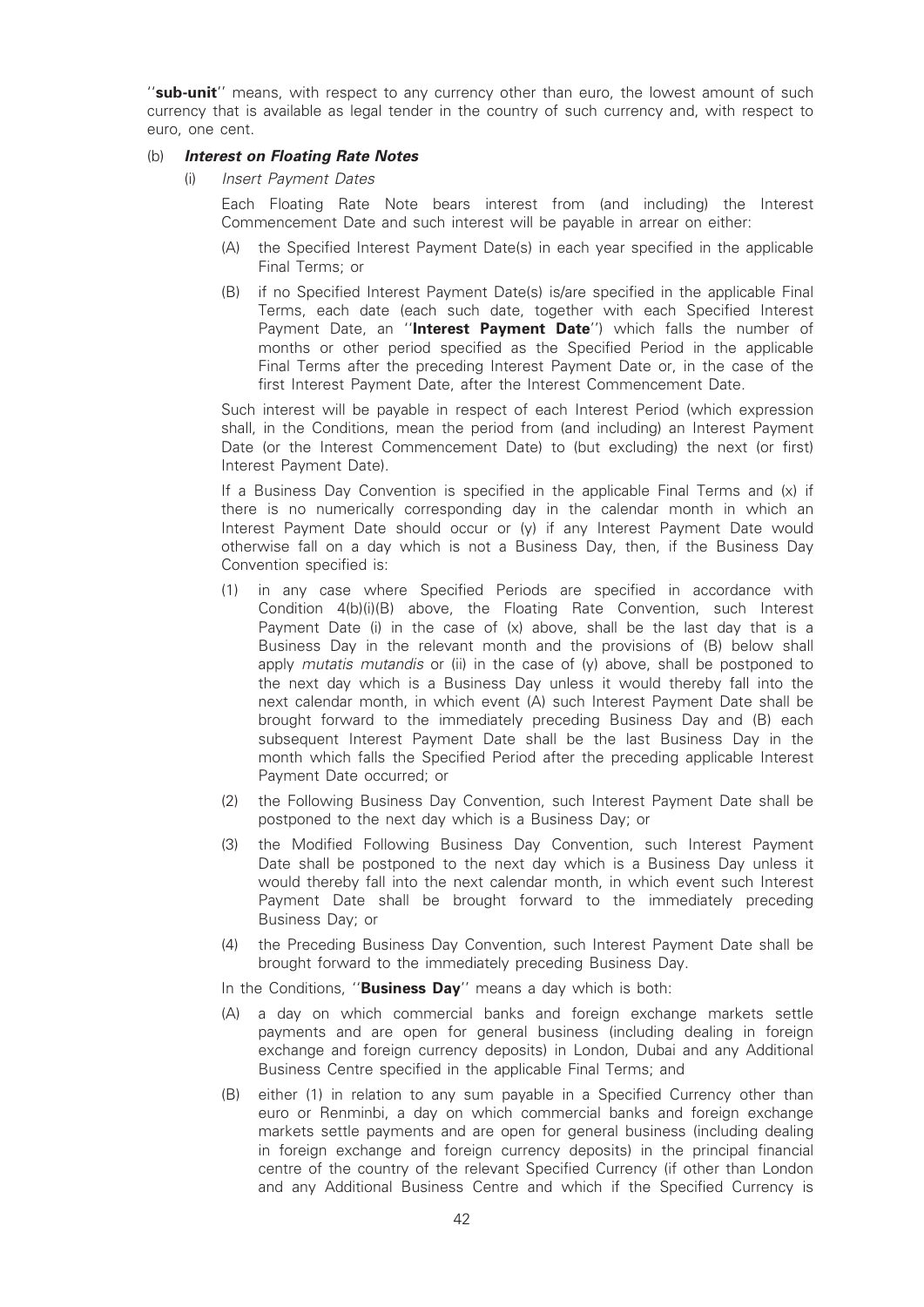"sub-unit" means, with respect to any currency other than euro, the lowest amount of such currency that is available as legal tender in the country of such currency and, with respect to euro, one cent.

#### (b) Interest on Floating Rate Notes

(i) Insert Payment Dates

Each Floating Rate Note bears interest from (and including) the Interest Commencement Date and such interest will be payable in arrear on either:

- (A) the Specified Interest Payment Date(s) in each year specified in the applicable Final Terms; or
- (B) if no Specified Interest Payment Date(s) is/are specified in the applicable Final Terms, each date (each such date, together with each Specified Interest Payment Date, an "Interest Payment Date") which falls the number of months or other period specified as the Specified Period in the applicable Final Terms after the preceding Interest Payment Date or, in the case of the first Interest Payment Date, after the Interest Commencement Date.

Such interest will be payable in respect of each Interest Period (which expression shall, in the Conditions, mean the period from (and including) an Interest Payment Date (or the Interest Commencement Date) to (but excluding) the next (or first) Interest Payment Date).

If a Business Day Convention is specified in the applicable Final Terms and (x) if there is no numerically corresponding day in the calendar month in which an Interest Payment Date should occur or (y) if any Interest Payment Date would otherwise fall on a day which is not a Business Day, then, if the Business Day Convention specified is:

- (1) in any case where Specified Periods are specified in accordance with Condition 4(b)(i)(B) above, the Floating Rate Convention, such Interest Payment Date (i) in the case of  $(x)$  above, shall be the last day that is a Business Day in the relevant month and the provisions of (B) below shall apply mutatis mutandis or (ii) in the case of (y) above, shall be postponed to the next day which is a Business Day unless it would thereby fall into the next calendar month, in which event (A) such Interest Payment Date shall be brought forward to the immediately preceding Business Day and (B) each subsequent Interest Payment Date shall be the last Business Day in the month which falls the Specified Period after the preceding applicable Interest Payment Date occurred; or
- (2) the Following Business Day Convention, such Interest Payment Date shall be postponed to the next day which is a Business Day; or
- (3) the Modified Following Business Day Convention, such Interest Payment Date shall be postponed to the next day which is a Business Day unless it would thereby fall into the next calendar month, in which event such Interest Payment Date shall be brought forward to the immediately preceding Business Day; or
- (4) the Preceding Business Day Convention, such Interest Payment Date shall be brought forward to the immediately preceding Business Day.
- In the Conditions, "Business Day" means a day which is both:
- (A) a day on which commercial banks and foreign exchange markets settle payments and are open for general business (including dealing in foreign exchange and foreign currency deposits) in London, Dubai and any Additional Business Centre specified in the applicable Final Terms; and
- (B) either (1) in relation to any sum payable in a Specified Currency other than euro or Renminbi, a day on which commercial banks and foreign exchange markets settle payments and are open for general business (including dealing in foreign exchange and foreign currency deposits) in the principal financial centre of the country of the relevant Specified Currency (if other than London and any Additional Business Centre and which if the Specified Currency is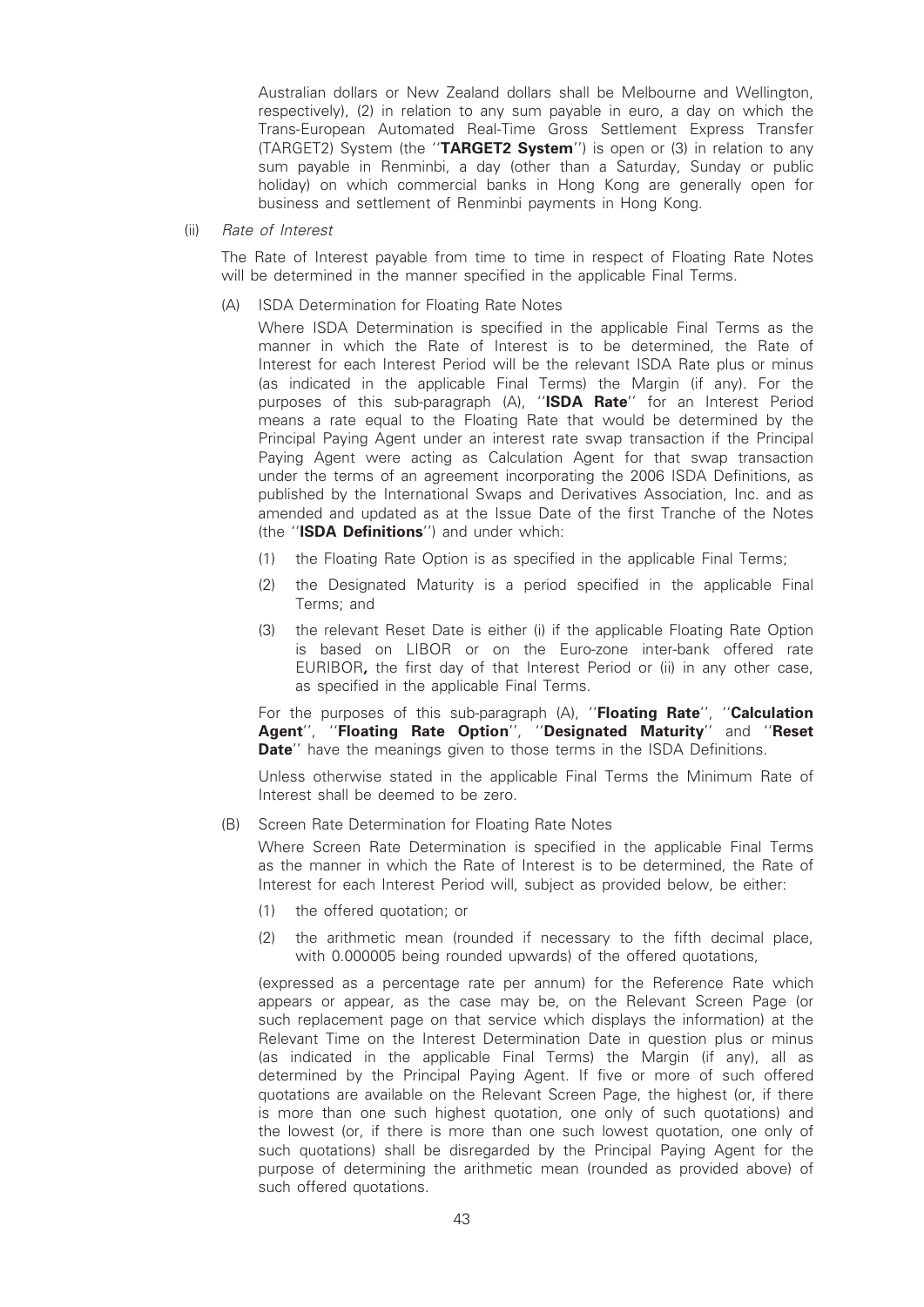Australian dollars or New Zealand dollars shall be Melbourne and Wellington, respectively), (2) in relation to any sum payable in euro, a day on which the Trans-European Automated Real-Time Gross Settlement Express Transfer (TARGET2) System (the "TARGET2 System") is open or (3) in relation to any sum payable in Renminbi, a day (other than a Saturday, Sunday or public holiday) on which commercial banks in Hong Kong are generally open for business and settlement of Renminbi payments in Hong Kong.

(ii) Rate of Interest

The Rate of Interest payable from time to time in respect of Floating Rate Notes will be determined in the manner specified in the applicable Final Terms.

- (A) ISDA Determination for Floating Rate Notes
	- Where ISDA Determination is specified in the applicable Final Terms as the manner in which the Rate of Interest is to be determined, the Rate of Interest for each Interest Period will be the relevant ISDA Rate plus or minus (as indicated in the applicable Final Terms) the Margin (if any). For the purposes of this sub-paragraph (A), "ISDA Rate" for an Interest Period means a rate equal to the Floating Rate that would be determined by the Principal Paying Agent under an interest rate swap transaction if the Principal Paying Agent were acting as Calculation Agent for that swap transaction under the terms of an agreement incorporating the 2006 ISDA Definitions, as published by the International Swaps and Derivatives Association, Inc. and as amended and updated as at the Issue Date of the first Tranche of the Notes (the "ISDA Definitions") and under which:
	- (1) the Floating Rate Option is as specified in the applicable Final Terms;
	- (2) the Designated Maturity is a period specified in the applicable Final Terms; and
	- (3) the relevant Reset Date is either (i) if the applicable Floating Rate Option is based on LIBOR or on the Euro-zone inter-bank offered rate EURIBOR, the first day of that Interest Period or (ii) in any other case, as specified in the applicable Final Terms.

For the purposes of this sub-paragraph (A), "Floating Rate", "Calculation Agent", "Floating Rate Option", "Designated Maturity" and "Reset **Date**" have the meanings given to those terms in the ISDA Definitions.

Unless otherwise stated in the applicable Final Terms the Minimum Rate of Interest shall be deemed to be zero.

(B) Screen Rate Determination for Floating Rate Notes

Where Screen Rate Determination is specified in the applicable Final Terms as the manner in which the Rate of Interest is to be determined, the Rate of Interest for each Interest Period will, subject as provided below, be either:

- (1) the offered quotation; or
- (2) the arithmetic mean (rounded if necessary to the fifth decimal place, with 0.000005 being rounded upwards) of the offered quotations,

(expressed as a percentage rate per annum) for the Reference Rate which appears or appear, as the case may be, on the Relevant Screen Page (or such replacement page on that service which displays the information) at the Relevant Time on the Interest Determination Date in question plus or minus (as indicated in the applicable Final Terms) the Margin (if any), all as determined by the Principal Paying Agent. If five or more of such offered quotations are available on the Relevant Screen Page, the highest (or, if there is more than one such highest quotation, one only of such quotations) and the lowest (or, if there is more than one such lowest quotation, one only of such quotations) shall be disregarded by the Principal Paying Agent for the purpose of determining the arithmetic mean (rounded as provided above) of such offered quotations.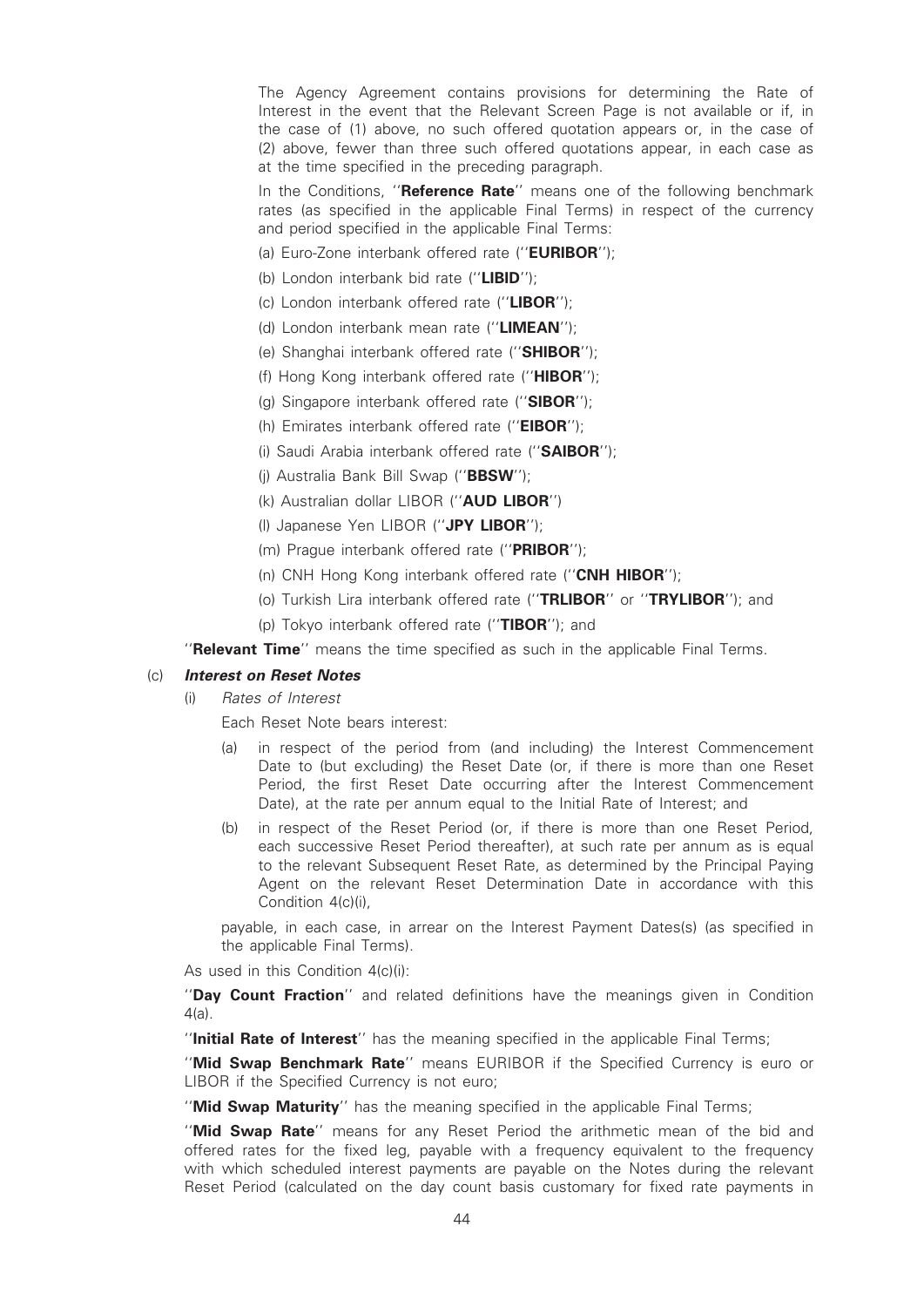The Agency Agreement contains provisions for determining the Rate of Interest in the event that the Relevant Screen Page is not available or if, in the case of (1) above, no such offered quotation appears or, in the case of (2) above, fewer than three such offered quotations appear, in each case as at the time specified in the preceding paragraph.

In the Conditions, "Reference Rate" means one of the following benchmark rates (as specified in the applicable Final Terms) in respect of the currency and period specified in the applicable Final Terms:

- (a) Furo-Zone interbank offered rate ("**EURIBOR**");
- (b) London interbank bid rate ("LIBID");
- (c) London interbank offered rate (''LIBOR'');
- (d) London interbank mean rate (''LIMEAN'');
- (e) Shanghai interbank offered rate ("SHIBOR");
- (f) Hong Kong interbank offered rate (''HIBOR'');
- (g) Singapore interbank offered rate (''SIBOR'');
- (h) Emirates interbank offered rate ("EIBOR");
- (i) Saudi Arabia interbank offered rate ("SAIBOR");
- (j) Australia Bank Bill Swap (''BBSW'');
- (k) Australian dollar LIBOR (''AUD LIBOR'')
- (l) Japanese Yen LIBOR (''JPY LIBOR'');
- (m) Prague interbank offered rate (''PRIBOR'');
- (n) CNH Hong Kong interbank offered rate ("CNH HIBOR");
- (o) Turkish Lira interbank offered rate ("TRLIBOR" or "TRYLIBOR"); and
- (b) Tokyo interbank offered rate ("TIBOR"); and
- "Relevant Time" means the time specified as such in the applicable Final Terms.

#### (c) Interest on Reset Notes

- (i) Rates of Interest
	- Each Reset Note bears interest:
	- (a) in respect of the period from (and including) the Interest Commencement Date to (but excluding) the Reset Date (or, if there is more than one Reset Period, the first Reset Date occurring after the Interest Commencement Date), at the rate per annum equal to the Initial Rate of Interest; and
	- (b) in respect of the Reset Period (or, if there is more than one Reset Period, each successive Reset Period thereafter), at such rate per annum as is equal to the relevant Subsequent Reset Rate, as determined by the Principal Paying Agent on the relevant Reset Determination Date in accordance with this Condition 4(c)(i),

payable, in each case, in arrear on the Interest Payment Dates(s) (as specified in the applicable Final Terms).

As used in this Condition 4(c)(i):

''Day Count Fraction'' and related definitions have the meanings given in Condition 4(a).

"Initial Rate of Interest" has the meaning specified in the applicable Final Terms;

''Mid Swap Benchmark Rate'' means EURIBOR if the Specified Currency is euro or LIBOR if the Specified Currency is not euro;

"Mid Swap Maturity" has the meaning specified in the applicable Final Terms;

''Mid Swap Rate'' means for any Reset Period the arithmetic mean of the bid and offered rates for the fixed leg, payable with a frequency equivalent to the frequency with which scheduled interest payments are payable on the Notes during the relevant Reset Period (calculated on the day count basis customary for fixed rate payments in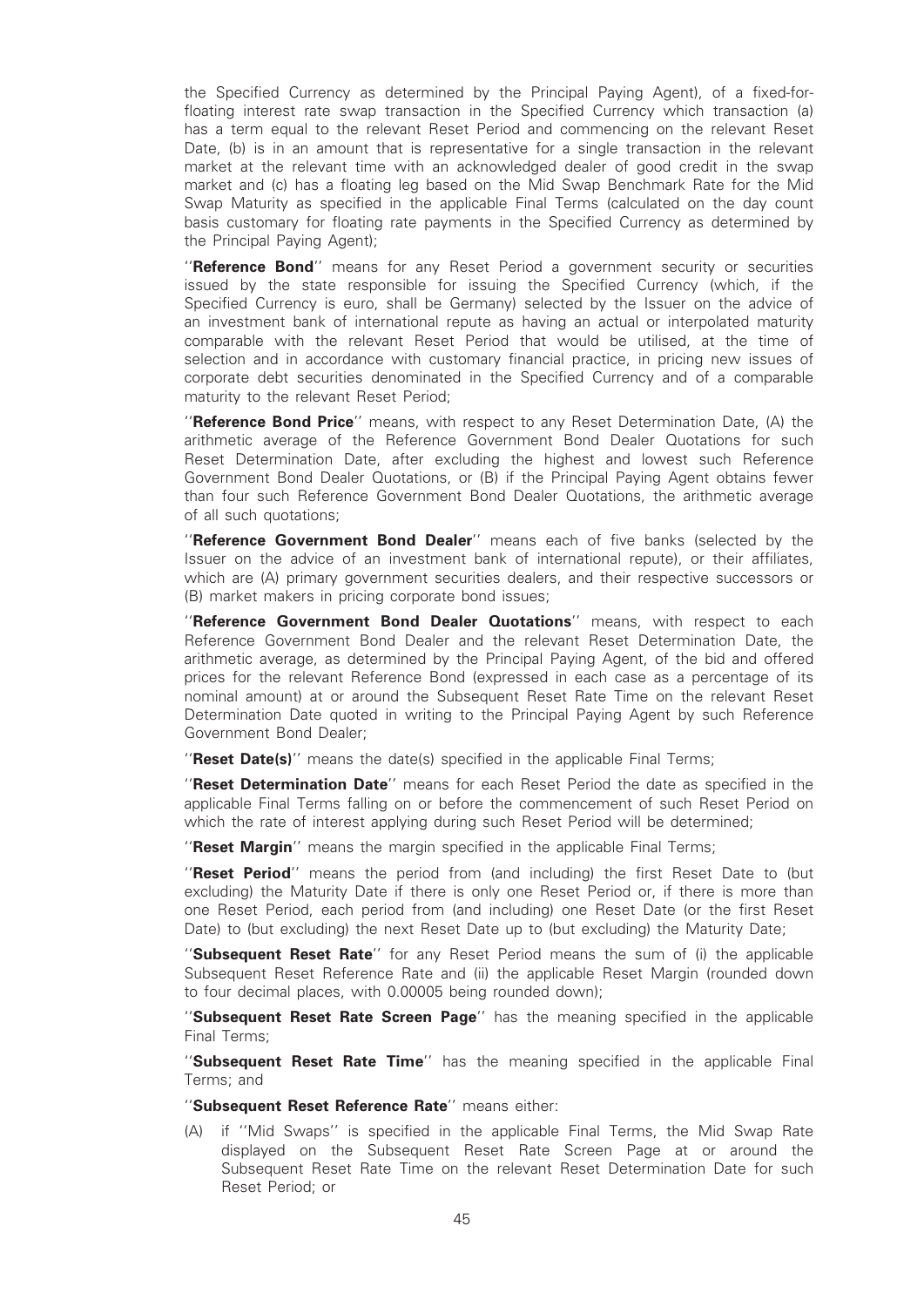the Specified Currency as determined by the Principal Paying Agent), of a fixed-forfloating interest rate swap transaction in the Specified Currency which transaction (a) has a term equal to the relevant Reset Period and commencing on the relevant Reset Date, (b) is in an amount that is representative for a single transaction in the relevant market at the relevant time with an acknowledged dealer of good credit in the swap market and (c) has a floating leg based on the Mid Swap Benchmark Rate for the Mid Swap Maturity as specified in the applicable Final Terms (calculated on the day count basis customary for floating rate payments in the Specified Currency as determined by the Principal Paying Agent);

"Reference Bond" means for any Reset Period a government security or securities issued by the state responsible for issuing the Specified Currency (which, if the Specified Currency is euro, shall be Germany) selected by the Issuer on the advice of an investment bank of international repute as having an actual or interpolated maturity comparable with the relevant Reset Period that would be utilised, at the time of selection and in accordance with customary financial practice, in pricing new issues of corporate debt securities denominated in the Specified Currency and of a comparable maturity to the relevant Reset Period;

''Reference Bond Price'' means, with respect to any Reset Determination Date, (A) the arithmetic average of the Reference Government Bond Dealer Quotations for such Reset Determination Date, after excluding the highest and lowest such Reference Government Bond Dealer Quotations, or (B) if the Principal Paying Agent obtains fewer than four such Reference Government Bond Dealer Quotations, the arithmetic average of all such quotations;

"Reference Government Bond Dealer" means each of five banks (selected by the Issuer on the advice of an investment bank of international repute), or their affiliates, which are (A) primary government securities dealers, and their respective successors or (B) market makers in pricing corporate bond issues;

"Reference Government Bond Dealer Quotations" means, with respect to each Reference Government Bond Dealer and the relevant Reset Determination Date, the arithmetic average, as determined by the Principal Paying Agent, of the bid and offered prices for the relevant Reference Bond (expressed in each case as a percentage of its nominal amount) at or around the Subsequent Reset Rate Time on the relevant Reset Determination Date quoted in writing to the Principal Paying Agent by such Reference Government Bond Dealer;

"Reset Date(s)" means the date(s) specified in the applicable Final Terms;

"Reset Determination Date" means for each Reset Period the date as specified in the applicable Final Terms falling on or before the commencement of such Reset Period on which the rate of interest applying during such Reset Period will be determined;

"Reset Margin" means the margin specified in the applicable Final Terms;

"Reset Period" means the period from (and including) the first Reset Date to (but excluding) the Maturity Date if there is only one Reset Period or, if there is more than one Reset Period, each period from (and including) one Reset Date (or the first Reset Date) to (but excluding) the next Reset Date up to (but excluding) the Maturity Date;

"Subsequent Reset Rate" for any Reset Period means the sum of (i) the applicable Subsequent Reset Reference Rate and (ii) the applicable Reset Margin (rounded down to four decimal places, with 0.00005 being rounded down);

"Subsequent Reset Rate Screen Page" has the meaning specified in the applicable Final Terms;

"Subsequent Reset Rate Time" has the meaning specified in the applicable Final Terms; and

"Subsequent Reset Reference Rate" means either:

(A) if ''Mid Swaps'' is specified in the applicable Final Terms, the Mid Swap Rate displayed on the Subsequent Reset Rate Screen Page at or around the Subsequent Reset Rate Time on the relevant Reset Determination Date for such Reset Period; or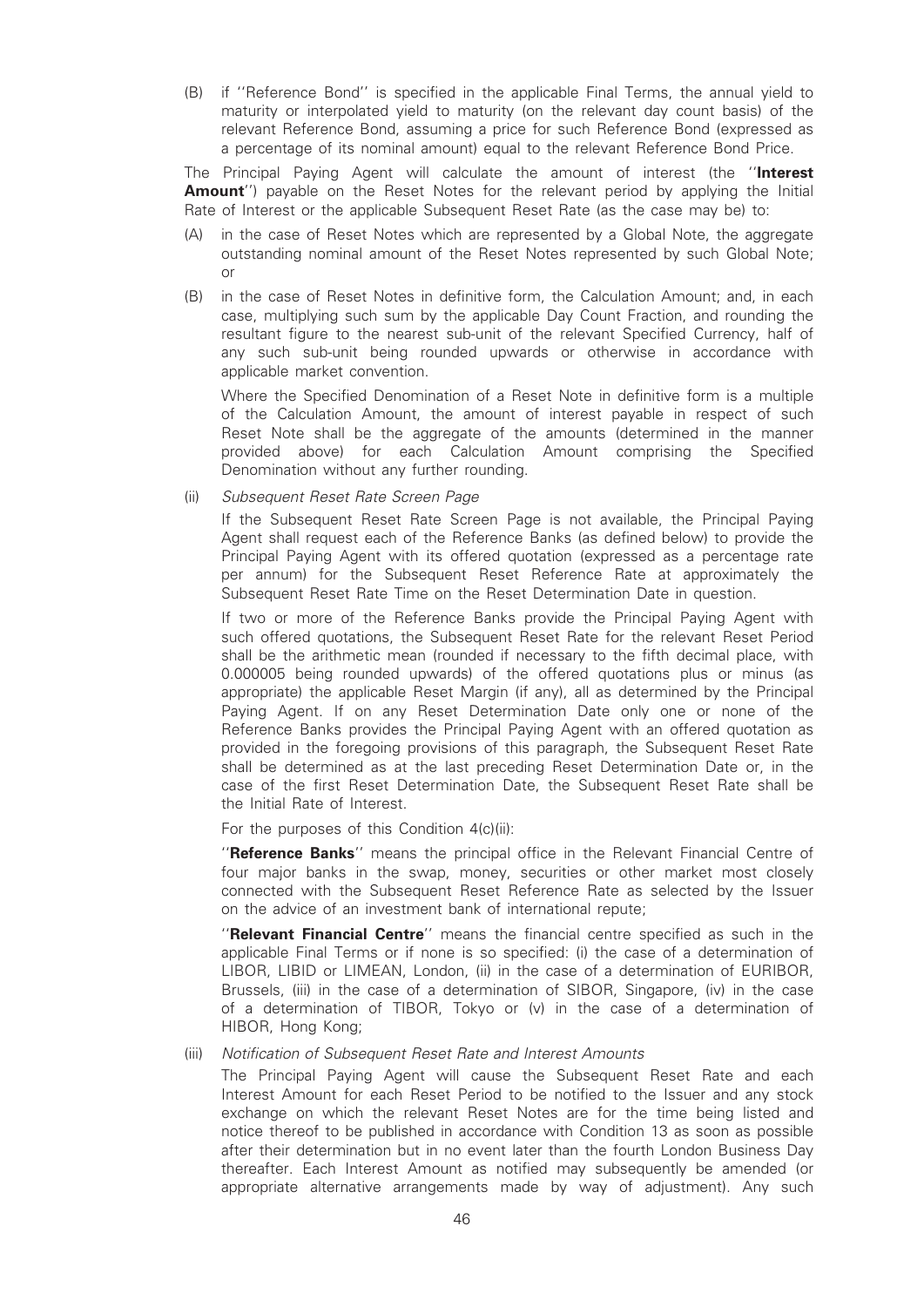(B) if ''Reference Bond'' is specified in the applicable Final Terms, the annual yield to maturity or interpolated yield to maturity (on the relevant day count basis) of the relevant Reference Bond, assuming a price for such Reference Bond (expressed as a percentage of its nominal amount) equal to the relevant Reference Bond Price.

The Principal Paying Agent will calculate the amount of interest (the "Interest **Amount''**) payable on the Reset Notes for the relevant period by applying the Initial Rate of Interest or the applicable Subsequent Reset Rate (as the case may be) to:

- (A) in the case of Reset Notes which are represented by a Global Note, the aggregate outstanding nominal amount of the Reset Notes represented by such Global Note; or
- (B) in the case of Reset Notes in definitive form, the Calculation Amount; and, in each case, multiplying such sum by the applicable Day Count Fraction, and rounding the resultant figure to the nearest sub-unit of the relevant Specified Currency, half of any such sub-unit being rounded upwards or otherwise in accordance with applicable market convention.

Where the Specified Denomination of a Reset Note in definitive form is a multiple of the Calculation Amount, the amount of interest payable in respect of such Reset Note shall be the aggregate of the amounts (determined in the manner provided above) for each Calculation Amount comprising the Specified Denomination without any further rounding.

(ii) Subsequent Reset Rate Screen Page

If the Subsequent Reset Rate Screen Page is not available, the Principal Paying Agent shall request each of the Reference Banks (as defined below) to provide the Principal Paying Agent with its offered quotation (expressed as a percentage rate per annum) for the Subsequent Reset Reference Rate at approximately the Subsequent Reset Rate Time on the Reset Determination Date in question.

If two or more of the Reference Banks provide the Principal Paying Agent with such offered quotations, the Subsequent Reset Rate for the relevant Reset Period shall be the arithmetic mean (rounded if necessary to the fifth decimal place, with 0.000005 being rounded upwards) of the offered quotations plus or minus (as appropriate) the applicable Reset Margin (if any), all as determined by the Principal Paying Agent. If on any Reset Determination Date only one or none of the Reference Banks provides the Principal Paying Agent with an offered quotation as provided in the foregoing provisions of this paragraph, the Subsequent Reset Rate shall be determined as at the last preceding Reset Determination Date or, in the case of the first Reset Determination Date, the Subsequent Reset Rate shall be the Initial Rate of Interest.

For the purposes of this Condition 4(c)(ii):

''Reference Banks'' means the principal office in the Relevant Financial Centre of four major banks in the swap, money, securities or other market most closely connected with the Subsequent Reset Reference Rate as selected by the Issuer on the advice of an investment bank of international repute;

"Relevant Financial Centre" means the financial centre specified as such in the applicable Final Terms or if none is so specified: (i) the case of a determination of LIBOR, LIBID or LIMEAN, London, (ii) in the case of a determination of EURIBOR, Brussels, (iii) in the case of a determination of SIBOR, Singapore, (iv) in the case of a determination of TIBOR, Tokyo or (v) in the case of a determination of HIBOR, Hong Kong;

#### (iii) Notification of Subsequent Reset Rate and Interest Amounts

The Principal Paying Agent will cause the Subsequent Reset Rate and each Interest Amount for each Reset Period to be notified to the Issuer and any stock exchange on which the relevant Reset Notes are for the time being listed and notice thereof to be published in accordance with Condition 13 as soon as possible after their determination but in no event later than the fourth London Business Day thereafter. Each Interest Amount as notified may subsequently be amended (or appropriate alternative arrangements made by way of adjustment). Any such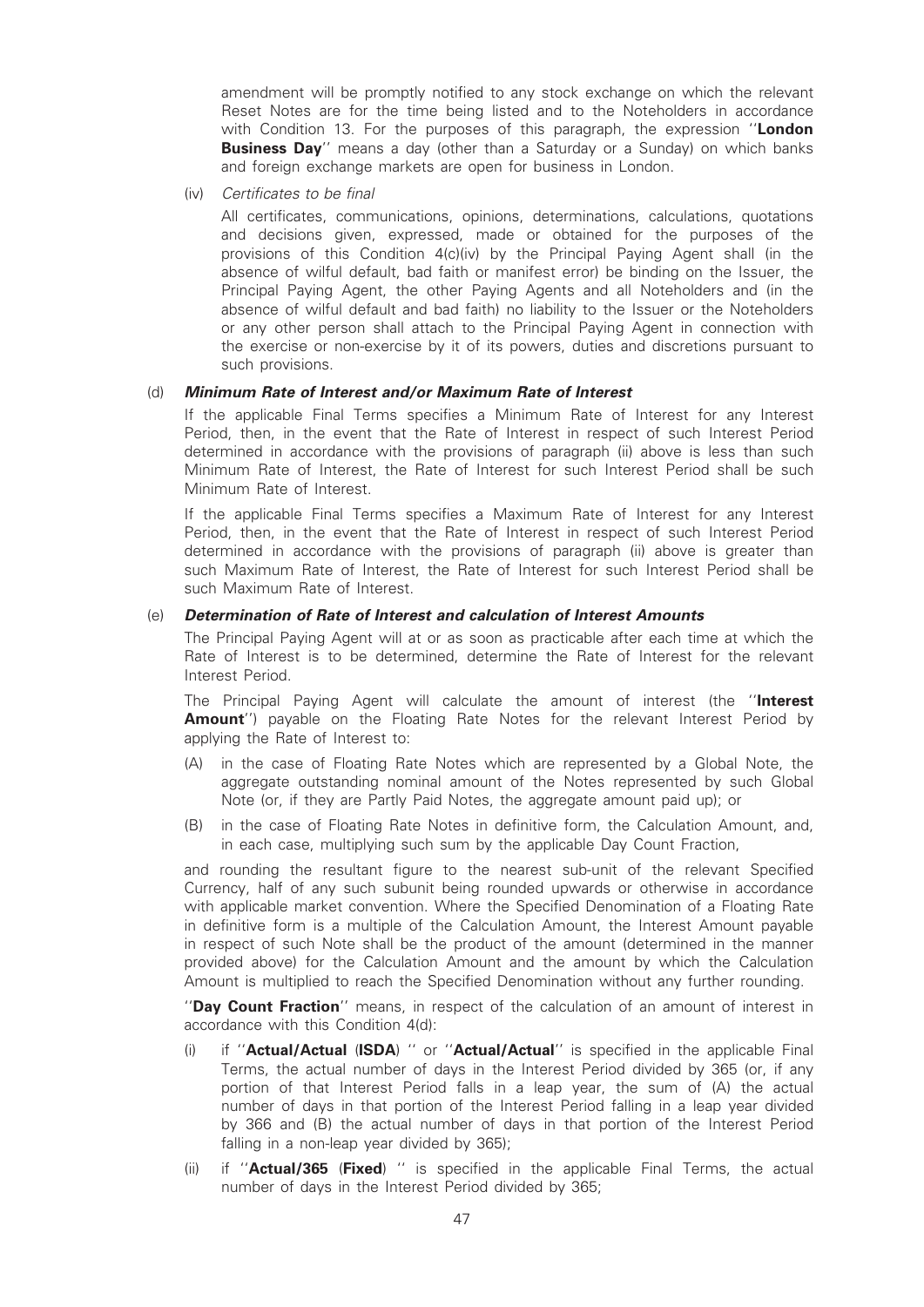amendment will be promptly notified to any stock exchange on which the relevant Reset Notes are for the time being listed and to the Noteholders in accordance with Condition 13. For the purposes of this paragraph, the expression "London **Business Day**" means a day (other than a Saturday or a Sunday) on which banks and foreign exchange markets are open for business in London.

(iv) Certificates to be final

All certificates, communications, opinions, determinations, calculations, quotations and decisions given, expressed, made or obtained for the purposes of the provisions of this Condition 4(c)(iv) by the Principal Paying Agent shall (in the absence of wilful default, bad faith or manifest error) be binding on the Issuer, the Principal Paying Agent, the other Paying Agents and all Noteholders and (in the absence of wilful default and bad faith) no liability to the Issuer or the Noteholders or any other person shall attach to the Principal Paying Agent in connection with the exercise or non-exercise by it of its powers, duties and discretions pursuant to such provisions.

#### (d) Minimum Rate of Interest and/or Maximum Rate of Interest

If the applicable Final Terms specifies a Minimum Rate of Interest for any Interest Period, then, in the event that the Rate of Interest in respect of such Interest Period determined in accordance with the provisions of paragraph (ii) above is less than such Minimum Rate of Interest, the Rate of Interest for such Interest Period shall be such Minimum Rate of Interest.

If the applicable Final Terms specifies a Maximum Rate of Interest for any Interest Period, then, in the event that the Rate of Interest in respect of such Interest Period determined in accordance with the provisions of paragraph (ii) above is greater than such Maximum Rate of Interest, the Rate of Interest for such Interest Period shall be such Maximum Rate of Interest.

#### (e) Determination of Rate of Interest and calculation of Interest Amounts

The Principal Paying Agent will at or as soon as practicable after each time at which the Rate of Interest is to be determined, determine the Rate of Interest for the relevant Interest Period.

The Principal Paying Agent will calculate the amount of interest (the "Interest Amount'') payable on the Floating Rate Notes for the relevant Interest Period by applying the Rate of Interest to:

- (A) in the case of Floating Rate Notes which are represented by a Global Note, the aggregate outstanding nominal amount of the Notes represented by such Global Note (or, if they are Partly Paid Notes, the aggregate amount paid up); or
- (B) in the case of Floating Rate Notes in definitive form, the Calculation Amount, and, in each case, multiplying such sum by the applicable Day Count Fraction,

and rounding the resultant figure to the nearest sub-unit of the relevant Specified Currency, half of any such subunit being rounded upwards or otherwise in accordance with applicable market convention. Where the Specified Denomination of a Floating Rate in definitive form is a multiple of the Calculation Amount, the Interest Amount payable in respect of such Note shall be the product of the amount (determined in the manner provided above) for the Calculation Amount and the amount by which the Calculation Amount is multiplied to reach the Specified Denomination without any further rounding.

''Day Count Fraction'' means, in respect of the calculation of an amount of interest in accordance with this Condition 4(d):

- (i) if "Actual/Actual (ISDA) " or "Actual/Actual" is specified in the applicable Final Terms, the actual number of days in the Interest Period divided by 365 (or, if any portion of that Interest Period falls in a leap year, the sum of (A) the actual number of days in that portion of the Interest Period falling in a leap year divided by 366 and (B) the actual number of days in that portion of the Interest Period falling in a non-leap year divided by 365);
- (ii) if "**Actual/365 (Fixed**) " is specified in the applicable Final Terms, the actual number of days in the Interest Period divided by 365;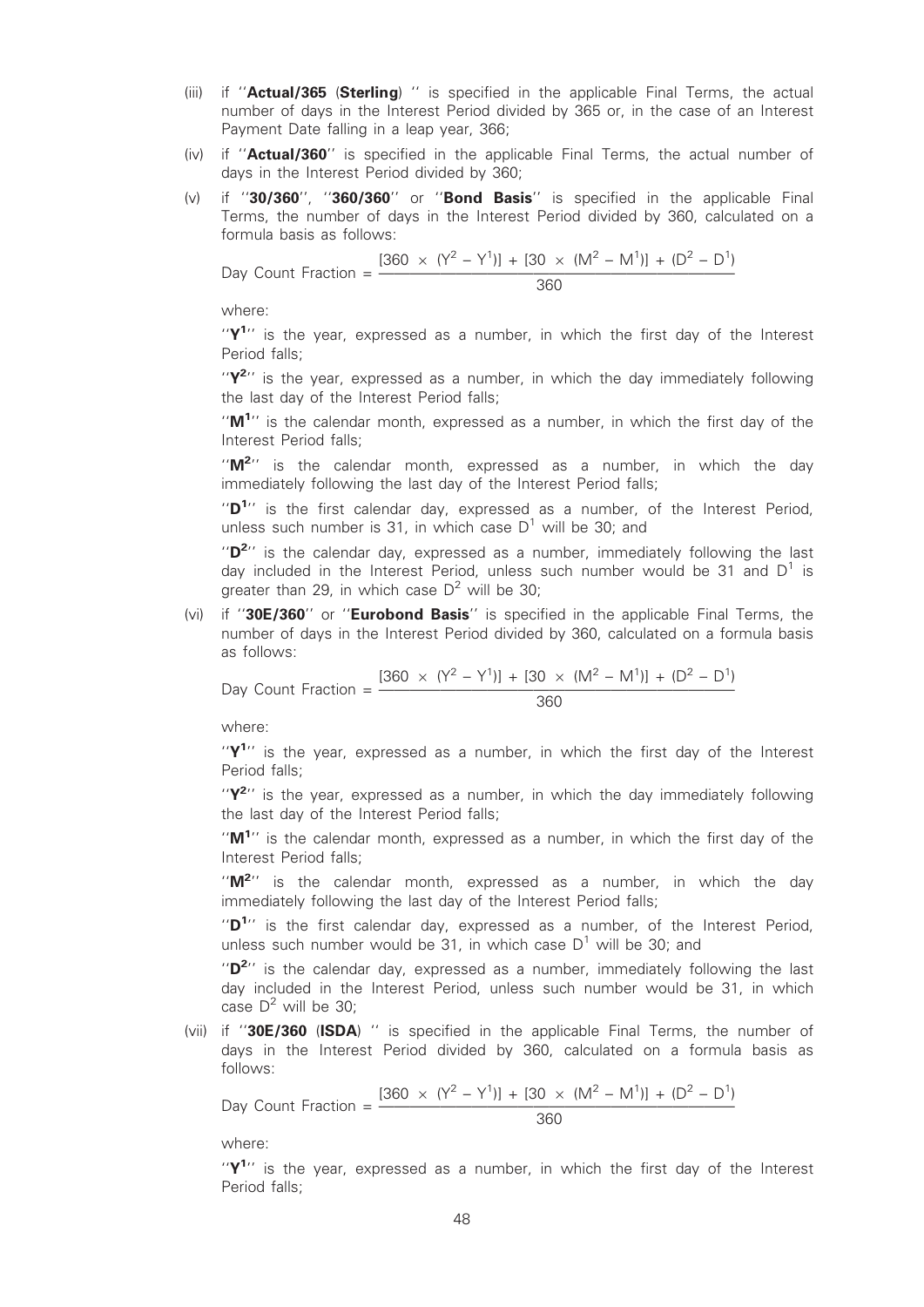- (iii) if "Actual/365 (Sterling) " is specified in the applicable Final Terms, the actual number of days in the Interest Period divided by 365 or, in the case of an Interest Payment Date falling in a leap year, 366;
- (iv) if ''Actual/360'' is specified in the applicable Final Terms, the actual number of days in the Interest Period divided by 360;
- $(v)$  if "30/360", "360/360" or "Bond Basis" is specified in the applicable Final Terms, the number of days in the Interest Period divided by 360, calculated on a formula basis as follows:

Day Count Fraction =  $\frac{[360 \times (Y^2 - Y^1)] + [30 \times (M^2 - M^1)] + (D^2 - D^1)}{360}$ 

where:

" $Y<sup>1</sup>$ " is the year, expressed as a number, in which the first day of the Interest Period falls;

" $Y^{2}$ " is the year, expressed as a number, in which the day immediately following the last day of the Interest Period falls;

" $M^{1}$ " is the calendar month, expressed as a number, in which the first day of the Interest Period falls;

"M<sup>2</sup>" is the calendar month, expressed as a number, in which the day immediately following the last day of the Interest Period falls;

" $D^{1}$ " is the first calendar day, expressed as a number, of the Interest Period, unless such number is 31, in which case  $D^1$  will be 30; and

" $D^{2}$ " is the calendar day, expressed as a number, immediately following the last day included in the Interest Period, unless such number would be 31 and  $D^1$  is greater than 29, in which case  $D^2$  will be 30;

(vi) if "30E/360" or "Eurobond Basis" is specified in the applicable Final Terms, the number of days in the Interest Period divided by 360, calculated on a formula basis as follows:

Day Count Fraction =  $\frac{[360 \times (Y^2 - Y^1)] + [30 \times (M^2 - M^1)] + (D^2 - D^1)}{360}$ 

where:

" $Y<sup>1</sup>$ " is the year, expressed as a number, in which the first day of the Interest Period falls;

" $Y^{2}$ " is the year, expressed as a number, in which the day immediately following the last day of the Interest Period falls;

" $M^{1}$ " is the calendar month, expressed as a number, in which the first day of the Interest Period falls;

" $M^{2}$ " is the calendar month, expressed as a number, in which the day immediately following the last day of the Interest Period falls;

"D<sup>1</sup>" is the first calendar day, expressed as a number, of the Interest Period, unless such number would be 31, in which case  $D^1$  will be 30; and

" $D^{2}$ " is the calendar day, expressed as a number, immediately following the last day included in the Interest Period, unless such number would be 31, in which case  $D^2$  will be 30:

(vii) if "30E/360 (ISDA) " is specified in the applicable Final Terms, the number of days in the Interest Period divided by 360, calculated on a formula basis as follows:

Day Count Fraction =  $\frac{[360 \times (Y^2 - Y^1)] + [30 \times (M^2 - M^1)] + (D^2 - D^1)}{360}$ 

where:

" $Y<sup>1</sup>$ " is the year, expressed as a number, in which the first day of the Interest Period falls;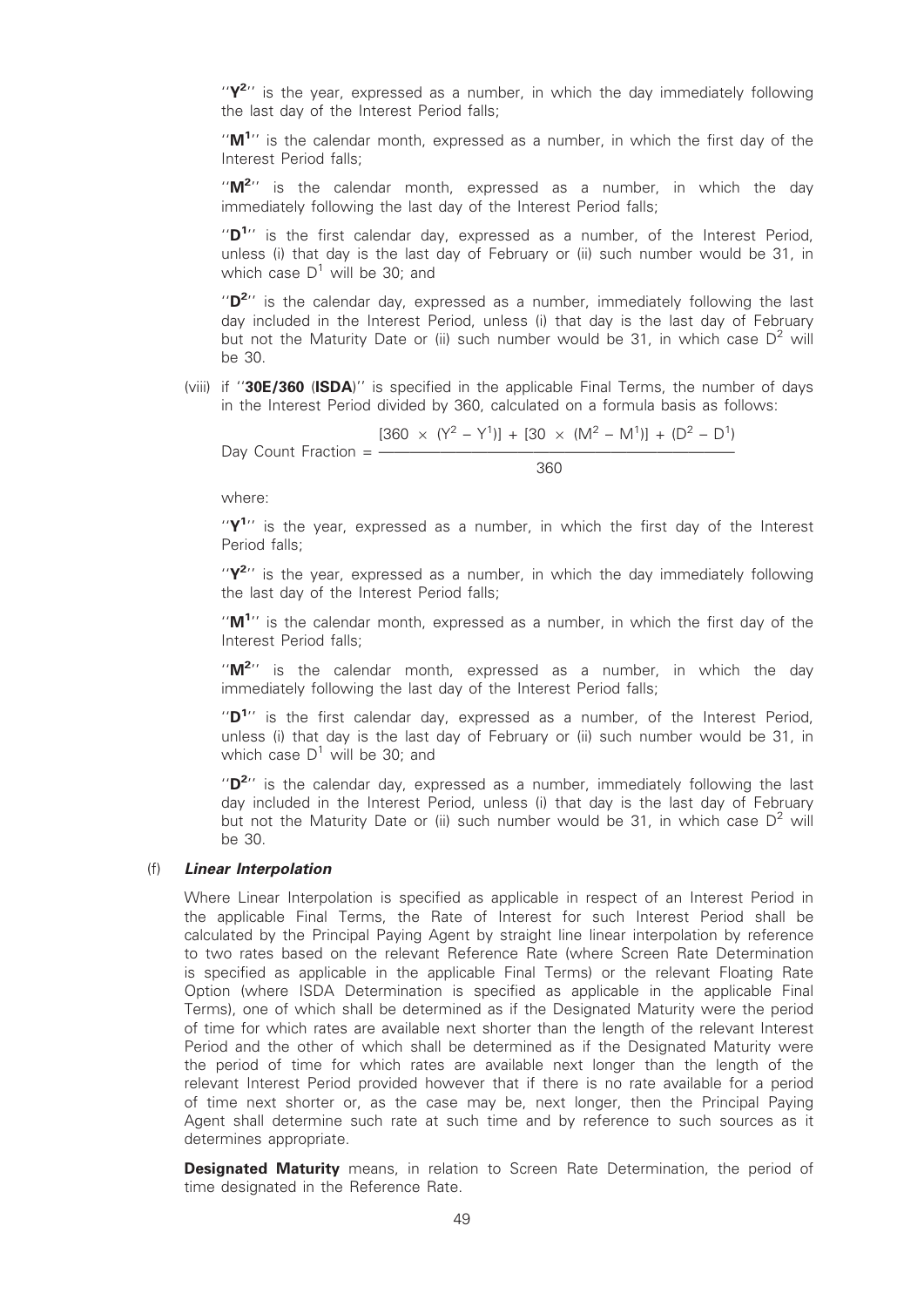" $Y^{2}$ " is the year, expressed as a number, in which the day immediately following the last day of the Interest Period falls;

" $M^{1}$ " is the calendar month, expressed as a number, in which the first day of the Interest Period falls;

"M<sup>2</sup>" is the calendar month, expressed as a number, in which the day immediately following the last day of the Interest Period falls;

" $D^{1}$ " is the first calendar day, expressed as a number, of the Interest Period, unless (i) that day is the last day of February or (ii) such number would be 31, in which case  $D^1$  will be 30; and

" $D^{2}$ " is the calendar day, expressed as a number, immediately following the last day included in the Interest Period, unless (i) that day is the last day of February but not the Maturity Date or (ii) such number would be 31, in which case  $D^2$  will be 30.

(viii) if ''30E/360 (ISDA)'' is specified in the applicable Final Terms, the number of days in the Interest Period divided by 360, calculated on a formula basis as follows:

Day Count Fraction = 
$$
\frac{[360 \times (Y^2 - Y^1)] + [30 \times (M^2 - M^1)] + (D^2 - D^1)}{360}
$$

where:

" $Y^1$ " is the year, expressed as a number, in which the first day of the Interest Period falls;

" $Y^{2}$ " is the year, expressed as a number, in which the day immediately following the last day of the Interest Period falls;

" $M^{1}$ " is the calendar month, expressed as a number, in which the first day of the Interest Period falls;

" $M^{2}$ " is the calendar month, expressed as a number, in which the day immediately following the last day of the Interest Period falls;

" $D^{1}$ " is the first calendar day, expressed as a number, of the Interest Period, unless (i) that day is the last day of February or (ii) such number would be 31, in which case  $D^1$  will be 30; and

" $D^{2}$ " is the calendar day, expressed as a number, immediately following the last day included in the Interest Period, unless (i) that day is the last day of February but not the Maturity Date or (ii) such number would be 31, in which case  $D^2$  will be 30.

#### (f) Linear Interpolation

Where Linear Interpolation is specified as applicable in respect of an Interest Period in the applicable Final Terms, the Rate of Interest for such Interest Period shall be calculated by the Principal Paying Agent by straight line linear interpolation by reference to two rates based on the relevant Reference Rate (where Screen Rate Determination is specified as applicable in the applicable Final Terms) or the relevant Floating Rate Option (where ISDA Determination is specified as applicable in the applicable Final Terms), one of which shall be determined as if the Designated Maturity were the period of time for which rates are available next shorter than the length of the relevant Interest Period and the other of which shall be determined as if the Designated Maturity were the period of time for which rates are available next longer than the length of the relevant Interest Period provided however that if there is no rate available for a period of time next shorter or, as the case may be, next longer, then the Principal Paying Agent shall determine such rate at such time and by reference to such sources as it determines appropriate.

**Designated Maturity** means, in relation to Screen Rate Determination, the period of time designated in the Reference Rate.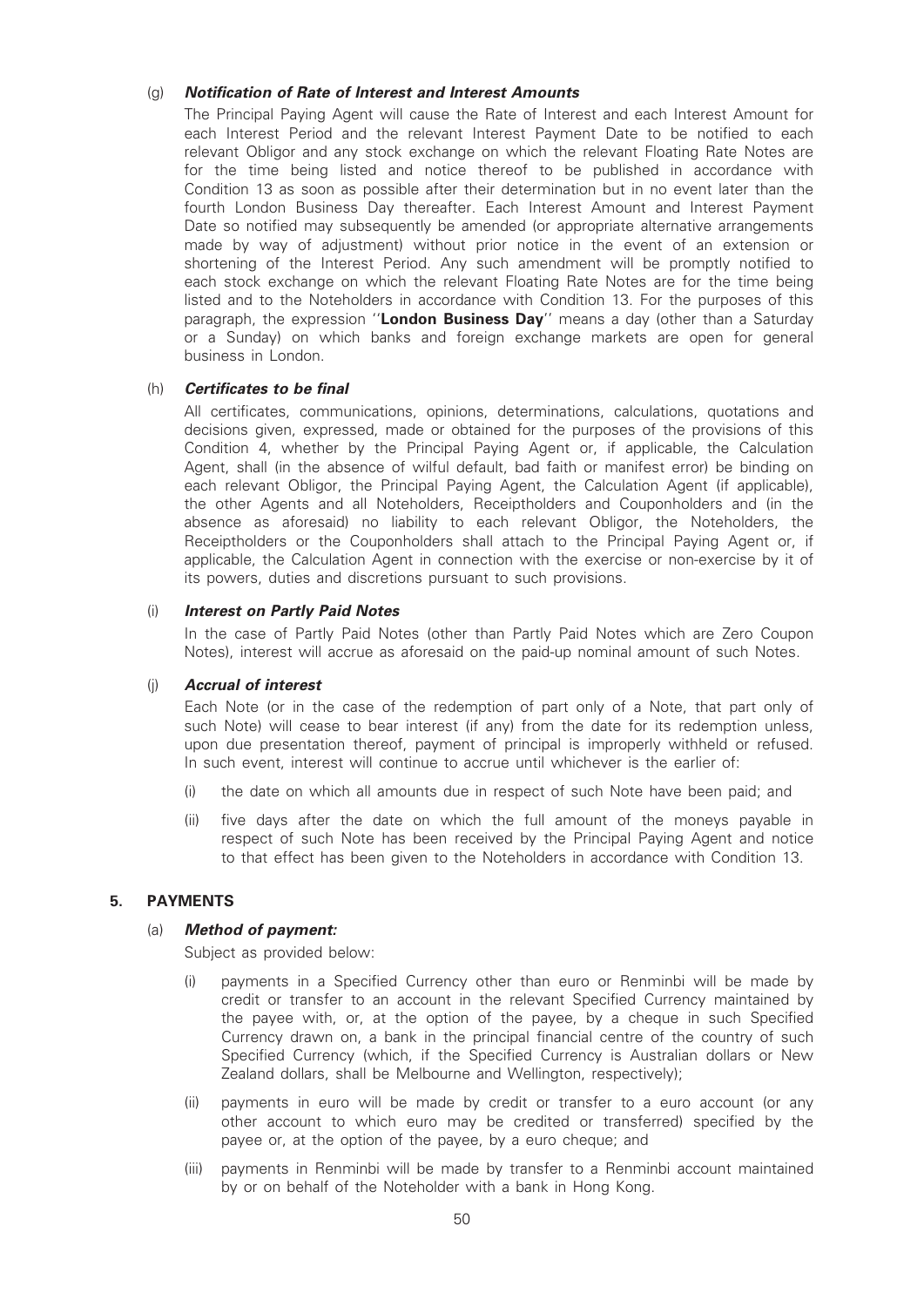#### (g) Notification of Rate of Interest and Interest Amounts

The Principal Paying Agent will cause the Rate of Interest and each Interest Amount for each Interest Period and the relevant Interest Payment Date to be notified to each relevant Obligor and any stock exchange on which the relevant Floating Rate Notes are for the time being listed and notice thereof to be published in accordance with Condition 13 as soon as possible after their determination but in no event later than the fourth London Business Day thereafter. Each Interest Amount and Interest Payment Date so notified may subsequently be amended (or appropriate alternative arrangements made by way of adjustment) without prior notice in the event of an extension or shortening of the Interest Period. Any such amendment will be promptly notified to each stock exchange on which the relevant Floating Rate Notes are for the time being listed and to the Noteholders in accordance with Condition 13. For the purposes of this paragraph, the expression "London Business Day" means a day (other than a Saturday or a Sunday) on which banks and foreign exchange markets are open for general business in London.

#### (h) Certificates to be final

All certificates, communications, opinions, determinations, calculations, quotations and decisions given, expressed, made or obtained for the purposes of the provisions of this Condition 4, whether by the Principal Paying Agent or, if applicable, the Calculation Agent, shall (in the absence of wilful default, bad faith or manifest error) be binding on each relevant Obligor, the Principal Paying Agent, the Calculation Agent (if applicable), the other Agents and all Noteholders, Receiptholders and Couponholders and (in the absence as aforesaid) no liability to each relevant Obligor, the Noteholders, the Receiptholders or the Couponholders shall attach to the Principal Paying Agent or, if applicable, the Calculation Agent in connection with the exercise or non-exercise by it of its powers, duties and discretions pursuant to such provisions.

#### (i) Interest on Partly Paid Notes

In the case of Partly Paid Notes (other than Partly Paid Notes which are Zero Coupon Notes), interest will accrue as aforesaid on the paid-up nominal amount of such Notes.

#### (j) Accrual of interest

Each Note (or in the case of the redemption of part only of a Note, that part only of such Note) will cease to bear interest (if any) from the date for its redemption unless, upon due presentation thereof, payment of principal is improperly withheld or refused. In such event, interest will continue to accrue until whichever is the earlier of:

- (i) the date on which all amounts due in respect of such Note have been paid; and
- (ii) five days after the date on which the full amount of the moneys payable in respect of such Note has been received by the Principal Paying Agent and notice to that effect has been given to the Noteholders in accordance with Condition 13.

### 5. PAYMENTS

#### (a) Method of payment:

Subject as provided below:

- (i) payments in a Specified Currency other than euro or Renminbi will be made by credit or transfer to an account in the relevant Specified Currency maintained by the payee with, or, at the option of the payee, by a cheque in such Specified Currency drawn on, a bank in the principal financial centre of the country of such Specified Currency (which, if the Specified Currency is Australian dollars or New Zealand dollars, shall be Melbourne and Wellington, respectively);
- (ii) payments in euro will be made by credit or transfer to a euro account (or any other account to which euro may be credited or transferred) specified by the payee or, at the option of the payee, by a euro cheque; and
- (iii) payments in Renminbi will be made by transfer to a Renminbi account maintained by or on behalf of the Noteholder with a bank in Hong Kong.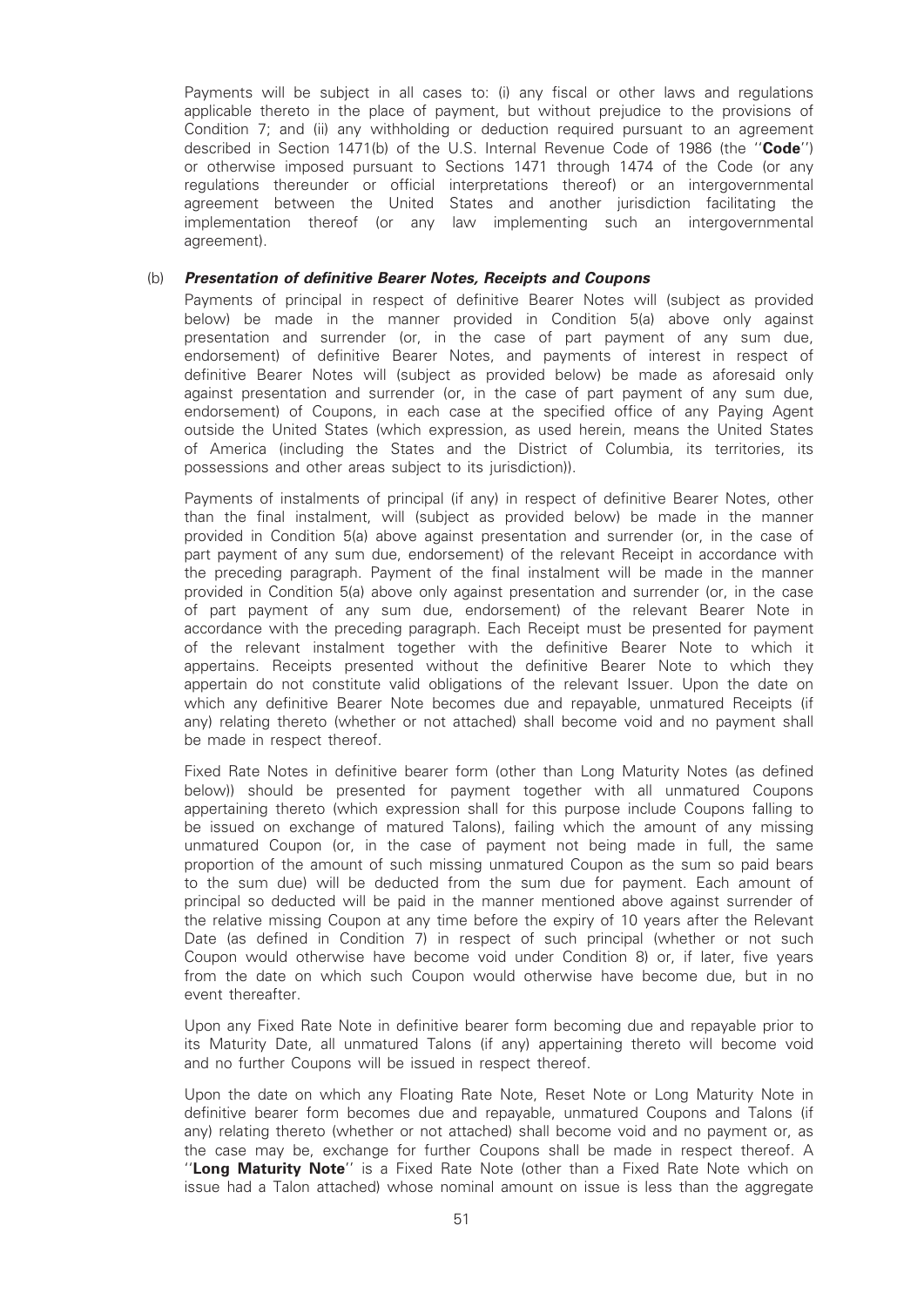Payments will be subject in all cases to: (i) any fiscal or other laws and regulations applicable thereto in the place of payment, but without prejudice to the provisions of Condition 7; and (ii) any withholding or deduction required pursuant to an agreement described in Section 1471(b) of the U.S. Internal Revenue Code of 1986 (the "Code") or otherwise imposed pursuant to Sections 1471 through 1474 of the Code (or any regulations thereunder or official interpretations thereof) or an intergovernmental agreement between the United States and another jurisdiction facilitating the implementation thereof (or any law implementing such an intergovernmental agreement).

#### (b) Presentation of definitive Bearer Notes, Receipts and Coupons

Payments of principal in respect of definitive Bearer Notes will (subject as provided below) be made in the manner provided in Condition 5(a) above only against presentation and surrender (or, in the case of part payment of any sum due, endorsement) of definitive Bearer Notes, and payments of interest in respect of definitive Bearer Notes will (subject as provided below) be made as aforesaid only against presentation and surrender (or, in the case of part payment of any sum due, endorsement) of Coupons, in each case at the specified office of any Paying Agent outside the United States (which expression, as used herein, means the United States of America (including the States and the District of Columbia, its territories, its possessions and other areas subject to its jurisdiction)).

Payments of instalments of principal (if any) in respect of definitive Bearer Notes, other than the final instalment, will (subject as provided below) be made in the manner provided in Condition 5(a) above against presentation and surrender (or, in the case of part payment of any sum due, endorsement) of the relevant Receipt in accordance with the preceding paragraph. Payment of the final instalment will be made in the manner provided in Condition 5(a) above only against presentation and surrender (or, in the case of part payment of any sum due, endorsement) of the relevant Bearer Note in accordance with the preceding paragraph. Each Receipt must be presented for payment of the relevant instalment together with the definitive Bearer Note to which it appertains. Receipts presented without the definitive Bearer Note to which they appertain do not constitute valid obligations of the relevant Issuer. Upon the date on which any definitive Bearer Note becomes due and repayable, unmatured Receipts (if any) relating thereto (whether or not attached) shall become void and no payment shall be made in respect thereof.

Fixed Rate Notes in definitive bearer form (other than Long Maturity Notes (as defined below)) should be presented for payment together with all unmatured Coupons appertaining thereto (which expression shall for this purpose include Coupons falling to be issued on exchange of matured Talons), failing which the amount of any missing unmatured Coupon (or, in the case of payment not being made in full, the same proportion of the amount of such missing unmatured Coupon as the sum so paid bears to the sum due) will be deducted from the sum due for payment. Each amount of principal so deducted will be paid in the manner mentioned above against surrender of the relative missing Coupon at any time before the expiry of 10 years after the Relevant Date (as defined in Condition 7) in respect of such principal (whether or not such Coupon would otherwise have become void under Condition 8) or, if later, five years from the date on which such Coupon would otherwise have become due, but in no event thereafter.

Upon any Fixed Rate Note in definitive bearer form becoming due and repayable prior to its Maturity Date, all unmatured Talons (if any) appertaining thereto will become void and no further Coupons will be issued in respect thereof.

Upon the date on which any Floating Rate Note, Reset Note or Long Maturity Note in definitive bearer form becomes due and repayable, unmatured Coupons and Talons (if any) relating thereto (whether or not attached) shall become void and no payment or, as the case may be, exchange for further Coupons shall be made in respect thereof. A "Long Maturity Note" is a Fixed Rate Note (other than a Fixed Rate Note which on issue had a Talon attached) whose nominal amount on issue is less than the aggregate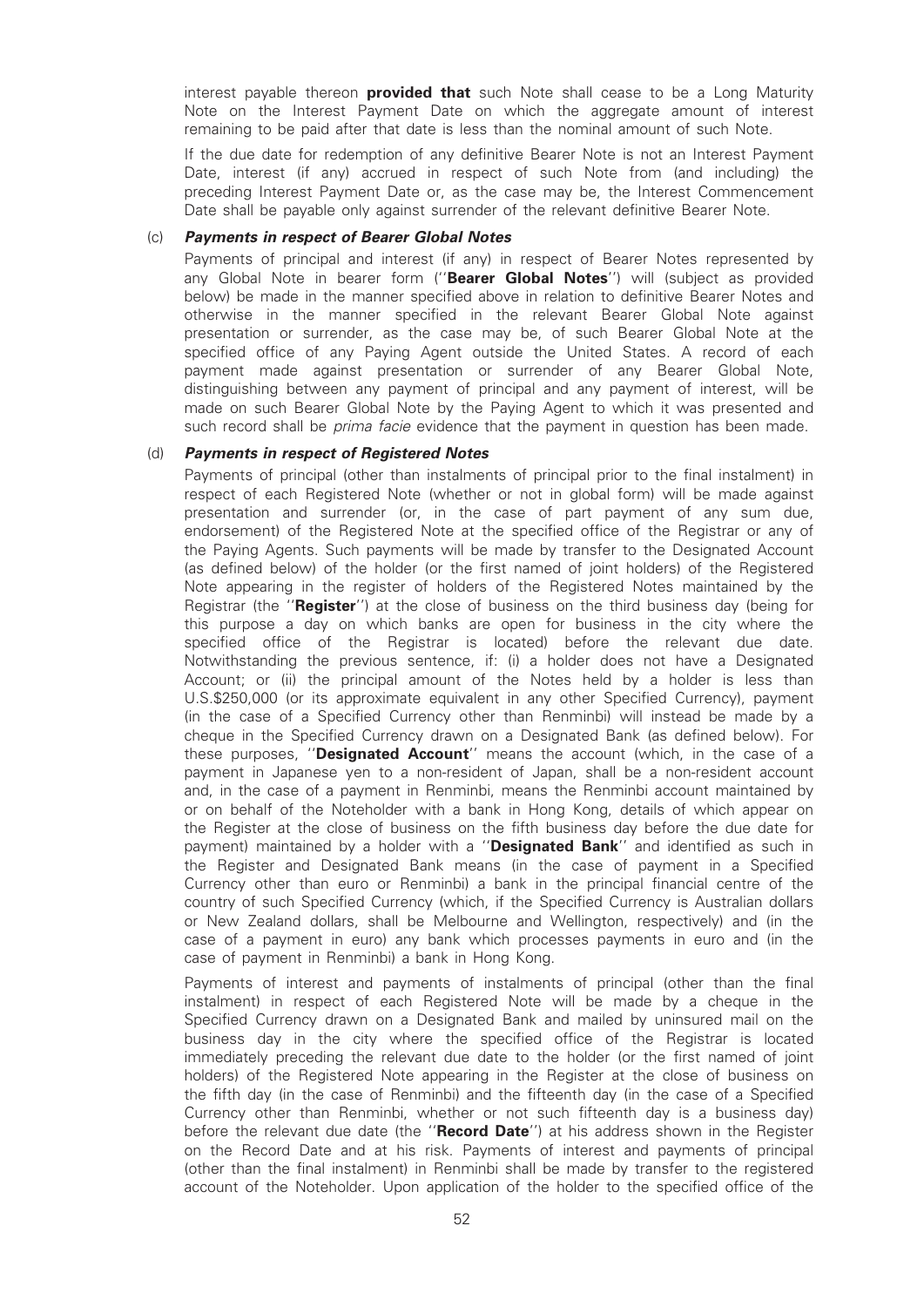interest payable thereon **provided that** such Note shall cease to be a Long Maturity Note on the Interest Payment Date on which the aggregate amount of interest remaining to be paid after that date is less than the nominal amount of such Note.

If the due date for redemption of any definitive Bearer Note is not an Interest Payment Date, interest (if any) accrued in respect of such Note from (and including) the preceding Interest Payment Date or, as the case may be, the Interest Commencement Date shall be payable only against surrender of the relevant definitive Bearer Note.

#### (c) Payments in respect of Bearer Global Notes

Payments of principal and interest (if any) in respect of Bearer Notes represented by any Global Note in bearer form ("Bearer Global Notes") will (subject as provided below) be made in the manner specified above in relation to definitive Bearer Notes and otherwise in the manner specified in the relevant Bearer Global Note against presentation or surrender, as the case may be, of such Bearer Global Note at the specified office of any Paying Agent outside the United States. A record of each payment made against presentation or surrender of any Bearer Global Note, distinguishing between any payment of principal and any payment of interest, will be made on such Bearer Global Note by the Paying Agent to which it was presented and such record shall be *prima facie* evidence that the payment in question has been made.

#### (d) Payments in respect of Registered Notes

Payments of principal (other than instalments of principal prior to the final instalment) in respect of each Registered Note (whether or not in global form) will be made against presentation and surrender (or, in the case of part payment of any sum due, endorsement) of the Registered Note at the specified office of the Registrar or any of the Paying Agents. Such payments will be made by transfer to the Designated Account (as defined below) of the holder (or the first named of joint holders) of the Registered Note appearing in the register of holders of the Registered Notes maintained by the Registrar (the "**Register**") at the close of business on the third business day (being for this purpose a day on which banks are open for business in the city where the specified office of the Registrar is located) before the relevant due date. Notwithstanding the previous sentence, if: (i) a holder does not have a Designated Account; or (ii) the principal amount of the Notes held by a holder is less than U.S.\$250,000 (or its approximate equivalent in any other Specified Currency), payment (in the case of a Specified Currency other than Renminbi) will instead be made by a cheque in the Specified Currency drawn on a Designated Bank (as defined below). For these purposes, "**Designated Account**" means the account (which, in the case of a payment in Japanese yen to a non-resident of Japan, shall be a non-resident account and, in the case of a payment in Renminbi, means the Renminbi account maintained by or on behalf of the Noteholder with a bank in Hong Kong, details of which appear on the Register at the close of business on the fifth business day before the due date for payment) maintained by a holder with a "Designated Bank" and identified as such in the Register and Designated Bank means (in the case of payment in a Specified Currency other than euro or Renminbi) a bank in the principal financial centre of the country of such Specified Currency (which, if the Specified Currency is Australian dollars or New Zealand dollars, shall be Melbourne and Wellington, respectively) and (in the case of a payment in euro) any bank which processes payments in euro and (in the case of payment in Renminbi) a bank in Hong Kong.

Payments of interest and payments of instalments of principal (other than the final instalment) in respect of each Registered Note will be made by a cheque in the Specified Currency drawn on a Designated Bank and mailed by uninsured mail on the business day in the city where the specified office of the Registrar is located immediately preceding the relevant due date to the holder (or the first named of joint holders) of the Registered Note appearing in the Register at the close of business on the fifth day (in the case of Renminbi) and the fifteenth day (in the case of a Specified Currency other than Renminbi, whether or not such fifteenth day is a business day) before the relevant due date (the "Record Date") at his address shown in the Register on the Record Date and at his risk. Payments of interest and payments of principal (other than the final instalment) in Renminbi shall be made by transfer to the registered account of the Noteholder. Upon application of the holder to the specified office of the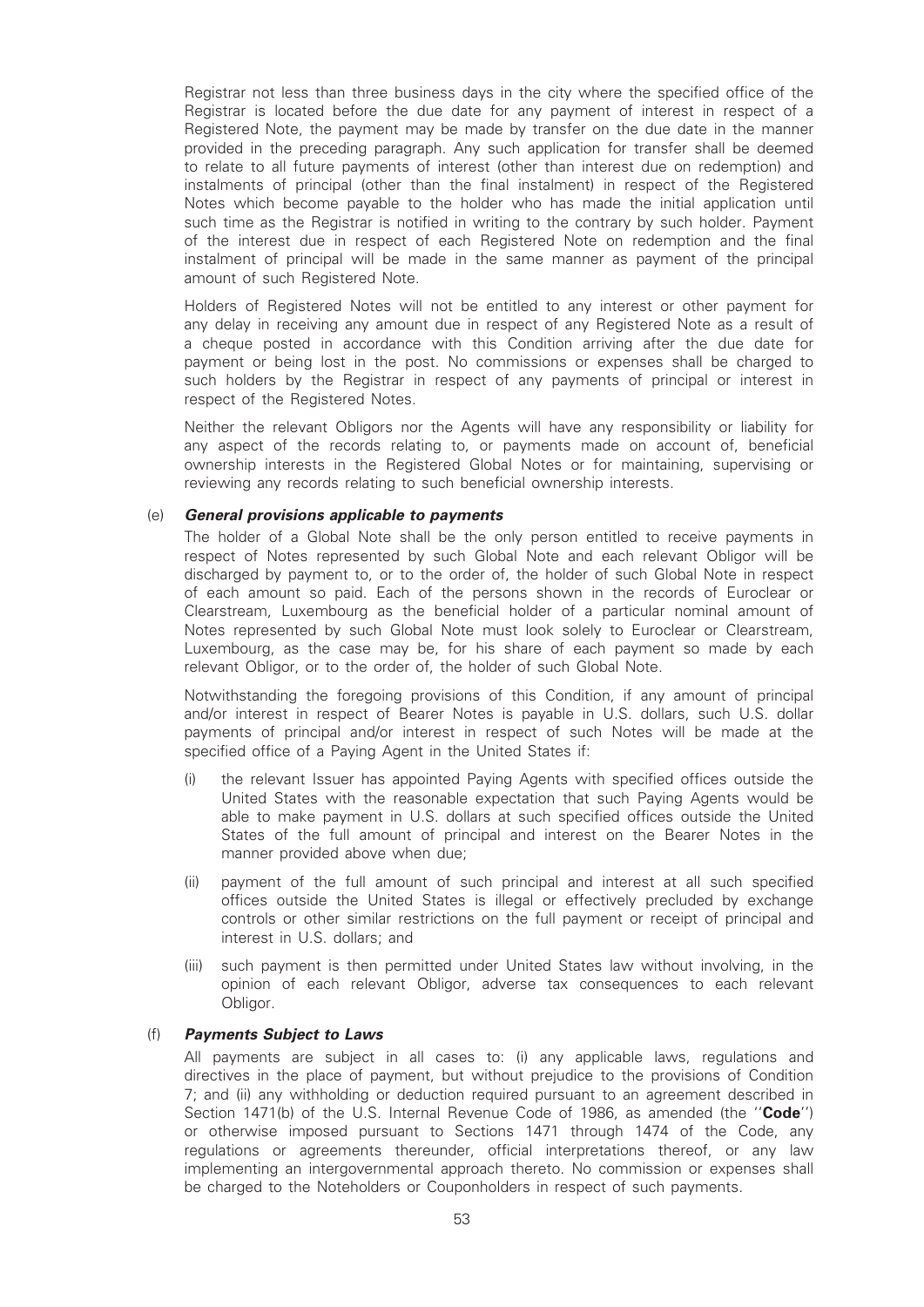Registrar not less than three business days in the city where the specified office of the Registrar is located before the due date for any payment of interest in respect of a Registered Note, the payment may be made by transfer on the due date in the manner provided in the preceding paragraph. Any such application for transfer shall be deemed to relate to all future payments of interest (other than interest due on redemption) and instalments of principal (other than the final instalment) in respect of the Registered Notes which become payable to the holder who has made the initial application until such time as the Registrar is notified in writing to the contrary by such holder. Payment of the interest due in respect of each Registered Note on redemption and the final instalment of principal will be made in the same manner as payment of the principal amount of such Registered Note.

Holders of Registered Notes will not be entitled to any interest or other payment for any delay in receiving any amount due in respect of any Registered Note as a result of a cheque posted in accordance with this Condition arriving after the due date for payment or being lost in the post. No commissions or expenses shall be charged to such holders by the Registrar in respect of any payments of principal or interest in respect of the Registered Notes.

Neither the relevant Obligors nor the Agents will have any responsibility or liability for any aspect of the records relating to, or payments made on account of, beneficial ownership interests in the Registered Global Notes or for maintaining, supervising or reviewing any records relating to such beneficial ownership interests.

### (e) General provisions applicable to payments

The holder of a Global Note shall be the only person entitled to receive payments in respect of Notes represented by such Global Note and each relevant Obligor will be discharged by payment to, or to the order of, the holder of such Global Note in respect of each amount so paid. Each of the persons shown in the records of Euroclear or Clearstream, Luxembourg as the beneficial holder of a particular nominal amount of Notes represented by such Global Note must look solely to Euroclear or Clearstream, Luxembourg, as the case may be, for his share of each payment so made by each relevant Obligor, or to the order of, the holder of such Global Note.

Notwithstanding the foregoing provisions of this Condition, if any amount of principal and/or interest in respect of Bearer Notes is payable in U.S. dollars, such U.S. dollar payments of principal and/or interest in respect of such Notes will be made at the specified office of a Paying Agent in the United States if:

- (i) the relevant Issuer has appointed Paying Agents with specified offices outside the United States with the reasonable expectation that such Paying Agents would be able to make payment in U.S. dollars at such specified offices outside the United States of the full amount of principal and interest on the Bearer Notes in the manner provided above when due;
- (ii) payment of the full amount of such principal and interest at all such specified offices outside the United States is illegal or effectively precluded by exchange controls or other similar restrictions on the full payment or receipt of principal and interest in U.S. dollars; and
- (iii) such payment is then permitted under United States law without involving, in the opinion of each relevant Obligor, adverse tax consequences to each relevant Obligor.

#### (f) Payments Subject to Laws

All payments are subject in all cases to: (i) any applicable laws, regulations and directives in the place of payment, but without prejudice to the provisions of Condition 7; and (ii) any withholding or deduction required pursuant to an agreement described in Section 1471(b) of the U.S. Internal Revenue Code of 1986, as amended (the "Code") or otherwise imposed pursuant to Sections 1471 through 1474 of the Code, any regulations or agreements thereunder, official interpretations thereof, or any law implementing an intergovernmental approach thereto. No commission or expenses shall be charged to the Noteholders or Couponholders in respect of such payments.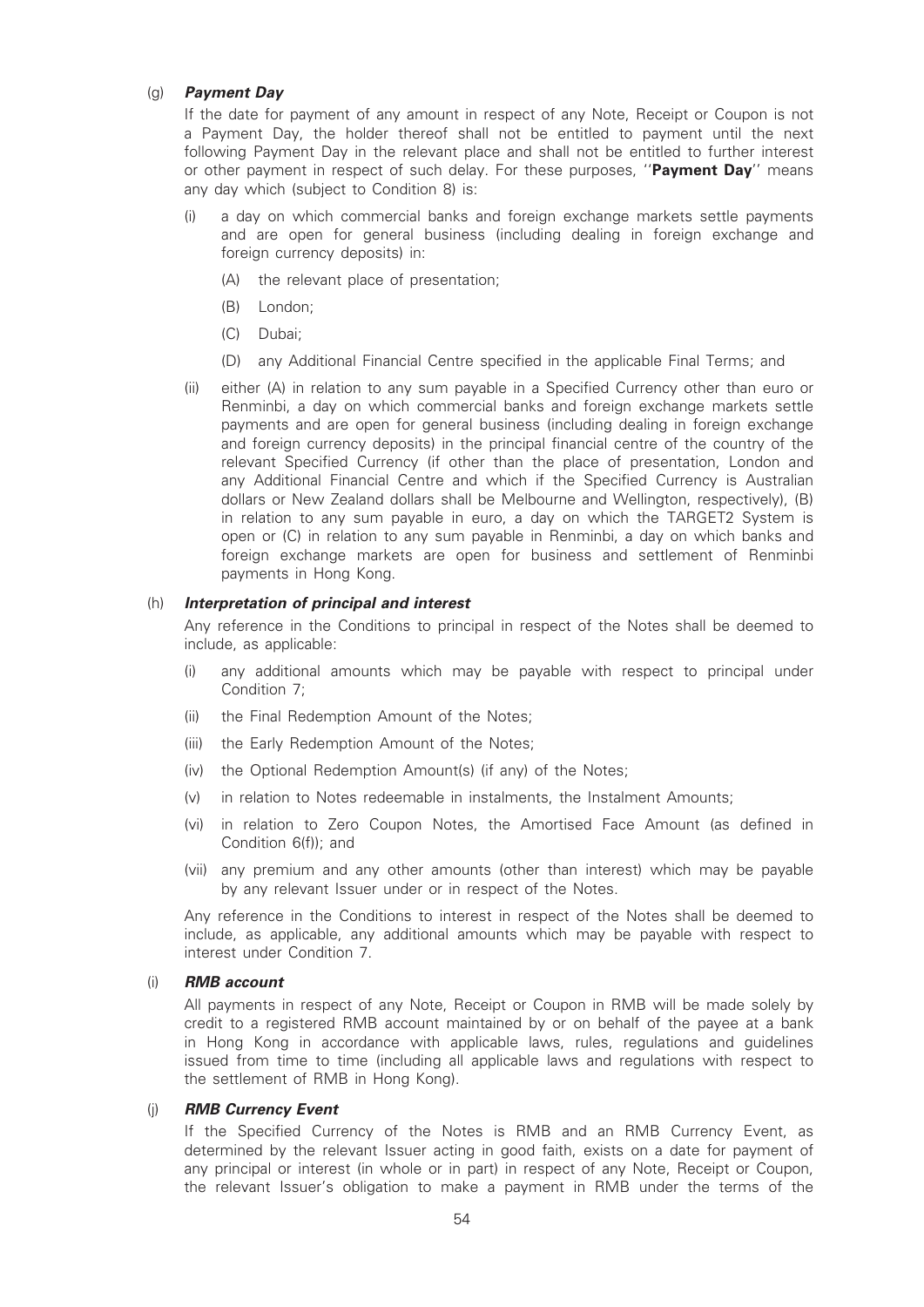#### (g) Payment Day

If the date for payment of any amount in respect of any Note, Receipt or Coupon is not a Payment Day, the holder thereof shall not be entitled to payment until the next following Payment Day in the relevant place and shall not be entitled to further interest or other payment in respect of such delay. For these purposes, "Payment Day" means any day which (subject to Condition 8) is:

- (i) a day on which commercial banks and foreign exchange markets settle payments and are open for general business (including dealing in foreign exchange and foreign currency deposits) in:
	- (A) the relevant place of presentation;
	- (B) London;
	- (C) Dubai;
	- (D) any Additional Financial Centre specified in the applicable Final Terms; and
- (ii) either (A) in relation to any sum payable in a Specified Currency other than euro or Renminbi, a day on which commercial banks and foreign exchange markets settle payments and are open for general business (including dealing in foreign exchange and foreign currency deposits) in the principal financial centre of the country of the relevant Specified Currency (if other than the place of presentation, London and any Additional Financial Centre and which if the Specified Currency is Australian dollars or New Zealand dollars shall be Melbourne and Wellington, respectively), (B) in relation to any sum payable in euro, a day on which the TARGET2 System is open or (C) in relation to any sum payable in Renminbi, a day on which banks and foreign exchange markets are open for business and settlement of Renminbi payments in Hong Kong.

#### (h) Interpretation of principal and interest

Any reference in the Conditions to principal in respect of the Notes shall be deemed to include, as applicable:

- (i) any additional amounts which may be payable with respect to principal under Condition 7;
- (ii) the Final Redemption Amount of the Notes;
- (iii) the Early Redemption Amount of the Notes;
- (iv) the Optional Redemption Amount(s) (if any) of the Notes;
- (v) in relation to Notes redeemable in instalments, the Instalment Amounts;
- (vi) in relation to Zero Coupon Notes, the Amortised Face Amount (as defined in Condition 6(f)); and
- (vii) any premium and any other amounts (other than interest) which may be payable by any relevant Issuer under or in respect of the Notes.

Any reference in the Conditions to interest in respect of the Notes shall be deemed to include, as applicable, any additional amounts which may be payable with respect to interest under Condition 7.

#### (i) RMB account

All payments in respect of any Note, Receipt or Coupon in RMB will be made solely by credit to a registered RMB account maintained by or on behalf of the payee at a bank in Hong Kong in accordance with applicable laws, rules, regulations and guidelines issued from time to time (including all applicable laws and regulations with respect to the settlement of RMB in Hong Kong).

### (j) RMB Currency Event

If the Specified Currency of the Notes is RMB and an RMB Currency Event, as determined by the relevant Issuer acting in good faith, exists on a date for payment of any principal or interest (in whole or in part) in respect of any Note, Receipt or Coupon, the relevant Issuer's obligation to make a payment in RMB under the terms of the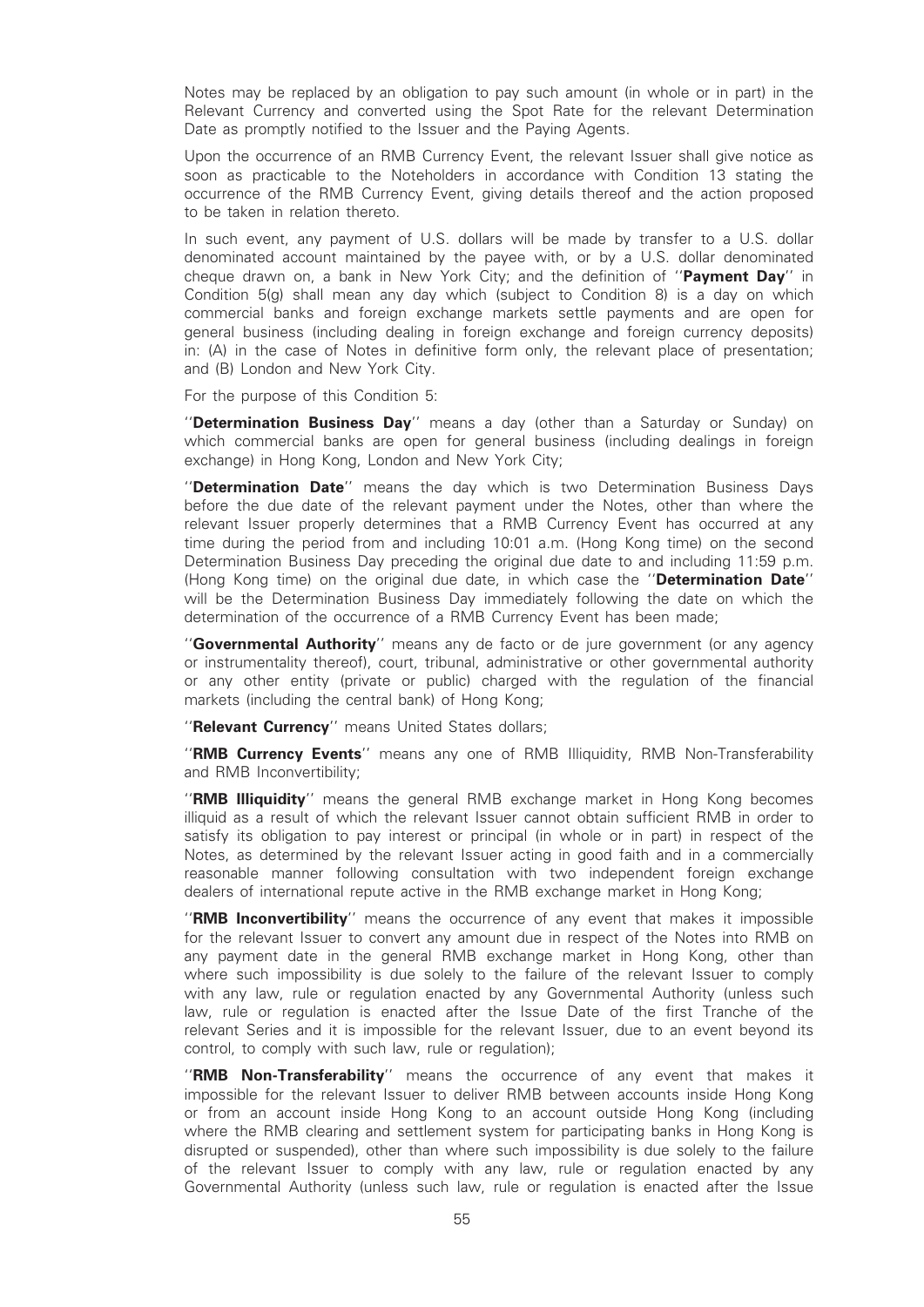Notes may be replaced by an obligation to pay such amount (in whole or in part) in the Relevant Currency and converted using the Spot Rate for the relevant Determination Date as promptly notified to the Issuer and the Paying Agents.

Upon the occurrence of an RMB Currency Event, the relevant Issuer shall give notice as soon as practicable to the Noteholders in accordance with Condition 13 stating the occurrence of the RMB Currency Event, giving details thereof and the action proposed to be taken in relation thereto.

In such event, any payment of U.S. dollars will be made by transfer to a U.S. dollar denominated account maintained by the payee with, or by a U.S. dollar denominated cheque drawn on, a bank in New York City; and the definition of "Payment Day" in Condition 5(g) shall mean any day which (subject to Condition 8) is a day on which commercial banks and foreign exchange markets settle payments and are open for general business (including dealing in foreign exchange and foreign currency deposits) in: (A) in the case of Notes in definitive form only, the relevant place of presentation; and (B) London and New York City.

For the purpose of this Condition 5:

''Determination Business Day'' means a day (other than a Saturday or Sunday) on which commercial banks are open for general business (including dealings in foreign exchange) in Hong Kong, London and New York City;

''Determination Date'' means the day which is two Determination Business Days before the due date of the relevant payment under the Notes, other than where the relevant Issuer properly determines that a RMB Currency Event has occurred at any time during the period from and including 10:01 a.m. (Hong Kong time) on the second Determination Business Day preceding the original due date to and including 11:59 p.m. (Hong Kong time) on the original due date, in which case the "**Determination Date**" will be the Determination Business Day immediately following the date on which the determination of the occurrence of a RMB Currency Event has been made;

"Governmental Authority" means any de facto or de jure government (or any agency or instrumentality thereof), court, tribunal, administrative or other governmental authority or any other entity (private or public) charged with the regulation of the financial markets (including the central bank) of Hong Kong;

"Relevant Currency" means United States dollars;

"RMB Currency Events" means any one of RMB Illiquidity, RMB Non-Transferability and RMB Inconvertibility;

"RMB Illiquidity" means the general RMB exchange market in Hong Kong becomes illiquid as a result of which the relevant Issuer cannot obtain sufficient RMB in order to satisfy its obligation to pay interest or principal (in whole or in part) in respect of the Notes, as determined by the relevant Issuer acting in good faith and in a commercially reasonable manner following consultation with two independent foreign exchange dealers of international repute active in the RMB exchange market in Hong Kong;

"RMB Inconvertibility" means the occurrence of any event that makes it impossible for the relevant Issuer to convert any amount due in respect of the Notes into RMB on any payment date in the general RMB exchange market in Hong Kong, other than where such impossibility is due solely to the failure of the relevant Issuer to comply with any law, rule or regulation enacted by any Governmental Authority (unless such law, rule or regulation is enacted after the Issue Date of the first Tranche of the relevant Series and it is impossible for the relevant Issuer, due to an event beyond its control, to comply with such law, rule or regulation);

"RMB Non-Transferability" means the occurrence of any event that makes it impossible for the relevant Issuer to deliver RMB between accounts inside Hong Kong or from an account inside Hong Kong to an account outside Hong Kong (including where the RMB clearing and settlement system for participating banks in Hong Kong is disrupted or suspended), other than where such impossibility is due solely to the failure of the relevant Issuer to comply with any law, rule or regulation enacted by any Governmental Authority (unless such law, rule or regulation is enacted after the Issue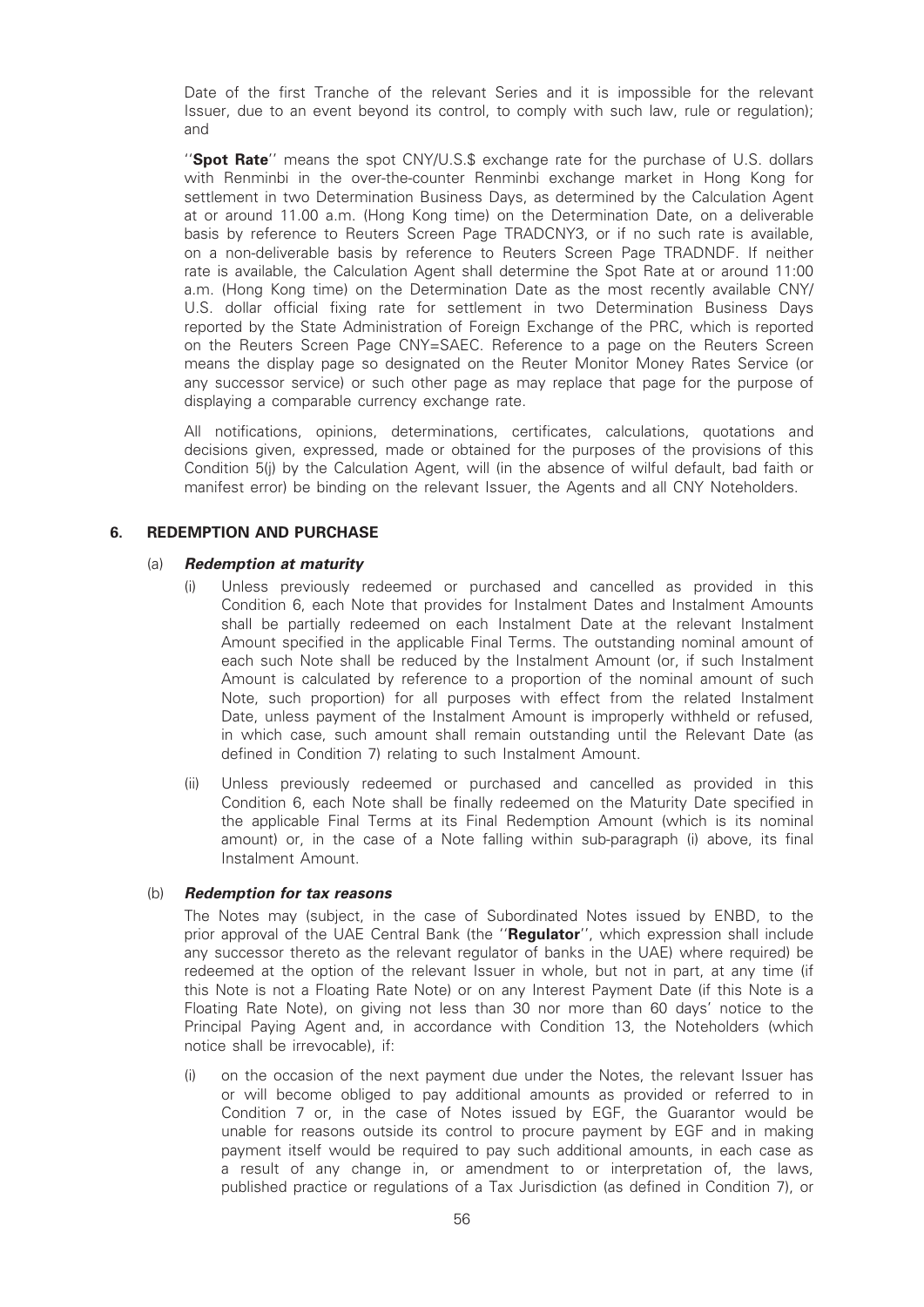Date of the first Tranche of the relevant Series and it is impossible for the relevant Issuer, due to an event beyond its control, to comply with such law, rule or regulation); and

"Spot Rate" means the spot CNY/U.S.\$ exchange rate for the purchase of U.S. dollars with Renminbi in the over-the-counter Renminbi exchange market in Hong Kong for settlement in two Determination Business Days, as determined by the Calculation Agent at or around 11.00 a.m. (Hong Kong time) on the Determination Date, on a deliverable basis by reference to Reuters Screen Page TRADCNY3, or if no such rate is available, on a non-deliverable basis by reference to Reuters Screen Page TRADNDF. If neither rate is available, the Calculation Agent shall determine the Spot Rate at or around 11:00 a.m. (Hong Kong time) on the Determination Date as the most recently available CNY/ U.S. dollar official fixing rate for settlement in two Determination Business Days reported by the State Administration of Foreign Exchange of the PRC, which is reported on the Reuters Screen Page CNY=SAEC. Reference to a page on the Reuters Screen means the display page so designated on the Reuter Monitor Money Rates Service (or any successor service) or such other page as may replace that page for the purpose of displaying a comparable currency exchange rate.

All notifications, opinions, determinations, certificates, calculations, quotations and decisions given, expressed, made or obtained for the purposes of the provisions of this Condition 5(j) by the Calculation Agent, will (in the absence of wilful default, bad faith or manifest error) be binding on the relevant Issuer, the Agents and all CNY Noteholders.

#### 6. REDEMPTION AND PURCHASE

#### (a) Redemption at maturity

- (i) Unless previously redeemed or purchased and cancelled as provided in this Condition 6, each Note that provides for Instalment Dates and Instalment Amounts shall be partially redeemed on each Instalment Date at the relevant Instalment Amount specified in the applicable Final Terms. The outstanding nominal amount of each such Note shall be reduced by the Instalment Amount (or, if such Instalment Amount is calculated by reference to a proportion of the nominal amount of such Note, such proportion) for all purposes with effect from the related Instalment Date, unless payment of the Instalment Amount is improperly withheld or refused, in which case, such amount shall remain outstanding until the Relevant Date (as defined in Condition 7) relating to such Instalment Amount.
- (ii) Unless previously redeemed or purchased and cancelled as provided in this Condition 6, each Note shall be finally redeemed on the Maturity Date specified in the applicable Final Terms at its Final Redemption Amount (which is its nominal amount) or, in the case of a Note falling within sub-paragraph (i) above, its final Instalment Amount.

#### (b) Redemption for tax reasons

The Notes may (subject, in the case of Subordinated Notes issued by ENBD, to the prior approval of the UAE Central Bank (the "Regulator", which expression shall include any successor thereto as the relevant regulator of banks in the UAE) where required) be redeemed at the option of the relevant Issuer in whole, but not in part, at any time (if this Note is not a Floating Rate Note) or on any Interest Payment Date (if this Note is a Floating Rate Note), on giving not less than 30 nor more than 60 days' notice to the Principal Paying Agent and, in accordance with Condition 13, the Noteholders (which notice shall be irrevocable), if:

(i) on the occasion of the next payment due under the Notes, the relevant Issuer has or will become obliged to pay additional amounts as provided or referred to in Condition 7 or, in the case of Notes issued by EGF, the Guarantor would be unable for reasons outside its control to procure payment by EGF and in making payment itself would be required to pay such additional amounts, in each case as a result of any change in, or amendment to or interpretation of, the laws, published practice or regulations of a Tax Jurisdiction (as defined in Condition 7), or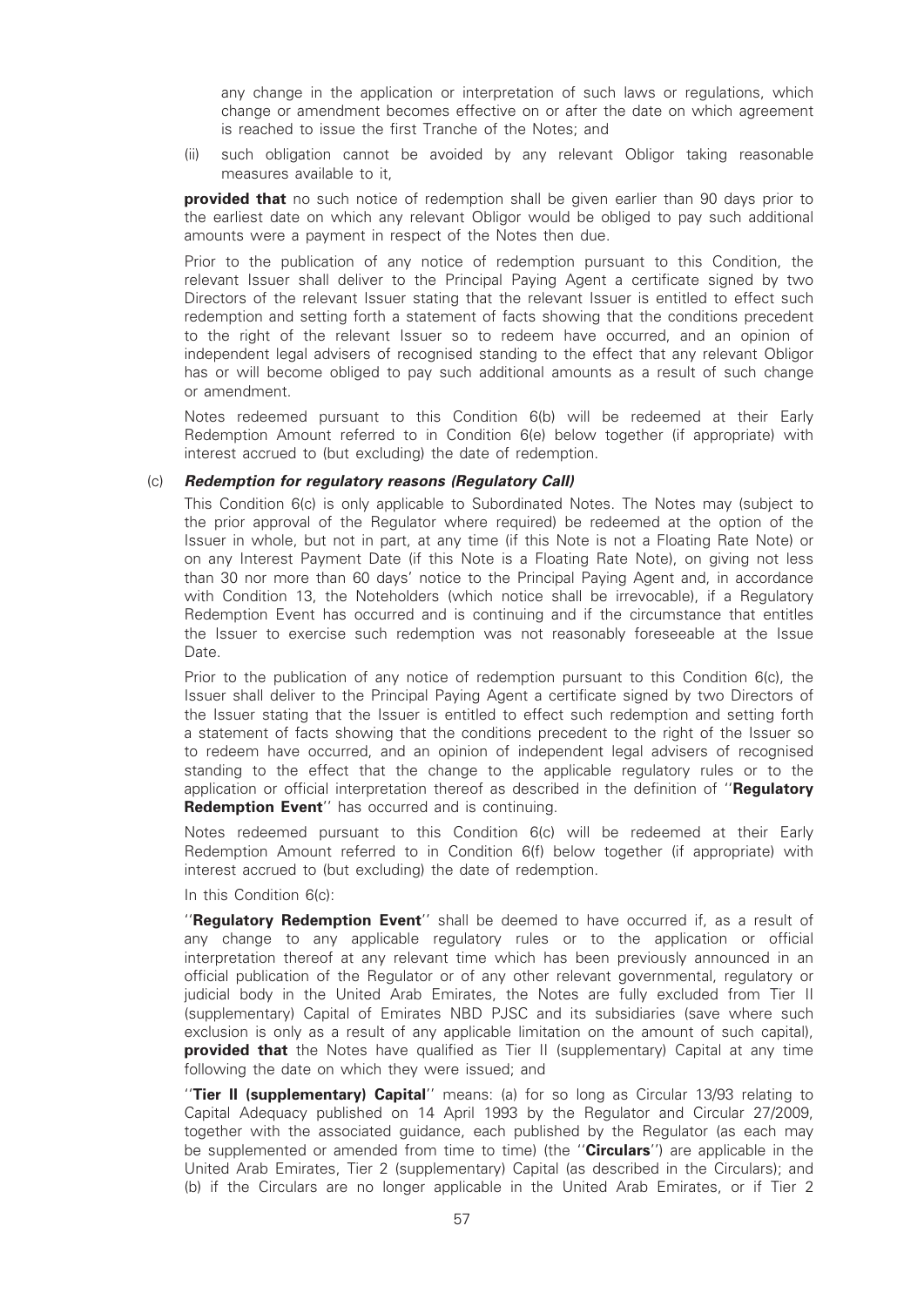any change in the application or interpretation of such laws or regulations, which change or amendment becomes effective on or after the date on which agreement is reached to issue the first Tranche of the Notes; and

(ii) such obligation cannot be avoided by any relevant Obligor taking reasonable measures available to it,

**provided that** no such notice of redemption shall be given earlier than 90 days prior to the earliest date on which any relevant Obligor would be obliged to pay such additional amounts were a payment in respect of the Notes then due.

Prior to the publication of any notice of redemption pursuant to this Condition, the relevant Issuer shall deliver to the Principal Paying Agent a certificate signed by two Directors of the relevant Issuer stating that the relevant Issuer is entitled to effect such redemption and setting forth a statement of facts showing that the conditions precedent to the right of the relevant Issuer so to redeem have occurred, and an opinion of independent legal advisers of recognised standing to the effect that any relevant Obligor has or will become obliged to pay such additional amounts as a result of such change or amendment.

Notes redeemed pursuant to this Condition 6(b) will be redeemed at their Early Redemption Amount referred to in Condition 6(e) below together (if appropriate) with interest accrued to (but excluding) the date of redemption.

#### (c) Redemption for regulatory reasons (Regulatory Call)

This Condition 6(c) is only applicable to Subordinated Notes. The Notes may (subject to the prior approval of the Regulator where required) be redeemed at the option of the Issuer in whole, but not in part, at any time (if this Note is not a Floating Rate Note) or on any Interest Payment Date (if this Note is a Floating Rate Note), on giving not less than 30 nor more than 60 days' notice to the Principal Paying Agent and, in accordance with Condition 13, the Noteholders (which notice shall be irrevocable), if a Regulatory Redemption Event has occurred and is continuing and if the circumstance that entitles the Issuer to exercise such redemption was not reasonably foreseeable at the Issue Date.

Prior to the publication of any notice of redemption pursuant to this Condition 6(c), the Issuer shall deliver to the Principal Paying Agent a certificate signed by two Directors of the Issuer stating that the Issuer is entitled to effect such redemption and setting forth a statement of facts showing that the conditions precedent to the right of the Issuer so to redeem have occurred, and an opinion of independent legal advisers of recognised standing to the effect that the change to the applicable regulatory rules or to the application or official interpretation thereof as described in the definition of "Requlatory Redemption Event" has occurred and is continuing.

Notes redeemed pursuant to this Condition 6(c) will be redeemed at their Early Redemption Amount referred to in Condition 6(f) below together (if appropriate) with interest accrued to (but excluding) the date of redemption.

In this Condition 6(c):

"Regulatory Redemption Event" shall be deemed to have occurred if, as a result of any change to any applicable regulatory rules or to the application or official interpretation thereof at any relevant time which has been previously announced in an official publication of the Regulator or of any other relevant governmental, regulatory or judicial body in the United Arab Emirates, the Notes are fully excluded from Tier II (supplementary) Capital of Emirates NBD PJSC and its subsidiaries (save where such exclusion is only as a result of any applicable limitation on the amount of such capital), **provided that** the Notes have qualified as Tier II (supplementary) Capital at any time following the date on which they were issued; and

"Tier II (supplementary) Capital" means: (a) for so long as Circular 13/93 relating to Capital Adequacy published on 14 April 1993 by the Regulator and Circular 27/2009, together with the associated guidance, each published by the Regulator (as each may be supplemented or amended from time to time) (the "**Circulars**") are applicable in the United Arab Emirates, Tier 2 (supplementary) Capital (as described in the Circulars); and (b) if the Circulars are no longer applicable in the United Arab Emirates, or if Tier 2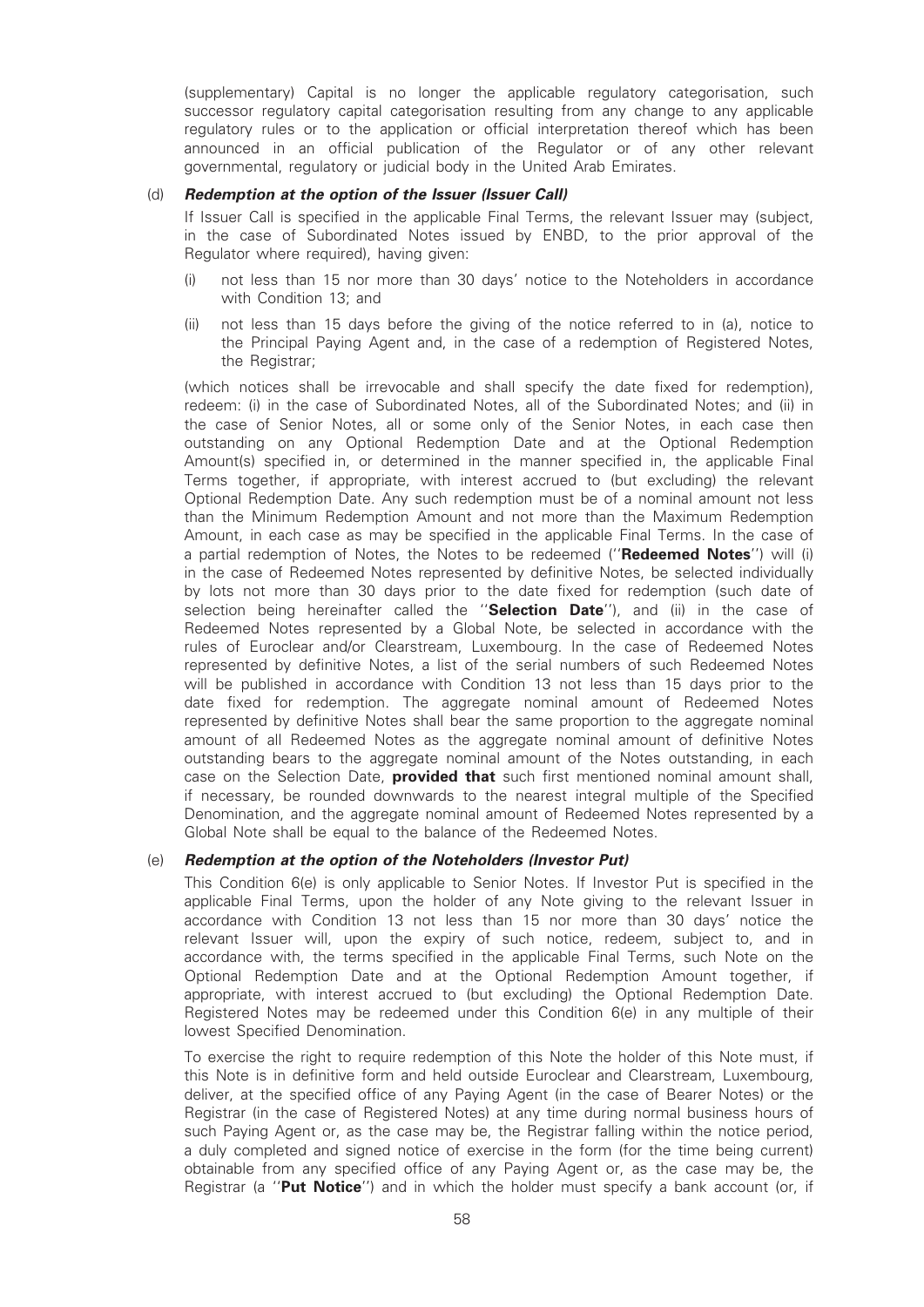(supplementary) Capital is no longer the applicable regulatory categorisation, such successor regulatory capital categorisation resulting from any change to any applicable regulatory rules or to the application or official interpretation thereof which has been announced in an official publication of the Regulator or of any other relevant governmental, regulatory or judicial body in the United Arab Emirates.

#### (d) Redemption at the option of the Issuer (Issuer Call)

If Issuer Call is specified in the applicable Final Terms, the relevant Issuer may (subject, in the case of Subordinated Notes issued by ENBD, to the prior approval of the Regulator where required), having given:

- (i) not less than 15 nor more than 30 days' notice to the Noteholders in accordance with Condition 13; and
- (ii) not less than 15 days before the giving of the notice referred to in (a), notice to the Principal Paying Agent and, in the case of a redemption of Registered Notes, the Registrar;

(which notices shall be irrevocable and shall specify the date fixed for redemption), redeem: (i) in the case of Subordinated Notes, all of the Subordinated Notes; and (ii) in the case of Senior Notes, all or some only of the Senior Notes, in each case then outstanding on any Optional Redemption Date and at the Optional Redemption Amount(s) specified in, or determined in the manner specified in, the applicable Final Terms together, if appropriate, with interest accrued to (but excluding) the relevant Optional Redemption Date. Any such redemption must be of a nominal amount not less than the Minimum Redemption Amount and not more than the Maximum Redemption Amount, in each case as may be specified in the applicable Final Terms. In the case of a partial redemption of Notes, the Notes to be redeemed ("**Redeemed Notes**") will (i) in the case of Redeemed Notes represented by definitive Notes, be selected individually by lots not more than 30 days prior to the date fixed for redemption (such date of selection being hereinafter called the "Selection Date"), and (ii) in the case of Redeemed Notes represented by a Global Note, be selected in accordance with the rules of Euroclear and/or Clearstream, Luxembourg. In the case of Redeemed Notes represented by definitive Notes, a list of the serial numbers of such Redeemed Notes will be published in accordance with Condition 13 not less than 15 days prior to the date fixed for redemption. The aggregate nominal amount of Redeemed Notes represented by definitive Notes shall bear the same proportion to the aggregate nominal amount of all Redeemed Notes as the aggregate nominal amount of definitive Notes outstanding bears to the aggregate nominal amount of the Notes outstanding, in each case on the Selection Date, **provided that** such first mentioned nominal amount shall, if necessary, be rounded downwards to the nearest integral multiple of the Specified Denomination, and the aggregate nominal amount of Redeemed Notes represented by a Global Note shall be equal to the balance of the Redeemed Notes.

### (e) Redemption at the option of the Noteholders (Investor Put)

This Condition 6(e) is only applicable to Senior Notes. If Investor Put is specified in the applicable Final Terms, upon the holder of any Note giving to the relevant Issuer in accordance with Condition 13 not less than 15 nor more than 30 days' notice the relevant Issuer will, upon the expiry of such notice, redeem, subject to, and in accordance with, the terms specified in the applicable Final Terms, such Note on the Optional Redemption Date and at the Optional Redemption Amount together, if appropriate, with interest accrued to (but excluding) the Optional Redemption Date. Registered Notes may be redeemed under this Condition 6(e) in any multiple of their lowest Specified Denomination.

To exercise the right to require redemption of this Note the holder of this Note must, if this Note is in definitive form and held outside Euroclear and Clearstream, Luxembourg, deliver, at the specified office of any Paying Agent (in the case of Bearer Notes) or the Registrar (in the case of Registered Notes) at any time during normal business hours of such Paying Agent or, as the case may be, the Registrar falling within the notice period, a duly completed and signed notice of exercise in the form (for the time being current) obtainable from any specified office of any Paying Agent or, as the case may be, the Registrar (a "Put Notice") and in which the holder must specify a bank account (or, if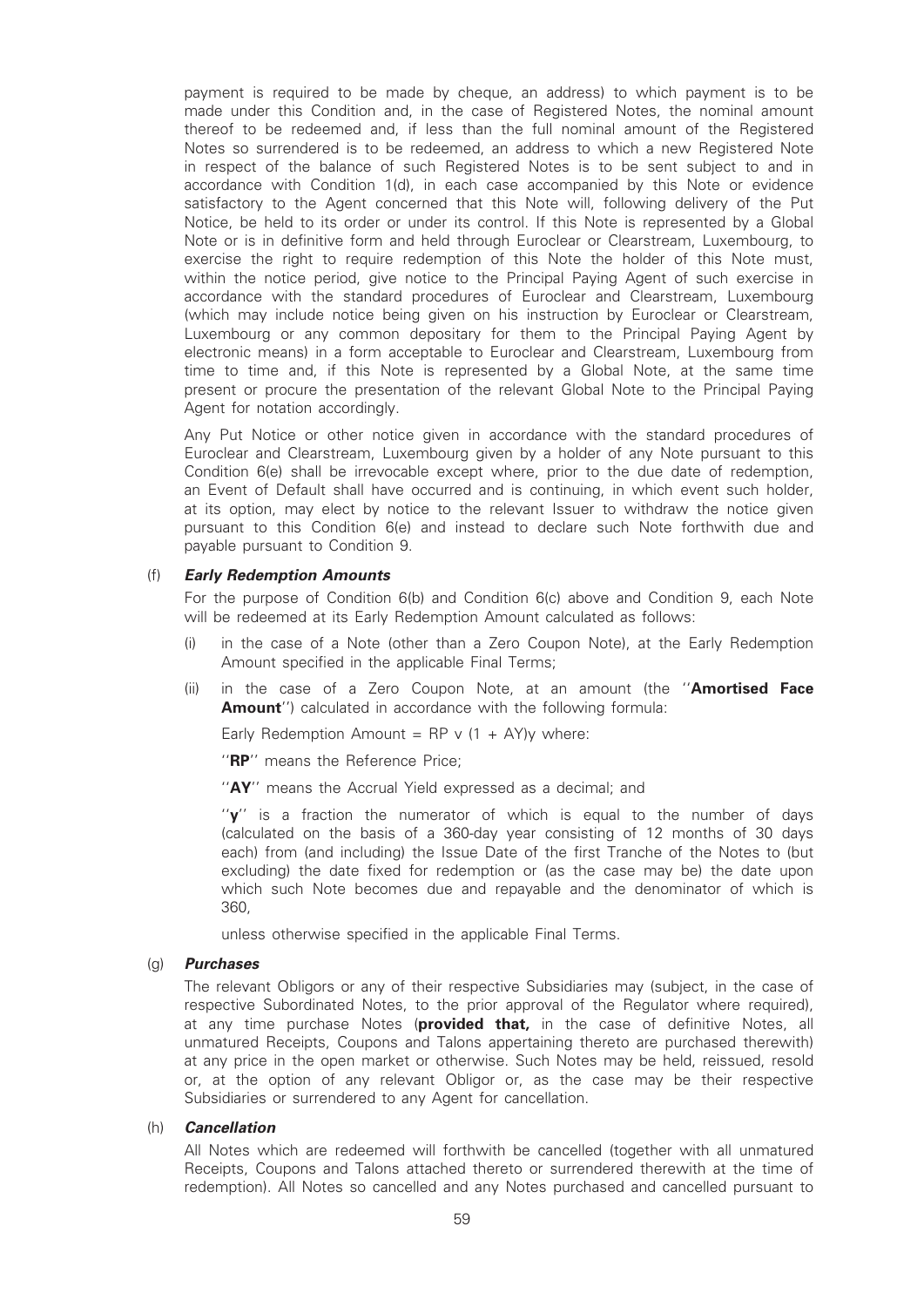payment is required to be made by cheque, an address) to which payment is to be made under this Condition and, in the case of Registered Notes, the nominal amount thereof to be redeemed and, if less than the full nominal amount of the Registered Notes so surrendered is to be redeemed, an address to which a new Registered Note in respect of the balance of such Registered Notes is to be sent subject to and in accordance with Condition 1(d), in each case accompanied by this Note or evidence satisfactory to the Agent concerned that this Note will, following delivery of the Put Notice, be held to its order or under its control. If this Note is represented by a Global Note or is in definitive form and held through Euroclear or Clearstream, Luxembourg, to exercise the right to require redemption of this Note the holder of this Note must, within the notice period, give notice to the Principal Paying Agent of such exercise in accordance with the standard procedures of Euroclear and Clearstream, Luxembourg (which may include notice being given on his instruction by Euroclear or Clearstream, Luxembourg or any common depositary for them to the Principal Paying Agent by electronic means) in a form acceptable to Euroclear and Clearstream, Luxembourg from time to time and, if this Note is represented by a Global Note, at the same time present or procure the presentation of the relevant Global Note to the Principal Paying Agent for notation accordingly.

Any Put Notice or other notice given in accordance with the standard procedures of Euroclear and Clearstream, Luxembourg given by a holder of any Note pursuant to this Condition 6(e) shall be irrevocable except where, prior to the due date of redemption, an Event of Default shall have occurred and is continuing, in which event such holder, at its option, may elect by notice to the relevant Issuer to withdraw the notice given pursuant to this Condition 6(e) and instead to declare such Note forthwith due and payable pursuant to Condition 9.

#### (f) Early Redemption Amounts

For the purpose of Condition 6(b) and Condition 6(c) above and Condition 9, each Note will be redeemed at its Early Redemption Amount calculated as follows:

- (i) in the case of a Note (other than a Zero Coupon Note), at the Early Redemption Amount specified in the applicable Final Terms;
- (ii) in the case of a Zero Coupon Note, at an amount (the "Amortised Face Amount") calculated in accordance with the following formula:

Early Redemption Amount = RP v  $(1 + AY)y$  where:

"RP" means the Reference Price:

"AY" means the Accrual Yield expressed as a decimal; and

''y'' is a fraction the numerator of which is equal to the number of days (calculated on the basis of a 360-day year consisting of 12 months of 30 days each) from (and including) the Issue Date of the first Tranche of the Notes to (but excluding) the date fixed for redemption or (as the case may be) the date upon which such Note becomes due and repayable and the denominator of which is 360,

unless otherwise specified in the applicable Final Terms.

#### (g) Purchases

The relevant Obligors or any of their respective Subsidiaries may (subject, in the case of respective Subordinated Notes, to the prior approval of the Regulator where required), at any time purchase Notes (**provided that**, in the case of definitive Notes, all unmatured Receipts, Coupons and Talons appertaining thereto are purchased therewith) at any price in the open market or otherwise. Such Notes may be held, reissued, resold or, at the option of any relevant Obligor or, as the case may be their respective Subsidiaries or surrendered to any Agent for cancellation.

#### (h) Cancellation

All Notes which are redeemed will forthwith be cancelled (together with all unmatured Receipts, Coupons and Talons attached thereto or surrendered therewith at the time of redemption). All Notes so cancelled and any Notes purchased and cancelled pursuant to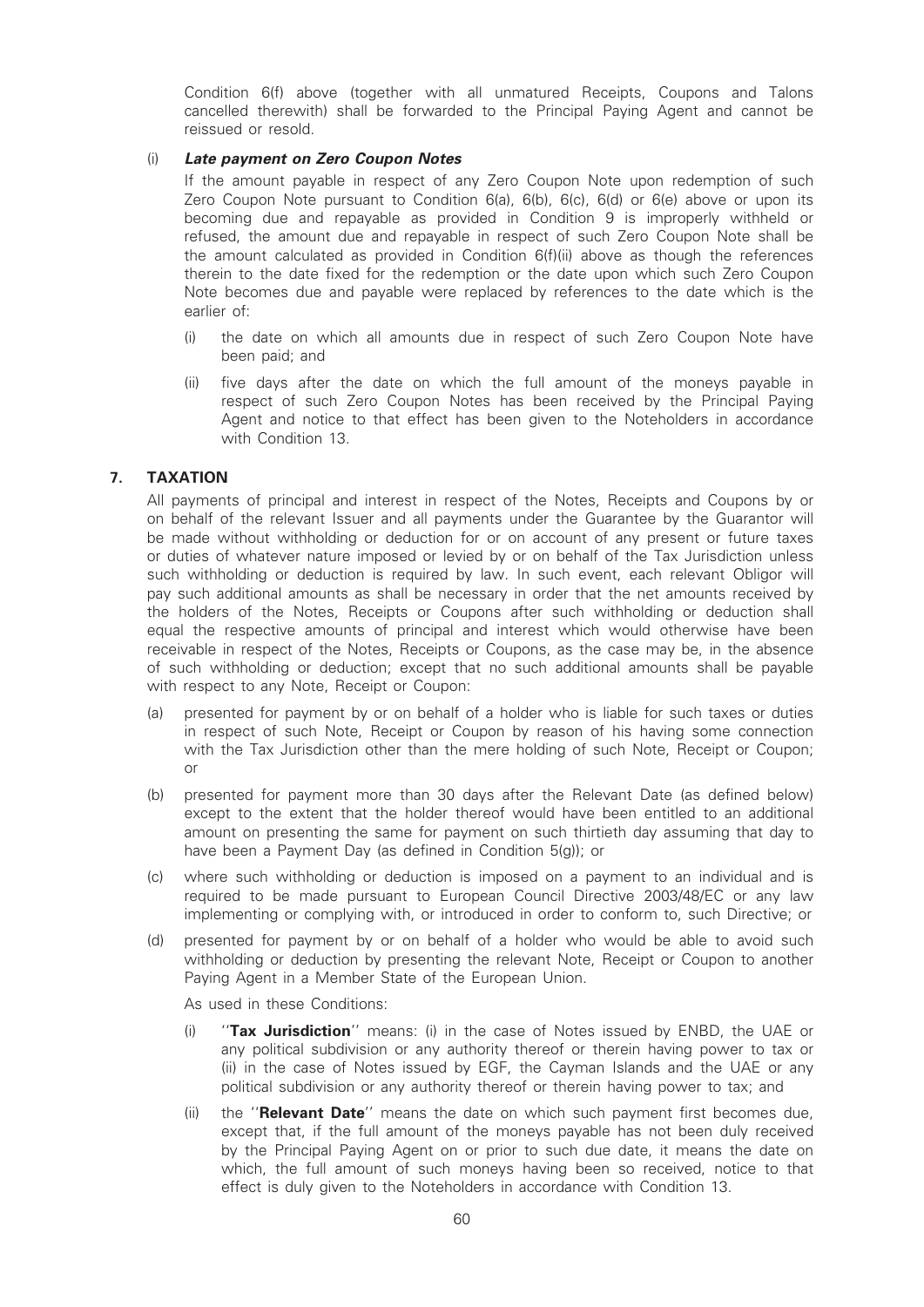Condition 6(f) above (together with all unmatured Receipts, Coupons and Talons cancelled therewith) shall be forwarded to the Principal Paying Agent and cannot be reissued or resold.

#### (i) Late payment on Zero Coupon Notes

If the amount payable in respect of any Zero Coupon Note upon redemption of such Zero Coupon Note pursuant to Condition  $6(a)$ ,  $6(b)$ ,  $6(c)$ ,  $6(d)$  or  $6(e)$  above or upon its becoming due and repayable as provided in Condition 9 is improperly withheld or refused, the amount due and repayable in respect of such Zero Coupon Note shall be the amount calculated as provided in Condition 6(f)(ii) above as though the references therein to the date fixed for the redemption or the date upon which such Zero Coupon Note becomes due and payable were replaced by references to the date which is the earlier of:

- (i) the date on which all amounts due in respect of such Zero Coupon Note have been paid; and
- (ii) five days after the date on which the full amount of the moneys payable in respect of such Zero Coupon Notes has been received by the Principal Paying Agent and notice to that effect has been given to the Noteholders in accordance with Condition 13.

### 7. TAXATION

All payments of principal and interest in respect of the Notes, Receipts and Coupons by or on behalf of the relevant Issuer and all payments under the Guarantee by the Guarantor will be made without withholding or deduction for or on account of any present or future taxes or duties of whatever nature imposed or levied by or on behalf of the Tax Jurisdiction unless such withholding or deduction is required by law. In such event, each relevant Obligor will pay such additional amounts as shall be necessary in order that the net amounts received by the holders of the Notes, Receipts or Coupons after such withholding or deduction shall equal the respective amounts of principal and interest which would otherwise have been receivable in respect of the Notes, Receipts or Coupons, as the case may be, in the absence of such withholding or deduction; except that no such additional amounts shall be payable with respect to any Note, Receipt or Coupon:

- (a) presented for payment by or on behalf of a holder who is liable for such taxes or duties in respect of such Note, Receipt or Coupon by reason of his having some connection with the Tax Jurisdiction other than the mere holding of such Note, Receipt or Coupon; or
- (b) presented for payment more than 30 days after the Relevant Date (as defined below) except to the extent that the holder thereof would have been entitled to an additional amount on presenting the same for payment on such thirtieth day assuming that day to have been a Payment Day (as defined in Condition 5(g)); or
- (c) where such withholding or deduction is imposed on a payment to an individual and is required to be made pursuant to European Council Directive 2003/48/EC or any law implementing or complying with, or introduced in order to conform to, such Directive; or
- (d) presented for payment by or on behalf of a holder who would be able to avoid such withholding or deduction by presenting the relevant Note, Receipt or Coupon to another Paying Agent in a Member State of the European Union.

As used in these Conditions:

- (i) "Tax Jurisdiction" means: (i) in the case of Notes issued by ENBD, the UAE or any political subdivision or any authority thereof or therein having power to tax or (ii) in the case of Notes issued by EGF, the Cayman Islands and the UAE or any political subdivision or any authority thereof or therein having power to tax; and
- (ii) the "**Relevant Date**" means the date on which such payment first becomes due, except that, if the full amount of the moneys payable has not been duly received by the Principal Paying Agent on or prior to such due date, it means the date on which, the full amount of such moneys having been so received, notice to that effect is duly given to the Noteholders in accordance with Condition 13.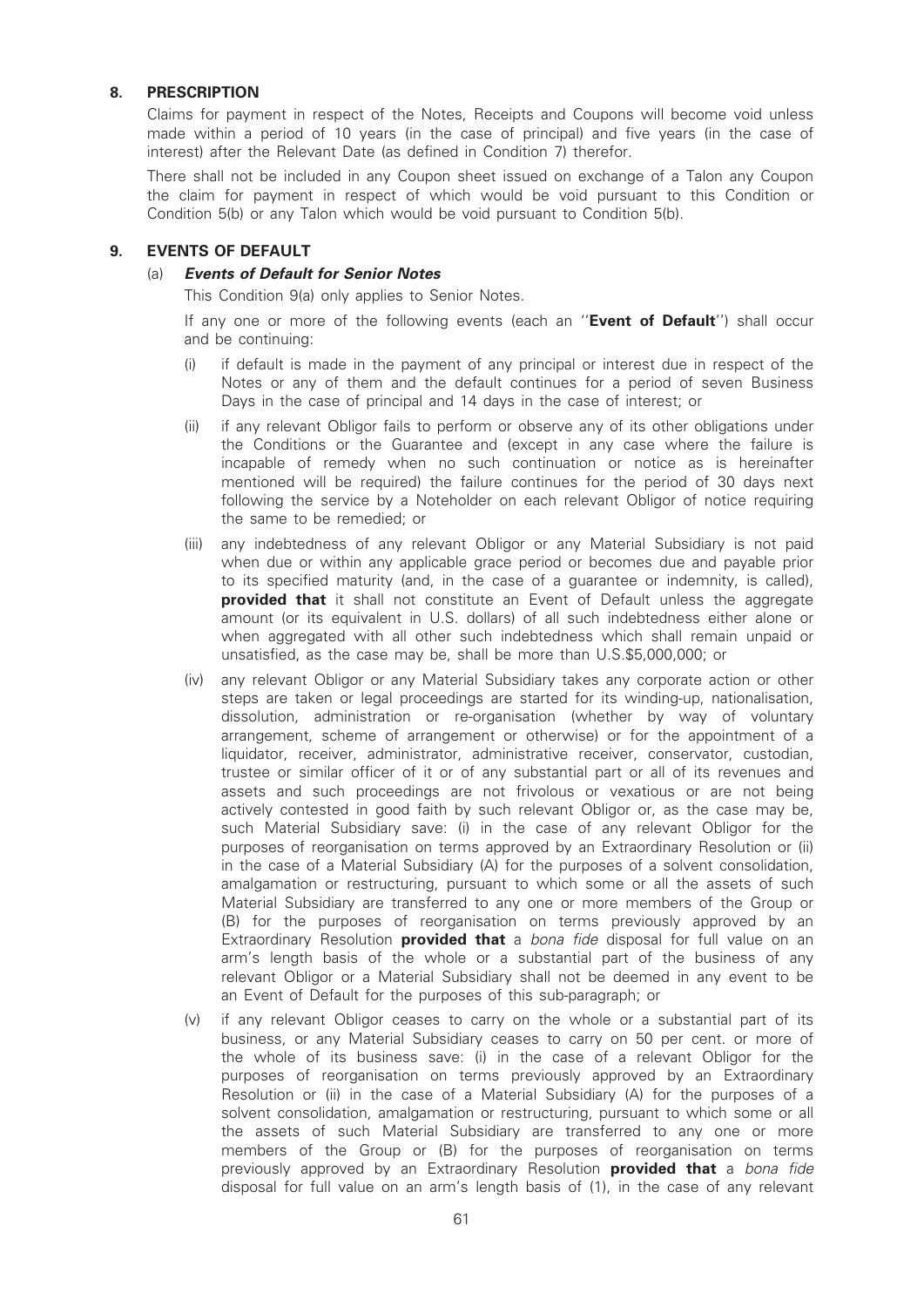#### 8. PRESCRIPTION

Claims for payment in respect of the Notes, Receipts and Coupons will become void unless made within a period of 10 years (in the case of principal) and five years (in the case of interest) after the Relevant Date (as defined in Condition 7) therefor.

There shall not be included in any Coupon sheet issued on exchange of a Talon any Coupon the claim for payment in respect of which would be void pursuant to this Condition or Condition 5(b) or any Talon which would be void pursuant to Condition 5(b).

#### 9. EVENTS OF DEFAULT

#### (a) Events of Default for Senior Notes

This Condition 9(a) only applies to Senior Notes.

If any one or more of the following events (each an "**Event of Default**") shall occur and be continuing:

- (i) if default is made in the payment of any principal or interest due in respect of the Notes or any of them and the default continues for a period of seven Business Days in the case of principal and 14 days in the case of interest; or
- (ii) if any relevant Obligor fails to perform or observe any of its other obligations under the Conditions or the Guarantee and (except in any case where the failure is incapable of remedy when no such continuation or notice as is hereinafter mentioned will be required) the failure continues for the period of 30 days next following the service by a Noteholder on each relevant Obligor of notice requiring the same to be remedied; or
- (iii) any indebtedness of any relevant Obligor or any Material Subsidiary is not paid when due or within any applicable grace period or becomes due and payable prior to its specified maturity (and, in the case of a guarantee or indemnity, is called), provided that it shall not constitute an Event of Default unless the aggregate amount (or its equivalent in U.S. dollars) of all such indebtedness either alone or when aggregated with all other such indebtedness which shall remain unpaid or unsatisfied, as the case may be, shall be more than U.S.\$5,000,000; or
- (iv) any relevant Obligor or any Material Subsidiary takes any corporate action or other steps are taken or legal proceedings are started for its winding-up, nationalisation, dissolution, administration or re-organisation (whether by way of voluntary arrangement, scheme of arrangement or otherwise) or for the appointment of a liquidator, receiver, administrator, administrative receiver, conservator, custodian, trustee or similar officer of it or of any substantial part or all of its revenues and assets and such proceedings are not frivolous or vexatious or are not being actively contested in good faith by such relevant Obligor or, as the case may be, such Material Subsidiary save: (i) in the case of any relevant Obligor for the purposes of reorganisation on terms approved by an Extraordinary Resolution or (ii) in the case of a Material Subsidiary (A) for the purposes of a solvent consolidation, amalgamation or restructuring, pursuant to which some or all the assets of such Material Subsidiary are transferred to any one or more members of the Group or (B) for the purposes of reorganisation on terms previously approved by an Extraordinary Resolution **provided that** a bona fide disposal for full value on an arm's length basis of the whole or a substantial part of the business of any relevant Obligor or a Material Subsidiary shall not be deemed in any event to be an Event of Default for the purposes of this sub-paragraph; or
- (v) if any relevant Obligor ceases to carry on the whole or a substantial part of its business, or any Material Subsidiary ceases to carry on 50 per cent. or more of the whole of its business save: (i) in the case of a relevant Obligor for the purposes of reorganisation on terms previously approved by an Extraordinary Resolution or (ii) in the case of a Material Subsidiary (A) for the purposes of a solvent consolidation, amalgamation or restructuring, pursuant to which some or all the assets of such Material Subsidiary are transferred to any one or more members of the Group or (B) for the purposes of reorganisation on terms previously approved by an Extraordinary Resolution **provided that** a bona fide disposal for full value on an arm's length basis of (1), in the case of any relevant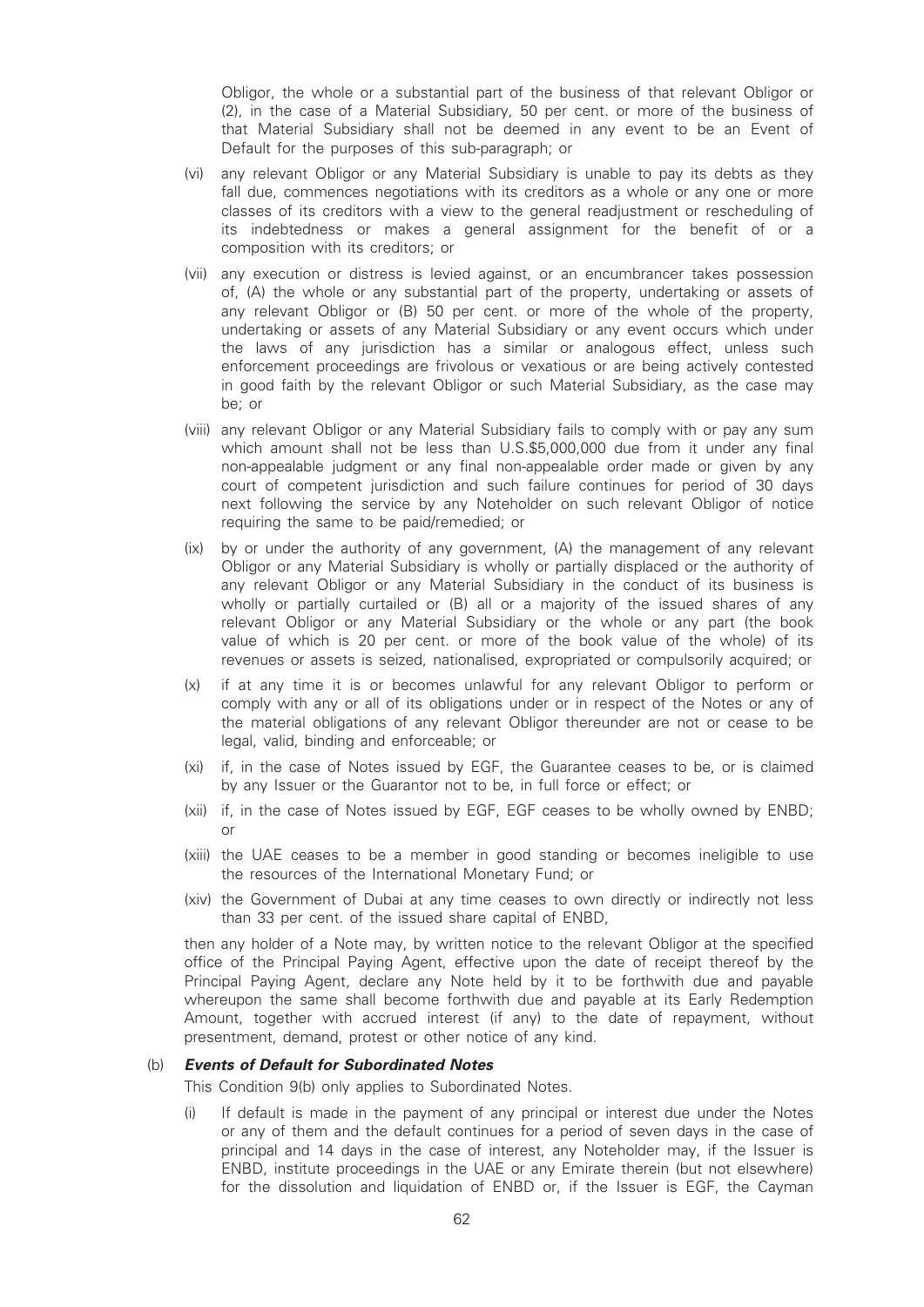Obligor, the whole or a substantial part of the business of that relevant Obligor or (2), in the case of a Material Subsidiary, 50 per cent. or more of the business of that Material Subsidiary shall not be deemed in any event to be an Event of Default for the purposes of this sub-paragraph; or

- (vi) any relevant Obligor or any Material Subsidiary is unable to pay its debts as they fall due, commences negotiations with its creditors as a whole or any one or more classes of its creditors with a view to the general readjustment or rescheduling of its indebtedness or makes a general assignment for the benefit of or a composition with its creditors; or
- (vii) any execution or distress is levied against, or an encumbrancer takes possession of, (A) the whole or any substantial part of the property, undertaking or assets of any relevant Obligor or (B) 50 per cent. or more of the whole of the property, undertaking or assets of any Material Subsidiary or any event occurs which under the laws of any jurisdiction has a similar or analogous effect, unless such enforcement proceedings are frivolous or vexatious or are being actively contested in good faith by the relevant Obligor or such Material Subsidiary, as the case may be; or
- (viii) any relevant Obligor or any Material Subsidiary fails to comply with or pay any sum which amount shall not be less than U.S.\$5,000,000 due from it under any final non-appealable judgment or any final non-appealable order made or given by any court of competent jurisdiction and such failure continues for period of 30 days next following the service by any Noteholder on such relevant Obligor of notice requiring the same to be paid/remedied; or
- (ix) by or under the authority of any government, (A) the management of any relevant Obligor or any Material Subsidiary is wholly or partially displaced or the authority of any relevant Obligor or any Material Subsidiary in the conduct of its business is wholly or partially curtailed or (B) all or a majority of the issued shares of any relevant Obligor or any Material Subsidiary or the whole or any part (the book value of which is 20 per cent. or more of the book value of the whole) of its revenues or assets is seized, nationalised, expropriated or compulsorily acquired; or
- (x) if at any time it is or becomes unlawful for any relevant Obligor to perform or comply with any or all of its obligations under or in respect of the Notes or any of the material obligations of any relevant Obligor thereunder are not or cease to be legal, valid, binding and enforceable; or
- (xi) if, in the case of Notes issued by EGF, the Guarantee ceases to be, or is claimed by any Issuer or the Guarantor not to be, in full force or effect; or
- (xii) if, in the case of Notes issued by EGF, EGF ceases to be wholly owned by ENBD; or
- (xiii) the UAE ceases to be a member in good standing or becomes ineligible to use the resources of the International Monetary Fund; or
- (xiv) the Government of Dubai at any time ceases to own directly or indirectly not less than 33 per cent. of the issued share capital of ENBD,

then any holder of a Note may, by written notice to the relevant Obligor at the specified office of the Principal Paying Agent, effective upon the date of receipt thereof by the Principal Paying Agent, declare any Note held by it to be forthwith due and payable whereupon the same shall become forthwith due and payable at its Early Redemption Amount, together with accrued interest (if any) to the date of repayment, without presentment, demand, protest or other notice of any kind.

#### (b) Events of Default for Subordinated Notes

This Condition 9(b) only applies to Subordinated Notes.

(i) If default is made in the payment of any principal or interest due under the Notes or any of them and the default continues for a period of seven days in the case of principal and 14 days in the case of interest, any Noteholder may, if the Issuer is ENBD, institute proceedings in the UAE or any Emirate therein (but not elsewhere) for the dissolution and liquidation of ENBD or, if the Issuer is EGF, the Cayman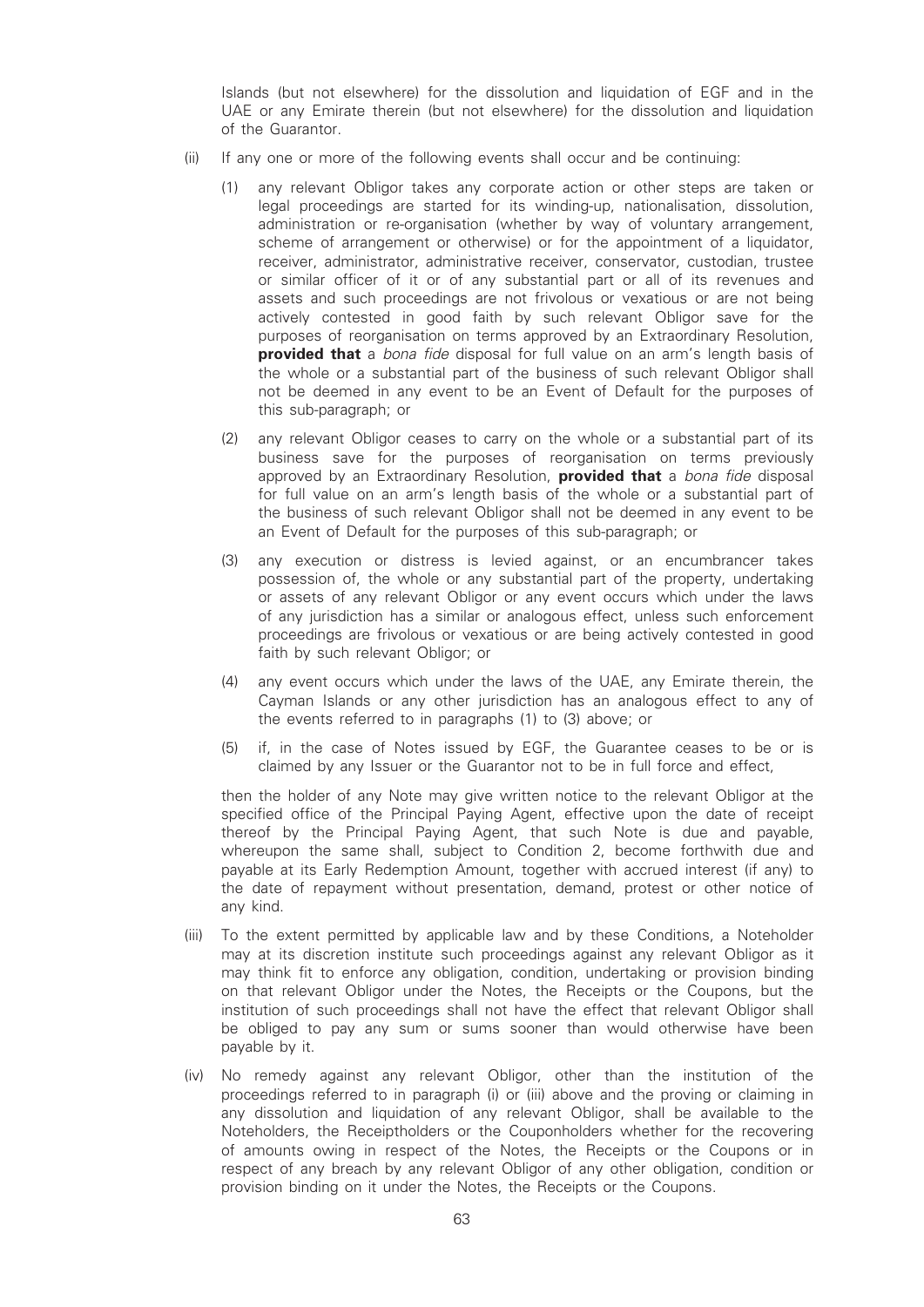Islands (but not elsewhere) for the dissolution and liquidation of EGF and in the UAE or any Emirate therein (but not elsewhere) for the dissolution and liquidation of the Guarantor.

- (ii) If any one or more of the following events shall occur and be continuing:
	- (1) any relevant Obligor takes any corporate action or other steps are taken or legal proceedings are started for its winding-up, nationalisation, dissolution, administration or re-organisation (whether by way of voluntary arrangement, scheme of arrangement or otherwise) or for the appointment of a liquidator, receiver, administrator, administrative receiver, conservator, custodian, trustee or similar officer of it or of any substantial part or all of its revenues and assets and such proceedings are not frivolous or vexatious or are not being actively contested in good faith by such relevant Obligor save for the purposes of reorganisation on terms approved by an Extraordinary Resolution, provided that a bona fide disposal for full value on an arm's length basis of the whole or a substantial part of the business of such relevant Obligor shall not be deemed in any event to be an Event of Default for the purposes of this sub-paragraph; or
	- (2) any relevant Obligor ceases to carry on the whole or a substantial part of its business save for the purposes of reorganisation on terms previously approved by an Extraordinary Resolution, **provided that** a bona fide disposal for full value on an arm's length basis of the whole or a substantial part of the business of such relevant Obligor shall not be deemed in any event to be an Event of Default for the purposes of this sub-paragraph; or
	- (3) any execution or distress is levied against, or an encumbrancer takes possession of, the whole or any substantial part of the property, undertaking or assets of any relevant Obligor or any event occurs which under the laws of any jurisdiction has a similar or analogous effect, unless such enforcement proceedings are frivolous or vexatious or are being actively contested in good faith by such relevant Obligor; or
	- (4) any event occurs which under the laws of the UAE, any Emirate therein, the Cayman Islands or any other jurisdiction has an analogous effect to any of the events referred to in paragraphs (1) to (3) above; or
	- (5) if, in the case of Notes issued by EGF, the Guarantee ceases to be or is claimed by any Issuer or the Guarantor not to be in full force and effect,

then the holder of any Note may give written notice to the relevant Obligor at the specified office of the Principal Paying Agent, effective upon the date of receipt thereof by the Principal Paying Agent, that such Note is due and payable, whereupon the same shall, subject to Condition 2, become forthwith due and payable at its Early Redemption Amount, together with accrued interest (if any) to the date of repayment without presentation, demand, protest or other notice of any kind.

- (iii) To the extent permitted by applicable law and by these Conditions, a Noteholder may at its discretion institute such proceedings against any relevant Obligor as it may think fit to enforce any obligation, condition, undertaking or provision binding on that relevant Obligor under the Notes, the Receipts or the Coupons, but the institution of such proceedings shall not have the effect that relevant Obligor shall be obliged to pay any sum or sums sooner than would otherwise have been payable by it.
- (iv) No remedy against any relevant Obligor, other than the institution of the proceedings referred to in paragraph (i) or (iii) above and the proving or claiming in any dissolution and liquidation of any relevant Obligor, shall be available to the Noteholders, the Receiptholders or the Couponholders whether for the recovering of amounts owing in respect of the Notes, the Receipts or the Coupons or in respect of any breach by any relevant Obligor of any other obligation, condition or provision binding on it under the Notes, the Receipts or the Coupons.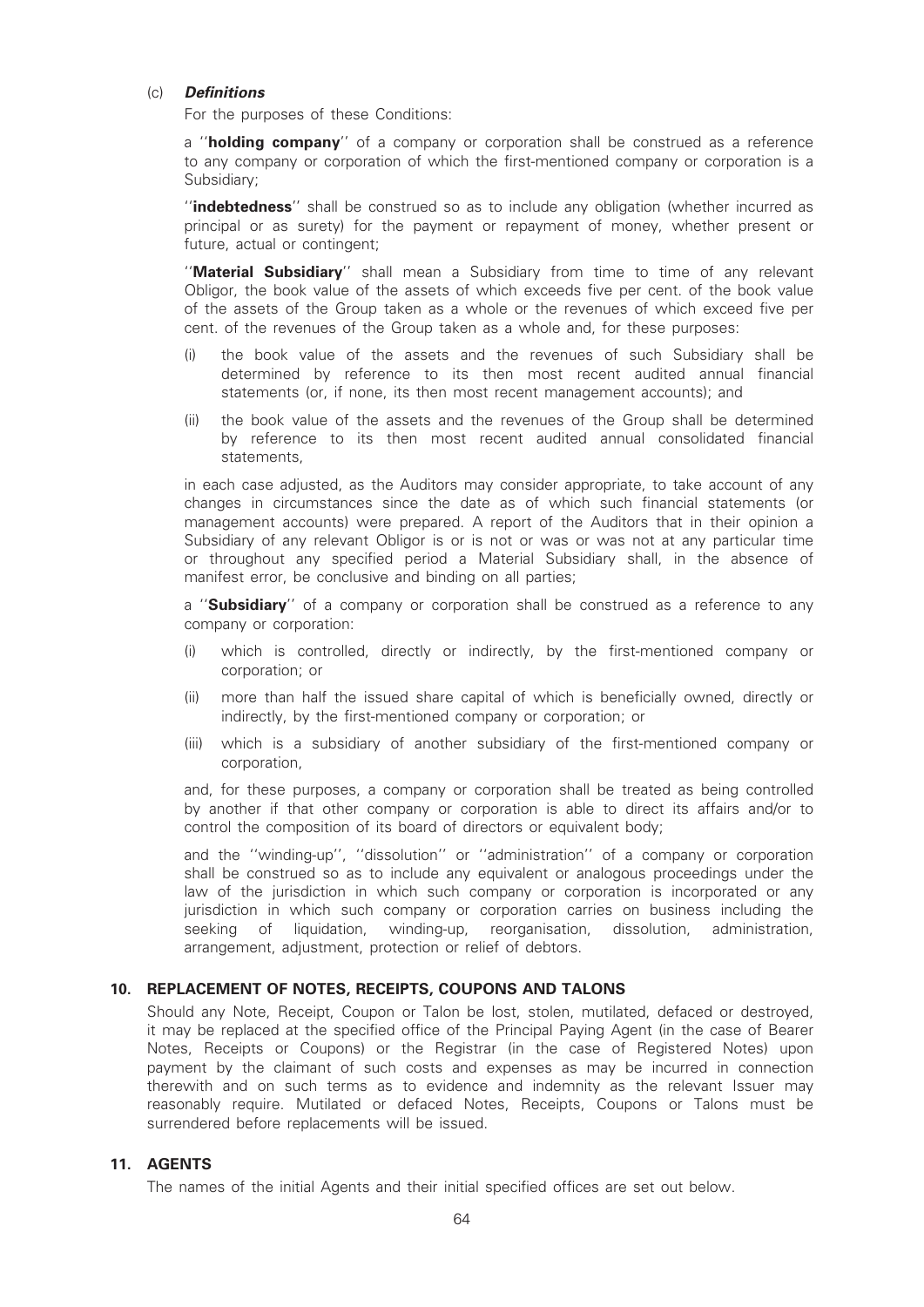#### (c) Definitions

For the purposes of these Conditions:

a "holding company" of a company or corporation shall be construed as a reference to any company or corporation of which the first-mentioned company or corporation is a Subsidiary;

"indebtedness" shall be construed so as to include any obligation (whether incurred as principal or as surety) for the payment or repayment of money, whether present or future, actual or contingent;

''Material Subsidiary'' shall mean a Subsidiary from time to time of any relevant Obligor, the book value of the assets of which exceeds five per cent. of the book value of the assets of the Group taken as a whole or the revenues of which exceed five per cent. of the revenues of the Group taken as a whole and, for these purposes:

- (i) the book value of the assets and the revenues of such Subsidiary shall be determined by reference to its then most recent audited annual financial statements (or, if none, its then most recent management accounts); and
- (ii) the book value of the assets and the revenues of the Group shall be determined by reference to its then most recent audited annual consolidated financial statements,

in each case adjusted, as the Auditors may consider appropriate, to take account of any changes in circumstances since the date as of which such financial statements (or management accounts) were prepared. A report of the Auditors that in their opinion a Subsidiary of any relevant Obligor is or is not or was or was not at any particular time or throughout any specified period a Material Subsidiary shall, in the absence of manifest error, be conclusive and binding on all parties;

a "Subsidiary" of a company or corporation shall be construed as a reference to any company or corporation:

- (i) which is controlled, directly or indirectly, by the first-mentioned company or corporation; or
- (ii) more than half the issued share capital of which is beneficially owned, directly or indirectly, by the first-mentioned company or corporation; or
- (iii) which is a subsidiary of another subsidiary of the first-mentioned company or corporation,

and, for these purposes, a company or corporation shall be treated as being controlled by another if that other company or corporation is able to direct its affairs and/or to control the composition of its board of directors or equivalent body;

and the ''winding-up'', ''dissolution'' or ''administration'' of a company or corporation shall be construed so as to include any equivalent or analogous proceedings under the law of the jurisdiction in which such company or corporation is incorporated or any jurisdiction in which such company or corporation carries on business including the seeking of liquidation, winding-up, reorganisation, dissolution, administration, arrangement, adjustment, protection or relief of debtors.

### 10. REPLACEMENT OF NOTES, RECEIPTS, COUPONS AND TALONS

Should any Note, Receipt, Coupon or Talon be lost, stolen, mutilated, defaced or destroved. it may be replaced at the specified office of the Principal Paying Agent (in the case of Bearer Notes, Receipts or Coupons) or the Registrar (in the case of Registered Notes) upon payment by the claimant of such costs and expenses as may be incurred in connection therewith and on such terms as to evidence and indemnity as the relevant Issuer may reasonably require. Mutilated or defaced Notes, Receipts, Coupons or Talons must be surrendered before replacements will be issued.

### 11. AGENTS

The names of the initial Agents and their initial specified offices are set out below.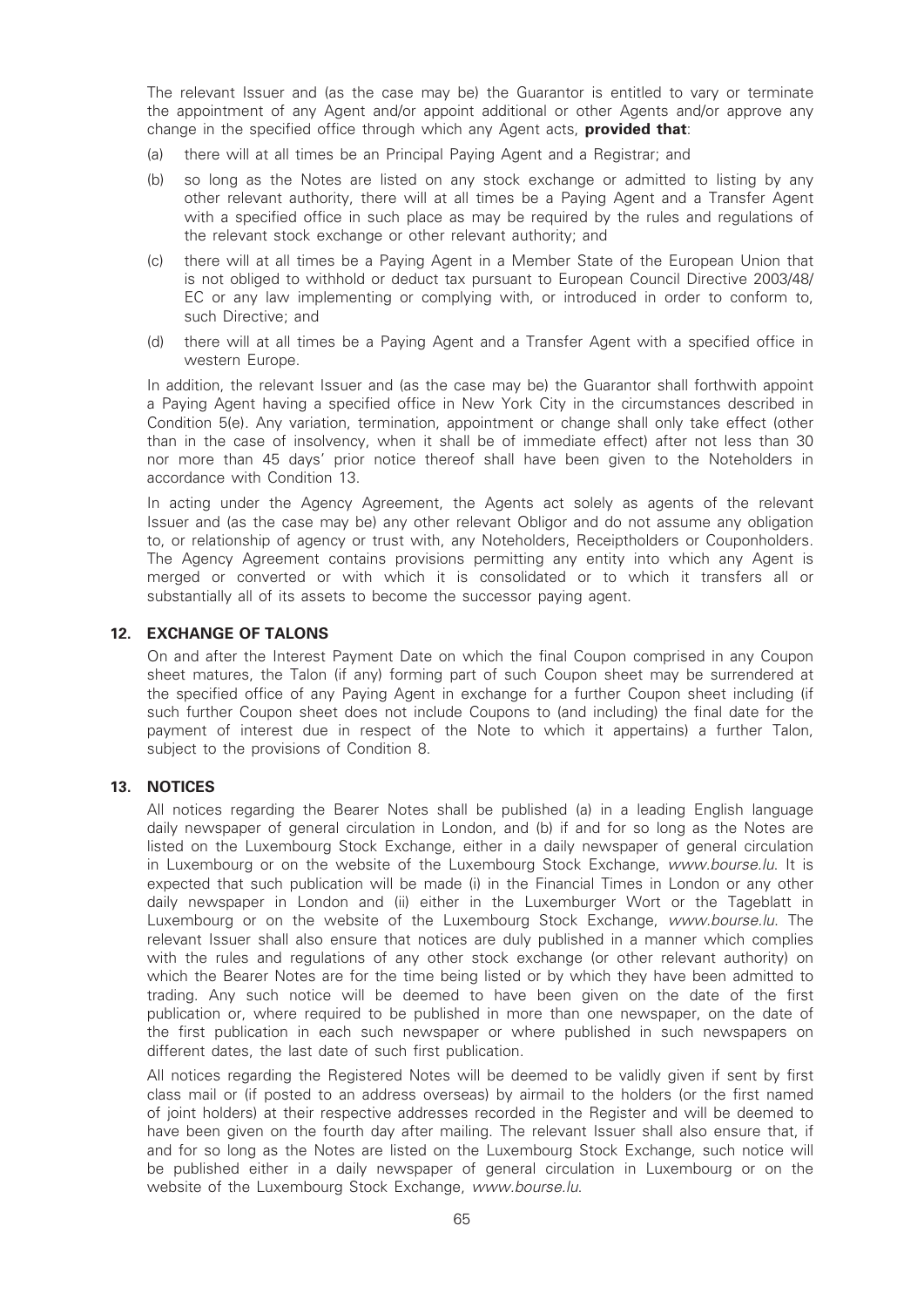The relevant Issuer and (as the case may be) the Guarantor is entitled to vary or terminate the appointment of any Agent and/or appoint additional or other Agents and/or approve any change in the specified office through which any Agent acts, **provided that**:

- (a) there will at all times be an Principal Paying Agent and a Registrar; and
- (b) so long as the Notes are listed on any stock exchange or admitted to listing by any other relevant authority, there will at all times be a Paying Agent and a Transfer Agent with a specified office in such place as may be required by the rules and regulations of the relevant stock exchange or other relevant authority; and
- (c) there will at all times be a Paying Agent in a Member State of the European Union that is not obliged to withhold or deduct tax pursuant to European Council Directive 2003/48/ EC or any law implementing or complying with, or introduced in order to conform to, such Directive; and
- (d) there will at all times be a Paying Agent and a Transfer Agent with a specified office in western Europe.

In addition, the relevant Issuer and (as the case may be) the Guarantor shall forthwith appoint a Paying Agent having a specified office in New York City in the circumstances described in Condition 5(e). Any variation, termination, appointment or change shall only take effect (other than in the case of insolvency, when it shall be of immediate effect) after not less than 30 nor more than 45 days' prior notice thereof shall have been given to the Noteholders in accordance with Condition 13.

In acting under the Agency Agreement, the Agents act solely as agents of the relevant Issuer and (as the case may be) any other relevant Obligor and do not assume any obligation to, or relationship of agency or trust with, any Noteholders, Receiptholders or Couponholders. The Agency Agreement contains provisions permitting any entity into which any Agent is merged or converted or with which it is consolidated or to which it transfers all or substantially all of its assets to become the successor paying agent.

#### 12. EXCHANGE OF TALONS

On and after the Interest Payment Date on which the final Coupon comprised in any Coupon sheet matures, the Talon (if any) forming part of such Coupon sheet may be surrendered at the specified office of any Paying Agent in exchange for a further Coupon sheet including (if such further Coupon sheet does not include Coupons to (and including) the final date for the payment of interest due in respect of the Note to which it appertains) a further Talon, subject to the provisions of Condition 8.

#### 13. NOTICES

All notices regarding the Bearer Notes shall be published (a) in a leading English language daily newspaper of general circulation in London, and (b) if and for so long as the Notes are listed on the Luxembourg Stock Exchange, either in a daily newspaper of general circulation in Luxembourg or on the website of the Luxembourg Stock Exchange, www.bourse.lu. It is expected that such publication will be made (i) in the Financial Times in London or any other daily newspaper in London and (ii) either in the Luxemburger Wort or the Tageblatt in Luxembourg or on the website of the Luxembourg Stock Exchange, www.bourse.lu. The relevant Issuer shall also ensure that notices are duly published in a manner which complies with the rules and regulations of any other stock exchange (or other relevant authority) on which the Bearer Notes are for the time being listed or by which they have been admitted to trading. Any such notice will be deemed to have been given on the date of the first publication or, where required to be published in more than one newspaper, on the date of the first publication in each such newspaper or where published in such newspapers on different dates, the last date of such first publication.

All notices regarding the Registered Notes will be deemed to be validly given if sent by first class mail or (if posted to an address overseas) by airmail to the holders (or the first named of joint holders) at their respective addresses recorded in the Register and will be deemed to have been given on the fourth day after mailing. The relevant Issuer shall also ensure that, if and for so long as the Notes are listed on the Luxembourg Stock Exchange, such notice will be published either in a daily newspaper of general circulation in Luxembourg or on the website of the Luxembourg Stock Exchange, www.bourse.lu.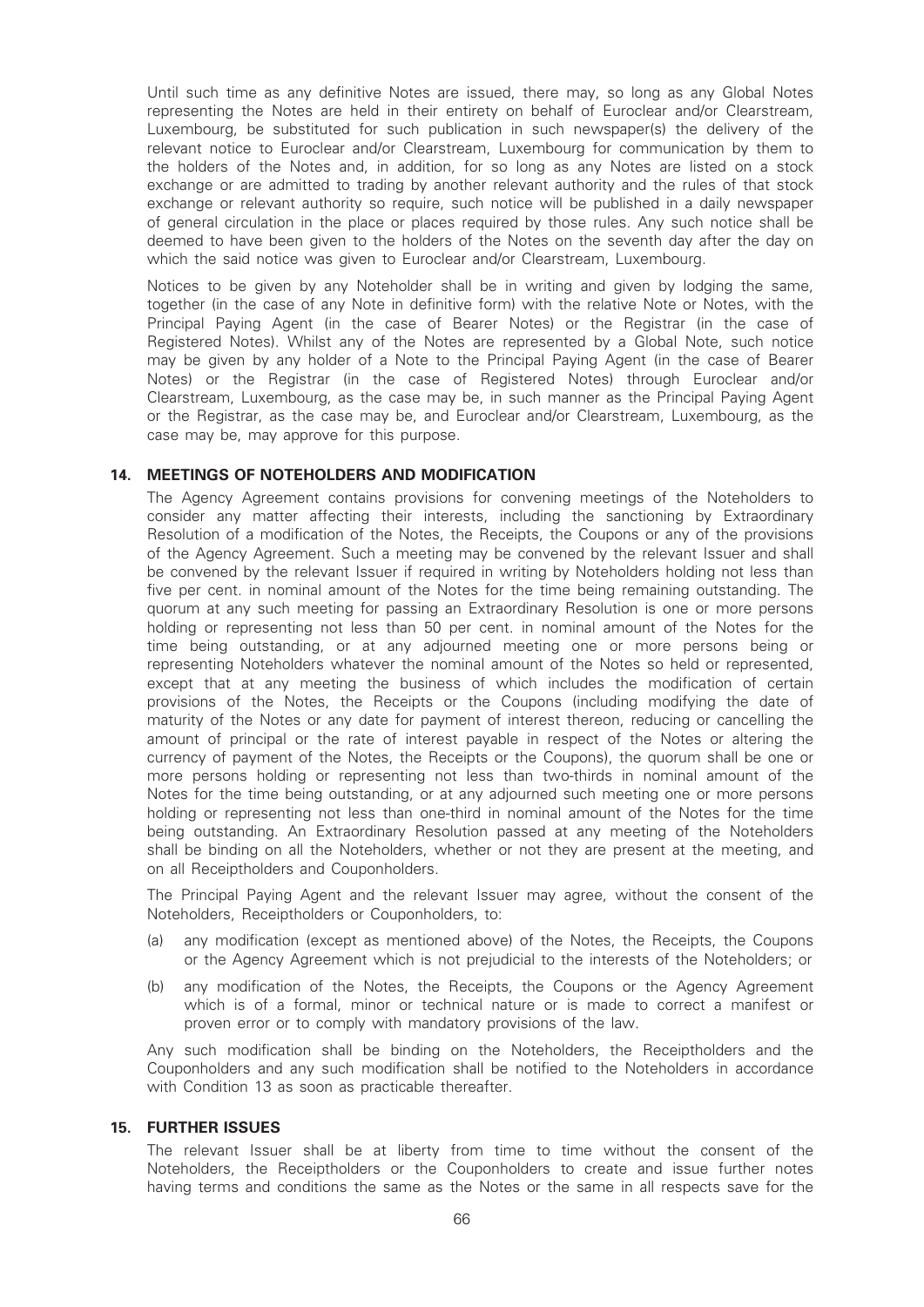Until such time as any definitive Notes are issued, there may, so long as any Global Notes representing the Notes are held in their entirety on behalf of Euroclear and/or Clearstream, Luxembourg, be substituted for such publication in such newspaper(s) the delivery of the relevant notice to Euroclear and/or Clearstream, Luxembourg for communication by them to the holders of the Notes and, in addition, for so long as any Notes are listed on a stock exchange or are admitted to trading by another relevant authority and the rules of that stock exchange or relevant authority so require, such notice will be published in a daily newspaper of general circulation in the place or places required by those rules. Any such notice shall be deemed to have been given to the holders of the Notes on the seventh day after the day on which the said notice was given to Euroclear and/or Clearstream, Luxembourg.

Notices to be given by any Noteholder shall be in writing and given by lodging the same, together (in the case of any Note in definitive form) with the relative Note or Notes, with the Principal Paying Agent (in the case of Bearer Notes) or the Registrar (in the case of Registered Notes). Whilst any of the Notes are represented by a Global Note, such notice may be given by any holder of a Note to the Principal Paying Agent (in the case of Bearer Notes) or the Registrar (in the case of Registered Notes) through Euroclear and/or Clearstream, Luxembourg, as the case may be, in such manner as the Principal Paying Agent or the Registrar, as the case may be, and Euroclear and/or Clearstream, Luxembourg, as the case may be, may approve for this purpose.

#### 14. MEETINGS OF NOTEHOLDERS AND MODIFICATION

The Agency Agreement contains provisions for convening meetings of the Noteholders to consider any matter affecting their interests, including the sanctioning by Extraordinary Resolution of a modification of the Notes, the Receipts, the Coupons or any of the provisions of the Agency Agreement. Such a meeting may be convened by the relevant Issuer and shall be convened by the relevant Issuer if required in writing by Noteholders holding not less than five per cent. in nominal amount of the Notes for the time being remaining outstanding. The quorum at any such meeting for passing an Extraordinary Resolution is one or more persons holding or representing not less than 50 per cent. in nominal amount of the Notes for the time being outstanding, or at any adjourned meeting one or more persons being or representing Noteholders whatever the nominal amount of the Notes so held or represented, except that at any meeting the business of which includes the modification of certain provisions of the Notes, the Receipts or the Coupons (including modifying the date of maturity of the Notes or any date for payment of interest thereon, reducing or cancelling the amount of principal or the rate of interest payable in respect of the Notes or altering the currency of payment of the Notes, the Receipts or the Coupons), the quorum shall be one or more persons holding or representing not less than two-thirds in nominal amount of the Notes for the time being outstanding, or at any adjourned such meeting one or more persons holding or representing not less than one-third in nominal amount of the Notes for the time being outstanding. An Extraordinary Resolution passed at any meeting of the Noteholders shall be binding on all the Noteholders, whether or not they are present at the meeting, and on all Receiptholders and Couponholders.

The Principal Paying Agent and the relevant Issuer may agree, without the consent of the Noteholders, Receiptholders or Couponholders, to:

- (a) any modification (except as mentioned above) of the Notes, the Receipts, the Coupons or the Agency Agreement which is not prejudicial to the interests of the Noteholders; or
- (b) any modification of the Notes, the Receipts, the Coupons or the Agency Agreement which is of a formal, minor or technical nature or is made to correct a manifest or proven error or to comply with mandatory provisions of the law.

Any such modification shall be binding on the Noteholders, the Receiptholders and the Couponholders and any such modification shall be notified to the Noteholders in accordance with Condition 13 as soon as practicable thereafter.

### 15. FURTHER ISSUES

The relevant Issuer shall be at liberty from time to time without the consent of the Noteholders, the Receiptholders or the Couponholders to create and issue further notes having terms and conditions the same as the Notes or the same in all respects save for the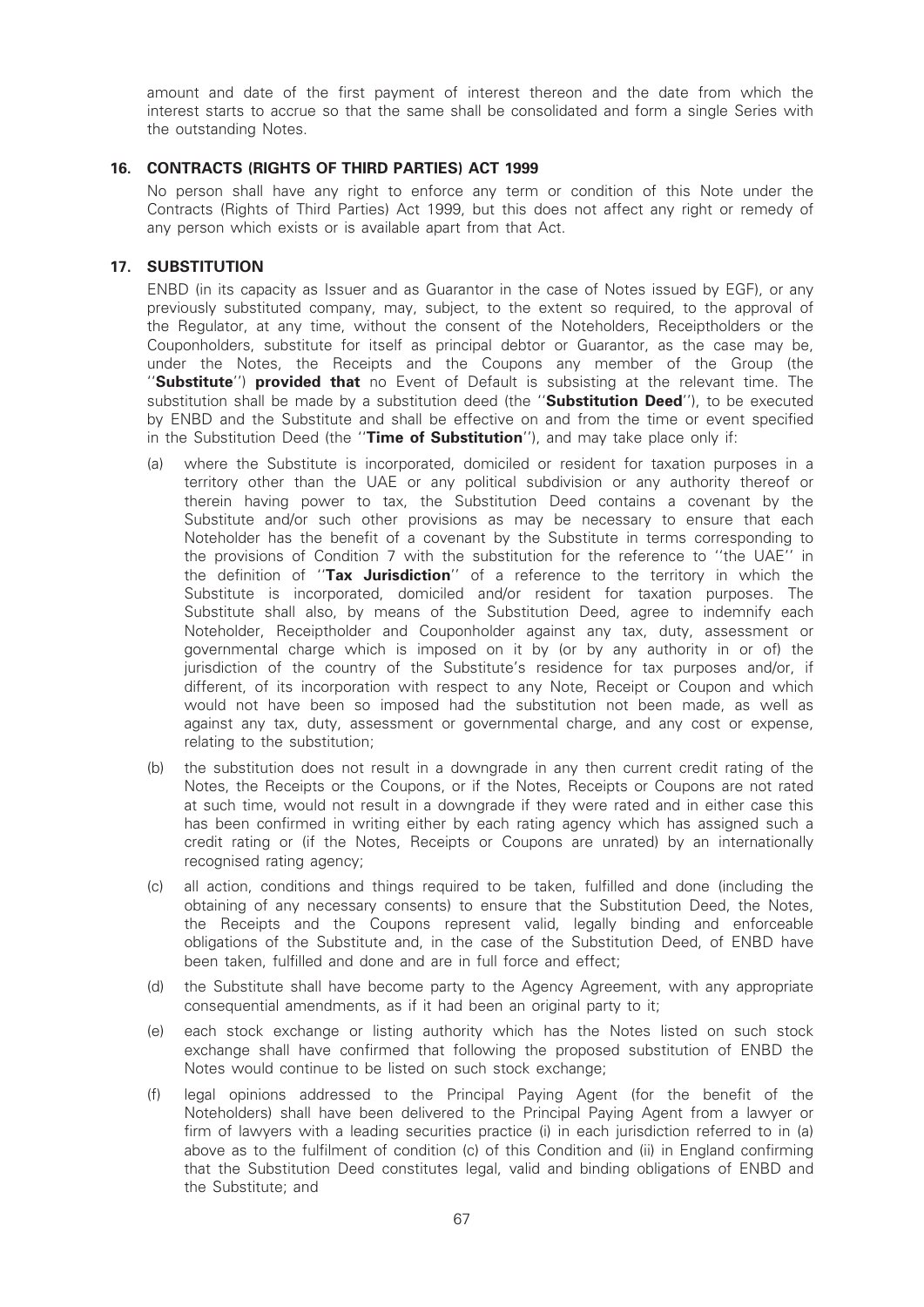amount and date of the first payment of interest thereon and the date from which the interest starts to accrue so that the same shall be consolidated and form a single Series with the outstanding Notes.

# 16. CONTRACTS (RIGHTS OF THIRD PARTIES) ACT 1999

No person shall have any right to enforce any term or condition of this Note under the Contracts (Rights of Third Parties) Act 1999, but this does not affect any right or remedy of any person which exists or is available apart from that Act.

# 17. SUBSTITUTION

ENBD (in its capacity as Issuer and as Guarantor in the case of Notes issued by EGF), or any previously substituted company, may, subject, to the extent so required, to the approval of the Regulator, at any time, without the consent of the Noteholders, Receiptholders or the Couponholders, substitute for itself as principal debtor or Guarantor, as the case may be, under the Notes, the Receipts and the Coupons any member of the Group (the "Substitute") provided that no Event of Default is subsisting at the relevant time. The substitution shall be made by a substitution deed (the "Substitution Deed"), to be executed by ENBD and the Substitute and shall be effective on and from the time or event specified in the Substitution Deed (the "Time of Substitution"), and may take place only if:

- (a) where the Substitute is incorporated, domiciled or resident for taxation purposes in a territory other than the UAE or any political subdivision or any authority thereof or therein having power to tax, the Substitution Deed contains a covenant by the Substitute and/or such other provisions as may be necessary to ensure that each Noteholder has the benefit of a covenant by the Substitute in terms corresponding to the provisions of Condition 7 with the substitution for the reference to ''the UAE'' in the definition of "Tax Jurisdiction" of a reference to the territory in which the Substitute is incorporated, domiciled and/or resident for taxation purposes. The Substitute shall also, by means of the Substitution Deed, agree to indemnify each Noteholder, Receiptholder and Couponholder against any tax, duty, assessment or governmental charge which is imposed on it by (or by any authority in or of) the jurisdiction of the country of the Substitute's residence for tax purposes and/or, if different, of its incorporation with respect to any Note, Receipt or Coupon and which would not have been so imposed had the substitution not been made, as well as against any tax, duty, assessment or governmental charge, and any cost or expense, relating to the substitution;
- (b) the substitution does not result in a downgrade in any then current credit rating of the Notes, the Receipts or the Coupons, or if the Notes, Receipts or Coupons are not rated at such time, would not result in a downgrade if they were rated and in either case this has been confirmed in writing either by each rating agency which has assigned such a credit rating or (if the Notes, Receipts or Coupons are unrated) by an internationally recognised rating agency:
- (c) all action, conditions and things required to be taken, fulfilled and done (including the obtaining of any necessary consents) to ensure that the Substitution Deed, the Notes, the Receipts and the Coupons represent valid, legally binding and enforceable obligations of the Substitute and, in the case of the Substitution Deed, of ENBD have been taken, fulfilled and done and are in full force and effect;
- (d) the Substitute shall have become party to the Agency Agreement, with any appropriate consequential amendments, as if it had been an original party to it;
- (e) each stock exchange or listing authority which has the Notes listed on such stock exchange shall have confirmed that following the proposed substitution of ENBD the Notes would continue to be listed on such stock exchange;
- (f) legal opinions addressed to the Principal Paying Agent (for the benefit of the Noteholders) shall have been delivered to the Principal Paying Agent from a lawyer or firm of lawyers with a leading securities practice (i) in each jurisdiction referred to in (a) above as to the fulfilment of condition (c) of this Condition and (ii) in England confirming that the Substitution Deed constitutes legal, valid and binding obligations of ENBD and the Substitute; and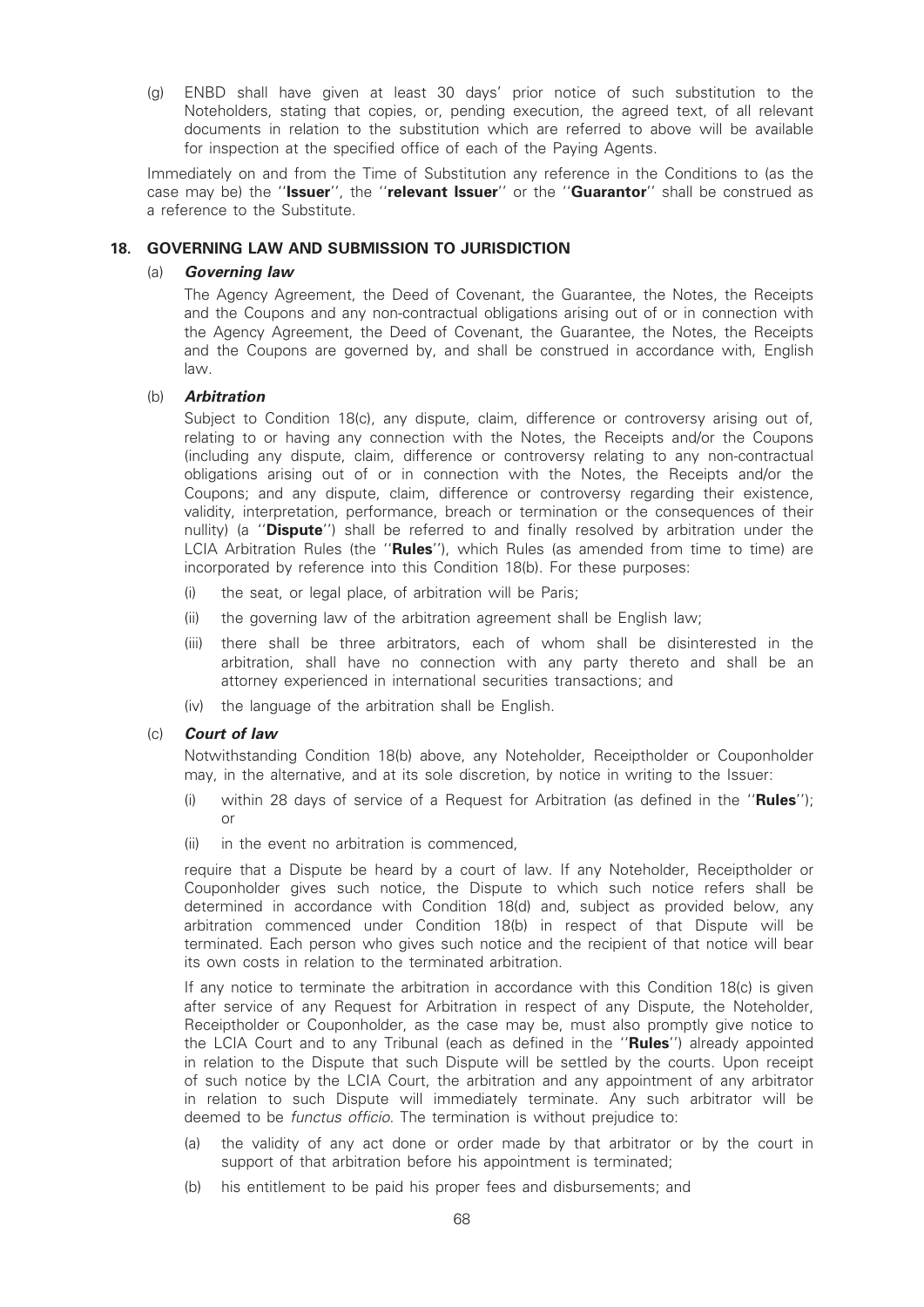(g) ENBD shall have given at least 30 days' prior notice of such substitution to the Noteholders, stating that copies, or, pending execution, the agreed text, of all relevant documents in relation to the substitution which are referred to above will be available for inspection at the specified office of each of the Paying Agents.

Immediately on and from the Time of Substitution any reference in the Conditions to (as the case may be) the "Issuer", the "relevant Issuer" or the "Guarantor" shall be construed as a reference to the Substitute.

# 18. GOVERNING LAW AND SUBMISSION TO JURISDICTION

# (a) Governing law

The Agency Agreement, the Deed of Covenant, the Guarantee, the Notes, the Receipts and the Coupons and any non-contractual obligations arising out of or in connection with the Agency Agreement, the Deed of Covenant, the Guarantee, the Notes, the Receipts and the Coupons are governed by, and shall be construed in accordance with, English law.

# (b) Arbitration

Subject to Condition 18(c), any dispute, claim, difference or controversy arising out of, relating to or having any connection with the Notes, the Receipts and/or the Coupons (including any dispute, claim, difference or controversy relating to any non-contractual obligations arising out of or in connection with the Notes, the Receipts and/or the Coupons; and any dispute, claim, difference or controversy regarding their existence, validity, interpretation, performance, breach or termination or the consequences of their nullity) (a "Dispute") shall be referred to and finally resolved by arbitration under the LCIA Arbitration Rules (the "Rules"), which Rules (as amended from time to time) are incorporated by reference into this Condition 18(b). For these purposes:

- (i) the seat, or legal place, of arbitration will be Paris;
- (ii) the governing law of the arbitration agreement shall be English law;
- (iii) there shall be three arbitrators, each of whom shall be disinterested in the arbitration, shall have no connection with any party thereto and shall be an attorney experienced in international securities transactions; and
- (iv) the language of the arbitration shall be English.

# (c) Court of law

Notwithstanding Condition 18(b) above, any Noteholder, Receiptholder or Couponholder may, in the alternative, and at its sole discretion, by notice in writing to the Issuer:

- (i) within 28 days of service of a Request for Arbitration (as defined in the "Rules"); or
- (ii) in the event no arbitration is commenced,

require that a Dispute be heard by a court of law. If any Noteholder, Receiptholder or Couponholder gives such notice, the Dispute to which such notice refers shall be determined in accordance with Condition 18(d) and, subject as provided below, any arbitration commenced under Condition 18(b) in respect of that Dispute will be terminated. Each person who gives such notice and the recipient of that notice will bear its own costs in relation to the terminated arbitration.

If any notice to terminate the arbitration in accordance with this Condition 18(c) is given after service of any Request for Arbitration in respect of any Dispute, the Noteholder, Receiptholder or Couponholder, as the case may be, must also promptly give notice to the LCIA Court and to any Tribunal (each as defined in the "Rules") already appointed in relation to the Dispute that such Dispute will be settled by the courts. Upon receipt of such notice by the LCIA Court, the arbitration and any appointment of any arbitrator in relation to such Dispute will immediately terminate. Any such arbitrator will be deemed to be *functus officio*. The termination is without prejudice to:

- (a) the validity of any act done or order made by that arbitrator or by the court in support of that arbitration before his appointment is terminated;
- (b) his entitlement to be paid his proper fees and disbursements; and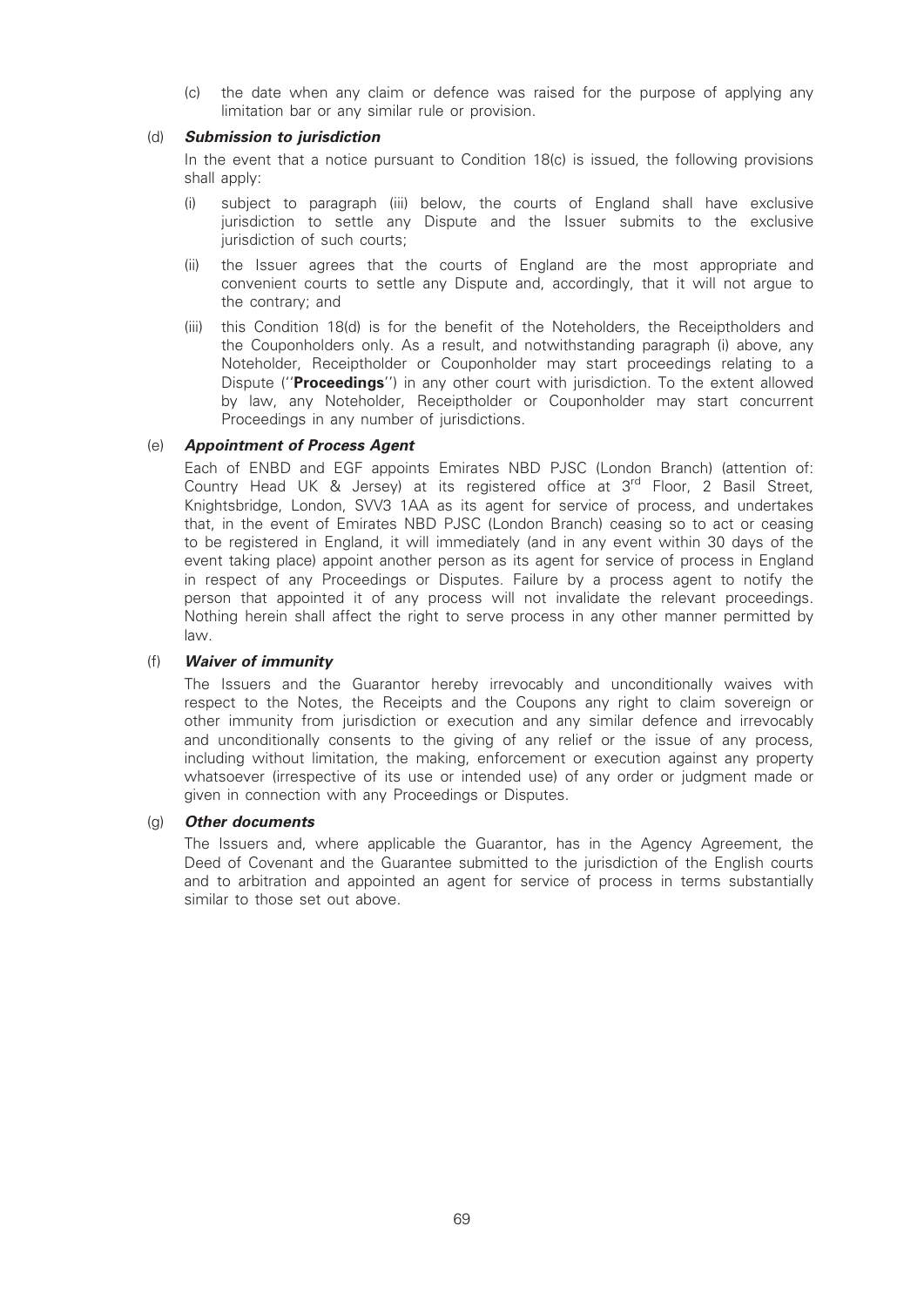(c) the date when any claim or defence was raised for the purpose of applying any limitation bar or any similar rule or provision.

### (d) Submission to jurisdiction

In the event that a notice pursuant to Condition 18(c) is issued, the following provisions shall apply:

- (i) subject to paragraph (iii) below, the courts of England shall have exclusive jurisdiction to settle any Dispute and the Issuer submits to the exclusive iurisdiction of such courts;
- (ii) the Issuer agrees that the courts of England are the most appropriate and convenient courts to settle any Dispute and, accordingly, that it will not argue to the contrary; and
- (iii) this Condition 18(d) is for the benefit of the Noteholders, the Receiptholders and the Couponholders only. As a result, and notwithstanding paragraph (i) above, any Noteholder, Receiptholder or Couponholder may start proceedings relating to a Dispute ("Proceedings") in any other court with jurisdiction. To the extent allowed by law, any Noteholder, Receiptholder or Couponholder may start concurrent Proceedings in any number of jurisdictions.

# (e) Appointment of Process Agent

Each of ENBD and EGF appoints Emirates NBD PJSC (London Branch) (attention of: Country Head UK & Jersey) at its registered office at  $3<sup>rd</sup>$  Floor, 2 Basil Street, Knightsbridge, London, SVV3 1AA as its agent for service of process, and undertakes that, in the event of Emirates NBD PJSC (London Branch) ceasing so to act or ceasing to be registered in England, it will immediately (and in any event within 30 days of the event taking place) appoint another person as its agent for service of process in England in respect of any Proceedings or Disputes. Failure by a process agent to notify the person that appointed it of any process will not invalidate the relevant proceedings. Nothing herein shall affect the right to serve process in any other manner permitted by law.

# (f) Waiver of immunity

The Issuers and the Guarantor hereby irrevocably and unconditionally waives with respect to the Notes, the Receipts and the Coupons any right to claim sovereign or other immunity from jurisdiction or execution and any similar defence and irrevocably and unconditionally consents to the giving of any relief or the issue of any process, including without limitation, the making, enforcement or execution against any property whatsoever (irrespective of its use or intended use) of any order or judgment made or given in connection with any Proceedings or Disputes.

# (g) Other documents

The Issuers and, where applicable the Guarantor, has in the Agency Agreement, the Deed of Covenant and the Guarantee submitted to the jurisdiction of the English courts and to arbitration and appointed an agent for service of process in terms substantially similar to those set out above.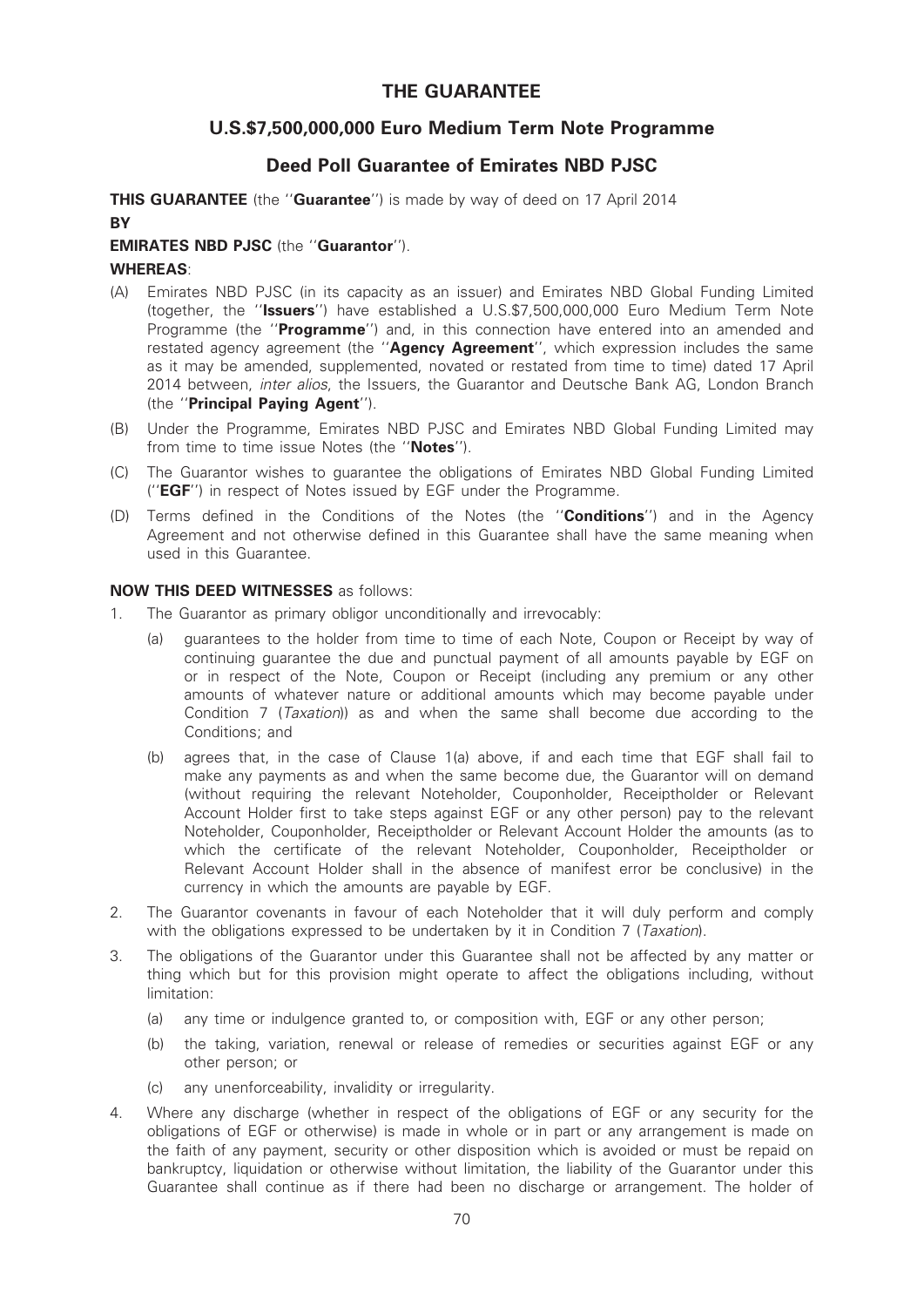# THE GUARANTEE

# U.S.\$7,500,000,000 Euro Medium Term Note Programme

# Deed Poll Guarantee of Emirates NBD PJSC

THIS GUARANTEE (the "Guarantee") is made by way of deed on 17 April 2014 **BY** 

# EMIRATES NBD PJSC (the ''Guarantor'').

# WHEREAS:

- (A) Emirates NBD PJSC (in its capacity as an issuer) and Emirates NBD Global Funding Limited (together, the ''Issuers'') have established a U.S.\$7,500,000,000 Euro Medium Term Note Programme (the "Programme") and, in this connection have entered into an amended and restated agency agreement (the "Agency Agreement", which expression includes the same as it may be amended, supplemented, novated or restated from time to time) dated 17 April 2014 between, *inter alios*, the Issuers, the Guarantor and Deutsche Bank AG, London Branch (the ''Principal Paying Agent'').
- (B) Under the Programme, Emirates NBD PJSC and Emirates NBD Global Funding Limited may from time to time issue Notes (the "Notes").
- (C) The Guarantor wishes to guarantee the obligations of Emirates NBD Global Funding Limited (''EGF'') in respect of Notes issued by EGF under the Programme.
- (D) Terms defined in the Conditions of the Notes (the "**Conditions**") and in the Agency Agreement and not otherwise defined in this Guarantee shall have the same meaning when used in this Guarantee.

# NOW THIS DEED WITNESSES as follows:

- 1. The Guarantor as primary obligor unconditionally and irrevocably:
	- (a) guarantees to the holder from time to time of each Note, Coupon or Receipt by way of continuing guarantee the due and punctual payment of all amounts payable by EGF on or in respect of the Note, Coupon or Receipt (including any premium or any other amounts of whatever nature or additional amounts which may become payable under Condition 7 (Taxation)) as and when the same shall become due according to the Conditions; and
	- (b) agrees that, in the case of Clause 1(a) above, if and each time that EGF shall fail to make any payments as and when the same become due, the Guarantor will on demand (without requiring the relevant Noteholder, Couponholder, Receiptholder or Relevant Account Holder first to take steps against EGF or any other person) pay to the relevant Noteholder, Couponholder, Receiptholder or Relevant Account Holder the amounts (as to which the certificate of the relevant Noteholder, Couponholder, Receiptholder or Relevant Account Holder shall in the absence of manifest error be conclusive) in the currency in which the amounts are payable by EGF.
- 2. The Guarantor covenants in favour of each Noteholder that it will duly perform and comply with the obligations expressed to be undertaken by it in Condition 7 (Taxation).
- 3. The obligations of the Guarantor under this Guarantee shall not be affected by any matter or thing which but for this provision might operate to affect the obligations including, without limitation:
	- (a) any time or indulgence granted to, or composition with, EGF or any other person;
	- (b) the taking, variation, renewal or release of remedies or securities against EGF or any other person; or
	- (c) any unenforceability, invalidity or irregularity.
- 4. Where any discharge (whether in respect of the obligations of EGF or any security for the obligations of EGF or otherwise) is made in whole or in part or any arrangement is made on the faith of any payment, security or other disposition which is avoided or must be repaid on bankruptcy, liquidation or otherwise without limitation, the liability of the Guarantor under this Guarantee shall continue as if there had been no discharge or arrangement. The holder of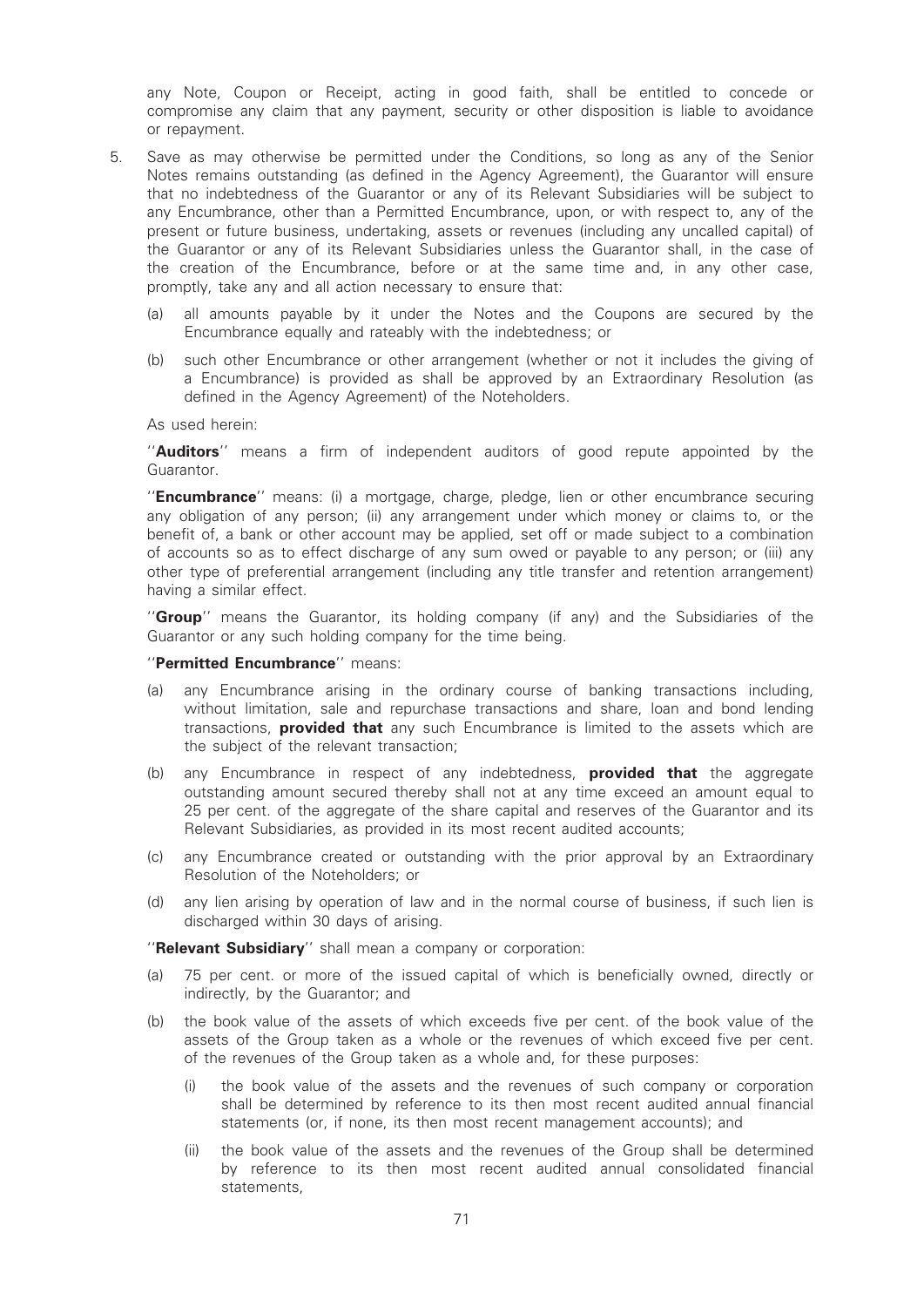any Note, Coupon or Receipt, acting in good faith, shall be entitled to concede or compromise any claim that any payment, security or other disposition is liable to avoidance or repayment.

- 5. Save as may otherwise be permitted under the Conditions, so long as any of the Senior Notes remains outstanding (as defined in the Agency Agreement), the Guarantor will ensure that no indebtedness of the Guarantor or any of its Relevant Subsidiaries will be subject to any Encumbrance, other than a Permitted Encumbrance, upon, or with respect to, any of the present or future business, undertaking, assets or revenues (including any uncalled capital) of the Guarantor or any of its Relevant Subsidiaries unless the Guarantor shall, in the case of the creation of the Encumbrance, before or at the same time and, in any other case, promptly, take any and all action necessary to ensure that:
	- (a) all amounts payable by it under the Notes and the Coupons are secured by the Encumbrance equally and rateably with the indebtedness; or
	- (b) such other Encumbrance or other arrangement (whether or not it includes the giving of a Encumbrance) is provided as shall be approved by an Extraordinary Resolution (as defined in the Agency Agreement) of the Noteholders.

As used herein:

"Auditors" means a firm of independent auditors of good repute appointed by the Guarantor.

"**Encumbrance**" means: (i) a mortgage, charge, pledge, lien or other encumbrance securing any obligation of any person; (ii) any arrangement under which money or claims to, or the benefit of, a bank or other account may be applied, set off or made subject to a combination of accounts so as to effect discharge of any sum owed or payable to any person; or (iii) any other type of preferential arrangement (including any title transfer and retention arrangement) having a similar effect.

"Group" means the Guarantor, its holding company (if any) and the Subsidiaries of the Guarantor or any such holding company for the time being.

#### "Permitted Encumbrance" means:

- (a) any Encumbrance arising in the ordinary course of banking transactions including, without limitation, sale and repurchase transactions and share, loan and bond lending transactions, **provided that** any such Encumbrance is limited to the assets which are the subject of the relevant transaction;
- (b) any Encumbrance in respect of any indebtedness, **provided that** the aggregate outstanding amount secured thereby shall not at any time exceed an amount equal to 25 per cent. of the aggregate of the share capital and reserves of the Guarantor and its Relevant Subsidiaries, as provided in its most recent audited accounts;
- (c) any Encumbrance created or outstanding with the prior approval by an Extraordinary Resolution of the Noteholders; or
- (d) any lien arising by operation of law and in the normal course of business, if such lien is discharged within 30 days of arising.

''Relevant Subsidiary'' shall mean a company or corporation:

- (a) 75 per cent. or more of the issued capital of which is beneficially owned, directly or indirectly, by the Guarantor; and
- (b) the book value of the assets of which exceeds five per cent. of the book value of the assets of the Group taken as a whole or the revenues of which exceed five per cent. of the revenues of the Group taken as a whole and, for these purposes:
	- (i) the book value of the assets and the revenues of such company or corporation shall be determined by reference to its then most recent audited annual financial statements (or, if none, its then most recent management accounts); and
	- (ii) the book value of the assets and the revenues of the Group shall be determined by reference to its then most recent audited annual consolidated financial statements,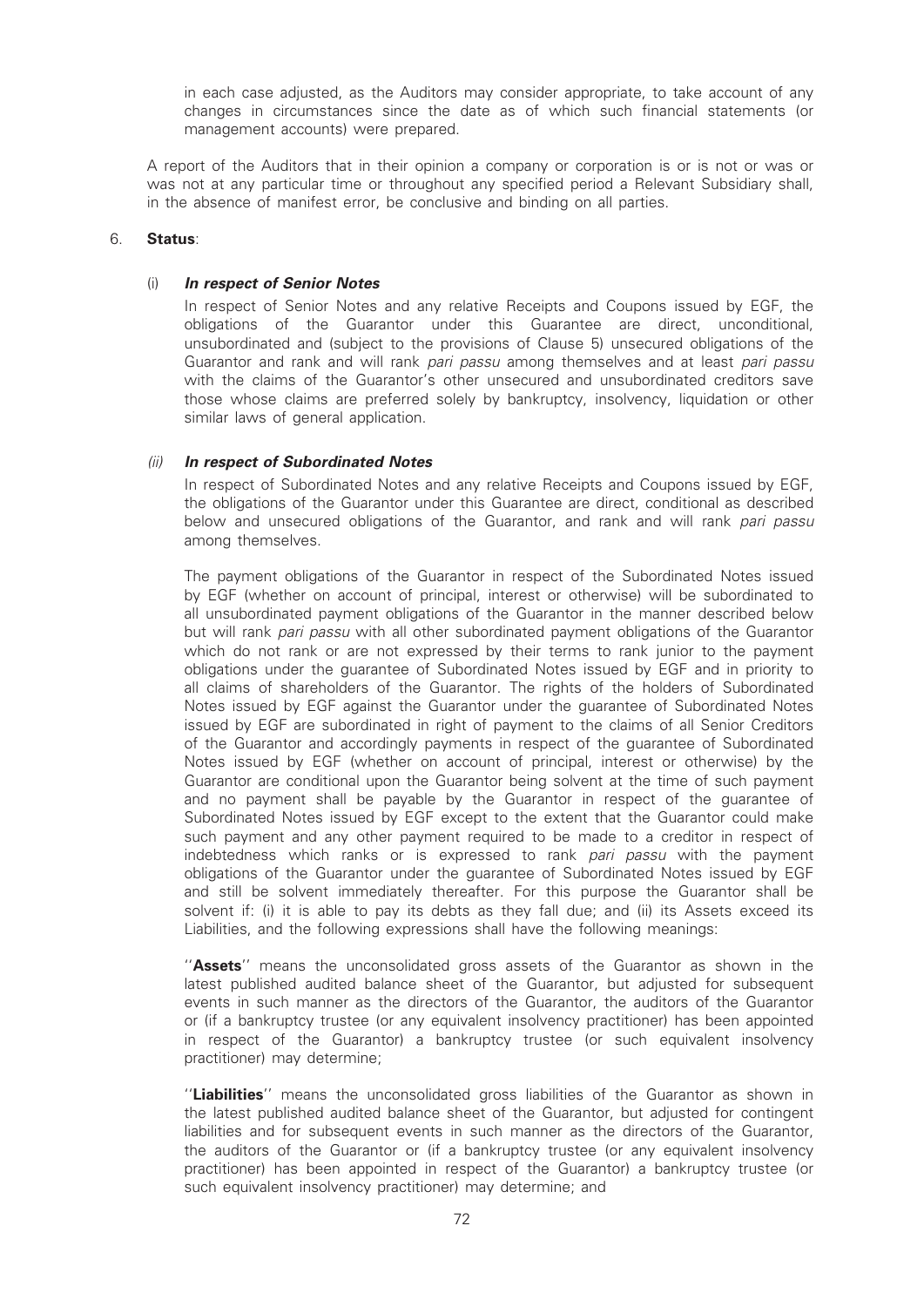in each case adjusted, as the Auditors may consider appropriate, to take account of any changes in circumstances since the date as of which such financial statements (or management accounts) were prepared.

A report of the Auditors that in their opinion a company or corporation is or is not or was or was not at any particular time or throughout any specified period a Relevant Subsidiary shall, in the absence of manifest error, be conclusive and binding on all parties.

### 6. Status:

### (i) In respect of Senior Notes

In respect of Senior Notes and any relative Receipts and Coupons issued by EGF, the obligations of the Guarantor under this Guarantee are direct, unconditional, unsubordinated and (subject to the provisions of Clause 5) unsecured obligations of the Guarantor and rank and will rank *pari passu* among themselves and at least *pari passu* with the claims of the Guarantor's other unsecured and unsubordinated creditors save those whose claims are preferred solely by bankruptcy, insolvency, liquidation or other similar laws of general application.

# (ii) In respect of Subordinated Notes

In respect of Subordinated Notes and any relative Receipts and Coupons issued by EGF, the obligations of the Guarantor under this Guarantee are direct, conditional as described below and unsecured obligations of the Guarantor, and rank and will rank pari passu among themselves.

The payment obligations of the Guarantor in respect of the Subordinated Notes issued by EGF (whether on account of principal, interest or otherwise) will be subordinated to all unsubordinated payment obligations of the Guarantor in the manner described below but will rank pari passu with all other subordinated payment obligations of the Guarantor which do not rank or are not expressed by their terms to rank junior to the payment obligations under the guarantee of Subordinated Notes issued by EGF and in priority to all claims of shareholders of the Guarantor. The rights of the holders of Subordinated Notes issued by EGF against the Guarantor under the guarantee of Subordinated Notes issued by EGF are subordinated in right of payment to the claims of all Senior Creditors of the Guarantor and accordingly payments in respect of the guarantee of Subordinated Notes issued by EGF (whether on account of principal, interest or otherwise) by the Guarantor are conditional upon the Guarantor being solvent at the time of such payment and no payment shall be payable by the Guarantor in respect of the guarantee of Subordinated Notes issued by EGF except to the extent that the Guarantor could make such payment and any other payment required to be made to a creditor in respect of indebtedness which ranks or is expressed to rank pari passu with the payment obligations of the Guarantor under the guarantee of Subordinated Notes issued by EGF and still be solvent immediately thereafter. For this purpose the Guarantor shall be solvent if: (i) it is able to pay its debts as they fall due; and (ii) its Assets exceed its Liabilities, and the following expressions shall have the following meanings:

"Assets" means the unconsolidated gross assets of the Guarantor as shown in the latest published audited balance sheet of the Guarantor, but adjusted for subsequent events in such manner as the directors of the Guarantor, the auditors of the Guarantor or (if a bankruptcy trustee (or any equivalent insolvency practitioner) has been appointed in respect of the Guarantor) a bankruptcy trustee (or such equivalent insolvency practitioner) may determine;

"Liabilities" means the unconsolidated gross liabilities of the Guarantor as shown in the latest published audited balance sheet of the Guarantor, but adjusted for contingent liabilities and for subsequent events in such manner as the directors of the Guarantor, the auditors of the Guarantor or (if a bankruptcy trustee (or any equivalent insolvency practitioner) has been appointed in respect of the Guarantor) a bankruptcy trustee (or such equivalent insolvency practitioner) may determine; and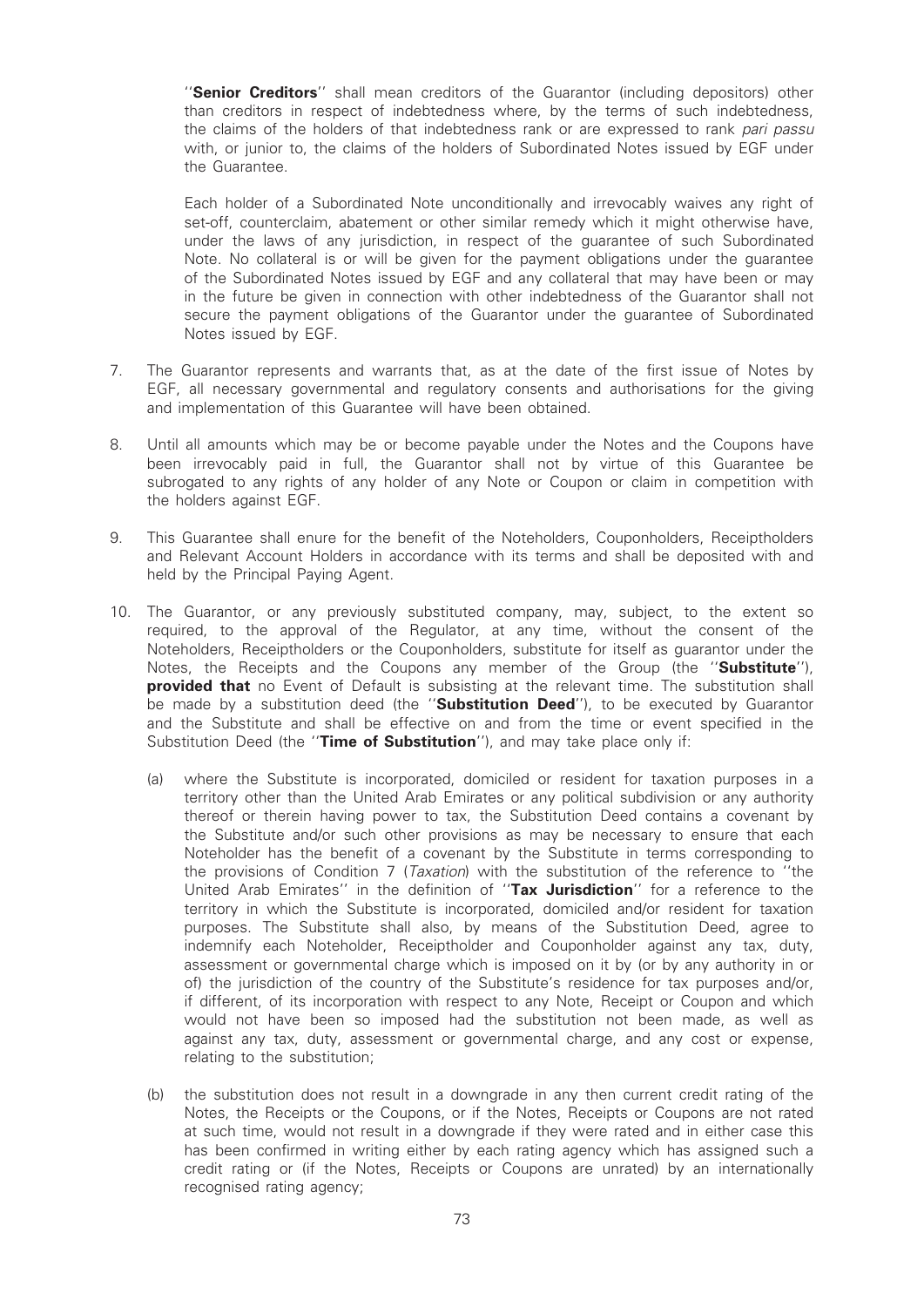"Senior Creditors" shall mean creditors of the Guarantor (including depositors) other than creditors in respect of indebtedness where, by the terms of such indebtedness, the claims of the holders of that indebtedness rank or are expressed to rank pari passu with, or junior to, the claims of the holders of Subordinated Notes issued by EGF under the Guarantee.

Each holder of a Subordinated Note unconditionally and irrevocably waives any right of set-off, counterclaim, abatement or other similar remedy which it might otherwise have, under the laws of any jurisdiction, in respect of the guarantee of such Subordinated Note. No collateral is or will be given for the payment obligations under the guarantee of the Subordinated Notes issued by EGF and any collateral that may have been or may in the future be given in connection with other indebtedness of the Guarantor shall not secure the payment obligations of the Guarantor under the guarantee of Subordinated Notes issued by EGF.

- 7. The Guarantor represents and warrants that, as at the date of the first issue of Notes by EGF, all necessary governmental and regulatory consents and authorisations for the giving and implementation of this Guarantee will have been obtained.
- 8. Until all amounts which may be or become payable under the Notes and the Coupons have been irrevocably paid in full, the Guarantor shall not by virtue of this Guarantee be subrogated to any rights of any holder of any Note or Coupon or claim in competition with the holders against EGF.
- 9. This Guarantee shall enure for the benefit of the Noteholders, Couponholders, Receiptholders and Relevant Account Holders in accordance with its terms and shall be deposited with and held by the Principal Paying Agent.
- 10. The Guarantor, or any previously substituted company, may, subject, to the extent so required, to the approval of the Regulator, at any time, without the consent of the Noteholders, Receiptholders or the Couponholders, substitute for itself as guarantor under the Notes, the Receipts and the Coupons any member of the Group (the "**Substitute**"), provided that no Event of Default is subsisting at the relevant time. The substitution shall be made by a substitution deed (the "**Substitution Deed**"), to be executed by Guarantor and the Substitute and shall be effective on and from the time or event specified in the Substitution Deed (the "Time of Substitution"), and may take place only if:
	- (a) where the Substitute is incorporated, domiciled or resident for taxation purposes in a territory other than the United Arab Emirates or any political subdivision or any authority thereof or therein having power to tax, the Substitution Deed contains a covenant by the Substitute and/or such other provisions as may be necessary to ensure that each Noteholder has the benefit of a covenant by the Substitute in terms corresponding to the provisions of Condition 7 (*Taxation*) with the substitution of the reference to "the United Arab Emirates" in the definition of "Tax Jurisdiction" for a reference to the territory in which the Substitute is incorporated, domiciled and/or resident for taxation purposes. The Substitute shall also, by means of the Substitution Deed, agree to indemnify each Noteholder, Receiptholder and Couponholder against any tax, duty, assessment or governmental charge which is imposed on it by (or by any authority in or of) the jurisdiction of the country of the Substitute's residence for tax purposes and/or, if different, of its incorporation with respect to any Note, Receipt or Coupon and which would not have been so imposed had the substitution not been made, as well as against any tax, duty, assessment or governmental charge, and any cost or expense, relating to the substitution;
	- (b) the substitution does not result in a downgrade in any then current credit rating of the Notes, the Receipts or the Coupons, or if the Notes, Receipts or Coupons are not rated at such time, would not result in a downgrade if they were rated and in either case this has been confirmed in writing either by each rating agency which has assigned such a credit rating or (if the Notes, Receipts or Coupons are unrated) by an internationally recognised rating agency;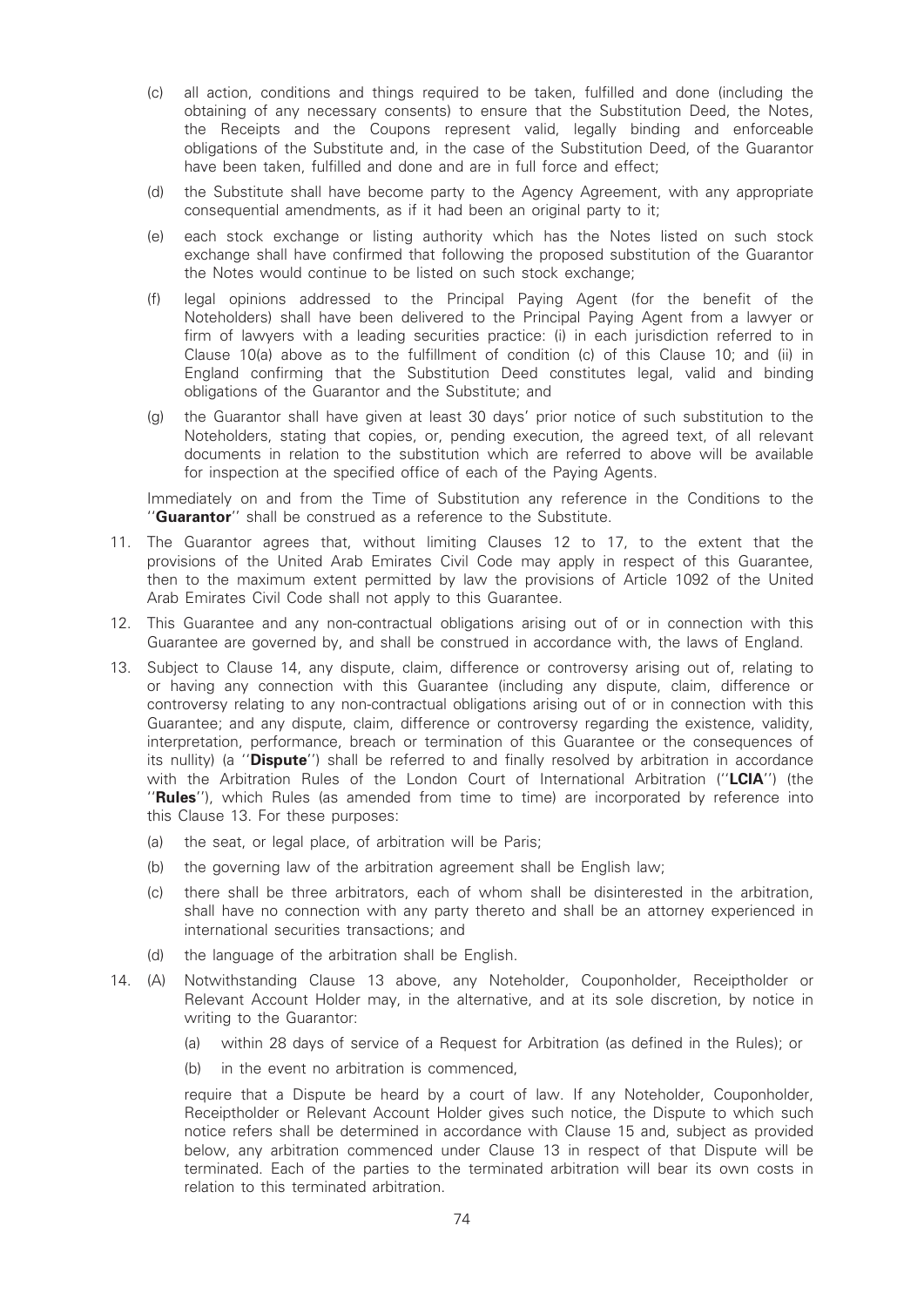- (c) all action, conditions and things required to be taken, fulfilled and done (including the obtaining of any necessary consents) to ensure that the Substitution Deed, the Notes, the Receipts and the Coupons represent valid, legally binding and enforceable obligations of the Substitute and, in the case of the Substitution Deed, of the Guarantor have been taken, fulfilled and done and are in full force and effect;
- (d) the Substitute shall have become party to the Agency Agreement, with any appropriate consequential amendments, as if it had been an original party to it;
- (e) each stock exchange or listing authority which has the Notes listed on such stock exchange shall have confirmed that following the proposed substitution of the Guarantor the Notes would continue to be listed on such stock exchange;
- (f) legal opinions addressed to the Principal Paying Agent (for the benefit of the Noteholders) shall have been delivered to the Principal Paying Agent from a lawyer or firm of lawyers with a leading securities practice: (i) in each jurisdiction referred to in Clause 10(a) above as to the fulfillment of condition (c) of this Clause 10; and (ii) in England confirming that the Substitution Deed constitutes legal, valid and binding obligations of the Guarantor and the Substitute; and
- (g) the Guarantor shall have given at least 30 days' prior notice of such substitution to the Noteholders, stating that copies, or, pending execution, the agreed text, of all relevant documents in relation to the substitution which are referred to above will be available for inspection at the specified office of each of the Paying Agents.

Immediately on and from the Time of Substitution any reference in the Conditions to the "Guarantor" shall be construed as a reference to the Substitute.

- 11. The Guarantor agrees that, without limiting Clauses 12 to 17, to the extent that the provisions of the United Arab Emirates Civil Code may apply in respect of this Guarantee, then to the maximum extent permitted by law the provisions of Article 1092 of the United Arab Emirates Civil Code shall not apply to this Guarantee.
- 12. This Guarantee and any non-contractual obligations arising out of or in connection with this Guarantee are governed by, and shall be construed in accordance with, the laws of England.
- 13. Subject to Clause 14, any dispute, claim, difference or controversy arising out of, relating to or having any connection with this Guarantee (including any dispute, claim, difference or controversy relating to any non-contractual obligations arising out of or in connection with this Guarantee; and any dispute, claim, difference or controversy regarding the existence, validity, interpretation, performance, breach or termination of this Guarantee or the consequences of its nullity) (a "Dispute") shall be referred to and finally resolved by arbitration in accordance with the Arbitration Rules of the London Court of International Arbitration ("LCIA") (the ''Rules''), which Rules (as amended from time to time) are incorporated by reference into this Clause 13. For these purposes:
	- (a) the seat, or legal place, of arbitration will be Paris;
	- (b) the governing law of the arbitration agreement shall be English law;
	- (c) there shall be three arbitrators, each of whom shall be disinterested in the arbitration, shall have no connection with any party thereto and shall be an attorney experienced in international securities transactions; and
	- (d) the language of the arbitration shall be English.
- 14. (A) Notwithstanding Clause 13 above, any Noteholder, Couponholder, Receiptholder or Relevant Account Holder may, in the alternative, and at its sole discretion, by notice in writing to the Guarantor:
	- (a) within 28 days of service of a Request for Arbitration (as defined in the Rules); or
	- (b) in the event no arbitration is commenced,

require that a Dispute be heard by a court of law. If any Noteholder, Couponholder, Receiptholder or Relevant Account Holder gives such notice, the Dispute to which such notice refers shall be determined in accordance with Clause 15 and, subject as provided below, any arbitration commenced under Clause 13 in respect of that Dispute will be terminated. Each of the parties to the terminated arbitration will bear its own costs in relation to this terminated arbitration.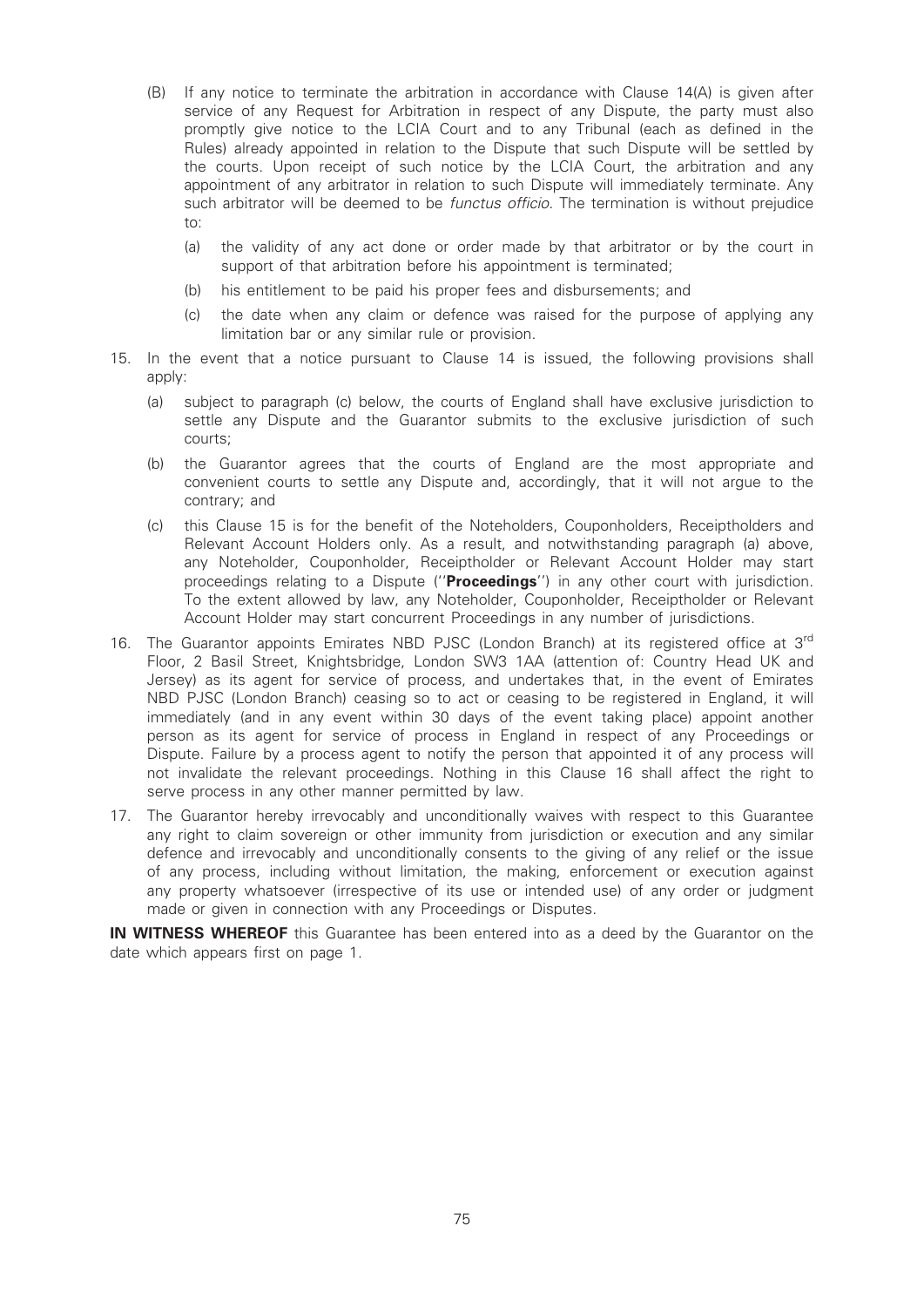- (B) If any notice to terminate the arbitration in accordance with Clause 14(A) is given after service of any Request for Arbitration in respect of any Dispute, the party must also promptly give notice to the LCIA Court and to any Tribunal (each as defined in the Rules) already appointed in relation to the Dispute that such Dispute will be settled by the courts. Upon receipt of such notice by the LCIA Court, the arbitration and any appointment of any arbitrator in relation to such Dispute will immediately terminate. Any such arbitrator will be deemed to be *functus officio*. The termination is without prejudice to:
	- (a) the validity of any act done or order made by that arbitrator or by the court in support of that arbitration before his appointment is terminated;
	- (b) his entitlement to be paid his proper fees and disbursements; and
	- (c) the date when any claim or defence was raised for the purpose of applying any limitation bar or any similar rule or provision.
- 15. In the event that a notice pursuant to Clause 14 is issued, the following provisions shall apply:
	- (a) subject to paragraph (c) below, the courts of England shall have exclusive jurisdiction to settle any Dispute and the Guarantor submits to the exclusive jurisdiction of such courts;
	- (b) the Guarantor agrees that the courts of England are the most appropriate and convenient courts to settle any Dispute and, accordingly, that it will not argue to the contrary; and
	- (c) this Clause 15 is for the benefit of the Noteholders, Couponholders, Receiptholders and Relevant Account Holders only. As a result, and notwithstanding paragraph (a) above, any Noteholder, Couponholder, Receiptholder or Relevant Account Holder may start proceedings relating to a Dispute ("Proceedings") in any other court with jurisdiction. To the extent allowed by law, any Noteholder, Couponholder, Receiptholder or Relevant Account Holder may start concurrent Proceedings in any number of jurisdictions.
- 16. The Guarantor appoints Emirates NBD PJSC (London Branch) at its registered office at 3<sup>rd</sup> Floor, 2 Basil Street, Knightsbridge, London SW3 1AA (attention of: Country Head UK and Jersey) as its agent for service of process, and undertakes that, in the event of Emirates NBD PJSC (London Branch) ceasing so to act or ceasing to be registered in England, it will immediately (and in any event within 30 days of the event taking place) appoint another person as its agent for service of process in England in respect of any Proceedings or Dispute. Failure by a process agent to notify the person that appointed it of any process will not invalidate the relevant proceedings. Nothing in this Clause 16 shall affect the right to serve process in any other manner permitted by law.
- 17. The Guarantor hereby irrevocably and unconditionally waives with respect to this Guarantee any right to claim sovereign or other immunity from jurisdiction or execution and any similar defence and irrevocably and unconditionally consents to the giving of any relief or the issue of any process, including without limitation, the making, enforcement or execution against any property whatsoever (irrespective of its use or intended use) of any order or judgment made or given in connection with any Proceedings or Disputes.

IN WITNESS WHEREOF this Guarantee has been entered into as a deed by the Guarantor on the date which appears first on page 1.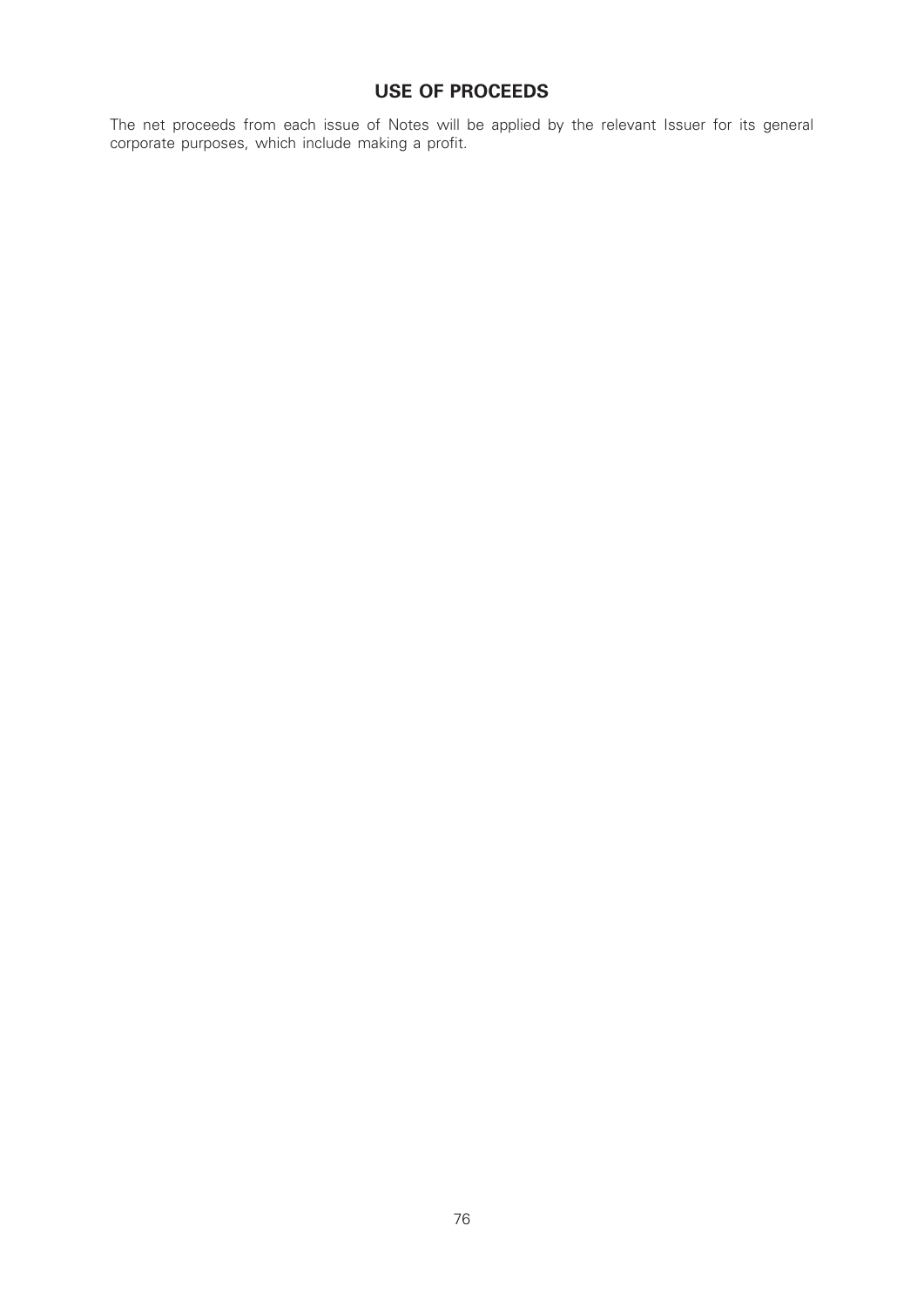# USE OF PROCEEDS

The net proceeds from each issue of Notes will be applied by the relevant Issuer for its general corporate purposes, which include making a profit.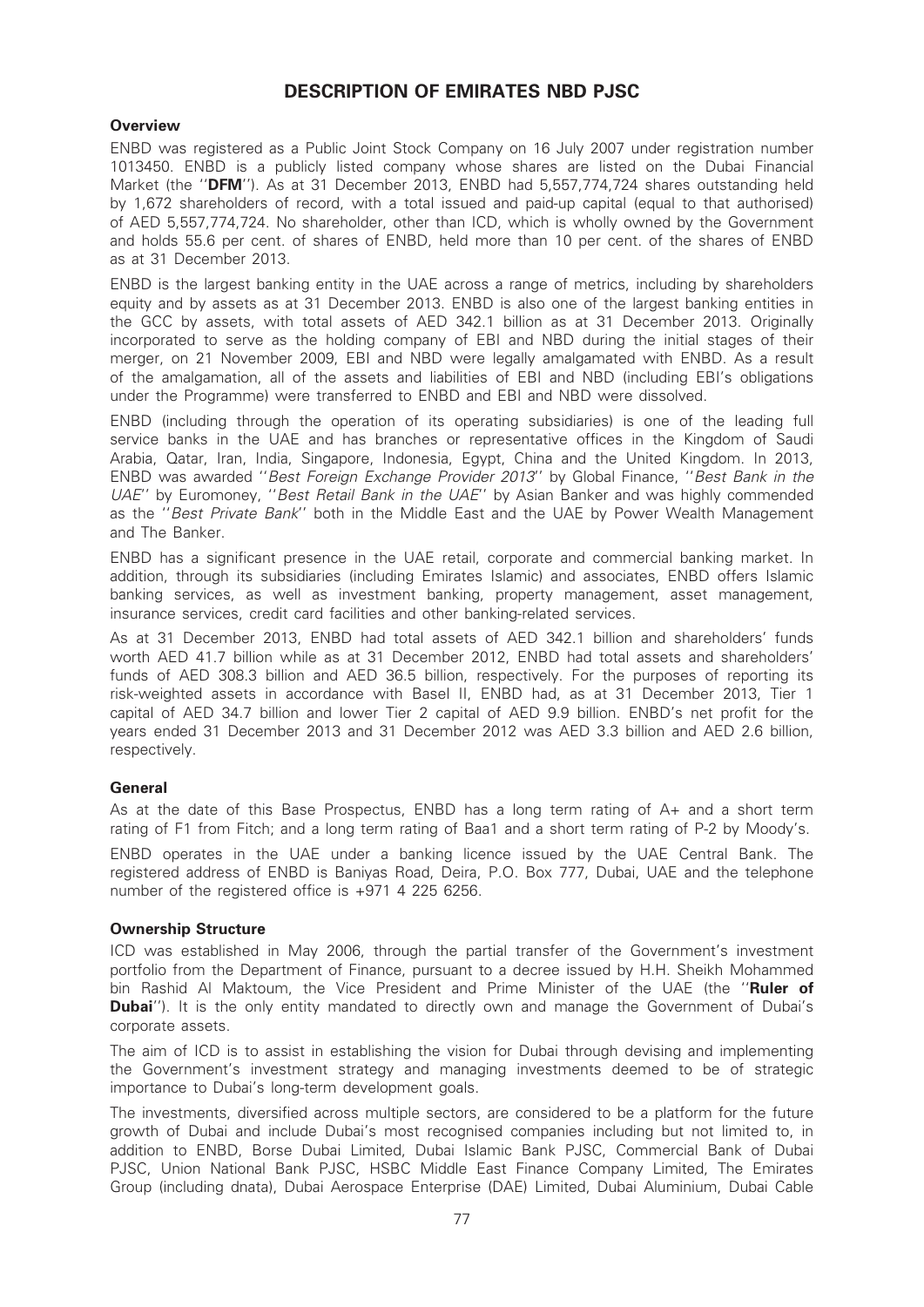# DESCRIPTION OF EMIRATES NBD PJSC

# **Overview**

ENBD was registered as a Public Joint Stock Company on 16 July 2007 under registration number 1013450. ENBD is a publicly listed company whose shares are listed on the Dubai Financial Market (the "DFM"). As at 31 December 2013, ENBD had 5,557,774,724 shares outstanding held by 1,672 shareholders of record, with a total issued and paid-up capital (equal to that authorised) of AED 5,557,774,724. No shareholder, other than ICD, which is wholly owned by the Government and holds 55.6 per cent. of shares of ENBD, held more than 10 per cent. of the shares of ENBD as at 31 December 2013.

ENBD is the largest banking entity in the UAE across a range of metrics, including by shareholders equity and by assets as at 31 December 2013. ENBD is also one of the largest banking entities in the GCC by assets, with total assets of AED 342.1 billion as at 31 December 2013. Originally incorporated to serve as the holding company of EBI and NBD during the initial stages of their merger, on 21 November 2009, EBI and NBD were legally amalgamated with ENBD. As a result of the amalgamation, all of the assets and liabilities of EBI and NBD (including EBI's obligations under the Programme) were transferred to ENBD and EBI and NBD were dissolved.

ENBD (including through the operation of its operating subsidiaries) is one of the leading full service banks in the UAE and has branches or representative offices in the Kingdom of Saudi Arabia, Qatar, Iran, India, Singapore, Indonesia, Egypt, China and the United Kingdom. In 2013, ENBD was awarded ''Best Foreign Exchange Provider 2013'' by Global Finance, ''Best Bank in the UAE" by Euromoney, "Best Retail Bank in the UAE" by Asian Banker and was highly commended as the ''Best Private Bank'' both in the Middle East and the UAE by Power Wealth Management and The Banker.

ENBD has a significant presence in the UAE retail, corporate and commercial banking market. In addition, through its subsidiaries (including Emirates Islamic) and associates, ENBD offers Islamic banking services, as well as investment banking, property management, asset management, insurance services, credit card facilities and other banking-related services.

As at 31 December 2013, ENBD had total assets of AED 342.1 billion and shareholders' funds worth AED 41.7 billion while as at 31 December 2012, ENBD had total assets and shareholders' funds of AED 308.3 billion and AED 36.5 billion, respectively. For the purposes of reporting its risk-weighted assets in accordance with Basel II, ENBD had, as at 31 December 2013, Tier 1 capital of AED 34.7 billion and lower Tier 2 capital of AED 9.9 billion. ENBD's net profit for the years ended 31 December 2013 and 31 December 2012 was AED 3.3 billion and AED 2.6 billion, respectively.

# General

As at the date of this Base Prospectus, ENBD has a long term rating of A+ and a short term rating of F1 from Fitch; and a long term rating of Baa1 and a short term rating of P-2 by Moody's.

ENBD operates in the UAE under a banking licence issued by the UAE Central Bank. The registered address of ENBD is Baniyas Road, Deira, P.O. Box 777, Dubai, UAE and the telephone number of the registered office is +971 4 225 6256.

#### Ownership Structure

ICD was established in May 2006, through the partial transfer of the Government's investment portfolio from the Department of Finance, pursuant to a decree issued by H.H. Sheikh Mohammed bin Rashid Al Maktoum, the Vice President and Prime Minister of the UAE (the "Ruler of **Dubai''**). It is the only entity mandated to directly own and manage the Government of Dubai's corporate assets.

The aim of ICD is to assist in establishing the vision for Dubai through devising and implementing the Government's investment strategy and managing investments deemed to be of strategic importance to Dubai's long-term development goals.

The investments, diversified across multiple sectors, are considered to be a platform for the future growth of Dubai and include Dubai's most recognised companies including but not limited to, in addition to ENBD, Borse Dubai Limited, Dubai Islamic Bank PJSC, Commercial Bank of Dubai PJSC, Union National Bank PJSC, HSBC Middle East Finance Company Limited, The Emirates Group (including dnata), Dubai Aerospace Enterprise (DAE) Limited, Dubai Aluminium, Dubai Cable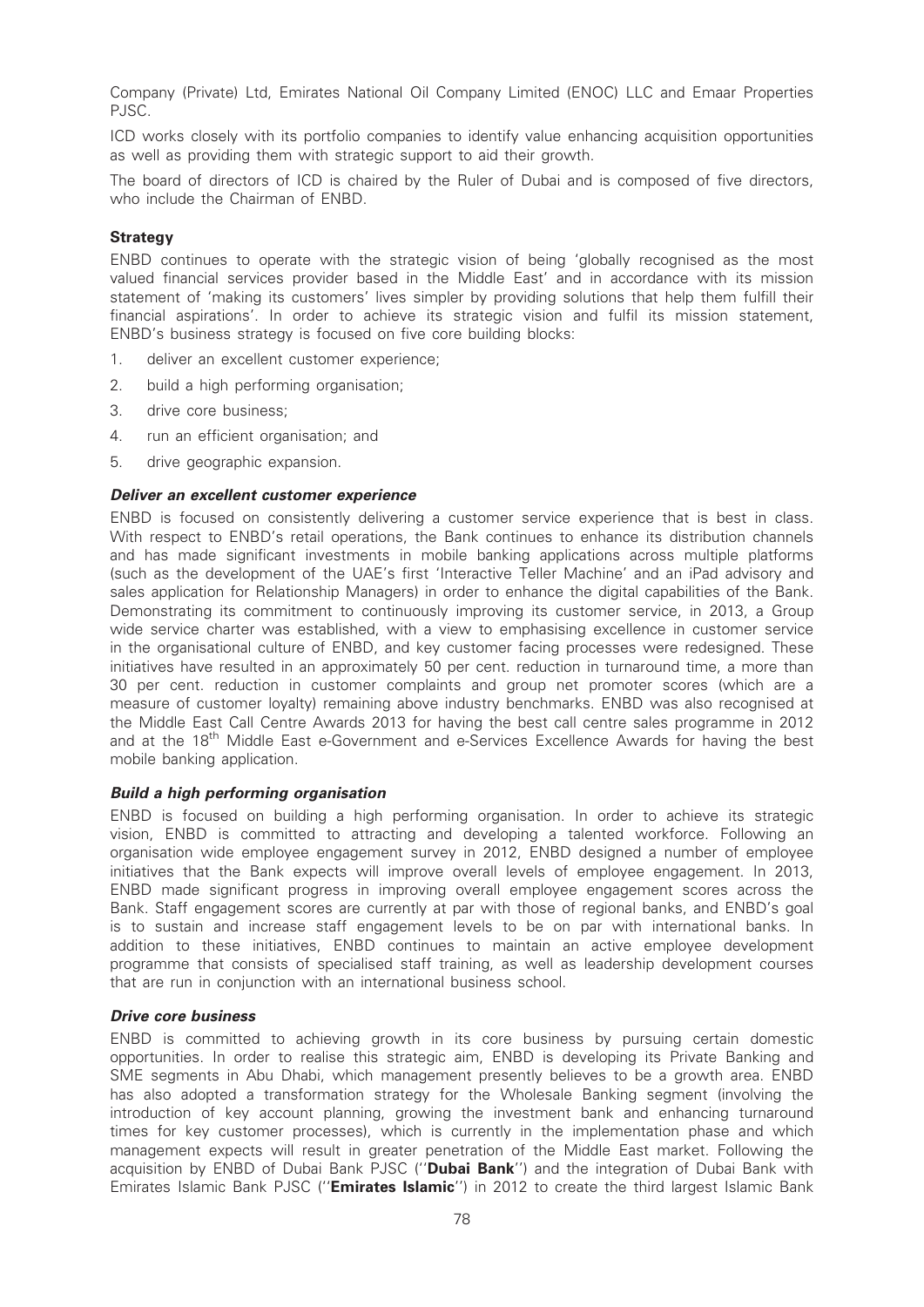Company (Private) Ltd, Emirates National Oil Company Limited (ENOC) LLC and Emaar Properties PJSC.

ICD works closely with its portfolio companies to identify value enhancing acquisition opportunities as well as providing them with strategic support to aid their growth.

The board of directors of ICD is chaired by the Ruler of Dubai and is composed of five directors, who include the Chairman of ENBD.

### Strategy

ENBD continues to operate with the strategic vision of being 'globally recognised as the most valued financial services provider based in the Middle East' and in accordance with its mission statement of 'making its customers' lives simpler by providing solutions that help them fulfill their financial aspirations'. In order to achieve its strategic vision and fulfil its mission statement, ENBD's business strategy is focused on five core building blocks:

- 1. deliver an excellent customer experience;
- 2. build a high performing organisation;
- 3. drive core business;
- 4. run an efficient organisation; and
- 5. drive geographic expansion.

#### Deliver an excellent customer experience

ENBD is focused on consistently delivering a customer service experience that is best in class. With respect to ENBD's retail operations, the Bank continues to enhance its distribution channels and has made significant investments in mobile banking applications across multiple platforms (such as the development of the UAE's first 'Interactive Teller Machine' and an iPad advisory and sales application for Relationship Managers) in order to enhance the digital capabilities of the Bank. Demonstrating its commitment to continuously improving its customer service, in 2013, a Group wide service charter was established, with a view to emphasising excellence in customer service in the organisational culture of ENBD, and key customer facing processes were redesigned. These initiatives have resulted in an approximately 50 per cent. reduction in turnaround time, a more than 30 per cent. reduction in customer complaints and group net promoter scores (which are a measure of customer loyalty) remaining above industry benchmarks. ENBD was also recognised at the Middle East Call Centre Awards 2013 for having the best call centre sales programme in 2012 and at the 18<sup>th</sup> Middle East e-Government and e-Services Excellence Awards for having the best mobile banking application.

#### Build a high performing organisation

ENBD is focused on building a high performing organisation. In order to achieve its strategic vision, ENBD is committed to attracting and developing a talented workforce. Following an organisation wide employee engagement survey in 2012, ENBD designed a number of employee initiatives that the Bank expects will improve overall levels of employee engagement. In 2013, ENBD made significant progress in improving overall employee engagement scores across the Bank. Staff engagement scores are currently at par with those of regional banks, and ENBD's goal is to sustain and increase staff engagement levels to be on par with international banks. In addition to these initiatives, ENBD continues to maintain an active employee development programme that consists of specialised staff training, as well as leadership development courses that are run in conjunction with an international business school.

### Drive core business

ENBD is committed to achieving growth in its core business by pursuing certain domestic opportunities. In order to realise this strategic aim, ENBD is developing its Private Banking and SME segments in Abu Dhabi, which management presently believes to be a growth area. ENBD has also adopted a transformation strategy for the Wholesale Banking segment (involving the introduction of key account planning, growing the investment bank and enhancing turnaround times for key customer processes), which is currently in the implementation phase and which management expects will result in greater penetration of the Middle East market. Following the acquisition by ENBD of Dubai Bank PJSC ("Dubai Bank") and the integration of Dubai Bank with Emirates Islamic Bank PJSC ("Emirates Islamic") in 2012 to create the third largest Islamic Bank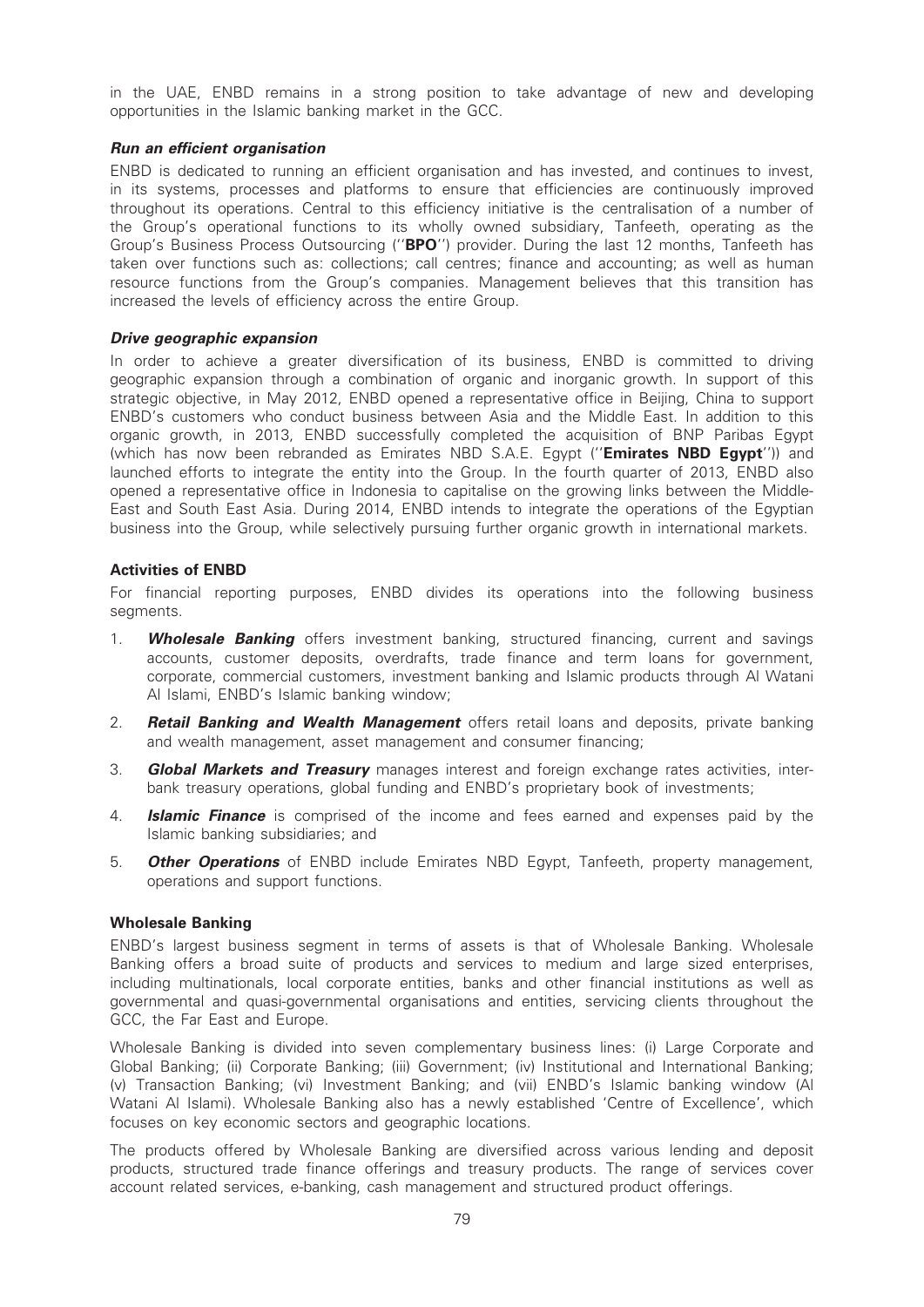in the UAE, ENBD remains in a strong position to take advantage of new and developing opportunities in the Islamic banking market in the GCC.

# Run an efficient organisation

ENBD is dedicated to running an efficient organisation and has invested, and continues to invest, in its systems, processes and platforms to ensure that efficiencies are continuously improved throughout its operations. Central to this efficiency initiative is the centralisation of a number of the Group's operational functions to its wholly owned subsidiary, Tanfeeth, operating as the Group's Business Process Outsourcing ("BPO") provider. During the last 12 months, Tanfeeth has taken over functions such as: collections; call centres; finance and accounting; as well as human resource functions from the Group's companies. Management believes that this transition has increased the levels of efficiency across the entire Group.

# Drive geographic expansion

In order to achieve a greater diversification of its business, ENBD is committed to driving geographic expansion through a combination of organic and inorganic growth. In support of this strategic objective, in May 2012, ENBD opened a representative office in Beijing, China to support ENBD's customers who conduct business between Asia and the Middle East. In addition to this organic growth, in 2013, ENBD successfully completed the acquisition of BNP Paribas Egypt (which has now been rebranded as Emirates NBD S.A.E. Egypt ("Emirates NBD Egypt")) and launched efforts to integrate the entity into the Group. In the fourth quarter of 2013, ENBD also opened a representative office in Indonesia to capitalise on the growing links between the Middle-East and South East Asia. During 2014, ENBD intends to integrate the operations of the Egyptian business into the Group, while selectively pursuing further organic growth in international markets.

# Activities of ENBD

For financial reporting purposes, ENBD divides its operations into the following business segments.

- 1. **Wholesale Banking** offers investment banking, structured financing, current and savings accounts, customer deposits, overdrafts, trade finance and term loans for government, corporate, commercial customers, investment banking and Islamic products through Al Watani Al Islami, ENBD's Islamic banking window;
- 2. **Retail Banking and Wealth Management** offers retail loans and deposits, private banking and wealth management, asset management and consumer financing;
- 3. **Global Markets and Treasury** manages interest and foreign exchange rates activities, interbank treasury operations, global funding and ENBD's proprietary book of investments;
- 4. **Islamic Finance** is comprised of the income and fees earned and expenses paid by the Islamic banking subsidiaries; and
- 5. **Other Operations** of ENBD include Emirates NBD Egypt, Tanfeeth, property management, operations and support functions.

#### Wholesale Banking

ENBD's largest business segment in terms of assets is that of Wholesale Banking. Wholesale Banking offers a broad suite of products and services to medium and large sized enterprises, including multinationals, local corporate entities, banks and other financial institutions as well as governmental and quasi-governmental organisations and entities, servicing clients throughout the GCC, the Far East and Europe.

Wholesale Banking is divided into seven complementary business lines: (i) Large Corporate and Global Banking; (ii) Corporate Banking; (iii) Government; (iv) Institutional and International Banking; (v) Transaction Banking; (vi) Investment Banking; and (vii) ENBD's Islamic banking window (Al Watani Al Islami). Wholesale Banking also has a newly established 'Centre of Excellence', which focuses on key economic sectors and geographic locations.

The products offered by Wholesale Banking are diversified across various lending and deposit products, structured trade finance offerings and treasury products. The range of services cover account related services, e-banking, cash management and structured product offerings.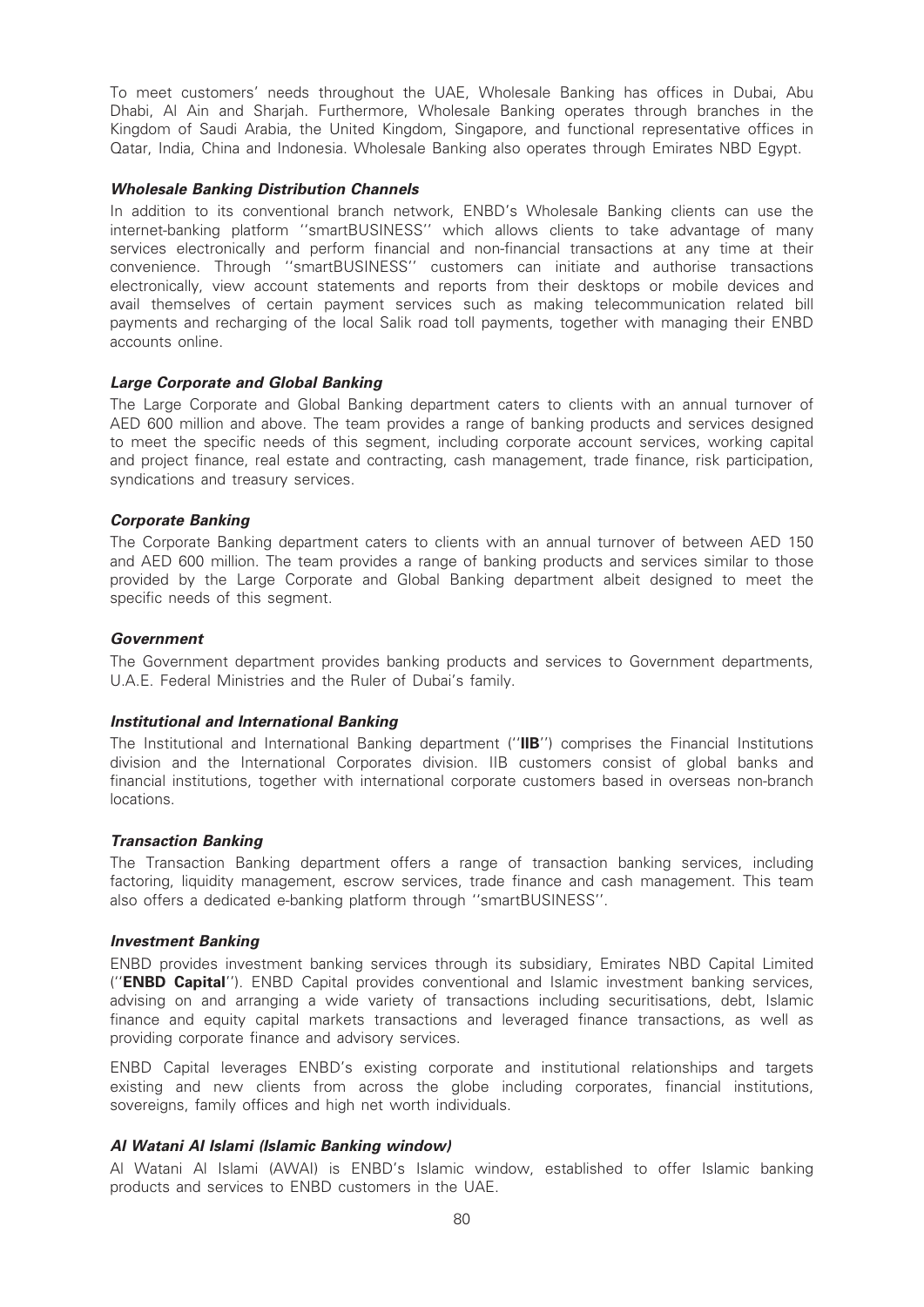To meet customers' needs throughout the UAE, Wholesale Banking has offices in Dubai, Abu Dhabi, Al Ain and Sharjah. Furthermore, Wholesale Banking operates through branches in the Kingdom of Saudi Arabia, the United Kingdom, Singapore, and functional representative offices in Qatar, India, China and Indonesia. Wholesale Banking also operates through Emirates NBD Egypt.

# Wholesale Banking Distribution Channels

In addition to its conventional branch network, ENBD's Wholesale Banking clients can use the internet-banking platform ''smartBUSINESS'' which allows clients to take advantage of many services electronically and perform financial and non-financial transactions at any time at their convenience. Through ''smartBUSINESS'' customers can initiate and authorise transactions electronically, view account statements and reports from their desktops or mobile devices and avail themselves of certain payment services such as making telecommunication related bill payments and recharging of the local Salik road toll payments, together with managing their ENBD accounts online.

# Large Corporate and Global Banking

The Large Corporate and Global Banking department caters to clients with an annual turnover of AED 600 million and above. The team provides a range of banking products and services designed to meet the specific needs of this segment, including corporate account services, working capital and project finance, real estate and contracting, cash management, trade finance, risk participation, syndications and treasury services.

# Corporate Banking

The Corporate Banking department caters to clients with an annual turnover of between AED 150 and AED 600 million. The team provides a range of banking products and services similar to those provided by the Large Corporate and Global Banking department albeit designed to meet the specific needs of this segment.

# Government

The Government department provides banking products and services to Government departments, U.A.E. Federal Ministries and the Ruler of Dubai's family.

#### Institutional and International Banking

The Institutional and International Banking department ("IIB") comprises the Financial Institutions division and the International Corporates division. IIB customers consist of global banks and financial institutions, together with international corporate customers based in overseas non-branch locations.

#### Transaction Banking

The Transaction Banking department offers a range of transaction banking services, including factoring, liquidity management, escrow services, trade finance and cash management. This team also offers a dedicated e-banking platform through ''smartBUSINESS''.

#### Investment Banking

ENBD provides investment banking services through its subsidiary, Emirates NBD Capital Limited (''ENBD Capital''). ENBD Capital provides conventional and Islamic investment banking services, advising on and arranging a wide variety of transactions including securitisations, debt, Islamic finance and equity capital markets transactions and leveraged finance transactions, as well as providing corporate finance and advisory services.

ENBD Capital leverages ENBD's existing corporate and institutional relationships and targets existing and new clients from across the globe including corporates, financial institutions, sovereigns, family offices and high net worth individuals.

#### Al Watani AI Islami (Islamic Banking window)

Al Watani Al Islami (AWAI) is ENBD's Islamic window, established to offer Islamic banking products and services to ENBD customers in the UAE.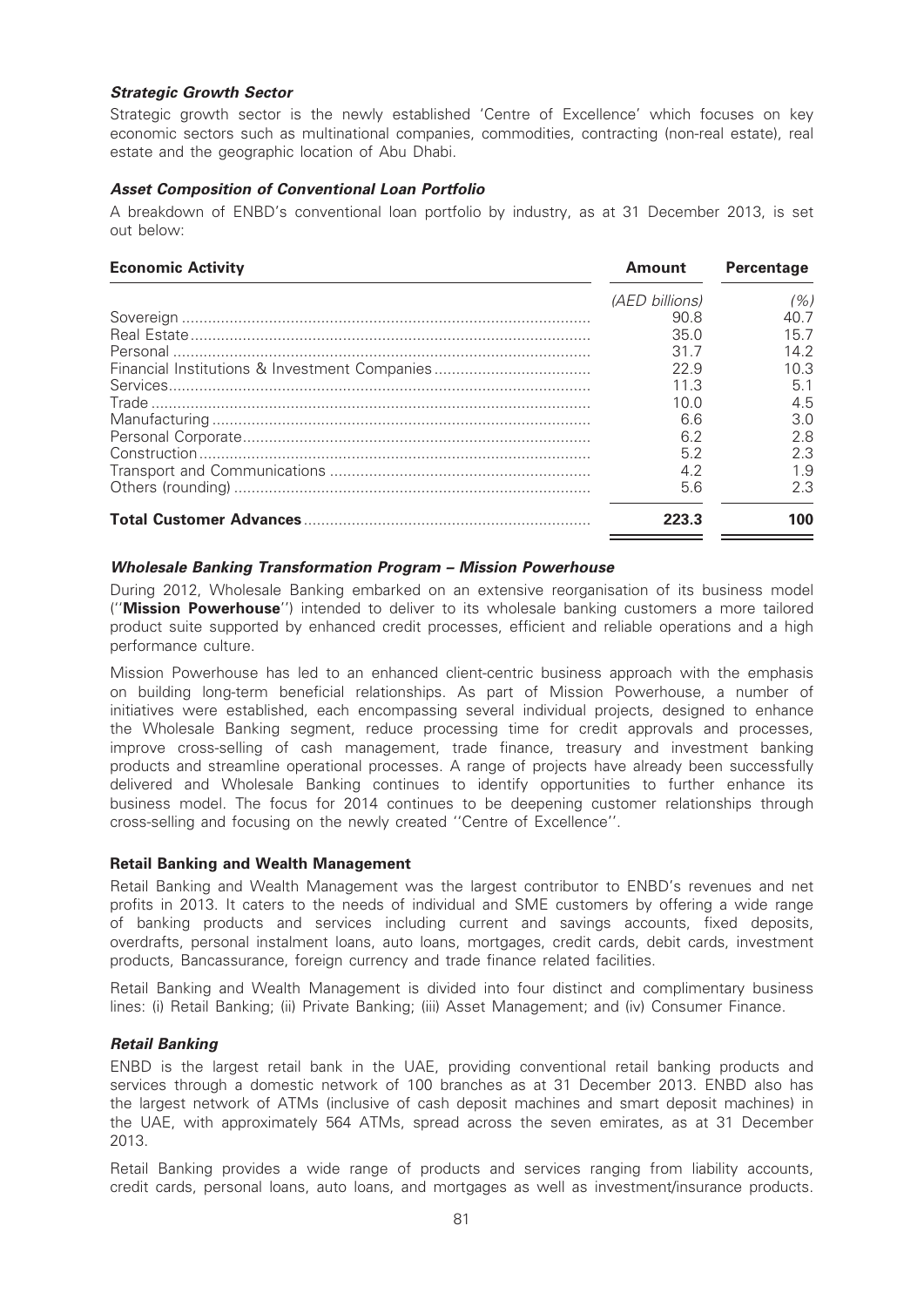# Strategic Growth Sector

Strategic growth sector is the newly established 'Centre of Excellence' which focuses on key economic sectors such as multinational companies, commodities, contracting (non-real estate), real estate and the geographic location of Abu Dhabi.

# Asset Composition of Conventional Loan Portfolio

A breakdown of ENBD's conventional loan portfolio by industry, as at 31 December 2013, is set out below:

| <b>Economic Activity</b> | Amount         | <b>Percentage</b> |
|--------------------------|----------------|-------------------|
|                          | (AED billions) | (%)               |
|                          | 90.8           | 40 7              |
|                          | 35.0           | 15 7              |
|                          | 31.7           | 14.2              |
|                          | 22.9           | 10 3              |
|                          | 11 3           | 5.1               |
|                          | 1በ በ           | 4.5               |
|                          | 6.6            | 3.0               |
|                          | 6.2            | 2.8               |
|                          | 5.2            | 2.3               |
|                          | 4.2            | 1.9               |
|                          | 5.6            | 2.3               |
|                          | 223.3          | 100               |

# Wholesale Banking Transformation Program – Mission Powerhouse

During 2012, Wholesale Banking embarked on an extensive reorganisation of its business model (''Mission Powerhouse'') intended to deliver to its wholesale banking customers a more tailored product suite supported by enhanced credit processes, efficient and reliable operations and a high performance culture.

Mission Powerhouse has led to an enhanced client-centric business approach with the emphasis on building long-term beneficial relationships. As part of Mission Powerhouse, a number of initiatives were established, each encompassing several individual projects, designed to enhance the Wholesale Banking segment, reduce processing time for credit approvals and processes, improve cross-selling of cash management, trade finance, treasury and investment banking products and streamline operational processes. A range of projects have already been successfully delivered and Wholesale Banking continues to identify opportunities to further enhance its business model. The focus for 2014 continues to be deepening customer relationships through cross-selling and focusing on the newly created ''Centre of Excellence''.

#### Retail Banking and Wealth Management

Retail Banking and Wealth Management was the largest contributor to ENBD's revenues and net profits in 2013. It caters to the needs of individual and SME customers by offering a wide range of banking products and services including current and savings accounts, fixed deposits, overdrafts, personal instalment loans, auto loans, mortgages, credit cards, debit cards, investment products, Bancassurance, foreign currency and trade finance related facilities.

Retail Banking and Wealth Management is divided into four distinct and complimentary business lines: (i) Retail Banking; (ii) Private Banking; (iii) Asset Management; and (iv) Consumer Finance.

# Retail Banking

ENBD is the largest retail bank in the UAE, providing conventional retail banking products and services through a domestic network of 100 branches as at 31 December 2013. ENBD also has the largest network of ATMs (inclusive of cash deposit machines and smart deposit machines) in the UAE, with approximately 564 ATMs, spread across the seven emirates, as at 31 December 2013.

Retail Banking provides a wide range of products and services ranging from liability accounts, credit cards, personal loans, auto loans, and mortgages as well as investment/insurance products.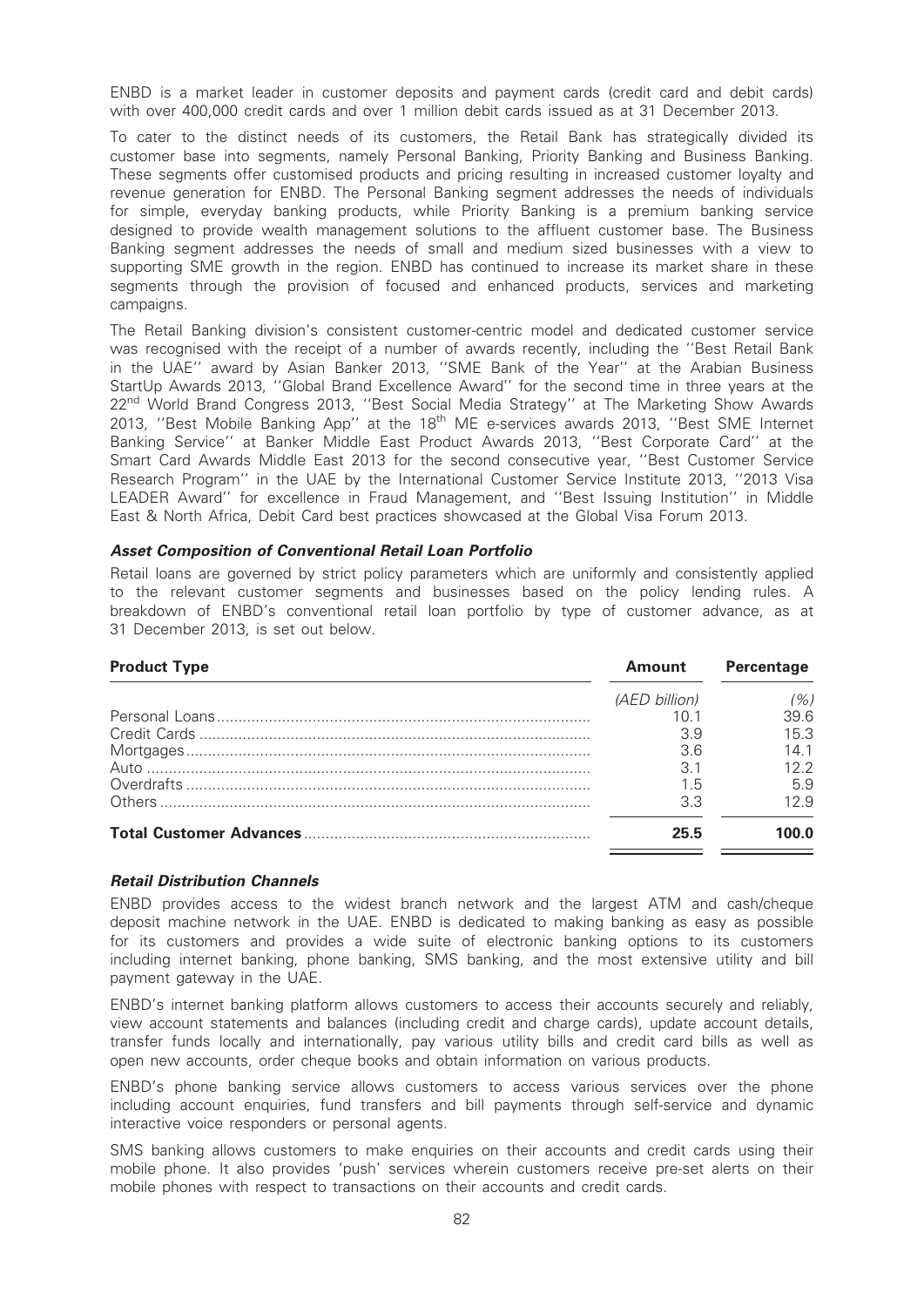ENBD is a market leader in customer deposits and payment cards (credit card and debit cards) with over 400,000 credit cards and over 1 million debit cards issued as at 31 December 2013.

To cater to the distinct needs of its customers, the Retail Bank has strategically divided its customer base into segments, namely Personal Banking, Priority Banking and Business Banking. These segments offer customised products and pricing resulting in increased customer loyalty and revenue generation for ENBD. The Personal Banking segment addresses the needs of individuals for simple, everyday banking products, while Priority Banking is a premium banking service designed to provide wealth management solutions to the affluent customer base. The Business Banking segment addresses the needs of small and medium sized businesses with a view to supporting SME growth in the region. ENBD has continued to increase its market share in these segments through the provision of focused and enhanced products, services and marketing campaigns.

The Retail Banking division's consistent customer-centric model and dedicated customer service was recognised with the receipt of a number of awards recently, including the ''Best Retail Bank in the UAE'' award by Asian Banker 2013, ''SME Bank of the Year'' at the Arabian Business StartUp Awards 2013, ''Global Brand Excellence Award'' for the second time in three years at the 22<sup>nd</sup> World Brand Congress 2013, "Best Social Media Strategy" at The Marketing Show Awards 2013, "Best Mobile Banking App" at the 18<sup>th</sup> ME e-services awards 2013, "Best SME Internet Banking Service'' at Banker Middle East Product Awards 2013, ''Best Corporate Card'' at the Smart Card Awards Middle East 2013 for the second consecutive year, ''Best Customer Service Research Program'' in the UAE by the International Customer Service Institute 2013, ''2013 Visa LEADER Award'' for excellence in Fraud Management, and ''Best Issuing Institution'' in Middle East & North Africa, Debit Card best practices showcased at the Global Visa Forum 2013.

#### Asset Composition of Conventional Retail Loan Portfolio

Retail loans are governed by strict policy parameters which are uniformly and consistently applied to the relevant customer segments and businesses based on the policy lending rules. A breakdown of ENBD's conventional retail loan portfolio by type of customer advance, as at 31 December 2013, is set out below.

| <b>Product Type</b> | <b>Amount</b> | <b>Percentage</b> |
|---------------------|---------------|-------------------|
|                     | (AED billion) | '%)               |
|                     | 10 1          | 396               |
|                     | 3.9           | 15.3              |
|                     | 3.6           | 14 1              |
|                     | 3.1           | 122               |
|                     | 1.5           | 5.9               |
|                     | 3.3           | 129               |
|                     | 25.5          | 1በበ በ             |

#### Retail Distribution Channels

ENBD provides access to the widest branch network and the largest ATM and cash/cheque deposit machine network in the UAE. ENBD is dedicated to making banking as easy as possible for its customers and provides a wide suite of electronic banking options to its customers including internet banking, phone banking, SMS banking, and the most extensive utility and bill payment gateway in the UAE.

ENBD's internet banking platform allows customers to access their accounts securely and reliably, view account statements and balances (including credit and charge cards), update account details, transfer funds locally and internationally, pay various utility bills and credit card bills as well as open new accounts, order cheque books and obtain information on various products.

ENBD's phone banking service allows customers to access various services over the phone including account enquiries, fund transfers and bill payments through self-service and dynamic interactive voice responders or personal agents.

SMS banking allows customers to make enquiries on their accounts and credit cards using their mobile phone. It also provides 'push' services wherein customers receive pre-set alerts on their mobile phones with respect to transactions on their accounts and credit cards.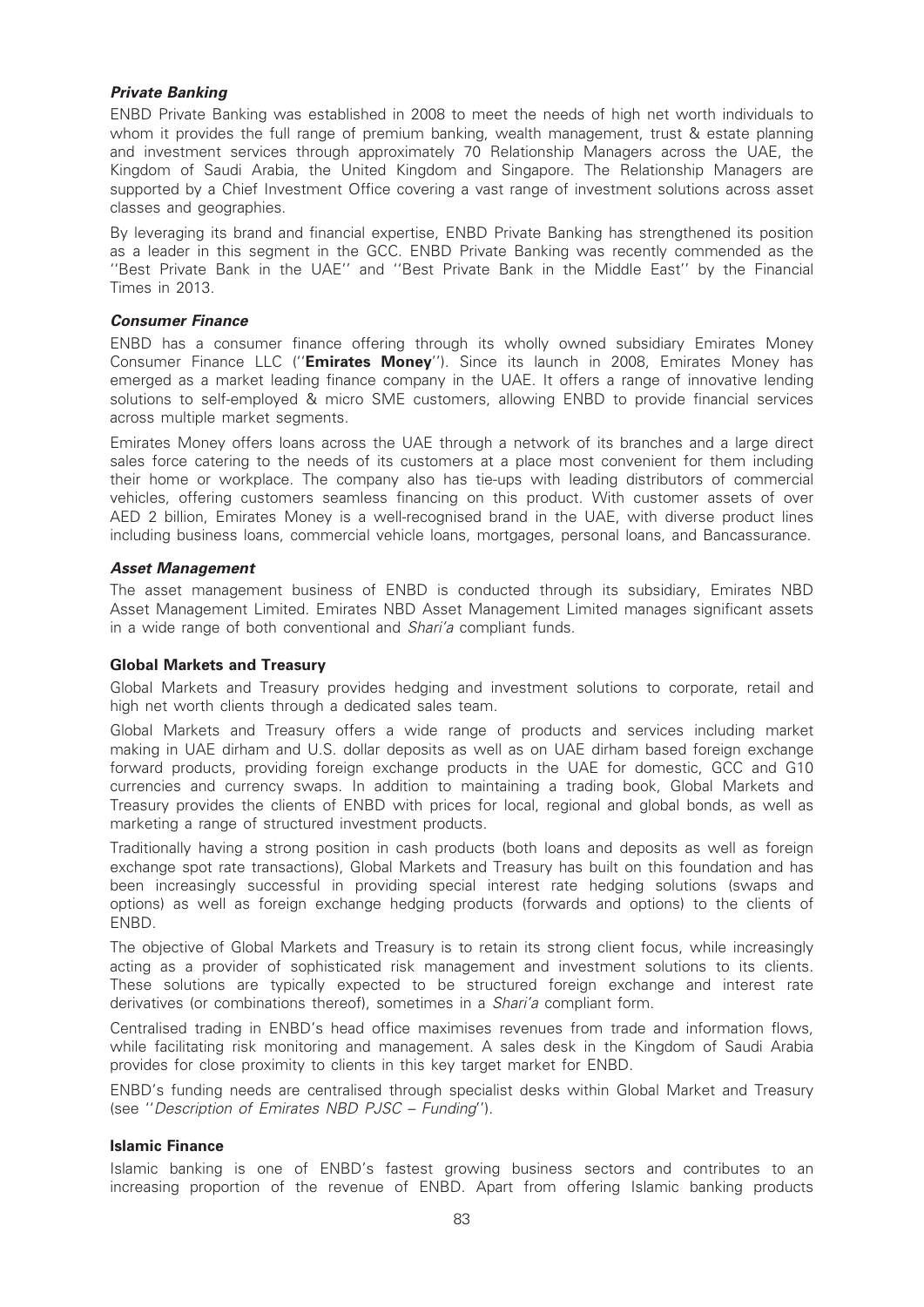# Private Banking

ENBD Private Banking was established in 2008 to meet the needs of high net worth individuals to whom it provides the full range of premium banking, wealth management, trust & estate planning and investment services through approximately 70 Relationship Managers across the UAE, the Kingdom of Saudi Arabia, the United Kingdom and Singapore. The Relationship Managers are supported by a Chief Investment Office covering a vast range of investment solutions across asset classes and geographies.

By leveraging its brand and financial expertise, ENBD Private Banking has strengthened its position as a leader in this segment in the GCC. ENBD Private Banking was recently commended as the ''Best Private Bank in the UAE'' and ''Best Private Bank in the Middle East'' by the Financial Times in 2013.

# Consumer Finance

ENBD has a consumer finance offering through its wholly owned subsidiary Emirates Money Consumer Finance LLC ("Emirates Money"). Since its launch in 2008, Emirates Money has emerged as a market leading finance company in the UAE. It offers a range of innovative lending solutions to self-employed & micro SME customers, allowing ENBD to provide financial services across multiple market segments.

Emirates Money offers loans across the UAE through a network of its branches and a large direct sales force catering to the needs of its customers at a place most convenient for them including their home or workplace. The company also has tie-ups with leading distributors of commercial vehicles, offering customers seamless financing on this product. With customer assets of over AED 2 billion, Emirates Money is a well-recognised brand in the UAE, with diverse product lines including business loans, commercial vehicle loans, mortgages, personal loans, and Bancassurance.

# Asset Management

The asset management business of ENBD is conducted through its subsidiary, Emirates NBD Asset Management Limited. Emirates NBD Asset Management Limited manages significant assets in a wide range of both conventional and Shari'a compliant funds.

#### Global Markets and Treasury

Global Markets and Treasury provides hedging and investment solutions to corporate, retail and high net worth clients through a dedicated sales team.

Global Markets and Treasury offers a wide range of products and services including market making in UAE dirham and U.S. dollar deposits as well as on UAE dirham based foreign exchange forward products, providing foreign exchange products in the UAE for domestic, GCC and G10 currencies and currency swaps. In addition to maintaining a trading book, Global Markets and Treasury provides the clients of ENBD with prices for local, regional and global bonds, as well as marketing a range of structured investment products.

Traditionally having a strong position in cash products (both loans and deposits as well as foreign exchange spot rate transactions), Global Markets and Treasury has built on this foundation and has been increasingly successful in providing special interest rate hedging solutions (swaps and options) as well as foreign exchange hedging products (forwards and options) to the clients of ENBD.

The objective of Global Markets and Treasury is to retain its strong client focus, while increasingly acting as a provider of sophisticated risk management and investment solutions to its clients. These solutions are typically expected to be structured foreign exchange and interest rate derivatives (or combinations thereof), sometimes in a Shari'a compliant form.

Centralised trading in ENBD's head office maximises revenues from trade and information flows, while facilitating risk monitoring and management. A sales desk in the Kingdom of Saudi Arabia provides for close proximity to clients in this key target market for ENBD.

ENBD's funding needs are centralised through specialist desks within Global Market and Treasury (see ''Description of Emirates NBD PJSC – Funding'').

#### Islamic Finance

Islamic banking is one of ENBD's fastest growing business sectors and contributes to an increasing proportion of the revenue of ENBD. Apart from offering Islamic banking products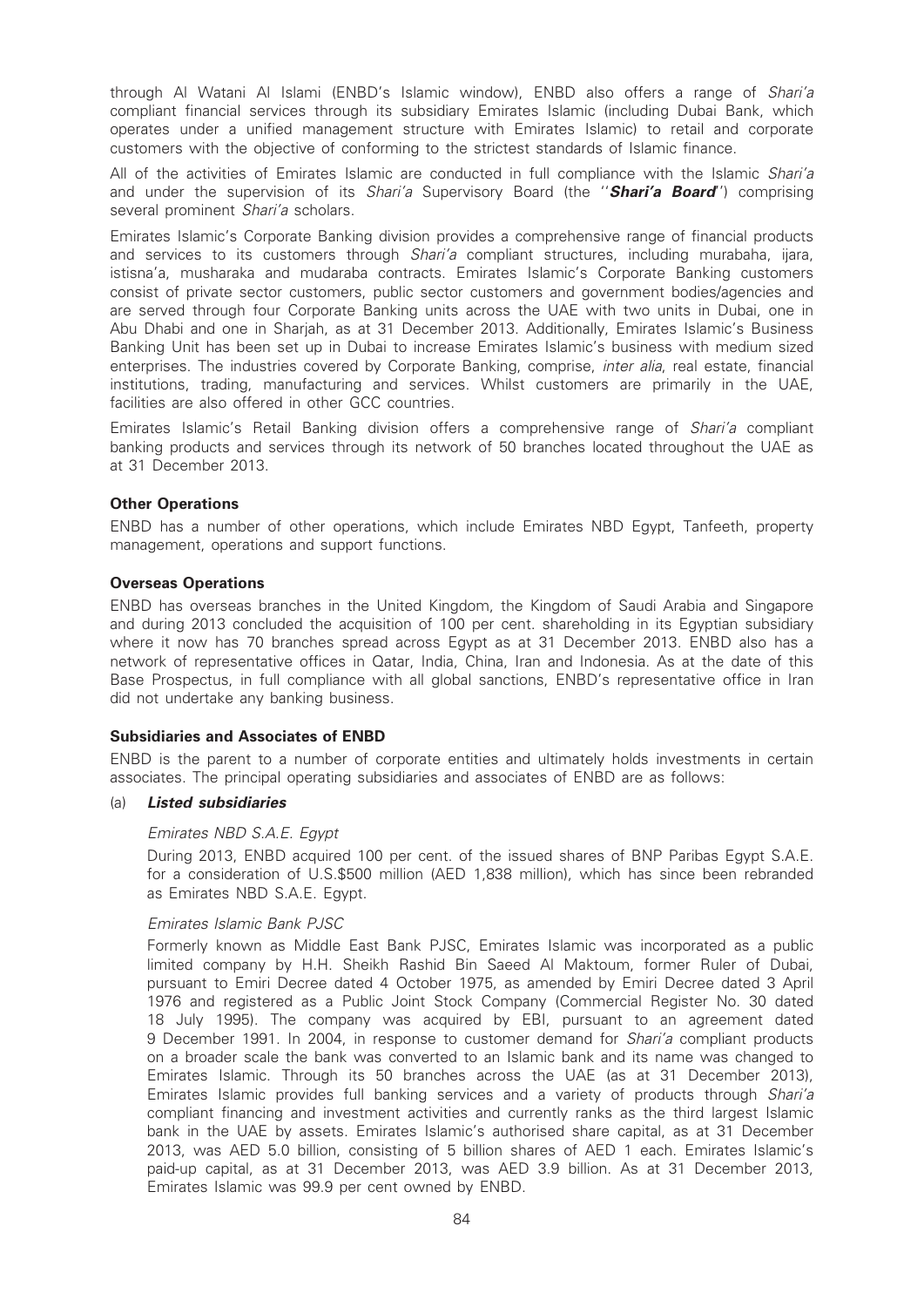through Al Watani Al Islami (ENBD's Islamic window), ENBD also offers a range of Shari'a compliant financial services through its subsidiary Emirates Islamic (including Dubai Bank, which operates under a unified management structure with Emirates Islamic) to retail and corporate customers with the objective of conforming to the strictest standards of Islamic finance.

All of the activities of Emirates Islamic are conducted in full compliance with the Islamic Shari'a and under the supervision of its Shari'a Supervisory Board (the "Shari'a Board") comprising several prominent Shari'a scholars.

Emirates Islamic's Corporate Banking division provides a comprehensive range of financial products and services to its customers through *Shari'a* compliant structures, including murabaha, ijara, istisna'a, musharaka and mudaraba contracts. Emirates Islamic's Corporate Banking customers consist of private sector customers, public sector customers and government bodies/agencies and are served through four Corporate Banking units across the UAE with two units in Dubai, one in Abu Dhabi and one in Sharjah, as at 31 December 2013. Additionally, Emirates Islamic's Business Banking Unit has been set up in Dubai to increase Emirates Islamic's business with medium sized enterprises. The industries covered by Corporate Banking, comprise, *inter alia*, real estate, financial institutions, trading, manufacturing and services. Whilst customers are primarily in the UAE, facilities are also offered in other GCC countries.

Emirates Islamic's Retail Banking division offers a comprehensive range of Shari'a compliant banking products and services through its network of 50 branches located throughout the UAE as at 31 December 2013.

# Other Operations

ENBD has a number of other operations, which include Emirates NBD Egypt, Tanfeeth, property management, operations and support functions.

# Overseas Operations

ENBD has overseas branches in the United Kingdom, the Kingdom of Saudi Arabia and Singapore and during 2013 concluded the acquisition of 100 per cent. shareholding in its Egyptian subsidiary where it now has 70 branches spread across Egypt as at 31 December 2013. ENBD also has a network of representative offices in Qatar, India, China, Iran and Indonesia. As at the date of this Base Prospectus, in full compliance with all global sanctions, ENBD's representative office in Iran did not undertake any banking business.

#### Subsidiaries and Associates of ENBD

ENBD is the parent to a number of corporate entities and ultimately holds investments in certain associates. The principal operating subsidiaries and associates of ENBD are as follows:

#### (a) Listed subsidiaries

#### Emirates NBD S.A.E. Egypt

During 2013, ENBD acquired 100 per cent. of the issued shares of BNP Paribas Egypt S.A.E. for a consideration of U.S.\$500 million (AED 1,838 million), which has since been rebranded as Emirates NBD S.A.E. Egypt.

#### Emirates Islamic Bank PJSC

Formerly known as Middle East Bank PJSC, Emirates Islamic was incorporated as a public limited company by H.H. Sheikh Rashid Bin Saeed Al Maktoum, former Ruler of Dubai, pursuant to Emiri Decree dated 4 October 1975, as amended by Emiri Decree dated 3 April 1976 and registered as a Public Joint Stock Company (Commercial Register No. 30 dated 18 July 1995). The company was acquired by EBI, pursuant to an agreement dated 9 December 1991. In 2004, in response to customer demand for *Shari'a* compliant products on a broader scale the bank was converted to an Islamic bank and its name was changed to Emirates Islamic. Through its 50 branches across the UAE (as at 31 December 2013), Emirates Islamic provides full banking services and a variety of products through Shari'a compliant financing and investment activities and currently ranks as the third largest Islamic bank in the UAE by assets. Emirates Islamic's authorised share capital, as at 31 December 2013, was AED 5.0 billion, consisting of 5 billion shares of AED 1 each. Emirates Islamic's paid-up capital, as at 31 December 2013, was AED 3.9 billion. As at 31 December 2013, Emirates Islamic was 99.9 per cent owned by ENBD.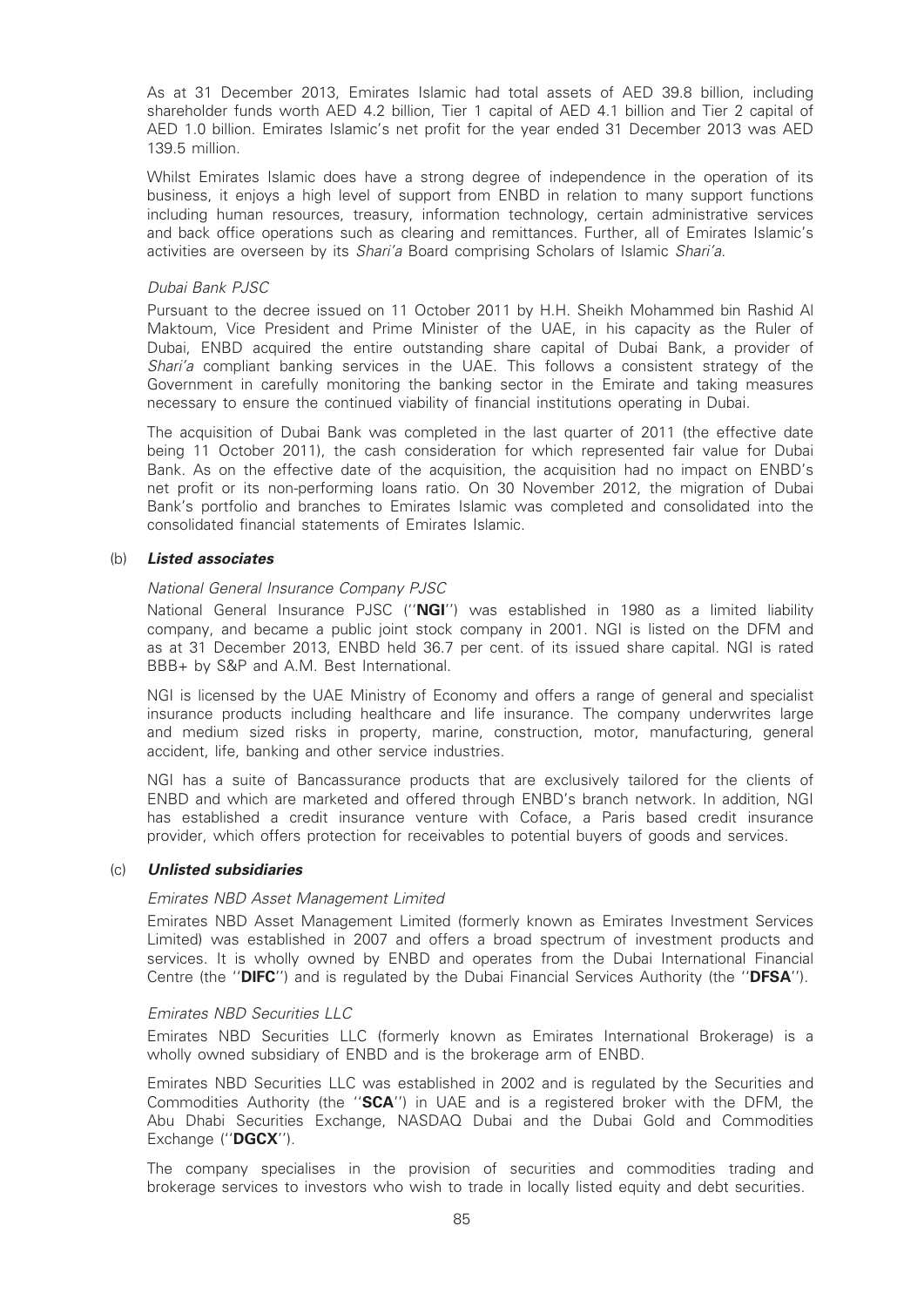As at 31 December 2013, Emirates Islamic had total assets of AED 39.8 billion, including shareholder funds worth AED 4.2 billion, Tier 1 capital of AED 4.1 billion and Tier 2 capital of AED 1.0 billion. Emirates Islamic's net profit for the year ended 31 December 2013 was AED 139.5 million.

Whilst Emirates Islamic does have a strong degree of independence in the operation of its business, it enjoys a high level of support from ENBD in relation to many support functions including human resources, treasury, information technology, certain administrative services and back office operations such as clearing and remittances. Further, all of Emirates Islamic's activities are overseen by its Shari'a Board comprising Scholars of Islamic Shari'a.

#### Dubai Bank PJSC

Pursuant to the decree issued on 11 October 2011 by H.H. Sheikh Mohammed bin Rashid Al Maktoum, Vice President and Prime Minister of the UAE, in his capacity as the Ruler of Dubai, ENBD acquired the entire outstanding share capital of Dubai Bank, a provider of Shari'a compliant banking services in the UAE. This follows a consistent strategy of the Government in carefully monitoring the banking sector in the Emirate and taking measures necessary to ensure the continued viability of financial institutions operating in Dubai.

The acquisition of Dubai Bank was completed in the last quarter of 2011 (the effective date being 11 October 2011), the cash consideration for which represented fair value for Dubai Bank. As on the effective date of the acquisition, the acquisition had no impact on ENBD's net profit or its non-performing loans ratio. On 30 November 2012, the migration of Dubai Bank's portfolio and branches to Emirates Islamic was completed and consolidated into the consolidated financial statements of Emirates Islamic.

# (b) Listed associates

#### National General Insurance Company PJSC

National General Insurance PJSC ("NGI") was established in 1980 as a limited liability company, and became a public joint stock company in 2001. NGI is listed on the DFM and as at 31 December 2013, ENBD held 36.7 per cent. of its issued share capital. NGI is rated BBB+ by S&P and A.M. Best International.

NGI is licensed by the UAE Ministry of Economy and offers a range of general and specialist insurance products including healthcare and life insurance. The company underwrites large and medium sized risks in property, marine, construction, motor, manufacturing, general accident, life, banking and other service industries.

NGI has a suite of Bancassurance products that are exclusively tailored for the clients of ENBD and which are marketed and offered through ENBD's branch network. In addition, NGI has established a credit insurance venture with Coface, a Paris based credit insurance provider, which offers protection for receivables to potential buyers of goods and services.

#### (c) Unlisted subsidiaries

#### Emirates NBD Asset Management Limited

Emirates NBD Asset Management Limited (formerly known as Emirates Investment Services Limited) was established in 2007 and offers a broad spectrum of investment products and services. It is wholly owned by ENBD and operates from the Dubai International Financial Centre (the "DIFC") and is regulated by the Dubai Financial Services Authority (the "DFSA").

#### Emirates NBD Securities LLC

Emirates NBD Securities LLC (formerly known as Emirates International Brokerage) is a wholly owned subsidiary of ENBD and is the brokerage arm of ENBD.

Emirates NBD Securities LLC was established in 2002 and is regulated by the Securities and Commodities Authority (the "**SCA**") in UAE and is a registered broker with the DFM, the Abu Dhabi Securities Exchange, NASDAQ Dubai and the Dubai Gold and Commodities Exchange ("DGCX").

The company specialises in the provision of securities and commodities trading and brokerage services to investors who wish to trade in locally listed equity and debt securities.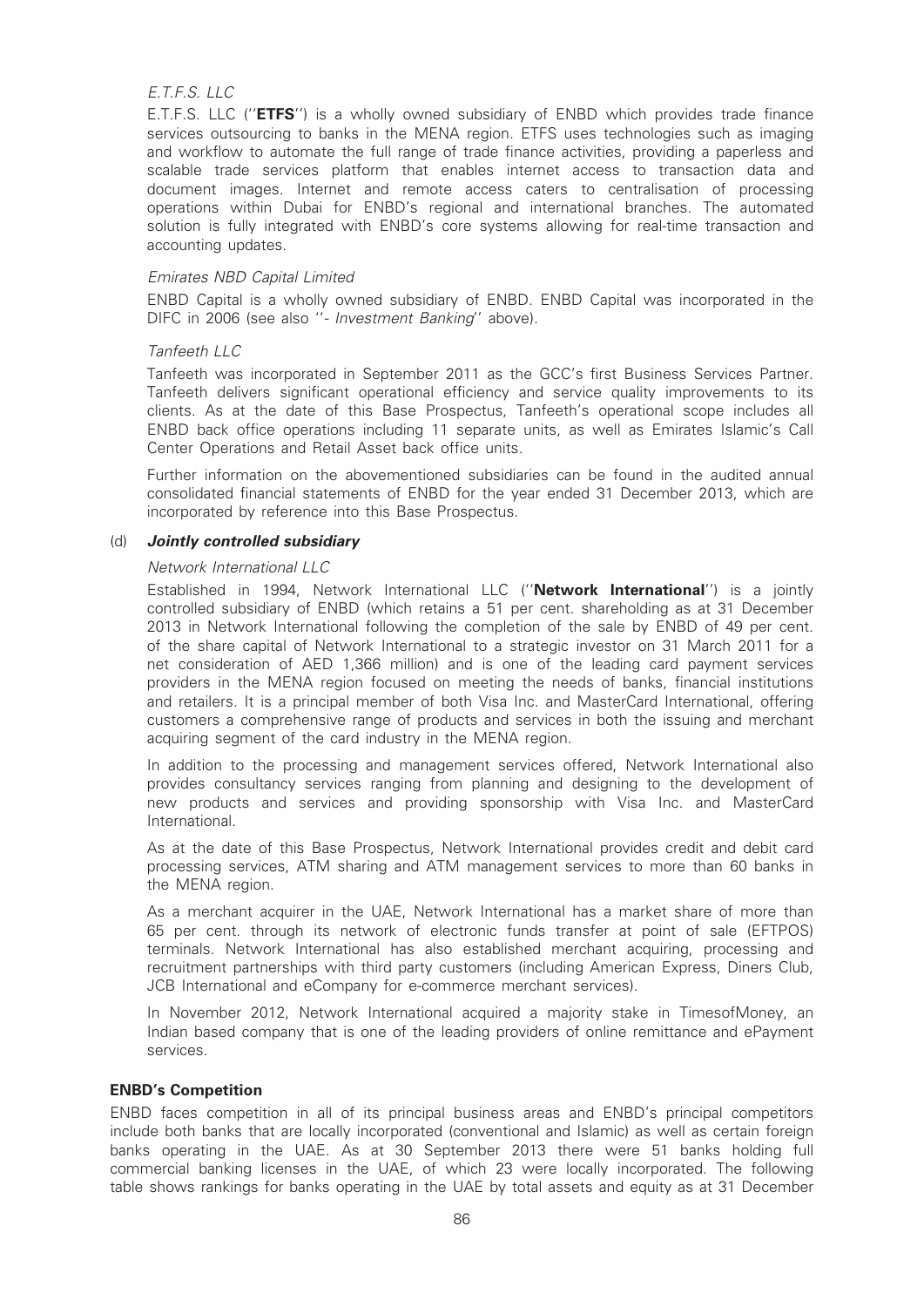# E.T.F.S. LLC

E.T.F.S. LLC (''ETFS'') is a wholly owned subsidiary of ENBD which provides trade finance services outsourcing to banks in the MENA region. ETFS uses technologies such as imaging and workflow to automate the full range of trade finance activities, providing a paperless and scalable trade services platform that enables internet access to transaction data and document images. Internet and remote access caters to centralisation of processing operations within Dubai for ENBD's regional and international branches. The automated solution is fully integrated with ENBD's core systems allowing for real-time transaction and accounting updates.

# Emirates NBD Capital Limited

ENBD Capital is a wholly owned subsidiary of ENBD. ENBD Capital was incorporated in the DIFC in 2006 (see also ''- Investment Banking'' above).

# Tanfeeth LLC

Tanfeeth was incorporated in September 2011 as the GCC's first Business Services Partner. Tanfeeth delivers significant operational efficiency and service quality improvements to its clients. As at the date of this Base Prospectus, Tanfeeth's operational scope includes all ENBD back office operations including 11 separate units, as well as Emirates Islamic's Call Center Operations and Retail Asset back office units.

Further information on the abovementioned subsidiaries can be found in the audited annual consolidated financial statements of ENBD for the year ended 31 December 2013, which are incorporated by reference into this Base Prospectus.

# (d) Jointly controlled subsidiary

#### Network International LLC

Established in 1994, Network International LLC ("Network International") is a jointly controlled subsidiary of ENBD (which retains a 51 per cent. shareholding as at 31 December 2013 in Network International following the completion of the sale by ENBD of 49 per cent. of the share capital of Network International to a strategic investor on 31 March 2011 for a net consideration of AED 1,366 million) and is one of the leading card payment services providers in the MENA region focused on meeting the needs of banks, financial institutions and retailers. It is a principal member of both Visa Inc. and MasterCard International, offering customers a comprehensive range of products and services in both the issuing and merchant acquiring segment of the card industry in the MENA region.

In addition to the processing and management services offered, Network International also provides consultancy services ranging from planning and designing to the development of new products and services and providing sponsorship with Visa Inc. and MasterCard International.

As at the date of this Base Prospectus, Network International provides credit and debit card processing services, ATM sharing and ATM management services to more than 60 banks in the MENA region.

As a merchant acquirer in the UAE, Network International has a market share of more than 65 per cent. through its network of electronic funds transfer at point of sale (EFTPOS) terminals. Network International has also established merchant acquiring, processing and recruitment partnerships with third party customers (including American Express, Diners Club, JCB International and eCompany for e-commerce merchant services).

In November 2012, Network International acquired a majority stake in TimesofMoney, an Indian based company that is one of the leading providers of online remittance and ePayment services.

#### ENBD's Competition

ENBD faces competition in all of its principal business areas and ENBD's principal competitors include both banks that are locally incorporated (conventional and Islamic) as well as certain foreign banks operating in the UAE. As at 30 September 2013 there were 51 banks holding full commercial banking licenses in the UAE, of which 23 were locally incorporated. The following table shows rankings for banks operating in the UAE by total assets and equity as at 31 December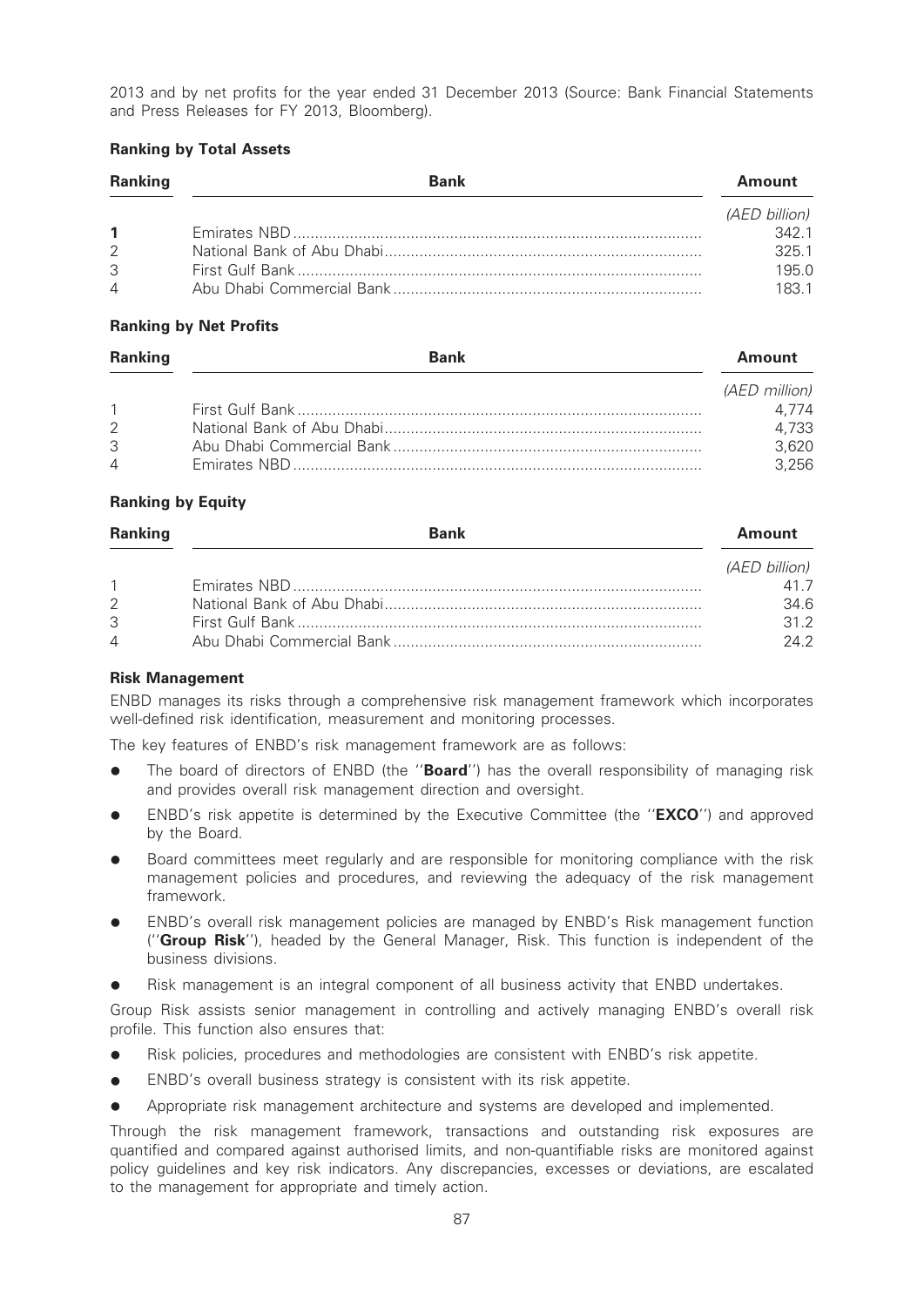2013 and by net profits for the year ended 31 December 2013 (Source: Bank Financial Statements and Press Releases for FY 2013, Bloomberg).

# Ranking by Total Assets

| <b>Ranking</b>           | <b>Bank</b> | <b>Amount</b>        |
|--------------------------|-------------|----------------------|
|                          |             | <i>(AED billion)</i> |
| $\mathbf{1}$             |             | 3421                 |
| 2                        |             | 325.1                |
| 3                        |             | 195.0                |
| $\overline{\mathcal{A}}$ |             | 1831                 |

### Ranking by Net Profits

| <b>Ranking</b> | <b>Bank</b> | Amount        |
|----------------|-------------|---------------|
|                |             | (AED million) |
| $\overline{1}$ |             | 4.774         |
| $\mathcal{P}$  |             | 4,733         |
| 3              |             | 3,620         |
| $\overline{4}$ |             | 3.256         |

# Ranking by Equity

| <b>Ranking</b> | <b>Bank</b> | Amount        |
|----------------|-------------|---------------|
|                |             | (AED billion) |
| $\mathbf{1}$   |             | 417           |
| 2              |             | 34.6          |
| 3              |             | 312           |
| $\overline{4}$ |             | 242           |

# Risk Management

ENBD manages its risks through a comprehensive risk management framework which incorporates well-defined risk identification, measurement and monitoring processes.

The key features of ENBD's risk management framework are as follows:

- The board of directors of ENBD (the "Board") has the overall responsibility of managing risk and provides overall risk management direction and oversight.
- ENBD's risk appetite is determined by the Executive Committee (the "**EXCO**") and approved by the Board.
- Board committees meet regularly and are responsible for monitoring compliance with the risk management policies and procedures, and reviewing the adequacy of the risk management framework.
- ENBD's overall risk management policies are managed by ENBD's Risk management function ("**Group Risk**"), headed by the General Manager, Risk. This function is independent of the business divisions.
- Risk management is an integral component of all business activity that ENBD undertakes.

Group Risk assists senior management in controlling and actively managing ENBD's overall risk profile. This function also ensures that:

- Risk policies, procedures and methodologies are consistent with ENBD's risk appetite.
- ENBD's overall business strategy is consistent with its risk appetite.
- Appropriate risk management architecture and systems are developed and implemented.

Through the risk management framework, transactions and outstanding risk exposures are quantified and compared against authorised limits, and non-quantifiable risks are monitored against policy guidelines and key risk indicators. Any discrepancies, excesses or deviations, are escalated to the management for appropriate and timely action.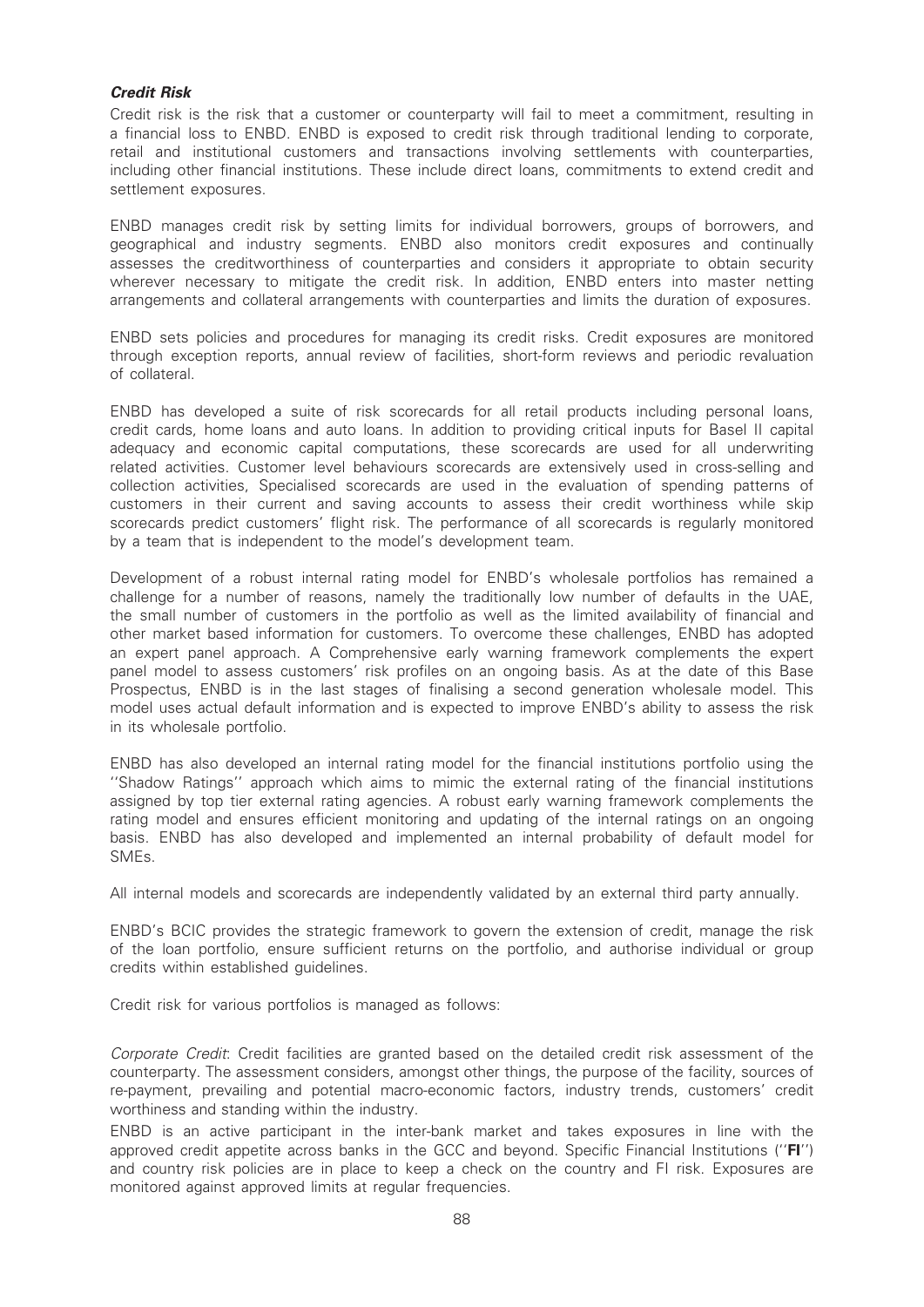# Credit Risk

Credit risk is the risk that a customer or counterparty will fail to meet a commitment, resulting in a financial loss to ENBD. ENBD is exposed to credit risk through traditional lending to corporate, retail and institutional customers and transactions involving settlements with counterparties, including other financial institutions. These include direct loans, commitments to extend credit and settlement exposures.

ENBD manages credit risk by setting limits for individual borrowers, groups of borrowers, and geographical and industry segments. ENBD also monitors credit exposures and continually assesses the creditworthiness of counterparties and considers it appropriate to obtain security wherever necessary to mitigate the credit risk. In addition, ENBD enters into master netting arrangements and collateral arrangements with counterparties and limits the duration of exposures.

ENBD sets policies and procedures for managing its credit risks. Credit exposures are monitored through exception reports, annual review of facilities, short-form reviews and periodic revaluation of collateral.

ENBD has developed a suite of risk scorecards for all retail products including personal loans, credit cards, home loans and auto loans. In addition to providing critical inputs for Basel II capital adequacy and economic capital computations, these scorecards are used for all underwriting related activities. Customer level behaviours scorecards are extensively used in cross-selling and collection activities, Specialised scorecards are used in the evaluation of spending patterns of customers in their current and saving accounts to assess their credit worthiness while skip scorecards predict customers' flight risk. The performance of all scorecards is regularly monitored by a team that is independent to the model's development team.

Development of a robust internal rating model for ENBD's wholesale portfolios has remained a challenge for a number of reasons, namely the traditionally low number of defaults in the UAE, the small number of customers in the portfolio as well as the limited availability of financial and other market based information for customers. To overcome these challenges, ENBD has adopted an expert panel approach. A Comprehensive early warning framework complements the expert panel model to assess customers' risk profiles on an ongoing basis. As at the date of this Base Prospectus, ENBD is in the last stages of finalising a second generation wholesale model. This model uses actual default information and is expected to improve ENBD's ability to assess the risk in its wholesale portfolio.

ENBD has also developed an internal rating model for the financial institutions portfolio using the ''Shadow Ratings'' approach which aims to mimic the external rating of the financial institutions assigned by top tier external rating agencies. A robust early warning framework complements the rating model and ensures efficient monitoring and updating of the internal ratings on an ongoing basis. ENBD has also developed and implemented an internal probability of default model for SMEs.

All internal models and scorecards are independently validated by an external third party annually.

ENBD's BCIC provides the strategic framework to govern the extension of credit, manage the risk of the loan portfolio, ensure sufficient returns on the portfolio, and authorise individual or group credits within established guidelines.

Credit risk for various portfolios is managed as follows:

Corporate Credit: Credit facilities are granted based on the detailed credit risk assessment of the counterparty. The assessment considers, amongst other things, the purpose of the facility, sources of re-payment, prevailing and potential macro-economic factors, industry trends, customers' credit worthiness and standing within the industry.

ENBD is an active participant in the inter-bank market and takes exposures in line with the approved credit appetite across banks in the GCC and beyond. Specific Financial Institutions (''FI'') and country risk policies are in place to keep a check on the country and FI risk. Exposures are monitored against approved limits at regular frequencies.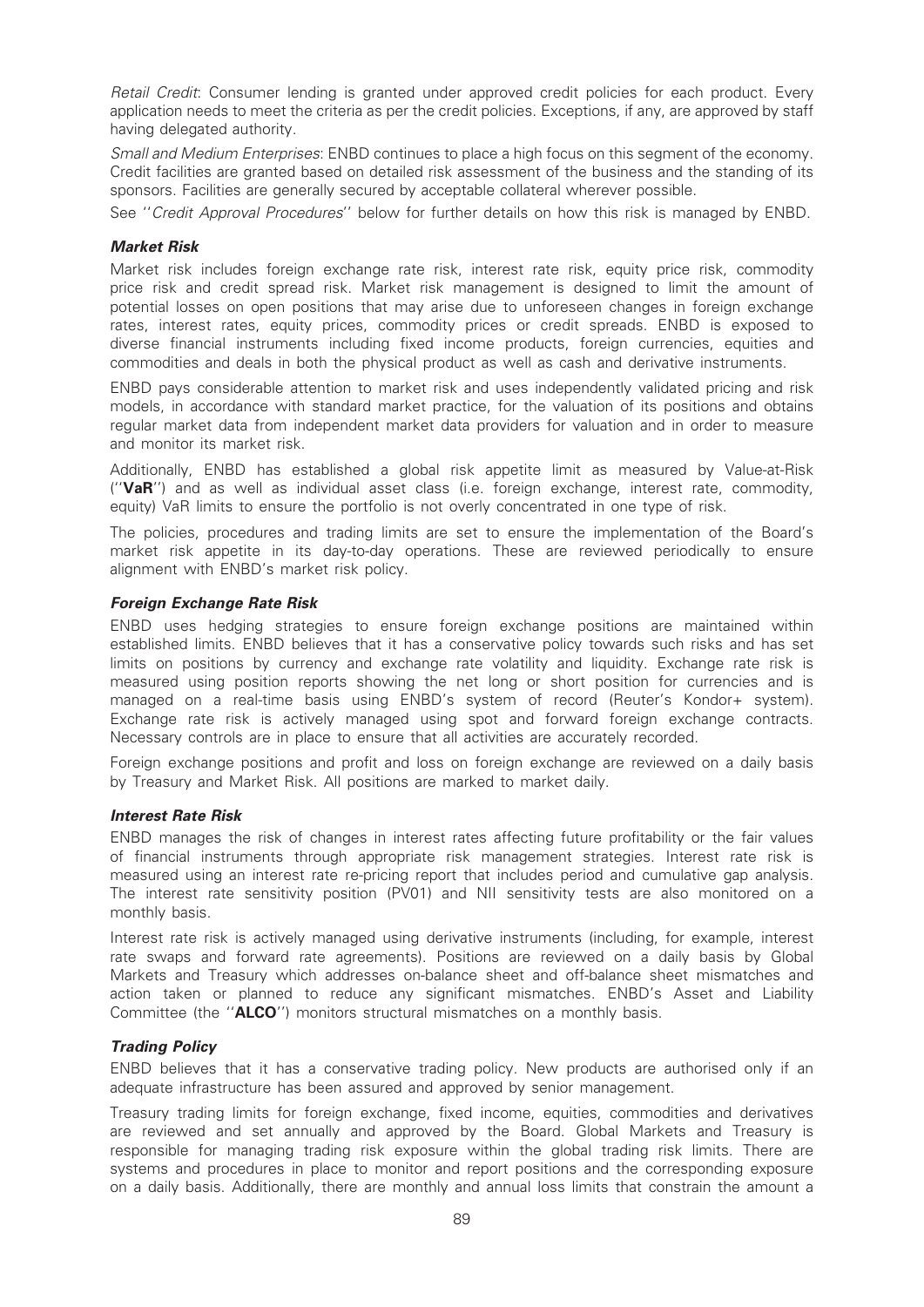Retail Credit: Consumer lending is granted under approved credit policies for each product. Every application needs to meet the criteria as per the credit policies. Exceptions, if any, are approved by staff having delegated authority.

Small and Medium Enterprises: ENBD continues to place a high focus on this segment of the economy. Credit facilities are granted based on detailed risk assessment of the business and the standing of its sponsors. Facilities are generally secured by acceptable collateral wherever possible.

See ''Credit Approval Procedures'' below for further details on how this risk is managed by ENBD.

### Market Risk

Market risk includes foreign exchange rate risk, interest rate risk, equity price risk, commodity price risk and credit spread risk. Market risk management is designed to limit the amount of potential losses on open positions that may arise due to unforeseen changes in foreign exchange rates, interest rates, equity prices, commodity prices or credit spreads. ENBD is exposed to diverse financial instruments including fixed income products, foreign currencies, equities and commodities and deals in both the physical product as well as cash and derivative instruments.

ENBD pays considerable attention to market risk and uses independently validated pricing and risk models, in accordance with standard market practice, for the valuation of its positions and obtains regular market data from independent market data providers for valuation and in order to measure and monitor its market risk.

Additionally, ENBD has established a global risk appetite limit as measured by Value-at-Risk (''VaR'') and as well as individual asset class (i.e. foreign exchange, interest rate, commodity, equity) VaR limits to ensure the portfolio is not overly concentrated in one type of risk.

The policies, procedures and trading limits are set to ensure the implementation of the Board's market risk appetite in its day-to-day operations. These are reviewed periodically to ensure alignment with ENBD's market risk policy.

# Foreign Exchange Rate Risk

ENBD uses hedging strategies to ensure foreign exchange positions are maintained within established limits. ENBD believes that it has a conservative policy towards such risks and has set limits on positions by currency and exchange rate volatility and liquidity. Exchange rate risk is measured using position reports showing the net long or short position for currencies and is managed on a real-time basis using ENBD's system of record (Reuter's Kondor+ system). Exchange rate risk is actively managed using spot and forward foreign exchange contracts. Necessary controls are in place to ensure that all activities are accurately recorded.

Foreign exchange positions and profit and loss on foreign exchange are reviewed on a daily basis by Treasury and Market Risk. All positions are marked to market daily.

# Interest Rate Risk

ENBD manages the risk of changes in interest rates affecting future profitability or the fair values of financial instruments through appropriate risk management strategies. Interest rate risk is measured using an interest rate re-pricing report that includes period and cumulative gap analysis. The interest rate sensitivity position (PV01) and NII sensitivity tests are also monitored on a monthly basis.

Interest rate risk is actively managed using derivative instruments (including, for example, interest rate swaps and forward rate agreements). Positions are reviewed on a daily basis by Global Markets and Treasury which addresses on-balance sheet and off-balance sheet mismatches and action taken or planned to reduce any significant mismatches. ENBD's Asset and Liability Committee (the "ALCO") monitors structural mismatches on a monthly basis.

# Trading Policy

ENBD believes that it has a conservative trading policy. New products are authorised only if an adequate infrastructure has been assured and approved by senior management.

Treasury trading limits for foreign exchange, fixed income, equities, commodities and derivatives are reviewed and set annually and approved by the Board. Global Markets and Treasury is responsible for managing trading risk exposure within the global trading risk limits. There are systems and procedures in place to monitor and report positions and the corresponding exposure on a daily basis. Additionally, there are monthly and annual loss limits that constrain the amount a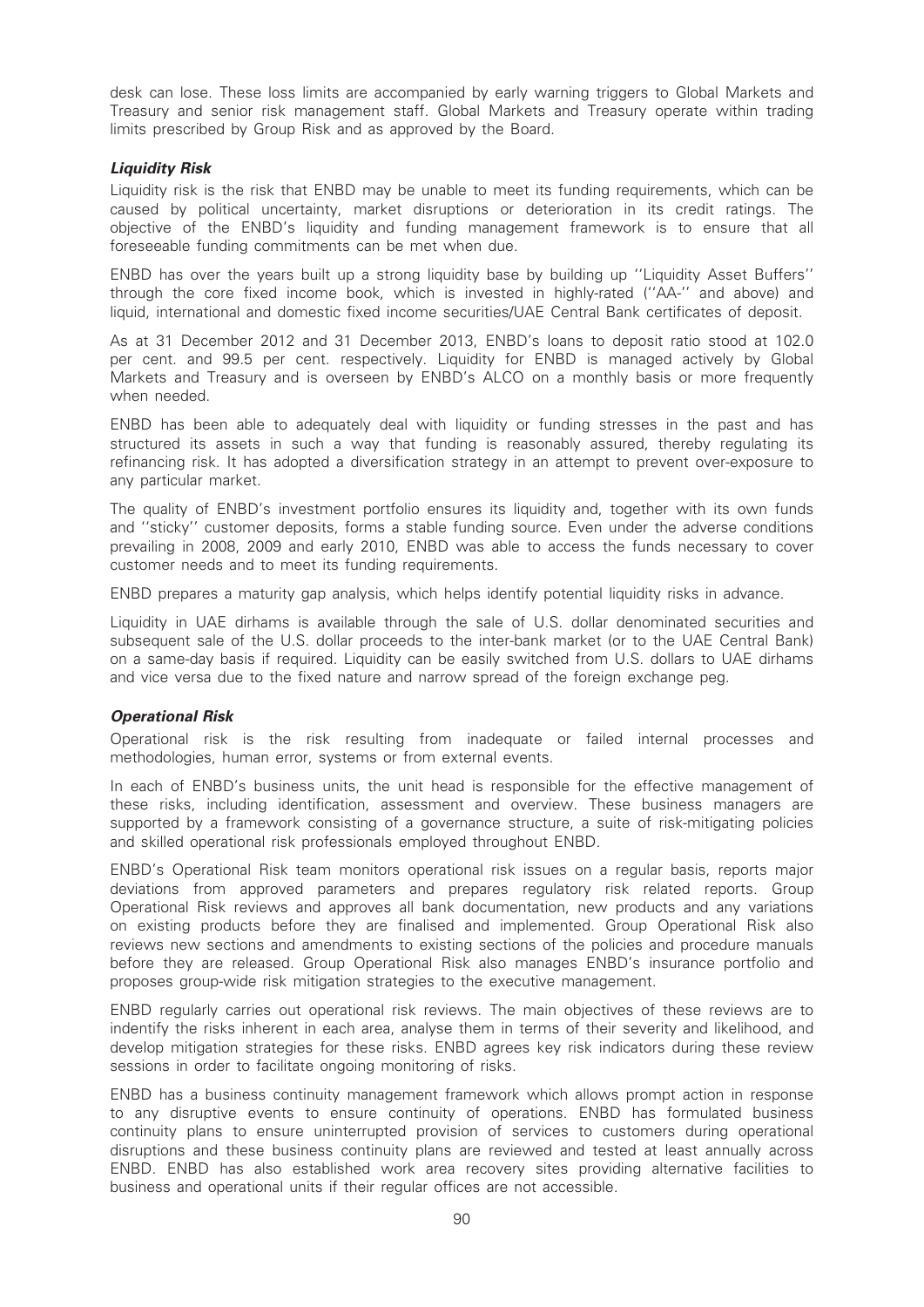desk can lose. These loss limits are accompanied by early warning triggers to Global Markets and Treasury and senior risk management staff. Global Markets and Treasury operate within trading limits prescribed by Group Risk and as approved by the Board.

### Liquidity Risk

Liquidity risk is the risk that ENBD may be unable to meet its funding requirements, which can be caused by political uncertainty, market disruptions or deterioration in its credit ratings. The objective of the ENBD's liquidity and funding management framework is to ensure that all foreseeable funding commitments can be met when due.

ENBD has over the years built up a strong liquidity base by building up ''Liquidity Asset Buffers'' through the core fixed income book, which is invested in highly-rated (''AA-'' and above) and liquid, international and domestic fixed income securities/UAE Central Bank certificates of deposit.

As at 31 December 2012 and 31 December 2013, ENBD's loans to deposit ratio stood at 102.0 per cent. and 99.5 per cent. respectively. Liquidity for ENBD is managed actively by Global Markets and Treasury and is overseen by ENBD's ALCO on a monthly basis or more frequently when needed.

ENBD has been able to adequately deal with liquidity or funding stresses in the past and has structured its assets in such a way that funding is reasonably assured, thereby regulating its refinancing risk. It has adopted a diversification strategy in an attempt to prevent over-exposure to any particular market.

The quality of ENBD's investment portfolio ensures its liquidity and, together with its own funds and ''sticky'' customer deposits, forms a stable funding source. Even under the adverse conditions prevailing in 2008, 2009 and early 2010, ENBD was able to access the funds necessary to cover customer needs and to meet its funding requirements.

ENBD prepares a maturity gap analysis, which helps identify potential liquidity risks in advance.

Liquidity in UAE dirhams is available through the sale of U.S. dollar denominated securities and subsequent sale of the U.S. dollar proceeds to the inter-bank market (or to the UAE Central Bank) on a same-day basis if required. Liquidity can be easily switched from U.S. dollars to UAE dirhams and vice versa due to the fixed nature and narrow spread of the foreign exchange peg.

# Operational Risk

Operational risk is the risk resulting from inadequate or failed internal processes and methodologies, human error, systems or from external events.

In each of ENBD's business units, the unit head is responsible for the effective management of these risks, including identification, assessment and overview. These business managers are supported by a framework consisting of a governance structure, a suite of risk-mitigating policies and skilled operational risk professionals employed throughout ENBD.

ENBD's Operational Risk team monitors operational risk issues on a regular basis, reports major deviations from approved parameters and prepares regulatory risk related reports. Group Operational Risk reviews and approves all bank documentation, new products and any variations on existing products before they are finalised and implemented. Group Operational Risk also reviews new sections and amendments to existing sections of the policies and procedure manuals before they are released. Group Operational Risk also manages ENBD's insurance portfolio and proposes group-wide risk mitigation strategies to the executive management.

ENBD regularly carries out operational risk reviews. The main objectives of these reviews are to indentify the risks inherent in each area, analyse them in terms of their severity and likelihood, and develop mitigation strategies for these risks. ENBD agrees key risk indicators during these review sessions in order to facilitate ongoing monitoring of risks.

ENBD has a business continuity management framework which allows prompt action in response to any disruptive events to ensure continuity of operations. ENBD has formulated business continuity plans to ensure uninterrupted provision of services to customers during operational disruptions and these business continuity plans are reviewed and tested at least annually across ENBD. ENBD has also established work area recovery sites providing alternative facilities to business and operational units if their regular offices are not accessible.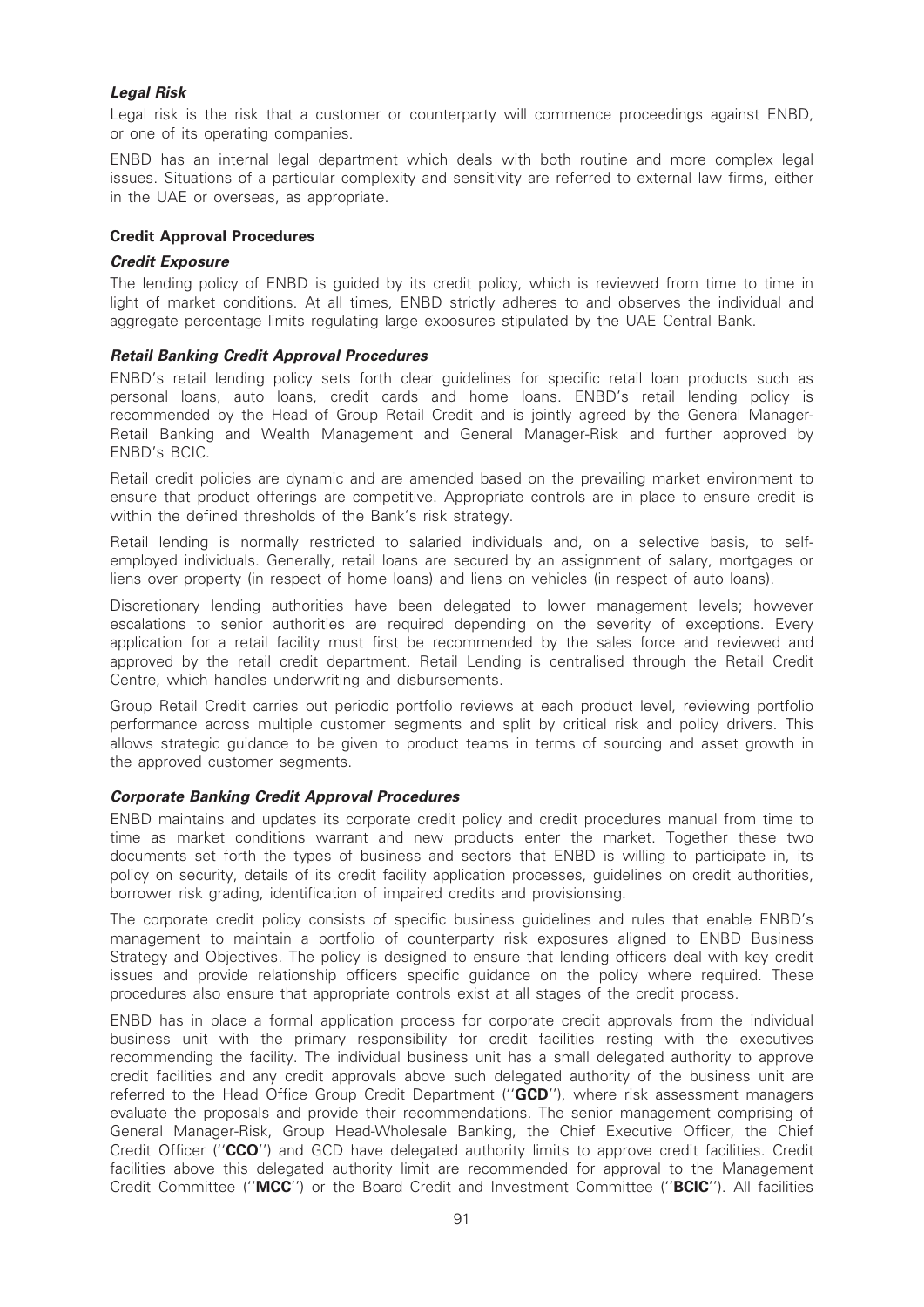# Legal Risk

Legal risk is the risk that a customer or counterparty will commence proceedings against ENBD, or one of its operating companies.

ENBD has an internal legal department which deals with both routine and more complex legal issues. Situations of a particular complexity and sensitivity are referred to external law firms, either in the UAE or overseas, as appropriate.

# Credit Approval Procedures

### Credit Exposure

The lending policy of ENBD is guided by its credit policy, which is reviewed from time to time in light of market conditions. At all times, ENBD strictly adheres to and observes the individual and aggregate percentage limits regulating large exposures stipulated by the UAE Central Bank.

# Retail Banking Credit Approval Procedures

ENBD's retail lending policy sets forth clear guidelines for specific retail loan products such as personal loans, auto loans, credit cards and home loans. ENBD's retail lending policy is recommended by the Head of Group Retail Credit and is jointly agreed by the General Manager-Retail Banking and Wealth Management and General Manager-Risk and further approved by ENBD's BCIC.

Retail credit policies are dynamic and are amended based on the prevailing market environment to ensure that product offerings are competitive. Appropriate controls are in place to ensure credit is within the defined thresholds of the Bank's risk strategy.

Retail lending is normally restricted to salaried individuals and, on a selective basis, to selfemployed individuals. Generally, retail loans are secured by an assignment of salary, mortgages or liens over property (in respect of home loans) and liens on vehicles (in respect of auto loans).

Discretionary lending authorities have been delegated to lower management levels; however escalations to senior authorities are required depending on the severity of exceptions. Every application for a retail facility must first be recommended by the sales force and reviewed and approved by the retail credit department. Retail Lending is centralised through the Retail Credit Centre, which handles underwriting and disbursements.

Group Retail Credit carries out periodic portfolio reviews at each product level, reviewing portfolio performance across multiple customer segments and split by critical risk and policy drivers. This allows strategic guidance to be given to product teams in terms of sourcing and asset growth in the approved customer segments.

# Corporate Banking Credit Approval Procedures

ENBD maintains and updates its corporate credit policy and credit procedures manual from time to time as market conditions warrant and new products enter the market. Together these two documents set forth the types of business and sectors that ENBD is willing to participate in, its policy on security, details of its credit facility application processes, guidelines on credit authorities, borrower risk grading, identification of impaired credits and provisionsing.

The corporate credit policy consists of specific business guidelines and rules that enable ENBD's management to maintain a portfolio of counterparty risk exposures aligned to ENBD Business Strategy and Objectives. The policy is designed to ensure that lending officers deal with key credit issues and provide relationship officers specific guidance on the policy where required. These procedures also ensure that appropriate controls exist at all stages of the credit process.

ENBD has in place a formal application process for corporate credit approvals from the individual business unit with the primary responsibility for credit facilities resting with the executives recommending the facility. The individual business unit has a small delegated authority to approve credit facilities and any credit approvals above such delegated authority of the business unit are referred to the Head Office Group Credit Department ("GCD"), where risk assessment managers evaluate the proposals and provide their recommendations. The senior management comprising of General Manager-Risk, Group Head-Wholesale Banking, the Chief Executive Officer, the Chief Credit Officer ("CCO") and GCD have delegated authority limits to approve credit facilities. Credit facilities above this delegated authority limit are recommended for approval to the Management Credit Committee (''MCC'') or the Board Credit and Investment Committee (''BCIC''). All facilities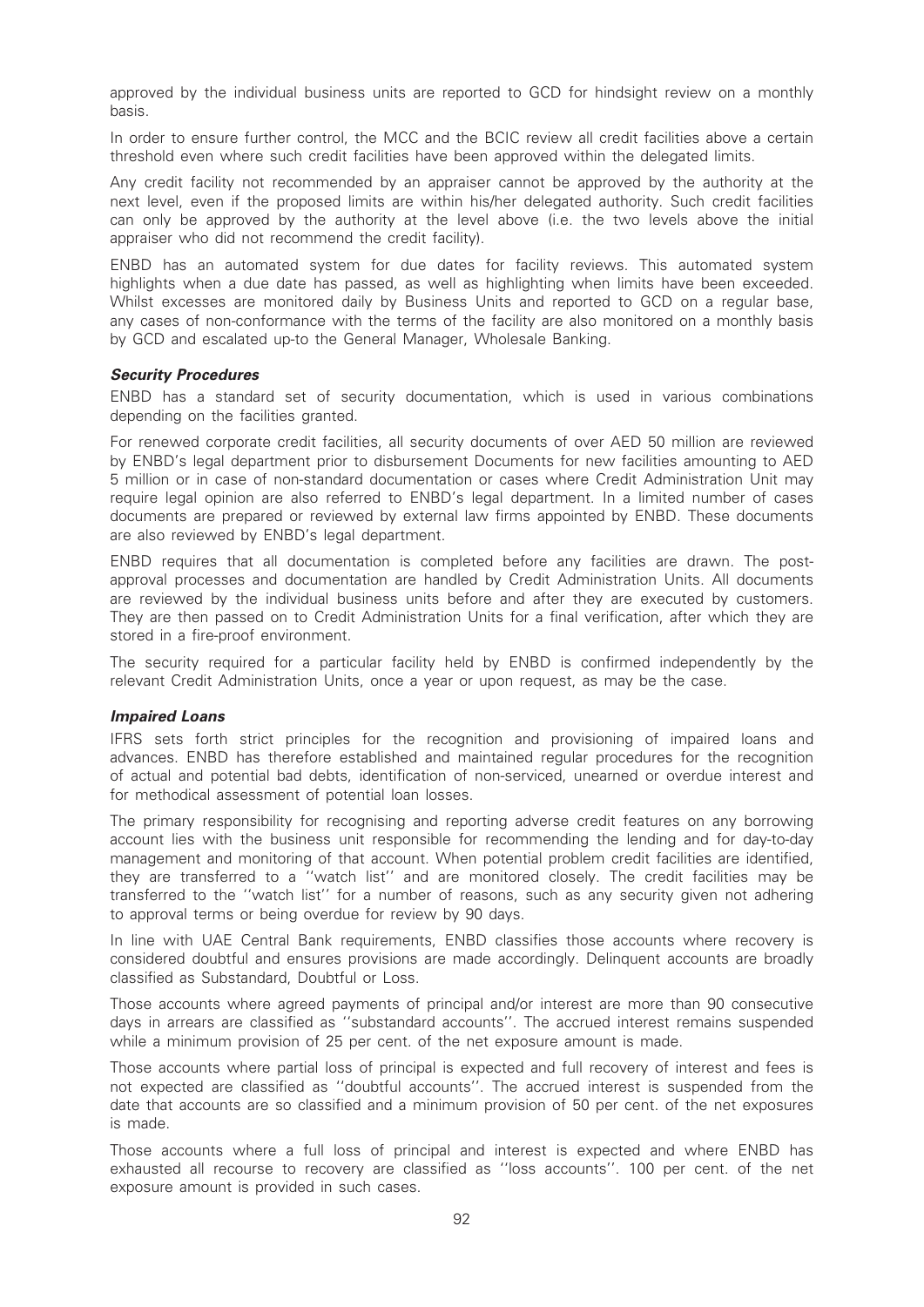approved by the individual business units are reported to GCD for hindsight review on a monthly basis.

In order to ensure further control, the MCC and the BCIC review all credit facilities above a certain threshold even where such credit facilities have been approved within the delegated limits.

Any credit facility not recommended by an appraiser cannot be approved by the authority at the next level, even if the proposed limits are within his/her delegated authority. Such credit facilities can only be approved by the authority at the level above (i.e. the two levels above the initial appraiser who did not recommend the credit facility).

ENBD has an automated system for due dates for facility reviews. This automated system highlights when a due date has passed, as well as highlighting when limits have been exceeded. Whilst excesses are monitored daily by Business Units and reported to GCD on a regular base, any cases of non-conformance with the terms of the facility are also monitored on a monthly basis by GCD and escalated up-to the General Manager, Wholesale Banking.

#### Security Procedures

ENBD has a standard set of security documentation, which is used in various combinations depending on the facilities granted.

For renewed corporate credit facilities, all security documents of over AED 50 million are reviewed by ENBD's legal department prior to disbursement Documents for new facilities amounting to AED 5 million or in case of non-standard documentation or cases where Credit Administration Unit may require legal opinion are also referred to ENBD's legal department. In a limited number of cases documents are prepared or reviewed by external law firms appointed by ENBD. These documents are also reviewed by ENBD's legal department.

ENBD requires that all documentation is completed before any facilities are drawn. The postapproval processes and documentation are handled by Credit Administration Units. All documents are reviewed by the individual business units before and after they are executed by customers. They are then passed on to Credit Administration Units for a final verification, after which they are stored in a fire-proof environment.

The security required for a particular facility held by ENBD is confirmed independently by the relevant Credit Administration Units, once a year or upon request, as may be the case.

#### Impaired Loans

IFRS sets forth strict principles for the recognition and provisioning of impaired loans and advances. ENBD has therefore established and maintained regular procedures for the recognition of actual and potential bad debts, identification of non-serviced, unearned or overdue interest and for methodical assessment of potential loan losses.

The primary responsibility for recognising and reporting adverse credit features on any borrowing account lies with the business unit responsible for recommending the lending and for day-to-day management and monitoring of that account. When potential problem credit facilities are identified, they are transferred to a ''watch list'' and are monitored closely. The credit facilities may be transferred to the ''watch list'' for a number of reasons, such as any security given not adhering to approval terms or being overdue for review by 90 days.

In line with UAE Central Bank requirements, ENBD classifies those accounts where recovery is considered doubtful and ensures provisions are made accordingly. Delinquent accounts are broadly classified as Substandard, Doubtful or Loss.

Those accounts where agreed payments of principal and/or interest are more than 90 consecutive days in arrears are classified as ''substandard accounts''. The accrued interest remains suspended while a minimum provision of 25 per cent. of the net exposure amount is made.

Those accounts where partial loss of principal is expected and full recovery of interest and fees is not expected are classified as ''doubtful accounts''. The accrued interest is suspended from the date that accounts are so classified and a minimum provision of 50 per cent. of the net exposures is made.

Those accounts where a full loss of principal and interest is expected and where ENBD has exhausted all recourse to recovery are classified as ''loss accounts''. 100 per cent. of the net exposure amount is provided in such cases.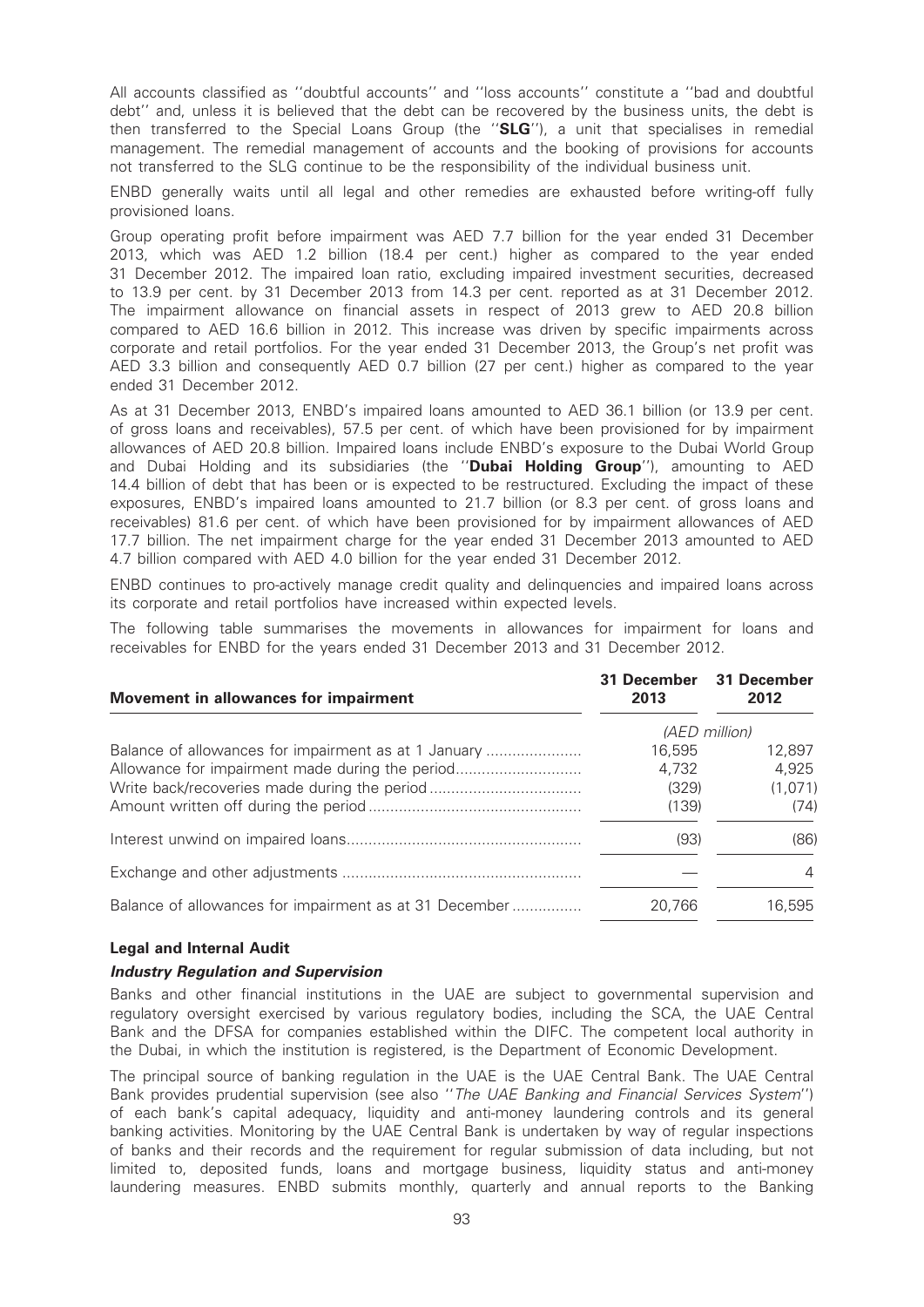All accounts classified as ''doubtful accounts'' and ''loss accounts'' constitute a ''bad and doubtful debt'' and, unless it is believed that the debt can be recovered by the business units, the debt is then transferred to the Special Loans Group (the ''SLG''), a unit that specialises in remedial management. The remedial management of accounts and the booking of provisions for accounts not transferred to the SLG continue to be the responsibility of the individual business unit.

ENBD generally waits until all legal and other remedies are exhausted before writing-off fully provisioned loans.

Group operating profit before impairment was AED 7.7 billion for the year ended 31 December 2013, which was AED 1.2 billion (18.4 per cent.) higher as compared to the year ended 31 December 2012. The impaired loan ratio, excluding impaired investment securities, decreased to 13.9 per cent. by 31 December 2013 from 14.3 per cent. reported as at 31 December 2012. The impairment allowance on financial assets in respect of 2013 grew to AED 20.8 billion compared to AED 16.6 billion in 2012. This increase was driven by specific impairments across corporate and retail portfolios. For the year ended 31 December 2013, the Group's net profit was AED 3.3 billion and consequently AED 0.7 billion (27 per cent.) higher as compared to the year ended 31 December 2012.

As at 31 December 2013, ENBD's impaired loans amounted to AED 36.1 billion (or 13.9 per cent. of gross loans and receivables), 57.5 per cent. of which have been provisioned for by impairment allowances of AED 20.8 billion. Impaired loans include ENBD's exposure to the Dubai World Group and Dubai Holding and its subsidiaries (the "**Dubai Holding Group**"), amounting to AED 14.4 billion of debt that has been or is expected to be restructured. Excluding the impact of these exposures, ENBD's impaired loans amounted to 21.7 billion (or 8.3 per cent. of gross loans and receivables) 81.6 per cent. of which have been provisioned for by impairment allowances of AED 17.7 billion. The net impairment charge for the year ended 31 December 2013 amounted to AED 4.7 billion compared with AED 4.0 billion for the year ended 31 December 2012.

ENBD continues to pro-actively manage credit quality and delinquencies and impaired loans across its corporate and retail portfolios have increased within expected levels.

The following table summarises the movements in allowances for impairment for loans and receivables for ENBD for the years ended 31 December 2013 and 31 December 2012.

| Movement in allowances for impairment                  | 31 December<br>2013 | 31 December<br>2012 |
|--------------------------------------------------------|---------------------|---------------------|
|                                                        |                     | (AED million)       |
| Balance of allowances for impairment as at 1 January   | 16,595              | 12,897              |
| Allowance for impairment made during the period        | 4.732               | 4,925               |
|                                                        | (329)               | (1,071)             |
|                                                        | (139)               | (74)                |
|                                                        | (93)                | (86)                |
|                                                        |                     | 4                   |
| Balance of allowances for impairment as at 31 December | 20.766              | 16,595              |

# Legal and Internal Audit

#### Industry Regulation and Supervision

Banks and other financial institutions in the UAE are subject to governmental supervision and regulatory oversight exercised by various regulatory bodies, including the SCA, the UAE Central Bank and the DFSA for companies established within the DIFC. The competent local authority in the Dubai, in which the institution is registered, is the Department of Economic Development.

The principal source of banking regulation in the UAE is the UAE Central Bank. The UAE Central Bank provides prudential supervision (see also "The UAE Banking and Financial Services System") of each bank's capital adequacy, liquidity and anti-money laundering controls and its general banking activities. Monitoring by the UAE Central Bank is undertaken by way of regular inspections of banks and their records and the requirement for regular submission of data including, but not limited to, deposited funds, loans and mortgage business, liquidity status and anti-money laundering measures. ENBD submits monthly, quarterly and annual reports to the Banking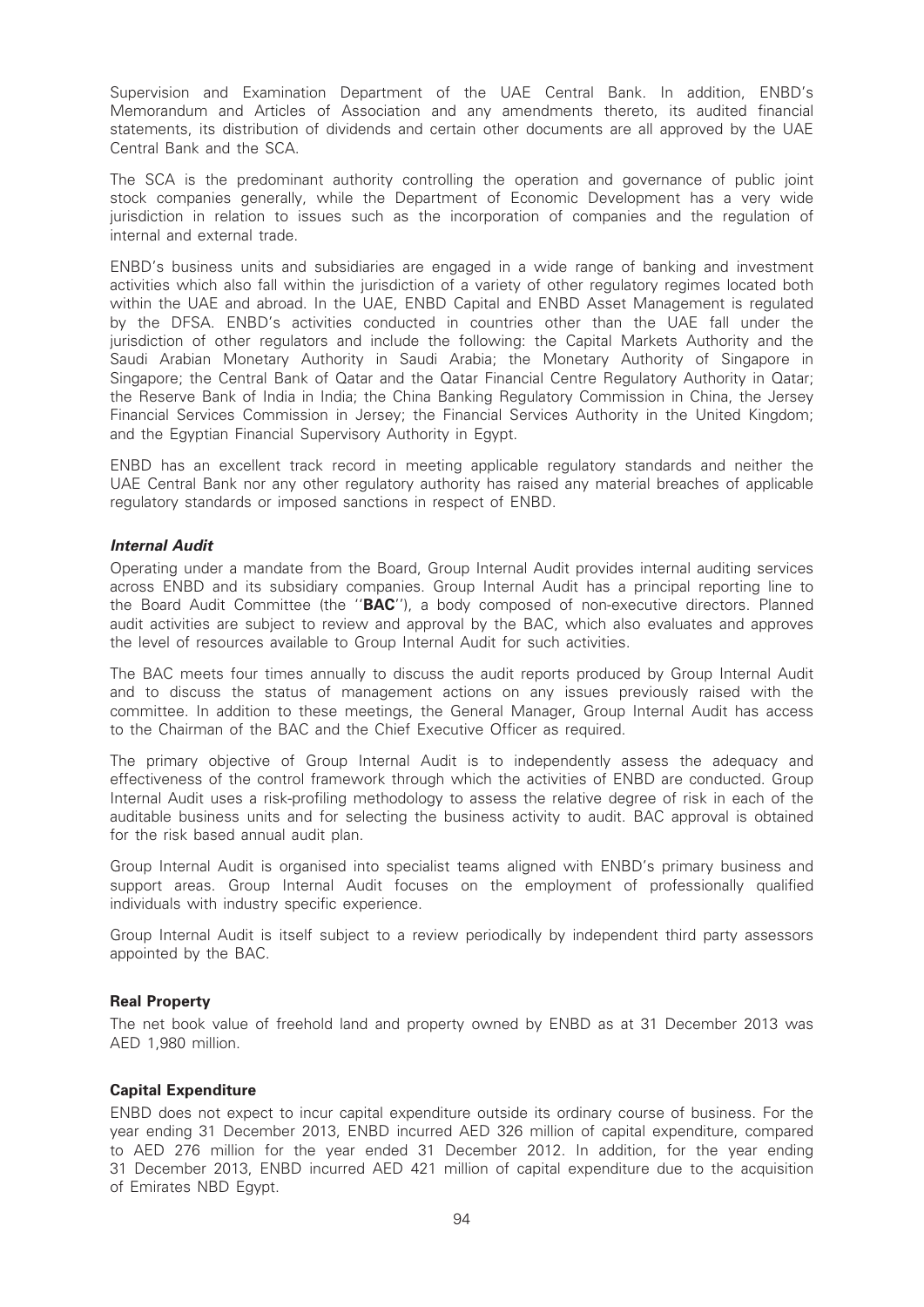Supervision and Examination Department of the UAE Central Bank. In addition, ENBD's Memorandum and Articles of Association and any amendments thereto, its audited financial statements, its distribution of dividends and certain other documents are all approved by the UAE Central Bank and the SCA.

The SCA is the predominant authority controlling the operation and governance of public joint stock companies generally, while the Department of Economic Development has a very wide jurisdiction in relation to issues such as the incorporation of companies and the regulation of internal and external trade.

ENBD's business units and subsidiaries are engaged in a wide range of banking and investment activities which also fall within the jurisdiction of a variety of other regulatory regimes located both within the UAE and abroad. In the UAE, ENBD Capital and ENBD Asset Management is regulated by the DFSA. ENBD's activities conducted in countries other than the UAE fall under the jurisdiction of other regulators and include the following: the Capital Markets Authority and the Saudi Arabian Monetary Authority in Saudi Arabia; the Monetary Authority of Singapore in Singapore; the Central Bank of Qatar and the Qatar Financial Centre Regulatory Authority in Qatar; the Reserve Bank of India in India; the China Banking Regulatory Commission in China, the Jersey Financial Services Commission in Jersey; the Financial Services Authority in the United Kingdom; and the Egyptian Financial Supervisory Authority in Egypt.

ENBD has an excellent track record in meeting applicable regulatory standards and neither the UAE Central Bank nor any other regulatory authority has raised any material breaches of applicable regulatory standards or imposed sanctions in respect of ENBD.

# Internal Audit

Operating under a mandate from the Board, Group Internal Audit provides internal auditing services across ENBD and its subsidiary companies. Group Internal Audit has a principal reporting line to the Board Audit Committee (the ''BAC''), a body composed of non-executive directors. Planned audit activities are subject to review and approval by the BAC, which also evaluates and approves the level of resources available to Group Internal Audit for such activities.

The BAC meets four times annually to discuss the audit reports produced by Group Internal Audit and to discuss the status of management actions on any issues previously raised with the committee. In addition to these meetings, the General Manager, Group Internal Audit has access to the Chairman of the BAC and the Chief Executive Officer as required.

The primary objective of Group Internal Audit is to independently assess the adequacy and effectiveness of the control framework through which the activities of ENBD are conducted. Group Internal Audit uses a risk-profiling methodology to assess the relative degree of risk in each of the auditable business units and for selecting the business activity to audit. BAC approval is obtained for the risk based annual audit plan.

Group Internal Audit is organised into specialist teams aligned with ENBD's primary business and support areas. Group Internal Audit focuses on the employment of professionally qualified individuals with industry specific experience.

Group Internal Audit is itself subject to a review periodically by independent third party assessors appointed by the BAC.

#### Real Property

The net book value of freehold land and property owned by ENBD as at 31 December 2013 was AED 1,980 million.

#### Capital Expenditure

ENBD does not expect to incur capital expenditure outside its ordinary course of business. For the year ending 31 December 2013, ENBD incurred AED 326 million of capital expenditure, compared to AED 276 million for the year ended 31 December 2012. In addition, for the year ending 31 December 2013, ENBD incurred AED 421 million of capital expenditure due to the acquisition of Emirates NBD Egypt.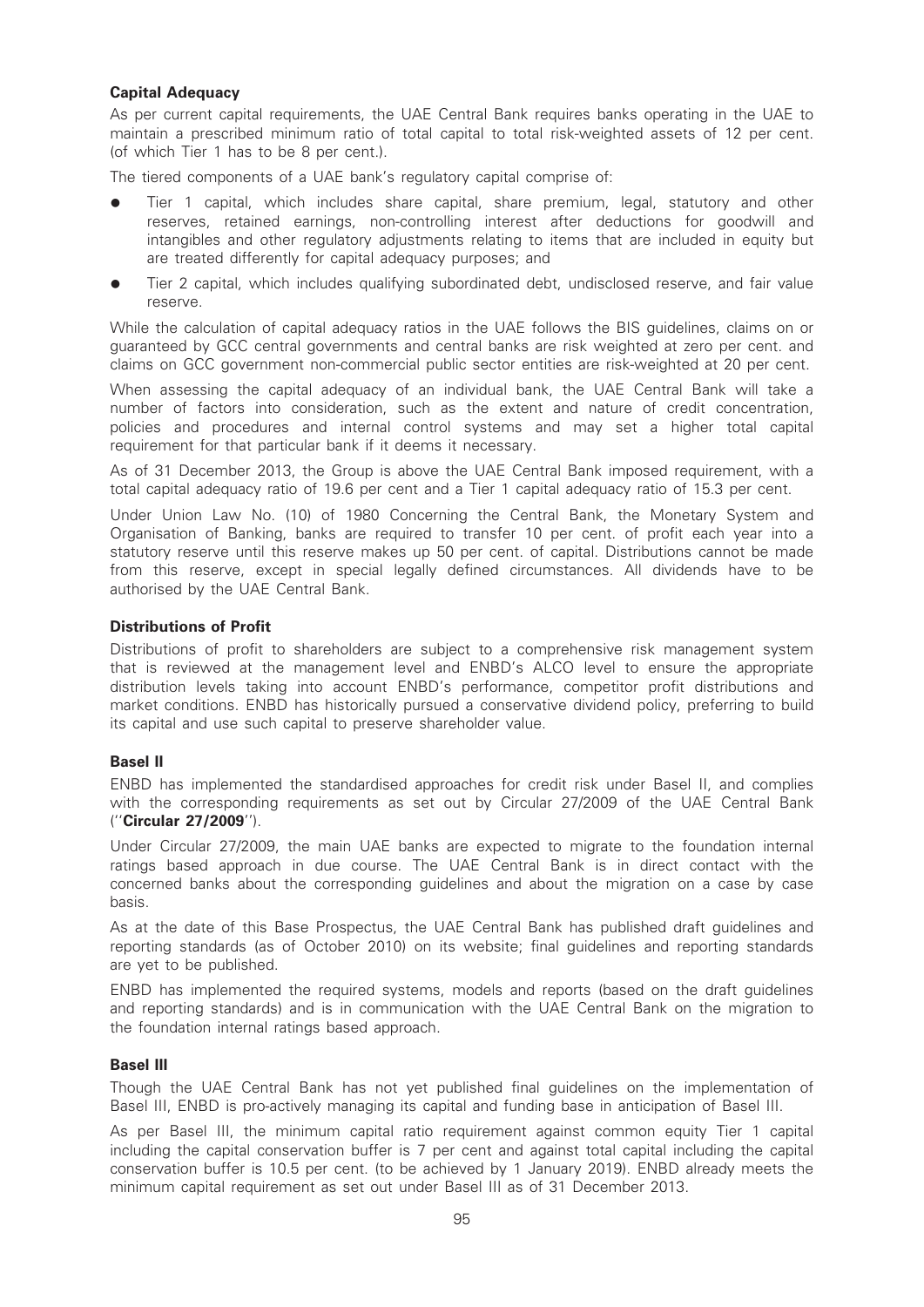# Capital Adequacy

As per current capital requirements, the UAE Central Bank requires banks operating in the UAE to maintain a prescribed minimum ratio of total capital to total risk-weighted assets of 12 per cent. (of which Tier 1 has to be 8 per cent.).

The tiered components of a UAE bank's regulatory capital comprise of:

- Tier 1 capital, which includes share capital, share premium, legal, statutory and other reserves, retained earnings, non-controlling interest after deductions for goodwill and intangibles and other regulatory adjustments relating to items that are included in equity but are treated differently for capital adequacy purposes; and
- Tier 2 capital, which includes qualifying subordinated debt, undisclosed reserve, and fair value reserve.

While the calculation of capital adequacy ratios in the UAE follows the BIS guidelines, claims on or guaranteed by GCC central governments and central banks are risk weighted at zero per cent. and claims on GCC government non-commercial public sector entities are risk-weighted at 20 per cent.

When assessing the capital adequacy of an individual bank, the UAE Central Bank will take a number of factors into consideration, such as the extent and nature of credit concentration, policies and procedures and internal control systems and may set a higher total capital requirement for that particular bank if it deems it necessary.

As of 31 December 2013, the Group is above the UAE Central Bank imposed requirement, with a total capital adequacy ratio of 19.6 per cent and a Tier 1 capital adequacy ratio of 15.3 per cent.

Under Union Law No. (10) of 1980 Concerning the Central Bank, the Monetary System and Organisation of Banking, banks are required to transfer 10 per cent. of profit each year into a statutory reserve until this reserve makes up 50 per cent. of capital. Distributions cannot be made from this reserve, except in special legally defined circumstances. All dividends have to be authorised by the UAE Central Bank.

# Distributions of Profit

Distributions of profit to shareholders are subject to a comprehensive risk management system that is reviewed at the management level and ENBD's ALCO level to ensure the appropriate distribution levels taking into account ENBD's performance, competitor profit distributions and market conditions. ENBD has historically pursued a conservative dividend policy, preferring to build its capital and use such capital to preserve shareholder value.

# Basel II

ENBD has implemented the standardised approaches for credit risk under Basel II, and complies with the corresponding requirements as set out by Circular 27/2009 of the UAE Central Bank (''Circular 27/2009'').

Under Circular 27/2009, the main UAE banks are expected to migrate to the foundation internal ratings based approach in due course. The UAE Central Bank is in direct contact with the concerned banks about the corresponding guidelines and about the migration on a case by case basis.

As at the date of this Base Prospectus, the UAE Central Bank has published draft guidelines and reporting standards (as of October 2010) on its website; final guidelines and reporting standards are yet to be published.

ENBD has implemented the required systems, models and reports (based on the draft guidelines and reporting standards) and is in communication with the UAE Central Bank on the migration to the foundation internal ratings based approach.

#### Basel III

Though the UAE Central Bank has not yet published final guidelines on the implementation of Basel III, ENBD is pro-actively managing its capital and funding base in anticipation of Basel III.

As per Basel III, the minimum capital ratio requirement against common equity Tier 1 capital including the capital conservation buffer is 7 per cent and against total capital including the capital conservation buffer is 10.5 per cent. (to be achieved by 1 January 2019). ENBD already meets the minimum capital requirement as set out under Basel III as of 31 December 2013.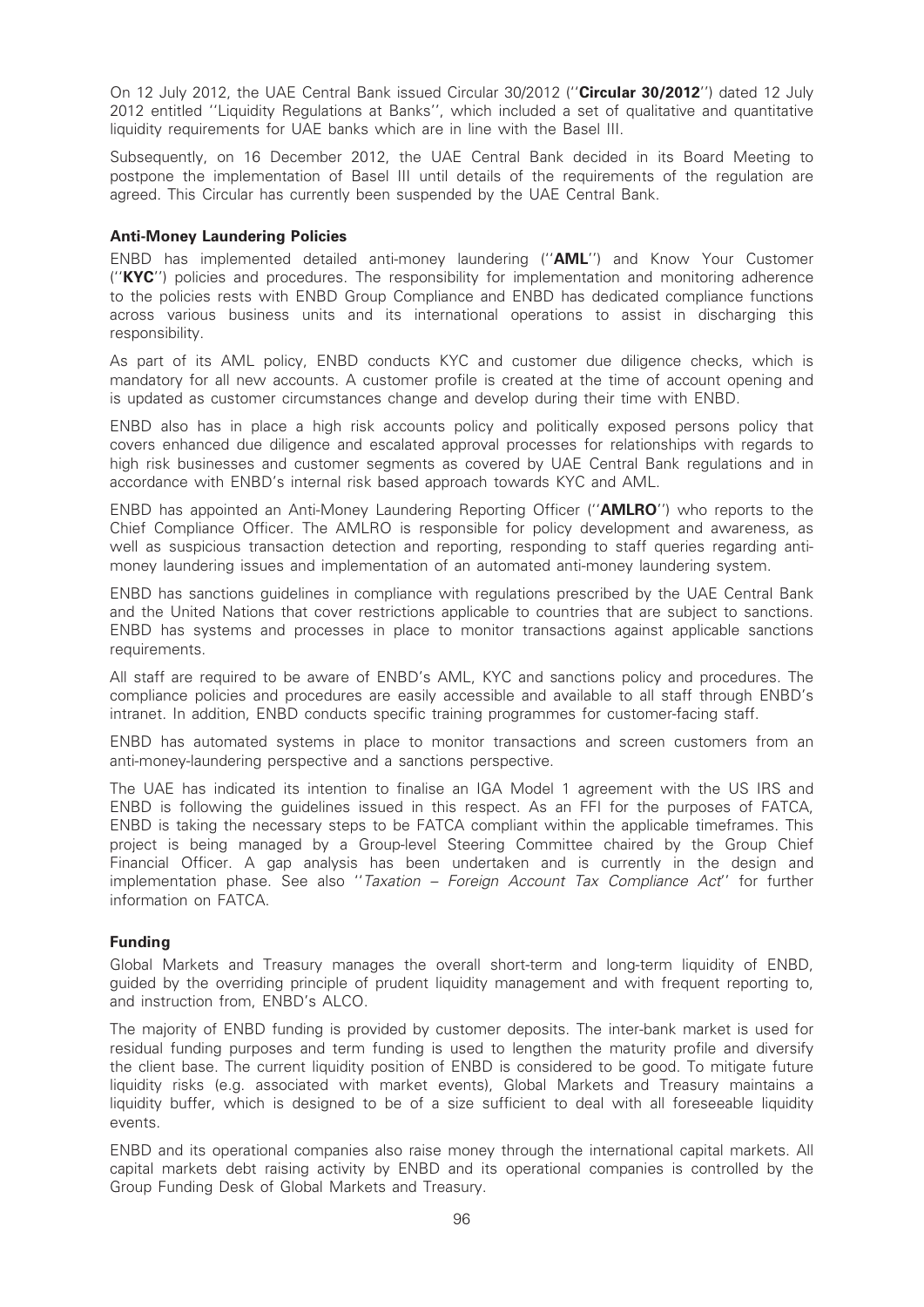On 12 July 2012, the UAE Central Bank issued Circular 30/2012 ("Circular 30/2012") dated 12 July 2012 entitled ''Liquidity Regulations at Banks'', which included a set of qualitative and quantitative liquidity requirements for UAE banks which are in line with the Basel III.

Subsequently, on 16 December 2012, the UAE Central Bank decided in its Board Meeting to postpone the implementation of Basel III until details of the requirements of the regulation are agreed. This Circular has currently been suspended by the UAE Central Bank.

### Anti-Money Laundering Policies

ENBD has implemented detailed anti-money laundering (''AML'') and Know Your Customer (''KYC'') policies and procedures. The responsibility for implementation and monitoring adherence to the policies rests with ENBD Group Compliance and ENBD has dedicated compliance functions across various business units and its international operations to assist in discharging this responsibility.

As part of its AML policy, ENBD conducts KYC and customer due diligence checks, which is mandatory for all new accounts. A customer profile is created at the time of account opening and is updated as customer circumstances change and develop during their time with ENBD.

ENBD also has in place a high risk accounts policy and politically exposed persons policy that covers enhanced due diligence and escalated approval processes for relationships with regards to high risk businesses and customer segments as covered by UAE Central Bank regulations and in accordance with ENBD's internal risk based approach towards KYC and AML.

ENBD has appointed an Anti-Money Laundering Reporting Officer (''AMLRO'') who reports to the Chief Compliance Officer. The AMLRO is responsible for policy development and awareness, as well as suspicious transaction detection and reporting, responding to staff queries regarding antimoney laundering issues and implementation of an automated anti-money laundering system.

ENBD has sanctions guidelines in compliance with regulations prescribed by the UAE Central Bank and the United Nations that cover restrictions applicable to countries that are subject to sanctions. ENBD has systems and processes in place to monitor transactions against applicable sanctions requirements.

All staff are required to be aware of ENBD's AML, KYC and sanctions policy and procedures. The compliance policies and procedures are easily accessible and available to all staff through ENBD's intranet. In addition, ENBD conducts specific training programmes for customer-facing staff.

ENBD has automated systems in place to monitor transactions and screen customers from an anti-money-laundering perspective and a sanctions perspective.

The UAE has indicated its intention to finalise an IGA Model 1 agreement with the US IRS and ENBD is following the guidelines issued in this respect. As an FFI for the purposes of FATCA, ENBD is taking the necessary steps to be FATCA compliant within the applicable timeframes. This project is being managed by a Group-level Steering Committee chaired by the Group Chief Financial Officer. A gap analysis has been undertaken and is currently in the design and implementation phase. See also ''Taxation – Foreign Account Tax Compliance Act'' for further information on FATCA.

# Funding

Global Markets and Treasury manages the overall short-term and long-term liquidity of ENBD, guided by the overriding principle of prudent liquidity management and with frequent reporting to, and instruction from, ENBD's ALCO.

The majority of ENBD funding is provided by customer deposits. The inter-bank market is used for residual funding purposes and term funding is used to lengthen the maturity profile and diversify the client base. The current liquidity position of ENBD is considered to be good. To mitigate future liquidity risks (e.g. associated with market events), Global Markets and Treasury maintains a liquidity buffer, which is designed to be of a size sufficient to deal with all foreseeable liquidity events.

ENBD and its operational companies also raise money through the international capital markets. All capital markets debt raising activity by ENBD and its operational companies is controlled by the Group Funding Desk of Global Markets and Treasury.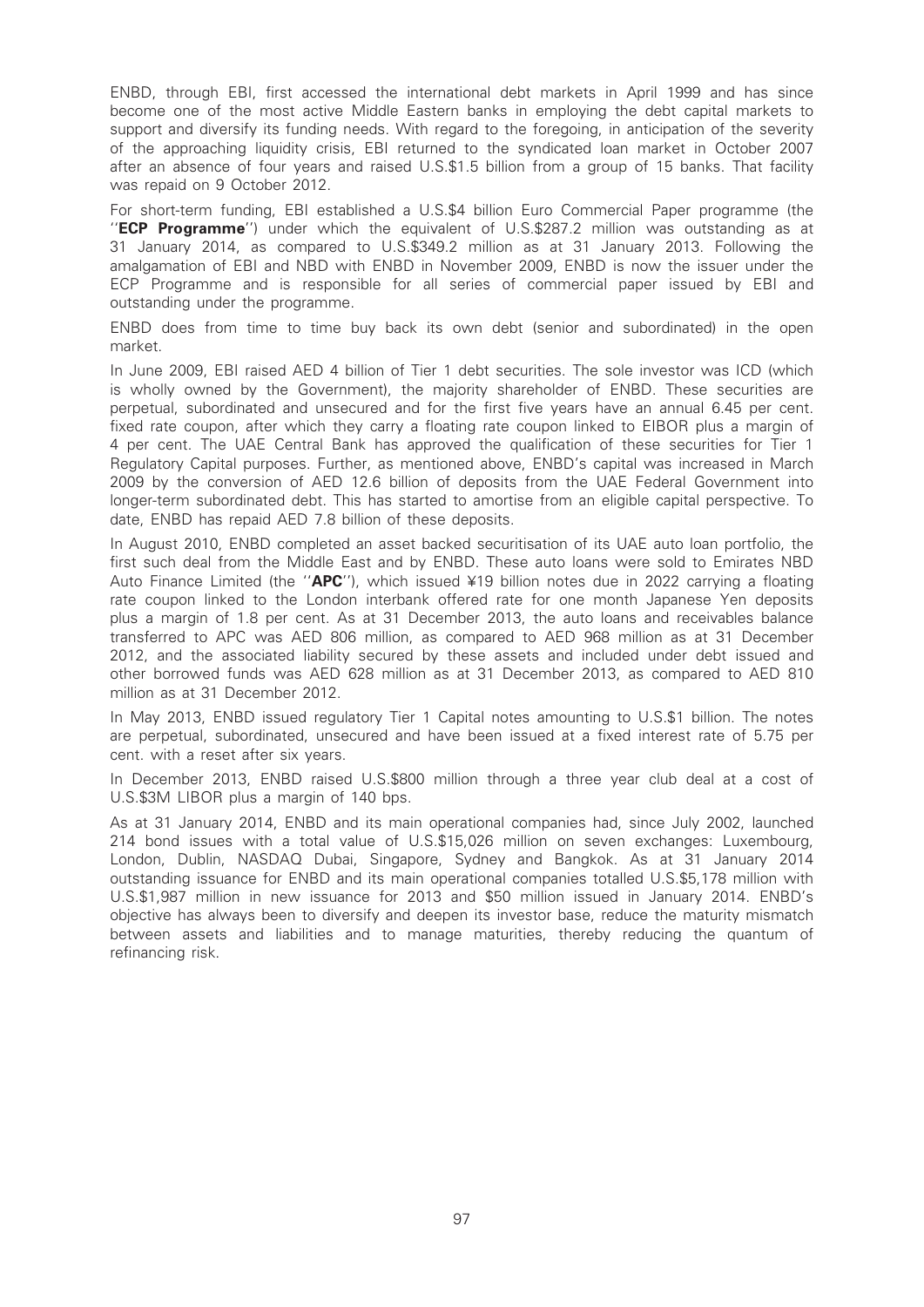ENBD, through EBI, first accessed the international debt markets in April 1999 and has since become one of the most active Middle Eastern banks in employing the debt capital markets to support and diversify its funding needs. With regard to the foregoing, in anticipation of the severity of the approaching liquidity crisis, EBI returned to the syndicated loan market in October 2007 after an absence of four years and raised U.S.\$1.5 billion from a group of 15 banks. That facility was repaid on 9 October 2012.

For short-term funding, EBI established a U.S.\$4 billion Euro Commercial Paper programme (the "ECP Programme") under which the equivalent of U.S.\$287.2 million was outstanding as at 31 January 2014, as compared to U.S.\$349.2 million as at 31 January 2013. Following the amalgamation of EBI and NBD with ENBD in November 2009, ENBD is now the issuer under the ECP Programme and is responsible for all series of commercial paper issued by EBI and outstanding under the programme.

ENBD does from time to time buy back its own debt (senior and subordinated) in the open market.

In June 2009, EBI raised AED 4 billion of Tier 1 debt securities. The sole investor was ICD (which is wholly owned by the Government), the majority shareholder of ENBD. These securities are perpetual, subordinated and unsecured and for the first five years have an annual 6.45 per cent. fixed rate coupon, after which they carry a floating rate coupon linked to EIBOR plus a margin of 4 per cent. The UAE Central Bank has approved the qualification of these securities for Tier 1 Regulatory Capital purposes. Further, as mentioned above, ENBD's capital was increased in March 2009 by the conversion of AED 12.6 billion of deposits from the UAE Federal Government into longer-term subordinated debt. This has started to amortise from an eligible capital perspective. To date, ENBD has repaid AED 7.8 billion of these deposits.

In August 2010, ENBD completed an asset backed securitisation of its UAE auto loan portfolio, the first such deal from the Middle East and by ENBD. These auto loans were sold to Emirates NBD Auto Finance Limited (the " $APC'$ ), which issued ¥19 billion notes due in 2022 carrying a floating rate coupon linked to the London interbank offered rate for one month Japanese Yen deposits plus a margin of 1.8 per cent. As at 31 December 2013, the auto loans and receivables balance transferred to APC was AED 806 million, as compared to AED 968 million as at 31 December 2012, and the associated liability secured by these assets and included under debt issued and other borrowed funds was AED 628 million as at 31 December 2013, as compared to AED 810 million as at 31 December 2012.

In May 2013, ENBD issued regulatory Tier 1 Capital notes amounting to U.S.\$1 billion. The notes are perpetual, subordinated, unsecured and have been issued at a fixed interest rate of 5.75 per cent. with a reset after six years.

In December 2013, ENBD raised U.S.\$800 million through a three year club deal at a cost of U.S.\$3M LIBOR plus a margin of 140 bps.

As at 31 January 2014, ENBD and its main operational companies had, since July 2002, launched 214 bond issues with a total value of U.S.\$15,026 million on seven exchanges: Luxembourg, London, Dublin, NASDAQ Dubai, Singapore, Sydney and Bangkok. As at 31 January 2014 outstanding issuance for ENBD and its main operational companies totalled U.S.\$5,178 million with U.S.\$1,987 million in new issuance for 2013 and \$50 million issued in January 2014. ENBD's objective has always been to diversify and deepen its investor base, reduce the maturity mismatch between assets and liabilities and to manage maturities, thereby reducing the quantum of refinancing risk.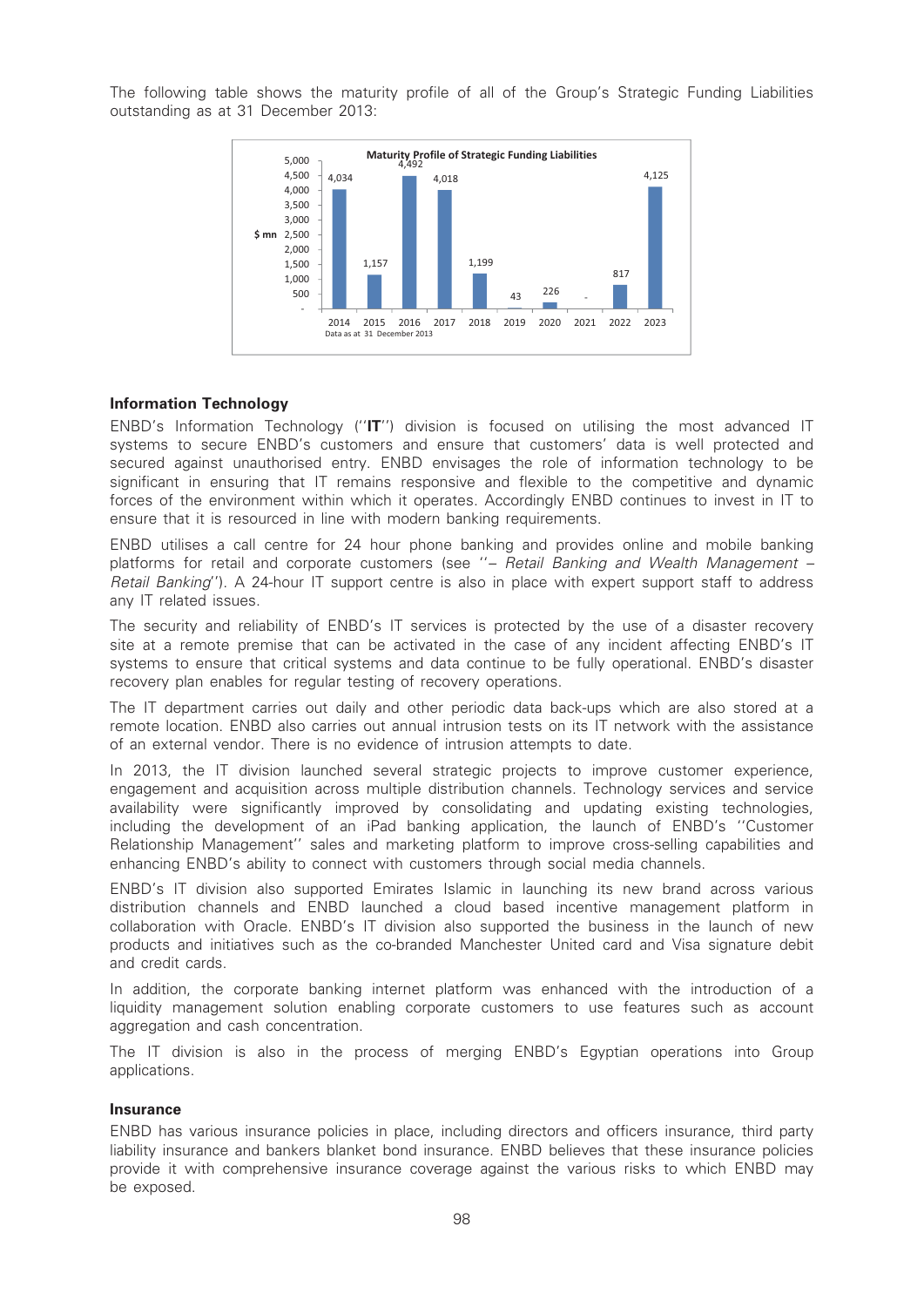The following table shows the maturity profile of all of the Group's Strategic Funding Liabilities outstanding as at 31 December 2013:



# Information Technology

ENBD's Information Technology (''IT'') division is focused on utilising the most advanced IT systems to secure ENBD's customers and ensure that customers' data is well protected and secured against unauthorised entry. ENBD envisages the role of information technology to be significant in ensuring that IT remains responsive and flexible to the competitive and dynamic forces of the environment within which it operates. Accordingly ENBD continues to invest in IT to ensure that it is resourced in line with modern banking requirements.

ENBD utilises a call centre for 24 hour phone banking and provides online and mobile banking platforms for retail and corporate customers (see "- Retail Banking and Wealth Management -Retail Banking''). A 24-hour IT support centre is also in place with expert support staff to address any IT related issues.

The security and reliability of ENBD's IT services is protected by the use of a disaster recovery site at a remote premise that can be activated in the case of any incident affecting ENBD's IT systems to ensure that critical systems and data continue to be fully operational. ENBD's disaster recovery plan enables for regular testing of recovery operations.

The IT department carries out daily and other periodic data back-ups which are also stored at a remote location. ENBD also carries out annual intrusion tests on its IT network with the assistance of an external vendor. There is no evidence of intrusion attempts to date.

In 2013, the IT division launched several strategic projects to improve customer experience, engagement and acquisition across multiple distribution channels. Technology services and service availability were significantly improved by consolidating and updating existing technologies, including the development of an iPad banking application, the launch of ENBD's ''Customer Relationship Management'' sales and marketing platform to improve cross-selling capabilities and enhancing ENBD's ability to connect with customers through social media channels.

ENBD's IT division also supported Emirates Islamic in launching its new brand across various distribution channels and ENBD launched a cloud based incentive management platform in collaboration with Oracle. ENBD's IT division also supported the business in the launch of new products and initiatives such as the co-branded Manchester United card and Visa signature debit and credit cards.

In addition, the corporate banking internet platform was enhanced with the introduction of a liquidity management solution enabling corporate customers to use features such as account aggregation and cash concentration.

The IT division is also in the process of merging ENBD's Egyptian operations into Group applications.

#### Insurance

ENBD has various insurance policies in place, including directors and officers insurance, third party liability insurance and bankers blanket bond insurance. ENBD believes that these insurance policies provide it with comprehensive insurance coverage against the various risks to which ENBD may be exposed.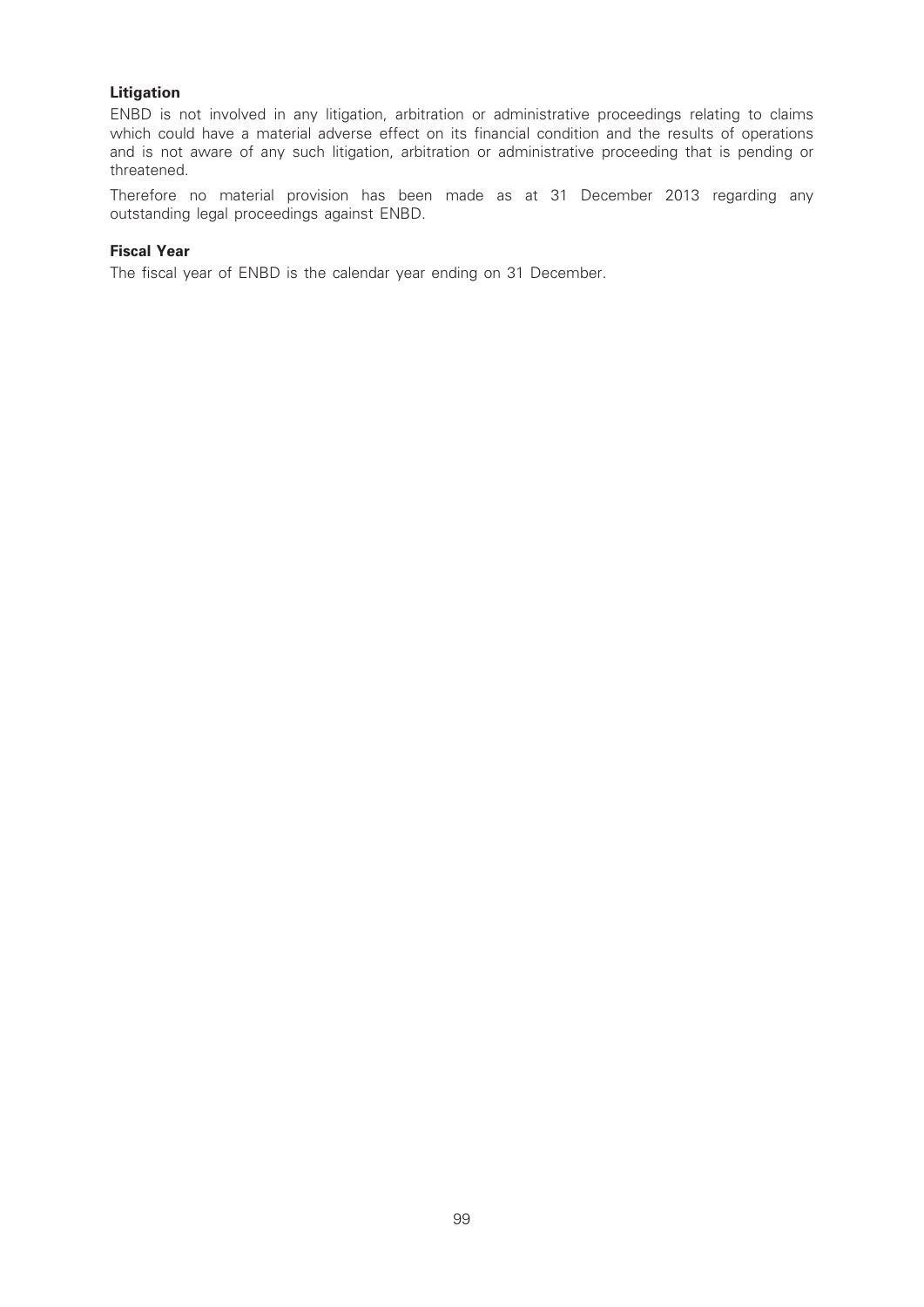# Litigation

ENBD is not involved in any litigation, arbitration or administrative proceedings relating to claims which could have a material adverse effect on its financial condition and the results of operations and is not aware of any such litigation, arbitration or administrative proceeding that is pending or threatened.

Therefore no material provision has been made as at 31 December 2013 regarding any outstanding legal proceedings against ENBD.

# Fiscal Year

The fiscal year of ENBD is the calendar year ending on 31 December.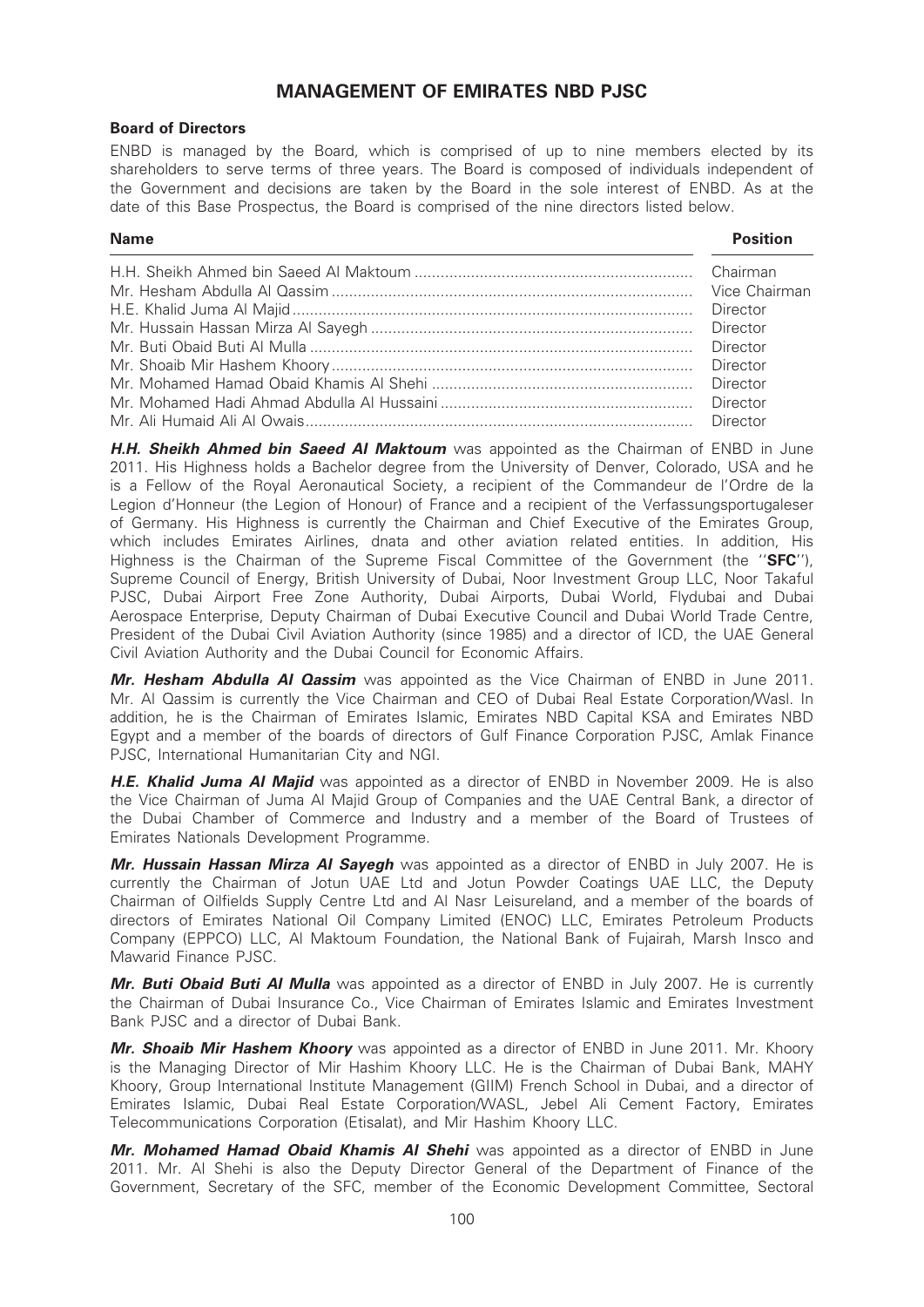# MANAGEMENT OF EMIRATES NBD PJSC

# Board of Directors

ENBD is managed by the Board, which is comprised of up to nine members elected by its shareholders to serve terms of three years. The Board is composed of individuals independent of the Government and decisions are taken by the Board in the sole interest of ENBD. As at the date of this Base Prospectus, the Board is comprised of the nine directors listed below.

#### Name Position

| Vice Chairman |
|---------------|
|               |

**H.H. Sheikh Ahmed bin Saeed Al Maktoum** was appointed as the Chairman of ENBD in June 2011. His Highness holds a Bachelor degree from the University of Denver, Colorado, USA and he is a Fellow of the Royal Aeronautical Society, a recipient of the Commandeur de l'Ordre de la Legion d'Honneur (the Legion of Honour) of France and a recipient of the Verfassungsportugaleser of Germany. His Highness is currently the Chairman and Chief Executive of the Emirates Group, which includes Emirates Airlines, dnata and other aviation related entities. In addition, His Highness is the Chairman of the Supreme Fiscal Committee of the Government (the "SFC"), Supreme Council of Energy, British University of Dubai, Noor Investment Group LLC, Noor Takaful PJSC, Dubai Airport Free Zone Authority, Dubai Airports, Dubai World, Flydubai and Dubai Aerospace Enterprise, Deputy Chairman of Dubai Executive Council and Dubai World Trade Centre, President of the Dubai Civil Aviation Authority (since 1985) and a director of ICD, the UAE General Civil Aviation Authority and the Dubai Council for Economic Affairs.

Mr. Hesham Abdulla AI Qassim was appointed as the Vice Chairman of ENBD in June 2011. Mr. Al Qassim is currently the Vice Chairman and CEO of Dubai Real Estate Corporation/Wasl. In addition, he is the Chairman of Emirates Islamic, Emirates NBD Capital KSA and Emirates NBD Egypt and a member of the boards of directors of Gulf Finance Corporation PJSC, Amlak Finance PJSC, International Humanitarian City and NGI.

H.E. Khalid Juma Al Majid was appointed as a director of ENBD in November 2009. He is also the Vice Chairman of Juma Al Majid Group of Companies and the UAE Central Bank, a director of the Dubai Chamber of Commerce and Industry and a member of the Board of Trustees of Emirates Nationals Development Programme.

Mr. Hussain Hassan Mirza Al Sayegh was appointed as a director of ENBD in July 2007. He is currently the Chairman of Jotun UAE Ltd and Jotun Powder Coatings UAE LLC, the Deputy Chairman of Oilfields Supply Centre Ltd and Al Nasr Leisureland, and a member of the boards of directors of Emirates National Oil Company Limited (ENOC) LLC, Emirates Petroleum Products Company (EPPCO) LLC, Al Maktoum Foundation, the National Bank of Fujairah, Marsh Insco and Mawarid Finance PJSC.

Mr. Buti Obaid Buti Al Mulla was appointed as a director of ENBD in July 2007. He is currently the Chairman of Dubai Insurance Co., Vice Chairman of Emirates Islamic and Emirates Investment Bank PJSC and a director of Dubai Bank.

Mr. Shoaib Mir Hashem Khoory was appointed as a director of ENBD in June 2011. Mr. Khoory is the Managing Director of Mir Hashim Khoory LLC. He is the Chairman of Dubai Bank, MAHY Khoory, Group International Institute Management (GIIM) French School in Dubai, and a director of Emirates Islamic, Dubai Real Estate Corporation/WASL, Jebel Ali Cement Factory, Emirates Telecommunications Corporation (Etisalat), and Mir Hashim Khoory LLC.

Mr. Mohamed Hamad Obaid Khamis AI Shehi was appointed as a director of ENBD in June 2011. Mr. Al Shehi is also the Deputy Director General of the Department of Finance of the Government, Secretary of the SFC, member of the Economic Development Committee, Sectoral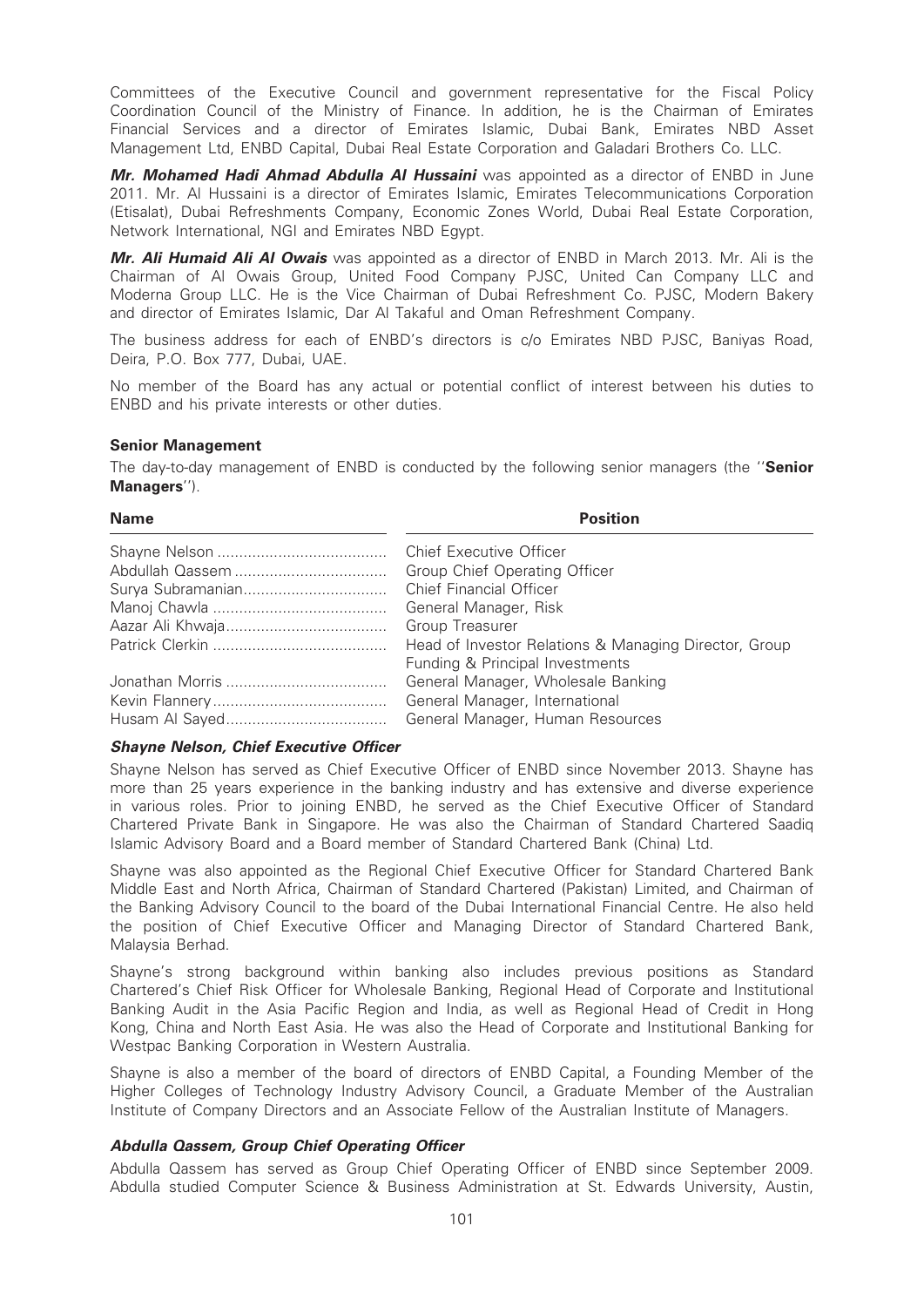Committees of the Executive Council and government representative for the Fiscal Policy Coordination Council of the Ministry of Finance. In addition, he is the Chairman of Emirates Financial Services and a director of Emirates Islamic, Dubai Bank, Emirates NBD Asset Management Ltd, ENBD Capital, Dubai Real Estate Corporation and Galadari Brothers Co. LLC.

Mr. Mohamed Hadi Ahmad Abdulla Al Hussaini was appointed as a director of ENBD in June 2011. Mr. Al Hussaini is a director of Emirates Islamic, Emirates Telecommunications Corporation (Etisalat), Dubai Refreshments Company, Economic Zones World, Dubai Real Estate Corporation, Network International, NGI and Emirates NBD Egypt.

Mr. Ali Humaid Ali Al Owais was appointed as a director of ENBD in March 2013. Mr. Ali is the Chairman of Al Owais Group, United Food Company PJSC, United Can Company LLC and Moderna Group LLC. He is the Vice Chairman of Dubai Refreshment Co. PJSC, Modern Bakery and director of Emirates Islamic, Dar Al Takaful and Oman Refreshment Company.

The business address for each of ENBD's directors is c/o Emirates NBD PJSC, Baniyas Road, Deira, P.O. Box 777, Dubai, UAE.

No member of the Board has any actual or potential conflict of interest between his duties to ENBD and his private interests or other duties.

# Senior Management

The day-to-day management of ENBD is conducted by the following senior managers (the "Senior Managers'').

| <b>Name</b> | <b>Position</b>                                       |
|-------------|-------------------------------------------------------|
|             | <b>Chief Executive Officer</b>                        |
|             | Group Chief Operating Officer                         |
|             | <b>Chief Financial Officer</b>                        |
|             | General Manager, Risk                                 |
|             | Group Treasurer                                       |
|             | Head of Investor Relations & Managing Director, Group |
|             | Funding & Principal Investments                       |
|             | General Manager, Wholesale Banking                    |
|             | General Manager, International                        |
|             | General Manager, Human Resources                      |

# Shayne Nelson, Chief Executive Officer

Shayne Nelson has served as Chief Executive Officer of ENBD since November 2013. Shayne has more than 25 years experience in the banking industry and has extensive and diverse experience in various roles. Prior to joining ENBD, he served as the Chief Executive Officer of Standard Chartered Private Bank in Singapore. He was also the Chairman of Standard Chartered Saadiq Islamic Advisory Board and a Board member of Standard Chartered Bank (China) Ltd.

Shayne was also appointed as the Regional Chief Executive Officer for Standard Chartered Bank Middle East and North Africa, Chairman of Standard Chartered (Pakistan) Limited, and Chairman of the Banking Advisory Council to the board of the Dubai International Financial Centre. He also held the position of Chief Executive Officer and Managing Director of Standard Chartered Bank, Malaysia Berhad.

Shayne's strong background within banking also includes previous positions as Standard Chartered's Chief Risk Officer for Wholesale Banking, Regional Head of Corporate and Institutional Banking Audit in the Asia Pacific Region and India, as well as Regional Head of Credit in Hong Kong, China and North East Asia. He was also the Head of Corporate and Institutional Banking for Westpac Banking Corporation in Western Australia.

Shayne is also a member of the board of directors of ENBD Capital, a Founding Member of the Higher Colleges of Technology Industry Advisory Council, a Graduate Member of the Australian Institute of Company Directors and an Associate Fellow of the Australian Institute of Managers.

# Abdulla Qassem, Group Chief Operating Officer

Abdulla Qassem has served as Group Chief Operating Officer of ENBD since September 2009. Abdulla studied Computer Science & Business Administration at St. Edwards University, Austin,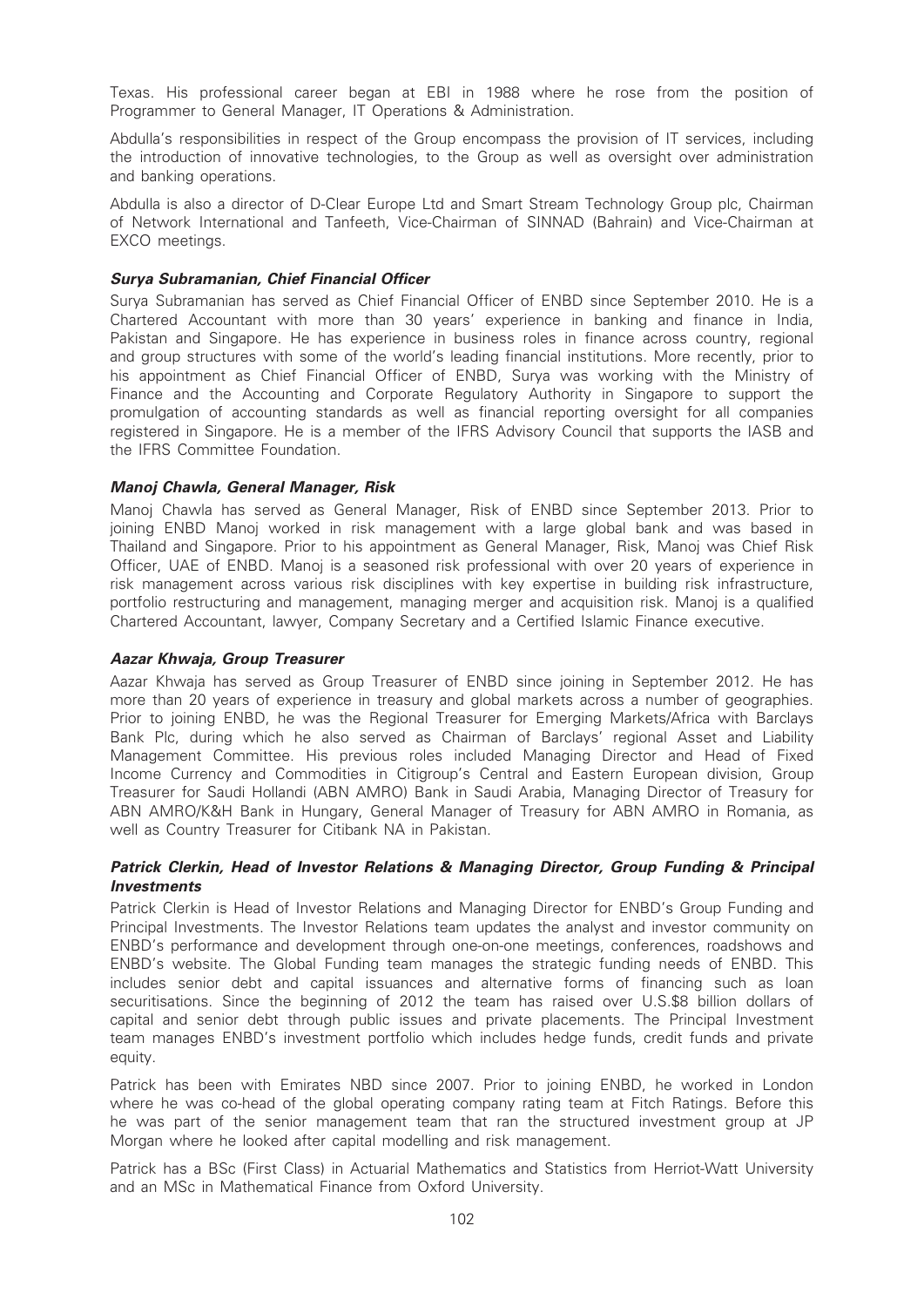Texas. His professional career began at EBI in 1988 where he rose from the position of Programmer to General Manager, IT Operations & Administration.

Abdulla's responsibilities in respect of the Group encompass the provision of IT services, including the introduction of innovative technologies, to the Group as well as oversight over administration and banking operations.

Abdulla is also a director of D-Clear Europe Ltd and Smart Stream Technology Group plc, Chairman of Network International and Tanfeeth, Vice-Chairman of SINNAD (Bahrain) and Vice-Chairman at EXCO meetings.

# Surya Subramanian, Chief Financial Officer

Surya Subramanian has served as Chief Financial Officer of ENBD since September 2010. He is a Chartered Accountant with more than 30 years' experience in banking and finance in India, Pakistan and Singapore. He has experience in business roles in finance across country, regional and group structures with some of the world's leading financial institutions. More recently, prior to his appointment as Chief Financial Officer of ENBD, Surya was working with the Ministry of Finance and the Accounting and Corporate Regulatory Authority in Singapore to support the promulgation of accounting standards as well as financial reporting oversight for all companies registered in Singapore. He is a member of the IFRS Advisory Council that supports the IASB and the IFRS Committee Foundation.

# Manoj Chawla, General Manager, Risk

Manoj Chawla has served as General Manager, Risk of ENBD since September 2013. Prior to joining ENBD Manoj worked in risk management with a large global bank and was based in Thailand and Singapore. Prior to his appointment as General Manager, Risk, Manoj was Chief Risk Officer, UAE of ENBD. Manoj is a seasoned risk professional with over 20 years of experience in risk management across various risk disciplines with key expertise in building risk infrastructure, portfolio restructuring and management, managing merger and acquisition risk. Manoj is a qualified Chartered Accountant, lawyer, Company Secretary and a Certified Islamic Finance executive.

# Aazar Khwaja, Group Treasurer

Aazar Khwaja has served as Group Treasurer of ENBD since joining in September 2012. He has more than 20 years of experience in treasury and global markets across a number of geographies. Prior to joining ENBD, he was the Regional Treasurer for Emerging Markets/Africa with Barclays Bank Plc, during which he also served as Chairman of Barclays' regional Asset and Liability Management Committee. His previous roles included Managing Director and Head of Fixed Income Currency and Commodities in Citigroup's Central and Eastern European division, Group Treasurer for Saudi Hollandi (ABN AMRO) Bank in Saudi Arabia, Managing Director of Treasury for ABN AMRO/K&H Bank in Hungary, General Manager of Treasury for ABN AMRO in Romania, as well as Country Treasurer for Citibank NA in Pakistan.

# Patrick Clerkin, Head of Investor Relations & Managing Director, Group Funding & Principal Investments

Patrick Clerkin is Head of Investor Relations and Managing Director for ENBD's Group Funding and Principal Investments. The Investor Relations team updates the analyst and investor community on ENBD's performance and development through one-on-one meetings, conferences, roadshows and ENBD's website. The Global Funding team manages the strategic funding needs of ENBD. This includes senior debt and capital issuances and alternative forms of financing such as loan securitisations. Since the beginning of 2012 the team has raised over U.S.\$8 billion dollars of capital and senior debt through public issues and private placements. The Principal Investment team manages ENBD's investment portfolio which includes hedge funds, credit funds and private equity.

Patrick has been with Emirates NBD since 2007. Prior to joining ENBD, he worked in London where he was co-head of the global operating company rating team at Fitch Ratings. Before this he was part of the senior management team that ran the structured investment group at JP Morgan where he looked after capital modelling and risk management.

Patrick has a BSc (First Class) in Actuarial Mathematics and Statistics from Herriot-Watt University and an MSc in Mathematical Finance from Oxford University.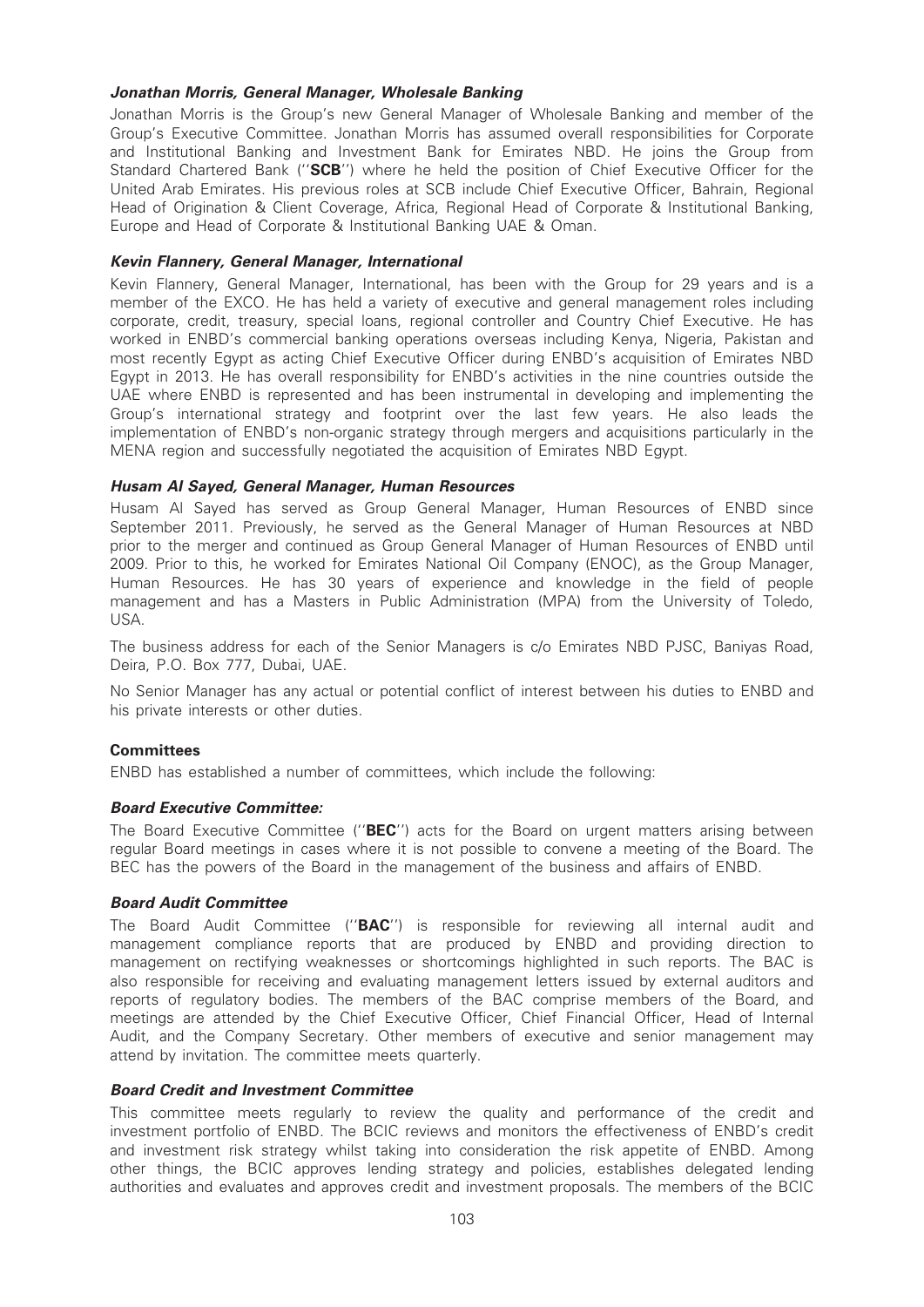### Jonathan Morris, General Manager, Wholesale Banking

Jonathan Morris is the Group's new General Manager of Wholesale Banking and member of the Group's Executive Committee. Jonathan Morris has assumed overall responsibilities for Corporate and Institutional Banking and Investment Bank for Emirates NBD. He joins the Group from Standard Chartered Bank ("SCB") where he held the position of Chief Executive Officer for the United Arab Emirates. His previous roles at SCB include Chief Executive Officer, Bahrain, Regional Head of Origination & Client Coverage, Africa, Regional Head of Corporate & Institutional Banking, Europe and Head of Corporate & Institutional Banking UAE & Oman.

### Kevin Flannery, General Manager, International

Kevin Flannery, General Manager, International, has been with the Group for 29 years and is a member of the EXCO. He has held a variety of executive and general management roles including corporate, credit, treasury, special loans, regional controller and Country Chief Executive. He has worked in ENBD's commercial banking operations overseas including Kenya, Nigeria, Pakistan and most recently Egypt as acting Chief Executive Officer during ENBD's acquisition of Emirates NBD Egypt in 2013. He has overall responsibility for ENBD's activities in the nine countries outside the UAE where ENBD is represented and has been instrumental in developing and implementing the Group's international strategy and footprint over the last few years. He also leads the implementation of ENBD's non-organic strategy through mergers and acquisitions particularly in the MENA region and successfully negotiated the acquisition of Emirates NBD Egypt.

### Husam Al Sayed, General Manager, Human Resources

Husam Al Sayed has served as Group General Manager, Human Resources of ENBD since September 2011. Previously, he served as the General Manager of Human Resources at NBD prior to the merger and continued as Group General Manager of Human Resources of ENBD until 2009. Prior to this, he worked for Emirates National Oil Company (ENOC), as the Group Manager, Human Resources. He has 30 years of experience and knowledge in the field of people management and has a Masters in Public Administration (MPA) from the University of Toledo, USA.

The business address for each of the Senior Managers is c/o Emirates NBD PJSC, Baniyas Road, Deira, P.O. Box 777, Dubai, UAE.

No Senior Manager has any actual or potential conflict of interest between his duties to ENBD and his private interests or other duties.

# **Committees**

ENBD has established a number of committees, which include the following:

#### Board Executive Committee:

The Board Executive Committee ("**BEC**") acts for the Board on urgent matters arising between regular Board meetings in cases where it is not possible to convene a meeting of the Board. The BEC has the powers of the Board in the management of the business and affairs of ENBD.

#### Board Audit Committee

The Board Audit Committee ("BAC") is responsible for reviewing all internal audit and management compliance reports that are produced by ENBD and providing direction to management on rectifying weaknesses or shortcomings highlighted in such reports. The BAC is also responsible for receiving and evaluating management letters issued by external auditors and reports of regulatory bodies. The members of the BAC comprise members of the Board, and meetings are attended by the Chief Executive Officer, Chief Financial Officer, Head of Internal Audit, and the Company Secretary. Other members of executive and senior management may attend by invitation. The committee meets quarterly.

#### Board Credit and Investment Committee

This committee meets regularly to review the quality and performance of the credit and investment portfolio of ENBD. The BCIC reviews and monitors the effectiveness of ENBD's credit and investment risk strategy whilst taking into consideration the risk appetite of ENBD. Among other things, the BCIC approves lending strategy and policies, establishes delegated lending authorities and evaluates and approves credit and investment proposals. The members of the BCIC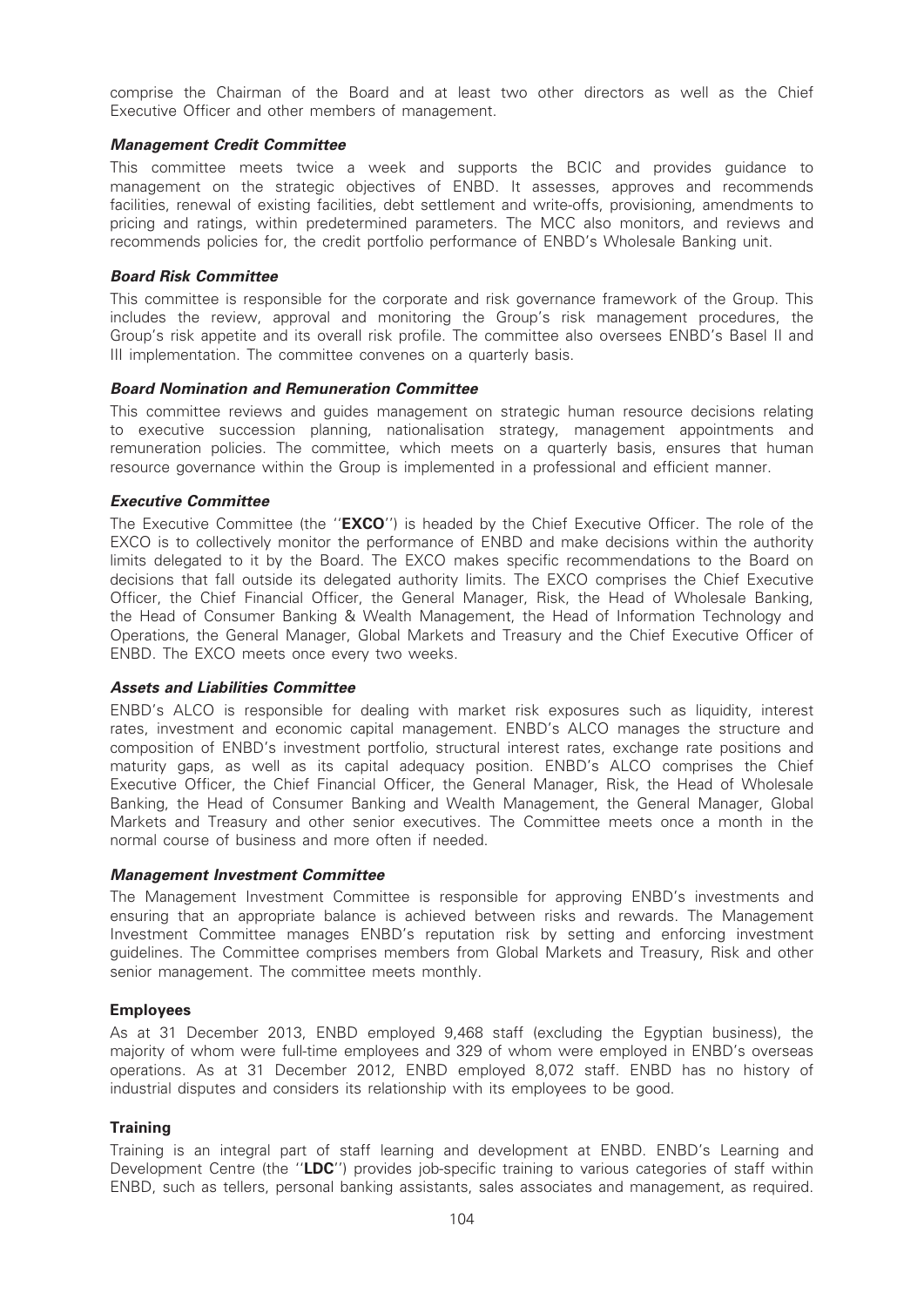comprise the Chairman of the Board and at least two other directors as well as the Chief Executive Officer and other members of management.

### Management Credit Committee

This committee meets twice a week and supports the BCIC and provides guidance to management on the strategic objectives of ENBD. It assesses, approves and recommends facilities, renewal of existing facilities, debt settlement and write-offs, provisioning, amendments to pricing and ratings, within predetermined parameters. The MCC also monitors, and reviews and recommends policies for, the credit portfolio performance of ENBD's Wholesale Banking unit.

### Board Risk Committee

This committee is responsible for the corporate and risk governance framework of the Group. This includes the review, approval and monitoring the Group's risk management procedures, the Group's risk appetite and its overall risk profile. The committee also oversees ENBD's Basel II and III implementation. The committee convenes on a quarterly basis.

### Board Nomination and Remuneration Committee

This committee reviews and guides management on strategic human resource decisions relating to executive succession planning, nationalisation strategy, management appointments and remuneration policies. The committee, which meets on a quarterly basis, ensures that human resource governance within the Group is implemented in a professional and efficient manner.

### Executive Committee

The Executive Committee (the "EXCO") is headed by the Chief Executive Officer. The role of the EXCO is to collectively monitor the performance of ENBD and make decisions within the authority limits delegated to it by the Board. The EXCO makes specific recommendations to the Board on decisions that fall outside its delegated authority limits. The EXCO comprises the Chief Executive Officer, the Chief Financial Officer, the General Manager, Risk, the Head of Wholesale Banking, the Head of Consumer Banking & Wealth Management, the Head of Information Technology and Operations, the General Manager, Global Markets and Treasury and the Chief Executive Officer of ENBD. The EXCO meets once every two weeks.

#### Assets and Liabilities Committee

ENBD's ALCO is responsible for dealing with market risk exposures such as liquidity, interest rates, investment and economic capital management. ENBD's ALCO manages the structure and composition of ENBD's investment portfolio, structural interest rates, exchange rate positions and maturity gaps, as well as its capital adequacy position. ENBD's ALCO comprises the Chief Executive Officer, the Chief Financial Officer, the General Manager, Risk, the Head of Wholesale Banking, the Head of Consumer Banking and Wealth Management, the General Manager, Global Markets and Treasury and other senior executives. The Committee meets once a month in the normal course of business and more often if needed.

#### Management Investment Committee

The Management Investment Committee is responsible for approving ENBD's investments and ensuring that an appropriate balance is achieved between risks and rewards. The Management Investment Committee manages ENBD's reputation risk by setting and enforcing investment guidelines. The Committee comprises members from Global Markets and Treasury, Risk and other senior management. The committee meets monthly.

#### Employees

As at 31 December 2013, ENBD employed 9,468 staff (excluding the Egyptian business), the majority of whom were full-time employees and 329 of whom were employed in ENBD's overseas operations. As at 31 December 2012, ENBD employed 8,072 staff. ENBD has no history of industrial disputes and considers its relationship with its employees to be good.

# **Training**

Training is an integral part of staff learning and development at ENBD. ENBD's Learning and Development Centre (the "LDC") provides job-specific training to various categories of staff within ENBD, such as tellers, personal banking assistants, sales associates and management, as required.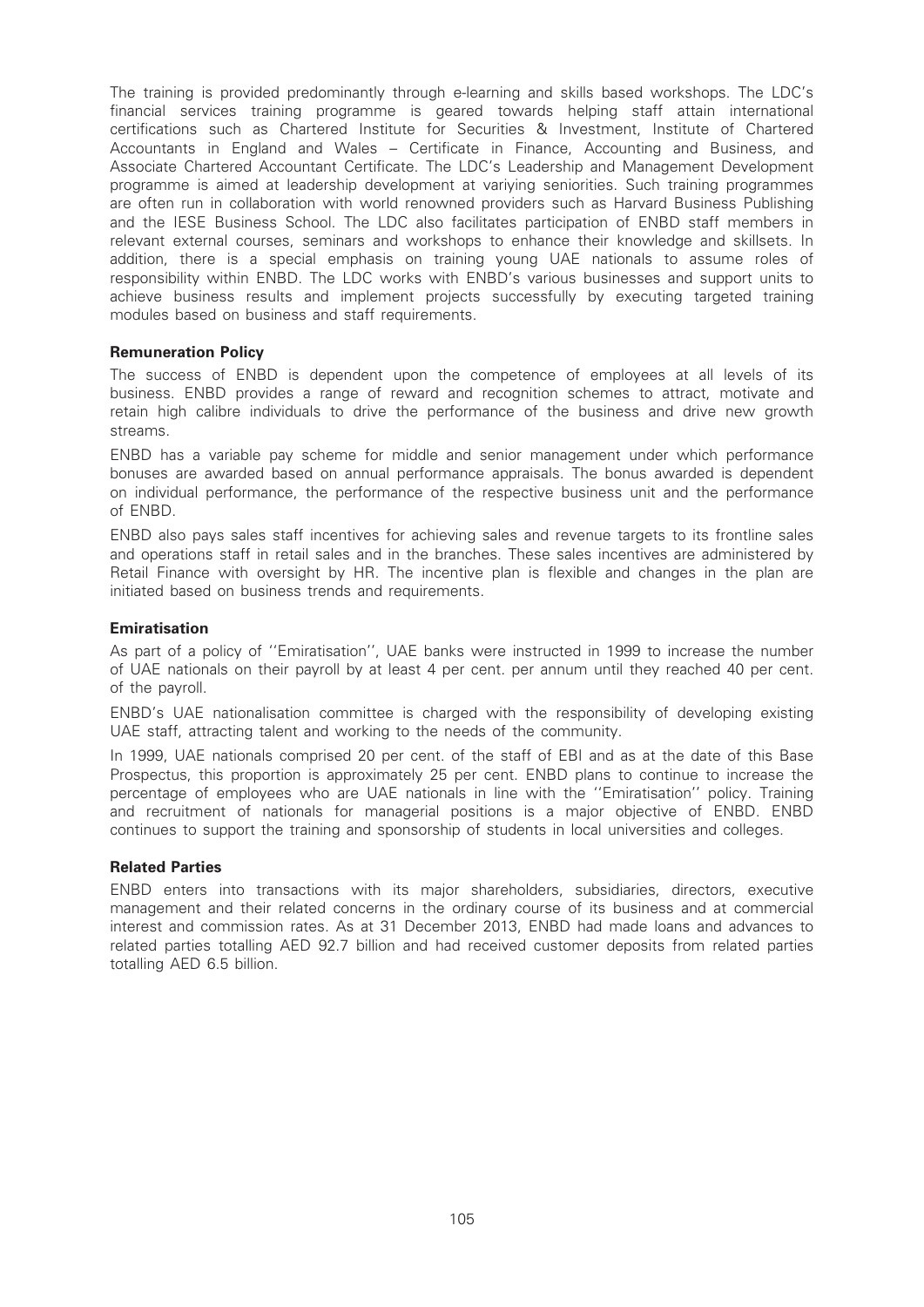The training is provided predominantly through e-learning and skills based workshops. The LDC's financial services training programme is geared towards helping staff attain international certifications such as Chartered Institute for Securities & Investment, Institute of Chartered Accountants in England and Wales – Certificate in Finance, Accounting and Business, and Associate Chartered Accountant Certificate. The LDC's Leadership and Management Development programme is aimed at leadership development at variying seniorities. Such training programmes are often run in collaboration with world renowned providers such as Harvard Business Publishing and the IESE Business School. The LDC also facilitates participation of ENBD staff members in relevant external courses, seminars and workshops to enhance their knowledge and skillsets. In addition, there is a special emphasis on training young UAE nationals to assume roles of responsibility within ENBD. The LDC works with ENBD's various businesses and support units to achieve business results and implement projects successfully by executing targeted training modules based on business and staff requirements.

# Remuneration Policy

The success of ENBD is dependent upon the competence of employees at all levels of its business. ENBD provides a range of reward and recognition schemes to attract, motivate and retain high calibre individuals to drive the performance of the business and drive new growth streams.

ENBD has a variable pay scheme for middle and senior management under which performance bonuses are awarded based on annual performance appraisals. The bonus awarded is dependent on individual performance, the performance of the respective business unit and the performance of ENBD.

ENBD also pays sales staff incentives for achieving sales and revenue targets to its frontline sales and operations staff in retail sales and in the branches. These sales incentives are administered by Retail Finance with oversight by HR. The incentive plan is flexible and changes in the plan are initiated based on business trends and requirements.

### Emiratisation

As part of a policy of ''Emiratisation'', UAE banks were instructed in 1999 to increase the number of UAE nationals on their payroll by at least 4 per cent. per annum until they reached 40 per cent. of the payroll.

ENBD's UAE nationalisation committee is charged with the responsibility of developing existing UAE staff, attracting talent and working to the needs of the community.

In 1999, UAE nationals comprised 20 per cent. of the staff of EBI and as at the date of this Base Prospectus, this proportion is approximately 25 per cent. ENBD plans to continue to increase the percentage of employees who are UAE nationals in line with the ''Emiratisation'' policy. Training and recruitment of nationals for managerial positions is a major objective of ENBD. ENBD continues to support the training and sponsorship of students in local universities and colleges.

#### Related Parties

ENBD enters into transactions with its major shareholders, subsidiaries, directors, executive management and their related concerns in the ordinary course of its business and at commercial interest and commission rates. As at 31 December 2013, ENBD had made loans and advances to related parties totalling AED 92.7 billion and had received customer deposits from related parties totalling AED 6.5 billion.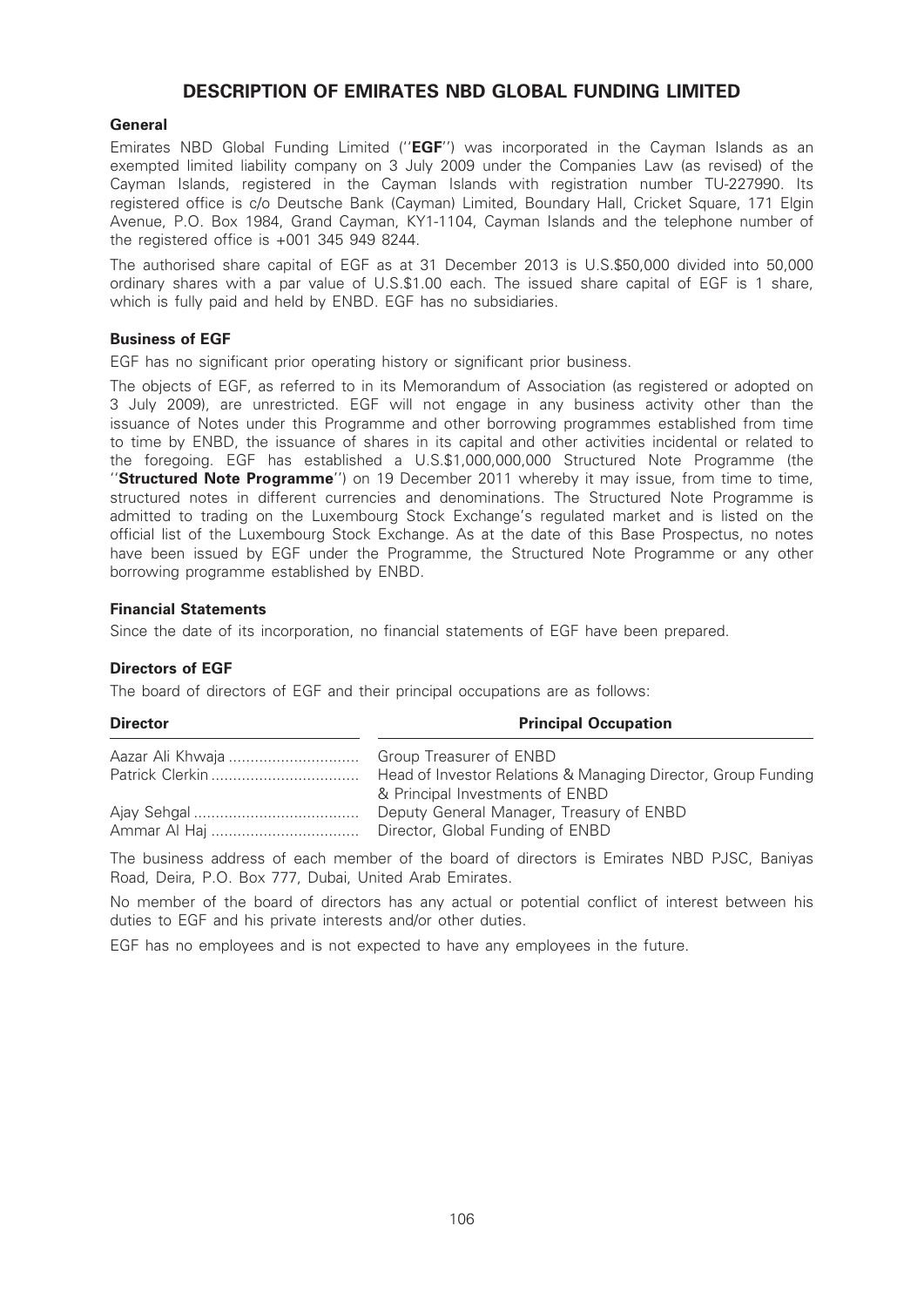# DESCRIPTION OF EMIRATES NBD GLOBAL FUNDING LIMITED

### General

Emirates NBD Global Funding Limited ("EGF") was incorporated in the Cayman Islands as an exempted limited liability company on 3 July 2009 under the Companies Law (as revised) of the Cayman Islands, registered in the Cayman Islands with registration number TU-227990. Its registered office is c/o Deutsche Bank (Cayman) Limited, Boundary Hall, Cricket Square, 171 Elgin Avenue, P.O. Box 1984, Grand Cayman, KY1-1104, Cayman Islands and the telephone number of the registered office is +001 345 949 8244.

The authorised share capital of EGF as at 31 December 2013 is U.S.\$50,000 divided into 50,000 ordinary shares with a par value of U.S.\$1.00 each. The issued share capital of EGF is 1 share, which is fully paid and held by ENBD. EGF has no subsidiaries.

### Business of EGF

EGF has no significant prior operating history or significant prior business.

The objects of EGF, as referred to in its Memorandum of Association (as registered or adopted on 3 July 2009), are unrestricted. EGF will not engage in any business activity other than the issuance of Notes under this Programme and other borrowing programmes established from time to time by ENBD, the issuance of shares in its capital and other activities incidental or related to the foregoing. EGF has established a U.S.\$1,000,000,000 Structured Note Programme (the "Structured Note Programme") on 19 December 2011 whereby it may issue, from time to time, structured notes in different currencies and denominations. The Structured Note Programme is admitted to trading on the Luxembourg Stock Exchange's regulated market and is listed on the official list of the Luxembourg Stock Exchange. As at the date of this Base Prospectus, no notes have been issued by EGF under the Programme, the Structured Note Programme or any other borrowing programme established by ENBD.

#### Financial Statements

Since the date of its incorporation, no financial statements of EGF have been prepared.

#### Directors of EGF

The board of directors of EGF and their principal occupations are as follows:

| <b>Principal Occupation</b>                                                                      |
|--------------------------------------------------------------------------------------------------|
|                                                                                                  |
| Head of Investor Relations & Managing Director, Group Funding<br>& Principal Investments of ENBD |
| Deputy General Manager, Treasury of ENBD<br>Director, Global Funding of ENBD                     |
|                                                                                                  |

The business address of each member of the board of directors is Emirates NBD PJSC, Baniyas Road, Deira, P.O. Box 777, Dubai, United Arab Emirates.

No member of the board of directors has any actual or potential conflict of interest between his duties to EGF and his private interests and/or other duties.

EGF has no employees and is not expected to have any employees in the future.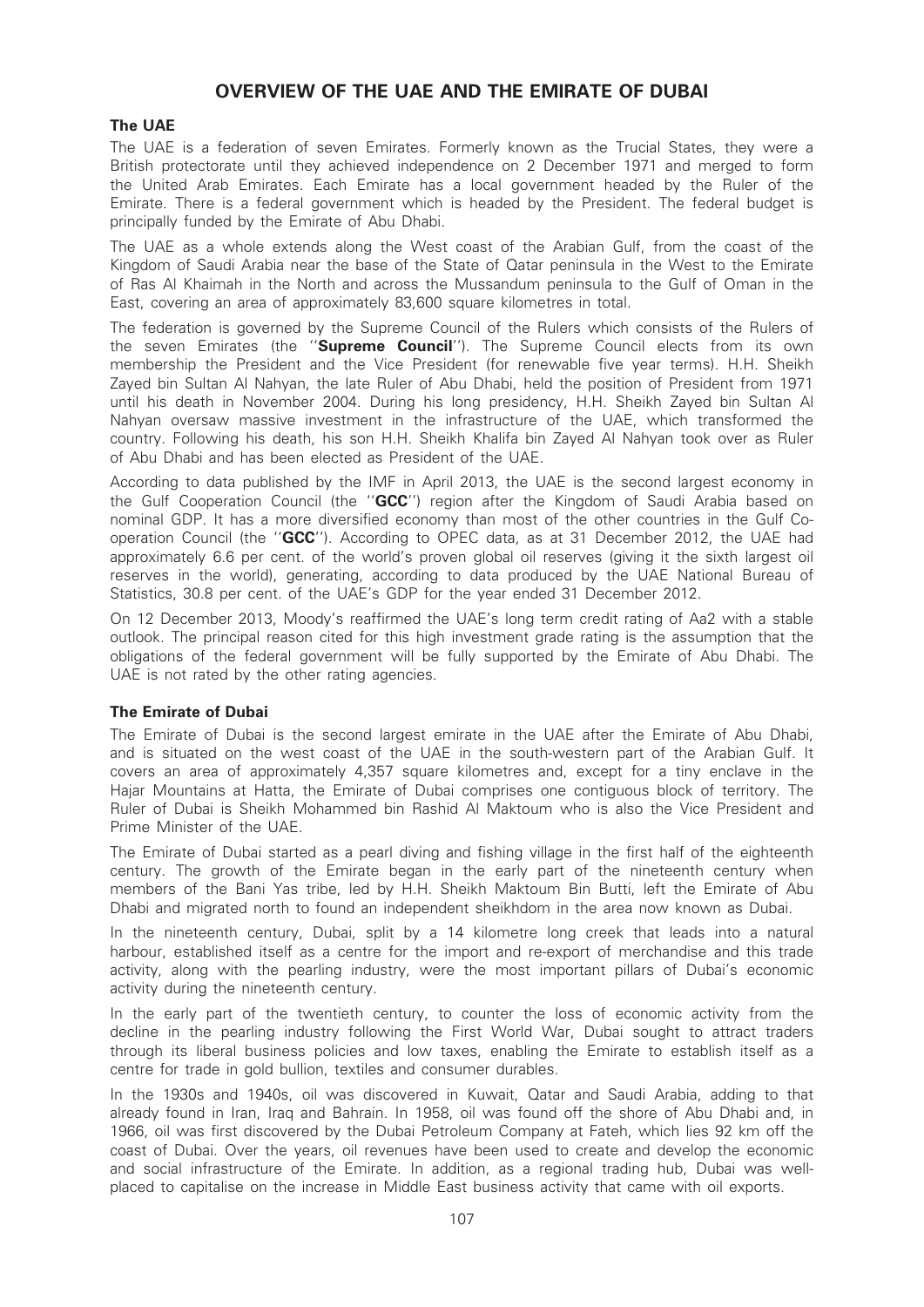# OVERVIEW OF THE UAE AND THE EMIRATE OF DUBAI

# The UAE

The UAE is a federation of seven Emirates. Formerly known as the Trucial States, they were a British protectorate until they achieved independence on 2 December 1971 and merged to form the United Arab Emirates. Each Emirate has a local government headed by the Ruler of the Emirate. There is a federal government which is headed by the President. The federal budget is principally funded by the Emirate of Abu Dhabi.

The UAE as a whole extends along the West coast of the Arabian Gulf, from the coast of the Kingdom of Saudi Arabia near the base of the State of Qatar peninsula in the West to the Emirate of Ras Al Khaimah in the North and across the Mussandum peninsula to the Gulf of Oman in the East, covering an area of approximately 83,600 square kilometres in total.

The federation is governed by the Supreme Council of the Rulers which consists of the Rulers of the seven Emirates (the "Supreme Council"). The Supreme Council elects from its own membership the President and the Vice President (for renewable five year terms). H.H. Sheikh Zayed bin Sultan Al Nahyan, the late Ruler of Abu Dhabi, held the position of President from 1971 until his death in November 2004. During his long presidency, H.H. Sheikh Zayed bin Sultan Al Nahyan oversaw massive investment in the infrastructure of the UAE, which transformed the country. Following his death, his son H.H. Sheikh Khalifa bin Zayed Al Nahyan took over as Ruler of Abu Dhabi and has been elected as President of the UAE.

According to data published by the IMF in April 2013, the UAE is the second largest economy in the Gulf Cooperation Council (the "GCC") region after the Kingdom of Saudi Arabia based on nominal GDP. It has a more diversified economy than most of the other countries in the Gulf Cooperation Council (the "GCC"). According to OPEC data, as at 31 December 2012, the UAE had approximately 6.6 per cent. of the world's proven global oil reserves (giving it the sixth largest oil reserves in the world), generating, according to data produced by the UAE National Bureau of Statistics, 30.8 per cent. of the UAE's GDP for the year ended 31 December 2012.

On 12 December 2013, Moody's reaffirmed the UAE's long term credit rating of Aa2 with a stable outlook. The principal reason cited for this high investment grade rating is the assumption that the obligations of the federal government will be fully supported by the Emirate of Abu Dhabi. The UAE is not rated by the other rating agencies.

# The Emirate of Dubai

The Emirate of Dubai is the second largest emirate in the UAE after the Emirate of Abu Dhabi, and is situated on the west coast of the UAE in the south-western part of the Arabian Gulf. It covers an area of approximately 4,357 square kilometres and, except for a tiny enclave in the Hajar Mountains at Hatta, the Emirate of Dubai comprises one contiguous block of territory. The Ruler of Dubai is Sheikh Mohammed bin Rashid Al Maktoum who is also the Vice President and Prime Minister of the UAE.

The Emirate of Dubai started as a pearl diving and fishing village in the first half of the eighteenth century. The growth of the Emirate began in the early part of the nineteenth century when members of the Bani Yas tribe, led by H.H. Sheikh Maktoum Bin Butti, left the Emirate of Abu Dhabi and migrated north to found an independent sheikhdom in the area now known as Dubai.

In the nineteenth century, Dubai, split by a 14 kilometre long creek that leads into a natural harbour, established itself as a centre for the import and re-export of merchandise and this trade activity, along with the pearling industry, were the most important pillars of Dubai's economic activity during the nineteenth century.

In the early part of the twentieth century, to counter the loss of economic activity from the decline in the pearling industry following the First World War, Dubai sought to attract traders through its liberal business policies and low taxes, enabling the Emirate to establish itself as a centre for trade in gold bullion, textiles and consumer durables.

In the 1930s and 1940s, oil was discovered in Kuwait, Qatar and Saudi Arabia, adding to that already found in Iran, Iraq and Bahrain. In 1958, oil was found off the shore of Abu Dhabi and, in 1966, oil was first discovered by the Dubai Petroleum Company at Fateh, which lies 92 km off the coast of Dubai. Over the years, oil revenues have been used to create and develop the economic and social infrastructure of the Emirate. In addition, as a regional trading hub, Dubai was wellplaced to capitalise on the increase in Middle East business activity that came with oil exports.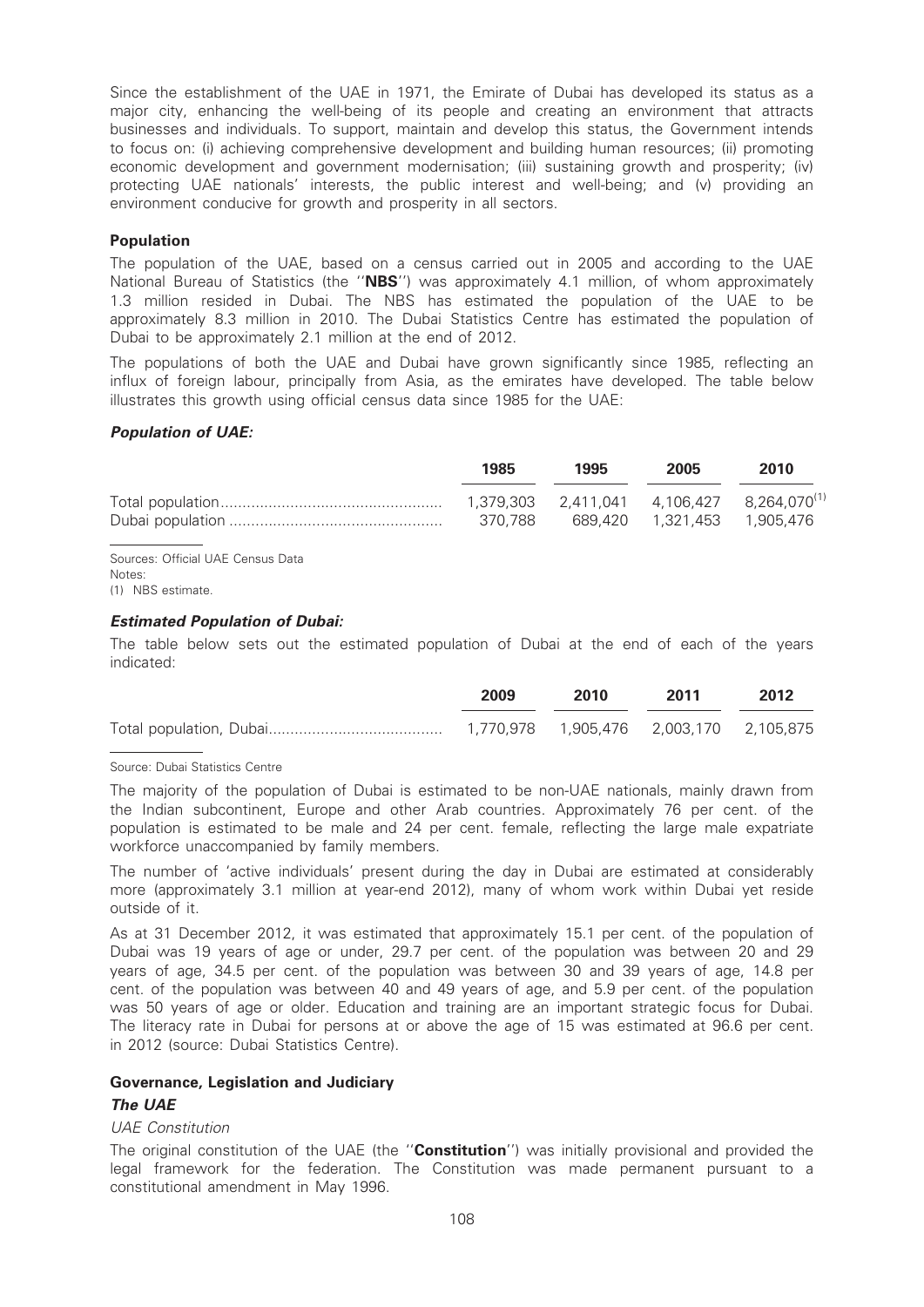Since the establishment of the UAE in 1971, the Emirate of Dubai has developed its status as a major city, enhancing the well-being of its people and creating an environment that attracts businesses and individuals. To support, maintain and develop this status, the Government intends to focus on: (i) achieving comprehensive development and building human resources; (ii) promoting economic development and government modernisation; (iii) sustaining growth and prosperity; (iv) protecting UAE nationals' interests, the public interest and well-being; and (v) providing an environment conducive for growth and prosperity in all sectors.

### Population

The population of the UAE, based on a census carried out in 2005 and according to the UAE National Bureau of Statistics (the "NBS") was approximately 4.1 million, of whom approximately 1.3 million resided in Dubai. The NBS has estimated the population of the UAE to be approximately 8.3 million in 2010. The Dubai Statistics Centre has estimated the population of Dubai to be approximately 2.1 million at the end of 2012.

The populations of both the UAE and Dubai have grown significantly since 1985, reflecting an influx of foreign labour, principally from Asia, as the emirates have developed. The table below illustrates this growth using official census data since 1985 for the UAE:

#### Population of UAE:

| 1985    | 1995 | 2005 | 2010 |
|---------|------|------|------|
|         |      |      |      |
| 370.788 |      |      |      |

Sources: Official UAE Census Data Notes: (1) NBS estimate.

### Estimated Population of Dubai:

The table below sets out the estimated population of Dubai at the end of each of the years indicated:

| 2009 | 2010 | 2011 | 2012 |
|------|------|------|------|
|      |      |      |      |

#### Source: Dubai Statistics Centre

The majority of the population of Dubai is estimated to be non-UAE nationals, mainly drawn from the Indian subcontinent, Europe and other Arab countries. Approximately 76 per cent. of the population is estimated to be male and 24 per cent. female, reflecting the large male expatriate workforce unaccompanied by family members.

The number of 'active individuals' present during the day in Dubai are estimated at considerably more (approximately 3.1 million at year-end 2012), many of whom work within Dubai yet reside outside of it.

As at 31 December 2012, it was estimated that approximately 15.1 per cent. of the population of Dubai was 19 years of age or under, 29.7 per cent. of the population was between 20 and 29 years of age, 34.5 per cent. of the population was between 30 and 39 years of age, 14.8 per cent. of the population was between 40 and 49 years of age, and 5.9 per cent. of the population was 50 years of age or older. Education and training are an important strategic focus for Dubai. The literacy rate in Dubai for persons at or above the age of 15 was estimated at 96.6 per cent. in 2012 (source: Dubai Statistics Centre).

### Governance, Legislation and Judiciary

### The UAE

#### UAE Constitution

The original constitution of the UAE (the "Constitution") was initially provisional and provided the legal framework for the federation. The Constitution was made permanent pursuant to a constitutional amendment in May 1996.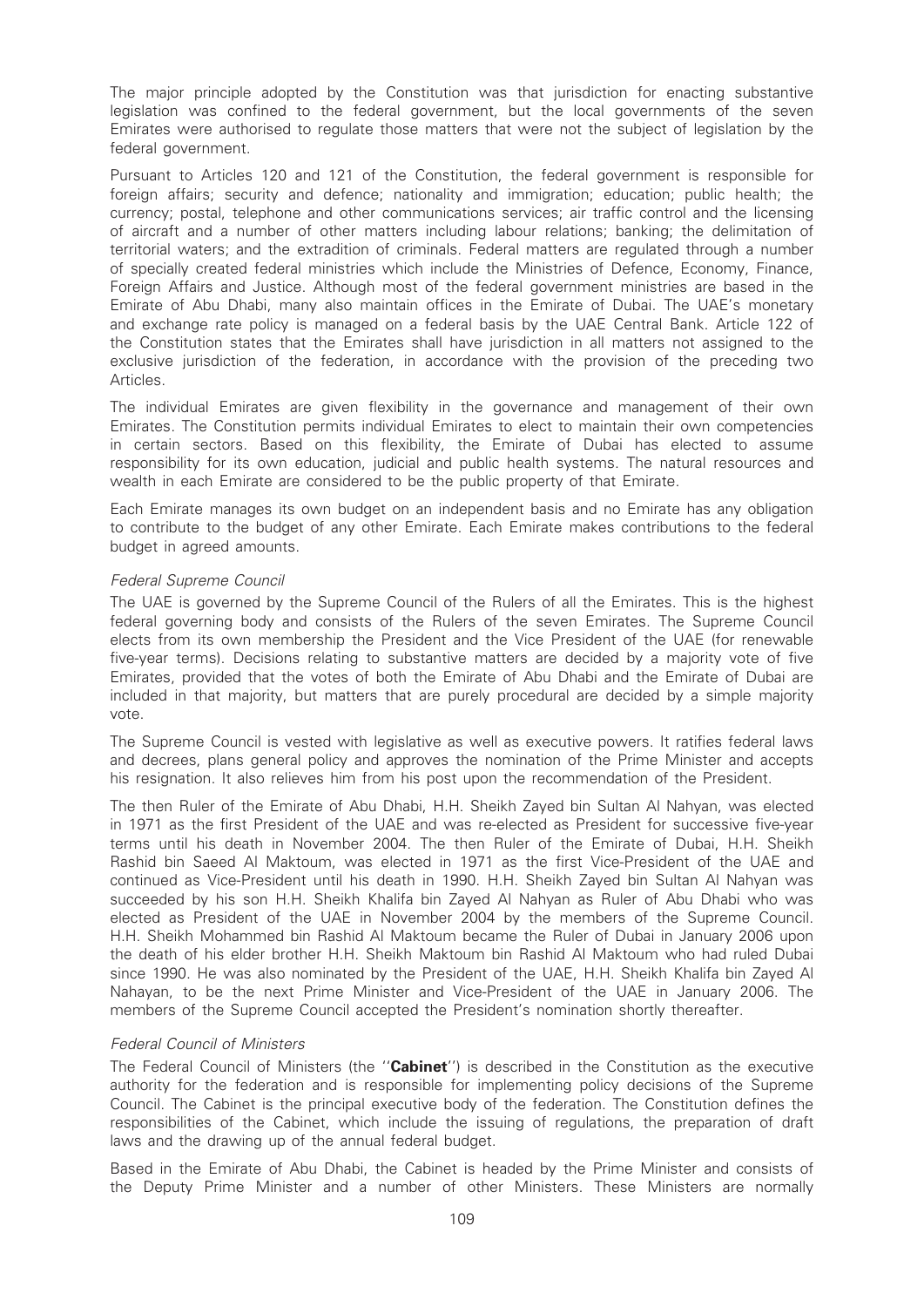The major principle adopted by the Constitution was that jurisdiction for enacting substantive legislation was confined to the federal government, but the local governments of the seven Emirates were authorised to regulate those matters that were not the subject of legislation by the federal government.

Pursuant to Articles 120 and 121 of the Constitution, the federal government is responsible for foreign affairs; security and defence; nationality and immigration; education; public health; the currency; postal, telephone and other communications services; air traffic control and the licensing of aircraft and a number of other matters including labour relations; banking; the delimitation of territorial waters; and the extradition of criminals. Federal matters are regulated through a number of specially created federal ministries which include the Ministries of Defence, Economy, Finance, Foreign Affairs and Justice. Although most of the federal government ministries are based in the Emirate of Abu Dhabi, many also maintain offices in the Emirate of Dubai. The UAE's monetary and exchange rate policy is managed on a federal basis by the UAE Central Bank. Article 122 of the Constitution states that the Emirates shall have jurisdiction in all matters not assigned to the exclusive jurisdiction of the federation, in accordance with the provision of the preceding two Articles.

The individual Emirates are given flexibility in the governance and management of their own Emirates. The Constitution permits individual Emirates to elect to maintain their own competencies in certain sectors. Based on this flexibility, the Emirate of Dubai has elected to assume responsibility for its own education, judicial and public health systems. The natural resources and wealth in each Emirate are considered to be the public property of that Emirate.

Each Emirate manages its own budget on an independent basis and no Emirate has any obligation to contribute to the budget of any other Emirate. Each Emirate makes contributions to the federal budget in agreed amounts.

#### Federal Supreme Council

The UAE is governed by the Supreme Council of the Rulers of all the Emirates. This is the highest federal governing body and consists of the Rulers of the seven Emirates. The Supreme Council elects from its own membership the President and the Vice President of the UAE (for renewable five-year terms). Decisions relating to substantive matters are decided by a majority vote of five Emirates, provided that the votes of both the Emirate of Abu Dhabi and the Emirate of Dubai are included in that majority, but matters that are purely procedural are decided by a simple majority vote.

The Supreme Council is vested with legislative as well as executive powers. It ratifies federal laws and decrees, plans general policy and approves the nomination of the Prime Minister and accepts his resignation. It also relieves him from his post upon the recommendation of the President.

The then Ruler of the Emirate of Abu Dhabi, H.H. Sheikh Zayed bin Sultan Al Nahyan, was elected in 1971 as the first President of the UAE and was re-elected as President for successive five-year terms until his death in November 2004. The then Ruler of the Emirate of Dubai, H.H. Sheikh Rashid bin Saeed Al Maktoum, was elected in 1971 as the first Vice-President of the UAE and continued as Vice-President until his death in 1990. H.H. Sheikh Zayed bin Sultan Al Nahyan was succeeded by his son H.H. Sheikh Khalifa bin Zayed Al Nahyan as Ruler of Abu Dhabi who was elected as President of the UAE in November 2004 by the members of the Supreme Council. H.H. Sheikh Mohammed bin Rashid Al Maktoum became the Ruler of Dubai in January 2006 upon the death of his elder brother H.H. Sheikh Maktoum bin Rashid Al Maktoum who had ruled Dubai since 1990. He was also nominated by the President of the UAE, H.H. Sheikh Khalifa bin Zayed Al Nahayan, to be the next Prime Minister and Vice-President of the UAE in January 2006. The members of the Supreme Council accepted the President's nomination shortly thereafter.

#### Federal Council of Ministers

The Federal Council of Ministers (the "Cabinet") is described in the Constitution as the executive authority for the federation and is responsible for implementing policy decisions of the Supreme Council. The Cabinet is the principal executive body of the federation. The Constitution defines the responsibilities of the Cabinet, which include the issuing of regulations, the preparation of draft laws and the drawing up of the annual federal budget.

Based in the Emirate of Abu Dhabi, the Cabinet is headed by the Prime Minister and consists of the Deputy Prime Minister and a number of other Ministers. These Ministers are normally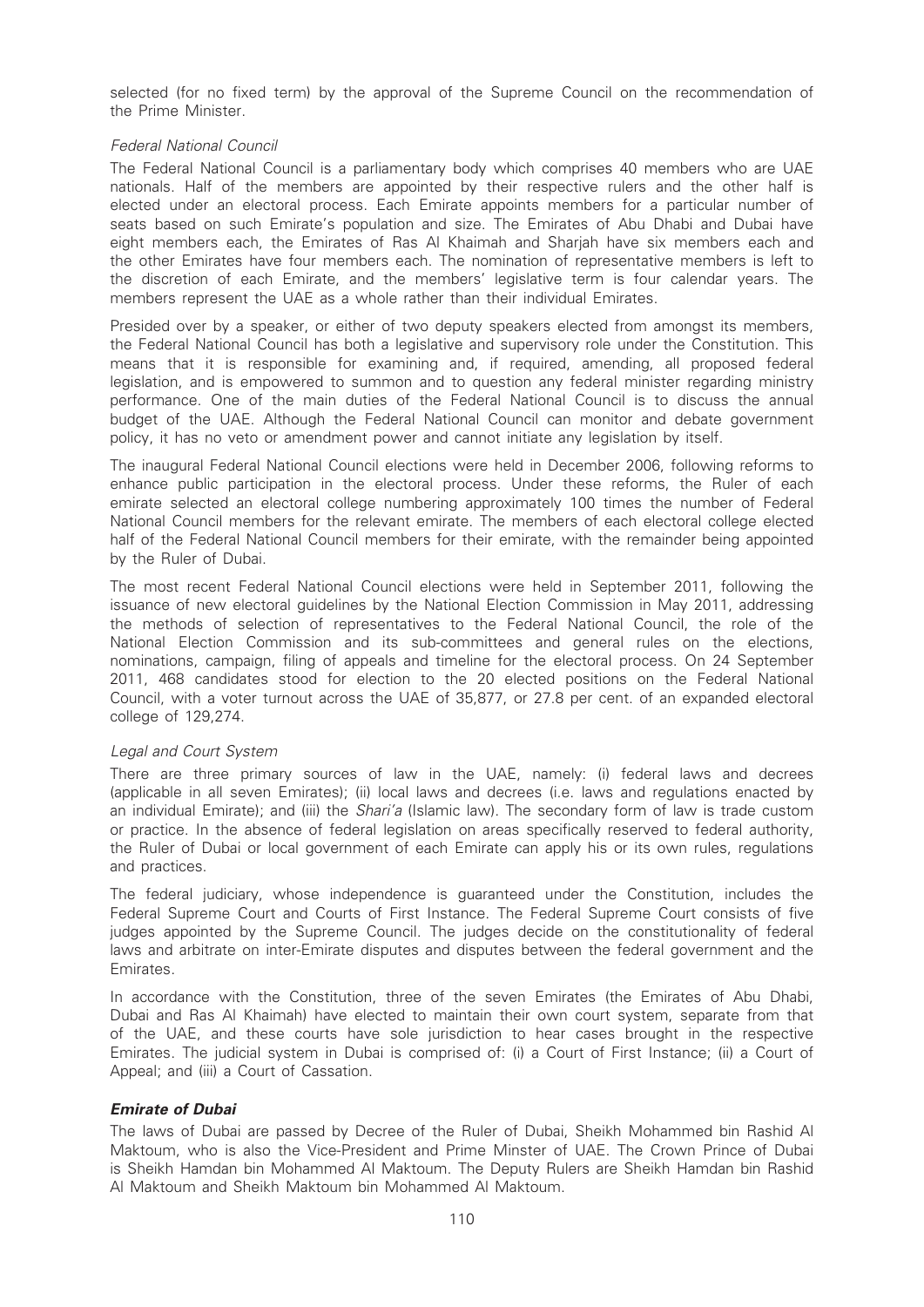selected (for no fixed term) by the approval of the Supreme Council on the recommendation of the Prime Minister.

### Federal National Council

The Federal National Council is a parliamentary body which comprises 40 members who are UAE nationals. Half of the members are appointed by their respective rulers and the other half is elected under an electoral process. Each Emirate appoints members for a particular number of seats based on such Emirate's population and size. The Emirates of Abu Dhabi and Dubai have eight members each, the Emirates of Ras Al Khaimah and Sharjah have six members each and the other Emirates have four members each. The nomination of representative members is left to the discretion of each Emirate, and the members' legislative term is four calendar years. The members represent the UAE as a whole rather than their individual Emirates.

Presided over by a speaker, or either of two deputy speakers elected from amongst its members, the Federal National Council has both a legislative and supervisory role under the Constitution. This means that it is responsible for examining and, if required, amending, all proposed federal legislation, and is empowered to summon and to question any federal minister regarding ministry performance. One of the main duties of the Federal National Council is to discuss the annual budget of the UAE. Although the Federal National Council can monitor and debate government policy, it has no veto or amendment power and cannot initiate any legislation by itself.

The inaugural Federal National Council elections were held in December 2006, following reforms to enhance public participation in the electoral process. Under these reforms, the Ruler of each emirate selected an electoral college numbering approximately 100 times the number of Federal National Council members for the relevant emirate. The members of each electoral college elected half of the Federal National Council members for their emirate, with the remainder being appointed by the Ruler of Dubai.

The most recent Federal National Council elections were held in September 2011, following the issuance of new electoral guidelines by the National Election Commission in May 2011, addressing the methods of selection of representatives to the Federal National Council, the role of the National Election Commission and its sub-committees and general rules on the elections, nominations, campaign, filing of appeals and timeline for the electoral process. On 24 September 2011, 468 candidates stood for election to the 20 elected positions on the Federal National Council, with a voter turnout across the UAE of 35,877, or 27.8 per cent. of an expanded electoral college of 129,274.

#### Legal and Court System

There are three primary sources of law in the UAE, namely: (i) federal laws and decrees (applicable in all seven Emirates); (ii) local laws and decrees (i.e. laws and regulations enacted by an individual Emirate); and (iii) the *Shari'a* (Islamic law). The secondary form of law is trade custom or practice. In the absence of federal legislation on areas specifically reserved to federal authority, the Ruler of Dubai or local government of each Emirate can apply his or its own rules, regulations and practices.

The federal judiciary, whose independence is guaranteed under the Constitution, includes the Federal Supreme Court and Courts of First Instance. The Federal Supreme Court consists of five judges appointed by the Supreme Council. The judges decide on the constitutionality of federal laws and arbitrate on inter-Emirate disputes and disputes between the federal government and the Emirates.

In accordance with the Constitution, three of the seven Emirates (the Emirates of Abu Dhabi, Dubai and Ras Al Khaimah) have elected to maintain their own court system, separate from that of the UAE, and these courts have sole jurisdiction to hear cases brought in the respective Emirates. The judicial system in Dubai is comprised of: (i) a Court of First Instance; (ii) a Court of Appeal; and (iii) a Court of Cassation.

# Emirate of Dubai

The laws of Dubai are passed by Decree of the Ruler of Dubai, Sheikh Mohammed bin Rashid Al Maktoum, who is also the Vice-President and Prime Minster of UAE. The Crown Prince of Dubai is Sheikh Hamdan bin Mohammed Al Maktoum. The Deputy Rulers are Sheikh Hamdan bin Rashid Al Maktoum and Sheikh Maktoum bin Mohammed Al Maktoum.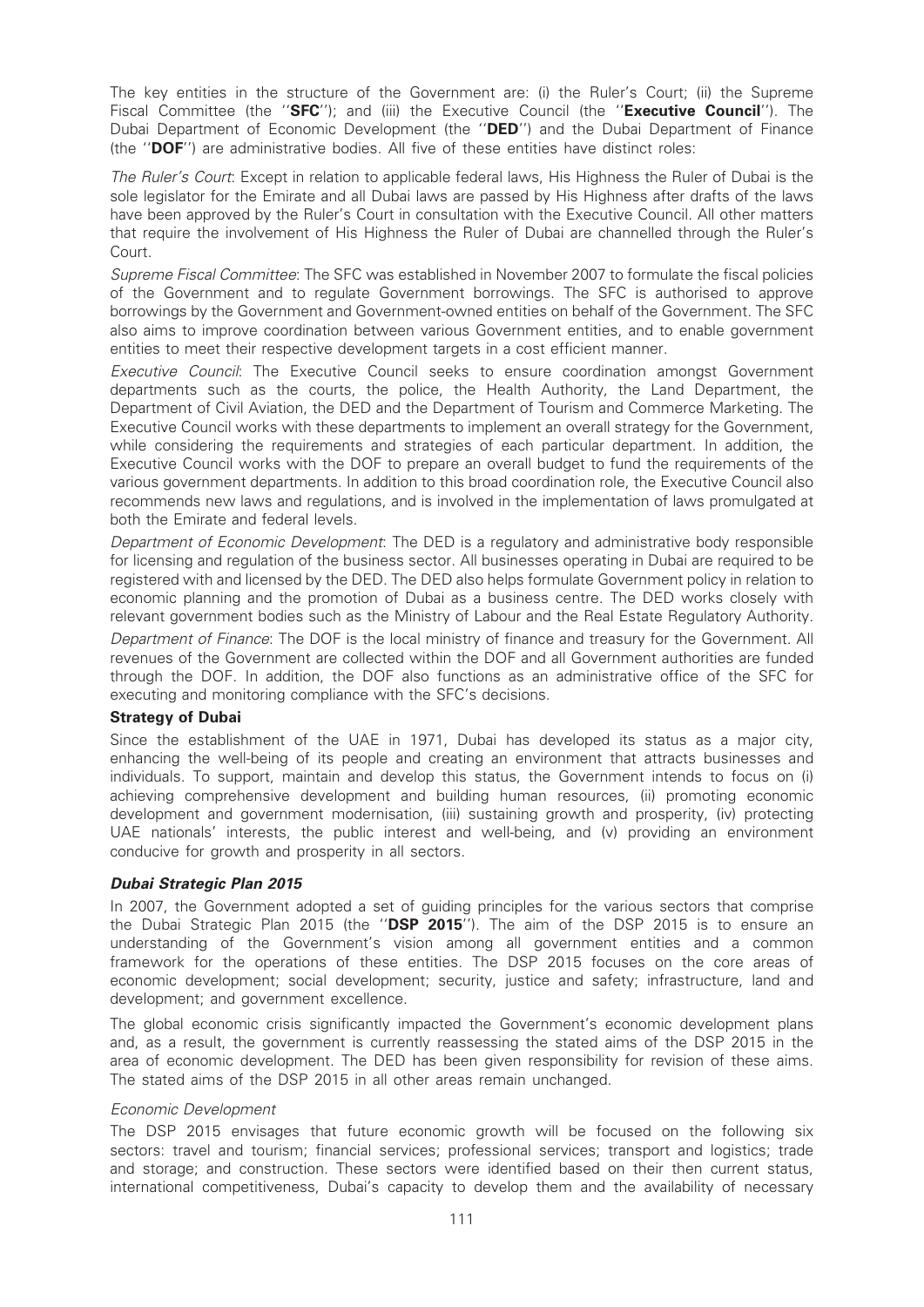The key entities in the structure of the Government are: (i) the Ruler's Court; (ii) the Supreme Fiscal Committee (the "SFC"); and (iii) the Executive Council (the "Executive Council"). The Dubai Department of Economic Development (the ''DED'') and the Dubai Department of Finance (the ''DOF'') are administrative bodies. All five of these entities have distinct roles:

The Ruler's Court: Except in relation to applicable federal laws, His Highness the Ruler of Dubai is the sole legislator for the Emirate and all Dubai laws are passed by His Highness after drafts of the laws have been approved by the Ruler's Court in consultation with the Executive Council. All other matters that require the involvement of His Highness the Ruler of Dubai are channelled through the Ruler's Court.

Supreme Fiscal Committee: The SFC was established in November 2007 to formulate the fiscal policies of the Government and to regulate Government borrowings. The SFC is authorised to approve borrowings by the Government and Government-owned entities on behalf of the Government. The SFC also aims to improve coordination between various Government entities, and to enable government entities to meet their respective development targets in a cost efficient manner.

Executive Council: The Executive Council seeks to ensure coordination amongst Government departments such as the courts, the police, the Health Authority, the Land Department, the Department of Civil Aviation, the DED and the Department of Tourism and Commerce Marketing. The Executive Council works with these departments to implement an overall strategy for the Government, while considering the requirements and strategies of each particular department. In addition, the Executive Council works with the DOF to prepare an overall budget to fund the requirements of the various government departments. In addition to this broad coordination role, the Executive Council also recommends new laws and regulations, and is involved in the implementation of laws promulgated at both the Emirate and federal levels.

Department of Economic Development: The DED is a regulatory and administrative body responsible for licensing and regulation of the business sector. All businesses operating in Dubai are required to be registered with and licensed by the DED. The DED also helps formulate Government policy in relation to economic planning and the promotion of Dubai as a business centre. The DED works closely with relevant government bodies such as the Ministry of Labour and the Real Estate Regulatory Authority.

Department of Finance: The DOF is the local ministry of finance and treasury for the Government. All revenues of the Government are collected within the DOF and all Government authorities are funded through the DOF. In addition, the DOF also functions as an administrative office of the SFC for executing and monitoring compliance with the SFC's decisions.

# Strategy of Dubai

Since the establishment of the UAE in 1971, Dubai has developed its status as a major city, enhancing the well-being of its people and creating an environment that attracts businesses and individuals. To support, maintain and develop this status, the Government intends to focus on (i) achieving comprehensive development and building human resources, (ii) promoting economic development and government modernisation, (iii) sustaining growth and prosperity, (iv) protecting UAE nationals' interests, the public interest and well-being, and (v) providing an environment conducive for growth and prosperity in all sectors.

# Dubai Strategic Plan 2015

In 2007, the Government adopted a set of guiding principles for the various sectors that comprise the Dubai Strategic Plan 2015 (the "DSP 2015"). The aim of the DSP 2015 is to ensure an understanding of the Government's vision among all government entities and a common framework for the operations of these entities. The DSP 2015 focuses on the core areas of economic development; social development; security, justice and safety; infrastructure, land and development; and government excellence.

The global economic crisis significantly impacted the Government's economic development plans and, as a result, the government is currently reassessing the stated aims of the DSP 2015 in the area of economic development. The DED has been given responsibility for revision of these aims. The stated aims of the DSP 2015 in all other areas remain unchanged.

#### Economic Development

The DSP 2015 envisages that future economic growth will be focused on the following six sectors: travel and tourism; financial services; professional services; transport and logistics; trade and storage; and construction. These sectors were identified based on their then current status, international competitiveness, Dubai's capacity to develop them and the availability of necessary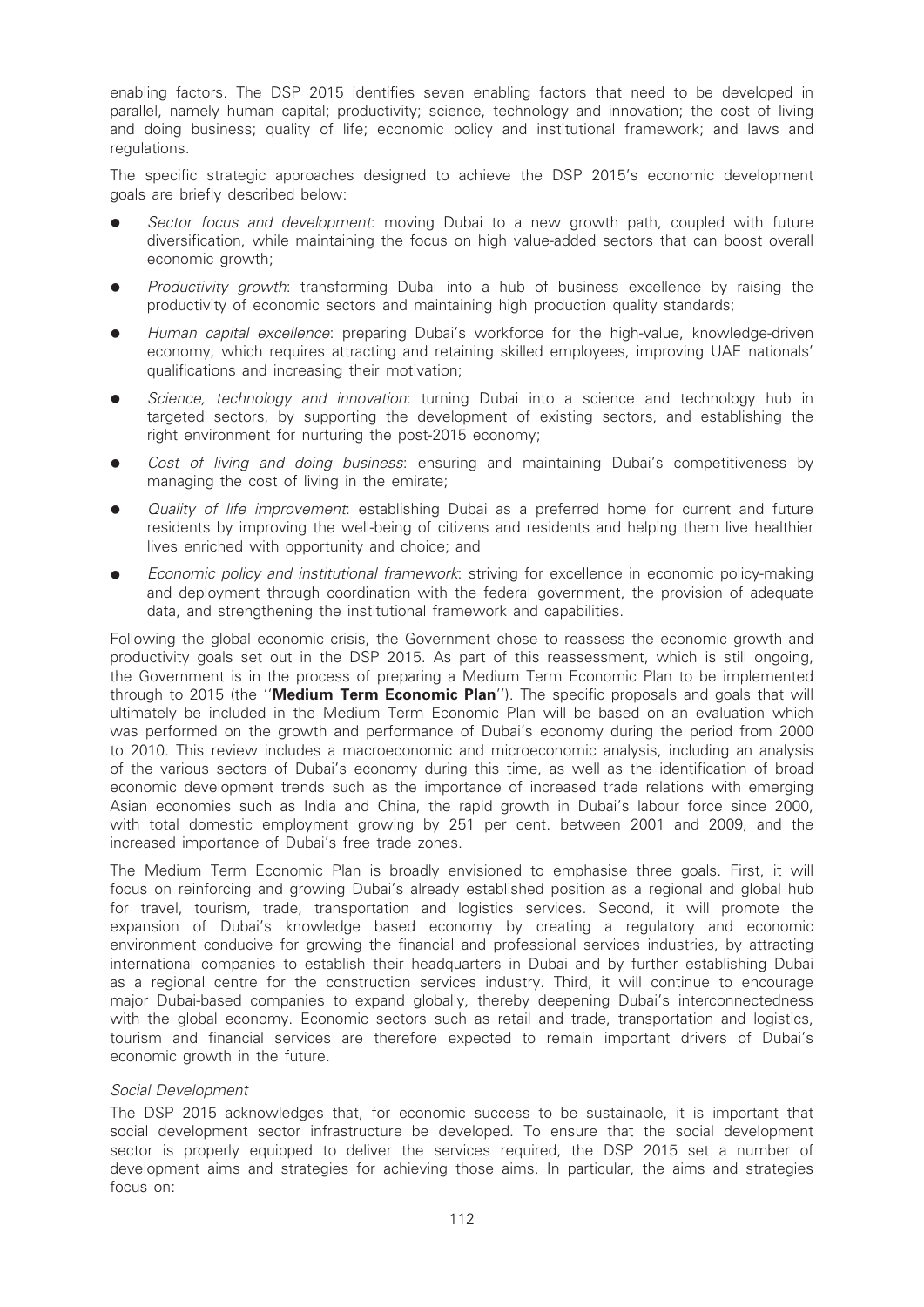enabling factors. The DSP 2015 identifies seven enabling factors that need to be developed in parallel, namely human capital; productivity; science, technology and innovation; the cost of living and doing business; quality of life; economic policy and institutional framework; and laws and regulations.

The specific strategic approaches designed to achieve the DSP 2015's economic development goals are briefly described below:

- Sector focus and development: moving Dubai to a new growth path, coupled with future diversification, while maintaining the focus on high value-added sectors that can boost overall economic growth:
- Productivity growth: transforming Dubai into a hub of business excellence by raising the productivity of economic sectors and maintaining high production quality standards;
- Human capital excellence: preparing Dubai's workforce for the high-value, knowledge-driven economy, which requires attracting and retaining skilled employees, improving UAE nationals' qualifications and increasing their motivation;
- Science, technology and innovation: turning Dubai into a science and technology hub in targeted sectors, by supporting the development of existing sectors, and establishing the right environment for nurturing the post-2015 economy;
- Cost of living and doing business: ensuring and maintaining Dubai's competitiveness by managing the cost of living in the emirate;
- Quality of life improvement: establishing Dubai as a preferred home for current and future residents by improving the well-being of citizens and residents and helping them live healthier lives enriched with opportunity and choice; and
- Economic policy and institutional framework: striving for excellence in economic policy-making and deployment through coordination with the federal government, the provision of adequate data, and strengthening the institutional framework and capabilities.

Following the global economic crisis, the Government chose to reassess the economic growth and productivity goals set out in the DSP 2015. As part of this reassessment, which is still ongoing, the Government is in the process of preparing a Medium Term Economic Plan to be implemented through to 2015 (the "Medium Term Economic Plan"). The specific proposals and goals that will ultimately be included in the Medium Term Economic Plan will be based on an evaluation which was performed on the growth and performance of Dubai's economy during the period from 2000 to 2010. This review includes a macroeconomic and microeconomic analysis, including an analysis of the various sectors of Dubai's economy during this time, as well as the identification of broad economic development trends such as the importance of increased trade relations with emerging Asian economies such as India and China, the rapid growth in Dubai's labour force since 2000, with total domestic employment growing by 251 per cent. between 2001 and 2009, and the increased importance of Dubai's free trade zones.

The Medium Term Economic Plan is broadly envisioned to emphasise three goals. First, it will focus on reinforcing and growing Dubai's already established position as a regional and global hub for travel, tourism, trade, transportation and logistics services. Second, it will promote the expansion of Dubai's knowledge based economy by creating a regulatory and economic environment conducive for growing the financial and professional services industries, by attracting international companies to establish their headquarters in Dubai and by further establishing Dubai as a regional centre for the construction services industry. Third, it will continue to encourage major Dubai-based companies to expand globally, thereby deepening Dubai's interconnectedness with the global economy. Economic sectors such as retail and trade, transportation and logistics, tourism and financial services are therefore expected to remain important drivers of Dubai's economic growth in the future.

#### Social Development

The DSP 2015 acknowledges that, for economic success to be sustainable, it is important that social development sector infrastructure be developed. To ensure that the social development sector is properly equipped to deliver the services required, the DSP 2015 set a number of development aims and strategies for achieving those aims. In particular, the aims and strategies focus on: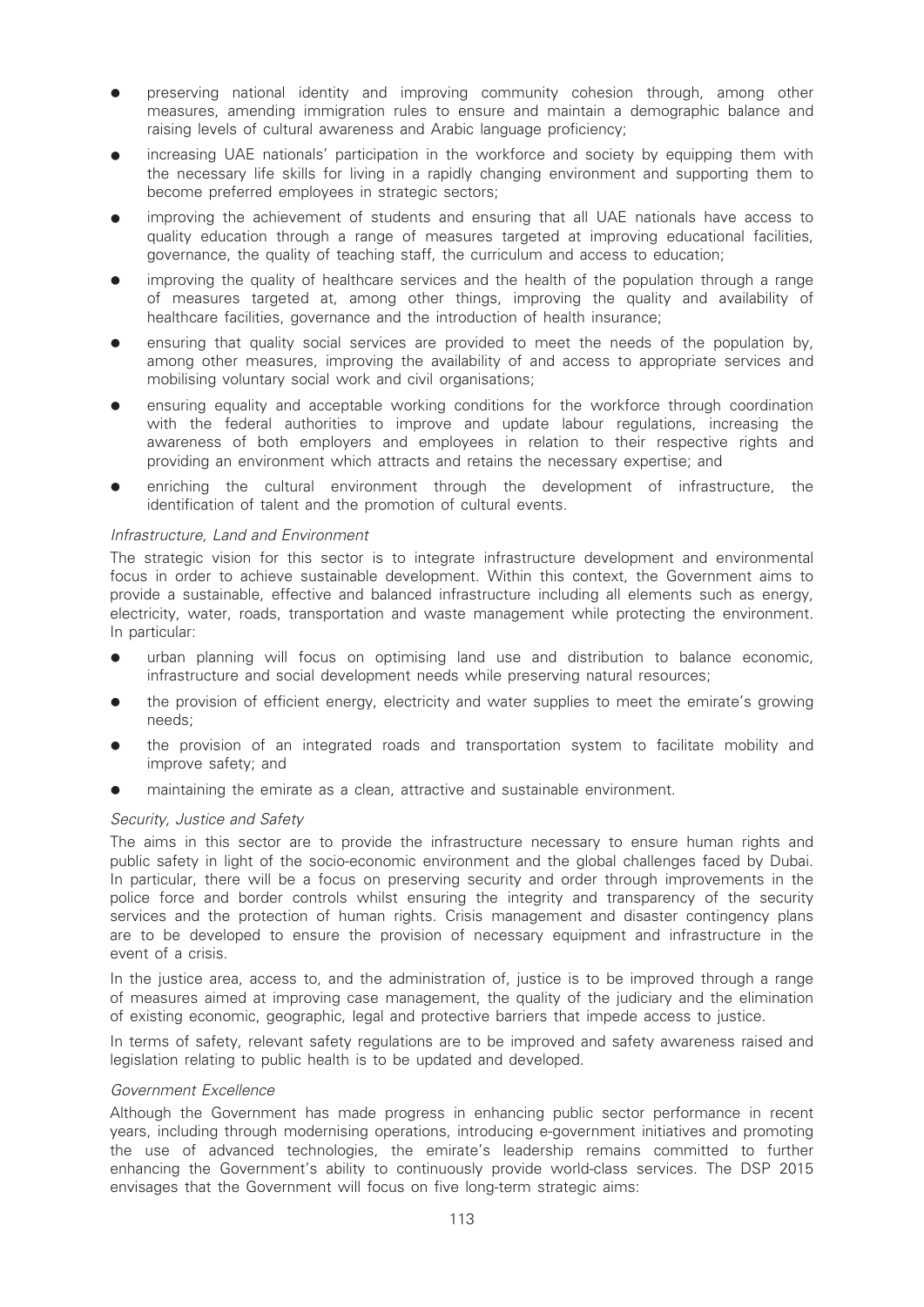- preserving national identity and improving community cohesion through, among other measures, amending immigration rules to ensure and maintain a demographic balance and raising levels of cultural awareness and Arabic language proficiency;
- increasing UAE nationals' participation in the workforce and society by equipping them with the necessary life skills for living in a rapidly changing environment and supporting them to become preferred employees in strategic sectors;
- improving the achievement of students and ensuring that all UAE nationals have access to quality education through a range of measures targeted at improving educational facilities, governance, the quality of teaching staff, the curriculum and access to education;
- improving the quality of healthcare services and the health of the population through a range of measures targeted at, among other things, improving the quality and availability of healthcare facilities, governance and the introduction of health insurance;
- ensuring that quality social services are provided to meet the needs of the population by, among other measures, improving the availability of and access to appropriate services and mobilising voluntary social work and civil organisations;
- ensuring equality and acceptable working conditions for the workforce through coordination with the federal authorities to improve and update labour regulations, increasing the awareness of both employers and employees in relation to their respective rights and providing an environment which attracts and retains the necessary expertise; and
- enriching the cultural environment through the development of infrastructure, the identification of talent and the promotion of cultural events.

### Infrastructure, Land and Environment

The strategic vision for this sector is to integrate infrastructure development and environmental focus in order to achieve sustainable development. Within this context, the Government aims to provide a sustainable, effective and balanced infrastructure including all elements such as energy, electricity, water, roads, transportation and waste management while protecting the environment. In particular:

- urban planning will focus on optimising land use and distribution to balance economic, infrastructure and social development needs while preserving natural resources;
- the provision of efficient energy, electricity and water supplies to meet the emirate's growing needs;
- the provision of an integrated roads and transportation system to facilitate mobility and improve safety; and
- maintaining the emirate as a clean, attractive and sustainable environment.

#### Security, Justice and Safety

The aims in this sector are to provide the infrastructure necessary to ensure human rights and public safety in light of the socio-economic environment and the global challenges faced by Dubai. In particular, there will be a focus on preserving security and order through improvements in the police force and border controls whilst ensuring the integrity and transparency of the security services and the protection of human rights. Crisis management and disaster contingency plans are to be developed to ensure the provision of necessary equipment and infrastructure in the event of a crisis.

In the justice area, access to, and the administration of, justice is to be improved through a range of measures aimed at improving case management, the quality of the judiciary and the elimination of existing economic, geographic, legal and protective barriers that impede access to justice.

In terms of safety, relevant safety regulations are to be improved and safety awareness raised and legislation relating to public health is to be updated and developed.

#### Government Excellence

Although the Government has made progress in enhancing public sector performance in recent years, including through modernising operations, introducing e-government initiatives and promoting the use of advanced technologies, the emirate's leadership remains committed to further enhancing the Government's ability to continuously provide world-class services. The DSP 2015 envisages that the Government will focus on five long-term strategic aims: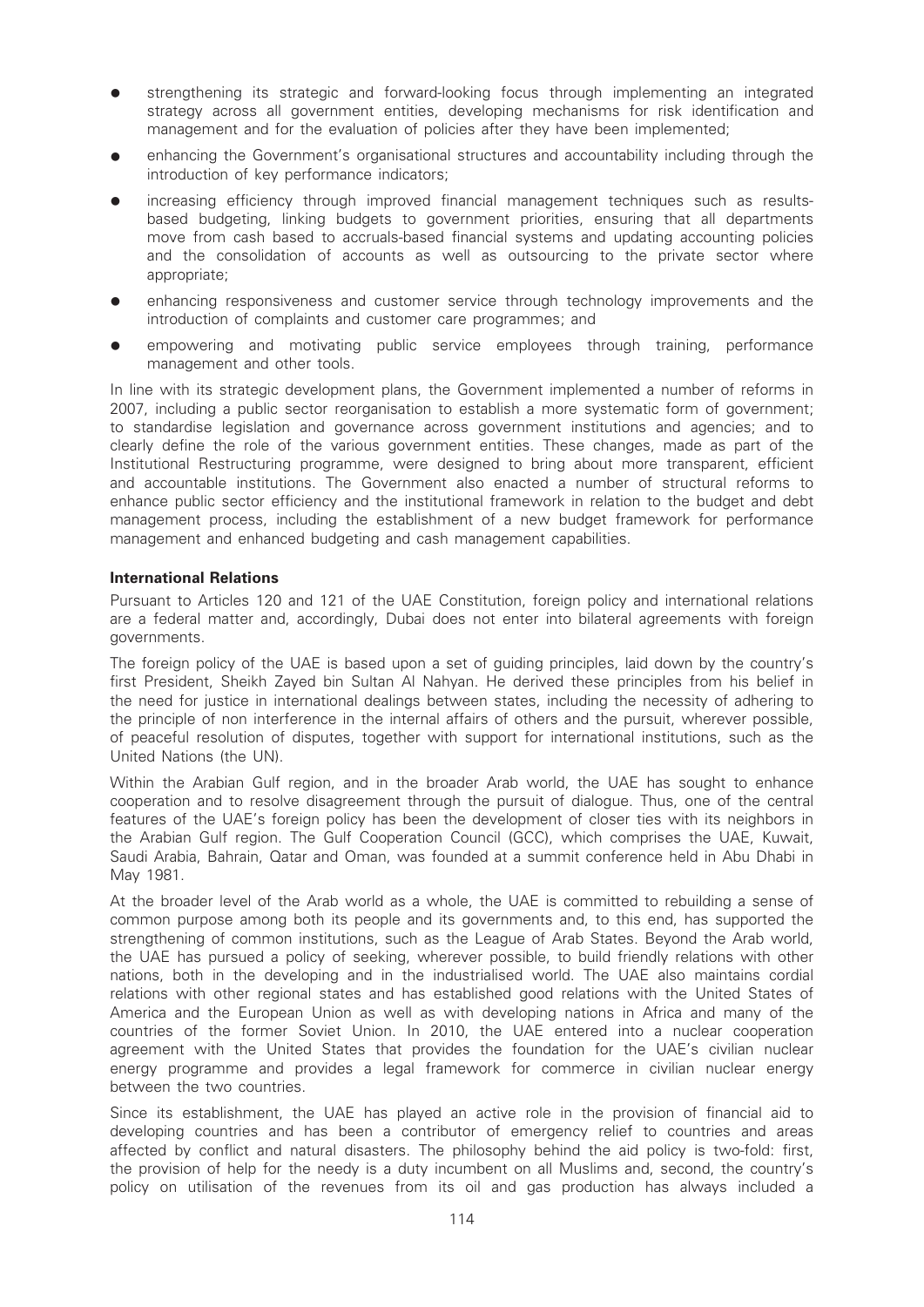- strengthening its strategic and forward-looking focus through implementing an integrated strategy across all government entities, developing mechanisms for risk identification and management and for the evaluation of policies after they have been implemented;
- enhancing the Government's organisational structures and accountability including through the introduction of key performance indicators;
- increasing efficiency through improved financial management techniques such as resultsbased budgeting, linking budgets to government priorities, ensuring that all departments move from cash based to accruals-based financial systems and updating accounting policies and the consolidation of accounts as well as outsourcing to the private sector where appropriate;
- enhancing responsiveness and customer service through technology improvements and the introduction of complaints and customer care programmes; and
- empowering and motivating public service employees through training, performance management and other tools.

In line with its strategic development plans, the Government implemented a number of reforms in 2007, including a public sector reorganisation to establish a more systematic form of government; to standardise legislation and governance across government institutions and agencies; and to clearly define the role of the various government entities. These changes, made as part of the Institutional Restructuring programme, were designed to bring about more transparent, efficient and accountable institutions. The Government also enacted a number of structural reforms to enhance public sector efficiency and the institutional framework in relation to the budget and debt management process, including the establishment of a new budget framework for performance management and enhanced budgeting and cash management capabilities.

### International Relations

Pursuant to Articles 120 and 121 of the UAE Constitution, foreign policy and international relations are a federal matter and, accordingly, Dubai does not enter into bilateral agreements with foreign governments.

The foreign policy of the UAE is based upon a set of guiding principles, laid down by the country's first President, Sheikh Zayed bin Sultan Al Nahyan. He derived these principles from his belief in the need for justice in international dealings between states, including the necessity of adhering to the principle of non interference in the internal affairs of others and the pursuit, wherever possible, of peaceful resolution of disputes, together with support for international institutions, such as the United Nations (the UN).

Within the Arabian Gulf region, and in the broader Arab world, the UAE has sought to enhance cooperation and to resolve disagreement through the pursuit of dialogue. Thus, one of the central features of the UAE's foreign policy has been the development of closer ties with its neighbors in the Arabian Gulf region. The Gulf Cooperation Council (GCC), which comprises the UAE, Kuwait, Saudi Arabia, Bahrain, Qatar and Oman, was founded at a summit conference held in Abu Dhabi in May 1981.

At the broader level of the Arab world as a whole, the UAE is committed to rebuilding a sense of common purpose among both its people and its governments and, to this end, has supported the strengthening of common institutions, such as the League of Arab States. Beyond the Arab world, the UAE has pursued a policy of seeking, wherever possible, to build friendly relations with other nations, both in the developing and in the industrialised world. The UAE also maintains cordial relations with other regional states and has established good relations with the United States of America and the European Union as well as with developing nations in Africa and many of the countries of the former Soviet Union. In 2010, the UAE entered into a nuclear cooperation agreement with the United States that provides the foundation for the UAE's civilian nuclear energy programme and provides a legal framework for commerce in civilian nuclear energy between the two countries.

Since its establishment, the UAE has played an active role in the provision of financial aid to developing countries and has been a contributor of emergency relief to countries and areas affected by conflict and natural disasters. The philosophy behind the aid policy is two-fold: first, the provision of help for the needy is a duty incumbent on all Muslims and, second, the country's policy on utilisation of the revenues from its oil and gas production has always included a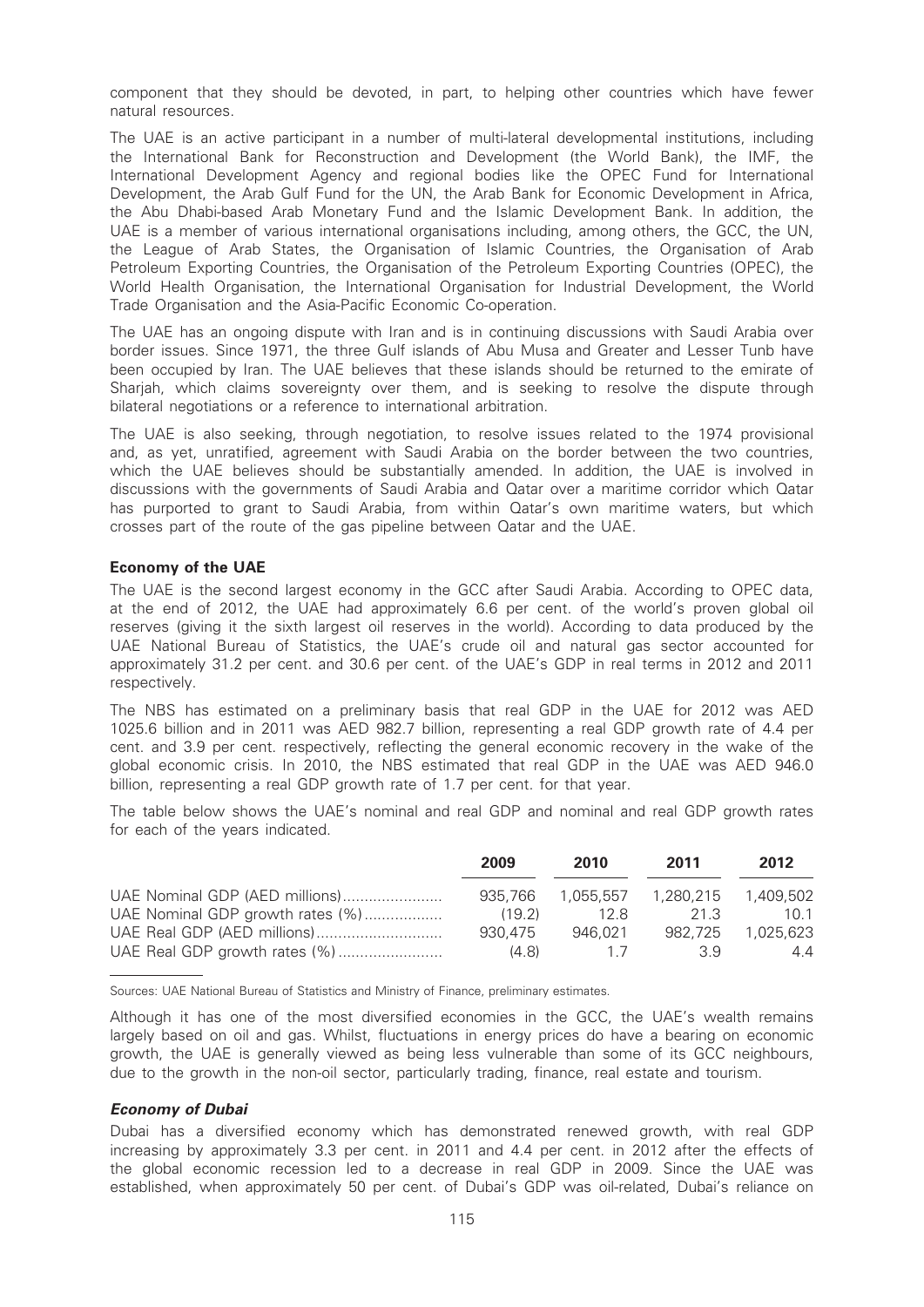component that they should be devoted, in part, to helping other countries which have fewer natural resources.

The UAE is an active participant in a number of multi-lateral developmental institutions, including the International Bank for Reconstruction and Development (the World Bank), the IMF, the International Development Agency and regional bodies like the OPEC Fund for International Development, the Arab Gulf Fund for the UN, the Arab Bank for Economic Development in Africa, the Abu Dhabi-based Arab Monetary Fund and the Islamic Development Bank. In addition, the UAE is a member of various international organisations including, among others, the GCC, the UN, the League of Arab States, the Organisation of Islamic Countries, the Organisation of Arab Petroleum Exporting Countries, the Organisation of the Petroleum Exporting Countries (OPEC), the World Health Organisation, the International Organisation for Industrial Development, the World Trade Organisation and the Asia-Pacific Economic Co-operation.

The UAE has an ongoing dispute with Iran and is in continuing discussions with Saudi Arabia over border issues. Since 1971, the three Gulf islands of Abu Musa and Greater and Lesser Tunb have been occupied by Iran. The UAE believes that these islands should be returned to the emirate of Sharjah, which claims sovereignty over them, and is seeking to resolve the dispute through bilateral negotiations or a reference to international arbitration.

The UAE is also seeking, through negotiation, to resolve issues related to the 1974 provisional and, as yet, unratified, agreement with Saudi Arabia on the border between the two countries, which the UAE believes should be substantially amended. In addition, the UAE is involved in discussions with the governments of Saudi Arabia and Qatar over a maritime corridor which Qatar has purported to grant to Saudi Arabia, from within Qatar's own maritime waters, but which crosses part of the route of the gas pipeline between Qatar and the UAE.

#### Economy of the UAE

The UAE is the second largest economy in the GCC after Saudi Arabia. According to OPEC data, at the end of 2012, the UAE had approximately 6.6 per cent. of the world's proven global oil reserves (giving it the sixth largest oil reserves in the world). According to data produced by the UAE National Bureau of Statistics, the UAE's crude oil and natural gas sector accounted for approximately 31.2 per cent. and 30.6 per cent. of the UAE's GDP in real terms in 2012 and 2011 respectively.

The NBS has estimated on a preliminary basis that real GDP in the UAE for 2012 was AED 1025.6 billion and in 2011 was AED 982.7 billion, representing a real GDP growth rate of 4.4 per cent. and 3.9 per cent. respectively, reflecting the general economic recovery in the wake of the global economic crisis. In 2010, the NBS estimated that real GDP in the UAE was AED 946.0 billion, representing a real GDP growth rate of 1.7 per cent. for that year.

The table below shows the UAE's nominal and real GDP and nominal and real GDP growth rates for each of the years indicated.

|                                  | 2009    | 2010    | 2011    | 2012      |
|----------------------------------|---------|---------|---------|-----------|
| UAE Nominal GDP (AED millions)   | 935.766 |         |         | 1.409.502 |
| UAE Nominal GDP growth rates (%) | (19.2)  | 12 R    | 21 S    | 10.1      |
|                                  | 930.475 | 946.021 | 982.725 | 1.025.623 |
| UAE Real GDP growth rates (%)    | (4.8)   | 17      | 39      | 44        |

Sources: UAE National Bureau of Statistics and Ministry of Finance, preliminary estimates.

Although it has one of the most diversified economies in the GCC, the UAE's wealth remains largely based on oil and gas. Whilst, fluctuations in energy prices do have a bearing on economic growth, the UAE is generally viewed as being less vulnerable than some of its GCC neighbours, due to the growth in the non-oil sector, particularly trading, finance, real estate and tourism.

#### Economy of Dubai

Dubai has a diversified economy which has demonstrated renewed growth, with real GDP increasing by approximately 3.3 per cent. in 2011 and 4.4 per cent. in 2012 after the effects of the global economic recession led to a decrease in real GDP in 2009. Since the UAE was established, when approximately 50 per cent. of Dubai's GDP was oil-related, Dubai's reliance on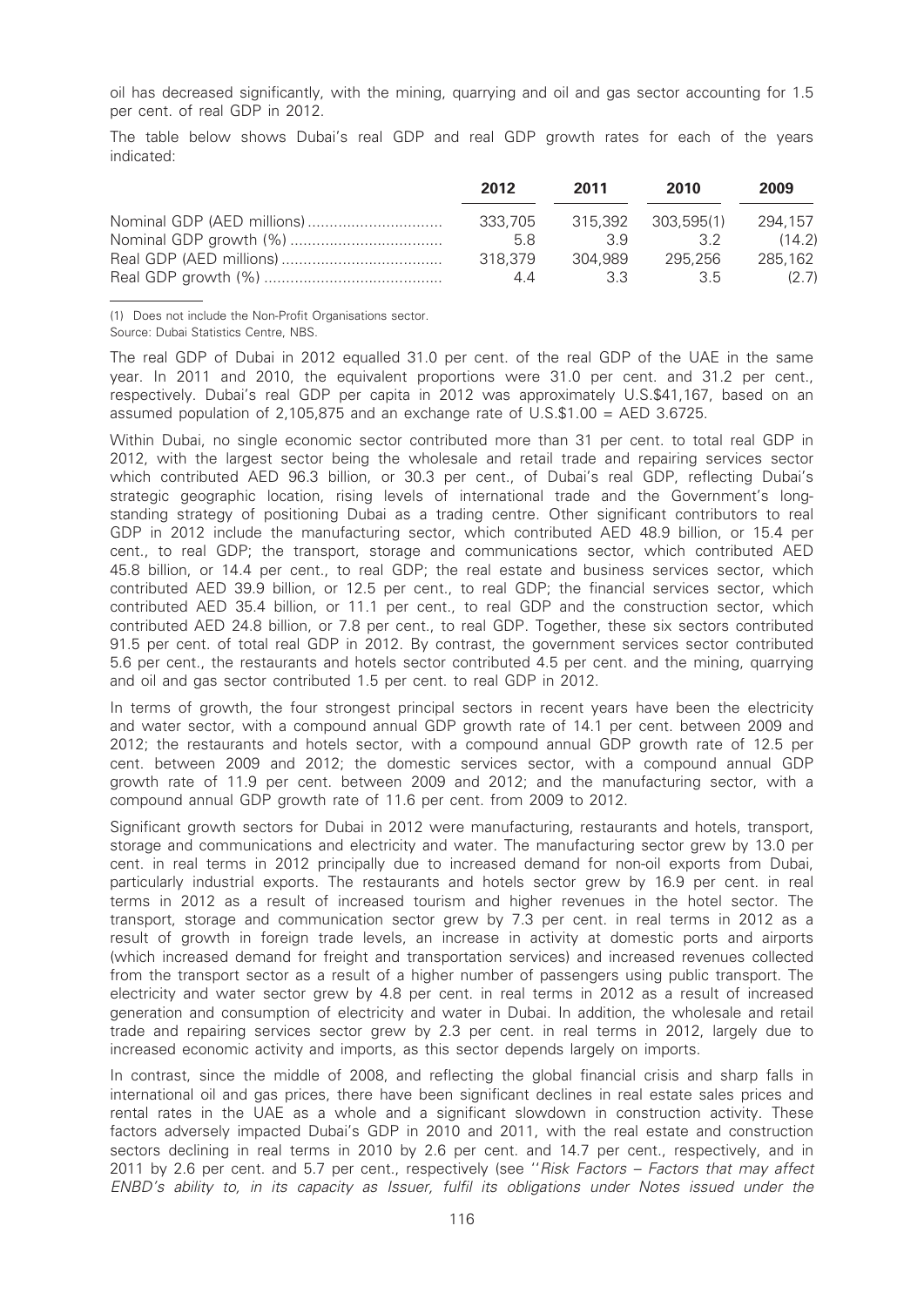oil has decreased significantly, with the mining, quarrying and oil and gas sector accounting for 1.5 per cent. of real GDP in 2012.

The table below shows Dubai's real GDP and real GDP growth rates for each of the years indicated:

| 2012    | 2011    | 2010               | 2009    |
|---------|---------|--------------------|---------|
| 333.705 |         | 315.392 303.595(1) | 294.157 |
| 5.8     | 39      | 32                 | (14.2)  |
| 318.379 | 304.989 | 295.256            | 285.162 |
| 44      | 33      | 35                 | (2.7)   |

(1) Does not include the Non-Profit Organisations sector.

Source: Dubai Statistics Centre, NBS.

The real GDP of Dubai in 2012 equalled 31.0 per cent. of the real GDP of the UAE in the same year. In 2011 and 2010, the equivalent proportions were 31.0 per cent. and 31.2 per cent., respectively. Dubai's real GDP per capita in 2012 was approximately U.S.\$41,167, based on an assumed population of 2,105,875 and an exchange rate of U.S.\$1.00 = AED 3.6725.

Within Dubai, no single economic sector contributed more than 31 per cent. to total real GDP in 2012, with the largest sector being the wholesale and retail trade and repairing services sector which contributed AED 96.3 billion, or 30.3 per cent., of Dubai's real GDP, reflecting Dubai's strategic geographic location, rising levels of international trade and the Government's longstanding strategy of positioning Dubai as a trading centre. Other significant contributors to real GDP in 2012 include the manufacturing sector, which contributed AED 48.9 billion, or 15.4 per cent., to real GDP; the transport, storage and communications sector, which contributed AED 45.8 billion, or 14.4 per cent., to real GDP; the real estate and business services sector, which contributed AED 39.9 billion, or 12.5 per cent., to real GDP; the financial services sector, which contributed AED 35.4 billion, or 11.1 per cent., to real GDP and the construction sector, which contributed AED 24.8 billion, or 7.8 per cent., to real GDP. Together, these six sectors contributed 91.5 per cent. of total real GDP in 2012. By contrast, the government services sector contributed 5.6 per cent., the restaurants and hotels sector contributed 4.5 per cent. and the mining, quarrying and oil and gas sector contributed 1.5 per cent. to real GDP in 2012.

In terms of growth, the four strongest principal sectors in recent years have been the electricity and water sector, with a compound annual GDP growth rate of 14.1 per cent. between 2009 and 2012; the restaurants and hotels sector, with a compound annual GDP growth rate of 12.5 per cent. between 2009 and 2012; the domestic services sector, with a compound annual GDP growth rate of 11.9 per cent. between 2009 and 2012; and the manufacturing sector, with a compound annual GDP growth rate of 11.6 per cent. from 2009 to 2012.

Significant growth sectors for Dubai in 2012 were manufacturing, restaurants and hotels, transport, storage and communications and electricity and water. The manufacturing sector grew by 13.0 per cent. in real terms in 2012 principally due to increased demand for non-oil exports from Dubai, particularly industrial exports. The restaurants and hotels sector grew by 16.9 per cent. in real terms in 2012 as a result of increased tourism and higher revenues in the hotel sector. The transport, storage and communication sector grew by 7.3 per cent. in real terms in 2012 as a result of growth in foreign trade levels, an increase in activity at domestic ports and airports (which increased demand for freight and transportation services) and increased revenues collected from the transport sector as a result of a higher number of passengers using public transport. The electricity and water sector grew by 4.8 per cent. in real terms in 2012 as a result of increased generation and consumption of electricity and water in Dubai. In addition, the wholesale and retail trade and repairing services sector grew by 2.3 per cent. in real terms in 2012, largely due to increased economic activity and imports, as this sector depends largely on imports.

In contrast, since the middle of 2008, and reflecting the global financial crisis and sharp falls in international oil and gas prices, there have been significant declines in real estate sales prices and rental rates in the UAE as a whole and a significant slowdown in construction activity. These factors adversely impacted Dubai's GDP in 2010 and 2011, with the real estate and construction sectors declining in real terms in 2010 by 2.6 per cent. and 14.7 per cent., respectively, and in 2011 by 2.6 per cent. and 5.7 per cent., respectively (see "Risk Factors - Factors that may affect ENBD's ability to, in its capacity as Issuer, fulfil its obligations under Notes issued under the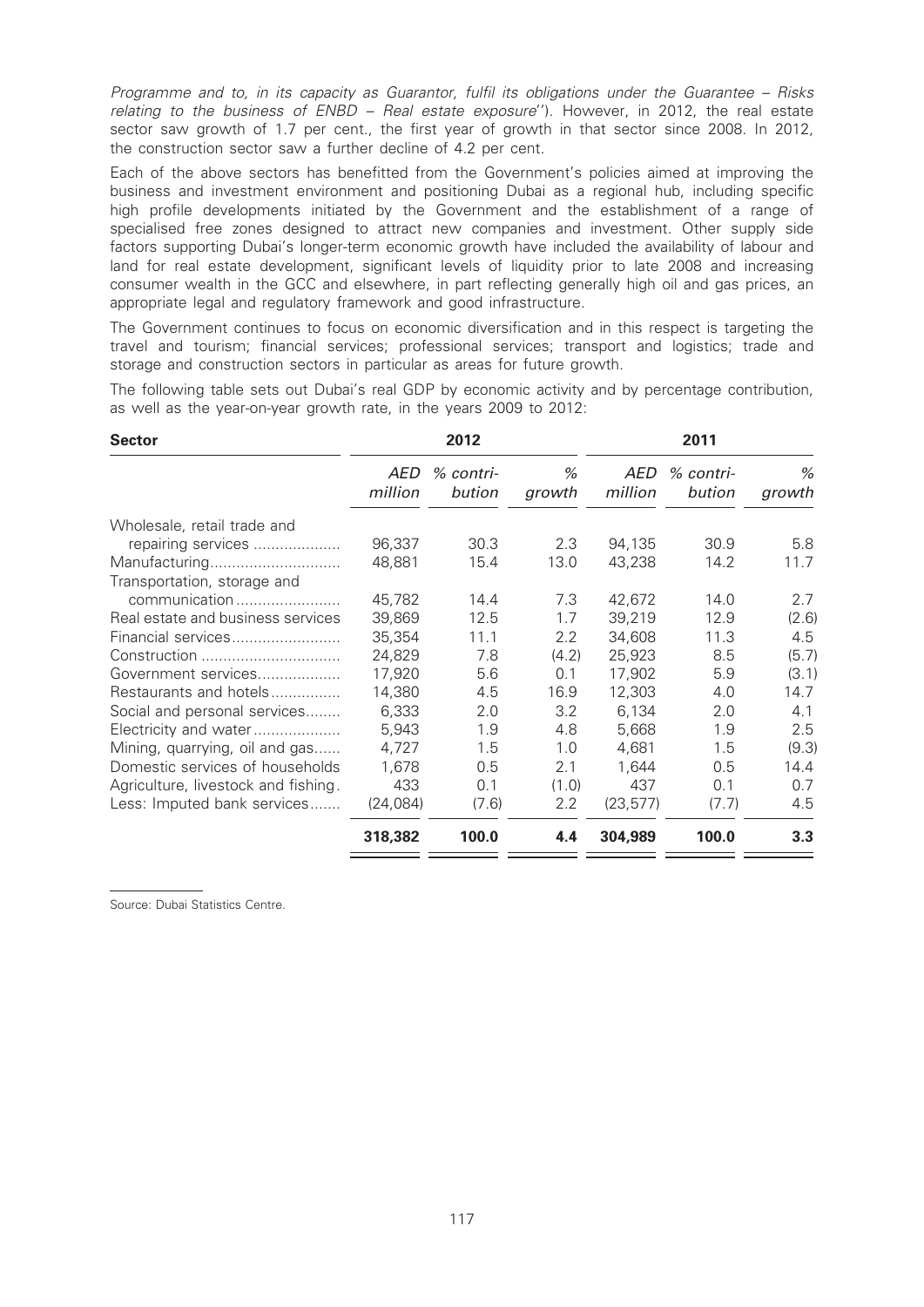Programme and to, in its capacity as Guarantor, fulfil its obligations under the Guarantee – Risks relating to the business of ENBD - Real estate exposure"). However, in 2012, the real estate sector saw growth of 1.7 per cent., the first year of growth in that sector since 2008. In 2012, the construction sector saw a further decline of 4.2 per cent.

Each of the above sectors has benefitted from the Government's policies aimed at improving the business and investment environment and positioning Dubai as a regional hub, including specific high profile developments initiated by the Government and the establishment of a range of specialised free zones designed to attract new companies and investment. Other supply side factors supporting Dubai's longer-term economic growth have included the availability of labour and land for real estate development, significant levels of liquidity prior to late 2008 and increasing consumer wealth in the GCC and elsewhere, in part reflecting generally high oil and gas prices, an appropriate legal and regulatory framework and good infrastructure.

The Government continues to focus on economic diversification and in this respect is targeting the travel and tourism; financial services; professional services; transport and logistics; trade and storage and construction sectors in particular as areas for future growth.

The following table sets out Dubai's real GDP by economic activity and by percentage contribution, as well as the year-on-year growth rate, in the years 2009 to 2012:

| <b>Sector</b>                       |                | 2012                  |                  |                | 2011                |             |
|-------------------------------------|----------------|-----------------------|------------------|----------------|---------------------|-------------|
|                                     | AED<br>million | $%$ contri-<br>bution | %<br>growth      | AED<br>million | % contri-<br>bution | %<br>growth |
| Wholesale, retail trade and         |                |                       |                  |                |                     |             |
| repairing services                  | 96,337         | 30.3                  | 2.3              | 94,135         | 30.9                | 5.8         |
| Manufacturing                       | 48,881         | 15.4                  | 13.0             | 43,238         | 14.2                | 11.7        |
| Transportation, storage and         |                |                       |                  |                |                     |             |
| communication                       | 45,782         | 14.4                  | 7.3              | 42,672         | 14.0                | 2.7         |
| Real estate and business services   | 39,869         | 12.5                  | 1.7              | 39,219         | 12.9                | (2.6)       |
| Financial services                  | 35,354         | 11.1                  | $2.2\phantom{0}$ | 34,608         | 11.3                | 4.5         |
| Construction                        | 24,829         | 7.8                   | (4.2)            | 25,923         | 8.5                 | (5.7)       |
| Government services                 | 17,920         | 5.6                   | 0.1              | 17,902         | 5.9                 | (3.1)       |
| Restaurants and hotels              | 14,380         | 4.5                   | 16.9             | 12,303         | 4.0                 | 14.7        |
| Social and personal services        | 6,333          | 2.0                   | 3.2              | 6,134          | 2.0                 | 4.1         |
| Electricity and water               | 5,943          | 1.9                   | 4.8              | 5,668          | 1.9                 | 2.5         |
| Mining, quarrying, oil and gas      | 4,727          | 1.5                   | 1.0              | 4,681          | 1.5                 | (9.3)       |
| Domestic services of households     | 1,678          | 0.5                   | 2.1              | 1,644          | 0.5                 | 14.4        |
| Agriculture, livestock and fishing. | 433            | 0.1                   | (1.0)            | 437            | 0.1                 | 0.7         |
| Less: Imputed bank services         | (24,084)       | (7.6)                 | 2.2              | (23, 577)      | (7.7)               | 4.5         |
|                                     | 318,382        | 100.0                 | 4.4              | 304,989        | 100.0               | 3.3         |

Source: Dubai Statistics Centre.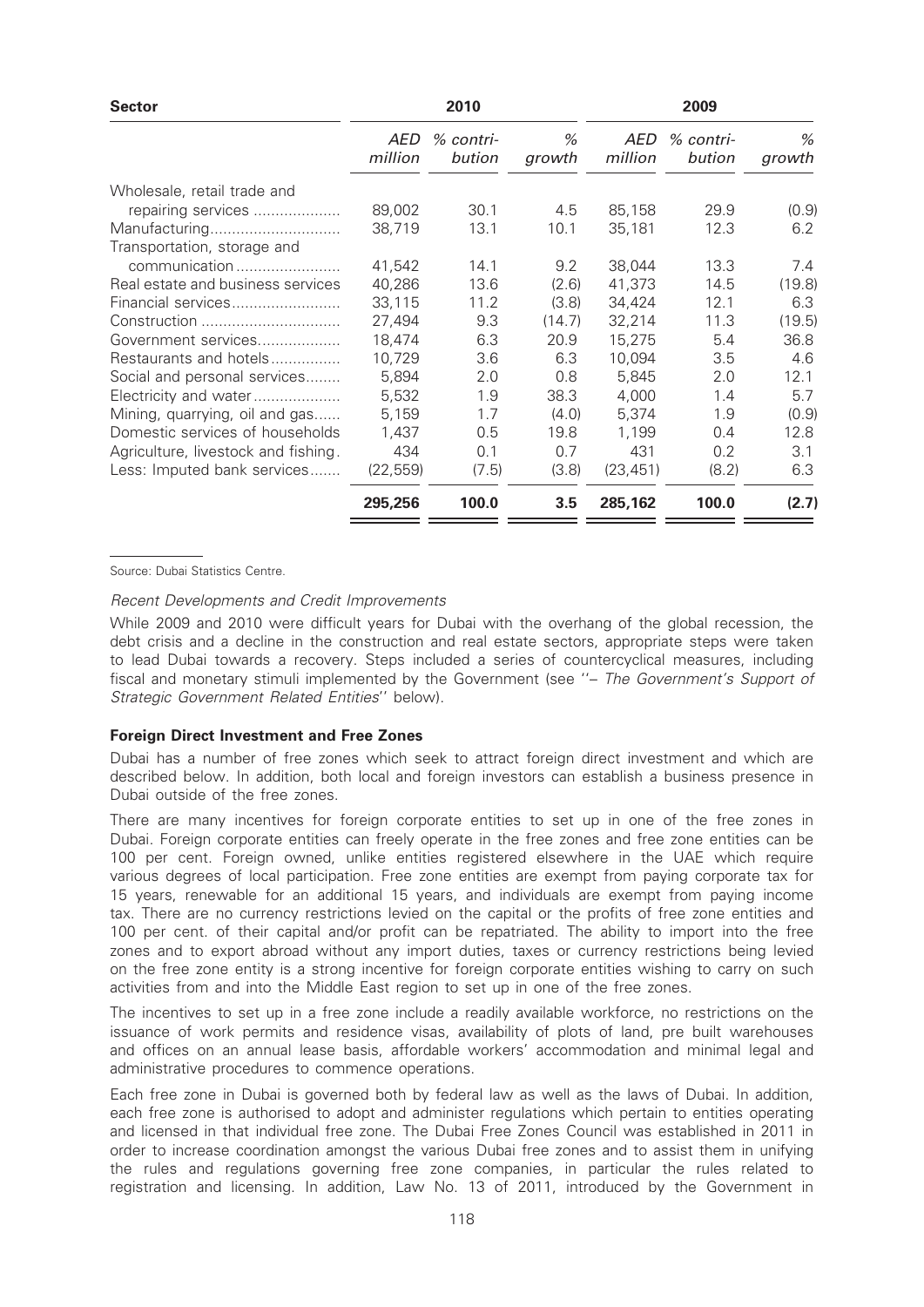| <b>Sector</b>                       |                | 2010                |             |                | 2009                |             |
|-------------------------------------|----------------|---------------------|-------------|----------------|---------------------|-------------|
|                                     | AED<br>million | % contri-<br>bution | %<br>growth | AED<br>million | % contri-<br>bution | %<br>growth |
| Wholesale, retail trade and         |                |                     |             |                |                     |             |
| repairing services                  | 89,002         | 30.1                | 4.5         | 85,158         | 29.9                | (0.9)       |
| Manufacturing                       | 38,719         | 13.1                | 10.1        | 35,181         | 12.3                | 6.2         |
| Transportation, storage and         |                |                     |             |                |                     |             |
| communication                       | 41,542         | 14.1                | 9.2         | 38,044         | 13.3                | 7.4         |
| Real estate and business services   | 40,286         | 13.6                | (2.6)       | 41,373         | 14.5                | (19.8)      |
| Financial services                  | 33.115         | 11.2                | (3.8)       | 34.424         | 12.1                | 6.3         |
| Construction                        | 27,494         | 9.3                 | (14.7)      | 32,214         | 11.3                | (19.5)      |
| Government services                 | 18,474         | 6.3                 | 20.9        | 15,275         | 5.4                 | 36.8        |
| Restaurants and hotels              | 10,729         | 3.6                 | 6.3         | 10,094         | 3.5                 | 4.6         |
| Social and personal services        | 5,894          | 2.0                 | 0.8         | 5.845          | 2.0                 | 12.1        |
| Electricity and water               | 5,532          | 1.9                 | 38.3        | 4,000          | 1.4                 | 5.7         |
| Mining, quarrying, oil and gas      | 5,159          | 1.7                 | (4.0)       | 5,374          | 1.9                 | (0.9)       |
| Domestic services of households     | 1,437          | 0.5                 | 19.8        | 1.199          | 0.4                 | 12.8        |
| Agriculture, livestock and fishing. | 434            | 0.1                 | 0.7         | 431            | 0.2                 | 3.1         |
| Less: Imputed bank services         | (22, 559)      | (7.5)               | (3.8)       | (23, 451)      | (8.2)               | 6.3         |
|                                     | 295,256        | 100.0               | 3.5         | 285,162        | 100.0               | (2.7)       |

Source: Dubai Statistics Centre.

#### Recent Developments and Credit Improvements

While 2009 and 2010 were difficult years for Dubai with the overhang of the global recession, the debt crisis and a decline in the construction and real estate sectors, appropriate steps were taken to lead Dubai towards a recovery. Steps included a series of countercyclical measures, including fiscal and monetary stimuli implemented by the Government (see ''– The Government's Support of Strategic Government Related Entities'' below).

#### Foreign Direct Investment and Free Zones

Dubai has a number of free zones which seek to attract foreign direct investment and which are described below. In addition, both local and foreign investors can establish a business presence in Dubai outside of the free zones.

There are many incentives for foreign corporate entities to set up in one of the free zones in Dubai. Foreign corporate entities can freely operate in the free zones and free zone entities can be 100 per cent. Foreign owned, unlike entities registered elsewhere in the UAE which require various degrees of local participation. Free zone entities are exempt from paying corporate tax for 15 years, renewable for an additional 15 years, and individuals are exempt from paying income tax. There are no currency restrictions levied on the capital or the profits of free zone entities and 100 per cent. of their capital and/or profit can be repatriated. The ability to import into the free zones and to export abroad without any import duties, taxes or currency restrictions being levied on the free zone entity is a strong incentive for foreign corporate entities wishing to carry on such activities from and into the Middle East region to set up in one of the free zones.

The incentives to set up in a free zone include a readily available workforce, no restrictions on the issuance of work permits and residence visas, availability of plots of land, pre built warehouses and offices on an annual lease basis, affordable workers' accommodation and minimal legal and administrative procedures to commence operations.

Each free zone in Dubai is governed both by federal law as well as the laws of Dubai. In addition, each free zone is authorised to adopt and administer regulations which pertain to entities operating and licensed in that individual free zone. The Dubai Free Zones Council was established in 2011 in order to increase coordination amongst the various Dubai free zones and to assist them in unifying the rules and regulations governing free zone companies, in particular the rules related to registration and licensing. In addition, Law No. 13 of 2011, introduced by the Government in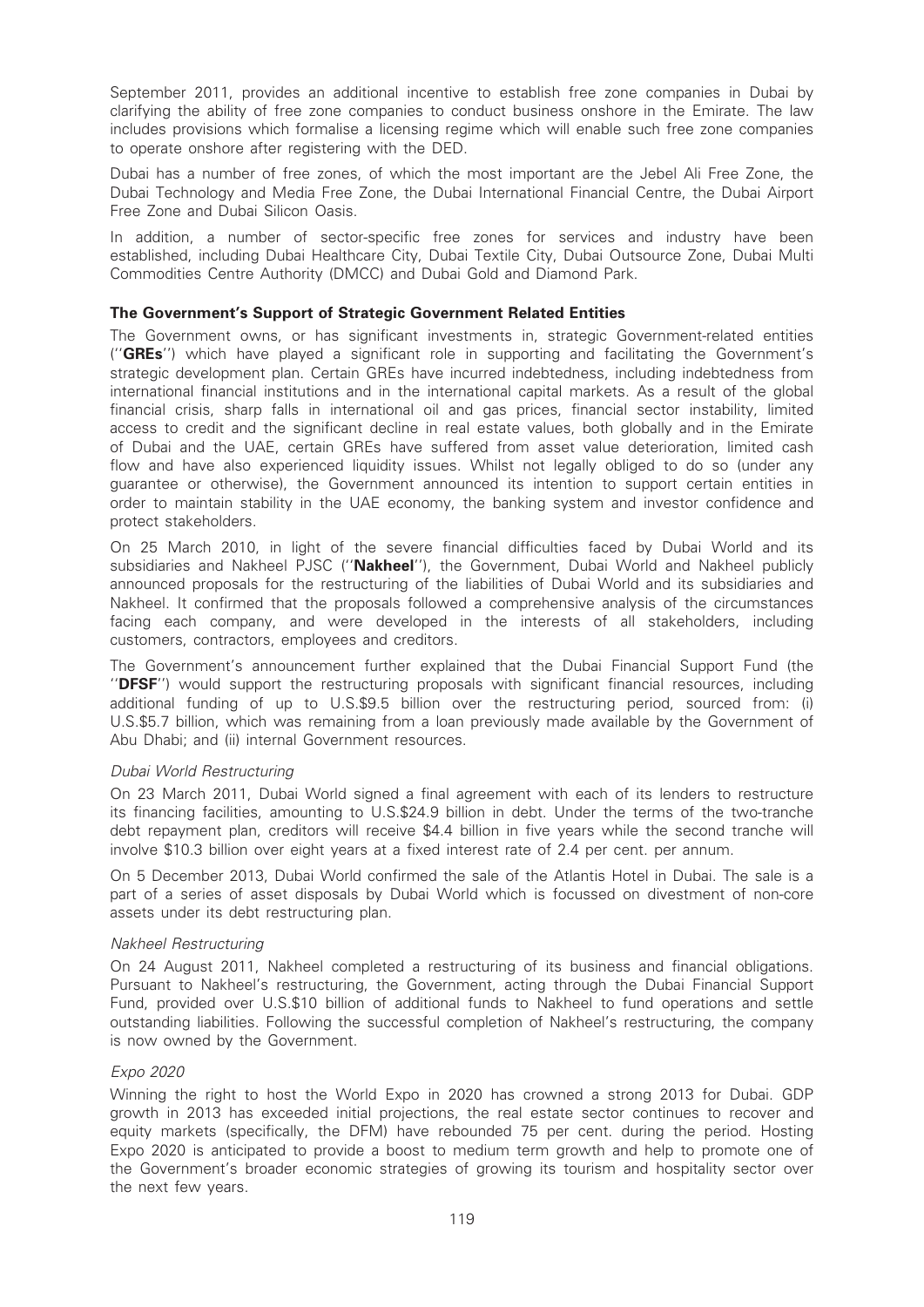September 2011, provides an additional incentive to establish free zone companies in Dubai by clarifying the ability of free zone companies to conduct business onshore in the Emirate. The law includes provisions which formalise a licensing regime which will enable such free zone companies to operate onshore after registering with the DED.

Dubai has a number of free zones, of which the most important are the Jebel Ali Free Zone, the Dubai Technology and Media Free Zone, the Dubai International Financial Centre, the Dubai Airport Free Zone and Dubai Silicon Oasis.

In addition, a number of sector-specific free zones for services and industry have been established, including Dubai Healthcare City, Dubai Textile City, Dubai Outsource Zone, Dubai Multi Commodities Centre Authority (DMCC) and Dubai Gold and Diamond Park.

### The Government's Support of Strategic Government Related Entities

The Government owns, or has significant investments in, strategic Government-related entities (''GREs'') which have played a significant role in supporting and facilitating the Government's strategic development plan. Certain GREs have incurred indebtedness, including indebtedness from international financial institutions and in the international capital markets. As a result of the global financial crisis, sharp falls in international oil and gas prices, financial sector instability, limited access to credit and the significant decline in real estate values, both globally and in the Emirate of Dubai and the UAE, certain GREs have suffered from asset value deterioration, limited cash flow and have also experienced liquidity issues. Whilst not legally obliged to do so (under any guarantee or otherwise), the Government announced its intention to support certain entities in order to maintain stability in the UAE economy, the banking system and investor confidence and protect stakeholders.

On 25 March 2010, in light of the severe financial difficulties faced by Dubai World and its subsidiaries and Nakheel PJSC ("Nakheel"), the Government, Dubai World and Nakheel publicly announced proposals for the restructuring of the liabilities of Dubai World and its subsidiaries and Nakheel. It confirmed that the proposals followed a comprehensive analysis of the circumstances facing each company, and were developed in the interests of all stakeholders, including customers, contractors, employees and creditors.

The Government's announcement further explained that the Dubai Financial Support Fund (the ''DFSF'') would support the restructuring proposals with significant financial resources, including additional funding of up to U.S.\$9.5 billion over the restructuring period, sourced from: (i) U.S.\$5.7 billion, which was remaining from a loan previously made available by the Government of Abu Dhabi; and (ii) internal Government resources.

#### Dubai World Restructuring

On 23 March 2011, Dubai World signed a final agreement with each of its lenders to restructure its financing facilities, amounting to U.S.\$24.9 billion in debt. Under the terms of the two-tranche debt repayment plan, creditors will receive \$4.4 billion in five years while the second tranche will involve \$10.3 billion over eight years at a fixed interest rate of 2.4 per cent. per annum.

On 5 December 2013, Dubai World confirmed the sale of the Atlantis Hotel in Dubai. The sale is a part of a series of asset disposals by Dubai World which is focussed on divestment of non-core assets under its debt restructuring plan.

# Nakheel Restructuring

On 24 August 2011, Nakheel completed a restructuring of its business and financial obligations. Pursuant to Nakheel's restructuring, the Government, acting through the Dubai Financial Support Fund, provided over U.S.\$10 billion of additional funds to Nakheel to fund operations and settle outstanding liabilities. Following the successful completion of Nakheel's restructuring, the company is now owned by the Government.

# Expo 2020

Winning the right to host the World Expo in 2020 has crowned a strong 2013 for Dubai. GDP growth in 2013 has exceeded initial projections, the real estate sector continues to recover and equity markets (specifically, the DFM) have rebounded 75 per cent. during the period. Hosting Expo 2020 is anticipated to provide a boost to medium term growth and help to promote one of the Government's broader economic strategies of growing its tourism and hospitality sector over the next few years.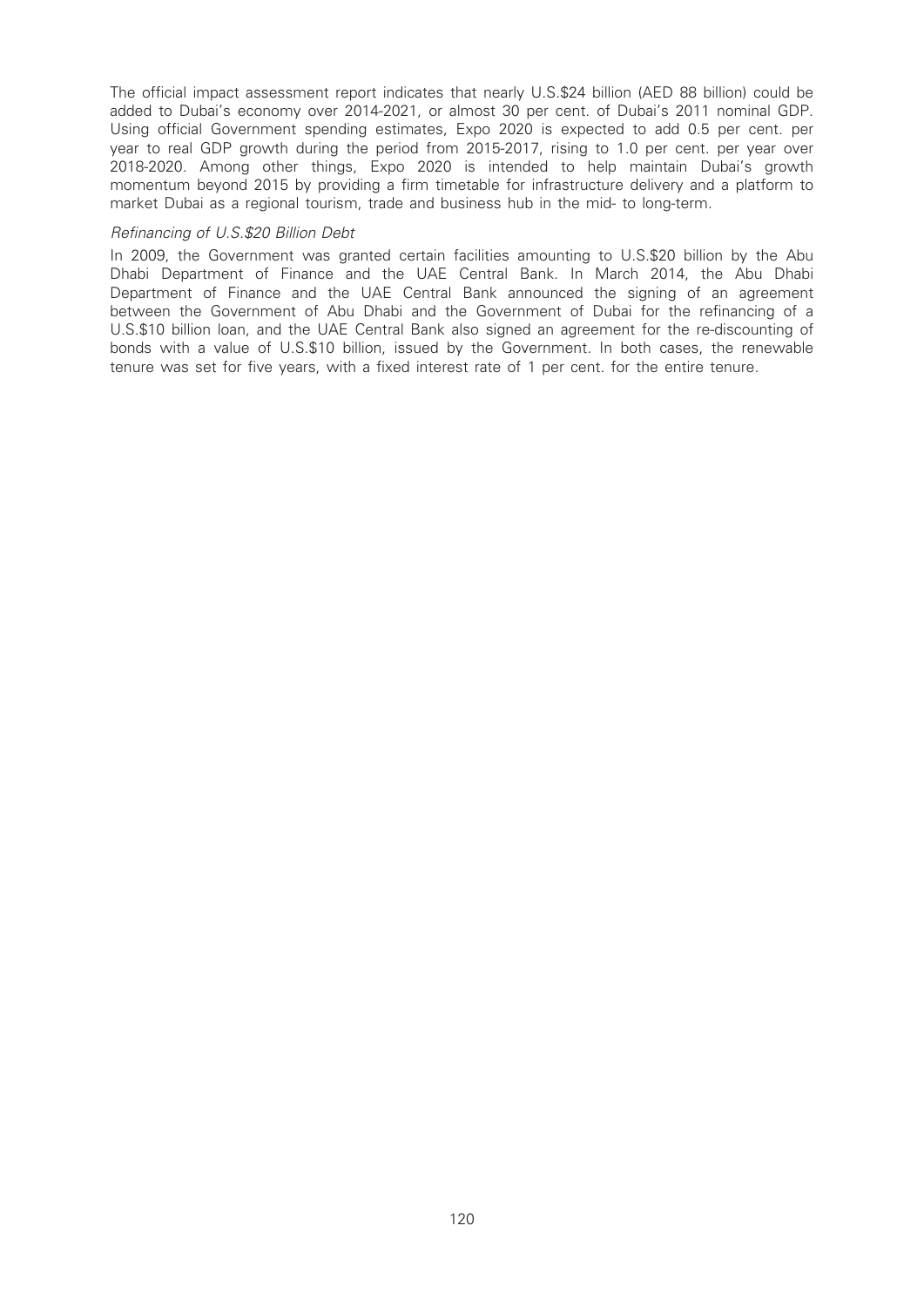The official impact assessment report indicates that nearly U.S.\$24 billion (AED 88 billion) could be added to Dubai's economy over 2014-2021, or almost 30 per cent. of Dubai's 2011 nominal GDP. Using official Government spending estimates, Expo 2020 is expected to add 0.5 per cent. per year to real GDP growth during the period from 2015-2017, rising to 1.0 per cent. per year over 2018-2020. Among other things, Expo 2020 is intended to help maintain Dubai's growth momentum beyond 2015 by providing a firm timetable for infrastructure delivery and a platform to market Dubai as a regional tourism, trade and business hub in the mid- to long-term.

#### Refinancing of U.S.\$20 Billion Debt

In 2009, the Government was granted certain facilities amounting to U.S.\$20 billion by the Abu Dhabi Department of Finance and the UAE Central Bank. In March 2014, the Abu Dhabi Department of Finance and the UAE Central Bank announced the signing of an agreement between the Government of Abu Dhabi and the Government of Dubai for the refinancing of a U.S.\$10 billion loan, and the UAE Central Bank also signed an agreement for the re-discounting of bonds with a value of U.S.\$10 billion, issued by the Government. In both cases, the renewable tenure was set for five years, with a fixed interest rate of 1 per cent. for the entire tenure.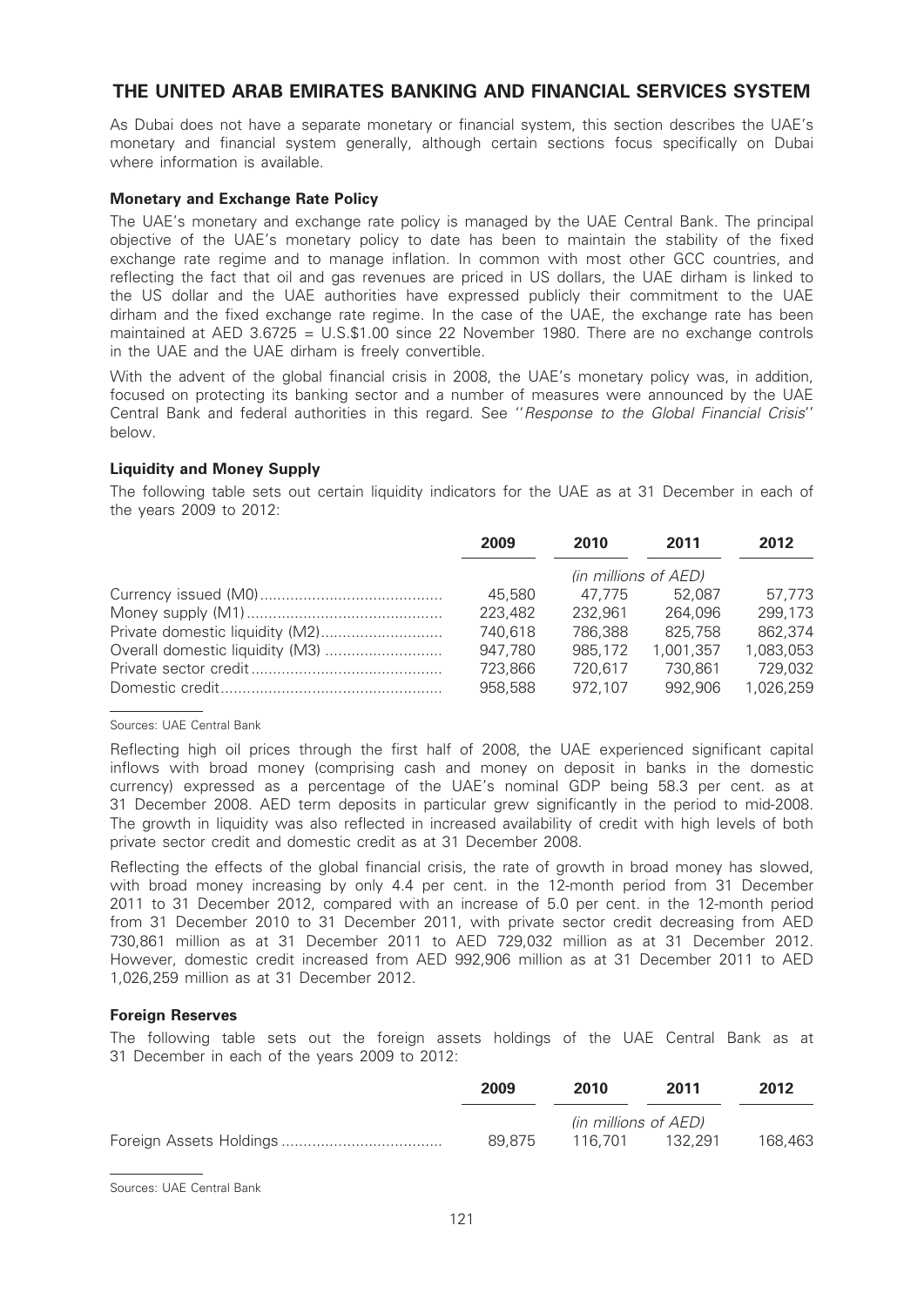# THE UNITED ARAB EMIRATES BANKING AND FINANCIAL SERVICES SYSTEM

As Dubai does not have a separate monetary or financial system, this section describes the UAE's monetary and financial system generally, although certain sections focus specifically on Dubai where information is available.

### Monetary and Exchange Rate Policy

The UAE's monetary and exchange rate policy is managed by the UAE Central Bank. The principal objective of the UAE's monetary policy to date has been to maintain the stability of the fixed exchange rate regime and to manage inflation. In common with most other GCC countries, and reflecting the fact that oil and gas revenues are priced in US dollars, the UAE dirham is linked to the US dollar and the UAE authorities have expressed publicly their commitment to the UAE dirham and the fixed exchange rate regime. In the case of the UAE, the exchange rate has been maintained at AED 3.6725 = U.S.\$1.00 since 22 November 1980. There are no exchange controls in the UAE and the UAE dirham is freely convertible.

With the advent of the global financial crisis in 2008, the UAE's monetary policy was, in addition, focused on protecting its banking sector and a number of measures were announced by the UAE Central Bank and federal authorities in this regard. See ''Response to the Global Financial Crisis'' below.

### Liquidity and Money Supply

The following table sets out certain liquidity indicators for the UAE as at 31 December in each of the years 2009 to 2012:

|                                 | 2009    | 2010                 | 2011      | 2012      |
|---------------------------------|---------|----------------------|-----------|-----------|
|                                 |         | (in millions of AED) |           |           |
|                                 | 45,580  | 47.775               | 52.087    | 57.773    |
|                                 | 223,482 | 232.961              | 264.096   | 299,173   |
|                                 | 740,618 | 786,388              | 825,758   | 862,374   |
| Overall domestic liquidity (M3) | 947,780 | 985,172              | 1,001,357 | 1,083,053 |
|                                 | 723,866 | 720.617              | 730.861   | 729.032   |
|                                 | 958,588 | 972.107              | 992.906   | 1,026,259 |

### Sources: UAE Central Bank

Reflecting high oil prices through the first half of 2008, the UAE experienced significant capital inflows with broad money (comprising cash and money on deposit in banks in the domestic currency) expressed as a percentage of the UAE's nominal GDP being 58.3 per cent. as at 31 December 2008. AED term deposits in particular grew significantly in the period to mid-2008. The growth in liquidity was also reflected in increased availability of credit with high levels of both private sector credit and domestic credit as at 31 December 2008.

Reflecting the effects of the global financial crisis, the rate of growth in broad money has slowed. with broad money increasing by only 4.4 per cent. in the 12-month period from 31 December 2011 to 31 December 2012, compared with an increase of 5.0 per cent. in the 12-month period from 31 December 2010 to 31 December 2011, with private sector credit decreasing from AED 730,861 million as at 31 December 2011 to AED 729,032 million as at 31 December 2012. However, domestic credit increased from AED 992,906 million as at 31 December 2011 to AED 1,026,259 million as at 31 December 2012.

# Foreign Reserves

The following table sets out the foreign assets holdings of the UAE Central Bank as at 31 December in each of the years 2009 to 2012:

| 2009   | 2010                 | 2011    | 2012    |
|--------|----------------------|---------|---------|
|        | (in millions of AED) |         |         |
| 89.875 | 116.701              | 132.291 | 168,463 |

Sources: UAE Central Bank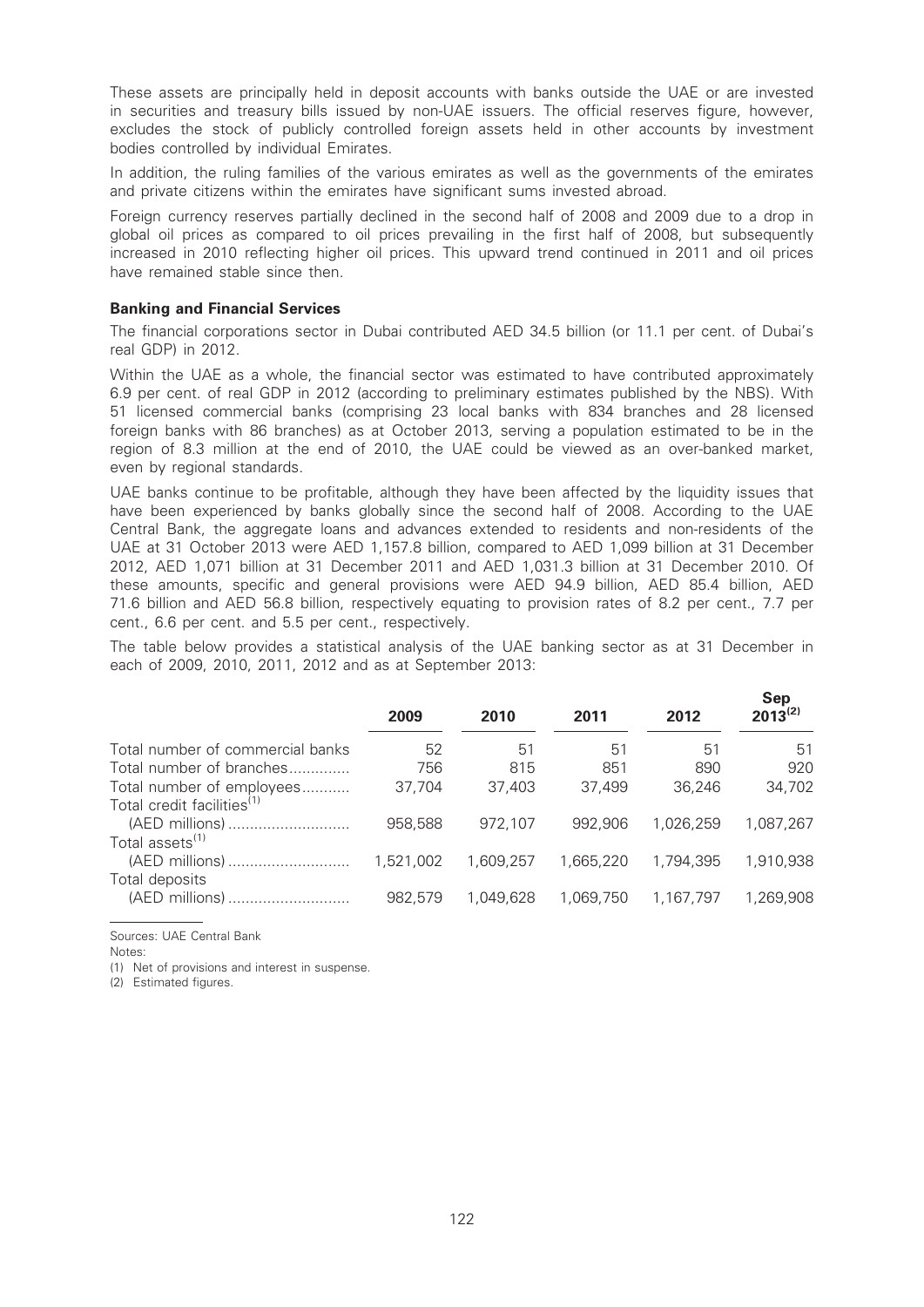These assets are principally held in deposit accounts with banks outside the UAE or are invested in securities and treasury bills issued by non-UAE issuers. The official reserves figure, however, excludes the stock of publicly controlled foreign assets held in other accounts by investment bodies controlled by individual Emirates.

In addition, the ruling families of the various emirates as well as the governments of the emirates and private citizens within the emirates have significant sums invested abroad.

Foreign currency reserves partially declined in the second half of 2008 and 2009 due to a drop in global oil prices as compared to oil prices prevailing in the first half of 2008, but subsequently increased in 2010 reflecting higher oil prices. This upward trend continued in 2011 and oil prices have remained stable since then.

#### Banking and Financial Services

The financial corporations sector in Dubai contributed AED 34.5 billion (or 11.1 per cent. of Dubai's real GDP) in 2012.

Within the UAE as a whole, the financial sector was estimated to have contributed approximately 6.9 per cent. of real GDP in 2012 (according to preliminary estimates published by the NBS). With 51 licensed commercial banks (comprising 23 local banks with 834 branches and 28 licensed foreign banks with 86 branches) as at October 2013, serving a population estimated to be in the region of 8.3 million at the end of 2010, the UAE could be viewed as an over-banked market, even by regional standards.

UAE banks continue to be profitable, although they have been affected by the liquidity issues that have been experienced by banks globally since the second half of 2008. According to the UAE Central Bank, the aggregate loans and advances extended to residents and non-residents of the UAE at 31 October 2013 were AED 1,157.8 billion, compared to AED 1,099 billion at 31 December 2012, AED 1,071 billion at 31 December 2011 and AED 1,031.3 billion at 31 December 2010. Of these amounts, specific and general provisions were AED 94.9 billion, AED 85.4 billion, AED 71.6 billion and AED 56.8 billion, respectively equating to provision rates of 8.2 per cent., 7.7 per cent., 6.6 per cent. and 5.5 per cent., respectively.

The table below provides a statistical analysis of the UAE banking sector as at 31 December in each of 2009, 2010, 2011, 2012 and as at September 2013:

|                                        | 2009      | 2010      | 2011      | 2012      | <b>Sep</b><br>$2013^{(2)}$ |
|----------------------------------------|-----------|-----------|-----------|-----------|----------------------------|
| Total number of commercial banks       | 52        | 51        | 51        | 51        | 51                         |
| Total number of branches               | 756       | 815       | 851       | 890       | 920                        |
| Total number of employees              | 37,704    | 37,403    | 37,499    | 36,246    | 34,702                     |
| Total credit facilities <sup>(1)</sup> |           |           |           |           |                            |
| (AED millions)                         | 958,588   | 972,107   | 992.906   | 1.026.259 | 1.087.267                  |
| Total assets <sup>(1)</sup>            |           |           |           |           |                            |
| (AED millions)                         | 1,521,002 | 1.609.257 | 1.665.220 | 1,794,395 | 1,910,938                  |
| Total deposits                         |           |           |           |           |                            |
| (AED millions)                         | 982.579   | 1.049.628 | 1.069.750 | 1,167,797 | 1,269,908                  |
|                                        |           |           |           |           |                            |

Sources: UAE Central Bank

Notes:

(1) Net of provisions and interest in suspense.

(2) Estimated figures.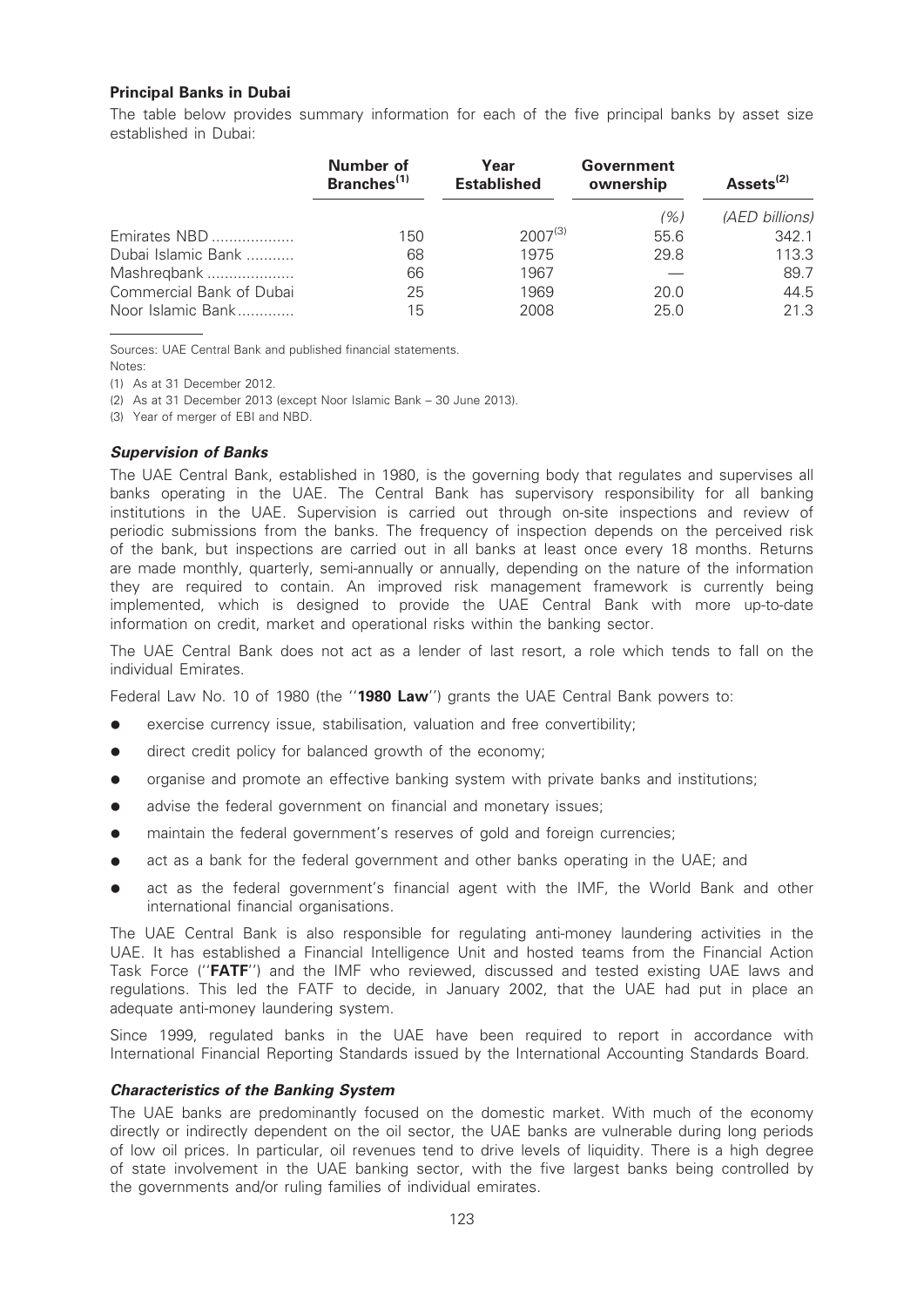# Principal Banks in Dubai

The table below provides summary information for each of the five principal banks by asset size established in Dubai:

|                          | Number of<br>Branches <sup>(1)</sup> | Year<br><b>Established</b> | Government<br>ownership | Assets <sup>(2)</sup> |
|--------------------------|--------------------------------------|----------------------------|-------------------------|-----------------------|
|                          |                                      |                            | (%)                     | (AED billions)        |
| Emirates NBD             | 150                                  | $2007^{(3)}$               | 55.6                    | 342.1                 |
| Dubai Islamic Bank       | 68                                   | 1975                       | 29.8                    | 113.3                 |
| Mashregbank              | 66                                   | 1967                       |                         | 89.7                  |
| Commercial Bank of Dubai | 25                                   | 1969                       | 20.0                    | 44.5                  |
| Noor Islamic Bank        | 15                                   | 2008                       | 25.0                    | 21.3                  |

Sources: UAE Central Bank and published financial statements.

Notes:

(1) As at 31 December 2012.

(2) As at 31 December 2013 (except Noor Islamic Bank – 30 June 2013).

(3) Year of merger of EBI and NBD.

# Supervision of Banks

The UAE Central Bank, established in 1980, is the governing body that regulates and supervises all banks operating in the UAE. The Central Bank has supervisory responsibility for all banking institutions in the UAE. Supervision is carried out through on-site inspections and review of periodic submissions from the banks. The frequency of inspection depends on the perceived risk of the bank, but inspections are carried out in all banks at least once every 18 months. Returns are made monthly, quarterly, semi-annually or annually, depending on the nature of the information they are required to contain. An improved risk management framework is currently being implemented, which is designed to provide the UAE Central Bank with more up-to-date information on credit, market and operational risks within the banking sector.

The UAE Central Bank does not act as a lender of last resort, a role which tends to fall on the individual Emirates.

Federal Law No. 10 of 1980 (the "1980 Law") grants the UAE Central Bank powers to:

- exercise currency issue, stabilisation, valuation and free convertibility;
- direct credit policy for balanced growth of the economy;
- organise and promote an effective banking system with private banks and institutions;
- advise the federal government on financial and monetary issues;
- maintain the federal government's reserves of gold and foreign currencies;
- act as a bank for the federal government and other banks operating in the UAE; and
- act as the federal government's financial agent with the IMF, the World Bank and other international financial organisations.

The UAE Central Bank is also responsible for regulating anti-money laundering activities in the UAE. It has established a Financial Intelligence Unit and hosted teams from the Financial Action Task Force ("FATF") and the IMF who reviewed, discussed and tested existing UAE laws and regulations. This led the FATF to decide, in January 2002, that the UAE had put in place an adequate anti-money laundering system.

Since 1999, regulated banks in the UAE have been required to report in accordance with International Financial Reporting Standards issued by the International Accounting Standards Board.

# Characteristics of the Banking System

The UAE banks are predominantly focused on the domestic market. With much of the economy directly or indirectly dependent on the oil sector, the UAE banks are vulnerable during long periods of low oil prices. In particular, oil revenues tend to drive levels of liquidity. There is a high degree of state involvement in the UAE banking sector, with the five largest banks being controlled by the governments and/or ruling families of individual emirates.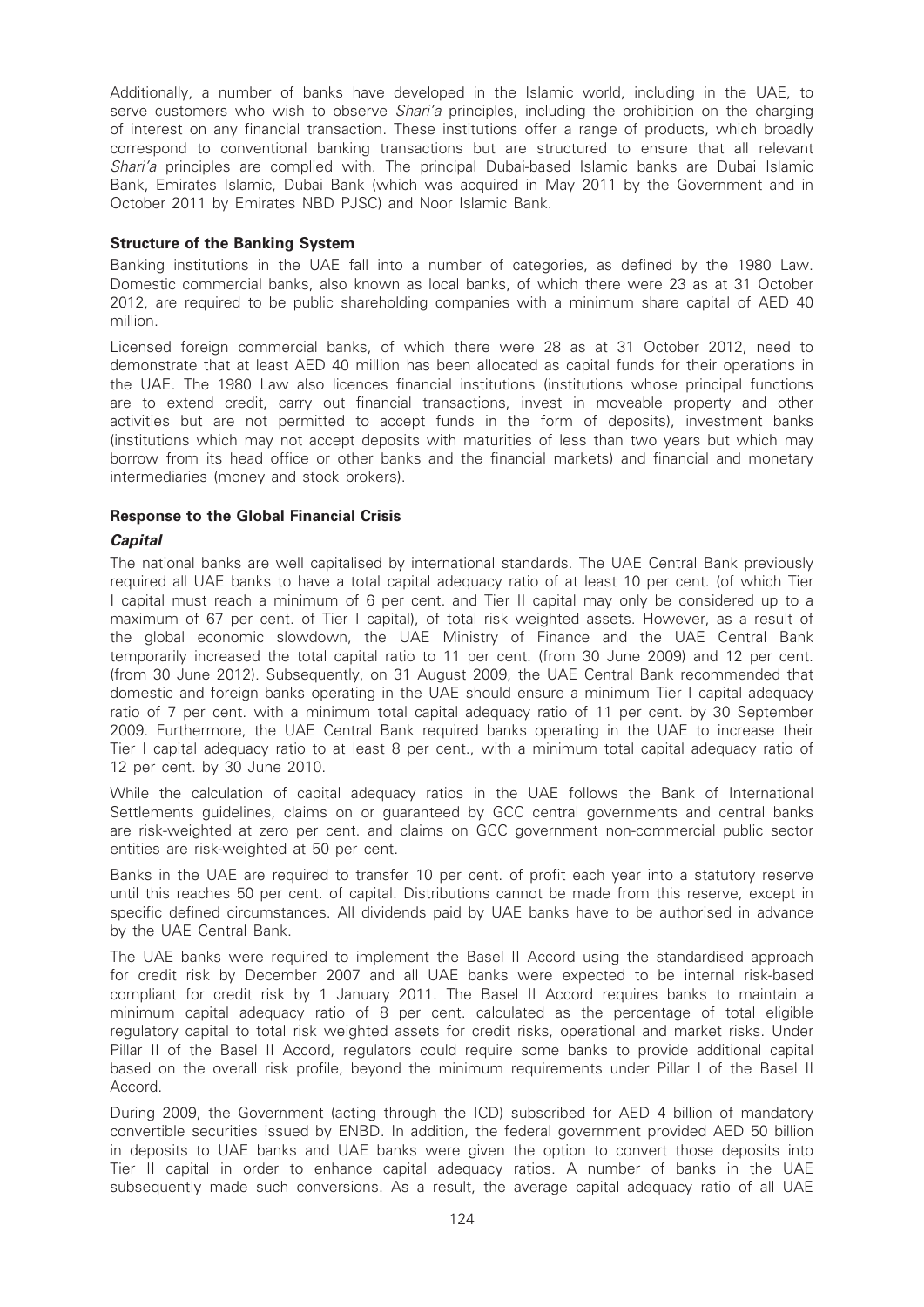Additionally, a number of banks have developed in the Islamic world, including in the UAE, to serve customers who wish to observe Shari'a principles, including the prohibition on the charging of interest on any financial transaction. These institutions offer a range of products, which broadly correspond to conventional banking transactions but are structured to ensure that all relevant Shari'a principles are complied with. The principal Dubai-based Islamic banks are Dubai Islamic Bank, Emirates Islamic, Dubai Bank (which was acquired in May 2011 by the Government and in October 2011 by Emirates NBD PJSC) and Noor Islamic Bank.

### Structure of the Banking System

Banking institutions in the UAE fall into a number of categories, as defined by the 1980 Law. Domestic commercial banks, also known as local banks, of which there were 23 as at 31 October 2012, are required to be public shareholding companies with a minimum share capital of AED 40 million.

Licensed foreign commercial banks, of which there were 28 as at 31 October 2012, need to demonstrate that at least AED 40 million has been allocated as capital funds for their operations in the UAE. The 1980 Law also licences financial institutions (institutions whose principal functions are to extend credit, carry out financial transactions, invest in moveable property and other activities but are not permitted to accept funds in the form of deposits), investment banks (institutions which may not accept deposits with maturities of less than two years but which may borrow from its head office or other banks and the financial markets) and financial and monetary intermediaries (money and stock brokers).

# Response to the Global Financial Crisis

# **Capital**

The national banks are well capitalised by international standards. The UAE Central Bank previously required all UAE banks to have a total capital adequacy ratio of at least 10 per cent. (of which Tier I capital must reach a minimum of 6 per cent. and Tier II capital may only be considered up to a maximum of 67 per cent. of Tier I capital), of total risk weighted assets. However, as a result of the global economic slowdown, the UAE Ministry of Finance and the UAE Central Bank temporarily increased the total capital ratio to 11 per cent. (from 30 June 2009) and 12 per cent. (from 30 June 2012). Subsequently, on 31 August 2009, the UAE Central Bank recommended that domestic and foreign banks operating in the UAE should ensure a minimum Tier I capital adequacy ratio of 7 per cent. with a minimum total capital adequacy ratio of 11 per cent. by 30 September 2009. Furthermore, the UAE Central Bank required banks operating in the UAE to increase their Tier I capital adequacy ratio to at least 8 per cent., with a minimum total capital adequacy ratio of 12 per cent. by 30 June 2010.

While the calculation of capital adequacy ratios in the UAE follows the Bank of International Settlements guidelines, claims on or guaranteed by GCC central governments and central banks are risk-weighted at zero per cent. and claims on GCC government non-commercial public sector entities are risk-weighted at 50 per cent.

Banks in the UAE are required to transfer 10 per cent. of profit each year into a statutory reserve until this reaches 50 per cent. of capital. Distributions cannot be made from this reserve, except in specific defined circumstances. All dividends paid by UAE banks have to be authorised in advance by the UAE Central Bank.

The UAE banks were required to implement the Basel II Accord using the standardised approach for credit risk by December 2007 and all UAE banks were expected to be internal risk-based compliant for credit risk by 1 January 2011. The Basel II Accord requires banks to maintain a minimum capital adequacy ratio of 8 per cent. calculated as the percentage of total eligible regulatory capital to total risk weighted assets for credit risks, operational and market risks. Under Pillar II of the Basel II Accord, regulators could require some banks to provide additional capital based on the overall risk profile, beyond the minimum requirements under Pillar I of the Basel II Accord.

During 2009, the Government (acting through the ICD) subscribed for AED 4 billion of mandatory convertible securities issued by ENBD. In addition, the federal government provided AED 50 billion in deposits to UAE banks and UAE banks were given the option to convert those deposits into Tier II capital in order to enhance capital adequacy ratios. A number of banks in the UAE subsequently made such conversions. As a result, the average capital adequacy ratio of all UAE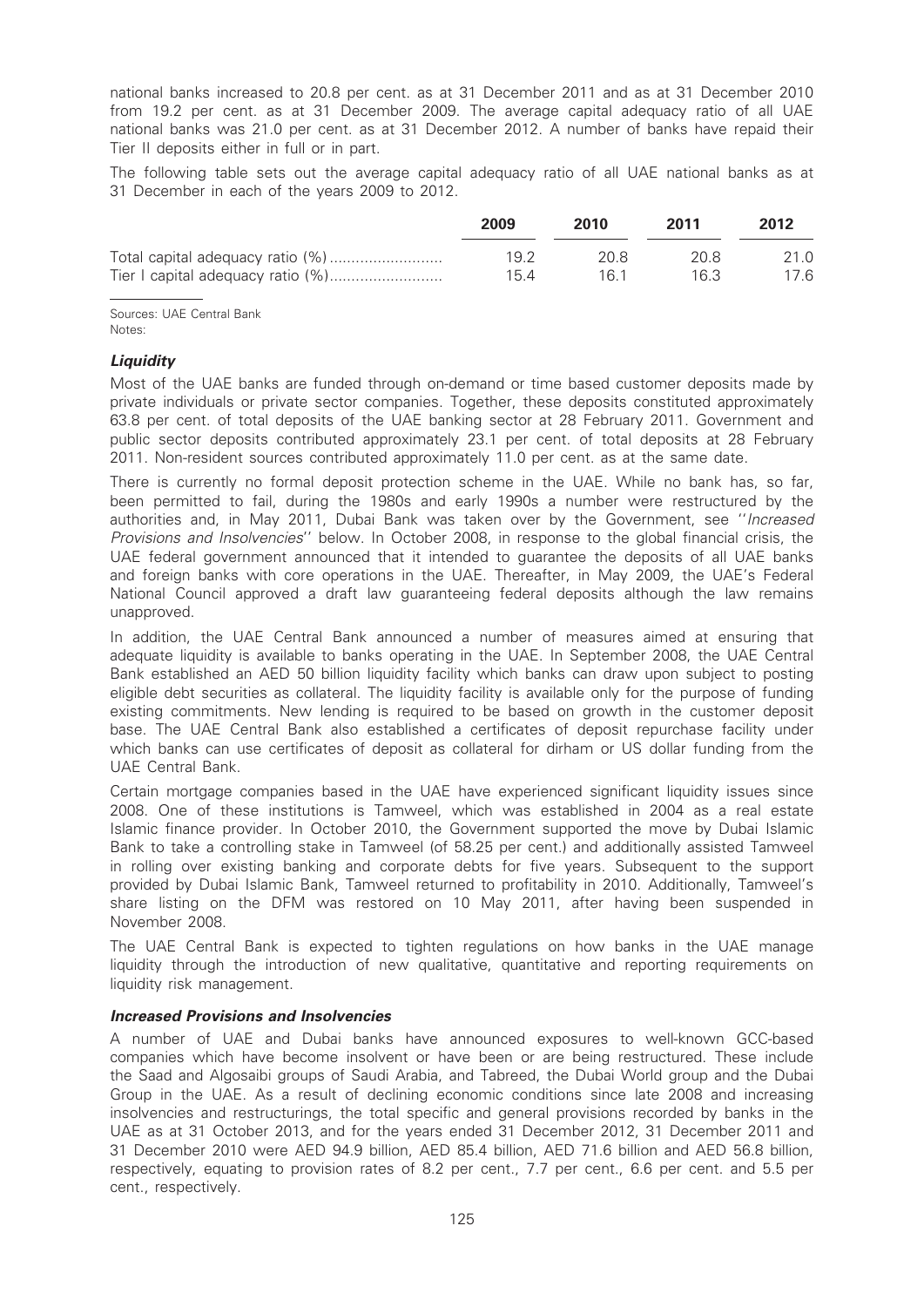national banks increased to 20.8 per cent. as at 31 December 2011 and as at 31 December 2010 from 19.2 per cent. as at 31 December 2009. The average capital adequacy ratio of all UAE national banks was 21.0 per cent. as at 31 December 2012. A number of banks have repaid their Tier II deposits either in full or in part.

The following table sets out the average capital adequacy ratio of all UAE national banks as at 31 December in each of the years 2009 to 2012.

| 2009 | 2010 | 2011 | 2012 |
|------|------|------|------|
| 19 2 | 20 S | 20 S | 21.0 |
| 154  | 16 1 | 16.3 | 17.6 |

Sources: UAE Central Bank Notes:

### **Liquidity**

Most of the UAE banks are funded through on-demand or time based customer deposits made by private individuals or private sector companies. Together, these deposits constituted approximately 63.8 per cent. of total deposits of the UAE banking sector at 28 February 2011. Government and public sector deposits contributed approximately 23.1 per cent. of total deposits at 28 February 2011. Non-resident sources contributed approximately 11.0 per cent. as at the same date.

There is currently no formal deposit protection scheme in the UAE. While no bank has, so far, been permitted to fail, during the 1980s and early 1990s a number were restructured by the authorities and, in May 2011, Dubai Bank was taken over by the Government, see "Increased Provisions and Insolvencies'' below. In October 2008, in response to the global financial crisis, the UAE federal government announced that it intended to guarantee the deposits of all UAE banks and foreign banks with core operations in the UAE. Thereafter, in May 2009, the UAE's Federal National Council approved a draft law guaranteeing federal deposits although the law remains unapproved.

In addition, the UAE Central Bank announced a number of measures aimed at ensuring that adequate liquidity is available to banks operating in the UAE. In September 2008, the UAE Central Bank established an AED 50 billion liquidity facility which banks can draw upon subject to posting eligible debt securities as collateral. The liquidity facility is available only for the purpose of funding existing commitments. New lending is required to be based on growth in the customer deposit base. The UAE Central Bank also established a certificates of deposit repurchase facility under which banks can use certificates of deposit as collateral for dirham or US dollar funding from the UAE Central Bank.

Certain mortgage companies based in the UAE have experienced significant liquidity issues since 2008. One of these institutions is Tamweel, which was established in 2004 as a real estate Islamic finance provider. In October 2010, the Government supported the move by Dubai Islamic Bank to take a controlling stake in Tamweel (of 58.25 per cent.) and additionally assisted Tamweel in rolling over existing banking and corporate debts for five years. Subsequent to the support provided by Dubai Islamic Bank, Tamweel returned to profitability in 2010. Additionally, Tamweel's share listing on the DFM was restored on 10 May 2011, after having been suspended in November 2008.

The UAE Central Bank is expected to tighten regulations on how banks in the UAE manage liquidity through the introduction of new qualitative, quantitative and reporting requirements on liquidity risk management.

### Increased Provisions and Insolvencies

A number of UAE and Dubai banks have announced exposures to well-known GCC-based companies which have become insolvent or have been or are being restructured. These include the Saad and Algosaibi groups of Saudi Arabia, and Tabreed, the Dubai World group and the Dubai Group in the UAE. As a result of declining economic conditions since late 2008 and increasing insolvencies and restructurings, the total specific and general provisions recorded by banks in the UAE as at 31 October 2013, and for the years ended 31 December 2012, 31 December 2011 and 31 December 2010 were AED 94.9 billion, AED 85.4 billion, AED 71.6 billion and AED 56.8 billion, respectively, equating to provision rates of 8.2 per cent., 7.7 per cent., 6.6 per cent. and 5.5 per cent., respectively.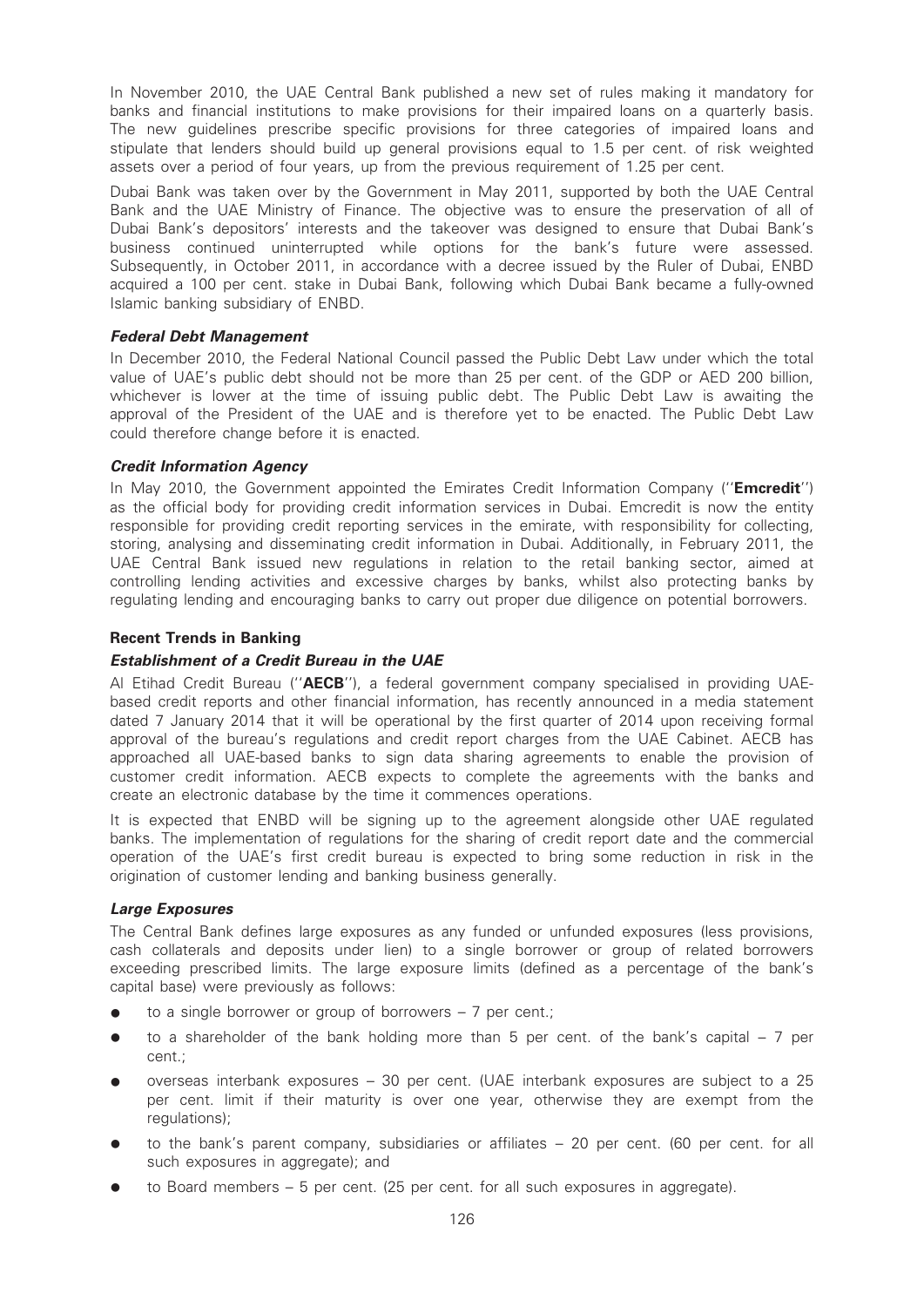In November 2010, the UAE Central Bank published a new set of rules making it mandatory for banks and financial institutions to make provisions for their impaired loans on a quarterly basis. The new guidelines prescribe specific provisions for three categories of impaired loans and stipulate that lenders should build up general provisions equal to 1.5 per cent. of risk weighted assets over a period of four years, up from the previous requirement of 1.25 per cent.

Dubai Bank was taken over by the Government in May 2011, supported by both the UAE Central Bank and the UAE Ministry of Finance. The objective was to ensure the preservation of all of Dubai Bank's depositors' interests and the takeover was designed to ensure that Dubai Bank's business continued uninterrupted while options for the bank's future were assessed. Subsequently, in October 2011, in accordance with a decree issued by the Ruler of Dubai, ENBD acquired a 100 per cent. stake in Dubai Bank, following which Dubai Bank became a fully-owned Islamic banking subsidiary of ENBD.

# Federal Debt Management

In December 2010, the Federal National Council passed the Public Debt Law under which the total value of UAE's public debt should not be more than 25 per cent. of the GDP or AED 200 billion, whichever is lower at the time of issuing public debt. The Public Debt Law is awaiting the approval of the President of the UAE and is therefore yet to be enacted. The Public Debt Law could therefore change before it is enacted.

# Credit Information Agency

In May 2010, the Government appointed the Emirates Credit Information Company ("**Emcredit**") as the official body for providing credit information services in Dubai. Emcredit is now the entity responsible for providing credit reporting services in the emirate, with responsibility for collecting, storing, analysing and disseminating credit information in Dubai. Additionally, in February 2011, the UAE Central Bank issued new regulations in relation to the retail banking sector, aimed at controlling lending activities and excessive charges by banks, whilst also protecting banks by regulating lending and encouraging banks to carry out proper due diligence on potential borrowers.

# Recent Trends in Banking

# Establishment of a Credit Bureau in the UAE

Al Etihad Credit Bureau ("**AECB**"), a federal government company specialised in providing UAEbased credit reports and other financial information, has recently announced in a media statement dated 7 January 2014 that it will be operational by the first quarter of 2014 upon receiving formal approval of the bureau's regulations and credit report charges from the UAE Cabinet. AECB has approached all UAE-based banks to sign data sharing agreements to enable the provision of customer credit information. AECB expects to complete the agreements with the banks and create an electronic database by the time it commences operations.

It is expected that ENBD will be signing up to the agreement alongside other UAE regulated banks. The implementation of regulations for the sharing of credit report date and the commercial operation of the UAE's first credit bureau is expected to bring some reduction in risk in the origination of customer lending and banking business generally.

# Large Exposures

The Central Bank defines large exposures as any funded or unfunded exposures (less provisions, cash collaterals and deposits under lien) to a single borrower or group of related borrowers exceeding prescribed limits. The large exposure limits (defined as a percentage of the bank's capital base) were previously as follows:

- $\bullet$  to a single borrower or group of borrowers 7 per cent.;
- $\bullet$  to a shareholder of the bank holding more than 5 per cent. of the bank's capital 7 per cent.;
- \* overseas interbank exposures 30 per cent. (UAE interbank exposures are subject to a 25 per cent. limit if their maturity is over one year, otherwise they are exempt from the regulations);
- to the bank's parent company, subsidiaries or affiliates 20 per cent. (60 per cent. for all such exposures in aggregate); and
- to Board members  $-5$  per cent. (25 per cent. for all such exposures in aggregate).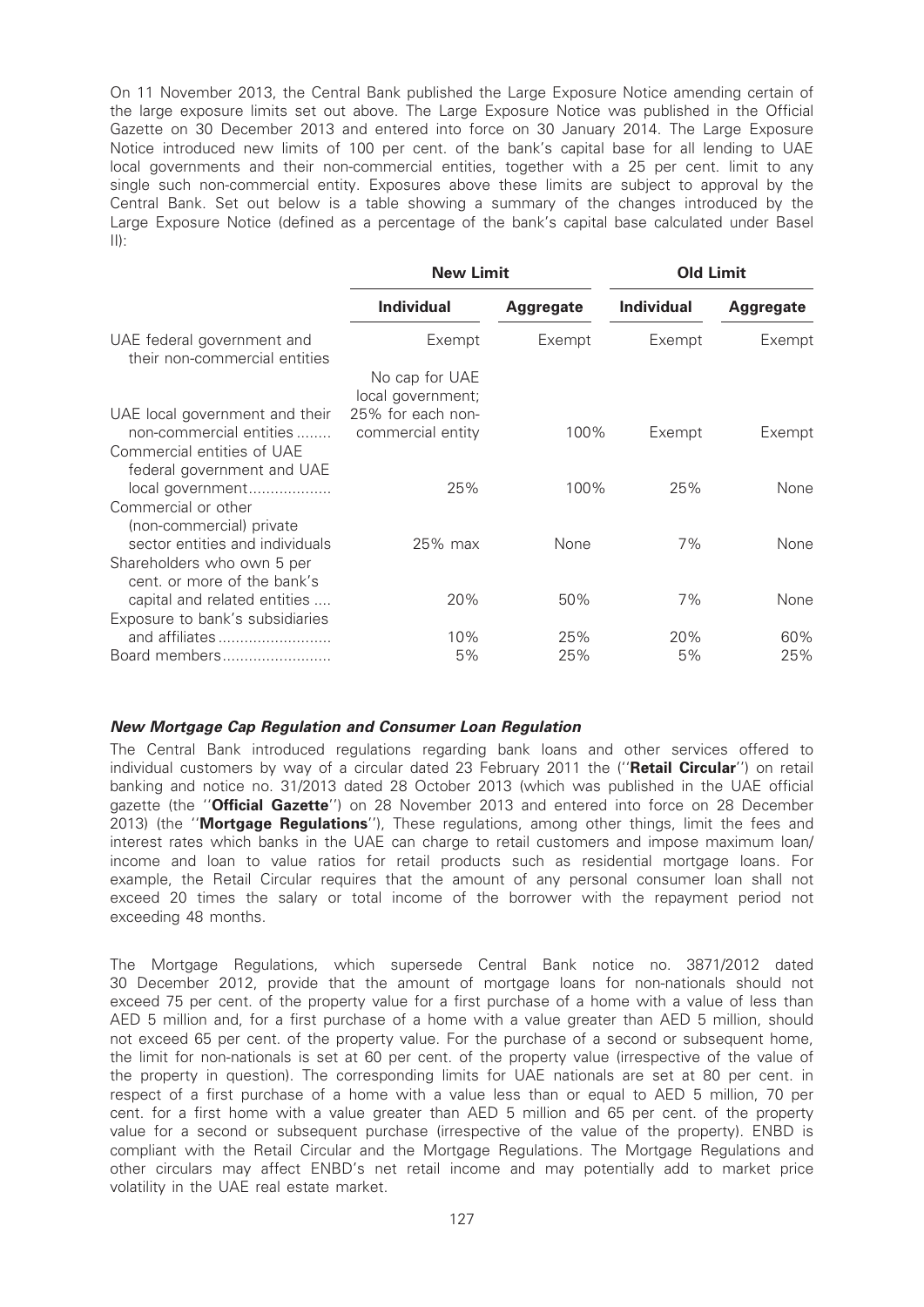On 11 November 2013, the Central Bank published the Large Exposure Notice amending certain of the large exposure limits set out above. The Large Exposure Notice was published in the Official Gazette on 30 December 2013 and entered into force on 30 January 2014. The Large Exposure Notice introduced new limits of 100 per cent. of the bank's capital base for all lending to UAE local governments and their non-commercial entities, together with a 25 per cent. limit to any single such non-commercial entity. Exposures above these limits are subject to approval by the Central Bank. Set out below is a table showing a summary of the changes introduced by the Large Exposure Notice (defined as a percentage of the bank's capital base calculated under Basel  $\vert \vert \vert$ ):

|                                                             | <b>New Limit</b>                    |                  | <b>Old Limit</b>  |           |  |
|-------------------------------------------------------------|-------------------------------------|------------------|-------------------|-----------|--|
|                                                             | <b>Individual</b>                   | <b>Aggregate</b> | <b>Individual</b> | Aggregate |  |
| UAE federal government and<br>their non-commercial entities | Exempt                              | Exempt           | Exempt            | Exempt    |  |
|                                                             | No cap for UAE<br>local government; |                  |                   |           |  |
| UAE local government and their                              | 25% for each non-                   |                  |                   |           |  |
| non-commercial entities<br>Commercial entities of UAE       | commercial entity                   | 100%             | Exempt            | Exempt    |  |
| federal government and UAE<br>local government              | 25%                                 | 100%             | 25%               | None      |  |
| Commercial or other                                         |                                     |                  |                   |           |  |
| (non-commercial) private<br>sector entities and individuals | $25\%$ max                          | None             | 7%                | None      |  |
| Shareholders who own 5 per                                  |                                     |                  |                   |           |  |
| cent, or more of the bank's<br>capital and related entities | 20%                                 | 50%              | 7%                | None      |  |
| Exposure to bank's subsidiaries                             |                                     |                  |                   |           |  |
| and affiliates                                              | 10%                                 | 25%              | 20%               | 60%       |  |
| Board members                                               | 5%                                  | 25%              | 5%                | 25%       |  |

#### New Mortgage Cap Regulation and Consumer Loan Regulation

The Central Bank introduced regulations regarding bank loans and other services offered to individual customers by way of a circular dated 23 February 2011 the ("Retail Circular") on retail banking and notice no. 31/2013 dated 28 October 2013 (which was published in the UAE official gazette (the "Official Gazette") on 28 November 2013 and entered into force on 28 December 2013) (the "Mortgage Regulations"), These regulations, among other things, limit the fees and interest rates which banks in the UAE can charge to retail customers and impose maximum loan/ income and loan to value ratios for retail products such as residential mortgage loans. For example, the Retail Circular requires that the amount of any personal consumer loan shall not exceed 20 times the salary or total income of the borrower with the repayment period not exceeding 48 months.

The Mortgage Regulations, which supersede Central Bank notice no. 3871/2012 dated 30 December 2012, provide that the amount of mortgage loans for non-nationals should not exceed 75 per cent. of the property value for a first purchase of a home with a value of less than AED 5 million and, for a first purchase of a home with a value greater than AED 5 million, should not exceed 65 per cent. of the property value. For the purchase of a second or subsequent home, the limit for non-nationals is set at 60 per cent. of the property value (irrespective of the value of the property in question). The corresponding limits for UAE nationals are set at 80 per cent. in respect of a first purchase of a home with a value less than or equal to AED 5 million, 70 per cent. for a first home with a value greater than AED 5 million and 65 per cent. of the property value for a second or subsequent purchase (irrespective of the value of the property). ENBD is compliant with the Retail Circular and the Mortgage Regulations. The Mortgage Regulations and other circulars may affect ENBD's net retail income and may potentially add to market price volatility in the UAE real estate market.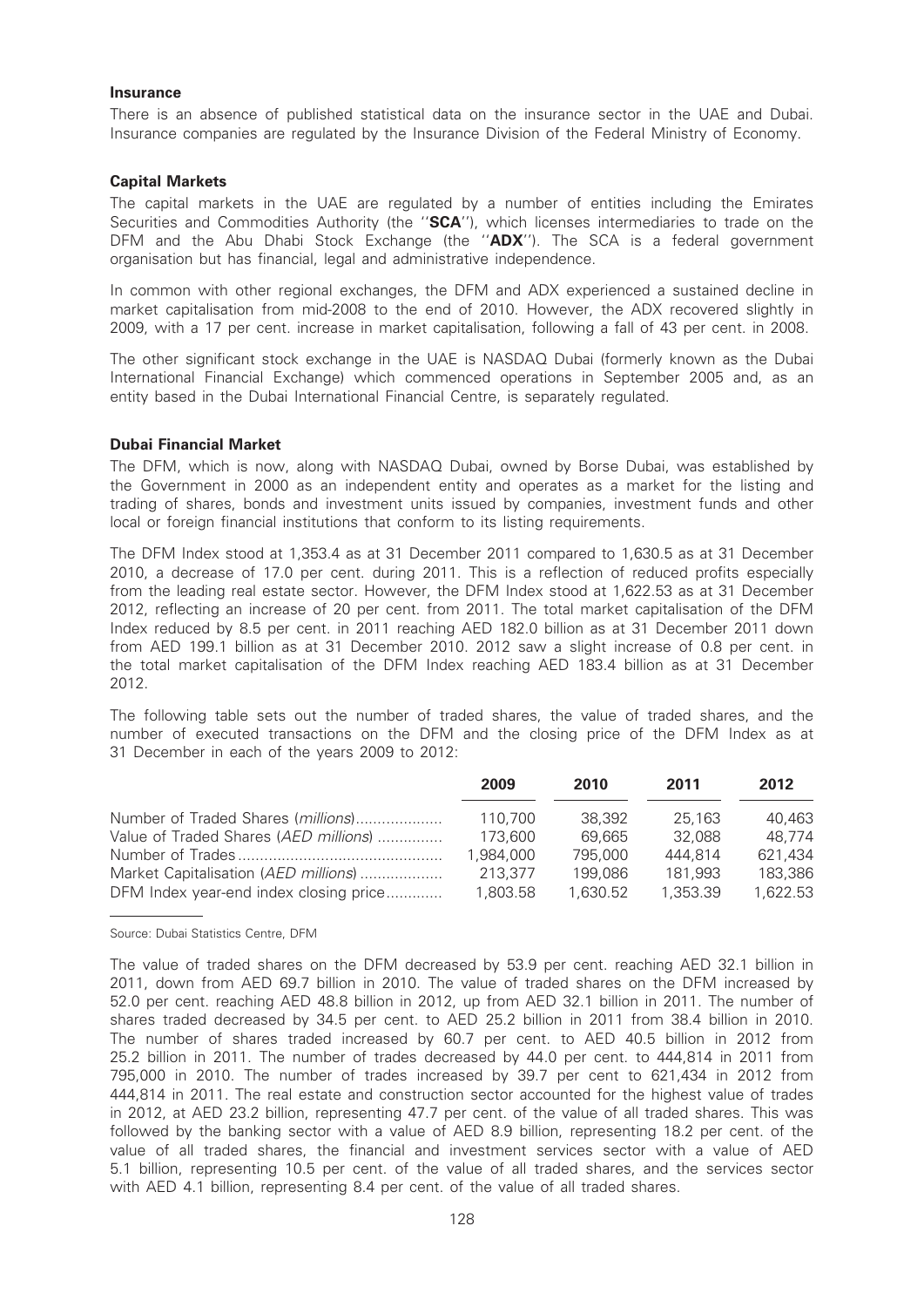#### **Insurance**

There is an absence of published statistical data on the insurance sector in the UAE and Dubai. Insurance companies are regulated by the Insurance Division of the Federal Ministry of Economy.

#### Capital Markets

The capital markets in the UAE are regulated by a number of entities including the Emirates Securities and Commodities Authority (the "SCA"), which licenses intermediaries to trade on the DFM and the Abu Dhabi Stock Exchange (the "ADX"). The SCA is a federal government organisation but has financial, legal and administrative independence.

In common with other regional exchanges, the DFM and ADX experienced a sustained decline in market capitalisation from mid-2008 to the end of 2010. However, the ADX recovered slightly in 2009, with a 17 per cent. increase in market capitalisation, following a fall of 43 per cent. in 2008.

The other significant stock exchange in the UAE is NASDAQ Dubai (formerly known as the Dubai International Financial Exchange) which commenced operations in September 2005 and, as an entity based in the Dubai International Financial Centre, is separately regulated.

### Dubai Financial Market

The DFM, which is now, along with NASDAQ Dubai, owned by Borse Dubai, was established by the Government in 2000 as an independent entity and operates as a market for the listing and trading of shares, bonds and investment units issued by companies, investment funds and other local or foreign financial institutions that conform to its listing requirements.

The DFM Index stood at 1,353.4 as at 31 December 2011 compared to 1,630.5 as at 31 December 2010, a decrease of 17.0 per cent. during 2011. This is a reflection of reduced profits especially from the leading real estate sector. However, the DFM Index stood at 1,622.53 as at 31 December 2012, reflecting an increase of 20 per cent. from 2011. The total market capitalisation of the DFM Index reduced by 8.5 per cent. in 2011 reaching AED 182.0 billion as at 31 December 2011 down from AED 199.1 billion as at 31 December 2010. 2012 saw a slight increase of 0.8 per cent. in the total market capitalisation of the DFM Index reaching AED 183.4 billion as at 31 December 2012.

The following table sets out the number of traded shares, the value of traded shares, and the number of executed transactions on the DFM and the closing price of the DFM Index as at 31 December in each of the years 2009 to 2012:

|                                        | 2009      | 2010     | 2011     | 2012     |
|----------------------------------------|-----------|----------|----------|----------|
| Number of Traded Shares (millions)     | 110.700   | 38.392   | 25,163   | 40.463   |
| Value of Traded Shares (AED millions)  | 173,600   | 69.665   | 32,088   | 48.774   |
|                                        | 1.984.000 | 795,000  | 444.814  | 621,434  |
| Market Capitalisation (AED millions)   | 213,377   | 199,086  | 181,993  | 183,386  |
| DFM Index year-end index closing price | 1.803.58  | 1.630.52 | 1.353.39 | 1,622.53 |

Source: Dubai Statistics Centre, DFM

The value of traded shares on the DFM decreased by 53.9 per cent. reaching AED 32.1 billion in 2011, down from AED 69.7 billion in 2010. The value of traded shares on the DFM increased by 52.0 per cent. reaching AED 48.8 billion in 2012, up from AED 32.1 billion in 2011. The number of shares traded decreased by 34.5 per cent. to AED 25.2 billion in 2011 from 38.4 billion in 2010. The number of shares traded increased by 60.7 per cent. to AED 40.5 billion in 2012 from 25.2 billion in 2011. The number of trades decreased by 44.0 per cent. to 444,814 in 2011 from 795,000 in 2010. The number of trades increased by 39.7 per cent to 621,434 in 2012 from 444,814 in 2011. The real estate and construction sector accounted for the highest value of trades in 2012, at AED 23.2 billion, representing 47.7 per cent. of the value of all traded shares. This was followed by the banking sector with a value of AED 8.9 billion, representing 18.2 per cent. of the value of all traded shares, the financial and investment services sector with a value of AED 5.1 billion, representing 10.5 per cent. of the value of all traded shares, and the services sector with AED 4.1 billion, representing 8.4 per cent. of the value of all traded shares.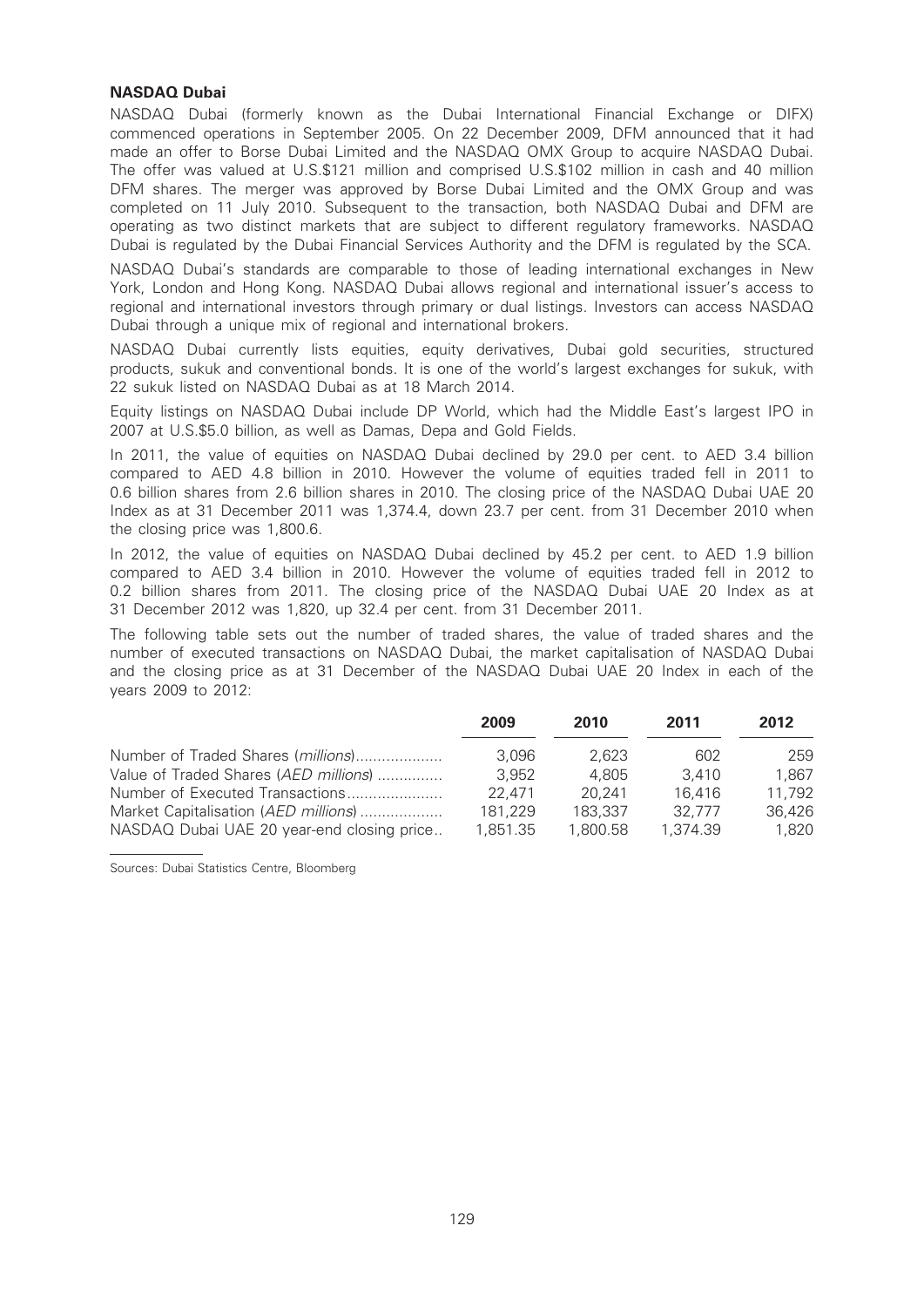# NASDAQ Dubai

NASDAQ Dubai (formerly known as the Dubai International Financial Exchange or DIFX) commenced operations in September 2005. On 22 December 2009, DFM announced that it had made an offer to Borse Dubai Limited and the NASDAQ OMX Group to acquire NASDAQ Dubai. The offer was valued at U.S.\$121 million and comprised U.S.\$102 million in cash and 40 million DFM shares. The merger was approved by Borse Dubai Limited and the OMX Group and was completed on 11 July 2010. Subsequent to the transaction, both NASDAQ Dubai and DFM are operating as two distinct markets that are subject to different regulatory frameworks. NASDAQ Dubai is regulated by the Dubai Financial Services Authority and the DFM is regulated by the SCA.

NASDAQ Dubai's standards are comparable to those of leading international exchanges in New York, London and Hong Kong. NASDAQ Dubai allows regional and international issuer's access to regional and international investors through primary or dual listings. Investors can access NASDAQ Dubai through a unique mix of regional and international brokers.

NASDAQ Dubai currently lists equities, equity derivatives, Dubai gold securities, structured products, sukuk and conventional bonds. It is one of the world's largest exchanges for sukuk, with 22 sukuk listed on NASDAQ Dubai as at 18 March 2014.

Equity listings on NASDAQ Dubai include DP World, which had the Middle East's largest IPO in 2007 at U.S.\$5.0 billion, as well as Damas, Depa and Gold Fields.

In 2011, the value of equities on NASDAQ Dubai declined by 29.0 per cent. to AED 3.4 billion compared to AED 4.8 billion in 2010. However the volume of equities traded fell in 2011 to 0.6 billion shares from 2.6 billion shares in 2010. The closing price of the NASDAQ Dubai UAE 20 Index as at 31 December 2011 was 1,374.4, down 23.7 per cent. from 31 December 2010 when the closing price was 1,800.6.

In 2012, the value of equities on NASDAQ Dubai declined by 45.2 per cent. to AED 1.9 billion compared to AED 3.4 billion in 2010. However the volume of equities traded fell in 2012 to 0.2 billion shares from 2011. The closing price of the NASDAQ Dubai UAE 20 Index as at 31 December 2012 was 1,820, up 32.4 per cent. from 31 December 2011.

The following table sets out the number of traded shares, the value of traded shares and the number of executed transactions on NASDAQ Dubai, the market capitalisation of NASDAQ Dubai and the closing price as at 31 December of the NASDAQ Dubai UAE 20 Index in each of the years 2009 to 2012:

|                                            | 2009     | 2010     | 2011     | 2012   |
|--------------------------------------------|----------|----------|----------|--------|
| Number of Traded Shares (millions)         | 3.096    | 2.623    | 602      | 259    |
| Value of Traded Shares (AED millions)      | 3.952    | 4.805    | 3.410    | 1.867  |
| Number of Executed Transactions            | 22.471   | 20.241   | 16.416   | 11.792 |
| Market Capitalisation (AED millions)       | 181.229  | 183.337  | 32.777   | 36.426 |
| NASDAQ Dubai UAE 20 year-end closing price | 1.851.35 | 1.800.58 | 1.374.39 | 1.820  |

Sources: Dubai Statistics Centre, Bloomberg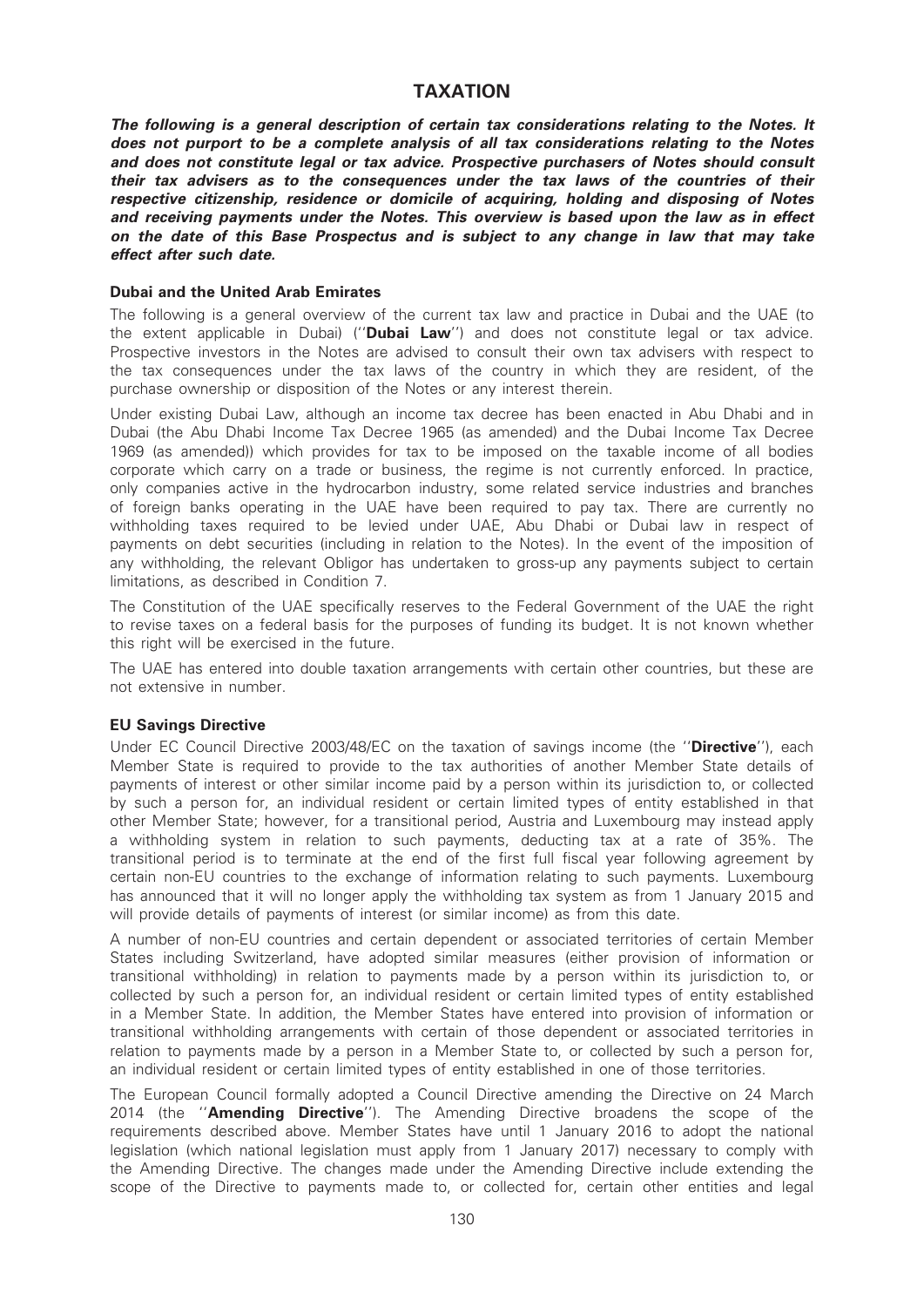# TAXATION

The following is a general description of certain tax considerations relating to the Notes. It does not purport to be a complete analysis of all tax considerations relating to the Notes and does not constitute legal or tax advice. Prospective purchasers of Notes should consult their tax advisers as to the consequences under the tax laws of the countries of their respective citizenship, residence or domicile of acquiring, holding and disposing of Notes and receiving payments under the Notes. This overview is based upon the law as in effect on the date of this Base Prospectus and is subject to any change in law that may take effect after such date.

#### Dubai and the United Arab Emirates

The following is a general overview of the current tax law and practice in Dubai and the UAE (to the extent applicable in Dubai) ("**Dubai Law**") and does not constitute legal or tax advice. Prospective investors in the Notes are advised to consult their own tax advisers with respect to the tax consequences under the tax laws of the country in which they are resident, of the purchase ownership or disposition of the Notes or any interest therein.

Under existing Dubai Law, although an income tax decree has been enacted in Abu Dhabi and in Dubai (the Abu Dhabi Income Tax Decree 1965 (as amended) and the Dubai Income Tax Decree 1969 (as amended)) which provides for tax to be imposed on the taxable income of all bodies corporate which carry on a trade or business, the regime is not currently enforced. In practice, only companies active in the hydrocarbon industry, some related service industries and branches of foreign banks operating in the UAE have been required to pay tax. There are currently no withholding taxes required to be levied under UAE, Abu Dhabi or Dubai law in respect of payments on debt securities (including in relation to the Notes). In the event of the imposition of any withholding, the relevant Obligor has undertaken to gross-up any payments subject to certain limitations, as described in Condition 7.

The Constitution of the UAE specifically reserves to the Federal Government of the UAE the right to revise taxes on a federal basis for the purposes of funding its budget. It is not known whether this right will be exercised in the future.

The UAE has entered into double taxation arrangements with certain other countries, but these are not extensive in number.

#### EU Savings Directive

Under EC Council Directive 2003/48/EC on the taxation of savings income (the "Directive"), each Member State is required to provide to the tax authorities of another Member State details of payments of interest or other similar income paid by a person within its jurisdiction to, or collected by such a person for, an individual resident or certain limited types of entity established in that other Member State; however, for a transitional period, Austria and Luxembourg may instead apply a withholding system in relation to such payments, deducting tax at a rate of 35%. The transitional period is to terminate at the end of the first full fiscal year following agreement by certain non-EU countries to the exchange of information relating to such payments. Luxembourg has announced that it will no longer apply the withholding tax system as from 1 January 2015 and will provide details of payments of interest (or similar income) as from this date.

A number of non-EU countries and certain dependent or associated territories of certain Member States including Switzerland, have adopted similar measures (either provision of information or transitional withholding) in relation to payments made by a person within its jurisdiction to, or collected by such a person for, an individual resident or certain limited types of entity established in a Member State. In addition, the Member States have entered into provision of information or transitional withholding arrangements with certain of those dependent or associated territories in relation to payments made by a person in a Member State to, or collected by such a person for, an individual resident or certain limited types of entity established in one of those territories.

The European Council formally adopted a Council Directive amending the Directive on 24 March 2014 (the "**Amending Directive**"). The Amending Directive broadens the scope of the requirements described above. Member States have until 1 January 2016 to adopt the national legislation (which national legislation must apply from 1 January 2017) necessary to comply with the Amending Directive. The changes made under the Amending Directive include extending the scope of the Directive to payments made to, or collected for, certain other entities and legal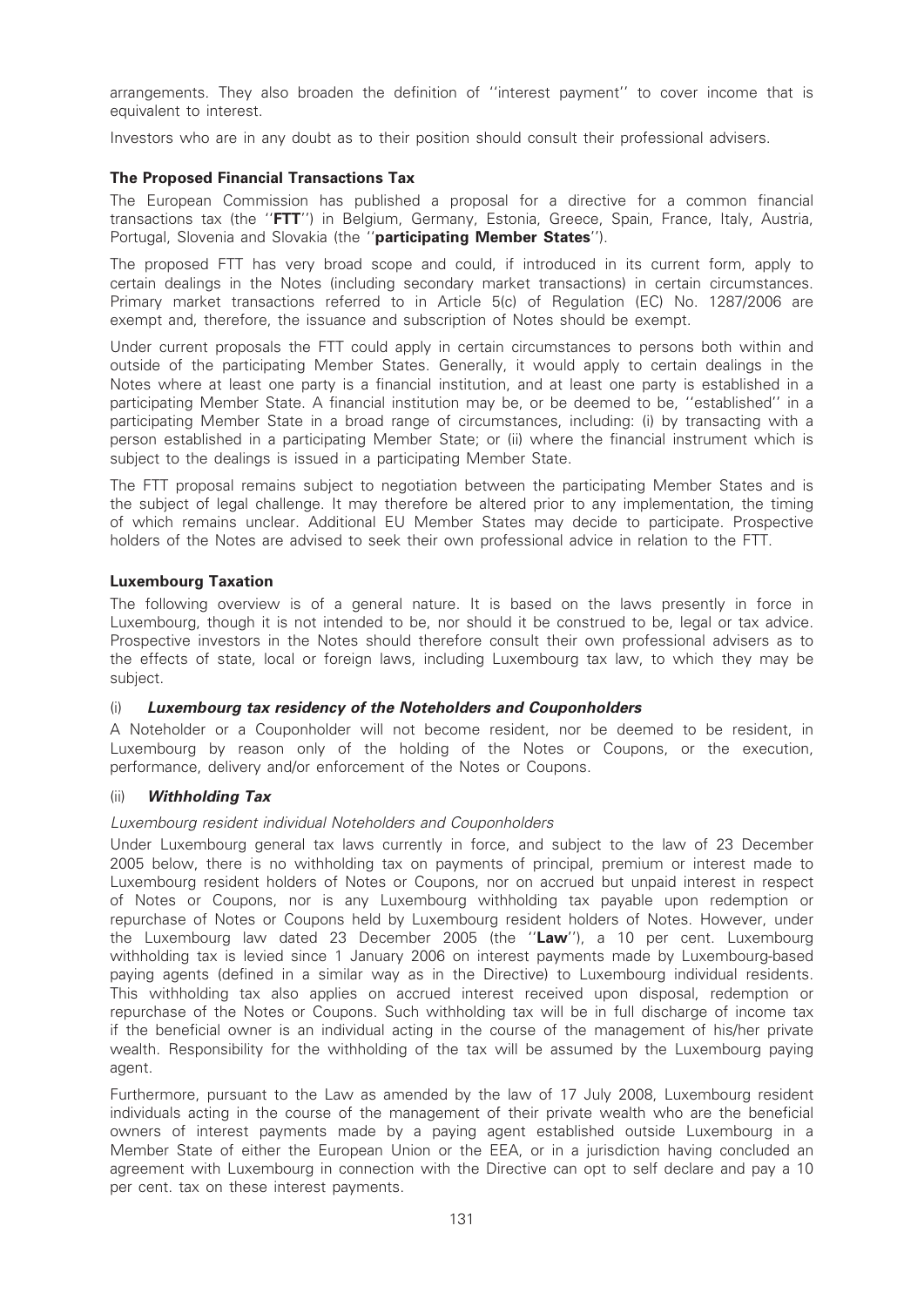arrangements. They also broaden the definition of ''interest payment'' to cover income that is equivalent to interest.

Investors who are in any doubt as to their position should consult their professional advisers.

# The Proposed Financial Transactions Tax

The European Commission has published a proposal for a directive for a common financial transactions tax (the "FTT") in Belgium, Germany, Estonia, Greece, Spain, France, Italy, Austria, Portugal, Slovenia and Slovakia (the "participating Member States").

The proposed FTT has very broad scope and could, if introduced in its current form, apply to certain dealings in the Notes (including secondary market transactions) in certain circumstances. Primary market transactions referred to in Article 5(c) of Regulation (EC) No. 1287/2006 are exempt and, therefore, the issuance and subscription of Notes should be exempt.

Under current proposals the FTT could apply in certain circumstances to persons both within and outside of the participating Member States. Generally, it would apply to certain dealings in the Notes where at least one party is a financial institution, and at least one party is established in a participating Member State. A financial institution may be, or be deemed to be, ''established'' in a participating Member State in a broad range of circumstances, including: (i) by transacting with a person established in a participating Member State; or (ii) where the financial instrument which is subject to the dealings is issued in a participating Member State.

The FTT proposal remains subject to negotiation between the participating Member States and is the subject of legal challenge. It may therefore be altered prior to any implementation, the timing of which remains unclear. Additional EU Member States may decide to participate. Prospective holders of the Notes are advised to seek their own professional advice in relation to the FTT.

# Luxembourg Taxation

The following overview is of a general nature. It is based on the laws presently in force in Luxembourg, though it is not intended to be, nor should it be construed to be, legal or tax advice. Prospective investors in the Notes should therefore consult their own professional advisers as to the effects of state, local or foreign laws, including Luxembourg tax law, to which they may be subject.

# (i) Luxembourg tax residency of the Noteholders and Couponholders

A Noteholder or a Couponholder will not become resident, nor be deemed to be resident, in Luxembourg by reason only of the holding of the Notes or Coupons, or the execution, performance, delivery and/or enforcement of the Notes or Coupons.

# (ii) Withholding Tax

# Luxembourg resident individual Noteholders and Couponholders

Under Luxembourg general tax laws currently in force, and subject to the law of 23 December 2005 below, there is no withholding tax on payments of principal, premium or interest made to Luxembourg resident holders of Notes or Coupons, nor on accrued but unpaid interest in respect of Notes or Coupons, nor is any Luxembourg withholding tax payable upon redemption or repurchase of Notes or Coupons held by Luxembourg resident holders of Notes. However, under the Luxembourg law dated 23 December 2005 (the "Law"), a 10 per cent. Luxembourg withholding tax is levied since 1 January 2006 on interest payments made by Luxembourg-based paying agents (defined in a similar way as in the Directive) to Luxembourg individual residents. This withholding tax also applies on accrued interest received upon disposal, redemption or repurchase of the Notes or Coupons. Such withholding tax will be in full discharge of income tax if the beneficial owner is an individual acting in the course of the management of his/her private wealth. Responsibility for the withholding of the tax will be assumed by the Luxembourg paying agent.

Furthermore, pursuant to the Law as amended by the law of 17 July 2008, Luxembourg resident individuals acting in the course of the management of their private wealth who are the beneficial owners of interest payments made by a paying agent established outside Luxembourg in a Member State of either the European Union or the EEA, or in a jurisdiction having concluded an agreement with Luxembourg in connection with the Directive can opt to self declare and pay a 10 per cent. tax on these interest payments.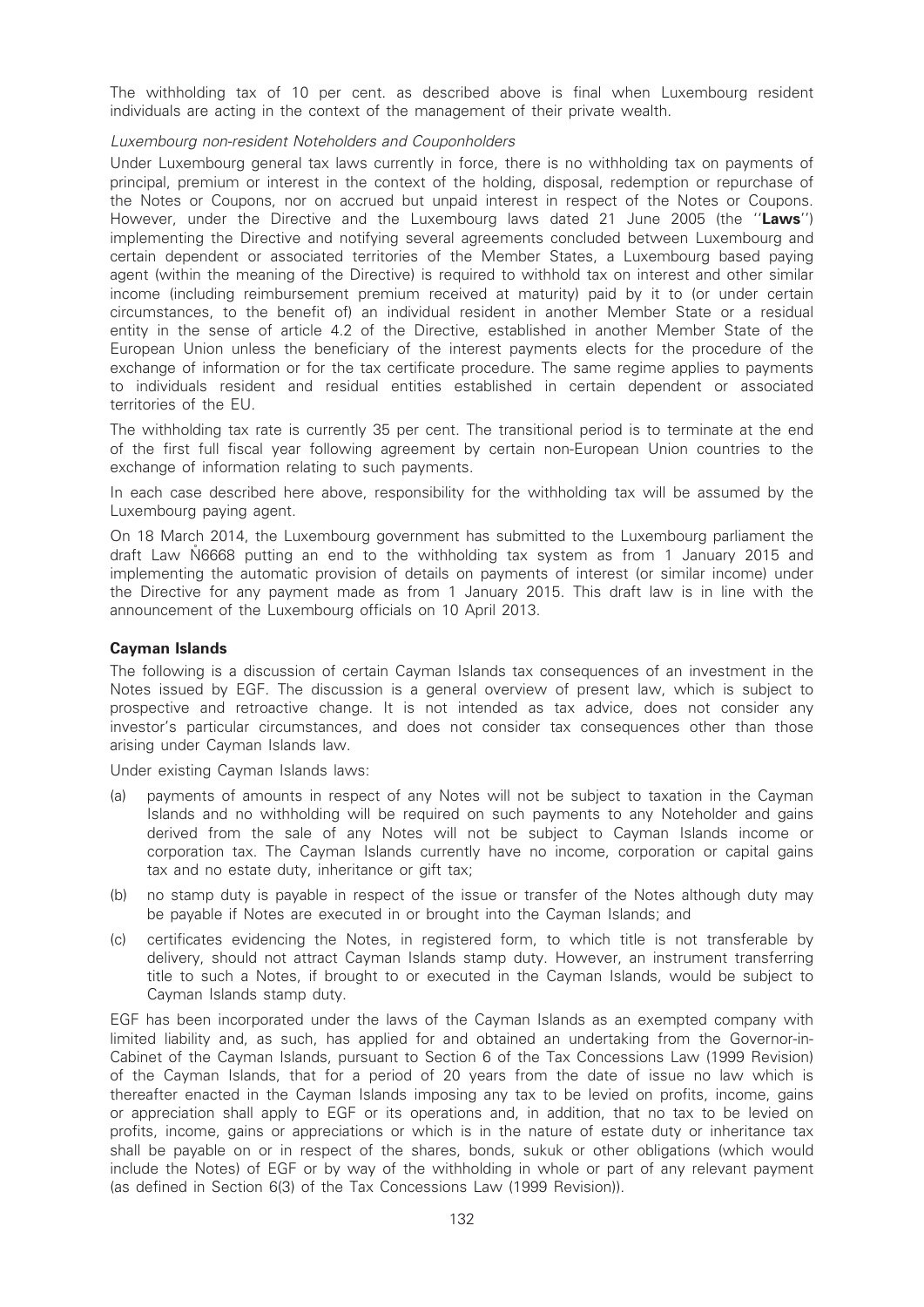The withholding tax of 10 per cent. as described above is final when Luxembourg resident individuals are acting in the context of the management of their private wealth.

### Luxembourg non-resident Noteholders and Couponholders

Under Luxembourg general tax laws currently in force, there is no withholding tax on payments of principal, premium or interest in the context of the holding, disposal, redemption or repurchase of the Notes or Coupons, nor on accrued but unpaid interest in respect of the Notes or Coupons. However, under the Directive and the Luxembourg laws dated 21 June 2005 (the "Laws") implementing the Directive and notifying several agreements concluded between Luxembourg and certain dependent or associated territories of the Member States, a Luxembourg based paying agent (within the meaning of the Directive) is required to withhold tax on interest and other similar income (including reimbursement premium received at maturity) paid by it to (or under certain circumstances, to the benefit of) an individual resident in another Member State or a residual entity in the sense of article 4.2 of the Directive, established in another Member State of the European Union unless the beneficiary of the interest payments elects for the procedure of the exchange of information or for the tax certificate procedure. The same regime applies to payments to individuals resident and residual entities established in certain dependent or associated territories of the EU.

The withholding tax rate is currently 35 per cent. The transitional period is to terminate at the end of the first full fiscal year following agreement by certain non-European Union countries to the exchange of information relating to such payments.

In each case described here above, responsibility for the withholding tax will be assumed by the Luxembourg paying agent.

On 18 March 2014, the Luxembourg government has submitted to the Luxembourg parliament the draft Law NG668 putting an end to the withholding tax system as from 1 January 2015 and implementing the automatic provision of details on payments of interest (or similar income) under the Directive for any payment made as from 1 January 2015. This draft law is in line with the announcement of the Luxembourg officials on 10 April 2013.

### Cayman Islands

The following is a discussion of certain Cayman Islands tax consequences of an investment in the Notes issued by EGF. The discussion is a general overview of present law, which is subject to prospective and retroactive change. It is not intended as tax advice, does not consider any investor's particular circumstances, and does not consider tax consequences other than those arising under Cayman Islands law.

Under existing Cayman Islands laws:

- (a) payments of amounts in respect of any Notes will not be subject to taxation in the Cayman Islands and no withholding will be required on such payments to any Noteholder and gains derived from the sale of any Notes will not be subject to Cayman Islands income or corporation tax. The Cayman Islands currently have no income, corporation or capital gains tax and no estate duty, inheritance or gift tax;
- (b) no stamp duty is payable in respect of the issue or transfer of the Notes although duty may be payable if Notes are executed in or brought into the Cayman Islands; and
- (c) certificates evidencing the Notes, in registered form, to which title is not transferable by delivery, should not attract Cayman Islands stamp duty. However, an instrument transferring title to such a Notes, if brought to or executed in the Cayman Islands, would be subject to Cayman Islands stamp duty.

EGF has been incorporated under the laws of the Cayman Islands as an exempted company with limited liability and, as such, has applied for and obtained an undertaking from the Governor-in-Cabinet of the Cayman Islands, pursuant to Section 6 of the Tax Concessions Law (1999 Revision) of the Cayman Islands, that for a period of 20 years from the date of issue no law which is thereafter enacted in the Cayman Islands imposing any tax to be levied on profits, income, gains or appreciation shall apply to EGF or its operations and, in addition, that no tax to be levied on profits, income, gains or appreciations or which is in the nature of estate duty or inheritance tax shall be payable on or in respect of the shares, bonds, sukuk or other obligations (which would include the Notes) of EGF or by way of the withholding in whole or part of any relevant payment (as defined in Section 6(3) of the Tax Concessions Law (1999 Revision)).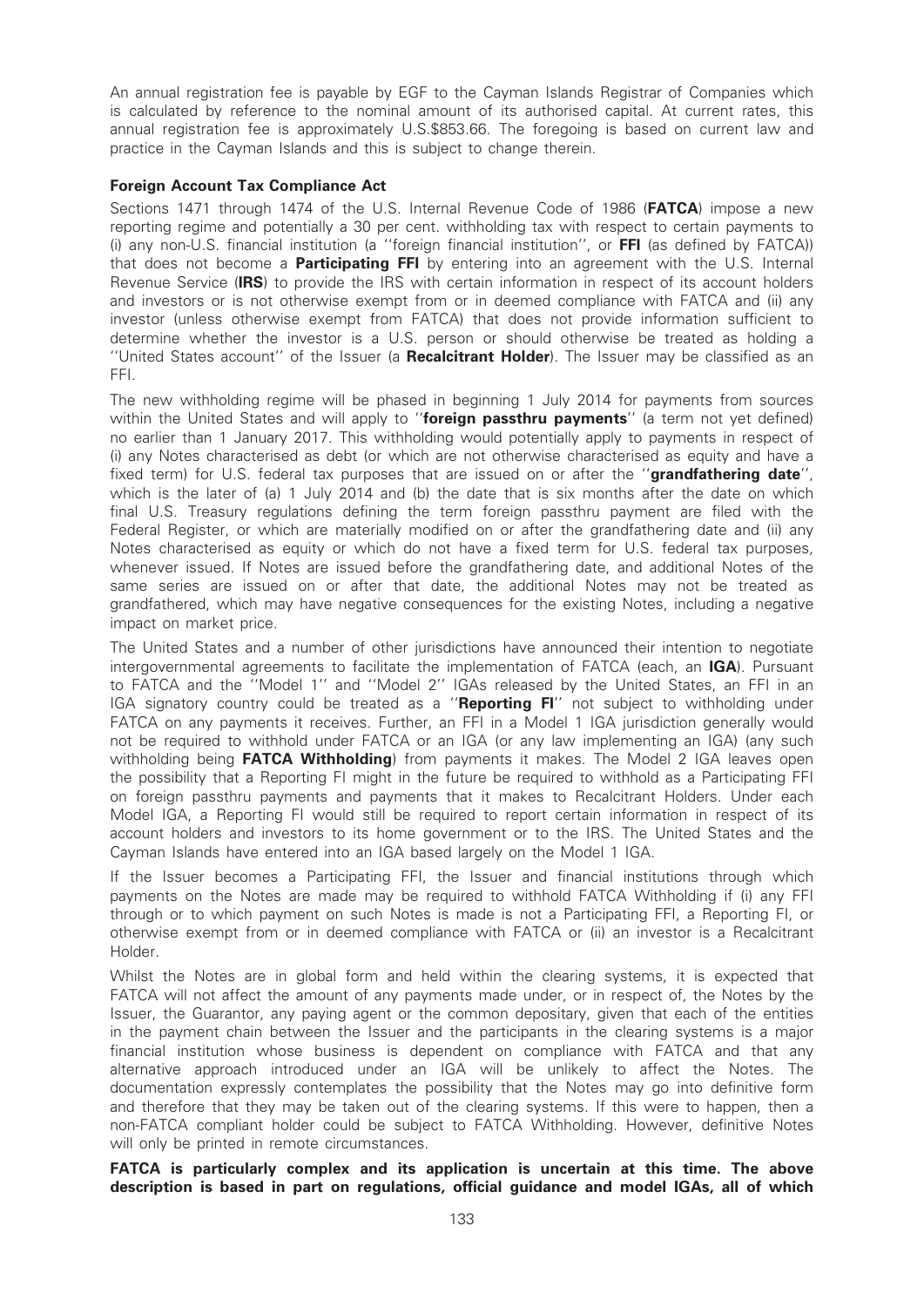An annual registration fee is payable by EGF to the Cayman Islands Registrar of Companies which is calculated by reference to the nominal amount of its authorised capital. At current rates, this annual registration fee is approximately U.S.\$853.66. The foregoing is based on current law and practice in the Cayman Islands and this is subject to change therein.

### Foreign Account Tax Compliance Act

Sections 1471 through 1474 of the U.S. Internal Revenue Code of 1986 (FATCA) impose a new reporting regime and potentially a 30 per cent. withholding tax with respect to certain payments to (i) any non-U.S. financial institution (a ''foreign financial institution'', or FFI (as defined by FATCA)) that does not become a **Participating FFI** by entering into an agreement with the U.S. Internal Revenue Service (IRS) to provide the IRS with certain information in respect of its account holders and investors or is not otherwise exempt from or in deemed compliance with FATCA and (ii) any investor (unless otherwise exempt from FATCA) that does not provide information sufficient to determine whether the investor is a U.S. person or should otherwise be treated as holding a ''United States account'' of the Issuer (a Recalcitrant Holder). The Issuer may be classified as an FFI.

The new withholding regime will be phased in beginning 1 July 2014 for payments from sources within the United States and will apply to "foreign passthru payments" (a term not yet defined) no earlier than 1 January 2017. This withholding would potentially apply to payments in respect of (i) any Notes characterised as debt (or which are not otherwise characterised as equity and have a fixed term) for U.S. federal tax purposes that are issued on or after the "**grandfathering date"**, which is the later of (a) 1 July 2014 and (b) the date that is six months after the date on which final U.S. Treasury regulations defining the term foreign passthru payment are filed with the Federal Register, or which are materially modified on or after the grandfathering date and (ii) any Notes characterised as equity or which do not have a fixed term for U.S. federal tax purposes, whenever issued. If Notes are issued before the grandfathering date, and additional Notes of the same series are issued on or after that date, the additional Notes may not be treated as grandfathered, which may have negative consequences for the existing Notes, including a negative impact on market price.

The United States and a number of other jurisdictions have announced their intention to negotiate intergovernmental agreements to facilitate the implementation of FATCA (each, an IGA). Pursuant to FATCA and the ''Model 1'' and ''Model 2'' IGAs released by the United States, an FFI in an IGA signatory country could be treated as a "Reporting FI" not subject to withholding under FATCA on any payments it receives. Further, an FFI in a Model 1 IGA jurisdiction generally would not be required to withhold under FATCA or an IGA (or any law implementing an IGA) (any such withholding being FATCA Withholding) from payments it makes. The Model 2 IGA leaves open the possibility that a Reporting FI might in the future be required to withhold as a Participating FFI on foreign passthru payments and payments that it makes to Recalcitrant Holders. Under each Model IGA, a Reporting FI would still be required to report certain information in respect of its account holders and investors to its home government or to the IRS. The United States and the Cayman Islands have entered into an IGA based largely on the Model 1 IGA.

If the Issuer becomes a Participating FFI, the Issuer and financial institutions through which payments on the Notes are made may be required to withhold FATCA Withholding if (i) any FFI through or to which payment on such Notes is made is not a Participating FFI, a Reporting FI, or otherwise exempt from or in deemed compliance with FATCA or (ii) an investor is a Recalcitrant Holder.

Whilst the Notes are in global form and held within the clearing systems, it is expected that FATCA will not affect the amount of any payments made under, or in respect of, the Notes by the Issuer, the Guarantor, any paying agent or the common depositary, given that each of the entities in the payment chain between the Issuer and the participants in the clearing systems is a major financial institution whose business is dependent on compliance with FATCA and that any alternative approach introduced under an IGA will be unlikely to affect the Notes. The documentation expressly contemplates the possibility that the Notes may go into definitive form and therefore that they may be taken out of the clearing systems. If this were to happen, then a non-FATCA compliant holder could be subject to FATCA Withholding. However, definitive Notes will only be printed in remote circumstances.

FATCA is particularly complex and its application is uncertain at this time. The above description is based in part on regulations, official guidance and model IGAs, all of which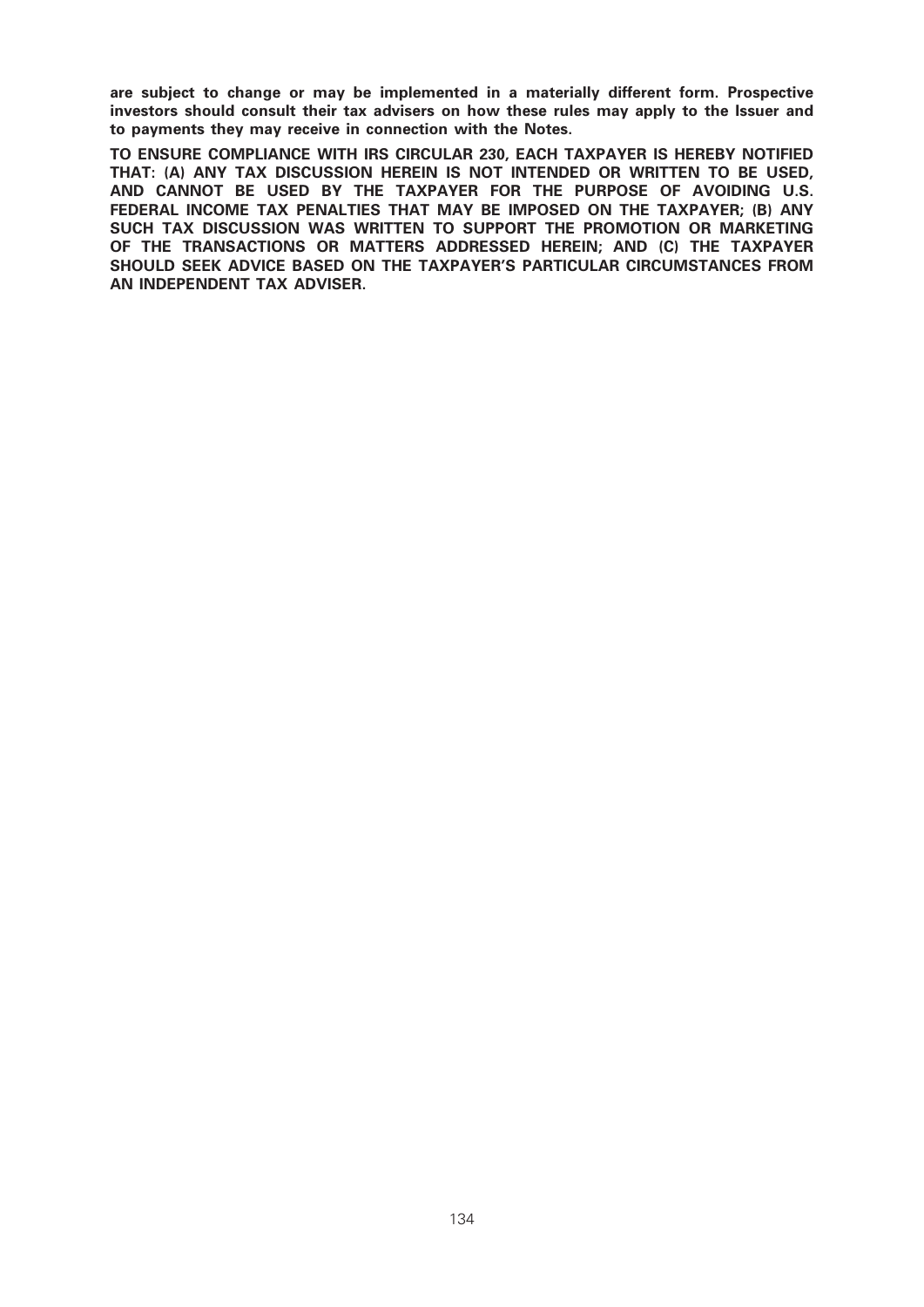are subject to change or may be implemented in a materially different form. Prospective investors should consult their tax advisers on how these rules may apply to the Issuer and to payments they may receive in connection with the Notes.

TO ENSURE COMPLIANCE WITH IRS CIRCULAR 230, EACH TAXPAYER IS HEREBY NOTIFIED THAT: (A) ANY TAX DISCUSSION HEREIN IS NOT INTENDED OR WRITTEN TO BE USED, AND CANNOT BE USED BY THE TAXPAYER FOR THE PURPOSE OF AVOIDING U.S. FEDERAL INCOME TAX PENALTIES THAT MAY BE IMPOSED ON THE TAXPAYER; (B) ANY SUCH TAX DISCUSSION WAS WRITTEN TO SUPPORT THE PROMOTION OR MARKETING OF THE TRANSACTIONS OR MATTERS ADDRESSED HEREIN; AND (C) THE TAXPAYER SHOULD SEEK ADVICE BASED ON THE TAXPAYER'S PARTICULAR CIRCUMSTANCES FROM AN INDEPENDENT TAX ADVISER.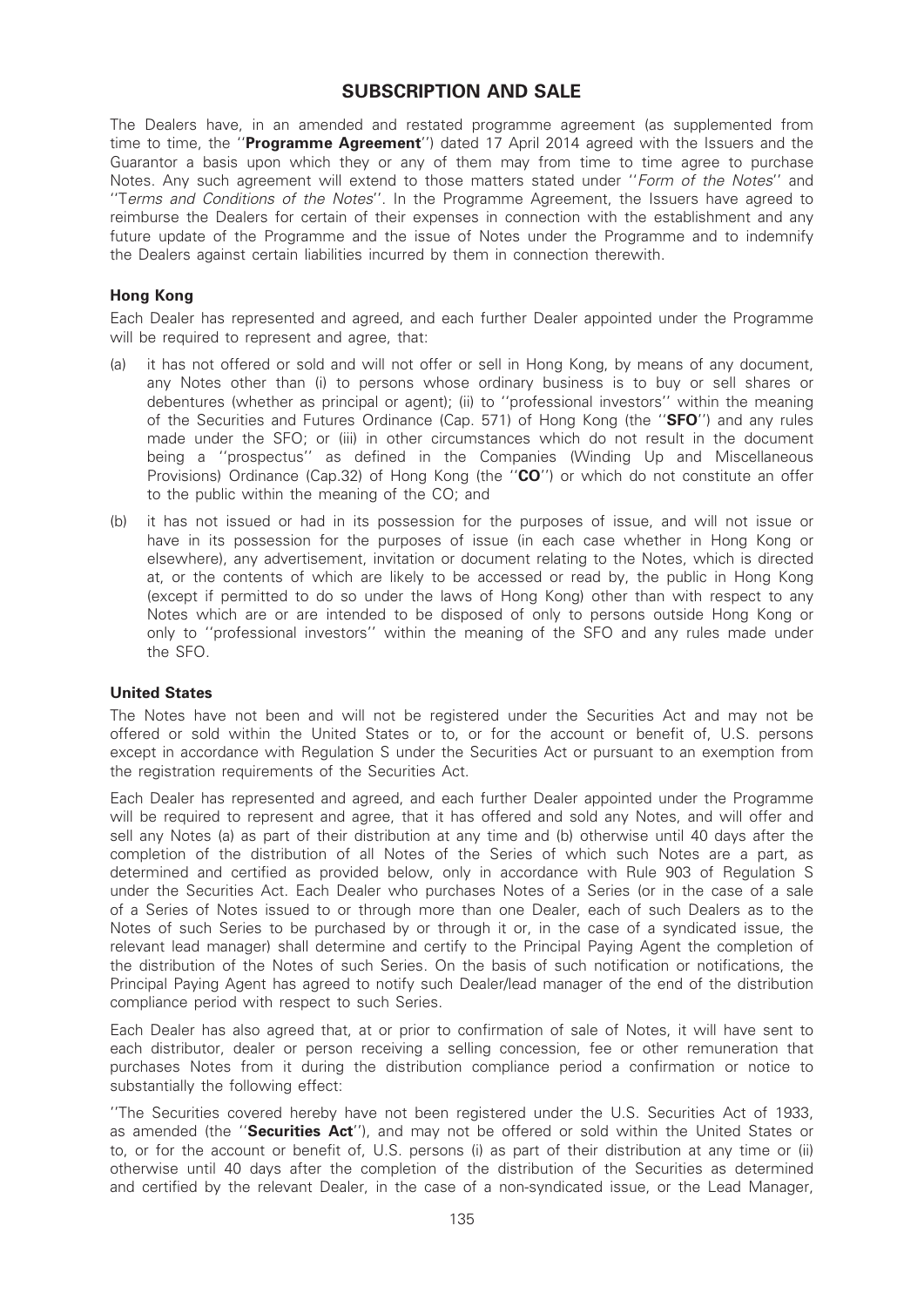# SUBSCRIPTION AND SALE

The Dealers have, in an amended and restated programme agreement (as supplemented from time to time, the "**Programme Agreement**") dated 17 April 2014 agreed with the Issuers and the Guarantor a basis upon which they or any of them may from time to time agree to purchase Notes. Any such agreement will extend to those matters stated under "Form of the Notes" and ''Terms and Conditions of the Notes''. In the Programme Agreement, the Issuers have agreed to reimburse the Dealers for certain of their expenses in connection with the establishment and any future update of the Programme and the issue of Notes under the Programme and to indemnify the Dealers against certain liabilities incurred by them in connection therewith.

# Hong Kong

Each Dealer has represented and agreed, and each further Dealer appointed under the Programme will be required to represent and agree, that:

- (a) it has not offered or sold and will not offer or sell in Hong Kong, by means of any document, any Notes other than (i) to persons whose ordinary business is to buy or sell shares or debentures (whether as principal or agent); (ii) to ''professional investors'' within the meaning of the Securities and Futures Ordinance (Cap. 571) of Hong Kong (the "SFO") and any rules made under the SFO; or (iii) in other circumstances which do not result in the document being a ''prospectus'' as defined in the Companies (Winding Up and Miscellaneous Provisions) Ordinance (Cap.32) of Hong Kong (the "CO") or which do not constitute an offer to the public within the meaning of the CO; and
- (b) it has not issued or had in its possession for the purposes of issue, and will not issue or have in its possession for the purposes of issue (in each case whether in Hong Kong or elsewhere), any advertisement, invitation or document relating to the Notes, which is directed at, or the contents of which are likely to be accessed or read by, the public in Hong Kong (except if permitted to do so under the laws of Hong Kong) other than with respect to any Notes which are or are intended to be disposed of only to persons outside Hong Kong or only to ''professional investors'' within the meaning of the SFO and any rules made under the SFO.

#### United States

The Notes have not been and will not be registered under the Securities Act and may not be offered or sold within the United States or to, or for the account or benefit of, U.S. persons except in accordance with Regulation S under the Securities Act or pursuant to an exemption from the registration requirements of the Securities Act.

Each Dealer has represented and agreed, and each further Dealer appointed under the Programme will be required to represent and agree, that it has offered and sold any Notes, and will offer and sell any Notes (a) as part of their distribution at any time and (b) otherwise until 40 days after the completion of the distribution of all Notes of the Series of which such Notes are a part, as determined and certified as provided below, only in accordance with Rule 903 of Regulation S under the Securities Act. Each Dealer who purchases Notes of a Series (or in the case of a sale of a Series of Notes issued to or through more than one Dealer, each of such Dealers as to the Notes of such Series to be purchased by or through it or, in the case of a syndicated issue, the relevant lead manager) shall determine and certify to the Principal Paying Agent the completion of the distribution of the Notes of such Series. On the basis of such notification or notifications, the Principal Paying Agent has agreed to notify such Dealer/lead manager of the end of the distribution compliance period with respect to such Series.

Each Dealer has also agreed that, at or prior to confirmation of sale of Notes, it will have sent to each distributor, dealer or person receiving a selling concession, fee or other remuneration that purchases Notes from it during the distribution compliance period a confirmation or notice to substantially the following effect:

''The Securities covered hereby have not been registered under the U.S. Securities Act of 1933, as amended (the "Securities Act"), and may not be offered or sold within the United States or to, or for the account or benefit of, U.S. persons (i) as part of their distribution at any time or (ii) otherwise until 40 days after the completion of the distribution of the Securities as determined and certified by the relevant Dealer, in the case of a non-syndicated issue, or the Lead Manager,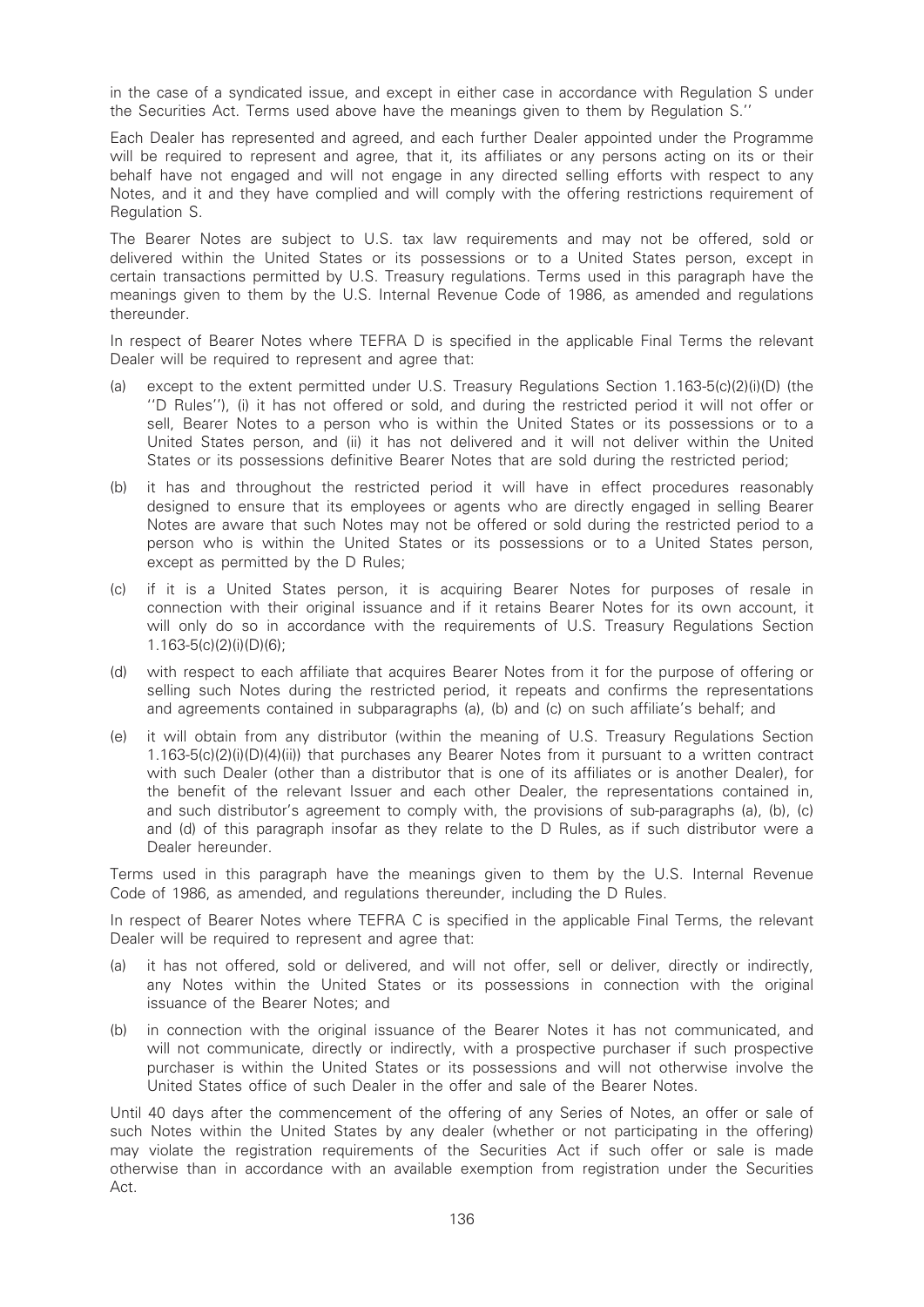in the case of a syndicated issue, and except in either case in accordance with Regulation S under the Securities Act. Terms used above have the meanings given to them by Regulation S.''

Each Dealer has represented and agreed, and each further Dealer appointed under the Programme will be required to represent and agree, that it, its affiliates or any persons acting on its or their behalf have not engaged and will not engage in any directed selling efforts with respect to any Notes, and it and they have complied and will comply with the offering restrictions requirement of Regulation S.

The Bearer Notes are subject to U.S. tax law requirements and may not be offered, sold or delivered within the United States or its possessions or to a United States person, except in certain transactions permitted by U.S. Treasury regulations. Terms used in this paragraph have the meanings given to them by the U.S. Internal Revenue Code of 1986, as amended and regulations thereunder.

In respect of Bearer Notes where TEFRA D is specified in the applicable Final Terms the relevant Dealer will be required to represent and agree that:

- (a) except to the extent permitted under U.S. Treasury Regulations Section 1.163-5(c)(2)(i)(D) (the ''D Rules''), (i) it has not offered or sold, and during the restricted period it will not offer or sell, Bearer Notes to a person who is within the United States or its possessions or to a United States person, and (ii) it has not delivered and it will not deliver within the United States or its possessions definitive Bearer Notes that are sold during the restricted period;
- (b) it has and throughout the restricted period it will have in effect procedures reasonably designed to ensure that its employees or agents who are directly engaged in selling Bearer Notes are aware that such Notes may not be offered or sold during the restricted period to a person who is within the United States or its possessions or to a United States person, except as permitted by the D Rules;
- (c) if it is a United States person, it is acquiring Bearer Notes for purposes of resale in connection with their original issuance and if it retains Bearer Notes for its own account, it will only do so in accordance with the requirements of U.S. Treasury Regulations Section 1.163-5(c)(2)(i)(D)(6);
- (d) with respect to each affiliate that acquires Bearer Notes from it for the purpose of offering or selling such Notes during the restricted period, it repeats and confirms the representations and agreements contained in subparagraphs (a), (b) and (c) on such affiliate's behalf; and
- (e) it will obtain from any distributor (within the meaning of U.S. Treasury Regulations Section 1.163-5(c)(2)(i)(D)(4)(ii)) that purchases any Bearer Notes from it pursuant to a written contract with such Dealer (other than a distributor that is one of its affiliates or is another Dealer), for the benefit of the relevant Issuer and each other Dealer, the representations contained in, and such distributor's agreement to comply with, the provisions of sub-paragraphs (a), (b), (c) and (d) of this paragraph insofar as they relate to the D Rules, as if such distributor were a Dealer hereunder.

Terms used in this paragraph have the meanings given to them by the U.S. Internal Revenue Code of 1986, as amended, and regulations thereunder, including the D Rules.

In respect of Bearer Notes where TEFRA C is specified in the applicable Final Terms, the relevant Dealer will be required to represent and agree that:

- (a) it has not offered, sold or delivered, and will not offer, sell or deliver, directly or indirectly, any Notes within the United States or its possessions in connection with the original issuance of the Bearer Notes; and
- (b) in connection with the original issuance of the Bearer Notes it has not communicated, and will not communicate, directly or indirectly, with a prospective purchaser if such prospective purchaser is within the United States or its possessions and will not otherwise involve the United States office of such Dealer in the offer and sale of the Bearer Notes.

Until 40 days after the commencement of the offering of any Series of Notes, an offer or sale of such Notes within the United States by any dealer (whether or not participating in the offering) may violate the registration requirements of the Securities Act if such offer or sale is made otherwise than in accordance with an available exemption from registration under the Securities Act.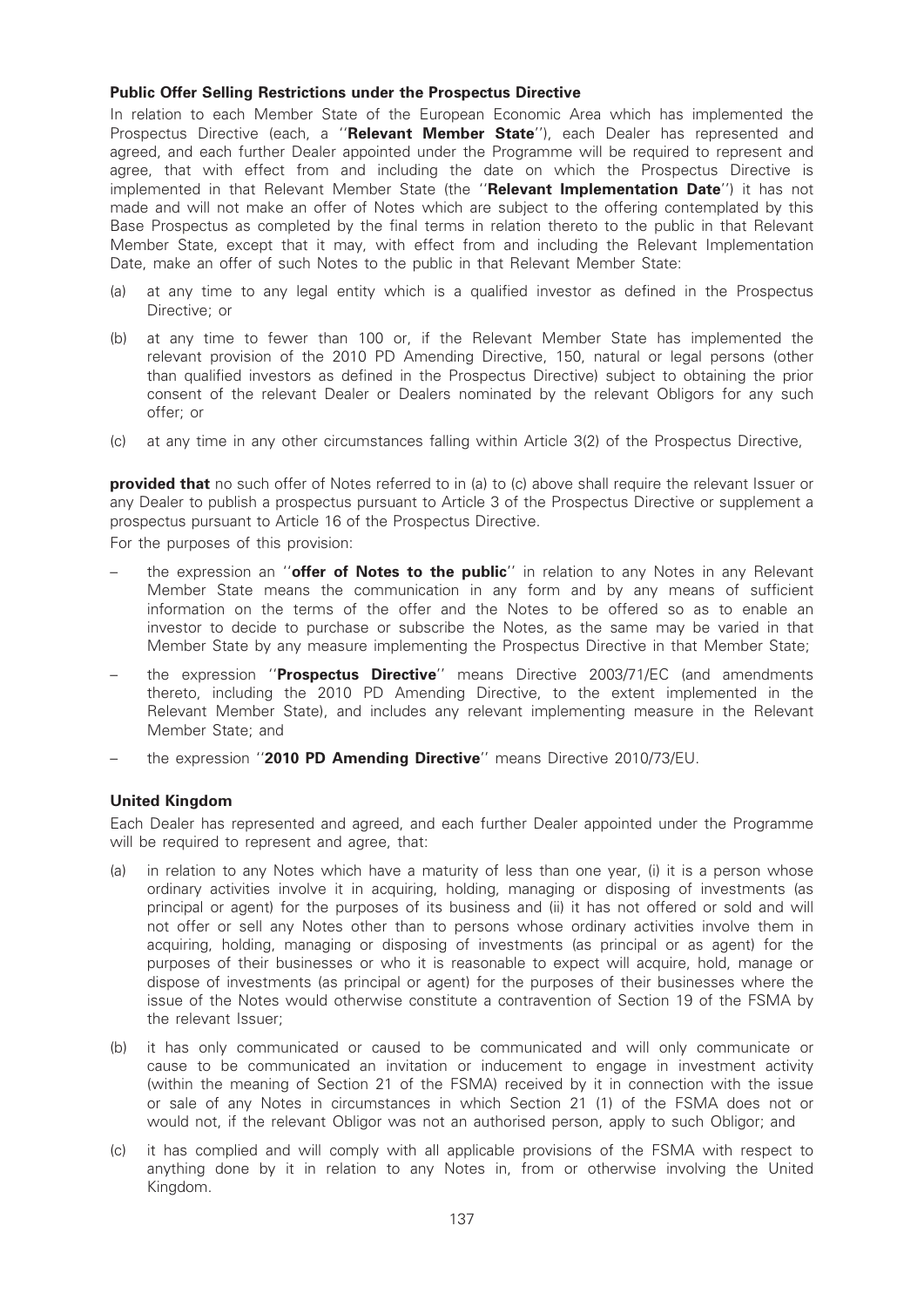### Public Offer Selling Restrictions under the Prospectus Directive

In relation to each Member State of the European Economic Area which has implemented the Prospectus Directive (each, a "Relevant Member State"), each Dealer has represented and agreed, and each further Dealer appointed under the Programme will be required to represent and agree, that with effect from and including the date on which the Prospectus Directive is implemented in that Relevant Member State (the "Relevant Implementation Date") it has not made and will not make an offer of Notes which are subject to the offering contemplated by this Base Prospectus as completed by the final terms in relation thereto to the public in that Relevant Member State, except that it may, with effect from and including the Relevant Implementation Date, make an offer of such Notes to the public in that Relevant Member State:

- (a) at any time to any legal entity which is a qualified investor as defined in the Prospectus Directive; or
- (b) at any time to fewer than 100 or, if the Relevant Member State has implemented the relevant provision of the 2010 PD Amending Directive, 150, natural or legal persons (other than qualified investors as defined in the Prospectus Directive) subject to obtaining the prior consent of the relevant Dealer or Dealers nominated by the relevant Obligors for any such offer; or
- (c) at any time in any other circumstances falling within Article 3(2) of the Prospectus Directive,

**provided that** no such offer of Notes referred to in (a) to (c) above shall require the relevant Issuer or any Dealer to publish a prospectus pursuant to Article 3 of the Prospectus Directive or supplement a prospectus pursuant to Article 16 of the Prospectus Directive.

For the purposes of this provision:

- the expression an "offer of Notes to the public" in relation to any Notes in any Relevant Member State means the communication in any form and by any means of sufficient information on the terms of the offer and the Notes to be offered so as to enable an investor to decide to purchase or subscribe the Notes, as the same may be varied in that Member State by any measure implementing the Prospectus Directive in that Member State;
- the expression "Prospectus Directive" means Directive 2003/71/EC (and amendments thereto, including the 2010 PD Amending Directive, to the extent implemented in the Relevant Member State), and includes any relevant implementing measure in the Relevant Member State; and
- the expression "2010 PD Amending Directive" means Directive 2010/73/EU.

# United Kingdom

Each Dealer has represented and agreed, and each further Dealer appointed under the Programme will be required to represent and agree, that:

- (a) in relation to any Notes which have a maturity of less than one year, (i) it is a person whose ordinary activities involve it in acquiring, holding, managing or disposing of investments (as principal or agent) for the purposes of its business and (ii) it has not offered or sold and will not offer or sell any Notes other than to persons whose ordinary activities involve them in acquiring, holding, managing or disposing of investments (as principal or as agent) for the purposes of their businesses or who it is reasonable to expect will acquire, hold, manage or dispose of investments (as principal or agent) for the purposes of their businesses where the issue of the Notes would otherwise constitute a contravention of Section 19 of the FSMA by the relevant Issuer;
- (b) it has only communicated or caused to be communicated and will only communicate or cause to be communicated an invitation or inducement to engage in investment activity (within the meaning of Section 21 of the FSMA) received by it in connection with the issue or sale of any Notes in circumstances in which Section 21 (1) of the FSMA does not or would not, if the relevant Obligor was not an authorised person, apply to such Obligor; and
- (c) it has complied and will comply with all applicable provisions of the FSMA with respect to anything done by it in relation to any Notes in, from or otherwise involving the United Kingdom.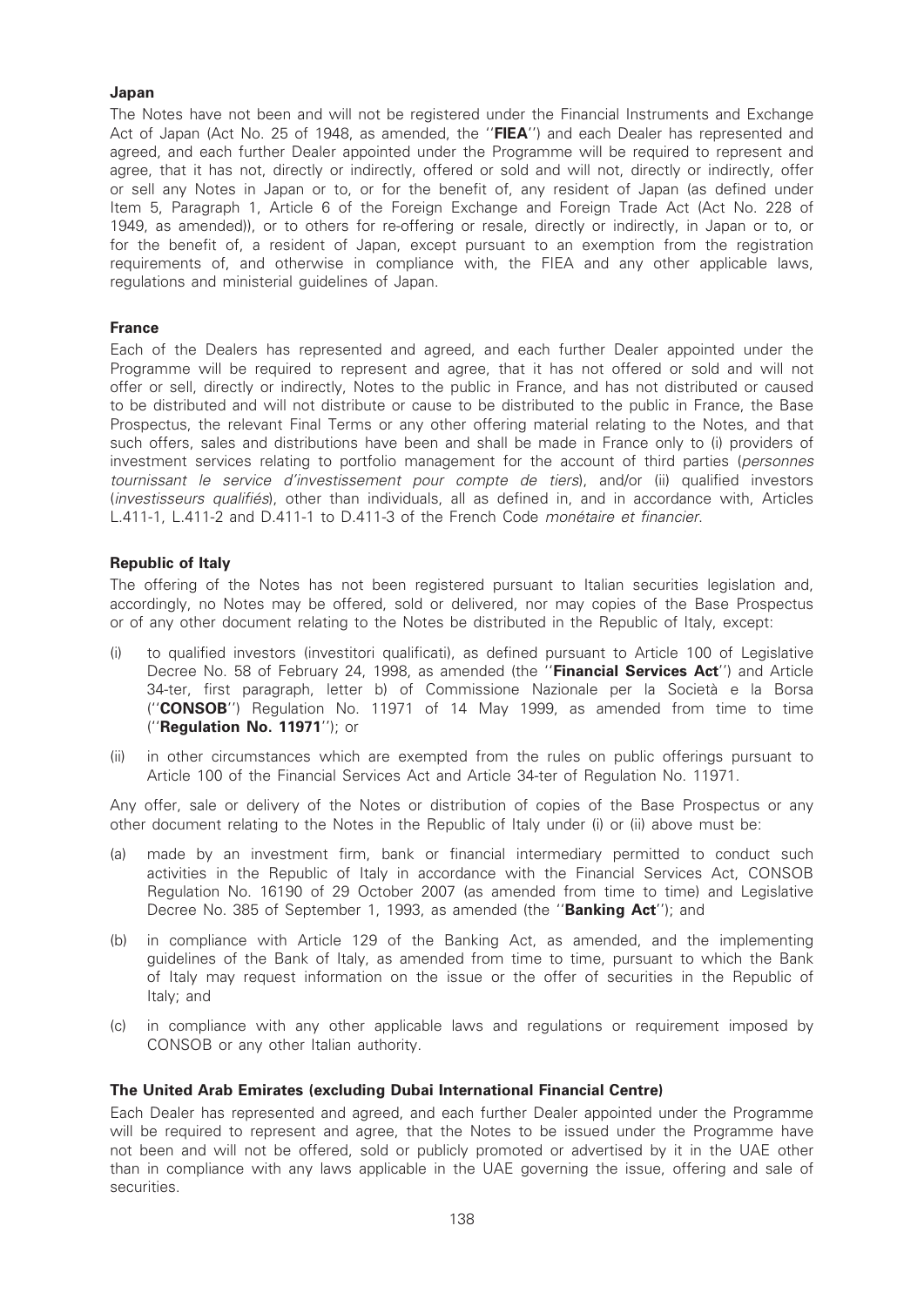# Japan

The Notes have not been and will not be registered under the Financial Instruments and Exchange Act of Japan (Act No. 25 of 1948, as amended, the "FIEA") and each Dealer has represented and agreed, and each further Dealer appointed under the Programme will be required to represent and agree, that it has not, directly or indirectly, offered or sold and will not, directly or indirectly, offer or sell any Notes in Japan or to, or for the benefit of, any resident of Japan (as defined under Item 5, Paragraph 1, Article 6 of the Foreign Exchange and Foreign Trade Act (Act No. 228 of 1949, as amended)), or to others for re-offering or resale, directly or indirectly, in Japan or to, or for the benefit of, a resident of Japan, except pursuant to an exemption from the registration requirements of, and otherwise in compliance with, the FIEA and any other applicable laws, regulations and ministerial guidelines of Japan.

### France

Each of the Dealers has represented and agreed, and each further Dealer appointed under the Programme will be required to represent and agree, that it has not offered or sold and will not offer or sell, directly or indirectly, Notes to the public in France, and has not distributed or caused to be distributed and will not distribute or cause to be distributed to the public in France, the Base Prospectus, the relevant Final Terms or any other offering material relating to the Notes, and that such offers, sales and distributions have been and shall be made in France only to (i) providers of investment services relating to portfolio management for the account of third parties (personnes tournissant le service d'investissement pour compte de tiers), and/or (ii) qualified investors (investisseurs qualifiés), other than individuals, all as defined in, and in accordance with, Articles L.411-1, L.411-2 and D.411-1 to D.411-3 of the French Code monétaire et financier.

# Republic of Italy

The offering of the Notes has not been registered pursuant to Italian securities legislation and, accordingly, no Notes may be offered, sold or delivered, nor may copies of the Base Prospectus or of any other document relating to the Notes be distributed in the Republic of Italy, except:

- (i) to qualified investors (investitori qualificati), as defined pursuant to Article 100 of Legislative Decree No. 58 of February 24, 1998, as amended (the "Financial Services Act") and Article 34-ter, first paragraph, letter b) of Commissione Nazionale per la Societa` e la Borsa (''CONSOB'') Regulation No. 11971 of 14 May 1999, as amended from time to time (''Regulation No. 11971''); or
- (ii) in other circumstances which are exempted from the rules on public offerings pursuant to Article 100 of the Financial Services Act and Article 34-ter of Regulation No. 11971.

Any offer, sale or delivery of the Notes or distribution of copies of the Base Prospectus or any other document relating to the Notes in the Republic of Italy under (i) or (ii) above must be:

- (a) made by an investment firm, bank or financial intermediary permitted to conduct such activities in the Republic of Italy in accordance with the Financial Services Act, CONSOB Regulation No. 16190 of 29 October 2007 (as amended from time to time) and Legislative Decree No. 385 of September 1, 1993, as amended (the "Banking Act"); and
- (b) in compliance with Article 129 of the Banking Act, as amended, and the implementing guidelines of the Bank of Italy, as amended from time to time, pursuant to which the Bank of Italy may request information on the issue or the offer of securities in the Republic of Italy; and
- (c) in compliance with any other applicable laws and regulations or requirement imposed by CONSOB or any other Italian authority.

#### The United Arab Emirates (excluding Dubai International Financial Centre)

Each Dealer has represented and agreed, and each further Dealer appointed under the Programme will be required to represent and agree, that the Notes to be issued under the Programme have not been and will not be offered, sold or publicly promoted or advertised by it in the UAE other than in compliance with any laws applicable in the UAE governing the issue, offering and sale of securities.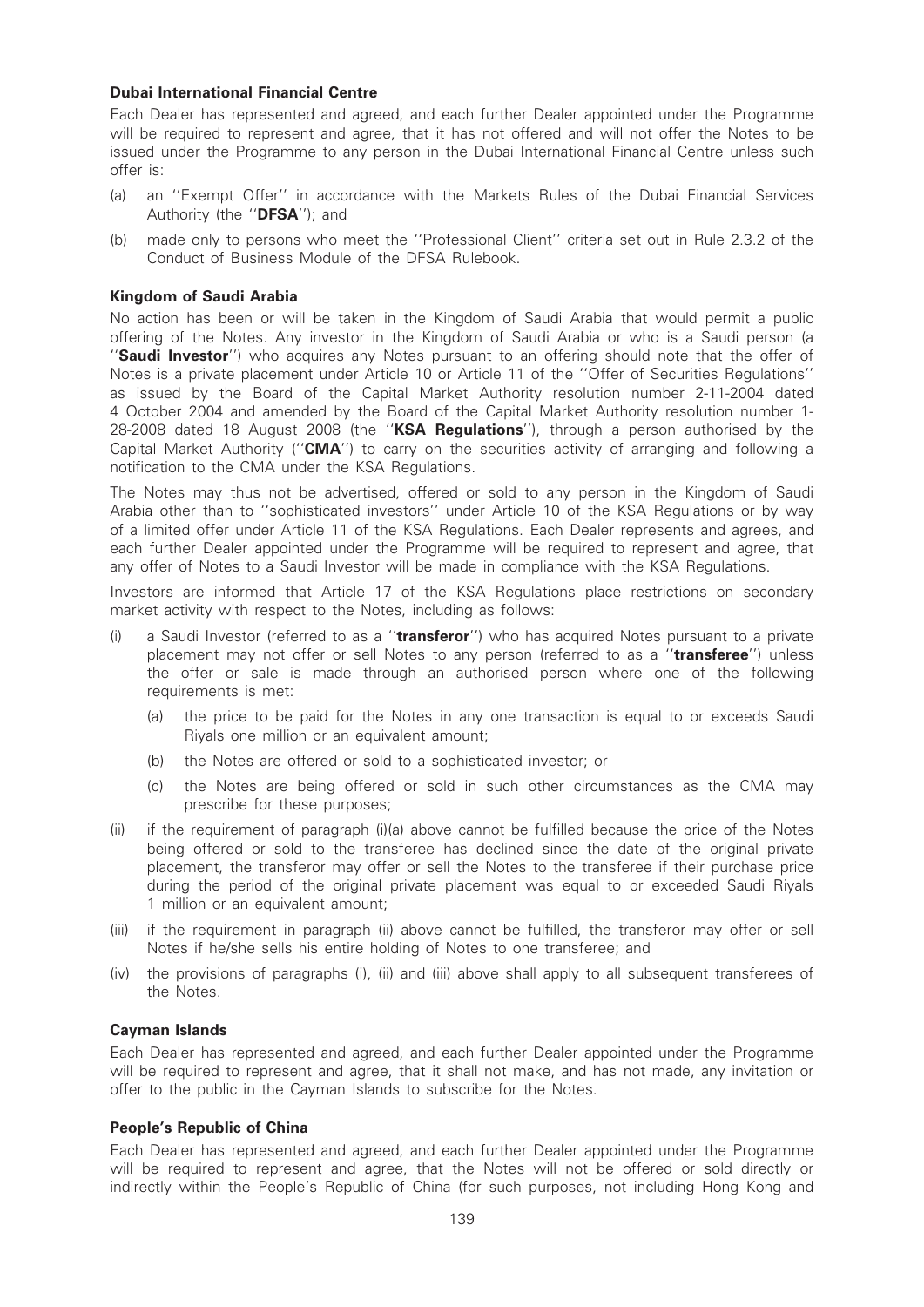# Dubai International Financial Centre

Each Dealer has represented and agreed, and each further Dealer appointed under the Programme will be required to represent and agree, that it has not offered and will not offer the Notes to be issued under the Programme to any person in the Dubai International Financial Centre unless such offer is:

- (a) an ''Exempt Offer'' in accordance with the Markets Rules of the Dubai Financial Services Authority (the "DFSA"); and
- (b) made only to persons who meet the ''Professional Client'' criteria set out in Rule 2.3.2 of the Conduct of Business Module of the DFSA Rulebook.

### Kingdom of Saudi Arabia

No action has been or will be taken in the Kingdom of Saudi Arabia that would permit a public offering of the Notes. Any investor in the Kingdom of Saudi Arabia or who is a Saudi person (a "Saudi Investor") who acquires any Notes pursuant to an offering should note that the offer of Notes is a private placement under Article 10 or Article 11 of the ''Offer of Securities Regulations'' as issued by the Board of the Capital Market Authority resolution number 2-11-2004 dated 4 October 2004 and amended by the Board of the Capital Market Authority resolution number 1- 28-2008 dated 18 August 2008 (the "KSA Regulations"), through a person authorised by the Capital Market Authority ("CMA") to carry on the securities activity of arranging and following a notification to the CMA under the KSA Regulations.

The Notes may thus not be advertised, offered or sold to any person in the Kingdom of Saudi Arabia other than to ''sophisticated investors'' under Article 10 of the KSA Regulations or by way of a limited offer under Article 11 of the KSA Regulations. Each Dealer represents and agrees, and each further Dealer appointed under the Programme will be required to represent and agree, that any offer of Notes to a Saudi Investor will be made in compliance with the KSA Regulations.

Investors are informed that Article 17 of the KSA Regulations place restrictions on secondary market activity with respect to the Notes, including as follows:

- (i) a Saudi Investor (referred to as a "transferor") who has acquired Notes pursuant to a private placement may not offer or sell Notes to any person (referred to as a "transferee") unless the offer or sale is made through an authorised person where one of the following requirements is met:
	- (a) the price to be paid for the Notes in any one transaction is equal to or exceeds Saudi Riyals one million or an equivalent amount;
	- (b) the Notes are offered or sold to a sophisticated investor; or
	- (c) the Notes are being offered or sold in such other circumstances as the CMA may prescribe for these purposes;
- (ii) if the requirement of paragraph (i)(a) above cannot be fulfilled because the price of the Notes being offered or sold to the transferee has declined since the date of the original private placement, the transferor may offer or sell the Notes to the transferee if their purchase price during the period of the original private placement was equal to or exceeded Saudi Riyals 1 million or an equivalent amount;
- (iii) if the requirement in paragraph (ii) above cannot be fulfilled, the transferor may offer or sell Notes if he/she sells his entire holding of Notes to one transferee; and
- (iv) the provisions of paragraphs (i), (ii) and (iii) above shall apply to all subsequent transferees of the Notes.

#### Cayman Islands

Each Dealer has represented and agreed, and each further Dealer appointed under the Programme will be required to represent and agree, that it shall not make, and has not made, any invitation or offer to the public in the Cayman Islands to subscribe for the Notes.

# People's Republic of China

Each Dealer has represented and agreed, and each further Dealer appointed under the Programme will be required to represent and agree, that the Notes will not be offered or sold directly or indirectly within the People's Republic of China (for such purposes, not including Hong Kong and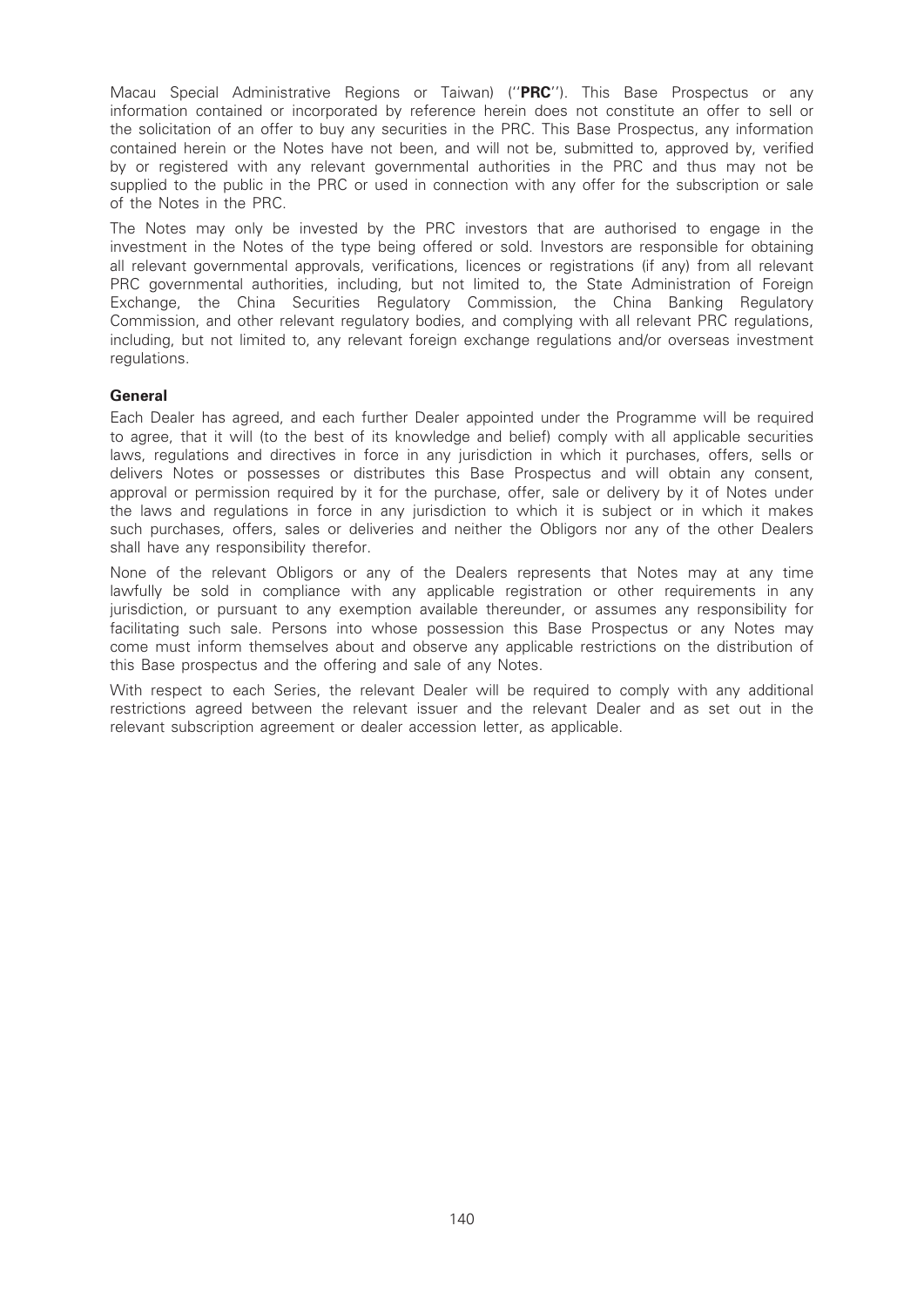Macau Special Administrative Regions or Taiwan) ("PRC"). This Base Prospectus or any information contained or incorporated by reference herein does not constitute an offer to sell or the solicitation of an offer to buy any securities in the PRC. This Base Prospectus, any information contained herein or the Notes have not been, and will not be, submitted to, approved by, verified by or registered with any relevant governmental authorities in the PRC and thus may not be supplied to the public in the PRC or used in connection with any offer for the subscription or sale of the Notes in the PRC.

The Notes may only be invested by the PRC investors that are authorised to engage in the investment in the Notes of the type being offered or sold. Investors are responsible for obtaining all relevant governmental approvals, verifications, licences or registrations (if any) from all relevant PRC governmental authorities, including, but not limited to, the State Administration of Foreign Exchange, the China Securities Regulatory Commission, the China Banking Regulatory Commission, and other relevant regulatory bodies, and complying with all relevant PRC regulations, including, but not limited to, any relevant foreign exchange regulations and/or overseas investment regulations.

# General

Each Dealer has agreed, and each further Dealer appointed under the Programme will be required to agree, that it will (to the best of its knowledge and belief) comply with all applicable securities laws, regulations and directives in force in any jurisdiction in which it purchases, offers, sells or delivers Notes or possesses or distributes this Base Prospectus and will obtain any consent, approval or permission required by it for the purchase, offer, sale or delivery by it of Notes under the laws and regulations in force in any jurisdiction to which it is subject or in which it makes such purchases, offers, sales or deliveries and neither the Obligors nor any of the other Dealers shall have any responsibility therefor.

None of the relevant Obligors or any of the Dealers represents that Notes may at any time lawfully be sold in compliance with any applicable registration or other requirements in any jurisdiction, or pursuant to any exemption available thereunder, or assumes any responsibility for facilitating such sale. Persons into whose possession this Base Prospectus or any Notes may come must inform themselves about and observe any applicable restrictions on the distribution of this Base prospectus and the offering and sale of any Notes.

With respect to each Series, the relevant Dealer will be required to comply with any additional restrictions agreed between the relevant issuer and the relevant Dealer and as set out in the relevant subscription agreement or dealer accession letter, as applicable.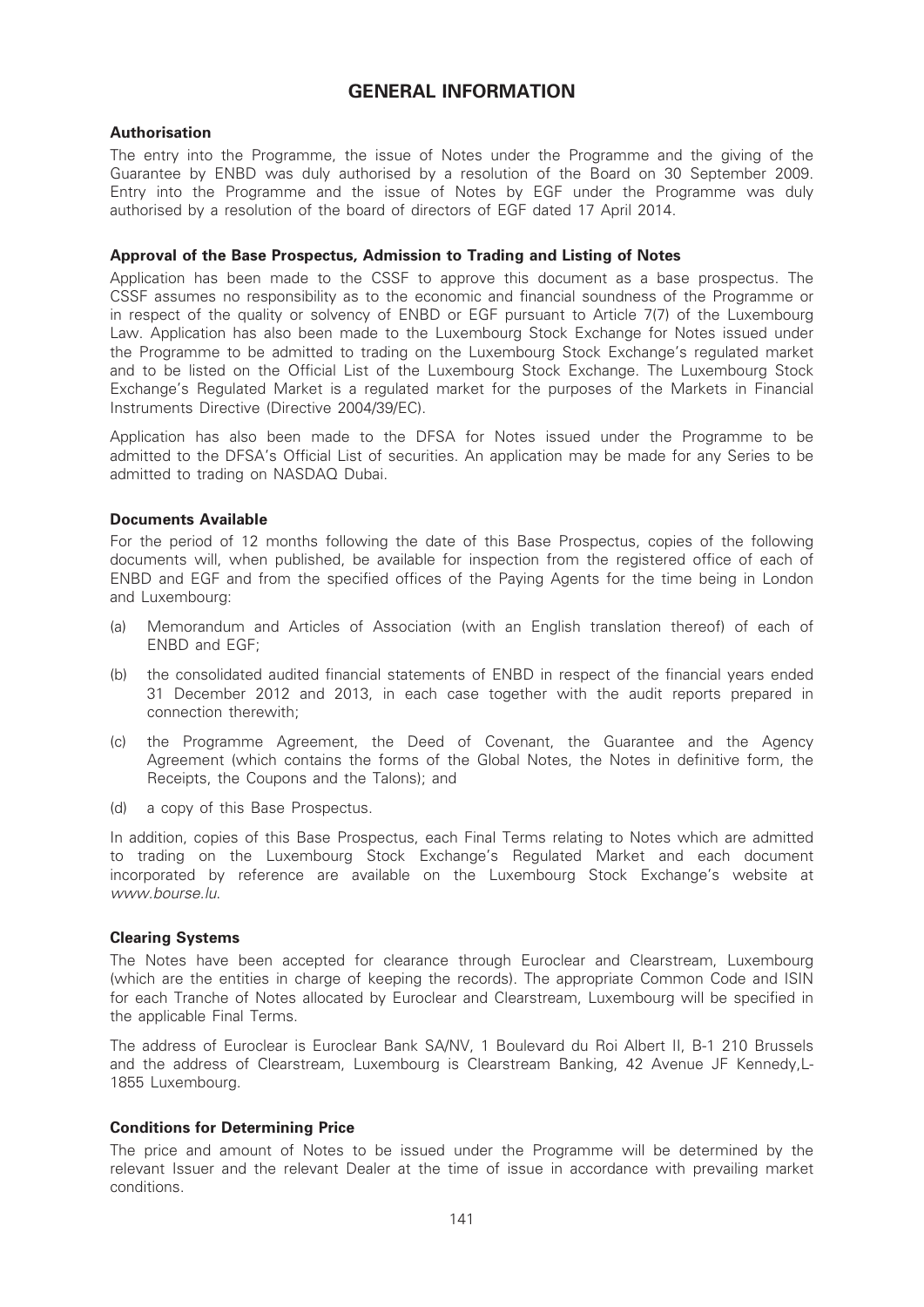# GENERAL INFORMATION

# Authorisation

The entry into the Programme, the issue of Notes under the Programme and the giving of the Guarantee by ENBD was duly authorised by a resolution of the Board on 30 September 2009. Entry into the Programme and the issue of Notes by EGF under the Programme was duly authorised by a resolution of the board of directors of EGF dated 17 April 2014.

#### Approval of the Base Prospectus, Admission to Trading and Listing of Notes

Application has been made to the CSSF to approve this document as a base prospectus. The CSSF assumes no responsibility as to the economic and financial soundness of the Programme or in respect of the quality or solvency of ENBD or EGF pursuant to Article 7(7) of the Luxembourg Law. Application has also been made to the Luxembourg Stock Exchange for Notes issued under the Programme to be admitted to trading on the Luxembourg Stock Exchange's regulated market and to be listed on the Official List of the Luxembourg Stock Exchange. The Luxembourg Stock Exchange's Regulated Market is a regulated market for the purposes of the Markets in Financial Instruments Directive (Directive 2004/39/EC).

Application has also been made to the DFSA for Notes issued under the Programme to be admitted to the DFSA's Official List of securities. An application may be made for any Series to be admitted to trading on NASDAQ Dubai.

### Documents Available

For the period of 12 months following the date of this Base Prospectus, copies of the following documents will, when published, be available for inspection from the registered office of each of ENBD and EGF and from the specified offices of the Paying Agents for the time being in London and Luxembourg:

- (a) Memorandum and Articles of Association (with an English translation thereof) of each of ENBD and EGF;
- (b) the consolidated audited financial statements of ENBD in respect of the financial years ended 31 December 2012 and 2013, in each case together with the audit reports prepared in connection therewith;
- (c) the Programme Agreement, the Deed of Covenant, the Guarantee and the Agency Agreement (which contains the forms of the Global Notes, the Notes in definitive form, the Receipts, the Coupons and the Talons); and
- (d) a copy of this Base Prospectus.

In addition, copies of this Base Prospectus, each Final Terms relating to Notes which are admitted to trading on the Luxembourg Stock Exchange's Regulated Market and each document incorporated by reference are available on the Luxembourg Stock Exchange's website at www.bourse.lu.

# Clearing Systems

The Notes have been accepted for clearance through Euroclear and Clearstream, Luxembourg (which are the entities in charge of keeping the records). The appropriate Common Code and ISIN for each Tranche of Notes allocated by Euroclear and Clearstream, Luxembourg will be specified in the applicable Final Terms.

The address of Euroclear is Euroclear Bank SA/NV, 1 Boulevard du Roi Albert II, B-1 210 Brussels and the address of Clearstream, Luxembourg is Clearstream Banking, 42 Avenue JF Kennedy,L-1855 Luxembourg.

# Conditions for Determining Price

The price and amount of Notes to be issued under the Programme will be determined by the relevant Issuer and the relevant Dealer at the time of issue in accordance with prevailing market conditions.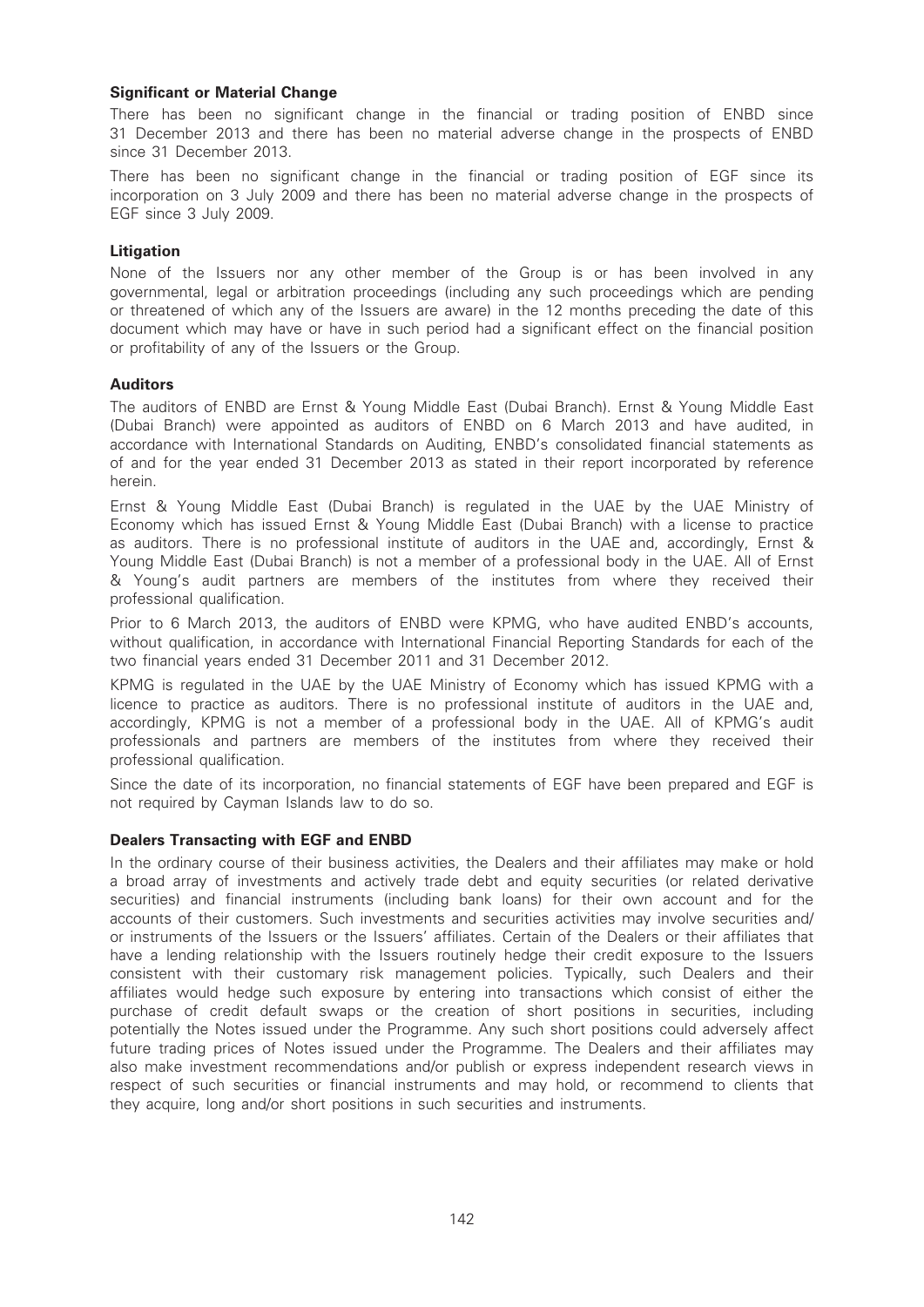# Significant or Material Change

There has been no significant change in the financial or trading position of ENBD since 31 December 2013 and there has been no material adverse change in the prospects of ENBD since 31 December 2013.

There has been no significant change in the financial or trading position of EGF since its incorporation on 3 July 2009 and there has been no material adverse change in the prospects of EGF since 3 July 2009.

### Litigation

None of the Issuers nor any other member of the Group is or has been involved in any governmental, legal or arbitration proceedings (including any such proceedings which are pending or threatened of which any of the Issuers are aware) in the 12 months preceding the date of this document which may have or have in such period had a significant effect on the financial position or profitability of any of the Issuers or the Group.

### Auditors

The auditors of ENBD are Ernst & Young Middle East (Dubai Branch). Ernst & Young Middle East (Dubai Branch) were appointed as auditors of ENBD on 6 March 2013 and have audited, in accordance with International Standards on Auditing, ENBD's consolidated financial statements as of and for the year ended 31 December 2013 as stated in their report incorporated by reference herein.

Ernst & Young Middle East (Dubai Branch) is regulated in the UAE by the UAE Ministry of Economy which has issued Ernst & Young Middle East (Dubai Branch) with a license to practice as auditors. There is no professional institute of auditors in the UAE and, accordingly, Ernst & Young Middle East (Dubai Branch) is not a member of a professional body in the UAE. All of Ernst & Young's audit partners are members of the institutes from where they received their professional qualification.

Prior to 6 March 2013, the auditors of ENBD were KPMG, who have audited ENBD's accounts, without qualification, in accordance with International Financial Reporting Standards for each of the two financial years ended 31 December 2011 and 31 December 2012.

KPMG is regulated in the UAE by the UAE Ministry of Economy which has issued KPMG with a licence to practice as auditors. There is no professional institute of auditors in the UAE and, accordingly, KPMG is not a member of a professional body in the UAE. All of KPMG's audit professionals and partners are members of the institutes from where they received their professional qualification.

Since the date of its incorporation, no financial statements of EGF have been prepared and EGF is not required by Cayman Islands law to do so.

# Dealers Transacting with EGF and ENBD

In the ordinary course of their business activities, the Dealers and their affiliates may make or hold a broad array of investments and actively trade debt and equity securities (or related derivative securities) and financial instruments (including bank loans) for their own account and for the accounts of their customers. Such investments and securities activities may involve securities and/ or instruments of the Issuers or the Issuers' affiliates. Certain of the Dealers or their affiliates that have a lending relationship with the Issuers routinely hedge their credit exposure to the Issuers consistent with their customary risk management policies. Typically, such Dealers and their affiliates would hedge such exposure by entering into transactions which consist of either the purchase of credit default swaps or the creation of short positions in securities, including potentially the Notes issued under the Programme. Any such short positions could adversely affect future trading prices of Notes issued under the Programme. The Dealers and their affiliates may also make investment recommendations and/or publish or express independent research views in respect of such securities or financial instruments and may hold, or recommend to clients that they acquire, long and/or short positions in such securities and instruments.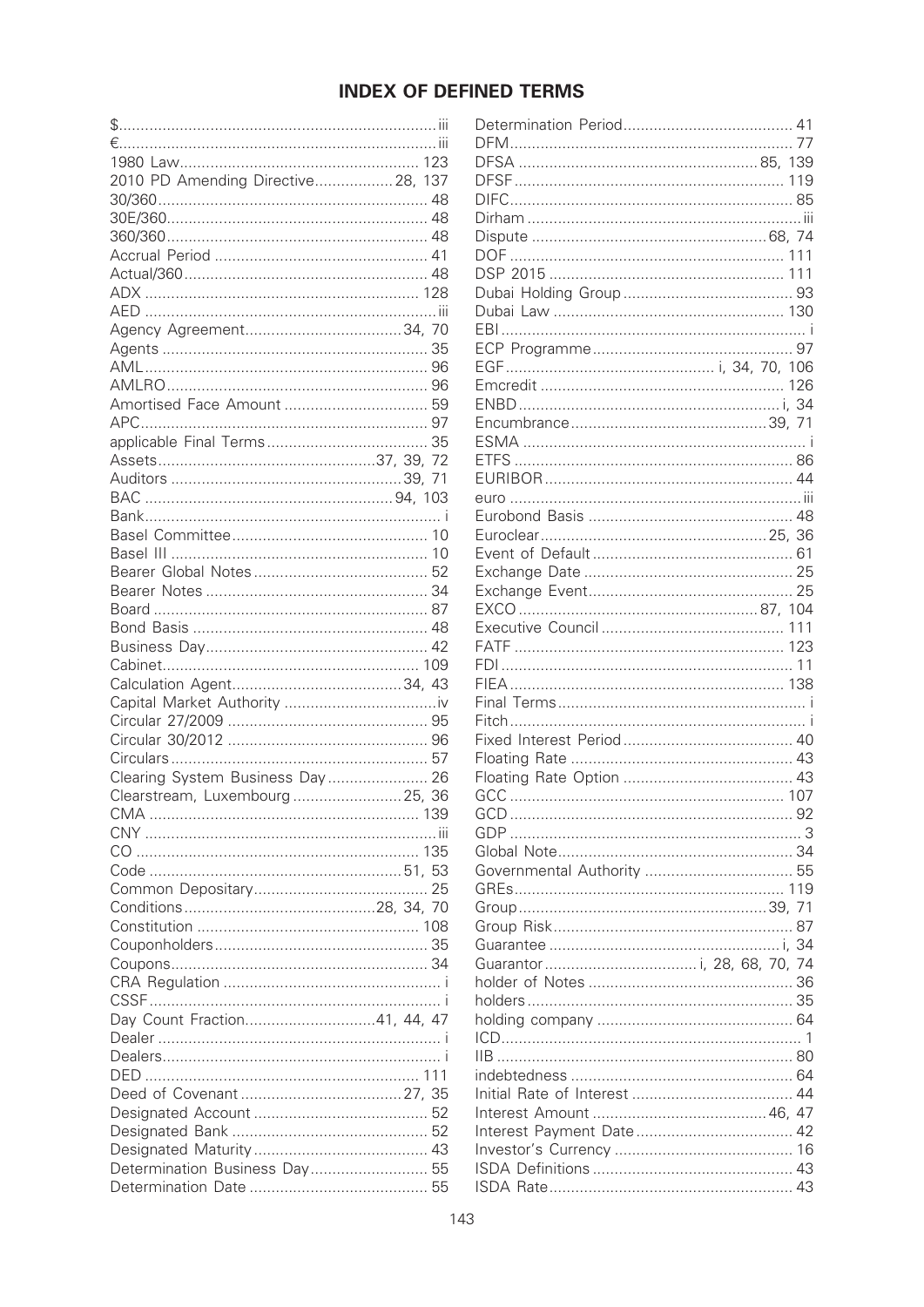# **INDEX OF DEFINED TERMS**

| 2010 PD Amending Directive 28, 137 |  |
|------------------------------------|--|
|                                    |  |
|                                    |  |
|                                    |  |
|                                    |  |
|                                    |  |
|                                    |  |
|                                    |  |
|                                    |  |
|                                    |  |
|                                    |  |
|                                    |  |
|                                    |  |
|                                    |  |
|                                    |  |
|                                    |  |
|                                    |  |
|                                    |  |
|                                    |  |
|                                    |  |
|                                    |  |
|                                    |  |
|                                    |  |
|                                    |  |
|                                    |  |
|                                    |  |
|                                    |  |
|                                    |  |
|                                    |  |
|                                    |  |
|                                    |  |
|                                    |  |
|                                    |  |
|                                    |  |
| Clearing System Business Day 26    |  |
|                                    |  |
| Clearstream, Luxembourg  25, 36    |  |
| 139<br>CMA                         |  |
|                                    |  |
|                                    |  |
|                                    |  |
|                                    |  |
|                                    |  |
|                                    |  |
|                                    |  |
|                                    |  |
|                                    |  |
|                                    |  |
| Day Count Fraction41, 44, 47       |  |
|                                    |  |
|                                    |  |
|                                    |  |
|                                    |  |
|                                    |  |
|                                    |  |
|                                    |  |
|                                    |  |
| Determination Business Day 55      |  |
|                                    |  |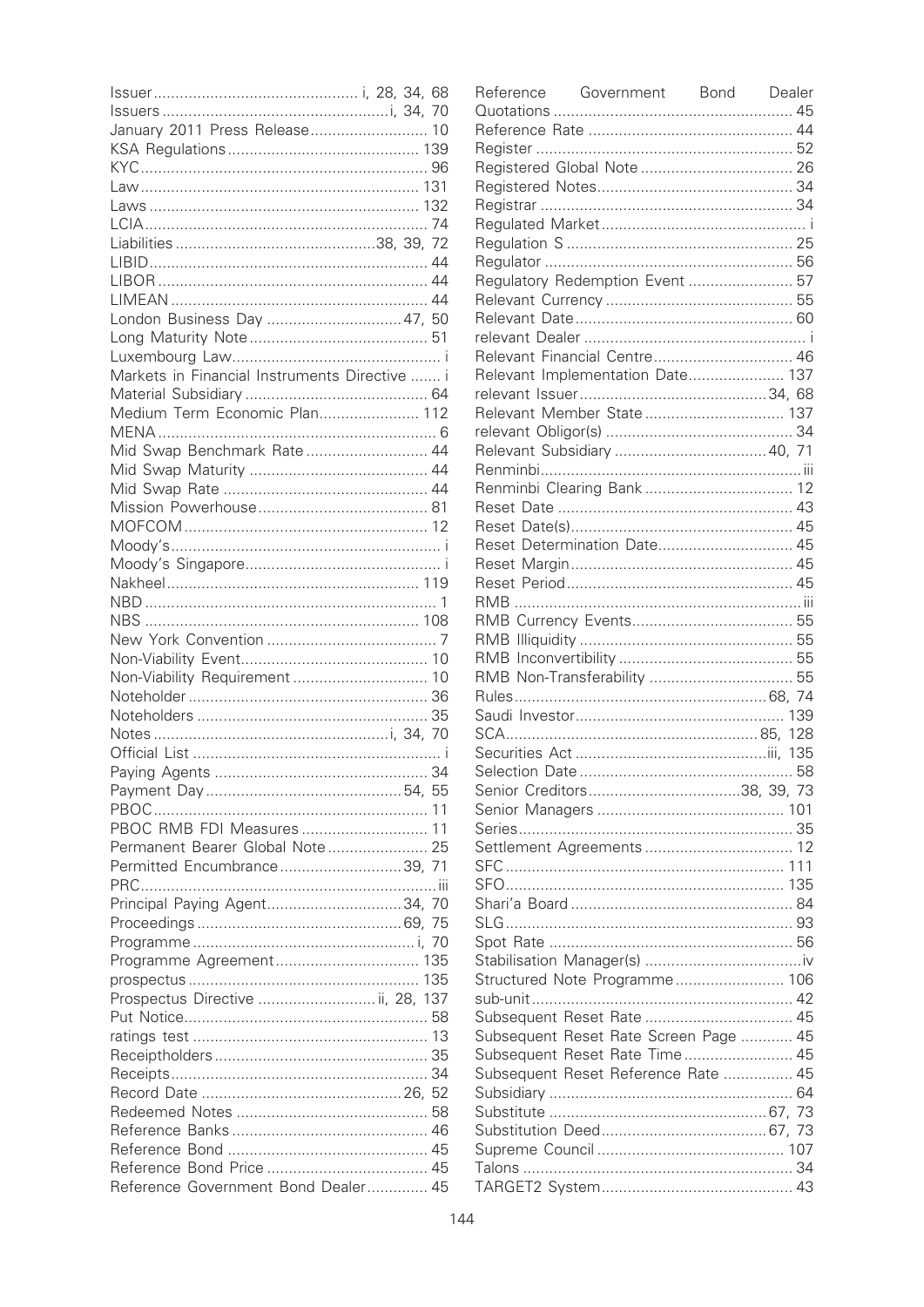| January 2011 Press Release 10                 |  |  |
|-----------------------------------------------|--|--|
|                                               |  |  |
|                                               |  |  |
|                                               |  |  |
|                                               |  |  |
|                                               |  |  |
|                                               |  |  |
|                                               |  |  |
|                                               |  |  |
|                                               |  |  |
| London Business Day  47, 50                   |  |  |
|                                               |  |  |
|                                               |  |  |
|                                               |  |  |
| Markets in Financial Instruments Directive  i |  |  |
|                                               |  |  |
| Medium Term Economic Plan 112                 |  |  |
|                                               |  |  |
| Mid Swap Benchmark Rate 44                    |  |  |
|                                               |  |  |
|                                               |  |  |
|                                               |  |  |
|                                               |  |  |
|                                               |  |  |
|                                               |  |  |
|                                               |  |  |
|                                               |  |  |
|                                               |  |  |
|                                               |  |  |
|                                               |  |  |
| Non-Viability Requirement  10                 |  |  |
|                                               |  |  |
|                                               |  |  |
|                                               |  |  |
|                                               |  |  |
|                                               |  |  |
|                                               |  |  |
|                                               |  |  |
|                                               |  |  |
| PBOC RMB FDI Measures  11                     |  |  |
| Permanent Bearer Global Note 25               |  |  |
| Permitted Encumbrance39, 71                   |  |  |
|                                               |  |  |
| Principal Paying Agent34, 70                  |  |  |
|                                               |  |  |
|                                               |  |  |
|                                               |  |  |
|                                               |  |  |
| Prospectus Directive  ii, 28, 137             |  |  |
|                                               |  |  |
|                                               |  |  |
|                                               |  |  |
|                                               |  |  |
|                                               |  |  |
|                                               |  |  |
|                                               |  |  |
|                                               |  |  |
|                                               |  |  |
|                                               |  |  |
| Reference Government Bond Dealer 45           |  |  |

| Reference Government Bond Dealer      |  |
|---------------------------------------|--|
|                                       |  |
|                                       |  |
|                                       |  |
|                                       |  |
|                                       |  |
|                                       |  |
|                                       |  |
|                                       |  |
|                                       |  |
|                                       |  |
| Regulatory Redemption Event  57       |  |
|                                       |  |
|                                       |  |
|                                       |  |
| Relevant Financial Centre 46          |  |
| Relevant Implementation Date 137      |  |
|                                       |  |
| Relevant Member State 137             |  |
|                                       |  |
|                                       |  |
|                                       |  |
|                                       |  |
|                                       |  |
|                                       |  |
| Reset Determination Date 45           |  |
|                                       |  |
|                                       |  |
|                                       |  |
|                                       |  |
|                                       |  |
|                                       |  |
|                                       |  |
|                                       |  |
|                                       |  |
|                                       |  |
|                                       |  |
|                                       |  |
|                                       |  |
|                                       |  |
|                                       |  |
|                                       |  |
| Settlement Agreements  12             |  |
|                                       |  |
|                                       |  |
|                                       |  |
|                                       |  |
|                                       |  |
|                                       |  |
| Structured Note Programme 106         |  |
|                                       |  |
| Subsequent Reset Rate  45             |  |
| Subsequent Reset Rate Screen Page  45 |  |
| Subsequent Reset Rate Time 45         |  |
| Subsequent Reset Reference Rate  45   |  |
|                                       |  |
|                                       |  |
|                                       |  |
|                                       |  |
|                                       |  |
|                                       |  |
|                                       |  |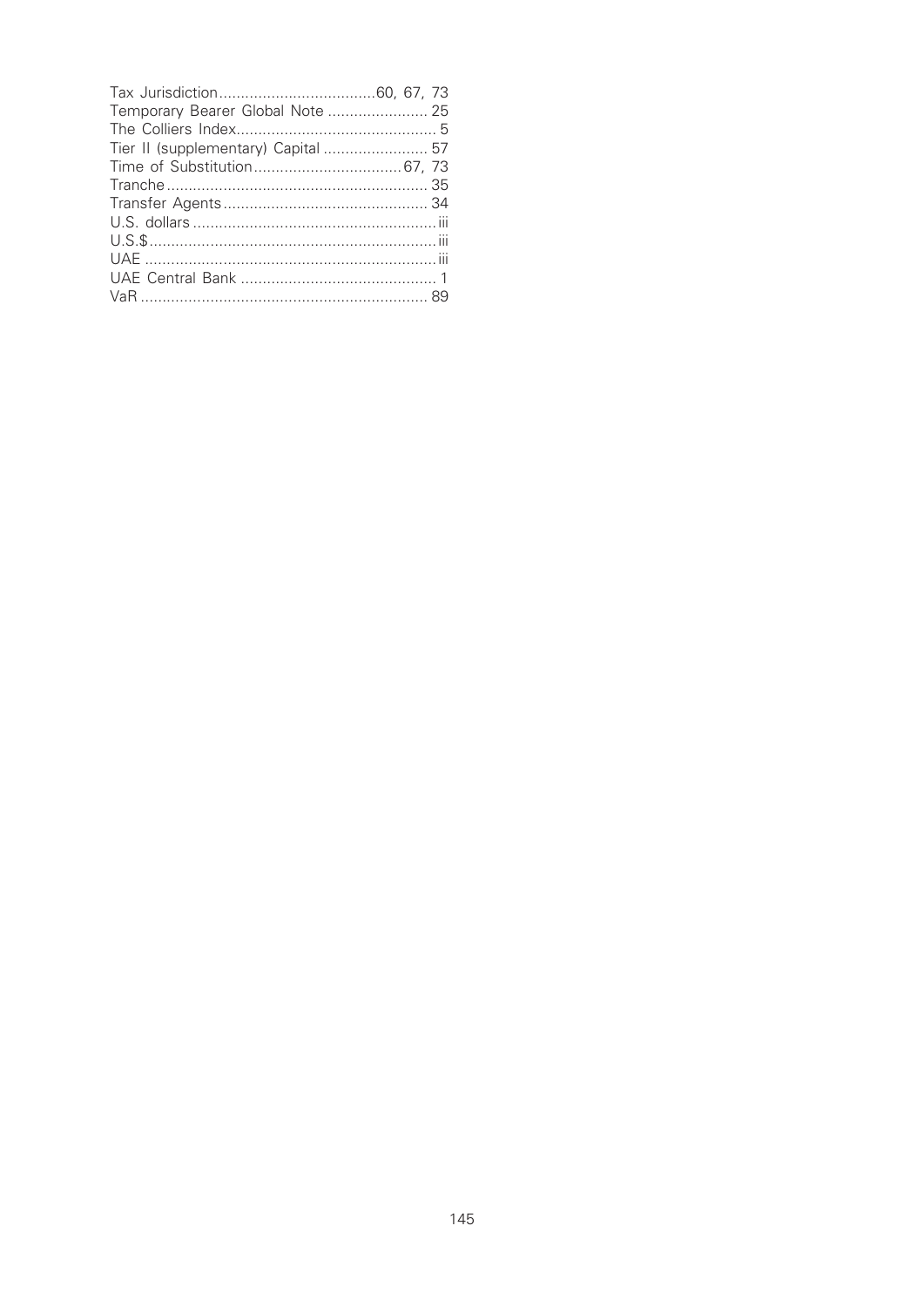| Temporary Bearer Global Note  25    |  |
|-------------------------------------|--|
|                                     |  |
| Tier II (supplementary) Capital  57 |  |
|                                     |  |
|                                     |  |
|                                     |  |
|                                     |  |
|                                     |  |
|                                     |  |
|                                     |  |
|                                     |  |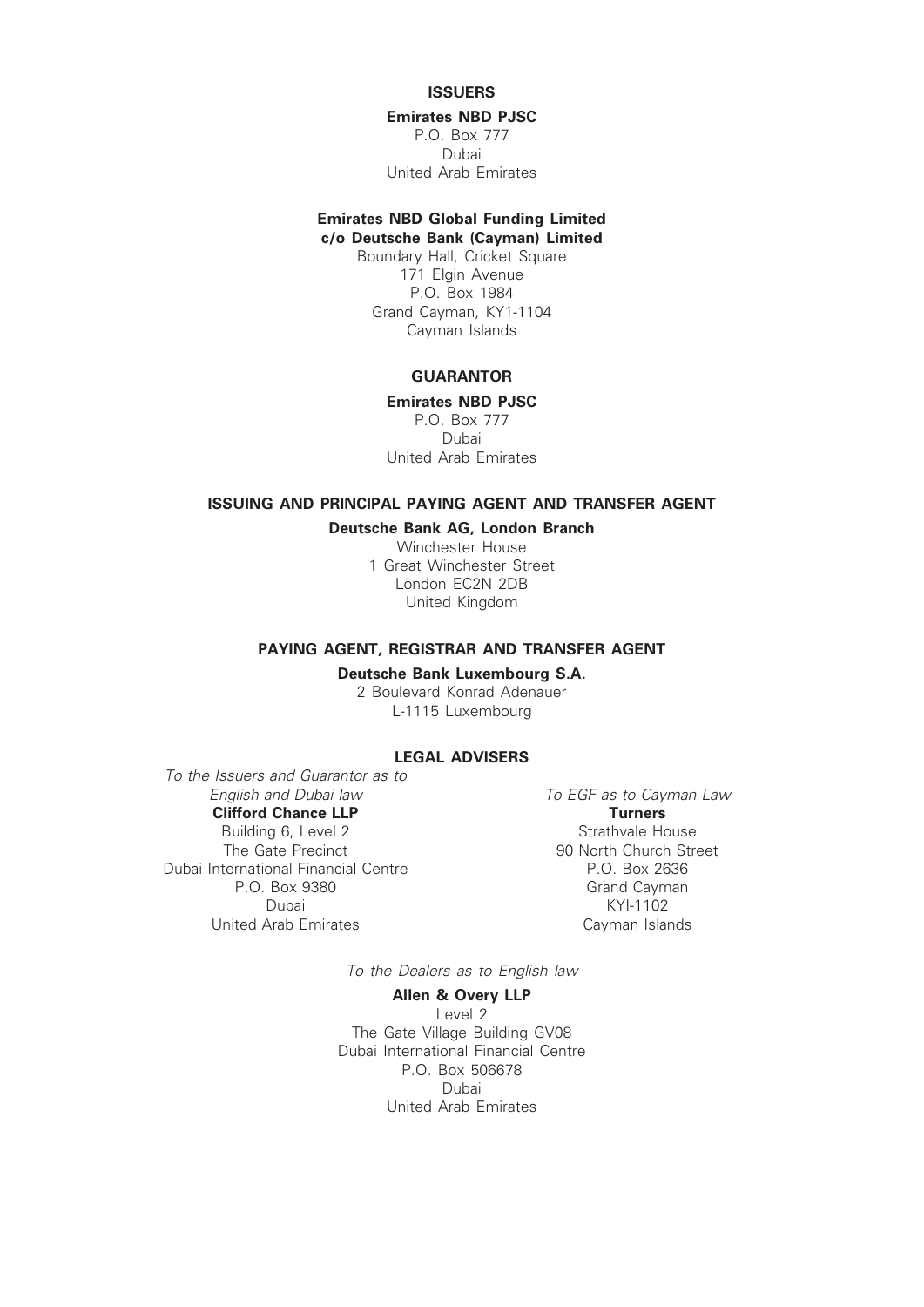# **ISSUERS**

#### Emirates NBD PJSC

P.O. Box 777 Dubai United Arab Emirates

#### Emirates NBD Global Funding Limited c/o Deutsche Bank (Cayman) Limited

Boundary Hall, Cricket Square 171 Elgin Avenue P.O. Box 1984 Grand Cayman, KY1-1104 Cayman Islands

# **GUARANTOR**

Emirates NBD PJSC

P.O. Box 777 Dubai United Arab Emirates

# ISSUING AND PRINCIPAL PAYING AGENT AND TRANSFER AGENT

Deutsche Bank AG, London Branch

Winchester House 1 Great Winchester Street London EC2N 2DB United Kingdom

#### PAYING AGENT, REGISTRAR AND TRANSFER AGENT

Deutsche Bank Luxembourg S.A.

2 Boulevard Konrad Adenauer L-1115 Luxembourg

# LEGAL ADVISERS

To the Issuers and Guarantor as to<br>Finalish and Dubai law Clifford Chance LLP Building 6, Level 2 The Gate Precinct Dubai International Financial Centre P.O. Box 9380 Dubai United Arab Emirates

To EGF as to Cayman Law **Turners** Strathvale House 90 North Church Street P.O. Box 2636 Grand Cayman KYI-1102 Cayman Islands

To the Dealers as to English law

#### Allen & Overy LLP

Level 2 The Gate Village Building GV08 Dubai International Financial Centre P.O. Box 506678 Dubai United Arab Emirates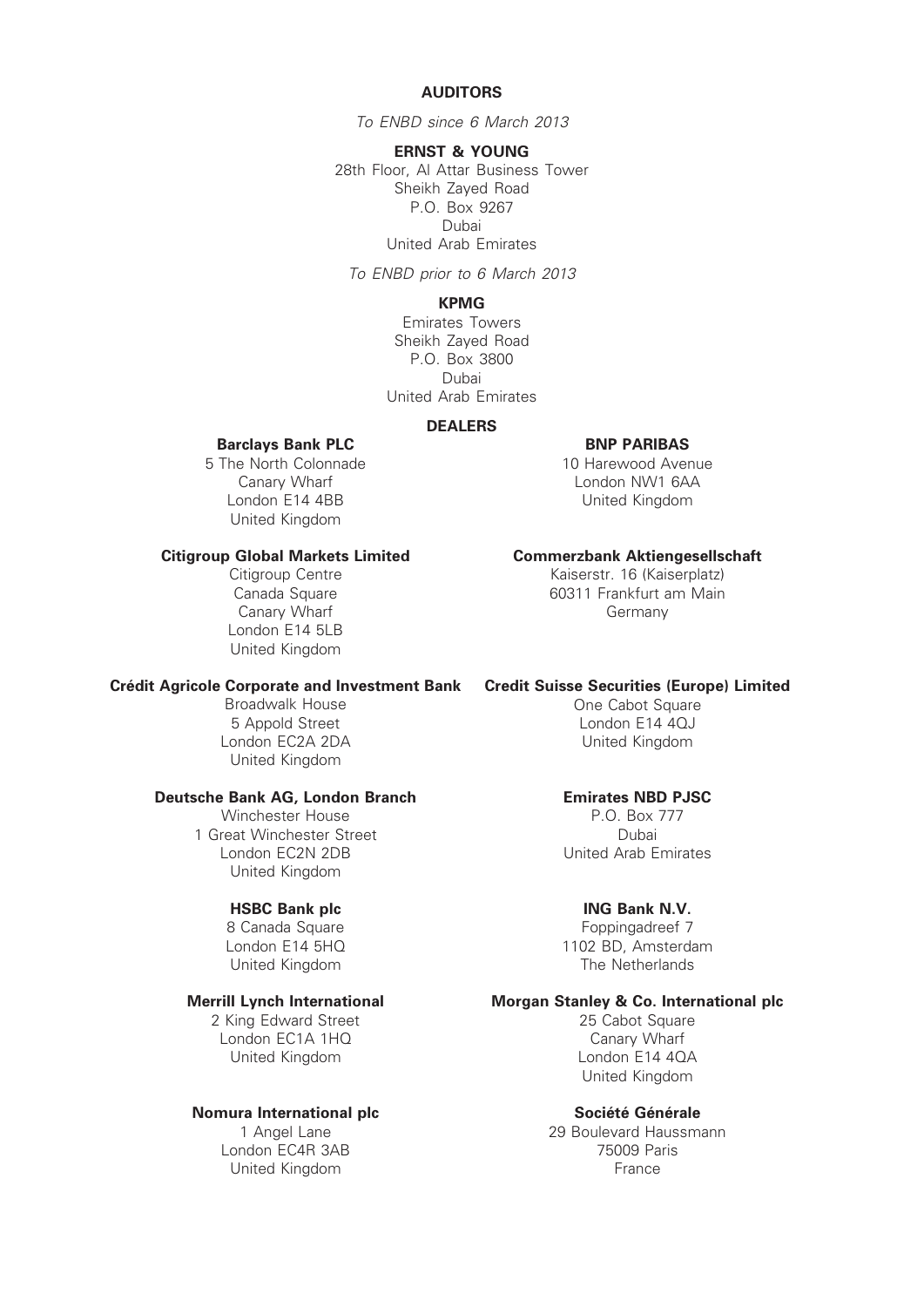#### AUDITORS

To ENBD since 6 March 2013

ERNST & YOUNG 28th Floor, Al Attar Business Tower Sheikh Zayed Road P.O. Box 9267 Dubai United Arab Emirates

To ENBD prior to 6 March 2013

# KPMG

Emirates Towers Sheikh Zayed Road P.O. Box 3800 Dubai United Arab Emirates

#### DEALERS

#### Barclays Bank PLC

5 The North Colonnade Canary Wharf London E14 4BB United Kingdom

#### Citigroup Global Markets Limited

Citigroup Centre Canada Square Canary Wharf London E14 5LB United Kingdom

#### Crédit Agricole Corporate and Investment Bank Credit Suisse Securities (Europe) Limited

Broadwalk House 5 Appold Street London EC2A 2DA United Kingdom

#### Deutsche Bank AG, London Branch

Winchester House 1 Great Winchester Street London EC2N 2DB United Kingdom

# HSBC Bank plc

8 Canada Square London E14 5HQ United Kingdom

#### Merrill Lynch International

2 King Edward Street London EC1A 1HQ United Kingdom

# Nomura International plc

1 Angel Lane London EC4R 3AB United Kingdom

#### BNP PARIBAS

10 Harewood Avenue London NW1 6AA United Kingdom

#### Commerzbank Aktiengesellschaft

Kaiserstr. 16 (Kaiserplatz) 60311 Frankfurt am Main Germany

One Cabot Square London E14 4QJ United Kingdom

#### Emirates NBD PJSC

P.O. Box 777 Dubai United Arab Emirates

#### ING Bank N.V.

Foppingadreef 7 1102 BD, Amsterdam The Netherlands

# Morgan Stanley & Co. International plc

25 Cabot Square Canary Wharf London E14 4QA United Kingdom

#### Société Générale

29 Boulevard Haussmann 75009 Paris France